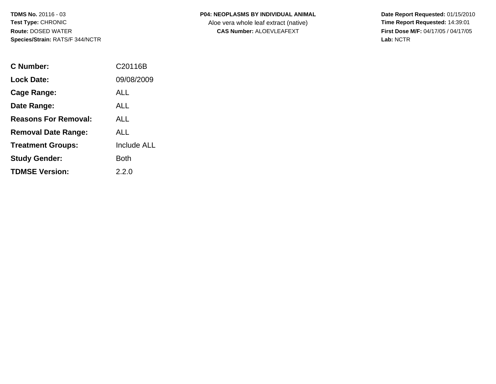#### **P04: NEOPLASMS BY INDIVIDUAL ANIMAL**

Aloe vera whole leaf extract (native)<br>**CAS Number:** ALOEVLEAFEXT

 **Date Report Requested:** 01/15/2010 **First Dose M/F:** 04/17/05 / 04/17/05<br>Lab: NCTR **Lab:** NCTR

| C Number:                   | C20116B            |
|-----------------------------|--------------------|
| <b>Lock Date:</b>           | 09/08/2009         |
| Cage Range:                 | ALL                |
| Date Range:                 | ALL                |
| <b>Reasons For Removal:</b> | ALL.               |
| <b>Removal Date Range:</b>  | ALL                |
| <b>Treatment Groups:</b>    | <b>Include ALL</b> |
| <b>Study Gender:</b>        | Both               |
| <b>TDMSE Version:</b>       | 2.2.0              |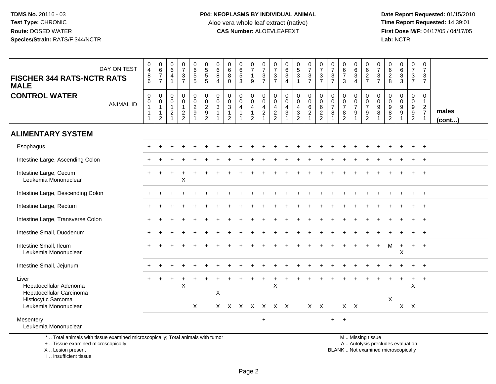**Date Report Requested:** 01/15/2010 **First Dose M/F:** 04/17/05 / 04/17/05<br>Lab: NCTR **Lab:** NCTR

| DAY ON TEST<br><b>FISCHER 344 RATS-NCTR RATS</b><br><b>MALE</b>                                            | 0<br>$\overline{4}$<br>$\bf 8$<br>6                    | $\begin{array}{c} 0 \\ 6 \end{array}$<br>$\overline{7}$<br>$\overline{7}$    | $_{6}^{\rm 0}$<br>$\overline{4}$<br>$\mathbf{1}$                                     | $\frac{0}{7}$<br>3<br>$\overline{7}$              | 0<br>6<br>5<br>5                                             | 0<br>5<br>5<br>5                                    | $\begin{array}{c} 0 \\ 6 \end{array}$<br>$\bf8$<br>4 | $\begin{array}{c} 0 \\ 6 \end{array}$<br>$\overline{8}$<br>$\mathbf{0}$        | $\begin{array}{c} 0 \\ 6 \\ 5 \end{array}$<br>3 | $\begin{array}{c} 0 \\ 7 \\ 1 \end{array}$<br>$\boldsymbol{9}$                                   | $\frac{0}{7}$<br>$\ensuremath{\mathsf{3}}$<br>$\overline{7}$              | $\frac{0}{7}$<br>$\ensuremath{\mathsf{3}}$<br>$\overline{7}$ | $\begin{matrix} 0 \\ 6 \\ 3 \end{matrix}$<br>$\overline{4}$   | $\begin{array}{c} 0 \\ 5 \\ 3 \end{array}$<br>$\mathbf{1}$                   | $\frac{0}{7}$<br>$\sqrt{3}$<br>$\overline{7}$                                   | $\frac{0}{7}$<br>$\mathbf{3}$<br>$\overline{7}$   | $\frac{0}{7}$<br>$\sqrt{3}$<br>$\overline{7}$ | $\begin{array}{c} 0 \\ 6 \\ 7 \end{array}$<br>3  | $\begin{array}{c} 0 \\ 6 \\ 3 \end{array}$<br>$\overline{4}$ | 0627                                                         | $\frac{0}{7}$<br>$\mathbf{3}$<br>$\overline{7}$     | 0<br>$\begin{array}{c} 6 \\ 2 \\ 8 \end{array}$                   | $\begin{array}{c} 0 \\ 6 \\ 3 \end{array}$ | $\begin{smallmatrix}0\\7\end{smallmatrix}$<br>$\frac{3}{7}$    | 0<br>$\overline{7}$<br>$\mathbf{3}$<br>$\overline{7}$ |                 |
|------------------------------------------------------------------------------------------------------------|--------------------------------------------------------|------------------------------------------------------------------------------|--------------------------------------------------------------------------------------|---------------------------------------------------|--------------------------------------------------------------|-----------------------------------------------------|------------------------------------------------------|--------------------------------------------------------------------------------|-------------------------------------------------|--------------------------------------------------------------------------------------------------|---------------------------------------------------------------------------|--------------------------------------------------------------|---------------------------------------------------------------|------------------------------------------------------------------------------|---------------------------------------------------------------------------------|---------------------------------------------------|-----------------------------------------------|--------------------------------------------------|--------------------------------------------------------------|--------------------------------------------------------------|-----------------------------------------------------|-------------------------------------------------------------------|--------------------------------------------|----------------------------------------------------------------|-------------------------------------------------------|-----------------|
| <b>CONTROL WATER</b><br><b>ANIMAL ID</b>                                                                   | 0<br>$\mathsf 0$<br>$\mathbf{1}$<br>$\mathbf{1}$<br>-1 | $\mathbf 0$<br>$\mathbf 0$<br>$\mathbf{1}$<br>$\mathbf{1}$<br>$\overline{c}$ | $\pmb{0}$<br>$\mathsf{O}\xspace$<br>$\mathbf{1}$<br>$\boldsymbol{2}$<br>$\mathbf{1}$ | 0<br>$\mathbf 0$<br>$\mathbf{1}$<br>$\frac{2}{2}$ | $\begin{smallmatrix}0\0\0\end{smallmatrix}$<br>$\frac{2}{9}$ | $\mathbf 0$<br>$\ddot{\mathbf{0}}$<br>$\frac{2}{9}$ | $\boldsymbol{0}$<br>$\mathbf 0$<br>$\sqrt{3}$        | $\mathbf 0$<br>$\mathbf 0$<br>$\overline{3}$<br>$\mathbf{1}$<br>$\overline{2}$ | 0<br>$\overline{0}$<br>$\overline{4}$           | $\begin{smallmatrix} 0\\0 \end{smallmatrix}$<br>$\overline{4}$<br>$\mathbf{1}$<br>$\overline{2}$ | $\pmb{0}$<br>$\mathsf{O}\xspace$<br>$\overline{4}$<br>$\overline{c}$<br>1 | 0<br>$\mathbf 0$<br>$\overline{4}$<br>$\frac{2}{2}$          | $\begin{smallmatrix} 0\\0 \end{smallmatrix}$<br>$\frac{4}{3}$ | 0<br>$\ddot{\mathbf{0}}$<br>4<br>$\ensuremath{\mathsf{3}}$<br>$\overline{2}$ | $\pmb{0}$<br>$\ddot{\mathbf{0}}$<br>$\,6\,$<br>$\overline{2}$<br>$\overline{1}$ | 0<br>$\boldsymbol{0}$<br>$\,6\,$<br>$\frac{2}{2}$ | 0<br>$\mathbf 0$<br>$\overline{7}$<br>8       | 0<br>$\pmb{0}$<br>$\overline{7}$<br>$\bf 8$<br>2 | 0<br>$\mathbf{0}$<br>$\overline{7}$<br>9                     | $\,0\,$<br>$\overline{0}$<br>$\overline{7}$<br>$\frac{9}{2}$ | 0<br>$\boldsymbol{0}$<br>$9\,$<br>8<br>$\mathbf{1}$ | 0<br>$\mathbf 0$<br>$\boldsymbol{9}$<br>$\bf 8$<br>$\overline{2}$ | 0<br>$\overline{0}$<br>$\frac{9}{9}$       | $\pmb{0}$<br>$\overline{0}$<br>$\frac{9}{9}$<br>$\overline{2}$ | $\mathbf 0$<br>$\mathbf{1}$<br>$\frac{2}{7}$          | males<br>(cont) |
| <b>ALIMENTARY SYSTEM</b>                                                                                   |                                                        |                                                                              |                                                                                      |                                                   |                                                              |                                                     |                                                      |                                                                                |                                                 |                                                                                                  |                                                                           |                                                              |                                                               |                                                                              |                                                                                 |                                                   |                                               |                                                  |                                                              |                                                              |                                                     |                                                                   |                                            |                                                                |                                                       |                 |
| Esophagus                                                                                                  |                                                        |                                                                              |                                                                                      |                                                   |                                                              |                                                     |                                                      |                                                                                |                                                 |                                                                                                  |                                                                           |                                                              |                                                               |                                                                              |                                                                                 |                                                   |                                               |                                                  |                                                              |                                                              |                                                     |                                                                   |                                            |                                                                | $+$                                                   |                 |
| Intestine Large, Ascending Colon                                                                           |                                                        |                                                                              |                                                                                      |                                                   |                                                              |                                                     |                                                      |                                                                                |                                                 |                                                                                                  |                                                                           |                                                              |                                                               |                                                                              |                                                                                 |                                                   |                                               |                                                  |                                                              |                                                              |                                                     |                                                                   |                                            |                                                                |                                                       |                 |
| Intestine Large, Cecum<br>Leukemia Mononuclear                                                             |                                                        |                                                                              |                                                                                      | X                                                 |                                                              |                                                     |                                                      |                                                                                |                                                 |                                                                                                  |                                                                           |                                                              |                                                               |                                                                              |                                                                                 |                                                   |                                               |                                                  |                                                              |                                                              |                                                     |                                                                   |                                            |                                                                |                                                       |                 |
| Intestine Large, Descending Colon                                                                          |                                                        |                                                                              |                                                                                      |                                                   |                                                              |                                                     |                                                      |                                                                                |                                                 |                                                                                                  |                                                                           |                                                              |                                                               |                                                                              |                                                                                 |                                                   |                                               |                                                  |                                                              |                                                              |                                                     |                                                                   |                                            |                                                                |                                                       |                 |
| Intestine Large, Rectum                                                                                    |                                                        |                                                                              |                                                                                      |                                                   |                                                              |                                                     |                                                      |                                                                                |                                                 |                                                                                                  |                                                                           |                                                              |                                                               |                                                                              |                                                                                 |                                                   |                                               |                                                  |                                                              |                                                              |                                                     |                                                                   |                                            |                                                                |                                                       |                 |
| Intestine Large, Transverse Colon                                                                          |                                                        |                                                                              |                                                                                      |                                                   |                                                              |                                                     |                                                      |                                                                                |                                                 |                                                                                                  |                                                                           |                                                              |                                                               |                                                                              |                                                                                 |                                                   |                                               |                                                  |                                                              |                                                              |                                                     |                                                                   |                                            |                                                                | $+$                                                   |                 |
| Intestine Small, Duodenum                                                                                  |                                                        |                                                                              |                                                                                      |                                                   |                                                              |                                                     |                                                      |                                                                                |                                                 |                                                                                                  |                                                                           |                                                              |                                                               |                                                                              |                                                                                 |                                                   |                                               |                                                  |                                                              |                                                              |                                                     |                                                                   |                                            |                                                                |                                                       |                 |
| Intestine Small, Ileum<br>Leukemia Mononuclear                                                             |                                                        |                                                                              |                                                                                      |                                                   |                                                              |                                                     |                                                      |                                                                                |                                                 |                                                                                                  |                                                                           |                                                              |                                                               |                                                                              |                                                                                 |                                                   |                                               |                                                  |                                                              |                                                              |                                                     | M                                                                 | $\div$<br>Χ                                | $+$                                                            | $+$                                                   |                 |
| Intestine Small, Jejunum                                                                                   |                                                        |                                                                              |                                                                                      |                                                   |                                                              |                                                     |                                                      |                                                                                |                                                 |                                                                                                  |                                                                           |                                                              |                                                               |                                                                              |                                                                                 |                                                   |                                               |                                                  |                                                              |                                                              |                                                     |                                                                   |                                            |                                                                |                                                       |                 |
| Liver<br>Hepatocellular Adenoma<br>Hepatocellular Carcinoma<br>Histiocytic Sarcoma<br>Leukemia Mononuclear |                                                        |                                                                              |                                                                                      | X                                                 | $\times$                                                     |                                                     | $\pmb{\times}$                                       | X X X X X X X                                                                  |                                                 |                                                                                                  |                                                                           | X                                                            |                                                               |                                                                              | $X$ $X$                                                                         |                                                   |                                               | $X$ $X$                                          |                                                              |                                                              |                                                     | X                                                                 |                                            | $+$<br>X<br>$X$ $X$                                            | $+$                                                   |                 |
| Mesentery<br>Leukemia Mononuclear                                                                          |                                                        |                                                                              |                                                                                      |                                                   |                                                              |                                                     |                                                      |                                                                                |                                                 |                                                                                                  | $\ddot{}$                                                                 |                                                              |                                                               |                                                                              |                                                                                 |                                                   | $+$                                           | $\overline{1}$                                   |                                                              |                                                              |                                                     |                                                                   |                                            |                                                                |                                                       |                 |

\* .. Total animals with tissue examined microscopically; Total animals with tumor

+ .. Tissue examined microscopically

X .. Lesion present

I .. Insufficient tissue

M .. Missing tissue

y the contract of the contract of the contract of the contract of the contract of the contract of the contract of  $A$ . Autolysis precludes evaluation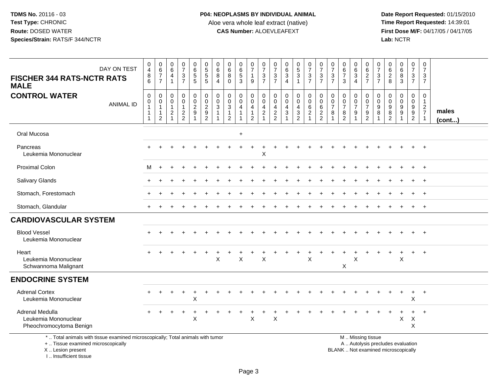**Date Report Requested:** 01/15/2010 **First Dose M/F:** 04/17/05 / 04/17/05<br>Lab: NCTR **Lab:** NCTR

| DAY ON TEST<br><b>FISCHER 344 RATS-NCTR RATS</b><br><b>MALE</b>                                                       | 0<br>$\overline{4}$<br>8<br>6           | 0<br>$\,6\,$<br>$\overline{7}$<br>$\overline{7}$ | 0<br>$\,6\,$<br>$\overline{4}$<br>1        | $\frac{0}{7}$<br>$\sqrt{3}$<br>$\overline{7}$    | 0<br>6<br>5<br>5                                                    | $\begin{array}{c} 0 \\ 5 \\ 5 \end{array}$<br>$\sqrt{5}$                              | 0<br>$\,6\,$<br>8<br>4 | 0<br>$\,6\,$<br>8<br>$\Omega$                                   | 0<br>$\,6\,$<br>$\sqrt{5}$<br>$\mathbf{3}$ | $\frac{0}{7}$<br>$\mathbf{1}$<br>9                                  | $\frac{0}{7}$<br>$\ensuremath{\mathsf{3}}$<br>$\overline{7}$ | $\frac{0}{7}$<br>$\sqrt{3}$<br>$\overline{7}$ | $\pmb{0}$<br>$\,6\,$<br>$\mathbf{3}$<br>$\overline{4}$                                | $\begin{matrix} 0 \\ 5 \end{matrix}$<br>$\mathbf{3}$<br>$\mathbf 1$  | $\frac{0}{7}$<br>$\ensuremath{\mathsf{3}}$<br>$\overline{7}$           | $\frac{0}{7}$<br>$\mathbf{3}$<br>$\overline{7}$                     | $\frac{0}{7}$<br>$\ensuremath{\mathsf{3}}$<br>$\overline{7}$ | 0<br>$\frac{6}{7}$<br>3                                                        | 0<br>$\,6$<br>$\mathbf{3}$<br>$\overline{4}$ | $062$<br>$7$                                | $\frac{0}{7}$<br>$\frac{3}{7}$                    | 0<br>$\begin{array}{c} 6 \\ 2 \\ 8 \end{array}$              | $\begin{array}{c} 0 \\ 6 \end{array}$<br>$\bf 8$<br>3 | 0<br>$\overline{7}$<br>$\mathbf{3}$<br>$\overline{7}$                      | 0<br>$\overline{7}$<br>3<br>$\overline{7}$                 |                       |
|-----------------------------------------------------------------------------------------------------------------------|-----------------------------------------|--------------------------------------------------|--------------------------------------------|--------------------------------------------------|---------------------------------------------------------------------|---------------------------------------------------------------------------------------|------------------------|-----------------------------------------------------------------|--------------------------------------------|---------------------------------------------------------------------|--------------------------------------------------------------|-----------------------------------------------|---------------------------------------------------------------------------------------|----------------------------------------------------------------------|------------------------------------------------------------------------|---------------------------------------------------------------------|--------------------------------------------------------------|--------------------------------------------------------------------------------|----------------------------------------------|---------------------------------------------|---------------------------------------------------|--------------------------------------------------------------|-------------------------------------------------------|----------------------------------------------------------------------------|------------------------------------------------------------|-----------------------|
| <b>CONTROL WATER</b><br><b>ANIMAL ID</b>                                                                              | $\pmb{0}$<br>$\mathbf 0$<br>$\mathbf 1$ | 0<br>0<br>$\mathbf{1}$<br>1<br>$\overline{2}$    | 0<br>0<br>$\mathbf{1}$<br>$\boldsymbol{2}$ | 0<br>$\mathbf 0$<br>$\mathbf 1$<br>$\frac{2}{2}$ | $\begin{smallmatrix} 0\\0\\2 \end{smallmatrix}$<br>$\boldsymbol{9}$ | $\begin{smallmatrix} 0\\0\\2 \end{smallmatrix}$<br>$\boldsymbol{9}$<br>$\overline{2}$ | 0<br>$\mathbf 0$<br>3  | $\mathbf 0$<br>$\mathbf 0$<br>$\sqrt{3}$<br>1<br>$\overline{2}$ | 0<br>0<br>$\overline{\mathbf{4}}$          | 0<br>$\mathbf 0$<br>$\overline{4}$<br>$\mathbf 1$<br>$\overline{2}$ | 0<br>$\mathbf 0$<br>4<br>$\overline{c}$                      | 0<br>$\mathbf 0$<br>4<br>$\frac{2}{2}$        | $\mathbf 0$<br>$\mathbf 0$<br>$\overline{4}$<br>$\sqrt{3}$<br>$\overline{\mathbf{1}}$ | 0<br>$\mathbf 0$<br>4<br>$\ensuremath{\mathsf{3}}$<br>$\overline{2}$ | $\mathbf 0$<br>$\mathsf{O}\xspace$<br>$6\phantom{a}$<br>$\overline{c}$ | $\pmb{0}$<br>$\ddot{\mathbf{0}}$<br>$6\phantom{a}$<br>$\frac{2}{2}$ | 0<br>$\pmb{0}$<br>$\overline{7}$<br>8                        | $\pmb{0}$<br>$\begin{matrix} 0 \\ 7 \end{matrix}$<br>$\,8\,$<br>$\overline{2}$ | 0<br>$\pmb{0}$<br>$\overline{7}$<br>9        | $\pmb{0}$<br>$\frac{0}{7}$<br>$\frac{9}{2}$ | $\mathbf 0$<br>$\mathbf 0$<br>$\overline{9}$<br>8 | $\mathbf 0$<br>$\mathbf 0$<br>9<br>$\,8\,$<br>$\overline{2}$ | 0<br>$\Omega$<br>9<br>$\boldsymbol{9}$                | 0<br>$\mathbf 0$<br>$\boldsymbol{9}$<br>$\boldsymbol{9}$<br>$\overline{a}$ | $\mathbf 0$<br>$\mathbf{1}$<br>$rac{2}{7}$<br>$\mathbf{1}$ | males<br>$($ cont $)$ |
| Oral Mucosa                                                                                                           |                                         |                                                  |                                            |                                                  |                                                                     |                                                                                       |                        |                                                                 | $\ddot{}$                                  |                                                                     |                                                              |                                               |                                                                                       |                                                                      |                                                                        |                                                                     |                                                              |                                                                                |                                              |                                             |                                                   |                                                              |                                                       |                                                                            |                                                            |                       |
| Pancreas<br>Leukemia Mononuclear                                                                                      |                                         |                                                  |                                            |                                                  |                                                                     |                                                                                       |                        |                                                                 |                                            | $\div$                                                              | X                                                            |                                               |                                                                                       |                                                                      |                                                                        |                                                                     |                                                              |                                                                                |                                              |                                             |                                                   |                                                              |                                                       |                                                                            |                                                            |                       |
| <b>Proximal Colon</b>                                                                                                 | М                                       | $\ddot{}$                                        |                                            |                                                  |                                                                     |                                                                                       |                        |                                                                 |                                            |                                                                     |                                                              |                                               |                                                                                       |                                                                      |                                                                        |                                                                     |                                                              |                                                                                |                                              |                                             |                                                   |                                                              |                                                       |                                                                            | $\ddot{}$                                                  |                       |
| Salivary Glands                                                                                                       |                                         |                                                  |                                            |                                                  |                                                                     |                                                                                       |                        |                                                                 |                                            |                                                                     |                                                              |                                               |                                                                                       |                                                                      |                                                                        |                                                                     |                                                              |                                                                                |                                              |                                             |                                                   |                                                              |                                                       |                                                                            |                                                            |                       |
| Stomach, Forestomach                                                                                                  |                                         |                                                  |                                            |                                                  |                                                                     |                                                                                       |                        |                                                                 |                                            |                                                                     |                                                              |                                               |                                                                                       |                                                                      |                                                                        |                                                                     |                                                              |                                                                                |                                              |                                             |                                                   |                                                              |                                                       |                                                                            | $\ddot{}$                                                  |                       |
| Stomach, Glandular                                                                                                    |                                         |                                                  |                                            |                                                  |                                                                     |                                                                                       |                        |                                                                 |                                            |                                                                     |                                                              |                                               |                                                                                       |                                                                      |                                                                        |                                                                     |                                                              |                                                                                |                                              |                                             |                                                   |                                                              |                                                       |                                                                            | $+$                                                        |                       |
| <b>CARDIOVASCULAR SYSTEM</b>                                                                                          |                                         |                                                  |                                            |                                                  |                                                                     |                                                                                       |                        |                                                                 |                                            |                                                                     |                                                              |                                               |                                                                                       |                                                                      |                                                                        |                                                                     |                                                              |                                                                                |                                              |                                             |                                                   |                                                              |                                                       |                                                                            |                                                            |                       |
| <b>Blood Vessel</b><br>Leukemia Mononuclear                                                                           |                                         |                                                  |                                            |                                                  |                                                                     |                                                                                       |                        |                                                                 |                                            |                                                                     |                                                              |                                               |                                                                                       |                                                                      |                                                                        |                                                                     |                                                              |                                                                                |                                              |                                             |                                                   |                                                              |                                                       |                                                                            | $\overline{1}$                                             |                       |
| Heart<br>Leukemia Mononuclear<br>Schwannoma Malignant                                                                 | $\div$                                  |                                                  |                                            |                                                  |                                                                     |                                                                                       | $\pmb{\times}$         |                                                                 | $\sf X$                                    |                                                                     | $\mathsf{X}$                                                 |                                               |                                                                                       |                                                                      | X                                                                      |                                                                     |                                                              | X                                                                              | X                                            |                                             |                                                   |                                                              | X                                                     | $\ddot{}$                                                                  | $\overline{+}$                                             |                       |
| <b>ENDOCRINE SYSTEM</b>                                                                                               |                                         |                                                  |                                            |                                                  |                                                                     |                                                                                       |                        |                                                                 |                                            |                                                                     |                                                              |                                               |                                                                                       |                                                                      |                                                                        |                                                                     |                                                              |                                                                                |                                              |                                             |                                                   |                                                              |                                                       |                                                                            |                                                            |                       |
| <b>Adrenal Cortex</b><br>Leukemia Mononuclear                                                                         |                                         |                                                  |                                            |                                                  | $\div$<br>X                                                         |                                                                                       |                        |                                                                 |                                            |                                                                     |                                                              |                                               |                                                                                       |                                                                      |                                                                        |                                                                     |                                                              |                                                                                |                                              |                                             |                                                   |                                                              |                                                       | $\ddot{}$<br>Χ                                                             | $+$                                                        |                       |
| Adrenal Medulla<br>Leukemia Mononuclear<br>Pheochromocytoma Benign                                                    |                                         |                                                  |                                            |                                                  | X                                                                   |                                                                                       |                        |                                                                 |                                            | X                                                                   |                                                              | Χ                                             |                                                                                       |                                                                      |                                                                        |                                                                     |                                                              |                                                                                |                                              |                                             |                                                   |                                                              | X                                                     | $\times$<br>X                                                              |                                                            |                       |
| *  Total animals with tissue examined microscopically; Total animals with tumor<br>+  Tissue examined microscopically |                                         |                                                  |                                            |                                                  |                                                                     |                                                                                       |                        |                                                                 |                                            |                                                                     |                                                              |                                               |                                                                                       |                                                                      |                                                                        |                                                                     |                                                              |                                                                                |                                              | M  Missing tissue                           |                                                   |                                                              | A  Autolysis precludes evaluation                     |                                                                            |                                                            |                       |

X .. Lesion present

I .. Insufficient tissue

 A .. Autolysis precludes evaluationLesion present BLANK .. Not examined microscopically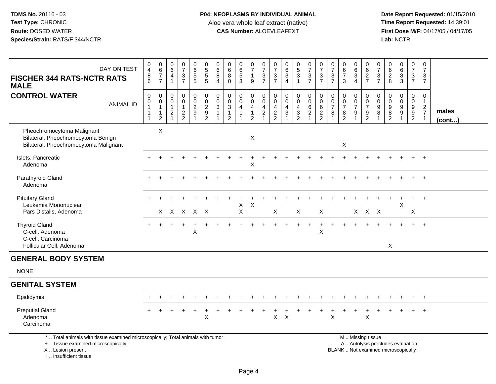**Date Report Requested:** 01/15/2010 **First Dose M/F:** 04/17/05 / 04/17/05<br>Lab: NCTR **Lab:** NCTR

| DAY ON TEST<br><b>FISCHER 344 RATS-NCTR RATS</b><br><b>MALE</b>                                                                           | $\begin{smallmatrix}0\0\4\end{smallmatrix}$<br>8<br>6        | $_{6}^{\rm 0}$<br>$\boldsymbol{7}$<br>$\overline{7}$                       | 0<br>6<br>4                                               | $\begin{smallmatrix}0\\7\end{smallmatrix}$<br>$\frac{3}{7}$       | $_{6}^{\rm 0}$<br>$\sqrt{5}$<br>$\sqrt{5}$ | 0<br>$\overline{5}$<br>$\sqrt{5}$<br>$\sqrt{5}$                                 | 0<br>6<br>8<br>$\overline{4}$   | 0<br>$\,6\,$<br>$\bf 8$<br>$\Omega$                           | $\begin{array}{c} 0 \\ 6 \end{array}$<br>$\mathbf 5$<br>3 | $\begin{array}{c} 0 \\ 7 \end{array}$<br>$\mathbf{1}$<br>9 | 0<br>$\overline{7}$<br>$\frac{3}{7}$        | 0<br>$\overline{7}$<br>$\sqrt{3}$<br>$\overline{7}$                   | 0<br>$\,6\,$<br>$\ensuremath{\mathsf{3}}$<br>$\overline{4}$ | $\begin{array}{c} 0 \\ 5 \\ 3 \end{array}$<br>$\mathbf{1}$ | $\frac{0}{7}$<br>$\ensuremath{\mathsf{3}}$<br>$\overline{7}$    | $\frac{0}{7}$<br>$\ensuremath{\mathsf{3}}$<br>$\overline{7}$                      | $\frac{0}{7}$<br>$\sqrt{3}$<br>$\overline{7}$        | 0<br>$\,6$<br>$\boldsymbol{7}$<br>3                                     | 0<br>$\overline{6}$<br>$\ensuremath{\mathsf{3}}$<br>$\overline{4}$ | 0<br>6<br>$\frac{2}{7}$                                                                      | $\frac{0}{7}$<br>$\mathbf{3}$<br>$\overline{7}$ | 0<br>$6\phantom{a}$<br>$\frac{2}{8}$                           | $\begin{array}{c} 0 \\ 6 \end{array}$<br>$\bf 8$<br>3                      | $\begin{smallmatrix}0\\7\end{smallmatrix}$<br>$\frac{3}{7}$ | 0<br>$\overline{7}$<br>3<br>$\overline{7}$                   |                 |
|-------------------------------------------------------------------------------------------------------------------------------------------|--------------------------------------------------------------|----------------------------------------------------------------------------|-----------------------------------------------------------|-------------------------------------------------------------------|--------------------------------------------|---------------------------------------------------------------------------------|---------------------------------|---------------------------------------------------------------|-----------------------------------------------------------|------------------------------------------------------------|---------------------------------------------|-----------------------------------------------------------------------|-------------------------------------------------------------|------------------------------------------------------------|-----------------------------------------------------------------|-----------------------------------------------------------------------------------|------------------------------------------------------|-------------------------------------------------------------------------|--------------------------------------------------------------------|----------------------------------------------------------------------------------------------|-------------------------------------------------|----------------------------------------------------------------|----------------------------------------------------------------------------|-------------------------------------------------------------|--------------------------------------------------------------|-----------------|
| <b>CONTROL WATER</b><br><b>ANIMAL ID</b>                                                                                                  | $\pmb{0}$<br>$\mathsf{O}\xspace$<br>$\overline{1}$<br>1<br>1 | $\mathsf{O}\xspace$<br>0<br>$\mathbf{1}$<br>$\mathbf{1}$<br>$\overline{2}$ | $\Omega$<br>$\mathbf 0$<br>$\mathbf{1}$<br>$\overline{2}$ | $\pmb{0}$<br>$\ddot{\mathbf{0}}$<br>$\mathbf{1}$<br>$\frac{2}{2}$ | $\pmb{0}$<br>$\pmb{0}$<br>$\frac{2}{9}$    | $\pmb{0}$<br>$\overline{0}$<br>$\sqrt{2}$<br>$\boldsymbol{9}$<br>$\overline{2}$ | $\mathbf 0$<br>$\mathbf 0$<br>3 | $\mathbf 0$<br>$\mathbf 0$<br>$\sqrt{3}$<br>$\mathbf{1}$<br>2 | $\mathbf 0$<br>$\pmb{0}$<br>$\overline{\mathbf{4}}$       | $\mathbf 0$<br>$\mathbf 0$<br>4<br>$\overline{2}$          | $\mathbf 0$<br>$\mathbf 0$<br>$\frac{4}{2}$ | $\mathbf 0$<br>$\Omega$<br>$\begin{array}{c} 4 \\ 2 \\ 2 \end{array}$ | $\mathbf 0$<br>$\Omega$<br>$\overline{4}$<br>$\mathbf{3}$   | 0<br>$\mathbf 0$<br>$\frac{4}{3}$                          | $\mathsf 0$<br>$\mathsf{O}\xspace$<br>$\,6\,$<br>$\overline{2}$ | $\pmb{0}$<br>$\ddot{\mathbf{0}}$<br>$\,6\,$<br>$\boldsymbol{2}$<br>$\overline{2}$ | $\mathbf 0$<br>$\pmb{0}$<br>$\overline{7}$<br>$\bf8$ | $\mathbf 0$<br>$\pmb{0}$<br>$\overline{7}$<br>$\,8\,$<br>$\overline{2}$ | $\mathbf 0$<br>$\frac{0}{7}$<br>$9\,$<br>1                         | 0<br>$\boldsymbol{0}$<br>$\overline{7}$<br>9<br>$\overline{2}$                               | $\mathbf 0$<br>$\mathbf 0$<br>9<br>8            | $\mathbf 0$<br>0<br>$\begin{array}{c} 9 \\ 8 \\ 2 \end{array}$ | $\mathbf 0$<br>$\ddot{\mathbf{0}}$<br>$\boldsymbol{9}$<br>$\boldsymbol{9}$ | $\mathbf 0$<br>$\pmb{0}$<br>$\frac{9}{2}$                   | $\mathsf 0$<br>$\mathbf{1}$<br>$\frac{2}{7}$<br>$\mathbf{1}$ | males<br>(cont) |
| Pheochromocytoma Malignant<br>Bilateral, Pheochromocytoma Benign<br>Bilateral, Pheochromocytoma Malignant                                 |                                                              | $\mathsf X$                                                                |                                                           |                                                                   |                                            |                                                                                 |                                 |                                                               |                                                           | X                                                          |                                             |                                                                       |                                                             |                                                            |                                                                 |                                                                                   |                                                      | X                                                                       |                                                                    |                                                                                              |                                                 |                                                                |                                                                            |                                                             |                                                              |                 |
| Islets, Pancreatic<br>Adenoma                                                                                                             |                                                              |                                                                            |                                                           |                                                                   |                                            |                                                                                 |                                 |                                                               |                                                           | Χ                                                          |                                             |                                                                       |                                                             |                                                            |                                                                 |                                                                                   |                                                      |                                                                         |                                                                    |                                                                                              |                                                 |                                                                |                                                                            |                                                             | $+$                                                          |                 |
| Parathyroid Gland<br>Adenoma                                                                                                              |                                                              |                                                                            |                                                           |                                                                   |                                            |                                                                                 |                                 |                                                               |                                                           |                                                            |                                             |                                                                       |                                                             |                                                            |                                                                 |                                                                                   |                                                      |                                                                         |                                                                    |                                                                                              |                                                 |                                                                |                                                                            |                                                             | $+$                                                          |                 |
| <b>Pituitary Gland</b><br>Leukemia Mononuclear<br>Pars Distalis, Adenoma                                                                  |                                                              |                                                                            |                                                           | x x x x x                                                         |                                            |                                                                                 |                                 |                                                               | X<br>$\mathsf X$                                          | X                                                          |                                             | X                                                                     |                                                             | X                                                          |                                                                 | X                                                                                 |                                                      |                                                                         |                                                                    | X X X                                                                                        |                                                 |                                                                | X                                                                          | X                                                           | $+$                                                          |                 |
| <b>Thyroid Gland</b><br>C-cell, Adenoma<br>C-cell, Carcinoma<br>Follicular Cell, Adenoma                                                  |                                                              |                                                                            |                                                           |                                                                   | X                                          |                                                                                 |                                 |                                                               |                                                           |                                                            |                                             |                                                                       |                                                             |                                                            |                                                                 | $\ddot{}$<br>X                                                                    |                                                      |                                                                         |                                                                    |                                                                                              |                                                 | X                                                              |                                                                            | $+$                                                         | $+$                                                          |                 |
| <b>GENERAL BODY SYSTEM</b>                                                                                                                |                                                              |                                                                            |                                                           |                                                                   |                                            |                                                                                 |                                 |                                                               |                                                           |                                                            |                                             |                                                                       |                                                             |                                                            |                                                                 |                                                                                   |                                                      |                                                                         |                                                                    |                                                                                              |                                                 |                                                                |                                                                            |                                                             |                                                              |                 |
| <b>NONE</b>                                                                                                                               |                                                              |                                                                            |                                                           |                                                                   |                                            |                                                                                 |                                 |                                                               |                                                           |                                                            |                                             |                                                                       |                                                             |                                                            |                                                                 |                                                                                   |                                                      |                                                                         |                                                                    |                                                                                              |                                                 |                                                                |                                                                            |                                                             |                                                              |                 |
| <b>GENITAL SYSTEM</b>                                                                                                                     |                                                              |                                                                            |                                                           |                                                                   |                                            |                                                                                 |                                 |                                                               |                                                           |                                                            |                                             |                                                                       |                                                             |                                                            |                                                                 |                                                                                   |                                                      |                                                                         |                                                                    |                                                                                              |                                                 |                                                                |                                                                            |                                                             |                                                              |                 |
| Epididymis                                                                                                                                |                                                              |                                                                            |                                                           |                                                                   |                                            |                                                                                 |                                 |                                                               |                                                           |                                                            |                                             |                                                                       |                                                             |                                                            |                                                                 |                                                                                   |                                                      |                                                                         |                                                                    |                                                                                              |                                                 |                                                                |                                                                            |                                                             |                                                              |                 |
| <b>Preputial Gland</b><br>Adenoma<br>Carcinoma                                                                                            |                                                              |                                                                            |                                                           |                                                                   |                                            | $\times$                                                                        |                                 |                                                               |                                                           |                                                            |                                             | X                                                                     | $\times$                                                    |                                                            |                                                                 |                                                                                   | X                                                    |                                                                         |                                                                    | $\times$                                                                                     |                                                 |                                                                |                                                                            |                                                             | $\overline{+}$                                               |                 |
| *  Total animals with tissue examined microscopically; Total animals with tumor<br>+  Tissue examined microscopically<br>X Lesion present |                                                              |                                                                            |                                                           |                                                                   |                                            |                                                                                 |                                 |                                                               |                                                           |                                                            |                                             |                                                                       |                                                             |                                                            |                                                                 |                                                                                   |                                                      |                                                                         |                                                                    | M  Missing tissue<br>A  Autolysis precludes evaluation<br>BLANK Not examined microscopically |                                                 |                                                                |                                                                            |                                                             |                                                              |                 |

I .. Insufficient tissue

lot examined microscopically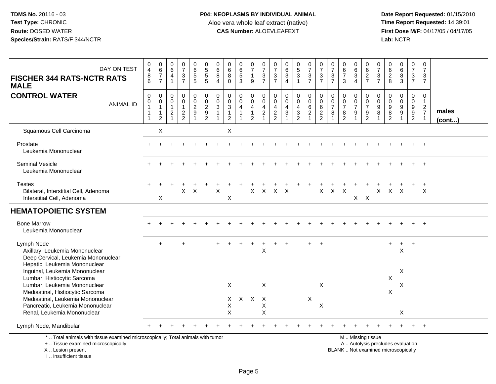**Date Report Requested:** 01/15/2010 **First Dose M/F:** 04/17/05 / 04/17/05<br>Lab: NCTR **Lab:** NCTR

| DAY ON TEST<br><b>FISCHER 344 RATS-NCTR RATS</b><br><b>MALE</b>                                                                            | 0<br>$\overline{\mathbf{4}}$<br>$\bf 8$<br>6                                              | 0<br>$\,6$<br>$\overline{7}$<br>$\overline{7}$      | 0<br>$6\overline{6}$<br>4<br>$\overline{1}$ | $\frac{0}{7}$<br>$\ensuremath{\mathsf{3}}$<br>$\overline{7}$ | 0<br>$6\phantom{a}$<br>$\sqrt{5}$<br>5          | 0<br>$\overline{5}$<br>5                                         | 0<br>$\,6\,$<br>8<br>$\overline{4}$                   | 0<br>$6\phantom{a}$<br>8<br>$\mathbf 0$                                | 0<br>$\overline{6}$<br>$\overline{5}$<br>3 | $\frac{0}{7}$<br>$\mathbf{1}$<br>9                                   | 0<br>$\overline{7}$<br>$\ensuremath{\mathsf{3}}$<br>$\overline{7}$ | 0<br>$\overline{7}$<br>$\frac{3}{7}$                          | 0<br>$6\phantom{a}$<br>$\ensuremath{\mathsf{3}}$<br>$\overline{4}$ | $\begin{array}{c} 0 \\ 5 \end{array}$<br>$\sqrt{3}$<br>$\mathbf{1}$ | 0<br>$\overline{7}$<br>$\mathbf 3$<br>$\overline{7}$                           | 0<br>$\overline{7}$<br>$\mathbf{3}$<br>$\overline{7}$                | 0<br>$\overline{7}$<br>$\ensuremath{\mathsf{3}}$<br>$\overline{7}$ | 0<br>$rac{6}{7}$<br>3                                                             | 0<br>$6\phantom{a}$<br>$\ensuremath{\mathsf{3}}$<br>$\overline{4}$ | 0<br>$rac{6}{2}$                                                                              | 0<br>$\overline{7}$<br>$\ensuremath{\mathsf{3}}$<br>$\overline{7}$ | $_{6}^{\rm 0}$<br>$\frac{2}{8}$                                          | $_{6}^{\rm 0}$<br>$\frac{8}{3}$                | 0<br>$\overline{7}$<br>$\mathbf{3}$<br>$\overline{7}$ | 0<br>$\overline{7}$<br>3<br>$\overline{7}$                            |                       |
|--------------------------------------------------------------------------------------------------------------------------------------------|-------------------------------------------------------------------------------------------|-----------------------------------------------------|---------------------------------------------|--------------------------------------------------------------|-------------------------------------------------|------------------------------------------------------------------|-------------------------------------------------------|------------------------------------------------------------------------|--------------------------------------------|----------------------------------------------------------------------|--------------------------------------------------------------------|---------------------------------------------------------------|--------------------------------------------------------------------|---------------------------------------------------------------------|--------------------------------------------------------------------------------|----------------------------------------------------------------------|--------------------------------------------------------------------|-----------------------------------------------------------------------------------|--------------------------------------------------------------------|-----------------------------------------------------------------------------------------------|--------------------------------------------------------------------|--------------------------------------------------------------------------|------------------------------------------------|-------------------------------------------------------|-----------------------------------------------------------------------|-----------------------|
| <b>CONTROL WATER</b><br><b>ANIMAL ID</b>                                                                                                   | $\pmb{0}$<br>$\begin{smallmatrix}0\\1\end{smallmatrix}$<br>$\overline{1}$<br>$\mathbf{1}$ | 0<br>$\pmb{0}$<br>$\mathbf{1}$<br>$\mathbf{1}$<br>2 | 0<br>0<br>$\overline{1}$<br>$\overline{c}$  | 0<br>0<br>$\mathbf{1}$<br>$\overline{2}$<br>$\overline{2}$   | 0<br>$\mathsf{O}\xspace$<br>$\overline{2}$<br>9 | $\pmb{0}$<br>$\frac{0}{2}$<br>$\boldsymbol{9}$<br>$\overline{2}$ | 0<br>$\mathbf 0$<br>$\mathbf{3}$<br>$\mathbf{1}$<br>1 | $\pmb{0}$<br>$\pmb{0}$<br>$\sqrt{3}$<br>$\mathbf{1}$<br>$\overline{c}$ | 0<br>$\mathsf{O}\xspace$<br>4<br>1         | 0<br>$\mathbf 0$<br>$\overline{4}$<br>$\mathbf{1}$<br>$\overline{2}$ | $\mathbf 0$<br>$\mathbf 0$<br>$\overline{4}$<br>$\sqrt{2}$         | $\mathbf 0$<br>$\mathbf 0$<br>$\overline{4}$<br>$\frac{2}{2}$ | $\mathbf 0$<br>$\mathbf 0$<br>4<br>$\ensuremath{\mathsf{3}}$       | 0<br>$\pmb{0}$<br>4<br>$\ensuremath{\mathsf{3}}$<br>$\overline{2}$  | $\mathbf 0$<br>$\mathbf 0$<br>$\overline{6}$<br>$\overline{2}$<br>$\mathbf{1}$ | 0<br>$\pmb{0}$<br>$\overline{6}$<br>$\overline{2}$<br>$\overline{2}$ | $\mathbf 0$<br>$\pmb{0}$<br>$\overline{7}$<br>8                    | $\mathbf 0$<br>$\begin{array}{c} 0 \\ 7 \end{array}$<br>$\bf 8$<br>$\overline{2}$ | 0<br>$\frac{0}{7}$<br>9<br>$\mathbf{1}$                            | $\mathbf 0$<br>$\boldsymbol{0}$<br>$\overline{7}$<br>$\boldsymbol{9}$<br>$\overline{2}$       | 0<br>0<br>9<br>8                                                   | 0<br>$\mathbf 0$<br>$\boldsymbol{9}$<br>$\overline{8}$<br>$\overline{2}$ | 0<br>$\pmb{0}$<br>$\frac{9}{9}$<br>$\mathbf 1$ | 0<br>$\mathbf 0$<br>$\frac{9}{9}$<br>$\overline{2}$   | $\boldsymbol{0}$<br>$\overline{1}$<br>$\frac{2}{7}$<br>$\overline{1}$ | males<br>$($ cont $)$ |
| Squamous Cell Carcinoma                                                                                                                    |                                                                                           | $\sf X$                                             |                                             |                                                              |                                                 |                                                                  |                                                       | $\mathsf{X}$                                                           |                                            |                                                                      |                                                                    |                                                               |                                                                    |                                                                     |                                                                                |                                                                      |                                                                    |                                                                                   |                                                                    |                                                                                               |                                                                    |                                                                          |                                                |                                                       |                                                                       |                       |
| Prostate<br>Leukemia Mononuclear                                                                                                           |                                                                                           |                                                     |                                             |                                                              |                                                 |                                                                  |                                                       |                                                                        |                                            |                                                                      |                                                                    |                                                               |                                                                    |                                                                     |                                                                                |                                                                      |                                                                    |                                                                                   |                                                                    |                                                                                               |                                                                    |                                                                          |                                                |                                                       |                                                                       |                       |
| <b>Seminal Vesicle</b><br>Leukemia Mononuclear                                                                                             |                                                                                           |                                                     |                                             |                                                              |                                                 |                                                                  |                                                       |                                                                        |                                            |                                                                      |                                                                    |                                                               |                                                                    |                                                                     |                                                                                |                                                                      |                                                                    |                                                                                   |                                                                    |                                                                                               |                                                                    |                                                                          |                                                |                                                       |                                                                       |                       |
| <b>Testes</b><br>Bilateral, Interstitial Cell, Adenoma<br>Interstitial Cell, Adenoma                                                       |                                                                                           | X                                                   |                                             | X                                                            | $\boldsymbol{\mathsf{X}}$                       |                                                                  | X                                                     | X                                                                      |                                            | X                                                                    | X                                                                  | X                                                             | $\times$                                                           |                                                                     |                                                                                | $\mathsf X$                                                          | X                                                                  | $\times$                                                                          | $X$ $X$                                                            |                                                                                               | X                                                                  | $\mathsf{X}$                                                             | $\times$                                       |                                                       | X                                                                     |                       |
| <b>HEMATOPOIETIC SYSTEM</b>                                                                                                                |                                                                                           |                                                     |                                             |                                                              |                                                 |                                                                  |                                                       |                                                                        |                                            |                                                                      |                                                                    |                                                               |                                                                    |                                                                     |                                                                                |                                                                      |                                                                    |                                                                                   |                                                                    |                                                                                               |                                                                    |                                                                          |                                                |                                                       |                                                                       |                       |
| <b>Bone Marrow</b><br>Leukemia Mononuclear                                                                                                 |                                                                                           |                                                     |                                             |                                                              |                                                 |                                                                  |                                                       |                                                                        |                                            |                                                                      |                                                                    |                                                               |                                                                    |                                                                     |                                                                                |                                                                      |                                                                    |                                                                                   |                                                                    |                                                                                               |                                                                    |                                                                          |                                                |                                                       |                                                                       |                       |
| Lymph Node<br>Axillary, Leukemia Mononuclear<br>Deep Cervical, Leukemia Mononuclear<br>Hepatic, Leukemia Mononuclear                       |                                                                                           | $\ddot{}$                                           |                                             |                                                              |                                                 |                                                                  |                                                       |                                                                        |                                            | $\div$                                                               | $\ddot{}$<br>$\boldsymbol{\mathsf{X}}$                             |                                                               |                                                                    |                                                                     |                                                                                |                                                                      |                                                                    |                                                                                   |                                                                    |                                                                                               |                                                                    | $\ddot{}$                                                                | $+$<br>X                                       | $+$                                                   |                                                                       |                       |
| Inguinal, Leukemia Mononuclear<br>Lumbar, Histiocytic Sarcoma<br>Lumbar, Leukemia Mononuclear                                              |                                                                                           |                                                     |                                             |                                                              |                                                 |                                                                  |                                                       | $\sf X$                                                                |                                            |                                                                      | $\boldsymbol{\mathsf{X}}$                                          |                                                               |                                                                    |                                                                     |                                                                                | X                                                                    |                                                                    |                                                                                   |                                                                    |                                                                                               |                                                                    | $\mathsf X$                                                              | X<br>X                                         |                                                       |                                                                       |                       |
| Mediastinal, Histiocytic Sarcoma                                                                                                           |                                                                                           |                                                     |                                             |                                                              |                                                 |                                                                  |                                                       |                                                                        |                                            |                                                                      |                                                                    |                                                               |                                                                    |                                                                     |                                                                                |                                                                      |                                                                    |                                                                                   |                                                                    |                                                                                               |                                                                    | X                                                                        |                                                |                                                       |                                                                       |                       |
| Mediastinal, Leukemia Mononuclear<br>Pancreatic, Leukemia Mononuclear<br>Renal, Leukemia Mononuclear                                       |                                                                                           |                                                     |                                             |                                                              |                                                 |                                                                  |                                                       | X<br>X<br>X                                                            | $\mathsf{X}$                               | $\mathsf{X}$                                                         | $\mathsf{X}$<br>X<br>X                                             |                                                               |                                                                    |                                                                     | $\sf X$                                                                        | X                                                                    |                                                                    |                                                                                   |                                                                    |                                                                                               |                                                                    |                                                                          | X                                              |                                                       |                                                                       |                       |
| Lymph Node, Mandibular                                                                                                                     |                                                                                           |                                                     |                                             |                                                              |                                                 |                                                                  |                                                       |                                                                        |                                            |                                                                      |                                                                    |                                                               |                                                                    |                                                                     |                                                                                |                                                                      |                                                                    |                                                                                   |                                                                    |                                                                                               |                                                                    |                                                                          |                                                |                                                       | $+$                                                                   |                       |
| *  Total animals with tissue examined microscopically; Total animals with tumor<br>+  Tissue examined microscopically<br>X  Lesion present |                                                                                           |                                                     |                                             |                                                              |                                                 |                                                                  |                                                       |                                                                        |                                            |                                                                      |                                                                    |                                                               |                                                                    |                                                                     |                                                                                |                                                                      |                                                                    |                                                                                   |                                                                    | M  Missing tissue<br>A  Autolysis precludes evaluation<br>BLANK  Not examined microscopically |                                                                    |                                                                          |                                                |                                                       |                                                                       |                       |

BLANK .. Not examined microscopically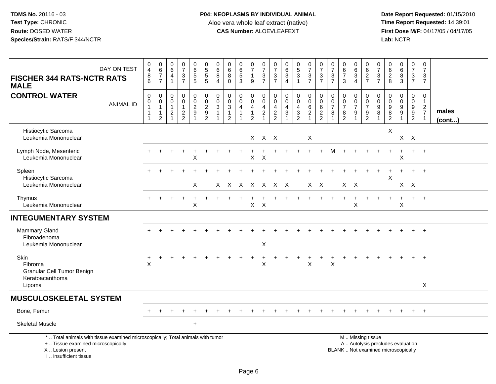# **P04: NEOPLASMS BY INDIVIDUAL ANIMAL**Aloe vera whole leaf extract (native)<br>**CAS Number:** ALOEVLEAFEXT

 **Date Report Requested:** 01/15/2010 **First Dose M/F:** 04/17/05 / 04/17/05<br>Lab: NCTR **Lab:** NCTR

| DAY ON TEST<br><b>FISCHER 344 RATS-NCTR RATS</b><br><b>MALE</b>                                                                                                     | $\pmb{0}$<br>$\overline{4}$<br>8<br>$6^{\circ}$                        | $_{6}^{\rm 0}$<br>$\overline{7}$<br>$\overline{7}$                          | $\pmb{0}$<br>$\,6\,$<br>$\overline{\mathbf{4}}$<br>$\overline{1}$        | $\frac{0}{7}$<br>$\frac{3}{7}$                              | $_{\rm 6}^{\rm 0}$<br>$\frac{5}{5}$ | $\begin{array}{c} 0 \\ 5 \end{array}$<br>$\frac{5}{5}$ | $\pmb{0}$<br>$6\phantom{1}6$<br>8<br>$\overline{4}$  | $\begin{array}{c} 0 \\ 6 \end{array}$<br>$\bf 8$<br>$\overline{0}$ | $\begin{array}{c} 0 \\ 6 \\ 5 \end{array}$<br>$\overline{3}$ | $\frac{0}{7}$<br>$\mathbf{1}$<br>9                                     | $\frac{0}{7}$<br>$\frac{3}{7}$                                             | $\frac{0}{7}$<br>$\frac{3}{7}$                                | $\begin{array}{c} 0 \\ 6 \end{array}$<br>$\ensuremath{\mathsf{3}}$<br>$\overline{4}$ | $\begin{array}{c} 0 \\ 5 \\ 3 \end{array}$<br>$\mathbf{1}$                           | $\frac{0}{7}$<br>$\frac{3}{7}$                                                  | $\frac{0}{7}$<br>$\frac{3}{7}$                           | $\pmb{0}$<br>$\boldsymbol{7}$<br>$\frac{3}{7}$                                | $_{6}^{\rm 0}$<br>$\overline{7}$<br>$\mathbf{3}$          | $_{6}^{\rm 0}$<br>$\mathbf{3}$<br>$\overline{4}$                            | 0<br>$\,6\,$<br>$\frac{2}{7}$                                                                 | $\pmb{0}$<br>$\overline{7}$<br>$\ensuremath{\mathsf{3}}$<br>$\overline{7}$ | $_{6}^{\rm 0}$<br>$\frac{2}{8}$                  | $_6^0$<br>$\frac{8}{3}$                                | $\mathbf 0$<br>$\boldsymbol{7}$<br>$\frac{3}{7}$                     | $\boldsymbol{0}$<br>$\overline{7}$<br>$\mathsf 3$<br>$\overline{7}$ |                 |
|---------------------------------------------------------------------------------------------------------------------------------------------------------------------|------------------------------------------------------------------------|-----------------------------------------------------------------------------|--------------------------------------------------------------------------|-------------------------------------------------------------|-------------------------------------|--------------------------------------------------------|------------------------------------------------------|--------------------------------------------------------------------|--------------------------------------------------------------|------------------------------------------------------------------------|----------------------------------------------------------------------------|---------------------------------------------------------------|--------------------------------------------------------------------------------------|--------------------------------------------------------------------------------------|---------------------------------------------------------------------------------|----------------------------------------------------------|-------------------------------------------------------------------------------|-----------------------------------------------------------|-----------------------------------------------------------------------------|-----------------------------------------------------------------------------------------------|----------------------------------------------------------------------------|--------------------------------------------------|--------------------------------------------------------|----------------------------------------------------------------------|---------------------------------------------------------------------|-----------------|
| <b>CONTROL WATER</b><br><b>ANIMAL ID</b>                                                                                                                            | $\pmb{0}$<br>$\pmb{0}$<br>$\mathbf{1}$<br>$\mathbf{1}$<br>$\mathbf{1}$ | $\mathbf 0$<br>$\mathbf 0$<br>$\mathbf{1}$<br>$\mathbf 1$<br>$\overline{2}$ | $\pmb{0}$<br>$\mathbf 0$<br>$\mathbf{1}$<br>$\sqrt{2}$<br>$\overline{1}$ | $\mathbf 0$<br>$\mathbf 0$<br>$\mathbf{1}$<br>$\frac{2}{2}$ | 00029<br>$\overline{1}$             | $\mathsf 0$<br>$\frac{0}{2}$<br>$\overline{2}$         | $\mathbf 0$<br>$\mathsf 0$<br>3<br>$\mathbf{1}$<br>1 | $\mathbf 0$<br>$\frac{0}{3}$<br>$\mathbf{1}$<br>$\overline{2}$     | $\mathbf 0$<br>$\mathbf{0}$<br>4<br>$\mathbf{1}$             | $_{\rm 0}^{\rm 0}$<br>$\overline{4}$<br>$\mathbf{1}$<br>$\overline{2}$ | $\mathbf 0$<br>$\mathbf 0$<br>$\overline{4}$<br>$\sqrt{2}$<br>$\mathbf{1}$ | $\mathbf 0$<br>$\mathbf 0$<br>$\overline{4}$<br>$\frac{2}{2}$ | $\mathsf 0$<br>$\mathbf 0$<br>$\overline{4}$<br>$\sqrt{3}$<br>$\overline{1}$         | $\mathbf 0$<br>$\mathsf{O}\xspace$<br>$\overline{4}$<br>$\sqrt{3}$<br>$\overline{c}$ | $\begin{smallmatrix}0\0\0\6\end{smallmatrix}$<br>$\overline{2}$<br>$\mathbf{1}$ | $\mathsf{O}\xspace$<br>$\mathbf 0$<br>6<br>$\frac{2}{2}$ | $\pmb{0}$<br>$\pmb{0}$<br>$\overline{7}$<br>$\bf8$<br>$\overline{\mathbf{1}}$ | $\mathsf 0$<br>$\frac{0}{7}$<br>$\bf 8$<br>$\overline{2}$ | $\mathbf 0$<br>$\frac{0}{7}$<br>$\boldsymbol{9}$<br>$\overline{\mathbf{A}}$ | $\pmb{0}$<br>$\frac{0}{7}$<br>$\frac{9}{2}$                                                   | 0<br>$\mathbf 0$<br>$\boldsymbol{9}$<br>8                                  | $\boldsymbol{0}$<br>$\mathbf 0$<br>$\frac{9}{8}$ | 0<br>$\mathbf 0$<br>$\boldsymbol{9}$<br>$\overline{9}$ | $\pmb{0}$<br>$\begin{array}{c} 0 \\ 9 \end{array}$<br>$\overline{2}$ | $\mathbf 0$<br>$\frac{1}{2}$<br>$\mathbf{1}$                        | males<br>(cont) |
| Histiocytic Sarcoma<br>Leukemia Mononuclear                                                                                                                         |                                                                        |                                                                             |                                                                          |                                                             |                                     |                                                        |                                                      |                                                                    |                                                              |                                                                        | X X X                                                                      |                                                               |                                                                                      |                                                                                      | X                                                                               |                                                          |                                                                               |                                                           |                                                                             |                                                                                               |                                                                            | $\pmb{\times}$                                   |                                                        | $X$ $X$                                                              |                                                                     |                 |
| Lymph Node, Mesenteric<br>Leukemia Mononuclear                                                                                                                      |                                                                        |                                                                             |                                                                          |                                                             | $\ddot{}$<br>X                      |                                                        |                                                      |                                                                    |                                                              | X                                                                      | $\boldsymbol{\mathsf{X}}$                                                  |                                                               |                                                                                      |                                                                                      |                                                                                 |                                                          |                                                                               |                                                           |                                                                             |                                                                                               |                                                                            |                                                  | $\ddot{}$<br>X                                         | $+$                                                                  | $+$                                                                 |                 |
| Spleen<br>Histiocytic Sarcoma<br>Leukemia Mononuclear                                                                                                               |                                                                        |                                                                             |                                                                          |                                                             | X                                   |                                                        |                                                      | X X X X X X X                                                      |                                                              |                                                                        |                                                                            |                                                               |                                                                                      |                                                                                      |                                                                                 | X X                                                      |                                                                               | $X$ $X$                                                   |                                                                             |                                                                                               |                                                                            | X                                                |                                                        | $X$ $X$                                                              | $+$                                                                 |                 |
| Thymus<br>Leukemia Mononuclear                                                                                                                                      |                                                                        |                                                                             |                                                                          |                                                             | X                                   |                                                        |                                                      |                                                                    |                                                              | X                                                                      | $\mathsf{X}$                                                               |                                                               |                                                                                      |                                                                                      |                                                                                 |                                                          |                                                                               |                                                           | $\pmb{\times}$                                                              |                                                                                               |                                                                            |                                                  | X                                                      | $+$                                                                  | $+$                                                                 |                 |
| <b>INTEGUMENTARY SYSTEM</b>                                                                                                                                         |                                                                        |                                                                             |                                                                          |                                                             |                                     |                                                        |                                                      |                                                                    |                                                              |                                                                        |                                                                            |                                                               |                                                                                      |                                                                                      |                                                                                 |                                                          |                                                                               |                                                           |                                                                             |                                                                                               |                                                                            |                                                  |                                                        |                                                                      |                                                                     |                 |
| Mammary Gland<br>Fibroadenoma<br>Leukemia Mononuclear                                                                                                               |                                                                        |                                                                             |                                                                          |                                                             |                                     |                                                        |                                                      |                                                                    |                                                              |                                                                        | X                                                                          |                                                               |                                                                                      |                                                                                      |                                                                                 |                                                          |                                                                               |                                                           |                                                                             |                                                                                               |                                                                            |                                                  |                                                        |                                                                      | $^{+}$                                                              |                 |
| Skin<br>Fibroma<br><b>Granular Cell Tumor Benign</b>                                                                                                                | X                                                                      | ÷                                                                           |                                                                          |                                                             |                                     |                                                        |                                                      |                                                                    |                                                              |                                                                        | ÷<br>$\mathsf X$                                                           |                                                               |                                                                                      |                                                                                      | X                                                                               |                                                          | X                                                                             |                                                           |                                                                             |                                                                                               |                                                                            |                                                  |                                                        |                                                                      | $+$                                                                 |                 |
| Keratoacanthoma<br>Lipoma                                                                                                                                           |                                                                        |                                                                             |                                                                          |                                                             |                                     |                                                        |                                                      |                                                                    |                                                              |                                                                        |                                                                            |                                                               |                                                                                      |                                                                                      |                                                                                 |                                                          |                                                                               |                                                           |                                                                             |                                                                                               |                                                                            |                                                  |                                                        |                                                                      | $\sf X$                                                             |                 |
| <b>MUSCULOSKELETAL SYSTEM</b>                                                                                                                                       |                                                                        |                                                                             |                                                                          |                                                             |                                     |                                                        |                                                      |                                                                    |                                                              |                                                                        |                                                                            |                                                               |                                                                                      |                                                                                      |                                                                                 |                                                          |                                                                               |                                                           |                                                                             |                                                                                               |                                                                            |                                                  |                                                        |                                                                      |                                                                     |                 |
| Bone, Femur                                                                                                                                                         |                                                                        |                                                                             |                                                                          |                                                             |                                     |                                                        |                                                      |                                                                    |                                                              |                                                                        |                                                                            |                                                               |                                                                                      |                                                                                      |                                                                                 |                                                          |                                                                               |                                                           |                                                                             |                                                                                               |                                                                            |                                                  |                                                        | $+$                                                                  | $+$                                                                 |                 |
| <b>Skeletal Muscle</b>                                                                                                                                              |                                                                        |                                                                             |                                                                          |                                                             | $\ddot{}$                           |                                                        |                                                      |                                                                    |                                                              |                                                                        |                                                                            |                                                               |                                                                                      |                                                                                      |                                                                                 |                                                          |                                                                               |                                                           |                                                                             |                                                                                               |                                                                            |                                                  |                                                        |                                                                      |                                                                     |                 |
| *  Total animals with tissue examined microscopically; Total animals with tumor<br>+  Tissue examined microscopically<br>X  Lesion present<br>I Insufficient tissue |                                                                        |                                                                             |                                                                          |                                                             |                                     |                                                        |                                                      |                                                                    |                                                              |                                                                        |                                                                            |                                                               |                                                                                      |                                                                                      |                                                                                 |                                                          |                                                                               |                                                           |                                                                             | M  Missing tissue<br>A  Autolysis precludes evaluation<br>BLANK  Not examined microscopically |                                                                            |                                                  |                                                        |                                                                      |                                                                     |                 |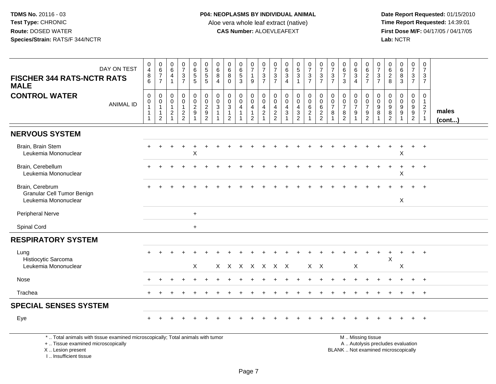**Date Report Requested:** 01/15/2010 **First Dose M/F:** 04/17/05 / 04/17/05<br>Lab: NCTR **Lab:** NCTR

| DAY ON TEST<br><b>FISCHER 344 RATS-NCTR RATS</b><br><b>MALE</b>                                                       | $\begin{smallmatrix}0\0\4\end{smallmatrix}$<br>8<br>$\overline{6}$                                 | $\begin{array}{c} 0 \\ 6 \end{array}$<br>$\overline{7}$<br>$\overline{7}$  | $\begin{array}{c} 0 \\ 6 \end{array}$<br>$\overline{4}$<br>$\overline{1}$      | $\frac{0}{7}$<br>$\mathbf{3}$<br>$\overline{7}$             | $\begin{array}{c} 0 \\ 6 \end{array}$<br>$\overline{5}$<br>$\overline{5}$ | 0<br>5<br>5<br>5                             | $\begin{array}{c} 0 \\ 6 \end{array}$<br>8<br>$\boldsymbol{\Lambda}$ | $\begin{array}{c} 0 \\ 6 \end{array}$<br>8<br>$\Omega$ | $\begin{matrix} 0 \\ 6 \\ 5 \end{matrix}$<br>$\overline{3}$ | $\frac{0}{7}$<br>$\mathbf{1}$<br>9                                             | $\frac{0}{7}$<br>$\mathbf{3}$<br>$\overline{7}$                                | $\frac{0}{7}$<br>$\frac{3}{7}$                                | $\begin{matrix} 0 \\ 6 \\ 3 \end{matrix}$<br>$\overline{4}$ | $\begin{array}{c} 0 \\ 5 \\ 3 \end{array}$<br>$\overline{1}$          | $\begin{array}{c} 0 \\ 7 \end{array}$<br>$\sqrt{3}$<br>$\overline{7}$ | $\frac{0}{7}$<br>$\ensuremath{\mathsf{3}}$<br>$\overline{7}$    | $\frac{0}{7}$<br>$rac{3}{7}$                                                           | $\begin{array}{c} 0 \\ 6 \\ 7 \end{array}$<br>3 | $\begin{matrix} 0 \\ 6 \\ 3 \end{matrix}$<br>$\overline{4}$                      | 0627                                          | $\frac{0}{7}$<br>$rac{3}{7}$                | 0628                                                            | $\begin{matrix}0\\6\\8\end{matrix}$<br>$\overline{3}$ | $\begin{array}{c} 0 \\ 7 \end{array}$<br>$\mathbf{3}$<br>$\overline{7}$ | 0<br>$\overline{7}$<br>3<br>$\overline{7}$            |                 |
|-----------------------------------------------------------------------------------------------------------------------|----------------------------------------------------------------------------------------------------|----------------------------------------------------------------------------|--------------------------------------------------------------------------------|-------------------------------------------------------------|---------------------------------------------------------------------------|----------------------------------------------|----------------------------------------------------------------------|--------------------------------------------------------|-------------------------------------------------------------|--------------------------------------------------------------------------------|--------------------------------------------------------------------------------|---------------------------------------------------------------|-------------------------------------------------------------|-----------------------------------------------------------------------|-----------------------------------------------------------------------|-----------------------------------------------------------------|----------------------------------------------------------------------------------------|-------------------------------------------------|----------------------------------------------------------------------------------|-----------------------------------------------|---------------------------------------------|-----------------------------------------------------------------|-------------------------------------------------------|-------------------------------------------------------------------------|-------------------------------------------------------|-----------------|
| <b>CONTROL WATER</b><br><b>ANIMAL ID</b>                                                                              | $\boldsymbol{0}$<br>$\begin{smallmatrix}0\\1\end{smallmatrix}$<br>$\overline{1}$<br>$\overline{1}$ | $\mathsf 0$<br>$\pmb{0}$<br>$\mathbf{1}$<br>$\mathbf{1}$<br>$\overline{c}$ | $\mathbf 0$<br>$\mathbf 0$<br>$\mathbf{1}$<br>$\overline{c}$<br>$\overline{1}$ | $\mathbf 0$<br>$\mathbf 0$<br>$\mathbf{1}$<br>$\frac{2}{2}$ | $\pmb{0}$<br>$\frac{0}{2}$                                                | $\pmb{0}$<br>$\frac{0}{2}$<br>$\overline{2}$ | $\mathbf 0$<br>$\mathbf 0$<br>$\mathbf{3}$                           | $\mathbf 0$<br>$_{3}^{\rm 0}$<br>$\mathbf{1}$<br>2     | $\pmb{0}$<br>$\pmb{0}$<br>$\overline{4}$<br>$\mathbf{1}$    | $\mathsf 0$<br>$\pmb{0}$<br>$\overline{4}$<br>$\overline{1}$<br>$\overline{2}$ | $\mathsf{O}\xspace$<br>$\mathsf{O}\xspace$<br>$\overline{4}$<br>$\overline{2}$ | $\mathbf 0$<br>$\mathbf 0$<br>$\overline{4}$<br>$\frac{2}{2}$ | $\pmb{0}$<br>$\pmb{0}$<br>$\overline{4}$<br>$\mathbf{3}$    | $\mathsf 0$<br>$\mathsf{O}\xspace$<br>$\overline{4}$<br>$\frac{3}{2}$ | $\pmb{0}$<br>$\mathbf 0$<br>6<br>$\boldsymbol{2}$<br>$\overline{1}$   | $\mathbf 0$<br>$\mathbf 0$<br>6<br>$\sqrt{2}$<br>$\overline{2}$ | $\mathbf 0$<br>$\begin{smallmatrix} 0\\7 \end{smallmatrix}$<br>$\,8\,$<br>$\mathbf{1}$ | 0<br>$\frac{0}{7}$<br>8<br>$\overline{2}$       | $\begin{array}{c} 0 \\ 0 \\ 7 \end{array}$<br>$\boldsymbol{9}$<br>$\overline{1}$ | $\mathbf 0$<br>$\frac{0}{7}$<br>$\frac{9}{2}$ | $\mathbf 0$<br>$\mathbf 0$<br>$\frac{9}{8}$ | $\mathbf 0$<br>0<br>$\overline{9}$<br>$\,8\,$<br>$\overline{2}$ | $\pmb{0}$<br>$\mathbf 0$<br>$\frac{9}{9}$             | $\mathsf 0$<br>$\begin{array}{c} 0 \\ 9 \\ 2 \end{array}$               | 0<br>$\mathbf{1}$<br>$\overline{2}$<br>$\overline{7}$ | males<br>(cont) |
| <b>NERVOUS SYSTEM</b>                                                                                                 |                                                                                                    |                                                                            |                                                                                |                                                             |                                                                           |                                              |                                                                      |                                                        |                                                             |                                                                                |                                                                                |                                                               |                                                             |                                                                       |                                                                       |                                                                 |                                                                                        |                                                 |                                                                                  |                                               |                                             |                                                                 |                                                       |                                                                         |                                                       |                 |
| Brain, Brain Stem<br>Leukemia Mononuclear                                                                             |                                                                                                    |                                                                            |                                                                                |                                                             | $\sf X$                                                                   |                                              |                                                                      |                                                        |                                                             |                                                                                |                                                                                |                                                               |                                                             |                                                                       |                                                                       |                                                                 |                                                                                        |                                                 |                                                                                  |                                               |                                             |                                                                 | X                                                     |                                                                         | $+$                                                   |                 |
| Brain, Cerebellum<br>Leukemia Mononuclear                                                                             |                                                                                                    |                                                                            |                                                                                |                                                             |                                                                           |                                              |                                                                      |                                                        |                                                             |                                                                                |                                                                                |                                                               |                                                             |                                                                       |                                                                       |                                                                 |                                                                                        |                                                 |                                                                                  |                                               |                                             |                                                                 | X                                                     |                                                                         | $\ddot{}$                                             |                 |
| Brain, Cerebrum<br><b>Granular Cell Tumor Benign</b><br>Leukemia Mononuclear                                          |                                                                                                    |                                                                            |                                                                                |                                                             |                                                                           |                                              |                                                                      |                                                        |                                                             |                                                                                |                                                                                |                                                               |                                                             |                                                                       |                                                                       |                                                                 |                                                                                        |                                                 |                                                                                  |                                               |                                             |                                                                 | $\sf X$                                               |                                                                         |                                                       |                 |
| <b>Peripheral Nerve</b>                                                                                               |                                                                                                    |                                                                            |                                                                                |                                                             | $+$                                                                       |                                              |                                                                      |                                                        |                                                             |                                                                                |                                                                                |                                                               |                                                             |                                                                       |                                                                       |                                                                 |                                                                                        |                                                 |                                                                                  |                                               |                                             |                                                                 |                                                       |                                                                         |                                                       |                 |
| Spinal Cord                                                                                                           |                                                                                                    |                                                                            |                                                                                |                                                             | $+$                                                                       |                                              |                                                                      |                                                        |                                                             |                                                                                |                                                                                |                                                               |                                                             |                                                                       |                                                                       |                                                                 |                                                                                        |                                                 |                                                                                  |                                               |                                             |                                                                 |                                                       |                                                                         |                                                       |                 |
| <b>RESPIRATORY SYSTEM</b>                                                                                             |                                                                                                    |                                                                            |                                                                                |                                                             |                                                                           |                                              |                                                                      |                                                        |                                                             |                                                                                |                                                                                |                                                               |                                                             |                                                                       |                                                                       |                                                                 |                                                                                        |                                                 |                                                                                  |                                               |                                             |                                                                 |                                                       |                                                                         |                                                       |                 |
| Lung<br>Histiocytic Sarcoma<br>Leukemia Mononuclear                                                                   |                                                                                                    |                                                                            |                                                                                |                                                             | X                                                                         |                                              |                                                                      | X X X X X X X                                          |                                                             |                                                                                |                                                                                |                                                               |                                                             |                                                                       | $X$ $X$                                                               |                                                                 |                                                                                        |                                                 | X                                                                                |                                               |                                             | $\times$                                                        | X                                                     |                                                                         |                                                       |                 |
| Nose                                                                                                                  |                                                                                                    |                                                                            |                                                                                |                                                             |                                                                           |                                              |                                                                      |                                                        |                                                             |                                                                                |                                                                                |                                                               |                                                             |                                                                       |                                                                       |                                                                 |                                                                                        |                                                 |                                                                                  |                                               |                                             |                                                                 |                                                       |                                                                         |                                                       |                 |
| Trachea                                                                                                               |                                                                                                    |                                                                            |                                                                                |                                                             |                                                                           |                                              |                                                                      |                                                        |                                                             |                                                                                |                                                                                |                                                               |                                                             |                                                                       |                                                                       |                                                                 |                                                                                        |                                                 |                                                                                  |                                               |                                             |                                                                 |                                                       |                                                                         | $+$                                                   |                 |
| <b>SPECIAL SENSES SYSTEM</b>                                                                                          |                                                                                                    |                                                                            |                                                                                |                                                             |                                                                           |                                              |                                                                      |                                                        |                                                             |                                                                                |                                                                                |                                                               |                                                             |                                                                       |                                                                       |                                                                 |                                                                                        |                                                 |                                                                                  |                                               |                                             |                                                                 |                                                       |                                                                         |                                                       |                 |
| Eye                                                                                                                   |                                                                                                    |                                                                            |                                                                                |                                                             |                                                                           |                                              |                                                                      |                                                        |                                                             |                                                                                |                                                                                |                                                               |                                                             |                                                                       |                                                                       |                                                                 |                                                                                        |                                                 |                                                                                  |                                               |                                             |                                                                 |                                                       |                                                                         | $+$                                                   |                 |
| *  Total animals with tissue examined microscopically; Total animals with tumor<br>+  Tissue examined microscopically |                                                                                                    |                                                                            |                                                                                |                                                             |                                                                           |                                              |                                                                      |                                                        |                                                             |                                                                                |                                                                                |                                                               |                                                             |                                                                       |                                                                       |                                                                 |                                                                                        |                                                 |                                                                                  | M  Missing tissue                             |                                             |                                                                 | A  Autolysis precludes evaluation                     |                                                                         |                                                       |                 |

X .. Lesion present

I .. Insufficient tissue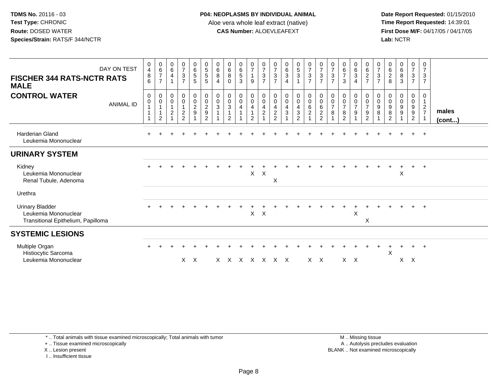**Date Report Requested:** 01/15/2010 **First Dose M/F:** 04/17/05 / 04/17/05<br>Lab: NCTR **Lab:** NCTR

| DAY ON TEST<br><b>FISCHER 344 RATS-NCTR RATS</b><br><b>MALE</b>                      | $\mathbf 0$<br>$\overline{4}$<br>8<br>6 | $\begin{array}{c} 0 \\ 6 \end{array}$<br>$\overline{7}$<br>$\overline{7}$ | 0<br>$\,6\,$<br>$\overline{4}$<br>$\overline{1}$            | 0<br>$\overline{7}$<br>$\mathbf{3}$<br>$\overline{7}$                             | 0<br>6<br>$5\,$<br>5                                                              | $\begin{array}{c} 0 \\ 5 \end{array}$<br>$\sqrt{5}$<br>$\sqrt{5}$                                    | $\bf{0}$<br>$\,6\,$<br>$\bf 8$<br>$\overline{4}$ | $\boldsymbol{0}$<br>$\,6\,$<br>$\,8\,$<br>$\mathbf{0}$        | 0<br>$\,6\,$<br>5<br>3                       | $\frac{0}{7}$<br>$\mathbf{1}$<br>9                                                                        | $\frac{0}{7}$<br>$\mathbf{3}$<br>$\overline{7}$        | 0<br>$\boldsymbol{7}$<br>$\mathbf{3}$<br>$\overline{7}$     | $\begin{matrix} 0 \\ 6 \\ 3 \end{matrix}$<br>$\overline{4}$ | $\begin{array}{c} 0 \\ 5 \\ 3 \end{array}$<br>$\mathbf{1}$                 | $\frac{0}{7}$<br>$\mathbf{3}$<br>$\overline{7}$   | $\frac{0}{7}$<br>$\mathbf{3}$<br>$\overline{7}$                                          | $\boldsymbol{0}$<br>$\boldsymbol{7}$<br>$\sqrt{3}$<br>$\overline{7}$ | $\begin{array}{c} 0 \\ 6 \\ 7 \end{array}$<br>3                                 | $\begin{matrix} 0 \\ 6 \\ 3 \end{matrix}$<br>$\overline{4}$ | $\overline{0}$<br>$\,6$<br>$\overline{c}$<br>$\overline{7}$      | 0<br>$\overline{7}$<br>$\sqrt{3}$<br>$\overline{7}$ | 0<br>$^6_2$<br>8                                       | $\begin{matrix}0\6\8\end{matrix}$<br>$\mathbf{3}$      | $\frac{0}{7}$<br>$\mathbf{3}$<br>$\overline{7}$                       | 0<br>$\overline{7}$<br>$\mathbf{3}$<br>$\overline{7}$ |                       |
|--------------------------------------------------------------------------------------|-----------------------------------------|---------------------------------------------------------------------------|-------------------------------------------------------------|-----------------------------------------------------------------------------------|-----------------------------------------------------------------------------------|------------------------------------------------------------------------------------------------------|--------------------------------------------------|---------------------------------------------------------------|----------------------------------------------|-----------------------------------------------------------------------------------------------------------|--------------------------------------------------------|-------------------------------------------------------------|-------------------------------------------------------------|----------------------------------------------------------------------------|---------------------------------------------------|------------------------------------------------------------------------------------------|----------------------------------------------------------------------|---------------------------------------------------------------------------------|-------------------------------------------------------------|------------------------------------------------------------------|-----------------------------------------------------|--------------------------------------------------------|--------------------------------------------------------|-----------------------------------------------------------------------|-------------------------------------------------------|-----------------------|
| <b>CONTROL WATER</b><br><b>ANIMAL ID</b>                                             | $\mathbf 0$<br>$\pmb{0}$                | 0<br>$\pmb{0}$<br>$\overline{1}$<br>$\mathbf{1}$<br>$\overline{2}$        | $\boldsymbol{0}$<br>$\pmb{0}$<br>$\mathbf{1}$<br>$\sqrt{2}$ | $\overline{0}$<br>$\mathbf 0$<br>$\mathbf{1}$<br>$\overline{c}$<br>$\mathfrak{p}$ | $\begin{smallmatrix}0\0\0\end{smallmatrix}$<br>$\overline{c}$<br>$\boldsymbol{9}$ | $\begin{smallmatrix} 0\\0 \end{smallmatrix}$<br>$\overline{c}$<br>$\boldsymbol{9}$<br>$\overline{2}$ | $\begin{smallmatrix}0\\0\\3\end{smallmatrix}$    | $\pmb{0}$<br>$_{3}^{\rm 0}$<br>$\mathbf{1}$<br>$\overline{2}$ | $\mathbf 0$<br>$\mathbf 0$<br>$\overline{4}$ | $\begin{smallmatrix} 0\\0 \end{smallmatrix}$<br>$\overline{\mathbf{4}}$<br>$\mathbf{1}$<br>$\overline{2}$ | $_{\rm 0}^{\rm 0}$<br>$\overline{4}$<br>$\overline{c}$ | 0<br>$\mathbf 0$<br>$\overline{4}$<br>$\boldsymbol{2}$<br>2 | $_{\rm 0}^{\rm 0}$<br>$\overline{4}$<br>$\sqrt{3}$          | $\pmb{0}$<br>$\mathbf 0$<br>$\overline{4}$<br>$\sqrt{3}$<br>$\overline{2}$ | $\mathbf 0$<br>$\mathbf 0$<br>6<br>$\overline{c}$ | $\begin{smallmatrix}0\0\0\end{smallmatrix}$<br>$\,6$<br>$\overline{c}$<br>$\overline{2}$ | 0<br>$\pmb{0}$<br>$\overline{7}$<br>8                                | $\pmb{0}$<br>$\begin{array}{c} 0 \\ 7 \end{array}$<br>$\,8\,$<br>$\overline{2}$ | $\mathbf 0$<br>$\pmb{0}$<br>$\overline{7}$<br>$9\,$         | $\pmb{0}$<br>$\frac{0}{7}$<br>$\boldsymbol{9}$<br>$\overline{2}$ | 0<br>$\mathbf 0$<br>9<br>8                          | $\mathbf 0$<br>$\mathbf 0$<br>9<br>8<br>$\overline{2}$ | 0<br>$\pmb{0}$<br>$\boldsymbol{9}$<br>$\boldsymbol{9}$ | $\mathbf 0$<br>$\mathbf 0$<br>9<br>$\boldsymbol{9}$<br>$\overline{2}$ | 0<br>$\mathbf{1}$<br>$\overline{2}$<br>$\overline{7}$ | males<br>$($ cont $)$ |
| <b>Harderian Gland</b><br>Leukemia Mononuclear                                       | $+$                                     |                                                                           |                                                             |                                                                                   |                                                                                   |                                                                                                      |                                                  |                                                               |                                              |                                                                                                           |                                                        |                                                             |                                                             |                                                                            |                                                   |                                                                                          |                                                                      |                                                                                 |                                                             |                                                                  |                                                     |                                                        |                                                        | $+$                                                                   | $+$                                                   |                       |
| <b>URINARY SYSTEM</b>                                                                |                                         |                                                                           |                                                             |                                                                                   |                                                                                   |                                                                                                      |                                                  |                                                               |                                              |                                                                                                           |                                                        |                                                             |                                                             |                                                                            |                                                   |                                                                                          |                                                                      |                                                                                 |                                                             |                                                                  |                                                     |                                                        |                                                        |                                                                       |                                                       |                       |
| Kidney<br>Leukemia Mononuclear<br>Renal Tubule, Adenoma                              |                                         |                                                                           |                                                             |                                                                                   |                                                                                   |                                                                                                      |                                                  |                                                               |                                              | X                                                                                                         | $\times$                                               | X                                                           |                                                             |                                                                            |                                                   |                                                                                          |                                                                      |                                                                                 |                                                             |                                                                  |                                                     |                                                        | X                                                      | $\pm$                                                                 | $+$                                                   |                       |
| Urethra                                                                              |                                         |                                                                           |                                                             |                                                                                   |                                                                                   |                                                                                                      |                                                  |                                                               |                                              |                                                                                                           |                                                        |                                                             |                                                             |                                                                            |                                                   |                                                                                          |                                                                      |                                                                                 |                                                             |                                                                  |                                                     |                                                        |                                                        |                                                                       |                                                       |                       |
| <b>Urinary Bladder</b><br>Leukemia Mononuclear<br>Transitional Epithelium, Papilloma |                                         |                                                                           |                                                             |                                                                                   |                                                                                   |                                                                                                      |                                                  |                                                               |                                              | X                                                                                                         | $\mathsf{X}$                                           |                                                             |                                                             |                                                                            |                                                   |                                                                                          |                                                                      |                                                                                 | $\times$                                                    | X                                                                |                                                     |                                                        |                                                        |                                                                       | $+$                                                   |                       |
| <b>SYSTEMIC LESIONS</b>                                                              |                                         |                                                                           |                                                             |                                                                                   |                                                                                   |                                                                                                      |                                                  |                                                               |                                              |                                                                                                           |                                                        |                                                             |                                                             |                                                                            |                                                   |                                                                                          |                                                                      |                                                                                 |                                                             |                                                                  |                                                     |                                                        |                                                        |                                                                       |                                                       |                       |
| Multiple Organ<br>Histiocytic Sarcoma<br>Leukemia Mononuclear                        |                                         |                                                                           |                                                             |                                                                                   | $X$ $X$                                                                           |                                                                                                      |                                                  | x x x x x                                                     |                                              |                                                                                                           |                                                        | $X \times$                                                  |                                                             |                                                                            | $X \times$                                        |                                                                                          |                                                                      | $X$ $X$                                                                         |                                                             |                                                                  |                                                     | X                                                      | $\div$<br>$\times$                                     | $\pm$<br>$\mathsf{X}$                                                 | $\overline{+}$                                        |                       |

\* .. Total animals with tissue examined microscopically; Total animals with tumor

+ .. Tissue examined microscopically

X .. Lesion present

I .. Insufficient tissue

 M .. Missing tissuey the contract of the contract of the contract of the contract of the contract of the contract of the contract of  $A$ . Autolysis precludes evaluation Lesion present BLANK .. Not examined microscopically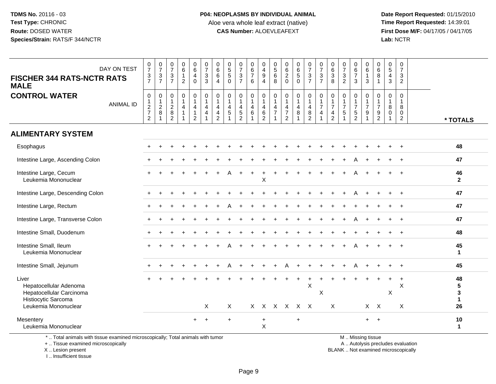**Date Report Requested:** 01/15/2010 **First Dose M/F:** 04/17/05 / 04/17/05<br>Lab: NCTR **Lab:** NCTR

| DAY ON TEST<br><b>FISCHER 344 RATS-NCTR RATS</b><br><b>MALE</b>                                            | $\frac{0}{7}$<br>$\mathbf{3}$<br>$\overline{7}$ | $\frac{0}{7}$<br>$\frac{3}{7}$     | $\begin{array}{c} 0 \\ 7 \end{array}$<br>$\ensuremath{\mathsf{3}}$<br>$\overline{7}$            | $\begin{array}{c} 0 \\ 6 \end{array}$<br>$\mathbf{1}$<br>$\overline{2}$ | $\begin{array}{c} 0 \\ 6 \end{array}$<br>$\overline{4}$<br>$\mathbf 0$ | $\begin{array}{c} 0 \\ 7 \end{array}$<br>$\sqrt{3}$<br>3                        | 0<br>$\,6$<br>6<br>$\overline{4}$                          | $\begin{array}{c} 0 \\ 5 \end{array}$<br>$\sqrt{5}$<br>$\Omega$     | $\frac{0}{7}$<br>$\ensuremath{\mathsf{3}}$<br>$\overline{7}$ | $\mathbf 0$<br>$\frac{6}{7}$<br>6                        | 0<br>$\begin{array}{c} 4 \\ 9 \end{array}$<br>$\overline{4}$ | 0<br>$\mathbf 5$<br>$\,6$<br>8                                       |                                                                                   | $\begin{array}{c} 0 \\ 6 \\ 5 \end{array}$<br>$\mathbf 0$ | $\frac{0}{7}$<br>$\mathbf{3}$<br>$\overline{7}$                            | $\frac{0}{7}$<br>$\ensuremath{\mathsf{3}}$<br>$\overline{7}$ | $\pmb{0}$<br>$\,6\,$<br>$\sqrt{3}$<br>8                                 | $\frac{0}{7}$<br>$\ensuremath{\mathsf{3}}$<br>$\overline{c}$      | 0<br>$\frac{6}{7}$<br>3                              | $\begin{array}{c} 0 \\ 6 \end{array}$<br>$\mathbf{1}$<br>3 | $\begin{array}{c} 0 \\ 6 \end{array}$<br>$\,8\,$<br>$\mathbf{1}$ | $\begin{array}{c} 0 \\ 5 \end{array}$<br>$\overline{4}$<br>3 | $\mathbf 0$<br>$\overline{7}$<br>$\mathbf{3}$<br>$\overline{2}$ |                                    |
|------------------------------------------------------------------------------------------------------------|-------------------------------------------------|------------------------------------|-------------------------------------------------------------------------------------------------|-------------------------------------------------------------------------|------------------------------------------------------------------------|---------------------------------------------------------------------------------|------------------------------------------------------------|---------------------------------------------------------------------|--------------------------------------------------------------|----------------------------------------------------------|--------------------------------------------------------------|----------------------------------------------------------------------|-----------------------------------------------------------------------------------|-----------------------------------------------------------|----------------------------------------------------------------------------|--------------------------------------------------------------|-------------------------------------------------------------------------|-------------------------------------------------------------------|------------------------------------------------------|------------------------------------------------------------|------------------------------------------------------------------|--------------------------------------------------------------|-----------------------------------------------------------------|------------------------------------|
| <b>CONTROL WATER</b><br><b>ANIMAL ID</b>                                                                   | $\mathbf 0$<br>$\frac{1}{2}$<br>$\overline{2}$  | $\mathsf{O}$<br>$\frac{1}{2}$<br>8 | $\pmb{0}$<br>$\overline{1}$<br>$\overline{2}$<br>$\begin{smallmatrix} 8 \\ 2 \end{smallmatrix}$ | $\mathsf 0$<br>$\mathbf{1}$<br>$\overline{4}$<br>$\mathbf{1}$           | $\pmb{0}$<br>$\mathbf{1}$<br>4<br>$\mathbf{1}$<br>$\overline{c}$       | $\pmb{0}$<br>$\mathbf{1}$<br>$\overline{4}$<br>$\overline{4}$<br>$\overline{1}$ | 0<br>$\mathbf{1}$<br>$\overline{4}$<br>4<br>$\overline{c}$ | 0<br>$\mathbf{1}$<br>$\overline{4}$<br>$\sqrt{5}$<br>$\overline{1}$ | 0<br>4<br>$\frac{5}{2}$                                      | $\mathbf 0$<br>$\mathbf{1}$<br>$\overline{a}$<br>$\,6\,$ | 0<br>$\mathbf{1}$<br>4<br>$\,6$<br>$\overline{2}$            | 0<br>$\mathbf{1}$<br>$\overline{4}$<br>$\overline{7}$<br>$\mathbf 1$ | $\mathbf 0$<br>$\mathbf{1}$<br>$\overline{4}$<br>$\overline{7}$<br>$\overline{2}$ | $\mathbf 0$<br>$\mathbf{1}$<br>4<br>8                     | 0<br>1<br>$\overline{4}$<br>$\begin{smallmatrix} 8 \\ 2 \end{smallmatrix}$ | $\pmb{0}$<br>$\frac{1}{7}$<br>4<br>$\mathbf{1}$              | 0<br>$\mathbf{1}$<br>$\overline{7}$<br>$\overline{4}$<br>$\overline{2}$ | $\mathbf 0$<br>$\mathbf 1$<br>$\overline{7}$<br>5<br>$\mathbf{1}$ | 0<br>$\mathbf{1}$<br>$\overline{7}$<br>$\frac{5}{2}$ | 0<br>$\frac{1}{7}$<br>$\boldsymbol{9}$<br>$\mathbf{1}$     | 0<br>$\mathbf{1}$<br>$\overline{7}$<br>$\frac{9}{2}$             | 0<br>$\mathbf{1}$<br>8<br>0<br>$\overline{1}$                | $\mathbf 0$<br>$\mathbf{1}$<br>8<br>0<br>$\overline{2}$         | * TOTALS                           |
| <b>ALIMENTARY SYSTEM</b>                                                                                   |                                                 |                                    |                                                                                                 |                                                                         |                                                                        |                                                                                 |                                                            |                                                                     |                                                              |                                                          |                                                              |                                                                      |                                                                                   |                                                           |                                                                            |                                                              |                                                                         |                                                                   |                                                      |                                                            |                                                                  |                                                              |                                                                 |                                    |
| Esophagus                                                                                                  |                                                 |                                    |                                                                                                 |                                                                         |                                                                        |                                                                                 |                                                            |                                                                     |                                                              |                                                          |                                                              |                                                                      |                                                                                   |                                                           |                                                                            |                                                              |                                                                         |                                                                   |                                                      |                                                            |                                                                  |                                                              | $\div$                                                          | 48                                 |
| Intestine Large, Ascending Colon                                                                           |                                                 |                                    |                                                                                                 |                                                                         |                                                                        |                                                                                 |                                                            |                                                                     |                                                              |                                                          |                                                              |                                                                      |                                                                                   |                                                           |                                                                            |                                                              |                                                                         |                                                                   |                                                      |                                                            |                                                                  |                                                              |                                                                 | 47                                 |
| Intestine Large, Cecum<br>Leukemia Mononuclear                                                             |                                                 |                                    |                                                                                                 |                                                                         |                                                                        |                                                                                 |                                                            |                                                                     |                                                              |                                                          | X                                                            |                                                                      |                                                                                   |                                                           |                                                                            |                                                              |                                                                         |                                                                   | A                                                    |                                                            |                                                                  |                                                              |                                                                 | 46<br>$\mathbf{2}$                 |
| Intestine Large, Descending Colon                                                                          |                                                 |                                    |                                                                                                 |                                                                         |                                                                        |                                                                                 |                                                            |                                                                     |                                                              |                                                          |                                                              |                                                                      |                                                                                   |                                                           |                                                                            |                                                              |                                                                         |                                                                   | A                                                    |                                                            |                                                                  |                                                              | $\ddot{}$                                                       | 47                                 |
| Intestine Large, Rectum                                                                                    |                                                 |                                    |                                                                                                 |                                                                         |                                                                        |                                                                                 |                                                            |                                                                     |                                                              |                                                          |                                                              |                                                                      |                                                                                   |                                                           |                                                                            |                                                              |                                                                         |                                                                   |                                                      |                                                            |                                                                  |                                                              |                                                                 | 47                                 |
| Intestine Large, Transverse Colon                                                                          |                                                 |                                    |                                                                                                 |                                                                         |                                                                        |                                                                                 |                                                            |                                                                     |                                                              |                                                          |                                                              |                                                                      |                                                                                   |                                                           |                                                                            |                                                              |                                                                         |                                                                   | A                                                    |                                                            |                                                                  | +                                                            | $\ddot{}$                                                       | 47                                 |
| Intestine Small, Duodenum                                                                                  |                                                 |                                    |                                                                                                 |                                                                         |                                                                        |                                                                                 |                                                            |                                                                     |                                                              |                                                          |                                                              |                                                                      |                                                                                   |                                                           |                                                                            |                                                              |                                                                         |                                                                   |                                                      |                                                            |                                                                  |                                                              |                                                                 | 48                                 |
| Intestine Small, Ileum<br>Leukemia Mononuclear                                                             |                                                 |                                    |                                                                                                 |                                                                         |                                                                        |                                                                                 |                                                            |                                                                     |                                                              |                                                          |                                                              |                                                                      |                                                                                   |                                                           |                                                                            |                                                              |                                                                         |                                                                   |                                                      |                                                            |                                                                  |                                                              |                                                                 | 45<br>$\mathbf{1}$                 |
| Intestine Small, Jejunum                                                                                   |                                                 |                                    |                                                                                                 |                                                                         |                                                                        |                                                                                 |                                                            |                                                                     |                                                              |                                                          |                                                              |                                                                      |                                                                                   |                                                           |                                                                            |                                                              |                                                                         |                                                                   |                                                      |                                                            |                                                                  |                                                              | $\ddot{}$                                                       | 45                                 |
| Liver<br>Hepatocellular Adenoma<br>Hepatocellular Carcinoma<br>Histiocytic Sarcoma<br>Leukemia Mononuclear |                                                 |                                    |                                                                                                 |                                                                         |                                                                        | Χ                                                                               |                                                            | X                                                                   |                                                              | X.                                                       | X                                                            |                                                                      | X X X X                                                                           |                                                           | $\sf X$                                                                    | $\mathsf X$                                                  | X                                                                       |                                                                   |                                                      |                                                            | $X$ $X$                                                          | $\mathsf X$                                                  | $\ddot{}$<br>$\boldsymbol{\mathsf{X}}$<br>X                     | 48<br>5<br>3<br>$\mathbf{1}$<br>26 |
| Mesentery<br>Leukemia Mononuclear                                                                          |                                                 |                                    |                                                                                                 |                                                                         | $+$                                                                    | $+$                                                                             |                                                            | $+$                                                                 |                                                              |                                                          | $\ddot{}$<br>$\times$                                        |                                                                      |                                                                                   | $\ddot{}$                                                 |                                                                            |                                                              |                                                                         |                                                                   |                                                      | $+$                                                        | $+$                                                              |                                                              |                                                                 | 10<br>$\mathbf{1}$                 |

+ .. Tissue examined microscopically

X .. Lesion present

I .. Insufficient tissue

y the contract of the contract of the contract of the contract of the contract of the contract of the contract of  $A$ . Autolysis precludes evaluation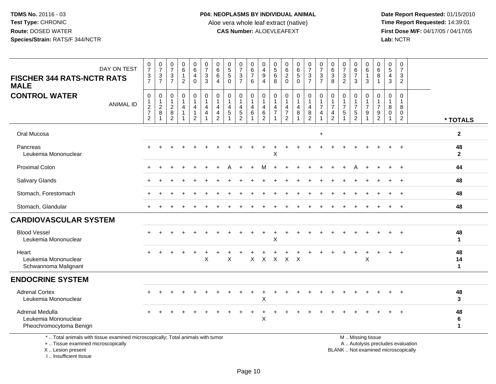**Date Report Requested:** 01/15/2010 **First Dose M/F:** 04/17/05 / 04/17/05<br>Lab: NCTR **Lab:** NCTR

| DAY ON TEST<br><b>FISCHER 344 RATS-NCTR RATS</b><br><b>MALE</b>                 | $\frac{0}{7}$<br>3<br>$\overline{7}$                           | $\frac{0}{7}$<br>$\frac{3}{7}$                      | $\frac{0}{7}$<br>3<br>$\overline{7}$                             | $\begin{array}{c} 0 \\ 6 \end{array}$<br>$\mathbf{1}$<br>$\overline{2}$ | $\begin{array}{c} 0 \\ 6 \end{array}$<br>4<br>$\mathbf 0$ | $\frac{0}{7}$<br>$\mathbf{3}$<br>$\overline{3}$ | 0<br>$6\phantom{a}$<br>$\,6\,$<br>$\overline{4}$                     | $\begin{array}{c} 0 \\ 5 \\ 5 \end{array}$<br>$\ddot{\mathbf{0}}$ | 0<br>$\overline{7}$<br>$\mathfrak{Z}$<br>$\overline{7}$       | 0<br>$\overline{6}$<br>$\overline{7}$<br>6 | 0<br>$\overline{4}$<br>$\boldsymbol{9}$<br>$\overline{4}$ | $\begin{matrix}0\\5\\6\end{matrix}$<br>$\overline{8}$ | $\begin{matrix} 0 \\ 6 \\ 2 \end{matrix}$<br>$\mathbf 0$ | 065                                                  | 0<br>$\overline{7}$<br>3<br>$\overline{7}$ | $\frac{0}{7}$<br>$\sqrt{3}$<br>$\overline{7}$                     | 0<br>$\overline{6}$<br>$\overline{3}$<br>8        | $\frac{0}{7}$<br>$\frac{3}{2}$                                             | 0<br>$rac{6}{7}$<br>3                                                           | 0<br>6<br>$\mathbf{1}$<br>3                     | $\begin{matrix}0\\6\\8\end{matrix}$<br>$\overline{1}$        | $\begin{array}{c} 0 \\ 5 \\ 4 \end{array}$<br>$\mathbf{3}$ | 0<br>$\overline{7}$<br>$\mathbf{3}$<br>$\overline{2}$          |                          |
|---------------------------------------------------------------------------------|----------------------------------------------------------------|-----------------------------------------------------|------------------------------------------------------------------|-------------------------------------------------------------------------|-----------------------------------------------------------|-------------------------------------------------|----------------------------------------------------------------------|-------------------------------------------------------------------|---------------------------------------------------------------|--------------------------------------------|-----------------------------------------------------------|-------------------------------------------------------|----------------------------------------------------------|------------------------------------------------------|--------------------------------------------|-------------------------------------------------------------------|---------------------------------------------------|----------------------------------------------------------------------------|---------------------------------------------------------------------------------|-------------------------------------------------|--------------------------------------------------------------|------------------------------------------------------------|----------------------------------------------------------------|--------------------------|
| <b>CONTROL WATER</b><br><b>ANIMAL ID</b>                                        | $\mathbf 0$<br>$\overline{c}$<br>$\overline{\mathcal{I}}$<br>2 | 0<br>$\mathbf{1}$<br>$\overline{c}$<br>$\bf 8$<br>1 | 0<br>$\mathbf{1}$<br>$\overline{2}$<br>$\bf 8$<br>$\overline{2}$ | 0<br>$\mathbf{1}$<br>4<br>$\mathbf{1}$<br>-1                            | $\mathbf 0$<br>1<br>4<br>$\mathbf 1$<br>2                 | 0<br>$\overline{1}$<br>4<br>$\overline{4}$      | $\mathbf 0$<br>$\mathbf{1}$<br>4<br>$\overline{4}$<br>$\overline{2}$ | 0<br>$\mathbf{1}$<br>4<br>$\,$ 5 $\,$<br>$\mathbf{1}$             | $\Omega$<br>$\mathbf{1}$<br>4<br>$\sqrt{5}$<br>$\overline{c}$ | 0<br>1<br>4<br>6                           | $\Omega$<br>$\overline{1}$<br>$\overline{4}$<br>6<br>2    | 0<br>$\mathbf{1}$<br>4<br>$\overline{7}$              | 0<br>4<br>$\overline{7}$<br>2                            | 0<br>$\mathbf{1}$<br>$\overline{a}$<br>$\bf 8$<br>-1 | 0<br>-1<br>4<br>$\bf 8$<br>$\overline{2}$  | $\Omega$<br>$\mathbf{1}$<br>$\overline{7}$<br>4<br>$\overline{1}$ | $\Omega$<br>$\overline{7}$<br>$\overline{4}$<br>2 | $\Omega$<br>$\mathbf{1}$<br>$\overline{7}$<br>$\sqrt{5}$<br>$\overline{1}$ | $\mathbf{0}$<br>$\mathbf{1}$<br>$\overline{7}$<br>$\,$ 5 $\,$<br>$\overline{2}$ | $\Omega$<br>$\overline{7}$<br>9<br>$\mathbf{1}$ | 0<br>$\mathbf{1}$<br>$\overline{7}$<br>$\boldsymbol{9}$<br>2 | $\mathbf 0$<br>$\overline{1}$<br>8<br>$\mathbf 0$<br>-1    | $\Omega$<br>$\mathbf{1}$<br>8<br>$\mathbf 0$<br>$\overline{2}$ | * TOTALS                 |
| Oral Mucosa                                                                     |                                                                |                                                     |                                                                  |                                                                         |                                                           |                                                 |                                                                      |                                                                   |                                                               |                                            |                                                           |                                                       |                                                          |                                                      |                                            | $\ddot{}$                                                         |                                                   |                                                                            |                                                                                 |                                                 |                                                              |                                                            |                                                                | $\overline{2}$           |
| Pancreas<br>Leukemia Mononuclear                                                |                                                                |                                                     |                                                                  |                                                                         |                                                           |                                                 |                                                                      |                                                                   |                                                               |                                            |                                                           | Χ                                                     |                                                          |                                                      |                                            |                                                                   |                                                   |                                                                            |                                                                                 |                                                 |                                                              |                                                            |                                                                | 48<br>$\overline{2}$     |
| <b>Proximal Colon</b>                                                           |                                                                |                                                     |                                                                  |                                                                         |                                                           |                                                 |                                                                      |                                                                   |                                                               |                                            |                                                           |                                                       |                                                          |                                                      |                                            |                                                                   |                                                   |                                                                            |                                                                                 |                                                 |                                                              |                                                            |                                                                | 44                       |
| Salivary Glands                                                                 |                                                                |                                                     |                                                                  |                                                                         |                                                           |                                                 |                                                                      |                                                                   |                                                               |                                            |                                                           |                                                       |                                                          |                                                      |                                            |                                                                   |                                                   |                                                                            |                                                                                 |                                                 |                                                              | ÷                                                          | $+$                                                            | 48                       |
| Stomach, Forestomach                                                            |                                                                |                                                     |                                                                  |                                                                         |                                                           |                                                 |                                                                      |                                                                   |                                                               |                                            |                                                           |                                                       |                                                          |                                                      |                                            |                                                                   |                                                   |                                                                            |                                                                                 |                                                 |                                                              |                                                            |                                                                | 48                       |
| Stomach, Glandular                                                              | $+$                                                            |                                                     |                                                                  |                                                                         |                                                           |                                                 |                                                                      |                                                                   |                                                               |                                            |                                                           |                                                       |                                                          |                                                      |                                            |                                                                   |                                                   |                                                                            |                                                                                 |                                                 |                                                              |                                                            | $+$                                                            | 48                       |
| <b>CARDIOVASCULAR SYSTEM</b>                                                    |                                                                |                                                     |                                                                  |                                                                         |                                                           |                                                 |                                                                      |                                                                   |                                                               |                                            |                                                           |                                                       |                                                          |                                                      |                                            |                                                                   |                                                   |                                                                            |                                                                                 |                                                 |                                                              |                                                            |                                                                |                          |
| <b>Blood Vessel</b><br>Leukemia Mononuclear                                     |                                                                |                                                     |                                                                  |                                                                         |                                                           |                                                 |                                                                      |                                                                   |                                                               |                                            |                                                           | X                                                     |                                                          |                                                      |                                            |                                                                   |                                                   |                                                                            |                                                                                 |                                                 |                                                              |                                                            |                                                                | 48<br>$\mathbf{1}$       |
| Heart<br>Leukemia Mononuclear<br>Schwannoma Malignant                           | $+$                                                            |                                                     | $\div$                                                           | $\ddot{}$                                                               | $\ddot{}$                                                 | X                                               |                                                                      | Χ                                                                 |                                                               | X                                          | $\mathsf{X}$                                              |                                                       | x x x                                                    |                                                      |                                            |                                                                   |                                                   | $\ddot{}$                                                                  | $\overline{+}$                                                                  | +<br>X                                          | $\overline{ }$                                               | $+$                                                        | $+$                                                            | 48<br>14<br>$\mathbf{1}$ |
| <b>ENDOCRINE SYSTEM</b>                                                         |                                                                |                                                     |                                                                  |                                                                         |                                                           |                                                 |                                                                      |                                                                   |                                                               |                                            |                                                           |                                                       |                                                          |                                                      |                                            |                                                                   |                                                   |                                                                            |                                                                                 |                                                 |                                                              |                                                            |                                                                |                          |
| <b>Adrenal Cortex</b><br>Leukemia Mononuclear                                   |                                                                |                                                     |                                                                  |                                                                         |                                                           |                                                 |                                                                      |                                                                   |                                                               |                                            | Х                                                         |                                                       |                                                          |                                                      |                                            |                                                                   |                                                   |                                                                            |                                                                                 |                                                 |                                                              |                                                            | $\ddot{}$                                                      | 48<br>3                  |
| Adrenal Medulla<br>Leukemia Mononuclear<br>Pheochromocytoma Benign              |                                                                |                                                     |                                                                  |                                                                         |                                                           |                                                 |                                                                      |                                                                   |                                                               |                                            | X                                                         |                                                       |                                                          |                                                      |                                            |                                                                   |                                                   |                                                                            |                                                                                 |                                                 |                                                              |                                                            |                                                                | 48<br>6<br>$\mathbf 1$   |
| *  Total animals with tissue examined microscopically; Total animals with tumor |                                                                |                                                     |                                                                  |                                                                         |                                                           |                                                 |                                                                      |                                                                   |                                                               |                                            |                                                           |                                                       |                                                          |                                                      |                                            |                                                                   |                                                   |                                                                            | M  Missing tissue                                                               |                                                 |                                                              |                                                            | .                                                              |                          |

+ .. Tissue examined microscopically

X .. Lesion present

I .. Insufficient tissue

y the contract of the contract of the contract of the contract of the contract of the contract of the contract of  $A$ . Autolysis precludes evaluation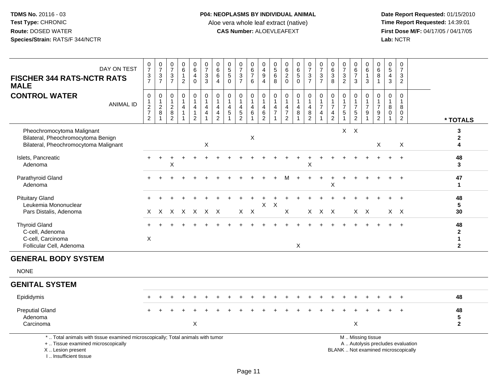**Date Report Requested:** 01/15/2010 **First Dose M/F:** 04/17/05 / 04/17/05<br>Lab: NCTR **Lab:** NCTR

| DAY ON TEST<br><b>FISCHER 344 RATS-NCTR RATS</b><br><b>MALE</b>                                                                            | $\frac{0}{7}$<br>$\frac{3}{7}$                                      | $\frac{0}{7}$<br>$\frac{3}{7}$                 | 0<br>$\overline{7}$<br>3<br>$\overline{7}$                             | 0<br>6<br>$\mathbf{1}$<br>$\overline{2}$                           | 0<br>$\,6\,$<br>4<br>$\mathbf 0$              | $\begin{smallmatrix}0\\7\end{smallmatrix}$<br>$\mathbf{3}$<br>$\overline{3}$ | $\begin{array}{c} 0 \\ 6 \end{array}$<br>$\,6\,$<br>$\overline{4}$                       | $\mathbf 0$<br>$\sqrt{5}$<br>$\sqrt{5}$<br>$\Omega$ | $\pmb{0}$<br>$\overline{7}$<br>$\sqrt{3}$<br>$\overline{7}$                       | 0<br>6<br>$\overline{7}$<br>6 | 0<br>$\overline{4}$<br>$\boldsymbol{9}$<br>$\overline{4}$      | $\begin{array}{c} 0 \\ 5 \\ 6 \end{array}$<br>8      | 0<br>$\,6\,$<br>$\boldsymbol{2}$<br>$\Omega$         | $\begin{array}{c} 0 \\ 6 \end{array}$<br>$\sqrt{5}$<br>$\Omega$ | $\frac{0}{7}$<br>$\frac{3}{7}$                                           | 0<br>$\boldsymbol{7}$<br>$\mathbf 3$<br>$\overline{7}$               | 0<br>$\frac{6}{3}$<br>$\overline{8}$                                 | $\pmb{0}$<br>$\overline{7}$<br>$\sqrt{3}$<br>$\overline{2}$ | $\begin{array}{c} 0 \\ 6 \\ 7 \end{array}$<br>$\mathbf{3}$                       | 0<br>$\,6\,$<br>$\overline{1}$<br>3 | 0<br>6<br>8<br>$\overline{1}$                                  | 0<br>$5\phantom{.0}$<br>4<br>3            | 0<br>$\overline{7}$<br>3<br>$\overline{2}$ |                                                                          |                                                    |
|--------------------------------------------------------------------------------------------------------------------------------------------|---------------------------------------------------------------------|------------------------------------------------|------------------------------------------------------------------------|--------------------------------------------------------------------|-----------------------------------------------|------------------------------------------------------------------------------|------------------------------------------------------------------------------------------|-----------------------------------------------------|-----------------------------------------------------------------------------------|-------------------------------|----------------------------------------------------------------|------------------------------------------------------|------------------------------------------------------|-----------------------------------------------------------------|--------------------------------------------------------------------------|----------------------------------------------------------------------|----------------------------------------------------------------------|-------------------------------------------------------------|----------------------------------------------------------------------------------|-------------------------------------|----------------------------------------------------------------|-------------------------------------------|--------------------------------------------|--------------------------------------------------------------------------|----------------------------------------------------|
| <b>CONTROL WATER</b><br><b>ANIMAL ID</b>                                                                                                   | $\mathbf 0$<br>$\boldsymbol{2}$<br>$\overline{7}$<br>$\overline{2}$ | $\pmb{0}$<br>$\frac{1}{2}$<br>8<br>$\mathbf 1$ | $\mathbf 0$<br>$\overline{1}$<br>$\overline{c}$<br>8<br>$\overline{c}$ | $\mathbf 0$<br>$\mathbf{1}$<br>$\overline{4}$<br>$\mathbf{1}$<br>1 | 0<br>$\mathbf{1}$<br>4<br>1<br>$\overline{2}$ | $\pmb{0}$<br>$\mathbf{1}$<br>$\overline{4}$<br>4<br>$\overline{1}$           | $\pmb{0}$<br>$\mathbf{1}$<br>$\overline{\mathbf{4}}$<br>$\overline{a}$<br>$\overline{c}$ | $\mathbf 0$<br>$\overline{1}$<br>4<br>$\sqrt{5}$    | $\mathbf 0$<br>$\mathbf{1}$<br>$\overline{4}$<br>$\overline{5}$<br>$\overline{2}$ | $\mathbf 0$<br>4<br>$\,6\,$   | 0<br>$\mathbf{1}$<br>$\overline{4}$<br>$\,6$<br>$\overline{2}$ | $\mathbf 0$<br>1<br>$\overline{4}$<br>$\overline{7}$ | $\mathbf 0$<br>4<br>$\overline{7}$<br>$\overline{2}$ | $\mathbf 0$<br>$\mathbf{1}$<br>$\overline{4}$<br>8              | $\mathbf 0$<br>1<br>$\overline{\mathbf{4}}$<br>$\bf 8$<br>$\overline{2}$ | $\mathbf 0$<br>$\mathbf{1}$<br>$\boldsymbol{7}$<br>4<br>$\mathbf{1}$ | $\mathbf 0$<br>$\mathbf{1}$<br>$\overline{7}$<br>4<br>$\overline{2}$ | $\mathbf 0$<br>$\mathbf{1}$<br>$\overline{7}$<br>$\sqrt{5}$ | $\mathbf 0$<br>$\mathbf{1}$<br>$\boldsymbol{7}$<br>$\,$ 5 $\,$<br>$\overline{2}$ | $\mathbf 0$<br>$\overline{7}$<br>9  | $\mathbf 0$<br>$\mathbf{1}$<br>$\overline{7}$<br>$\frac{9}{2}$ | $\mathbf 0$<br>1<br>8<br>$\mathbf 0$<br>1 | $\Omega$<br>-1<br>8<br>0<br>$\overline{2}$ |                                                                          | * TOTALS                                           |
| Pheochromocytoma Malignant<br>Bilateral, Pheochromocytoma Benign<br>Bilateral, Pheochromocytoma Malignant                                  |                                                                     |                                                |                                                                        |                                                                    |                                               | X                                                                            |                                                                                          |                                                     |                                                                                   | X                             |                                                                |                                                      |                                                      |                                                                 |                                                                          |                                                                      |                                                                      |                                                             | $X$ $X$                                                                          |                                     | X                                                              |                                           | X                                          |                                                                          | 3<br>$\mathbf{2}$<br>4                             |
| Islets, Pancreatic<br>Adenoma                                                                                                              |                                                                     | $\pm$                                          | +<br>Χ                                                                 |                                                                    |                                               |                                                                              |                                                                                          |                                                     |                                                                                   |                               |                                                                |                                                      |                                                      |                                                                 | $\ddot{}$<br>X                                                           |                                                                      |                                                                      |                                                             |                                                                                  |                                     |                                                                |                                           | $\ddot{}$                                  |                                                                          | 48<br>3                                            |
| Parathyroid Gland<br>Adenoma                                                                                                               | $+$                                                                 |                                                |                                                                        |                                                                    |                                               |                                                                              |                                                                                          |                                                     |                                                                                   |                               |                                                                |                                                      |                                                      |                                                                 |                                                                          |                                                                      | X                                                                    |                                                             |                                                                                  |                                     |                                                                |                                           | $\ddot{}$                                  |                                                                          | 47<br>$\mathbf{1}$                                 |
| <b>Pituitary Gland</b><br>Leukemia Mononuclear<br>Pars Distalis, Adenoma                                                                   | X                                                                   | X.                                             |                                                                        |                                                                    | x x x x x                                     |                                                                              |                                                                                          |                                                     | $X$ $X$                                                                           |                               | X                                                              | Χ                                                    | X                                                    |                                                                 |                                                                          | X X X                                                                |                                                                      |                                                             |                                                                                  | $X$ $X$                             |                                                                |                                           | $X$ $X$                                    |                                                                          | 48<br>5<br>30                                      |
| <b>Thyroid Gland</b><br>C-cell, Adenoma<br>C-cell, Carcinoma<br>Follicular Cell, Adenoma                                                   | X                                                                   |                                                |                                                                        |                                                                    |                                               |                                                                              |                                                                                          |                                                     |                                                                                   |                               |                                                                |                                                      |                                                      | X                                                               |                                                                          |                                                                      |                                                                      |                                                             |                                                                                  |                                     |                                                                |                                           | $\ddot{}$                                  |                                                                          | 48<br>$\mathbf{2}$<br>$\mathbf{1}$<br>$\mathbf{2}$ |
| <b>GENERAL BODY SYSTEM</b>                                                                                                                 |                                                                     |                                                |                                                                        |                                                                    |                                               |                                                                              |                                                                                          |                                                     |                                                                                   |                               |                                                                |                                                      |                                                      |                                                                 |                                                                          |                                                                      |                                                                      |                                                             |                                                                                  |                                     |                                                                |                                           |                                            |                                                                          |                                                    |
| <b>NONE</b>                                                                                                                                |                                                                     |                                                |                                                                        |                                                                    |                                               |                                                                              |                                                                                          |                                                     |                                                                                   |                               |                                                                |                                                      |                                                      |                                                                 |                                                                          |                                                                      |                                                                      |                                                             |                                                                                  |                                     |                                                                |                                           |                                            |                                                                          |                                                    |
| <b>GENITAL SYSTEM</b>                                                                                                                      |                                                                     |                                                |                                                                        |                                                                    |                                               |                                                                              |                                                                                          |                                                     |                                                                                   |                               |                                                                |                                                      |                                                      |                                                                 |                                                                          |                                                                      |                                                                      |                                                             |                                                                                  |                                     |                                                                |                                           |                                            |                                                                          |                                                    |
| Epididymis                                                                                                                                 |                                                                     |                                                |                                                                        |                                                                    |                                               |                                                                              |                                                                                          |                                                     |                                                                                   |                               |                                                                |                                                      |                                                      |                                                                 |                                                                          |                                                                      |                                                                      |                                                             |                                                                                  |                                     |                                                                |                                           |                                            |                                                                          | 48                                                 |
| <b>Preputial Gland</b><br>Adenoma<br>Carcinoma                                                                                             |                                                                     |                                                |                                                                        |                                                                    | X                                             |                                                                              |                                                                                          |                                                     |                                                                                   |                               |                                                                |                                                      |                                                      |                                                                 |                                                                          |                                                                      |                                                                      |                                                             | X                                                                                |                                     |                                                                |                                           |                                            |                                                                          | 48<br>$\sqrt{5}$<br>$\boldsymbol{2}$               |
| *  Total animals with tissue examined microscopically; Total animals with tumor<br>+  Tissue examined microscopically<br>X  Lesion present |                                                                     |                                                |                                                                        |                                                                    |                                               |                                                                              |                                                                                          |                                                     |                                                                                   |                               |                                                                |                                                      |                                                      |                                                                 |                                                                          |                                                                      |                                                                      |                                                             | M  Missing tissue                                                                |                                     |                                                                |                                           |                                            | A  Autolysis precludes evaluation<br>BLANK  Not examined microscopically |                                                    |

I .. Insufficient tissue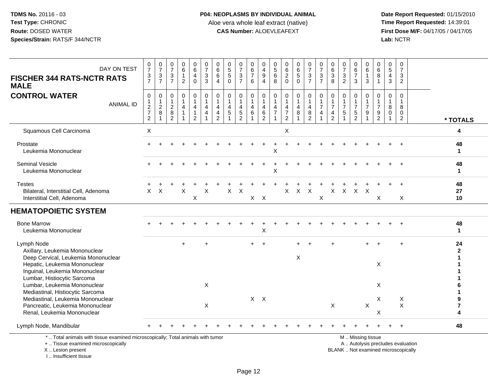**Date Report Requested:** 01/15/2010 **First Dose M/F:** 04/17/05 / 04/17/05<br>Lab: NCTR **Lab:** NCTR

| DAY ON TEST<br><b>FISCHER 344 RATS-NCTR RATS</b><br><b>MALE</b>                                                                   | $\frac{0}{7}$<br>$\ensuremath{\mathsf{3}}$<br>$\overline{7}$              | $\frac{0}{7}$<br>$\sqrt{3}$<br>$\overline{7}$                      | $\frac{0}{7}$<br>$\ensuremath{\mathsf{3}}$<br>$\overline{7}$ | $_6^0$<br>$\mathbf{1}$<br>$\overline{2}$ | 0<br>$\overline{6}$<br>$\overline{\mathbf{4}}$<br>$\Omega$ | $\frac{0}{7}$<br>$\ensuremath{\mathsf{3}}$<br>3      | 0<br>$\,6\,$<br>$\,6\,$<br>$\boldsymbol{\Lambda}$    | $\begin{array}{c} 0 \\ 5 \\ 5 \end{array}$<br>$\Omega$          | 0<br>$\overline{7}$<br>$\mathsf 3$<br>$\overline{7}$   | 0<br>$\,6$<br>$\overline{7}$<br>6                                     | 0<br>$\overline{4}$<br>9<br>4      | $\begin{array}{c} 0 \\ 5 \\ 6 \end{array}$<br>8 | $\begin{matrix} 0 \\ 6 \\ 2 \end{matrix}$<br>$\Omega$      | $\begin{array}{c} 0 \\ 6 \\ 5 \end{array}$<br>$\Omega$ | $\frac{0}{7}$<br>$\frac{3}{7}$                                 | 0<br>$\overline{7}$<br>$\sqrt{3}$<br>$\overline{7}$ | 0<br>$6\phantom{a}$<br>$\overline{3}$<br>8                                        | 0<br>$\overline{7}$<br>$\sqrt{3}$<br>$\overline{2}$ | 0<br>$\frac{6}{7}$<br>3                              | 0<br>6<br>$\mathbf{1}$<br>3          | $_{6}^{\rm 0}$<br>$\bf 8$<br>$\overline{1}$                              | $\begin{array}{c} 0 \\ 5 \end{array}$<br>$\overline{4}$<br>3 | 0<br>$\overline{7}$<br>$\ensuremath{\mathsf{3}}$<br>$\overline{2}$ |                                   |
|-----------------------------------------------------------------------------------------------------------------------------------|---------------------------------------------------------------------------|--------------------------------------------------------------------|--------------------------------------------------------------|------------------------------------------|------------------------------------------------------------|------------------------------------------------------|------------------------------------------------------|-----------------------------------------------------------------|--------------------------------------------------------|-----------------------------------------------------------------------|------------------------------------|-------------------------------------------------|------------------------------------------------------------|--------------------------------------------------------|----------------------------------------------------------------|-----------------------------------------------------|-----------------------------------------------------------------------------------|-----------------------------------------------------|------------------------------------------------------|--------------------------------------|--------------------------------------------------------------------------|--------------------------------------------------------------|--------------------------------------------------------------------|-----------------------------------|
| <b>CONTROL WATER</b><br><b>ANIMAL ID</b>                                                                                          | 0<br>$\mathbf{1}$<br>$\overline{c}$<br>$\boldsymbol{7}$<br>$\overline{c}$ | $\mathbf 0$<br>$\mathbf{1}$<br>$\overline{c}$<br>8<br>$\mathbf{1}$ | 0<br>1<br>$\overline{2}$<br>$\bf 8$<br>$\overline{2}$        | 0<br>$\mathbf 1$<br>4<br>1               | 0<br>$\mathbf 1$<br>$\overline{4}$<br>-1<br>$\overline{c}$ | $\mathbf 0$<br>$\overline{1}$<br>4<br>$\overline{4}$ | $\mathbf 0$<br>4<br>$\overline{4}$<br>$\overline{2}$ | $\mathbf 0$<br>$\mathbf{1}$<br>$\overline{4}$<br>$\overline{5}$ | 0<br>$\mathbf{1}$<br>4<br>$\sqrt{5}$<br>$\overline{2}$ | $\mathbf 0$<br>$\mathbf{1}$<br>$\overline{4}$<br>$6\phantom{1}6$<br>1 | 0<br>1<br>4<br>6<br>$\overline{c}$ | 0<br>$\mathbf{1}$<br>4<br>$\overline{7}$        | 0<br>$\mathbf{1}$<br>4<br>$\overline{7}$<br>$\overline{2}$ | 0<br>4<br>8                                            | $\mathbf 0$<br>$\mathbf{1}$<br>$\overline{4}$<br>$\frac{8}{2}$ | 0<br>$\mathbf{1}$<br>$\overline{7}$<br>4            | $\mathbf 0$<br>$\mathbf{1}$<br>$\overline{7}$<br>$\overline{4}$<br>$\overline{2}$ | 0<br>$\overline{7}$<br>$\sqrt{5}$                   | 0<br>$\mathbf{1}$<br>$\overline{7}$<br>$\frac{5}{2}$ | $\Omega$<br>1<br>$\overline{7}$<br>9 | 0<br>$\mathbf 1$<br>$\overline{7}$<br>$\boldsymbol{9}$<br>$\overline{2}$ | 0<br>$\,8\,$<br>$\mathsf 0$                                  | 0<br>$\mathbf{1}$<br>$\bf 8$<br>$\mathbf 0$<br>$\overline{2}$      | * TOTALS                          |
| Squamous Cell Carcinoma                                                                                                           | $\times$                                                                  |                                                                    |                                                              |                                          |                                                            |                                                      |                                                      |                                                                 |                                                        |                                                                       |                                    |                                                 | X                                                          |                                                        |                                                                |                                                     |                                                                                   |                                                     |                                                      |                                      |                                                                          |                                                              |                                                                    | 4                                 |
| Prostate<br>Leukemia Mononuclear                                                                                                  |                                                                           |                                                                    |                                                              |                                          |                                                            |                                                      |                                                      |                                                                 |                                                        |                                                                       |                                    | X                                               |                                                            |                                                        |                                                                |                                                     |                                                                                   |                                                     |                                                      |                                      |                                                                          |                                                              |                                                                    | 48<br>$\mathbf 1$                 |
| <b>Seminal Vesicle</b><br>Leukemia Mononuclear                                                                                    |                                                                           |                                                                    |                                                              |                                          |                                                            |                                                      |                                                      |                                                                 |                                                        |                                                                       |                                    | X                                               |                                                            |                                                        |                                                                |                                                     |                                                                                   |                                                     |                                                      |                                      |                                                                          |                                                              |                                                                    | 48<br>1                           |
| <b>Testes</b><br>Bilateral, Interstitial Cell, Adenoma<br>Interstitial Cell, Adenoma                                              | $\times$                                                                  | $\times$                                                           |                                                              | X                                        | X                                                          | X                                                    |                                                      | $\times$                                                        | $\times$                                               |                                                                       | $X$ $X$                            |                                                 | X                                                          | $\mathsf{X}$                                           | $\mathsf{X}$                                                   | X                                                   |                                                                                   | $X$ $X$                                             | $X$ $X$                                              |                                      | X                                                                        |                                                              | X                                                                  | 48<br>27<br>10                    |
| <b>HEMATOPOIETIC SYSTEM</b>                                                                                                       |                                                                           |                                                                    |                                                              |                                          |                                                            |                                                      |                                                      |                                                                 |                                                        |                                                                       |                                    |                                                 |                                                            |                                                        |                                                                |                                                     |                                                                                   |                                                     |                                                      |                                      |                                                                          |                                                              |                                                                    |                                   |
| <b>Bone Marrow</b><br>Leukemia Mononuclear                                                                                        |                                                                           |                                                                    |                                                              |                                          |                                                            |                                                      |                                                      |                                                                 |                                                        |                                                                       | X                                  |                                                 |                                                            |                                                        |                                                                |                                                     |                                                                                   |                                                     |                                                      |                                      |                                                                          |                                                              |                                                                    | 48<br>1                           |
| Lymph Node<br>Axillary, Leukemia Mononuclear<br>Deep Cervical, Leukemia Mononuclear<br>Hepatic, Leukemia Mononuclear              |                                                                           |                                                                    |                                                              |                                          |                                                            |                                                      |                                                      |                                                                 |                                                        |                                                                       |                                    |                                                 |                                                            | X                                                      |                                                                |                                                     |                                                                                   |                                                     |                                                      |                                      | X                                                                        |                                                              | $\ddot{}$                                                          | 24<br>$\mathbf{2}$                |
| Inguinal, Leukemia Mononuclear<br>Lumbar, Histiocytic Sarcoma<br>Lumbar, Leukemia Mononuclear<br>Mediastinal, Histiocytic Sarcoma |                                                                           |                                                                    |                                                              |                                          |                                                            | X                                                    |                                                      |                                                                 |                                                        |                                                                       |                                    |                                                 |                                                            |                                                        |                                                                |                                                     |                                                                                   |                                                     |                                                      |                                      | X                                                                        |                                                              |                                                                    |                                   |
| Mediastinal, Leukemia Mononuclear<br>Pancreatic, Leukemia Mononuclear<br>Renal, Leukemia Mononuclear                              |                                                                           |                                                                    |                                                              |                                          |                                                            | X                                                    |                                                      |                                                                 |                                                        | $X$ $X$                                                               |                                    |                                                 |                                                            |                                                        |                                                                |                                                     | $\mathsf X$                                                                       |                                                     |                                                      | $\times$                             | X<br>X                                                                   |                                                              | X<br>$\pmb{\times}$                                                | 9<br>$\overline{\mathbf{7}}$<br>4 |
| Lymph Node, Mandibular                                                                                                            |                                                                           |                                                                    |                                                              |                                          |                                                            |                                                      |                                                      |                                                                 |                                                        |                                                                       |                                    |                                                 |                                                            |                                                        |                                                                |                                                     |                                                                                   |                                                     |                                                      |                                      |                                                                          |                                                              |                                                                    | 48                                |
| *  Total animals with tissue examined microscopically; Total animals with tumor<br>+  Tissue examined microscopically             |                                                                           |                                                                    |                                                              |                                          |                                                            |                                                      |                                                      |                                                                 |                                                        |                                                                       |                                    |                                                 |                                                            |                                                        |                                                                |                                                     |                                                                                   |                                                     | M  Missing tissue                                    |                                      |                                                                          | A  Autolysis precludes evaluation                            |                                                                    |                                   |

X .. Lesion present

I .. Insufficient tissue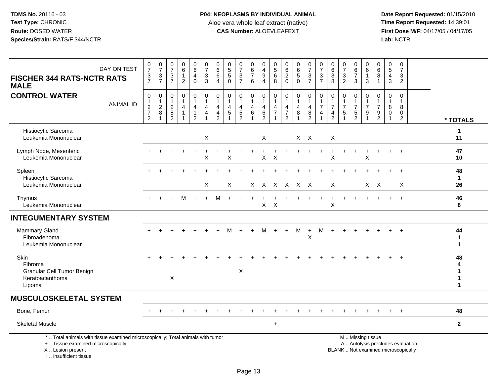**Date Report Requested:** 01/15/2010 **First Dose M/F:** 04/17/05 / 04/17/05<br>Lab: NCTR **Lab:** NCTR

| DAY ON TEST<br><b>FISCHER 344 RATS-NCTR RATS</b><br><b>MALE</b>                                                                                                     | $\begin{array}{c} 0 \\ 7 \end{array}$<br>$\frac{3}{7}$                        | $\frac{0}{7}$<br>$\frac{3}{7}$                            | $\frac{0}{7}$<br>$\frac{3}{7}$                                   | $\begin{array}{c} 0 \\ 6 \end{array}$<br>$\mathbf{1}$<br>$\overline{c}$       | $\begin{array}{c} 0 \\ 6 \end{array}$<br>$\overline{4}$<br>$\mathbf 0$                   | $\frac{0}{7}$<br>$\mathbf{3}$<br>3 | $_{6}^{\rm 0}$<br>$6\overline{6}$<br>$\overline{4}$                               | $\begin{array}{c} 0 \\ 5 \\ 5 \end{array}$<br>$\mathbf{0}$  | $\frac{0}{7}$<br>$\frac{3}{7}$                                                | 0<br>$\,6\,$<br>$\overline{7}$<br>6                                          | 0<br>$\overline{4}$<br>9<br>4                           | $\pmb{0}$<br>$\sqrt{5}$<br>6<br>8                          | $\begin{matrix} 0 \\ 6 \\ 2 \end{matrix}$<br>$\mathbf 0$                | $\begin{array}{c} 0 \\ 6 \end{array}$<br>$\overline{5}$<br>$\mathbf 0$ | $\frac{0}{7}$<br>$\frac{3}{7}$                                            | $\begin{smallmatrix}0\\7\end{smallmatrix}$<br>$\mathbf{3}$<br>$\overline{7}$ | $\begin{array}{c} 0 \\ 6 \end{array}$<br>$\overline{3}$<br>8                        | $\frac{0}{7}$<br>$\ensuremath{\mathsf{3}}$<br>$\overline{c}$ | 0<br>$\,6\,$<br>$\overline{7}$<br>$\mathbf{3}$                                                | 0<br>6<br>3              | $\begin{array}{c} 0 \\ 6 \end{array}$<br>$\, 8$<br>$\mathbf{1}$ | $\begin{array}{c} 0 \\ 5 \end{array}$<br>$\overline{4}$<br>3     | $\begin{array}{c} 0 \\ 7 \end{array}$<br>$\mathbf{3}$<br>$\overline{2}$ |                                             |
|---------------------------------------------------------------------------------------------------------------------------------------------------------------------|-------------------------------------------------------------------------------|-----------------------------------------------------------|------------------------------------------------------------------|-------------------------------------------------------------------------------|------------------------------------------------------------------------------------------|------------------------------------|-----------------------------------------------------------------------------------|-------------------------------------------------------------|-------------------------------------------------------------------------------|------------------------------------------------------------------------------|---------------------------------------------------------|------------------------------------------------------------|-------------------------------------------------------------------------|------------------------------------------------------------------------|---------------------------------------------------------------------------|------------------------------------------------------------------------------|-------------------------------------------------------------------------------------|--------------------------------------------------------------|-----------------------------------------------------------------------------------------------|--------------------------|-----------------------------------------------------------------|------------------------------------------------------------------|-------------------------------------------------------------------------|---------------------------------------------|
| <b>CONTROL WATER</b><br><b>ANIMAL ID</b>                                                                                                                            | $\mathbf 0$<br>$\mathbf{1}$<br>$\sqrt{2}$<br>$\overline{7}$<br>$\overline{2}$ | $\mathbf 0$<br>$\begin{array}{c} 1 \\ 2 \end{array}$<br>8 | $\mathsf 0$<br>$\mathbf{1}$<br>$\sqrt{2}$<br>8<br>$\overline{2}$ | $\mathbf 0$<br>$\mathbf{1}$<br>$\overline{4}$<br>$\mathbf{1}$<br>$\mathbf{1}$ | $\mathbf 0$<br>$\mathbf{1}$<br>$\overline{\mathbf{4}}$<br>$\mathbf{1}$<br>$\overline{2}$ | 0<br>$\mathbf{1}$<br>4<br>4<br>1   | $\mathbf 0$<br>$\mathbf{1}$<br>$\overline{4}$<br>$\overline{4}$<br>$\overline{2}$ | $\mathbf 0$<br>$\mathbf{1}$<br>$\overline{4}$<br>$\sqrt{5}$ | $\mathbf 0$<br>$\mathbf{1}$<br>$\overline{4}$<br>$\sqrt{5}$<br>$\overline{2}$ | $\mathbf 0$<br>$\overline{1}$<br>$\overline{4}$<br>$\,6\,$<br>$\overline{1}$ | $\mathbf 0$<br>$\mathbf{1}$<br>4<br>6<br>$\overline{c}$ | $\mathbf 0$<br>$\overline{1}$<br>4<br>$\overline{7}$<br>-1 | 0<br>$\mathbf{1}$<br>$\overline{4}$<br>$\overline{7}$<br>$\overline{2}$ | 0<br>$\mathbf{1}$<br>$\overline{4}$<br>8<br>1                          | 0<br>$\mathbf{1}$<br>$\overline{\mathbf{4}}$<br>$\bf 8$<br>$\overline{2}$ | $\mathbf 0$<br>$\overline{7}$<br>$\overline{4}$                              | $\mathbf 0$<br>$\mathbf{1}$<br>$\boldsymbol{7}$<br>$\overline{4}$<br>$\overline{2}$ | $\mathbf 0$<br>$\mathbf{1}$<br>$\overline{7}$<br>$\sqrt{5}$  | $\pmb{0}$<br>$\mathbf{1}$<br>$\overline{7}$<br>$\sqrt{5}$<br>$\overline{2}$                   | 0<br>$\overline{7}$<br>9 | $\mathbf 0$<br>$\mathbf{1}$<br>$\overline{7}$<br>$\frac{9}{2}$  | $\mathbf 0$<br>$\mathbf{1}$<br>8<br>$\mathsf{O}$<br>$\mathbf{1}$ | $\mathbf 0$<br>$\mathbf{1}$<br>8<br>$\mathbf 0$<br>$\overline{2}$       | * TOTALS                                    |
| Histiocytic Sarcoma<br>Leukemia Mononuclear                                                                                                                         |                                                                               |                                                           |                                                                  |                                                                               |                                                                                          | X                                  |                                                                                   |                                                             |                                                                               |                                                                              | X                                                       |                                                            |                                                                         |                                                                        | $X$ $X$                                                                   |                                                                              | X                                                                                   |                                                              |                                                                                               |                          |                                                                 |                                                                  |                                                                         | 1<br>11                                     |
| Lymph Node, Mesenteric<br>Leukemia Mononuclear                                                                                                                      |                                                                               |                                                           |                                                                  |                                                                               |                                                                                          | X                                  |                                                                                   | X                                                           |                                                                               |                                                                              | X                                                       | $\times$                                                   |                                                                         |                                                                        |                                                                           |                                                                              | $\mathsf X$                                                                         |                                                              |                                                                                               | X                        |                                                                 | $\ddot{}$                                                        | $\ddot{+}$                                                              | 47<br>10                                    |
| Spleen<br>Histiocytic Sarcoma<br>Leukemia Mononuclear                                                                                                               |                                                                               |                                                           |                                                                  |                                                                               |                                                                                          | $\boldsymbol{\mathsf{X}}$          |                                                                                   | X                                                           |                                                                               |                                                                              | X X X X X X                                             |                                                            |                                                                         |                                                                        |                                                                           |                                                                              | X                                                                                   |                                                              |                                                                                               |                          | $X$ $X$                                                         | $\ddot{}$                                                        | $\overline{+}$<br>X                                                     | 48<br>$\mathbf{1}$<br>26                    |
| Thymus<br>Leukemia Mononuclear                                                                                                                                      |                                                                               |                                                           |                                                                  | м                                                                             | $\ddot{}$                                                                                | $\ddot{}$                          | м                                                                                 |                                                             |                                                                               |                                                                              | X                                                       | $\times$                                                   |                                                                         |                                                                        |                                                                           |                                                                              | $\mathsf X$                                                                         |                                                              |                                                                                               |                          |                                                                 |                                                                  | $\ddot{}$                                                               | 46<br>8                                     |
| <b>INTEGUMENTARY SYSTEM</b>                                                                                                                                         |                                                                               |                                                           |                                                                  |                                                                               |                                                                                          |                                    |                                                                                   |                                                             |                                                                               |                                                                              |                                                         |                                                            |                                                                         |                                                                        |                                                                           |                                                                              |                                                                                     |                                                              |                                                                                               |                          |                                                                 |                                                                  |                                                                         |                                             |
| <b>Mammary Gland</b><br>Fibroadenoma<br>Leukemia Mononuclear                                                                                                        |                                                                               |                                                           |                                                                  |                                                                               |                                                                                          |                                    |                                                                                   |                                                             |                                                                               |                                                                              | м                                                       |                                                            | $\div$                                                                  | м                                                                      | $\ddot{}$<br>X                                                            | м                                                                            |                                                                                     |                                                              |                                                                                               |                          |                                                                 |                                                                  |                                                                         | 44<br>$\mathbf{1}$<br>1                     |
| Skin<br>Fibroma<br>Granular Cell Tumor Benign<br>Keratoacanthoma<br>Lipoma                                                                                          |                                                                               |                                                           | $\mathsf X$                                                      |                                                                               |                                                                                          |                                    |                                                                                   |                                                             | $\mathsf X$                                                                   |                                                                              |                                                         |                                                            |                                                                         |                                                                        |                                                                           |                                                                              |                                                                                     |                                                              |                                                                                               |                          |                                                                 |                                                                  |                                                                         | 48<br>4<br>$\mathbf{1}$<br>$\mathbf 1$<br>1 |
| <b>MUSCULOSKELETAL SYSTEM</b>                                                                                                                                       |                                                                               |                                                           |                                                                  |                                                                               |                                                                                          |                                    |                                                                                   |                                                             |                                                                               |                                                                              |                                                         |                                                            |                                                                         |                                                                        |                                                                           |                                                                              |                                                                                     |                                                              |                                                                                               |                          |                                                                 |                                                                  |                                                                         |                                             |
| Bone, Femur                                                                                                                                                         |                                                                               |                                                           |                                                                  |                                                                               |                                                                                          |                                    |                                                                                   |                                                             |                                                                               |                                                                              |                                                         |                                                            |                                                                         |                                                                        |                                                                           |                                                                              |                                                                                     |                                                              |                                                                                               |                          |                                                                 |                                                                  | $\div$                                                                  | 48                                          |
| <b>Skeletal Muscle</b>                                                                                                                                              |                                                                               |                                                           |                                                                  |                                                                               |                                                                                          |                                    |                                                                                   |                                                             |                                                                               |                                                                              |                                                         | $\ddot{}$                                                  |                                                                         |                                                                        |                                                                           |                                                                              |                                                                                     |                                                              |                                                                                               |                          |                                                                 |                                                                  |                                                                         | $\mathbf{2}$                                |
| *  Total animals with tissue examined microscopically; Total animals with tumor<br>+  Tissue examined microscopically<br>X  Lesion present<br>I Insufficient tissue |                                                                               |                                                           |                                                                  |                                                                               |                                                                                          |                                    |                                                                                   |                                                             |                                                                               |                                                                              |                                                         |                                                            |                                                                         |                                                                        |                                                                           |                                                                              |                                                                                     |                                                              | M  Missing tissue<br>A  Autolysis precludes evaluation<br>BLANK  Not examined microscopically |                          |                                                                 |                                                                  |                                                                         |                                             |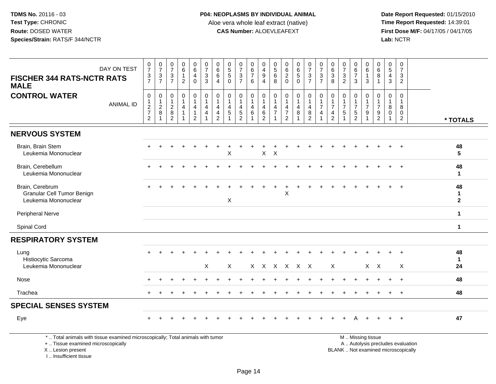**Date Report Requested:** 01/15/2010 **First Dose M/F:** 04/17/05 / 04/17/05<br>Lab: NCTR **Lab:** NCTR

| DAY ON TEST<br><b>FISCHER 344 RATS-NCTR RATS</b><br><b>MALE</b>                                                       | $\begin{array}{c} 0 \\ 7 \end{array}$<br>$\frac{3}{7}$         | $\frac{0}{7}$<br>$\frac{3}{7}$                          | $\frac{0}{7}$<br>$\frac{3}{7}$                                      | $\begin{array}{c} 0 \\ 6 \end{array}$<br>$\mathbf{1}$<br>$\overline{2}$ | $\begin{array}{c} 0 \\ 6 \end{array}$<br>$\overline{4}$<br>$\mathbf{0}$ | $\frac{0}{7}$<br>$\mathbf{3}$<br>$\overline{3}$                                                  | $\begin{array}{c} 0 \\ 6 \end{array}$<br>$\,6\,$<br>$\overline{4}$              | $\begin{array}{c} 0 \\ 5 \\ 5 \end{array}$<br>$\Omega$ | $\begin{array}{c} 0 \\ 7 \end{array}$<br>$\frac{3}{7}$                        | 0<br>$6\phantom{a}$<br>$\overline{7}$<br>6          | $\pmb{0}$<br>$\overline{4}$<br>$\boldsymbol{9}$<br>$\overline{4}$                               | $\begin{array}{c} 0 \\ 5 \\ 6 \end{array}$<br>8 | 0620                                                                              | $\begin{array}{c} 0 \\ 6 \end{array}$<br>$\overline{5}$<br>$\Omega$ | $\begin{array}{c} 0 \\ 7 \end{array}$<br>$\frac{3}{7}$                     | $\begin{array}{c} 0 \\ 7 \end{array}$<br>$\frac{3}{7}$                                           | $_{6}^{\rm 0}$<br>3<br>8                             | $\frac{0}{7}$<br>$\ensuremath{\mathsf{3}}$<br>$\overline{2}$ | $\begin{array}{c} 0 \\ 6 \\ 7 \end{array}$<br>$\mathbf{3}$                    | $\mathbf 0$<br>$6\phantom{a}$<br>$\mathbf{1}$<br>3 | $\mathbf 0$<br>$6\phantom{a}$<br>8<br>$\overline{1}$                                        | $\begin{array}{c} 0 \\ 5 \end{array}$<br>$\overline{4}$<br>$\mathbf{3}$ | $\mathbf 0$<br>$\overline{7}$<br>$\mathbf{3}$<br>$\overline{2}$   |                                   |                                    |
|-----------------------------------------------------------------------------------------------------------------------|----------------------------------------------------------------|---------------------------------------------------------|---------------------------------------------------------------------|-------------------------------------------------------------------------|-------------------------------------------------------------------------|--------------------------------------------------------------------------------------------------|---------------------------------------------------------------------------------|--------------------------------------------------------|-------------------------------------------------------------------------------|-----------------------------------------------------|-------------------------------------------------------------------------------------------------|-------------------------------------------------|-----------------------------------------------------------------------------------|---------------------------------------------------------------------|----------------------------------------------------------------------------|--------------------------------------------------------------------------------------------------|------------------------------------------------------|--------------------------------------------------------------|-------------------------------------------------------------------------------|----------------------------------------------------|---------------------------------------------------------------------------------------------|-------------------------------------------------------------------------|-------------------------------------------------------------------|-----------------------------------|------------------------------------|
| <b>CONTROL WATER</b><br><b>ANIMAL ID</b>                                                                              | $\mathbf 0$<br>$\mathbf{1}$<br>$\frac{2}{7}$<br>$\overline{2}$ | $\pmb{0}$<br>$\begin{array}{c} 1 \\ 2 \\ 8 \end{array}$ | $\boldsymbol{0}$<br>$\mathbf{1}$<br>$\frac{2}{8}$<br>$\overline{2}$ | $\pmb{0}$<br>$\mathbf{1}$<br>$\overline{4}$<br>$\mathbf{1}$             | 0<br>1<br>$\overline{4}$<br>$\mathbf{1}$<br>$\overline{2}$              | $\begin{smallmatrix}0\\1\end{smallmatrix}$<br>$\overline{4}$<br>$\overline{4}$<br>$\overline{1}$ | $\pmb{0}$<br>$\mathbf{1}$<br>$\overline{4}$<br>$\overline{4}$<br>$\overline{2}$ | $\mathbf 0$<br>4<br>5                                  | $\mathbf 0$<br>$\mathbf{1}$<br>$\overline{4}$<br>$\sqrt{5}$<br>$\overline{2}$ | 0<br>$\mathbf{1}$<br>4<br>$\,6\,$<br>$\overline{ }$ | $\boldsymbol{0}$<br>$\mathbf{1}$<br>$\overline{\mathbf{4}}$<br>$6\phantom{a}$<br>$\overline{2}$ | 0<br>$\mathbf{1}$<br>4<br>$\overline{7}$        | $\mathbf 0$<br>$\mathbf{1}$<br>$\overline{4}$<br>$\overline{7}$<br>$\overline{2}$ | $\pmb{0}$<br>$\mathbf{1}$<br>$\overline{4}$<br>8                    | $\pmb{0}$<br>$\overline{1}$<br>$\overline{4}$<br>$\bf 8$<br>$\overline{2}$ | $\begin{smallmatrix}0\\1\end{smallmatrix}$<br>$\overline{7}$<br>$\overline{4}$<br>$\overline{1}$ | $\mathbf 0$<br>$\overline{7}$<br>4<br>$\overline{2}$ | 0<br>$\mathbf{1}$<br>$\overline{7}$<br>5                     | $\mathbf 0$<br>$\mathbf{1}$<br>$\overline{7}$<br>$\sqrt{5}$<br>$\overline{2}$ | $\mathbf 0$<br>$\overline{7}$<br>9                 | $\mathsf{O}\xspace$<br>$\mathbf{1}$<br>$\overline{7}$<br>$\boldsymbol{9}$<br>$\overline{2}$ | $\mathbf 0$<br>$\overline{1}$<br>8<br>$\mathbf 0$<br>$\mathbf{1}$       | $\mathbf 0$<br>$\mathbf{1}$<br>8<br>$\mathbf 0$<br>$\overline{2}$ |                                   | * TOTALS                           |
| <b>NERVOUS SYSTEM</b>                                                                                                 |                                                                |                                                         |                                                                     |                                                                         |                                                                         |                                                                                                  |                                                                                 |                                                        |                                                                               |                                                     |                                                                                                 |                                                 |                                                                                   |                                                                     |                                                                            |                                                                                                  |                                                      |                                                              |                                                                               |                                                    |                                                                                             |                                                                         |                                                                   |                                   |                                    |
| Brain, Brain Stem<br>Leukemia Mononuclear                                                                             |                                                                |                                                         |                                                                     |                                                                         |                                                                         |                                                                                                  |                                                                                 | X                                                      |                                                                               |                                                     | $\mathsf{X}$                                                                                    | $\boldsymbol{\mathsf{X}}$                       |                                                                                   |                                                                     |                                                                            |                                                                                                  |                                                      |                                                              |                                                                               |                                                    |                                                                                             |                                                                         |                                                                   |                                   | 48<br>$5\phantom{.0}$              |
| Brain, Cerebellum<br>Leukemia Mononuclear                                                                             |                                                                |                                                         |                                                                     |                                                                         |                                                                         |                                                                                                  |                                                                                 |                                                        |                                                                               |                                                     |                                                                                                 |                                                 |                                                                                   |                                                                     |                                                                            |                                                                                                  |                                                      |                                                              |                                                                               |                                                    |                                                                                             |                                                                         |                                                                   |                                   | 48<br>$\mathbf{1}$                 |
| Brain, Cerebrum<br>Granular Cell Tumor Benign<br>Leukemia Mononuclear                                                 |                                                                |                                                         |                                                                     |                                                                         |                                                                         |                                                                                                  |                                                                                 | X                                                      |                                                                               |                                                     |                                                                                                 |                                                 | X                                                                                 |                                                                     |                                                                            |                                                                                                  |                                                      |                                                              |                                                                               |                                                    |                                                                                             |                                                                         |                                                                   |                                   | 48<br>$\mathbf{1}$<br>$\mathbf{2}$ |
| <b>Peripheral Nerve</b>                                                                                               |                                                                |                                                         |                                                                     |                                                                         |                                                                         |                                                                                                  |                                                                                 |                                                        |                                                                               |                                                     |                                                                                                 |                                                 |                                                                                   |                                                                     |                                                                            |                                                                                                  |                                                      |                                                              |                                                                               |                                                    |                                                                                             |                                                                         |                                                                   |                                   | $\mathbf 1$                        |
| Spinal Cord                                                                                                           |                                                                |                                                         |                                                                     |                                                                         |                                                                         |                                                                                                  |                                                                                 |                                                        |                                                                               |                                                     |                                                                                                 |                                                 |                                                                                   |                                                                     |                                                                            |                                                                                                  |                                                      |                                                              |                                                                               |                                                    |                                                                                             |                                                                         |                                                                   |                                   | $\mathbf{1}$                       |
| <b>RESPIRATORY SYSTEM</b>                                                                                             |                                                                |                                                         |                                                                     |                                                                         |                                                                         |                                                                                                  |                                                                                 |                                                        |                                                                               |                                                     |                                                                                                 |                                                 |                                                                                   |                                                                     |                                                                            |                                                                                                  |                                                      |                                                              |                                                                               |                                                    |                                                                                             |                                                                         |                                                                   |                                   |                                    |
| Lung<br>Histiocytic Sarcoma<br>Leukemia Mononuclear                                                                   |                                                                |                                                         |                                                                     |                                                                         |                                                                         | $\mathsf{X}$                                                                                     |                                                                                 | Χ                                                      |                                                                               |                                                     |                                                                                                 |                                                 | X X X X X X                                                                       |                                                                     |                                                                            |                                                                                                  | Χ                                                    |                                                              |                                                                               |                                                    | $X$ $X$                                                                                     |                                                                         | X                                                                 |                                   | 48<br>$\mathbf 1$<br>24            |
| Nose                                                                                                                  |                                                                |                                                         |                                                                     |                                                                         |                                                                         |                                                                                                  |                                                                                 |                                                        |                                                                               |                                                     |                                                                                                 |                                                 |                                                                                   |                                                                     |                                                                            |                                                                                                  |                                                      |                                                              |                                                                               |                                                    |                                                                                             |                                                                         |                                                                   |                                   | 48                                 |
| Trachea                                                                                                               |                                                                |                                                         |                                                                     |                                                                         |                                                                         |                                                                                                  |                                                                                 |                                                        |                                                                               |                                                     |                                                                                                 |                                                 |                                                                                   |                                                                     |                                                                            |                                                                                                  |                                                      |                                                              |                                                                               |                                                    |                                                                                             |                                                                         | $\ddot{}$                                                         |                                   | 48                                 |
| <b>SPECIAL SENSES SYSTEM</b>                                                                                          |                                                                |                                                         |                                                                     |                                                                         |                                                                         |                                                                                                  |                                                                                 |                                                        |                                                                               |                                                     |                                                                                                 |                                                 |                                                                                   |                                                                     |                                                                            |                                                                                                  |                                                      |                                                              |                                                                               |                                                    |                                                                                             |                                                                         |                                                                   |                                   |                                    |
| Eye                                                                                                                   |                                                                |                                                         |                                                                     |                                                                         |                                                                         |                                                                                                  |                                                                                 |                                                        |                                                                               |                                                     |                                                                                                 |                                                 |                                                                                   |                                                                     |                                                                            |                                                                                                  |                                                      |                                                              |                                                                               |                                                    |                                                                                             |                                                                         |                                                                   |                                   | 47                                 |
| *  Total animals with tissue examined microscopically; Total animals with tumor<br>+  Tissue examined microscopically |                                                                |                                                         |                                                                     |                                                                         |                                                                         |                                                                                                  |                                                                                 |                                                        |                                                                               |                                                     |                                                                                                 |                                                 |                                                                                   |                                                                     |                                                                            |                                                                                                  |                                                      |                                                              |                                                                               | M  Missing tissue                                  |                                                                                             |                                                                         |                                                                   | A  Autolysis precludes evaluation |                                    |

X .. Lesion present

I .. Insufficient tissue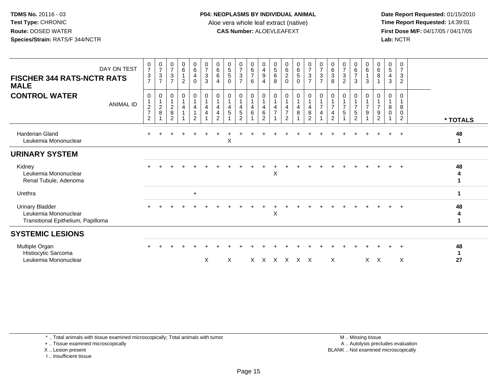**Date Report Requested:** 01/15/2010 **First Dose M/F:** 04/17/05 / 04/17/05<br>Lab: NCTR **Lab:** NCTR

| DAY ON TEST<br><b>FISCHER 344 RATS-NCTR RATS</b><br><b>MALE</b>                      | $\frac{0}{7}$<br>3<br>$\overline{7}$ | $\frac{0}{7}$<br>$\frac{3}{7}$                  | $\begin{array}{c} 0 \\ 7 \\ 3 \end{array}$<br>$\overline{7}$     | $\begin{matrix} 0 \\ 6 \end{matrix}$<br>$\overline{2}$ | $\begin{array}{c} 0 \\ 6 \\ 4 \end{array}$<br>$\mathbf 0$                         | $\begin{smallmatrix}0\\7\end{smallmatrix}$<br>$\mathbf{3}$<br>3 | 0<br>$\,6\,$<br>$\,6$<br>$\overline{4}$ | $\begin{array}{c} 0 \\ 5 \end{array}$<br>$\sqrt{5}$<br>$\mathbf 0$ | $\frac{0}{7}$<br>$\ensuremath{\mathsf{3}}$<br>$\overline{7}$        | 0<br>6<br>$\overline{7}$<br>6 | 0<br>$\overline{4}$<br>$\boldsymbol{9}$<br>4 | $\begin{array}{c} 0 \\ 5 \\ 6 \end{array}$<br>8       | 0620                                                    | $\begin{array}{c} 0 \\ 6 \\ 5 \end{array}$<br>$\mathbf 0$  | $\frac{0}{7}$<br>$\mathbf 3$<br>$\overline{7}$                                                        | $\frac{0}{7}$<br>$\mathbf{3}$<br>$\overline{7}$ | $\begin{matrix} 0 \\ 6 \\ 3 \end{matrix}$<br>8 | $\frac{0}{7}$<br>$\sqrt{3}$<br>$\overline{2}$ | 0<br>$6\overline{6}$<br>$\overline{7}$<br>3         | $\mathbf 0$<br>$\,6\,$<br>$\overline{1}$<br>3 | $\mathbf 0$<br>$\,6\,$<br>$\, 8$<br>1                      | 0<br>$\overline{5}$<br>$\overline{4}$<br>$\mathbf{3}$ | $\mathbf 0$<br>$\overline{7}$<br>3<br>$\overline{2}$ |                    |  |
|--------------------------------------------------------------------------------------|--------------------------------------|-------------------------------------------------|------------------------------------------------------------------|--------------------------------------------------------|-----------------------------------------------------------------------------------|-----------------------------------------------------------------|-----------------------------------------|--------------------------------------------------------------------|---------------------------------------------------------------------|-------------------------------|----------------------------------------------|-------------------------------------------------------|---------------------------------------------------------|------------------------------------------------------------|-------------------------------------------------------------------------------------------------------|-------------------------------------------------|------------------------------------------------|-----------------------------------------------|-----------------------------------------------------|-----------------------------------------------|------------------------------------------------------------|-------------------------------------------------------|------------------------------------------------------|--------------------|--|
| <b>CONTROL WATER</b><br><b>ANIMAL ID</b>                                             | 0<br>$\frac{2}{7}$<br>$\overline{2}$ | $\begin{array}{c} 0 \\ 1 \\ 2 \\ 8 \end{array}$ | $\begin{smallmatrix}0\\1\end{smallmatrix}$<br>$\frac{2}{8}$<br>2 | 0<br>4                                                 | $\begin{smallmatrix}0\\1\end{smallmatrix}$<br>4<br>$\mathbf{1}$<br>$\overline{2}$ | $\pmb{0}$<br>$\mathbf 1$<br>4<br>4                              | 0<br>4<br>4<br>2                        | $\boldsymbol{0}$<br>$\mathbf{1}$<br>4<br>$\sqrt{5}$                | 0<br>$\mathbf{1}$<br>$\overline{4}$<br>$\sqrt{5}$<br>$\overline{2}$ | 0<br>$\overline{1}$<br>4<br>6 | 0<br>4<br>6<br>2                             | 0<br>$\mathbf{1}$<br>$\overline{4}$<br>$\overline{7}$ | 0<br>$\overline{4}$<br>$\overline{7}$<br>$\overline{2}$ | $\begin{smallmatrix}0\\1\end{smallmatrix}$<br>4<br>$\bf 8$ | $\begin{smallmatrix}0\\1\end{smallmatrix}$<br>$\begin{array}{c} 4 \\ 8 \end{array}$<br>$\overline{2}$ | 0<br>$\overline{7}$<br>4                        | 0<br>$\overline{7}$<br>4<br>$\overline{c}$     | 0<br>$\overline{7}$<br>$\sqrt{5}$             | 0<br>$\overline{7}$<br>$\sqrt{5}$<br>$\overline{2}$ | 0<br>$\overline{7}$<br>9                      | 0<br>$\mathbf{1}$<br>$\overline{7}$<br>9<br>$\overline{2}$ | $\mathbf 0$<br>1<br>8<br>0                            | 0<br>8<br>0<br>$\overline{2}$                        | * TOTALS           |  |
| <b>Harderian Gland</b><br>Leukemia Mononuclear                                       |                                      |                                                 |                                                                  |                                                        |                                                                                   |                                                                 |                                         | X                                                                  |                                                                     |                               |                                              |                                                       |                                                         |                                                            |                                                                                                       |                                                 |                                                |                                               |                                                     |                                               |                                                            |                                                       | $\ddot{}$                                            | 48<br>$\mathbf{1}$ |  |
| <b>URINARY SYSTEM</b>                                                                |                                      |                                                 |                                                                  |                                                        |                                                                                   |                                                                 |                                         |                                                                    |                                                                     |                               |                                              |                                                       |                                                         |                                                            |                                                                                                       |                                                 |                                                |                                               |                                                     |                                               |                                                            |                                                       |                                                      |                    |  |
| Kidney<br>Leukemia Mononuclear<br>Renal Tubule, Adenoma                              |                                      |                                                 |                                                                  |                                                        |                                                                                   |                                                                 |                                         |                                                                    |                                                                     |                               |                                              | X                                                     |                                                         |                                                            |                                                                                                       |                                                 |                                                |                                               |                                                     |                                               |                                                            |                                                       | $\ddot{}$                                            | 48<br>4<br>1       |  |
| Urethra                                                                              |                                      |                                                 |                                                                  |                                                        | $+$                                                                               |                                                                 |                                         |                                                                    |                                                                     |                               |                                              |                                                       |                                                         |                                                            |                                                                                                       |                                                 |                                                |                                               |                                                     |                                               |                                                            |                                                       |                                                      | 1                  |  |
| <b>Urinary Bladder</b><br>Leukemia Mononuclear<br>Transitional Epithelium, Papilloma |                                      |                                                 |                                                                  |                                                        |                                                                                   |                                                                 |                                         |                                                                    |                                                                     |                               |                                              | X                                                     |                                                         |                                                            |                                                                                                       |                                                 |                                                |                                               |                                                     |                                               |                                                            |                                                       |                                                      | 48<br>4<br>1       |  |
| <b>SYSTEMIC LESIONS</b>                                                              |                                      |                                                 |                                                                  |                                                        |                                                                                   |                                                                 |                                         |                                                                    |                                                                     |                               |                                              |                                                       |                                                         |                                                            |                                                                                                       |                                                 |                                                |                                               |                                                     |                                               |                                                            |                                                       |                                                      |                    |  |
| Multiple Organ<br>Histiocytic Sarcoma<br>Leukemia Mononuclear                        |                                      |                                                 |                                                                  |                                                        |                                                                                   | X                                                               |                                         | X                                                                  |                                                                     |                               |                                              |                                                       | x x x x x x                                             |                                                            |                                                                                                       |                                                 | $\boldsymbol{\mathsf{X}}$                      |                                               |                                                     | $X \times$                                    |                                                            |                                                       | X                                                    | 48<br>1<br>27      |  |
|                                                                                      |                                      |                                                 |                                                                  |                                                        |                                                                                   |                                                                 |                                         |                                                                    |                                                                     |                               |                                              |                                                       |                                                         |                                                            |                                                                                                       |                                                 |                                                |                                               |                                                     |                                               |                                                            |                                                       |                                                      |                    |  |

\* .. Total animals with tissue examined microscopically; Total animals with tumor

+ .. Tissue examined microscopically

X .. Lesion present

I .. Insufficient tissue

 M .. Missing tissuey the contract of the contract of the contract of the contract of the contract of the contract of the contract of  $A$ . Autolysis precludes evaluation Lesion present BLANK .. Not examined microscopically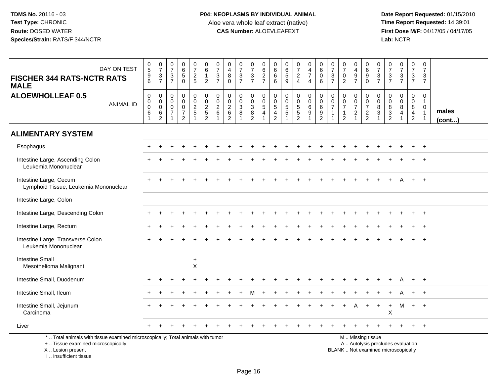**Date Report Requested:** 01/15/2010 **First Dose M/F:** 04/17/05 / 04/17/05<br>Lab: NCTR **Lab:** NCTR

| DAY ON TEST<br><b>FISCHER 344 RATS-NCTR RATS</b><br><b>MALE</b>                                                                                                       | $\begin{matrix} 0 \\ 5 \end{matrix}$<br>$\boldsymbol{9}$<br>6        | $\frac{0}{7}$<br>$\mathbf{3}$<br>$\overline{7}$                       | $\begin{smallmatrix}0\\7\end{smallmatrix}$<br>$\overline{3}$<br>$\overline{7}$ | $\begin{array}{c} 0 \\ 6 \\ 5 \end{array}$<br>$\overline{0}$                 | $\frac{0}{7}$<br>$\frac{2}{5}$    | $\begin{array}{c} 0 \\ 6 \end{array}$<br>$\mathbf{1}$<br>$\overline{2}$  | $\frac{0}{7}$<br>$\mathbf{3}$<br>$\overline{7}$                       | $\pmb{0}$<br>$\overline{4}$<br>8<br>$\Omega$                              | $\frac{0}{7}$<br>$\mathbf{3}$<br>$\overline{7}$                | $\begin{array}{c} 0 \\ 7 \end{array}$<br>$rac{3}{7}$                     | $\pmb{0}$<br>$\frac{6}{2}$                                                               | 0<br>$^6_{\ 6}$<br>6                                          | $\begin{matrix} 0 \\ 6 \\ 5 \end{matrix}$<br>9            | $\frac{0}{7}$<br>$\overline{2}$<br>$\overline{4}$   | 0<br>$\overline{4}$<br>$\overline{7}$<br>$\overline{4}$             | $\mathbf 0$<br>$^6_0$<br>$6\phantom{1}$                               | $\begin{array}{c} 0 \\ 7 \end{array}$<br>$\overline{3}$<br>$\overline{7}$        | $\begin{array}{c} 0 \\ 7 \end{array}$<br>$\pmb{0}$<br>2             | $\mathbf 0$<br>$\begin{array}{c} 4 \\ 9 \\ 7 \end{array}$                            | 0<br>6<br>$\boldsymbol{9}$<br>$\mathbf 0$                                                     | $\pmb{0}$<br>$\overline{7}$<br>$\mathsf 3$<br>$\overline{7}$                 | $\begin{smallmatrix}0\\7\end{smallmatrix}$<br>$\mathbf{3}$<br>$\overline{7}$ | $\frac{0}{7}$<br>$rac{1}{7}$                                                   | $\begin{smallmatrix}0\\7\end{smallmatrix}$<br>$\frac{3}{7}$ | $\pmb{0}$<br>$\overline{7}$<br>$\mathbf{3}$<br>$\overline{7}$              |                       |
|-----------------------------------------------------------------------------------------------------------------------------------------------------------------------|----------------------------------------------------------------------|-----------------------------------------------------------------------|--------------------------------------------------------------------------------|------------------------------------------------------------------------------|-----------------------------------|--------------------------------------------------------------------------|-----------------------------------------------------------------------|---------------------------------------------------------------------------|----------------------------------------------------------------|--------------------------------------------------------------------------|------------------------------------------------------------------------------------------|---------------------------------------------------------------|-----------------------------------------------------------|-----------------------------------------------------|---------------------------------------------------------------------|-----------------------------------------------------------------------|----------------------------------------------------------------------------------|---------------------------------------------------------------------|--------------------------------------------------------------------------------------|-----------------------------------------------------------------------------------------------|------------------------------------------------------------------------------|------------------------------------------------------------------------------|--------------------------------------------------------------------------------|-------------------------------------------------------------|----------------------------------------------------------------------------|-----------------------|
| <b>ALOEWHOLLEAF 0.5</b><br><b>ANIMAL ID</b>                                                                                                                           | $\mathbf 0$<br>$\mathbf 0$<br>$\mathbf 0$<br>$\,6\,$<br>$\mathbf{1}$ | $\mathbf 0$<br>$\mathbf 0$<br>$\boldsymbol{0}$<br>6<br>$\overline{c}$ | $\mathbf 0$<br>$\mathbf 0$<br>$\mathbf 0$<br>$\overline{7}$<br>$\overline{1}$  | 0<br>$\mathsf{O}$<br>$\mathsf{O}\xspace$<br>$\overline{7}$<br>$\overline{2}$ | 0<br>$\mathbf 0$<br>$\frac{2}{5}$ | $\mathbf 0$<br>$\mathbf 0$<br>$\begin{array}{c} 2 \\ 5 \\ 2 \end{array}$ | $\mathbf 0$<br>$\mathbf 0$<br>$\sqrt{2}$<br>$\,6\,$<br>$\overline{1}$ | $\mathbf 0$<br>$\mathbf 0$<br>$\overline{2}$<br>$\,6\,$<br>$\overline{2}$ | 0<br>$\mathsf{O}$<br>$\overline{3}$<br>$\,8\,$<br>$\mathbf{1}$ | $\mathbf 0$<br>$\mathbf 0$<br>$\begin{array}{c} 3 \\ 8 \\ 2 \end{array}$ | $\mathbf 0$<br>$\begin{array}{c} 0 \\ 5 \end{array}$<br>$\overline{4}$<br>$\overline{1}$ | $\mathbf 0$<br>$\mathbf 0$<br>$\overline{5}$<br>$\frac{4}{2}$ | $\pmb{0}$<br>$\pmb{0}$<br>$\frac{5}{5}$<br>$\overline{1}$ | 0<br>$\mathbf 0$<br>$\overline{5}$<br>$\frac{5}{2}$ | $\mathbf 0$<br>$\mathbf 0$<br>6<br>$\boldsymbol{9}$<br>$\mathbf{1}$ | $\mathbf 0$<br>$\mathsf{O}\xspace$<br>$\overline{6}$<br>$\frac{9}{2}$ | $\mathbf 0$<br>$\mathbf 0$<br>$\overline{7}$<br>$\overline{1}$<br>$\overline{1}$ | $\mathbf 0$<br>$\mathbf 0$<br>$\overline{7}$<br>1<br>$\overline{c}$ | $\mathbf 0$<br>$\mathbf 0$<br>$\boldsymbol{7}$<br>$\boldsymbol{2}$<br>$\overline{1}$ | $\mathbf 0$<br>$\mathbf 0$<br>$\overline{7}$<br>$\frac{2}{2}$                                 | $\mathbf 0$<br>$\mathbf 0$<br>8<br>$\ensuremath{\mathsf{3}}$<br>$\mathbf{1}$ | $\mathbf 0$<br>$\mathbf 0$<br>8<br>$\frac{3}{2}$                             | $\mathbf 0$<br>$\mathbf 0$<br>$\overline{8}$<br>$\overline{4}$<br>$\mathbf{1}$ | $\mathbf 0$<br>$\mathbf 0$<br>$_{4}^{8}$<br>$\overline{2}$  | $\mathbf 0$<br>$\mathbf{1}$<br>$\mathbf 0$<br>$\mathbf{1}$<br>$\mathbf{1}$ | males<br>$($ cont $)$ |
| <b>ALIMENTARY SYSTEM</b>                                                                                                                                              |                                                                      |                                                                       |                                                                                |                                                                              |                                   |                                                                          |                                                                       |                                                                           |                                                                |                                                                          |                                                                                          |                                                               |                                                           |                                                     |                                                                     |                                                                       |                                                                                  |                                                                     |                                                                                      |                                                                                               |                                                                              |                                                                              |                                                                                |                                                             |                                                                            |                       |
| Esophagus                                                                                                                                                             |                                                                      |                                                                       |                                                                                |                                                                              |                                   |                                                                          |                                                                       |                                                                           |                                                                |                                                                          |                                                                                          |                                                               |                                                           |                                                     |                                                                     |                                                                       |                                                                                  |                                                                     |                                                                                      |                                                                                               |                                                                              |                                                                              |                                                                                |                                                             |                                                                            |                       |
| Intestine Large, Ascending Colon<br>Leukemia Mononuclear                                                                                                              |                                                                      |                                                                       |                                                                                |                                                                              |                                   |                                                                          |                                                                       |                                                                           |                                                                |                                                                          |                                                                                          |                                                               |                                                           |                                                     |                                                                     |                                                                       |                                                                                  |                                                                     |                                                                                      |                                                                                               |                                                                              |                                                                              |                                                                                |                                                             |                                                                            |                       |
| Intestine Large, Cecum<br>Lymphoid Tissue, Leukemia Mononuclear                                                                                                       |                                                                      |                                                                       |                                                                                |                                                                              |                                   |                                                                          |                                                                       |                                                                           |                                                                |                                                                          |                                                                                          |                                                               |                                                           |                                                     |                                                                     |                                                                       |                                                                                  |                                                                     |                                                                                      |                                                                                               |                                                                              |                                                                              |                                                                                |                                                             | $+$                                                                        |                       |
| Intestine Large, Colon                                                                                                                                                |                                                                      |                                                                       |                                                                                |                                                                              |                                   |                                                                          |                                                                       |                                                                           |                                                                |                                                                          |                                                                                          |                                                               |                                                           |                                                     |                                                                     |                                                                       |                                                                                  |                                                                     |                                                                                      |                                                                                               |                                                                              |                                                                              |                                                                                |                                                             |                                                                            |                       |
| Intestine Large, Descending Colon                                                                                                                                     |                                                                      |                                                                       |                                                                                |                                                                              |                                   |                                                                          |                                                                       |                                                                           |                                                                |                                                                          |                                                                                          |                                                               |                                                           |                                                     |                                                                     |                                                                       |                                                                                  |                                                                     |                                                                                      |                                                                                               |                                                                              |                                                                              |                                                                                |                                                             | $+$                                                                        |                       |
| Intestine Large, Rectum                                                                                                                                               |                                                                      |                                                                       |                                                                                |                                                                              |                                   |                                                                          |                                                                       |                                                                           |                                                                |                                                                          |                                                                                          |                                                               |                                                           |                                                     |                                                                     |                                                                       |                                                                                  |                                                                     |                                                                                      |                                                                                               |                                                                              |                                                                              |                                                                                |                                                             |                                                                            |                       |
| Intestine Large, Transverse Colon<br>Leukemia Mononuclear                                                                                                             |                                                                      |                                                                       |                                                                                |                                                                              |                                   |                                                                          |                                                                       |                                                                           |                                                                |                                                                          |                                                                                          |                                                               |                                                           |                                                     |                                                                     |                                                                       |                                                                                  |                                                                     |                                                                                      |                                                                                               |                                                                              |                                                                              |                                                                                |                                                             |                                                                            |                       |
| <b>Intestine Small</b><br>Mesothelioma Malignant                                                                                                                      |                                                                      |                                                                       |                                                                                |                                                                              | $\ddot{}$<br>X                    |                                                                          |                                                                       |                                                                           |                                                                |                                                                          |                                                                                          |                                                               |                                                           |                                                     |                                                                     |                                                                       |                                                                                  |                                                                     |                                                                                      |                                                                                               |                                                                              |                                                                              |                                                                                |                                                             |                                                                            |                       |
| Intestine Small, Duodenum                                                                                                                                             |                                                                      |                                                                       |                                                                                |                                                                              |                                   |                                                                          |                                                                       |                                                                           |                                                                |                                                                          |                                                                                          |                                                               |                                                           |                                                     |                                                                     |                                                                       |                                                                                  |                                                                     |                                                                                      |                                                                                               |                                                                              |                                                                              |                                                                                |                                                             | $+$                                                                        |                       |
| Intestine Small, Ileum                                                                                                                                                |                                                                      |                                                                       |                                                                                |                                                                              |                                   |                                                                          |                                                                       |                                                                           |                                                                |                                                                          |                                                                                          |                                                               |                                                           |                                                     |                                                                     |                                                                       |                                                                                  |                                                                     |                                                                                      |                                                                                               |                                                                              |                                                                              |                                                                                |                                                             | $^{+}$                                                                     |                       |
| Intestine Small, Jejunum<br>Carcinoma                                                                                                                                 |                                                                      |                                                                       |                                                                                |                                                                              |                                   |                                                                          |                                                                       |                                                                           |                                                                |                                                                          |                                                                                          |                                                               |                                                           |                                                     |                                                                     |                                                                       |                                                                                  |                                                                     |                                                                                      | $+$                                                                                           | $+$                                                                          | $\ddot{}$<br>X                                                               | M                                                                              | $+$                                                         | $+$                                                                        |                       |
| Liver                                                                                                                                                                 |                                                                      |                                                                       |                                                                                |                                                                              |                                   |                                                                          |                                                                       |                                                                           |                                                                |                                                                          |                                                                                          |                                                               |                                                           |                                                     |                                                                     |                                                                       |                                                                                  |                                                                     |                                                                                      |                                                                                               |                                                                              |                                                                              |                                                                                |                                                             | $+$                                                                        |                       |
| *  Total animals with tissue examined microscopically; Total animals with tumor<br>+  Tissue examined microscopically<br>X  Lesion present<br>I., Insufficient tissue |                                                                      |                                                                       |                                                                                |                                                                              |                                   |                                                                          |                                                                       |                                                                           |                                                                |                                                                          |                                                                                          |                                                               |                                                           |                                                     |                                                                     |                                                                       |                                                                                  |                                                                     |                                                                                      | M. Missing tissue<br>A  Autolysis precludes evaluation<br>BLANK  Not examined microscopically |                                                                              |                                                                              |                                                                                |                                                             |                                                                            |                       |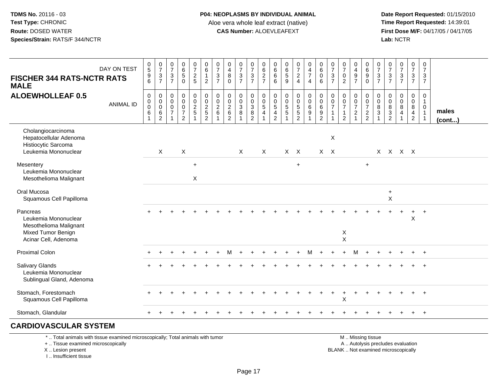**Date Report Requested:** 01/15/2010 **First Dose M/F:** 04/17/05 / 04/17/05<br>Lab: NCTR **Lab:** NCTR

| <b>FISCHER 344 RATS-NCTR RATS</b><br><b>MALE</b>                                                         | DAY ON TEST      | $\begin{array}{c} 0 \\ 5 \end{array}$<br>$\begin{array}{c} 9 \\ 6 \end{array}$ | $\frac{0}{7}$<br>$\frac{3}{7}$               | $\begin{matrix} 0 \\ 7 \end{matrix}$<br>$\sqrt{3}$<br>$\overline{7}$                  | $\begin{array}{c} 0 \\ 6 \end{array}$<br>$\sqrt{5}$<br>$\Omega$               | $\frac{0}{7}$<br>$rac{2}{5}$      | $\begin{matrix} 0 \\ 6 \\ 1 \end{matrix}$<br>$\overline{2}$ | $\begin{array}{c} 0 \\ 7 \end{array}$<br>$\ensuremath{\mathsf{3}}$<br>$\overline{7}$ | $\begin{array}{c} 0 \\ 4 \\ 8 \end{array}$<br>$\mathbf 0$   | $\frac{0}{7}$<br>$\frac{3}{7}$                        | $\frac{0}{7}$<br>$\mathsf 3$<br>$\overline{7}$   | 0<br>$\,6$<br>$\frac{2}{7}$                                    | $0$<br>6<br>6<br>6                                                   | 0<br>5<br>5<br>9                                          | $\frac{0}{7}$<br>4    | $\begin{array}{c} 0 \\ 4 \\ 7 \end{array}$<br>$\overline{4}$ | $\begin{array}{c} 0 \\ 6 \end{array}$<br>$\mathbf 0$<br>$\,6\,$ | $\frac{0}{7}$<br>$\mathbf{3}$<br>$\overline{7}$       | $\begin{smallmatrix} 0\\7\\0 \end{smallmatrix}$<br>$\overline{2}$           | $\begin{array}{c} 0 \\ 4 \\ 9 \\ 7 \end{array}$              | $\begin{bmatrix} 0 \\ 6 \\ 9 \\ 0 \end{bmatrix}$           | $\frac{0}{7}$<br>$\frac{3}{7}$                    | $\frac{0}{7}$<br>$\frac{3}{7}$            | $\frac{0}{7}$<br>$\frac{3}{7}$                                          | $\frac{0}{7}$<br>$\frac{3}{7}$                                                      | $\frac{0}{7}$<br>$\frac{3}{7}$                                                                   |                       |
|----------------------------------------------------------------------------------------------------------|------------------|--------------------------------------------------------------------------------|----------------------------------------------|---------------------------------------------------------------------------------------|-------------------------------------------------------------------------------|-----------------------------------|-------------------------------------------------------------|--------------------------------------------------------------------------------------|-------------------------------------------------------------|-------------------------------------------------------|--------------------------------------------------|----------------------------------------------------------------|----------------------------------------------------------------------|-----------------------------------------------------------|-----------------------|--------------------------------------------------------------|-----------------------------------------------------------------|-------------------------------------------------------|-----------------------------------------------------------------------------|--------------------------------------------------------------|------------------------------------------------------------|---------------------------------------------------|-------------------------------------------|-------------------------------------------------------------------------|-------------------------------------------------------------------------------------|--------------------------------------------------------------------------------------------------|-----------------------|
| <b>ALOEWHOLLEAF 0.5</b>                                                                                  | <b>ANIMAL ID</b> | $\pmb{0}$<br>$\mathbf 0$<br>$\mathbf 0$<br>$6\phantom{1}$                      | $\pmb{0}$<br>$\overline{0}$<br>$\frac{6}{2}$ | $\mathbf 0$<br>$\boldsymbol{0}$<br>$\boldsymbol{0}$<br>$\overline{7}$<br>$\mathbf{1}$ | $\pmb{0}$<br>$\mathbf 0$<br>$\mathbf 0$<br>$\boldsymbol{7}$<br>$\overline{2}$ | $_{\rm 0}^{\rm 0}$<br>$rac{2}{5}$ | 000252                                                      | $\pmb{0}$<br>$\pmb{0}$<br>$\overline{c}$<br>$\,6\,$                                  | $\pmb{0}$<br>$\mathbf 0$<br>$\frac{2}{6}$<br>$\overline{2}$ | $\mathbf 0$<br>$\pmb{0}$<br>$\sqrt{3}$<br>$\bf8$<br>1 | 0<br>$\mathbf 0$<br>$\mathsf 3$<br>$\frac{8}{2}$ | 0<br>$\mathbf 0$<br>$\sqrt{5}$<br>$\overline{\mathbf{4}}$<br>1 | 0<br>$\pmb{0}$<br>$5\,$<br>$\overline{\mathbf{4}}$<br>$\overline{c}$ | $\pmb{0}$<br>$\pmb{0}$<br>$\frac{5}{5}$<br>$\overline{1}$ | 0<br>0<br>5<br>5<br>2 | $\begin{smallmatrix}0\0\0\0\end{smallmatrix}$                | $\begin{smallmatrix}0\0\0\6\end{smallmatrix}$<br>$\frac{9}{2}$  | 0<br>$\pmb{0}$<br>$\overline{7}$<br>$\mathbf{1}$<br>1 | $\begin{matrix} 0 \\ 0 \\ 7 \end{matrix}$<br>$\mathbf{1}$<br>$\overline{2}$ | 0<br>$\mathsf{O}\xspace$<br>$\overline{7}$<br>$\overline{c}$ | $\begin{matrix} 0 \\ 0 \\ 7 \end{matrix}$<br>$\frac{2}{2}$ | $\mathbf 0$<br>$\pmb{0}$<br>$\bf 8$<br>$\sqrt{3}$ | $\mathbf 0$<br>$\pmb{0}$<br>$\frac{8}{3}$ | $\mathbf 0$<br>$\mathbf 0$<br>$\bf 8$<br>$\overline{4}$<br>$\mathbf{1}$ | 0<br>$\mathsf{O}\xspace$<br>$\begin{array}{c} 8 \\ 4 \end{array}$<br>$\overline{2}$ | $\begin{smallmatrix}0\\1\end{smallmatrix}$<br>$\boldsymbol{0}$<br>$\overline{1}$<br>$\mathbf{1}$ | males<br>$($ cont $)$ |
| Cholangiocarcinoma<br>Hepatocellular Adenoma<br>Histiocytic Sarcoma<br>Leukemia Mononuclear              |                  |                                                                                | $\times$                                     |                                                                                       | $\sf X$                                                                       |                                   |                                                             |                                                                                      |                                                             | $\mathsf{X}$                                          |                                                  | $\mathsf{X}$                                                   |                                                                      |                                                           | $X$ $X$               |                                                              |                                                                 | $\boldsymbol{\mathsf{X}}$<br>$X$ $X$                  |                                                                             |                                                              |                                                            |                                                   |                                           | X X X X                                                                 |                                                                                     |                                                                                                  |                       |
| Mesentery<br>Leukemia Mononuclear<br>Mesothelioma Malignant                                              |                  |                                                                                |                                              |                                                                                       |                                                                               | $+$<br>X                          |                                                             |                                                                                      |                                                             |                                                       |                                                  |                                                                |                                                                      |                                                           | $+$                   |                                                              |                                                                 |                                                       |                                                                             |                                                              | $+$                                                        |                                                   |                                           |                                                                         |                                                                                     |                                                                                                  |                       |
| Oral Mucosa<br>Squamous Cell Papilloma                                                                   |                  |                                                                                |                                              |                                                                                       |                                                                               |                                   |                                                             |                                                                                      |                                                             |                                                       |                                                  |                                                                |                                                                      |                                                           |                       |                                                              |                                                                 |                                                       |                                                                             |                                                              |                                                            |                                                   | $+$<br>$\boldsymbol{\mathsf{X}}$          |                                                                         |                                                                                     |                                                                                                  |                       |
| Pancreas<br>Leukemia Mononuclear<br>Mesothelioma Malignant<br>Mixed Tumor Benign<br>Acinar Cell, Adenoma |                  |                                                                                |                                              |                                                                                       |                                                                               |                                   |                                                             |                                                                                      |                                                             |                                                       |                                                  |                                                                |                                                                      |                                                           |                       |                                                              |                                                                 |                                                       | X<br>X                                                                      |                                                              |                                                            |                                                   |                                           |                                                                         | $\sf X$                                                                             | $\ddot{}$                                                                                        |                       |
| <b>Proximal Colon</b>                                                                                    |                  |                                                                                |                                              |                                                                                       |                                                                               |                                   |                                                             |                                                                                      |                                                             |                                                       |                                                  |                                                                |                                                                      |                                                           |                       |                                                              |                                                                 |                                                       |                                                                             |                                                              |                                                            |                                                   |                                           |                                                                         |                                                                                     |                                                                                                  |                       |
| <b>Salivary Glands</b><br>Leukemia Mononuclear<br>Sublingual Gland, Adenoma                              |                  |                                                                                |                                              |                                                                                       |                                                                               |                                   |                                                             |                                                                                      |                                                             |                                                       |                                                  |                                                                |                                                                      |                                                           |                       |                                                              |                                                                 |                                                       |                                                                             |                                                              |                                                            |                                                   |                                           |                                                                         |                                                                                     |                                                                                                  |                       |
| Stomach, Forestomach<br>Squamous Cell Papilloma                                                          |                  |                                                                                |                                              |                                                                                       |                                                                               |                                   |                                                             |                                                                                      |                                                             |                                                       |                                                  |                                                                |                                                                      |                                                           |                       |                                                              |                                                                 |                                                       | $\pmb{\times}$                                                              |                                                              |                                                            |                                                   |                                           |                                                                         |                                                                                     |                                                                                                  |                       |
| Stomach, Glandular                                                                                       |                  | $+$                                                                            |                                              |                                                                                       |                                                                               |                                   |                                                             |                                                                                      |                                                             |                                                       |                                                  |                                                                |                                                                      |                                                           |                       |                                                              |                                                                 |                                                       |                                                                             |                                                              |                                                            |                                                   |                                           |                                                                         | $\ddot{}$                                                                           | $+$                                                                                              |                       |
| <b>CARDIOVASCULAR SYSTEM</b>                                                                             |                  |                                                                                |                                              |                                                                                       |                                                                               |                                   |                                                             |                                                                                      |                                                             |                                                       |                                                  |                                                                |                                                                      |                                                           |                       |                                                              |                                                                 |                                                       |                                                                             |                                                              |                                                            |                                                   |                                           |                                                                         |                                                                                     |                                                                                                  |                       |

\* .. Total animals with tissue examined microscopically; Total animals with tumor

+ .. Tissue examined microscopically

X .. Lesion present

I .. Insufficient tissue

 M .. Missing tissuey the contract of the contract of the contract of the contract of the contract of the contract of the contract of  $A$ . Autolysis precludes evaluation Lesion present BLANK .. Not examined microscopically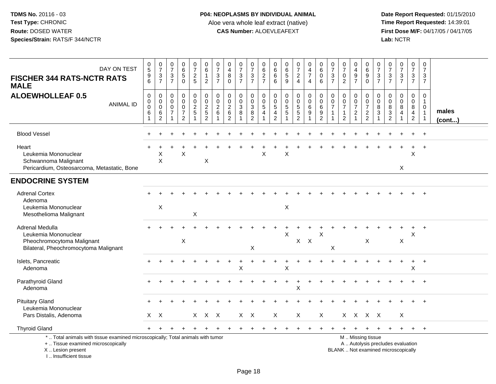**Date Report Requested:** 01/15/2010 **First Dose M/F:** 04/17/05 / 04/17/05<br>Lab: NCTR **Lab:** NCTR

| DAY ON TEST<br><b>FISCHER 344 RATS-NCTR RATS</b><br><b>MALE</b>                                                                            | $\begin{array}{c} 0 \\ 5 \end{array}$<br>$\boldsymbol{9}$<br>6 | 0<br>$\overline{7}$<br>$\mathbf{3}$<br>$\overline{7}$            | $\frac{0}{7}$<br>$\ensuremath{\mathsf{3}}$<br>$\overline{7}$ | $\begin{array}{c} 0 \\ 6 \\ 5 \end{array}$<br>$\mathbf 0$           | 0<br>$\overline{7}$<br>$\mathbf 2$<br>$\overline{5}$ | 0<br>$\,6\,$<br>$\mathbf{1}$<br>$\overline{2}$ | 0<br>$\overline{7}$<br>$\mathbf{3}$<br>$\overline{7}$ | 0<br>$\overline{4}$<br>$\, 8$<br>$\mathbf 0$                                   | $\frac{0}{7}$<br>$\ensuremath{\mathsf{3}}$<br>$\overline{7}$ | 0<br>$\overline{7}$<br>$\mathfrak{S}$<br>$\overline{7}$     | 0<br>$\,6\,$<br>$\overline{2}$<br>$\overline{7}$ | 0<br>$\,6\,$<br>$6\phantom{a}$<br>6                                | 0<br>$\overline{6}$<br>$\overline{5}$<br>9               | 0<br>$\overline{7}$<br>$\overline{2}$<br>$\overline{4}$ | 0<br>$\frac{4}{7}$<br>$\overline{4}$                           | 0<br>$\overline{6}$<br>$\ddot{\mathbf{0}}$<br>6                    | 0<br>$\overline{7}$<br>3<br>$\overline{7}$ | $\frac{0}{7}$<br>$\pmb{0}$<br>$\overline{2}$                                | 0<br>$\overline{4}$<br>$\boldsymbol{9}$<br>$\overline{7}$ | 0<br>$\,6\,$<br>$\overline{9}$<br>$\mathbf 0$                                                 | 0<br>$\overline{7}$<br>$\ensuremath{\mathsf{3}}$<br>$\overline{7}$ | $\frac{0}{7}$<br>$\ensuremath{\mathsf{3}}$<br>$\overline{7}$ | $\frac{0}{7}$<br>$\ensuremath{\mathsf{3}}$<br>$\overline{7}$ | 0<br>$\overline{7}$<br>$\sqrt{3}$<br>$\overline{7}$    | $\mathbf 0$<br>$\overline{7}$<br>3<br>$\overline{7}$                         |                       |
|--------------------------------------------------------------------------------------------------------------------------------------------|----------------------------------------------------------------|------------------------------------------------------------------|--------------------------------------------------------------|---------------------------------------------------------------------|------------------------------------------------------|------------------------------------------------|-------------------------------------------------------|--------------------------------------------------------------------------------|--------------------------------------------------------------|-------------------------------------------------------------|--------------------------------------------------|--------------------------------------------------------------------|----------------------------------------------------------|---------------------------------------------------------|----------------------------------------------------------------|--------------------------------------------------------------------|--------------------------------------------|-----------------------------------------------------------------------------|-----------------------------------------------------------|-----------------------------------------------------------------------------------------------|--------------------------------------------------------------------|--------------------------------------------------------------|--------------------------------------------------------------|--------------------------------------------------------|------------------------------------------------------------------------------|-----------------------|
| <b>ALOEWHOLLEAF 0.5</b><br><b>ANIMAL ID</b>                                                                                                | $\pmb{0}$<br>$\pmb{0}$<br>$\mathbf 0$<br>6<br>$\mathbf{1}$     | $\mathbf 0$<br>$\mathbf 0$<br>$\mathsf 0$<br>6<br>$\overline{c}$ | $\mathbf 0$<br>$\mathbf 0$<br>$\mathbf 0$<br>$\overline{7}$  | 0<br>$\mathbf 0$<br>$\mathbf 0$<br>$\overline{7}$<br>$\overline{2}$ | 0<br>$\frac{0}{2}$                                   | 00025<br>$\overline{2}$                        | 0<br>$\mathbf 0$<br>$\overline{c}$<br>6<br>1          | $\mathbf 0$<br>$\boldsymbol{0}$<br>$\overline{c}$<br>$\,6\,$<br>$\overline{2}$ | 0<br>$\mathsf{O}\xspace$<br>3<br>8                           | 0<br>$\mathbf 0$<br>$\sqrt{3}$<br>$\bf 8$<br>$\overline{2}$ | $\mathbf 0$<br>$\mathsf 0$<br>$\sqrt{5}$<br>4    | 0<br>$\mathbf 0$<br>$\sqrt{5}$<br>$\overline{4}$<br>$\overline{2}$ | $\mathbf 0$<br>$\pmb{0}$<br>$\overline{5}$<br>$\sqrt{5}$ | 0<br>$\mathbf 0$<br>$\sqrt{5}$<br>5<br>$\overline{c}$   | $\pmb{0}$<br>$\frac{0}{6}$<br>$\boldsymbol{9}$<br>$\mathbf{1}$ | 0<br>$\mathsf{O}\xspace$<br>$6\phantom{1}6$<br>9<br>$\overline{2}$ | $\mathbf 0$<br>0<br>$\overline{7}$         | 0<br>$\begin{array}{c} 0 \\ 7 \end{array}$<br>$\mathbf 1$<br>$\overline{2}$ | 0<br>$\pmb{0}$<br>$\overline{7}$<br>$\overline{c}$<br>1   | $\mathbf 0$<br>$\mathbf 0$<br>$\overline{7}$<br>$\frac{2}{2}$                                 | $\Omega$<br>$\mathbf 0$<br>8<br>3                                  | 0<br>$\Omega$<br>8<br>$\sqrt{3}$<br>$\overline{2}$           | 0<br>$\pmb{0}$<br>8<br>4                                     | $\mathbf 0$<br>$\mathbf 0$<br>8<br>4<br>$\overline{2}$ | $\mathbf 0$<br>$\overline{1}$<br>$\mathbf 0$<br>$\mathbf{1}$<br>$\mathbf{1}$ | males<br>$($ cont $)$ |
| <b>Blood Vessel</b>                                                                                                                        |                                                                |                                                                  |                                                              |                                                                     |                                                      |                                                |                                                       |                                                                                |                                                              |                                                             |                                                  |                                                                    |                                                          |                                                         |                                                                |                                                                    |                                            |                                                                             |                                                           |                                                                                               |                                                                    |                                                              |                                                              |                                                        | $\div$                                                                       |                       |
| Heart<br>Leukemia Mononuclear<br>Schwannoma Malignant<br>Pericardium, Osteosarcoma, Metastatic, Bone                                       |                                                                | Χ<br>X                                                           |                                                              | X                                                                   |                                                      | X                                              |                                                       |                                                                                |                                                              |                                                             | X                                                |                                                                    | X                                                        |                                                         |                                                                |                                                                    |                                            |                                                                             |                                                           |                                                                                               |                                                                    |                                                              | X                                                            | X                                                      |                                                                              |                       |
| <b>ENDOCRINE SYSTEM</b>                                                                                                                    |                                                                |                                                                  |                                                              |                                                                     |                                                      |                                                |                                                       |                                                                                |                                                              |                                                             |                                                  |                                                                    |                                                          |                                                         |                                                                |                                                                    |                                            |                                                                             |                                                           |                                                                                               |                                                                    |                                                              |                                                              |                                                        |                                                                              |                       |
| <b>Adrenal Cortex</b><br>Adenoma<br>Leukemia Mononuclear<br>Mesothelioma Malignant                                                         |                                                                | X                                                                |                                                              |                                                                     | X                                                    |                                                |                                                       |                                                                                |                                                              |                                                             |                                                  |                                                                    | $\boldsymbol{\mathsf{X}}$                                |                                                         |                                                                |                                                                    |                                            |                                                                             |                                                           |                                                                                               |                                                                    |                                                              |                                                              |                                                        | $+$                                                                          |                       |
| Adrenal Medulla<br>Leukemia Mononuclear<br>Pheochromocytoma Malignant<br>Bilateral, Pheochromocytoma Malignant                             |                                                                |                                                                  |                                                              | X                                                                   |                                                      |                                                |                                                       |                                                                                |                                                              | X                                                           |                                                  |                                                                    | X                                                        |                                                         | $X$ $X$                                                        | X                                                                  | X                                          |                                                                             |                                                           | $\boldsymbol{\mathsf{X}}$                                                                     |                                                                    |                                                              | X                                                            | X                                                      | $+$                                                                          |                       |
| Islets, Pancreatic<br>Adenoma                                                                                                              |                                                                |                                                                  |                                                              |                                                                     |                                                      |                                                |                                                       |                                                                                | X                                                            |                                                             |                                                  |                                                                    | X                                                        |                                                         |                                                                |                                                                    |                                            |                                                                             |                                                           |                                                                                               |                                                                    |                                                              |                                                              | $\ddot{}$<br>X                                         | $^{+}$                                                                       |                       |
| Parathyroid Gland<br>Adenoma                                                                                                               |                                                                |                                                                  |                                                              |                                                                     |                                                      |                                                |                                                       |                                                                                |                                                              |                                                             |                                                  |                                                                    |                                                          | Χ                                                       |                                                                |                                                                    |                                            |                                                                             |                                                           |                                                                                               |                                                                    |                                                              |                                                              |                                                        |                                                                              |                       |
| <b>Pituitary Gland</b><br>Leukemia Mononuclear<br>Pars Distalis, Adenoma                                                                   | X.                                                             | $\mathsf{X}$                                                     |                                                              |                                                                     |                                                      | X X X                                          |                                                       |                                                                                |                                                              | $X$ $X$                                                     |                                                  | X                                                                  |                                                          | Χ                                                       |                                                                | X                                                                  |                                            |                                                                             |                                                           | X X X X                                                                                       |                                                                    |                                                              | X                                                            |                                                        |                                                                              |                       |
| <b>Thyroid Gland</b>                                                                                                                       | $+$                                                            |                                                                  |                                                              |                                                                     |                                                      |                                                |                                                       |                                                                                |                                                              |                                                             |                                                  |                                                                    |                                                          |                                                         |                                                                |                                                                    |                                            |                                                                             |                                                           |                                                                                               |                                                                    | $\pm$                                                        | $+$                                                          | $+$                                                    | $+$                                                                          |                       |
| *  Total animals with tissue examined microscopically; Total animals with tumor<br>+  Tissue examined microscopically<br>X  Lesion present |                                                                |                                                                  |                                                              |                                                                     |                                                      |                                                |                                                       |                                                                                |                                                              |                                                             |                                                  |                                                                    |                                                          |                                                         |                                                                |                                                                    |                                            |                                                                             |                                                           | M  Missing tissue<br>A  Autolysis precludes evaluation<br>BLANK  Not examined microscopically |                                                                    |                                                              |                                                              |                                                        |                                                                              |                       |

I .. Insufficient tissue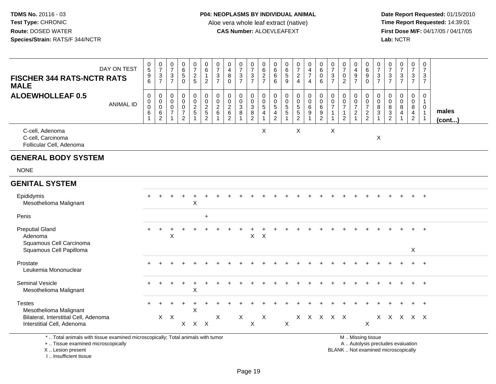**Date Report Requested:** 01/15/2010 **First Dose M/F:** 04/17/05 / 04/17/05<br>Lab: NCTR **Lab:** NCTR

| DAY ON TEST<br><b>FISCHER 344 RATS-NCTR RATS</b><br><b>MALE</b>                                                       | $\begin{array}{c} 0 \\ 5 \end{array}$<br>$\frac{9}{6}$  | $\begin{array}{c} 0 \\ 7 \end{array}$<br>$\frac{3}{7}$ | $\frac{0}{7}$<br>3<br>$\overline{7}$                        | $\begin{array}{c} 0 \\ 6 \end{array}$<br>$\overline{5}$<br>$\Omega$     | $\begin{smallmatrix}0\\7\end{smallmatrix}$<br>$rac{2}{5}$ | 0<br>$\,6$<br>$\mathbf{1}$<br>$\overline{2}$ | $\frac{0}{7}$<br>3<br>$\overline{7}$                              | 0<br>$\overline{4}$<br>8<br>$\Omega$   | $\frac{0}{7}$<br>$\frac{3}{7}$ | $\begin{smallmatrix}0\\7\end{smallmatrix}$<br>$\mathbf{3}$<br>$\overline{7}$ | 0<br>$\overline{6}$<br>$\frac{2}{7}$                           | 0<br>6<br>$6\phantom{1}6$<br>6                        | 0<br>$\,6\,$<br>$\sqrt{5}$<br>9                                   | $\frac{0}{7}$<br>$\frac{2}{4}$                                            | $\begin{smallmatrix}0\\4\end{smallmatrix}$<br>$\overline{7}$<br>$\overline{4}$ | $\begin{array}{c} 0 \\ 6 \end{array}$<br>$\mathbf 0$<br>$6\phantom{a}$ | $\frac{0}{7}$<br>$\mathbf{3}$<br>$\overline{7}$ | $\frac{0}{7}$<br>$\pmb{0}$<br>$\overline{2}$                                           | 0<br>$\overline{\mathbf{4}}$<br>$\boldsymbol{9}$<br>$\overline{7}$ | 0<br>$6\overline{6}$<br>9<br>$\mathbf 0$               | $\frac{0}{7}$<br>3<br>$\overline{7}$ | $\frac{0}{7}$<br>$\frac{3}{7}$                                    | $\frac{0}{7}$<br>$\frac{3}{7}$                                | $\frac{0}{7}$<br>$\mathbf{3}$<br>$\overline{7}$           | 0<br>$\overline{7}$<br>3<br>$\overline{7}$                                  |                       |
|-----------------------------------------------------------------------------------------------------------------------|---------------------------------------------------------|--------------------------------------------------------|-------------------------------------------------------------|-------------------------------------------------------------------------|-----------------------------------------------------------|----------------------------------------------|-------------------------------------------------------------------|----------------------------------------|--------------------------------|------------------------------------------------------------------------------|----------------------------------------------------------------|-------------------------------------------------------|-------------------------------------------------------------------|---------------------------------------------------------------------------|--------------------------------------------------------------------------------|------------------------------------------------------------------------|-------------------------------------------------|----------------------------------------------------------------------------------------|--------------------------------------------------------------------|--------------------------------------------------------|--------------------------------------|-------------------------------------------------------------------|---------------------------------------------------------------|-----------------------------------------------------------|-----------------------------------------------------------------------------|-----------------------|
| <b>ALOEWHOLLEAF 0.5</b><br><b>ANIMAL ID</b>                                                                           | $\pmb{0}$<br>0<br>$\overline{0}$<br>6<br>$\overline{1}$ | $\pmb{0}$                                              | $\mathbf 0$<br>$\mathbf 0$<br>$\mathbf 0$<br>$\overline{7}$ | $\pmb{0}$<br>$\pmb{0}$<br>$\pmb{0}$<br>$\overline{7}$<br>$\overline{2}$ | $\pmb{0}$<br>$\frac{0}{2}$                                | $\pmb{0}$<br>$\frac{0}{2}$<br>$\overline{2}$ | $\pmb{0}$<br>$\mathbf 0$<br>$\begin{array}{c} 2 \\ 6 \end{array}$ | $\mathbf 0$<br>0<br>$\frac{2}{6}$<br>2 | $\pmb{0}$<br>$\frac{0}{3}$     | 0<br>$\frac{0}{3}$<br>$\overline{2}$                                         | $\pmb{0}$<br>$\frac{0}{5}$<br>$\overline{a}$<br>$\overline{1}$ | $\mathbf 0$<br>0<br>$\sqrt{5}$<br>4<br>$\overline{2}$ | $\pmb{0}$<br>$\mathbf 0$<br>$\overline{5}$<br>5<br>$\overline{1}$ | $\pmb{0}$<br>$\begin{array}{c} 0 \\ 5 \\ 5 \end{array}$<br>$\overline{2}$ | $\begin{smallmatrix}0\0\0\6\end{smallmatrix}$<br>$\boldsymbol{9}$              | $\pmb{0}$<br>$069$<br>2                                                | $\mathbf 0$<br>$\pmb{0}$<br>$\overline{7}$      | $\mathbf 0$<br>$\begin{array}{c} 0 \\ 7 \end{array}$<br>$\mathbf{1}$<br>$\overline{2}$ | 0<br>$\frac{0}{7}$<br>$\sqrt{2}$                                   | $\boldsymbol{0}$<br>$\frac{0}{7}$<br>$\frac{2}{2}$     | $\mathbf 0$<br>$\mathbf 0$<br>8<br>3 | $\mathbf 0$<br>$\pmb{0}$<br>8<br>$\overline{3}$<br>$\overline{2}$ | $\mathsf{O}$<br>$\pmb{0}$<br>$\overline{8}$<br>$\overline{4}$ | 0<br>$_{8}^{\rm 0}$<br>$\overline{4}$<br>$\boldsymbol{2}$ | $\mathbf 0$<br>$\mathbf{1}$<br>$\mathbf 0$<br>$\overline{1}$<br>$\mathbf 1$ | males<br>$($ cont $)$ |
| C-cell, Adenoma<br>C-cell, Carcinoma<br>Follicular Cell, Adenoma                                                      |                                                         |                                                        |                                                             |                                                                         |                                                           |                                              |                                                                   |                                        |                                |                                                                              | X                                                              |                                                       |                                                                   | X                                                                         |                                                                                |                                                                        | X                                               |                                                                                        |                                                                    |                                                        | $\boldsymbol{\mathsf{X}}$            |                                                                   |                                                               |                                                           |                                                                             |                       |
| <b>GENERAL BODY SYSTEM</b>                                                                                            |                                                         |                                                        |                                                             |                                                                         |                                                           |                                              |                                                                   |                                        |                                |                                                                              |                                                                |                                                       |                                                                   |                                                                           |                                                                                |                                                                        |                                                 |                                                                                        |                                                                    |                                                        |                                      |                                                                   |                                                               |                                                           |                                                                             |                       |
| <b>NONE</b>                                                                                                           |                                                         |                                                        |                                                             |                                                                         |                                                           |                                              |                                                                   |                                        |                                |                                                                              |                                                                |                                                       |                                                                   |                                                                           |                                                                                |                                                                        |                                                 |                                                                                        |                                                                    |                                                        |                                      |                                                                   |                                                               |                                                           |                                                                             |                       |
| <b>GENITAL SYSTEM</b>                                                                                                 |                                                         |                                                        |                                                             |                                                                         |                                                           |                                              |                                                                   |                                        |                                |                                                                              |                                                                |                                                       |                                                                   |                                                                           |                                                                                |                                                                        |                                                 |                                                                                        |                                                                    |                                                        |                                      |                                                                   |                                                               |                                                           |                                                                             |                       |
| Epididymis<br>Mesothelioma Malignant                                                                                  |                                                         |                                                        |                                                             |                                                                         | X                                                         |                                              |                                                                   |                                        |                                |                                                                              |                                                                |                                                       |                                                                   |                                                                           |                                                                                |                                                                        |                                                 |                                                                                        |                                                                    |                                                        |                                      |                                                                   |                                                               |                                                           | $+$                                                                         |                       |
| Penis                                                                                                                 |                                                         |                                                        |                                                             |                                                                         |                                                           | $+$                                          |                                                                   |                                        |                                |                                                                              |                                                                |                                                       |                                                                   |                                                                           |                                                                                |                                                                        |                                                 |                                                                                        |                                                                    |                                                        |                                      |                                                                   |                                                               |                                                           |                                                                             |                       |
| <b>Preputial Gland</b><br>Adenoma<br>Squamous Cell Carcinoma<br>Squamous Cell Papilloma                               |                                                         |                                                        | X                                                           |                                                                         |                                                           |                                              |                                                                   |                                        |                                | $\mathsf{X}$                                                                 | $\mathsf{X}$                                                   |                                                       |                                                                   |                                                                           |                                                                                |                                                                        |                                                 |                                                                                        |                                                                    |                                                        |                                      |                                                                   |                                                               | X                                                         | $\overline{ }$                                                              |                       |
| Prostate                                                                                                              |                                                         |                                                        |                                                             |                                                                         |                                                           |                                              |                                                                   |                                        |                                |                                                                              |                                                                |                                                       |                                                                   |                                                                           |                                                                                |                                                                        |                                                 |                                                                                        |                                                                    |                                                        |                                      |                                                                   |                                                               |                                                           | $+$                                                                         |                       |
| Leukemia Mononuclear                                                                                                  |                                                         |                                                        |                                                             |                                                                         |                                                           |                                              |                                                                   |                                        |                                |                                                                              |                                                                |                                                       |                                                                   |                                                                           |                                                                                |                                                                        |                                                 |                                                                                        |                                                                    |                                                        |                                      |                                                                   |                                                               |                                                           |                                                                             |                       |
| <b>Seminal Vesicle</b><br>Mesothelioma Malignant                                                                      |                                                         |                                                        |                                                             |                                                                         | X                                                         |                                              |                                                                   |                                        |                                |                                                                              |                                                                |                                                       |                                                                   |                                                                           |                                                                                |                                                                        |                                                 |                                                                                        |                                                                    |                                                        |                                      |                                                                   |                                                               |                                                           | $\overline{+}$                                                              |                       |
| <b>Testes</b><br>Mesothelioma Malignant<br>Bilateral, Interstitial Cell, Adenoma                                      |                                                         |                                                        | $X$ $X$                                                     |                                                                         | Χ                                                         |                                              | X                                                                 |                                        | X                              |                                                                              | $\mathsf{X}$                                                   |                                                       |                                                                   |                                                                           | x x x x x                                                                      |                                                                        |                                                 |                                                                                        |                                                                    |                                                        |                                      |                                                                   | x x x x x                                                     |                                                           |                                                                             |                       |
| Interstitial Cell, Adenoma                                                                                            |                                                         |                                                        |                                                             |                                                                         | $X$ $X$ $X$                                               |                                              |                                                                   |                                        |                                | $\mathsf X$                                                                  |                                                                |                                                       | $\mathsf{X}$                                                      |                                                                           |                                                                                |                                                                        |                                                 |                                                                                        |                                                                    | $\boldsymbol{\mathsf{X}}$                              |                                      |                                                                   |                                                               |                                                           |                                                                             |                       |
| *  Total animals with tissue examined microscopically; Total animals with tumor<br>+  Tissue examined microscopically |                                                         |                                                        |                                                             |                                                                         |                                                           |                                              |                                                                   |                                        |                                |                                                                              |                                                                |                                                       |                                                                   |                                                                           |                                                                                |                                                                        |                                                 |                                                                                        |                                                                    | M  Missing tissue<br>A  Autolysis precludes evaluation |                                      |                                                                   |                                                               |                                                           |                                                                             |                       |

X .. Lesion present

I .. Insufficient tissue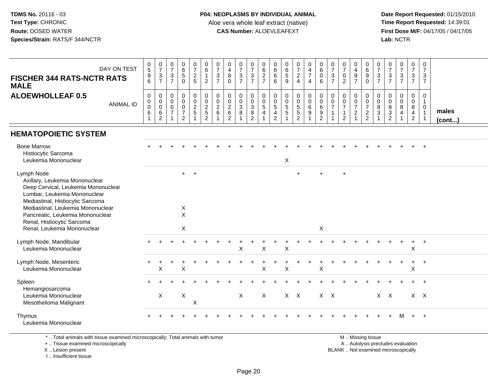**Date Report Requested:** 01/15/2010 **First Dose M/F:** 04/17/05 / 04/17/05<br>Lab: NCTR **Lab:** NCTR

| DAY ON TEST<br><b>FISCHER 344 RATS-NCTR RATS</b><br><b>MALE</b><br><b>ALOEWHOLLEAF 0.5</b><br><b>ANIMAL ID</b>                                                                                                                                                                                | $\begin{matrix} 0 \\ 5 \end{matrix}$<br>$\boldsymbol{9}$<br>6<br>0<br>0<br>$\mathbf 0$<br>$\,6\,$ | $\frac{0}{7}$<br>$\frac{3}{7}$<br>$\begin{smallmatrix} 0\\0 \end{smallmatrix}$<br>$\mathsf{O}\xspace$<br>$\,6\,$<br>$\sqrt{2}$ | $\frac{0}{7}$<br>$\mathbf{3}$<br>$\overline{7}$<br>0<br>$\mathbf 0$<br>$\Omega$<br>$\overline{7}$ | $\begin{array}{c} 0 \\ 6 \end{array}$<br>$\overline{5}$<br>$\mathbf 0$<br>$\mathbf 0$<br>$\mathbf 0$<br>$\mathbf 0$<br>$\overline{7}$<br>$\overline{2}$ | $\frac{0}{7}$<br>$\frac{2}{5}$<br>$\begin{smallmatrix}0\0\0\end{smallmatrix}$<br>$\frac{2}{5}$ | $_{6}^{\rm 0}$<br>$\mathbf{1}$<br>$\overline{2}$<br>0<br>$\mathsf{O}\xspace$<br>$\overline{a}$<br>$\overline{5}$<br>$\overline{2}$ | $\frac{0}{7}$<br>$\overline{3}$<br>$\overline{7}$<br>$\begin{smallmatrix} 0\\0 \end{smallmatrix}$<br>$\overline{c}$<br>$6\phantom{a}$ | 0<br>$\frac{4}{8}$<br>$\Omega$<br>$\pmb{0}$<br>$\mathbf 0$<br>$^2\phantom{1}6$<br>$\overline{2}$ | $\frac{0}{7}$<br>$\sqrt{3}$<br>$\overline{7}$<br>$\mathbf 0$<br>$\mathbf 0$<br>$\mathbf{3}$<br>8<br>$\overline{\mathbf{1}}$ | $\frac{0}{7}$<br>$\mathsf 3$<br>$\overline{7}$<br>0<br>0<br>$\mathsf 3$<br>$\,8\,$<br>$\overline{2}$ | 0<br>$rac{6}{2}$<br>$\pmb{0}$<br>$\mathbf 0$<br>$\sqrt{5}$<br>$\overline{4}$<br>$\overline{1}$ | 0<br>$\overline{6}$<br>$6$<br>6<br>$\pmb{0}$<br>$\mathbf 0$<br>$5\,$<br>4<br>$\overline{c}$ | $\begin{array}{c} 0 \\ 6 \\ 5 \end{array}$<br>$\overline{9}$<br>$\pmb{0}$<br>$\mathbf 0$<br>$\sqrt{5}$<br>$\overline{5}$ | $\frac{0}{7}$<br>$\frac{2}{4}$<br>$_{\rm 0}^{\rm 0}$<br>$\frac{5}{2}$ | $\begin{array}{c} 0 \\ 4 \\ 7 \end{array}$<br>$\overline{4}$<br>$\mathbf 0$<br>$\mathbf 0$<br>6<br>$9\,$ | $\begin{array}{c} 0 \\ 6 \end{array}$<br>$\mathbf 0$<br>6<br>0<br>$\mathbf 0$<br>$\,6\,$<br>$\boldsymbol{9}$<br>$\overline{2}$ | $\frac{0}{7}$<br>$\overline{3}$<br>$\overline{7}$<br>$\pmb{0}$<br>$\mathbf 0$<br>$\overline{7}$<br>$\mathbf{1}$<br>1 | $\frac{0}{7}$<br>$\mathbf 0$<br>$\overline{2}$<br>$\pmb{0}$<br>$\mathbf 0$<br>$\overline{7}$<br>$\mathbf{1}$<br>$\overline{2}$ | $\begin{array}{c} 0 \\ 4 \\ 9 \end{array}$<br>$\overline{7}$<br>0<br>$\mathbf 0$<br>$\overline{7}$<br>$\overline{a}$<br>$\overline{1}$ | $\begin{array}{c} 0 \\ 6 \\ 9 \end{array}$<br>$\mathbf 0$<br>$\pmb{0}$<br>$\begin{smallmatrix}0\\7\end{smallmatrix}$<br>$\frac{2}{2}$ | $\frac{0}{7}$<br>$\frac{3}{7}$<br>0<br>$\pmb{0}$<br>$\bf 8$<br>$\mathbf{3}$ | $\frac{0}{7}$<br>$\frac{3}{7}$<br>$\mathbf 0$<br>$\mathbf 0$<br>$\begin{array}{c} 8 \\ 3 \\ 2 \end{array}$ | $\frac{0}{7}$<br>$\frac{3}{7}$<br>$\mathsf 0$<br>$\mathbf 0$<br>8<br>$\overline{4}$<br>$\mathbf{1}$ | $\frac{0}{7}$<br>$\frac{3}{7}$<br>0<br>$\mathbf 0$<br>8<br>$\overline{4}$<br>$\boldsymbol{2}$ | 0<br>$\frac{7}{3}$<br>$\overline{7}$<br>$\mathbf 0$<br>$\mathbf{1}$<br>$\boldsymbol{0}$<br>$\overline{1}$<br>$\mathbf{1}$ | males<br>(cont) |
|-----------------------------------------------------------------------------------------------------------------------------------------------------------------------------------------------------------------------------------------------------------------------------------------------|---------------------------------------------------------------------------------------------------|--------------------------------------------------------------------------------------------------------------------------------|---------------------------------------------------------------------------------------------------|---------------------------------------------------------------------------------------------------------------------------------------------------------|------------------------------------------------------------------------------------------------|------------------------------------------------------------------------------------------------------------------------------------|---------------------------------------------------------------------------------------------------------------------------------------|--------------------------------------------------------------------------------------------------|-----------------------------------------------------------------------------------------------------------------------------|------------------------------------------------------------------------------------------------------|------------------------------------------------------------------------------------------------|---------------------------------------------------------------------------------------------|--------------------------------------------------------------------------------------------------------------------------|-----------------------------------------------------------------------|----------------------------------------------------------------------------------------------------------|--------------------------------------------------------------------------------------------------------------------------------|----------------------------------------------------------------------------------------------------------------------|--------------------------------------------------------------------------------------------------------------------------------|----------------------------------------------------------------------------------------------------------------------------------------|---------------------------------------------------------------------------------------------------------------------------------------|-----------------------------------------------------------------------------|------------------------------------------------------------------------------------------------------------|-----------------------------------------------------------------------------------------------------|-----------------------------------------------------------------------------------------------|---------------------------------------------------------------------------------------------------------------------------|-----------------|
| <b>HEMATOPOIETIC SYSTEM</b>                                                                                                                                                                                                                                                                   |                                                                                                   |                                                                                                                                |                                                                                                   |                                                                                                                                                         |                                                                                                |                                                                                                                                    |                                                                                                                                       |                                                                                                  |                                                                                                                             |                                                                                                      |                                                                                                |                                                                                             |                                                                                                                          |                                                                       |                                                                                                          |                                                                                                                                |                                                                                                                      |                                                                                                                                |                                                                                                                                        |                                                                                                                                       |                                                                             |                                                                                                            |                                                                                                     |                                                                                               |                                                                                                                           |                 |
| <b>Bone Marrow</b><br>Histiocytic Sarcoma<br>Leukemia Mononuclear                                                                                                                                                                                                                             |                                                                                                   |                                                                                                                                |                                                                                                   |                                                                                                                                                         |                                                                                                |                                                                                                                                    |                                                                                                                                       |                                                                                                  |                                                                                                                             |                                                                                                      |                                                                                                |                                                                                             | $\mathsf X$                                                                                                              |                                                                       |                                                                                                          |                                                                                                                                |                                                                                                                      |                                                                                                                                |                                                                                                                                        |                                                                                                                                       |                                                                             |                                                                                                            |                                                                                                     |                                                                                               | $\overline{+}$                                                                                                            |                 |
| Lymph Node<br>Axillary, Leukemia Mononuclear<br>Deep Cervical, Leukemia Mononuclear<br>Lumbar, Leukemia Mononuclear<br>Mediastinal, Histiocytic Sarcoma<br>Mediastinal, Leukemia Mononuclear<br>Pancreatic, Leukemia Mononuclear<br>Renal, Histiocytic Sarcoma<br>Renal, Leukemia Mononuclear |                                                                                                   |                                                                                                                                |                                                                                                   | $+$<br>X<br>$\mathsf{X}$<br>X                                                                                                                           | $+$                                                                                            |                                                                                                                                    |                                                                                                                                       |                                                                                                  |                                                                                                                             |                                                                                                      |                                                                                                |                                                                                             |                                                                                                                          | $\ddot{}$                                                             |                                                                                                          | X                                                                                                                              |                                                                                                                      | $\ddot{}$                                                                                                                      |                                                                                                                                        |                                                                                                                                       |                                                                             |                                                                                                            |                                                                                                     |                                                                                               |                                                                                                                           |                 |
| Lymph Node, Mandibular<br>Leukemia Mononuclear                                                                                                                                                                                                                                                |                                                                                                   |                                                                                                                                |                                                                                                   |                                                                                                                                                         |                                                                                                |                                                                                                                                    |                                                                                                                                       |                                                                                                  | X                                                                                                                           |                                                                                                      | $\times$                                                                                       |                                                                                             | $\sf X$                                                                                                                  |                                                                       |                                                                                                          |                                                                                                                                |                                                                                                                      |                                                                                                                                |                                                                                                                                        |                                                                                                                                       |                                                                             |                                                                                                            |                                                                                                     | $\div$<br>Χ                                                                                   | $+$                                                                                                                       |                 |
| Lymph Node, Mesenteric<br>Leukemia Mononuclear                                                                                                                                                                                                                                                |                                                                                                   | $\boldsymbol{\mathsf{X}}$                                                                                                      |                                                                                                   | X                                                                                                                                                       |                                                                                                |                                                                                                                                    |                                                                                                                                       |                                                                                                  |                                                                                                                             |                                                                                                      | $\times$                                                                                       |                                                                                             | $\boldsymbol{\mathsf{X}}$                                                                                                |                                                                       |                                                                                                          | $\sf X$                                                                                                                        |                                                                                                                      |                                                                                                                                |                                                                                                                                        |                                                                                                                                       |                                                                             |                                                                                                            |                                                                                                     | $\sf X$                                                                                       | $\ddot{}$                                                                                                                 |                 |
| Spleen<br>Hemangiosarcoma<br>Leukemia Mononuclear<br>Mesothelioma Malignant                                                                                                                                                                                                                   |                                                                                                   | X                                                                                                                              |                                                                                                   | X                                                                                                                                                       | X                                                                                              |                                                                                                                                    |                                                                                                                                       |                                                                                                  | X                                                                                                                           |                                                                                                      | X                                                                                              |                                                                                             | $X$ $X$                                                                                                                  |                                                                       |                                                                                                          | $X$ $X$                                                                                                                        |                                                                                                                      |                                                                                                                                |                                                                                                                                        |                                                                                                                                       |                                                                             | $X$ $X$                                                                                                    |                                                                                                     |                                                                                               | $X \times$                                                                                                                |                 |
| Thymus<br>Leukemia Mononuclear                                                                                                                                                                                                                                                                |                                                                                                   |                                                                                                                                |                                                                                                   |                                                                                                                                                         |                                                                                                |                                                                                                                                    |                                                                                                                                       |                                                                                                  |                                                                                                                             |                                                                                                      |                                                                                                |                                                                                             |                                                                                                                          |                                                                       |                                                                                                          |                                                                                                                                |                                                                                                                      |                                                                                                                                |                                                                                                                                        |                                                                                                                                       |                                                                             |                                                                                                            | м                                                                                                   | $+$                                                                                           | $^{+}$                                                                                                                    |                 |

\* .. Total animals with tissue examined microscopically; Total animals with tumor

+ .. Tissue examined microscopically

X .. Lesion present

I .. Insufficient tissue

M .. Missing tissue

y the contract of the contract of the contract of the contract of the contract of the contract of the contract of  $A$ . Autolysis precludes evaluation Lesion present BLANK .. Not examined microscopically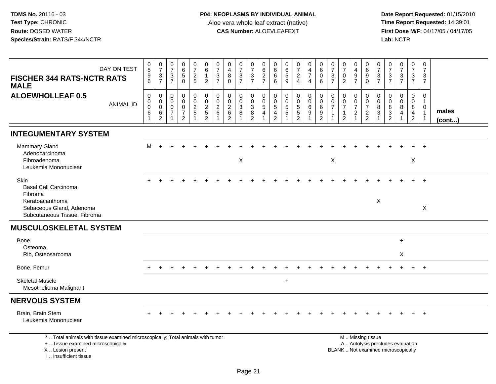**Date Report Requested:** 01/15/2010 **First Dose M/F:** 04/17/05 / 04/17/05<br>Lab: NCTR **Lab:** NCTR

| <b>FISCHER 344 RATS-NCTR RATS</b><br><b>MALE</b>                                                                                     | DAY ON TEST      | $\begin{array}{c} 0 \\ 5 \end{array}$<br>$\begin{array}{c} 9 \\ 6 \end{array}$ | $\frac{0}{7}$<br>$\frac{3}{7}$            | $\frac{0}{7}$<br>$\mathbf{3}$<br>$\overline{7}$                   | $\begin{array}{c} 0 \\ 6 \end{array}$<br>$\sqrt{5}$<br>$\Omega$               | $\frac{0}{7}$<br>$\overline{a}$<br>5            | $\begin{matrix} 0 \\ 6 \end{matrix}$<br>$\mathbf{1}$<br>$\overline{2}$ | $\frac{0}{7}$<br>$\mathsf 3$<br>$\overline{7}$    | 0<br>$\overline{\mathbf{4}}$<br>8<br>$\Omega$                   | $\frac{0}{7}$<br>$\frac{3}{7}$                  | 0<br>$\overline{7}$<br>$\ensuremath{\mathsf{3}}$<br>$\overline{7}$ | 0<br>$\,6\,$<br>$\frac{2}{7}$                                                    | 0<br>$\,6$<br>$\,6$<br>6                 | $\begin{array}{c} 0 \\ 6 \end{array}$<br>$\sqrt{5}$<br>9 | $\frac{0}{7}$<br>$\overline{c}$<br>$\overline{4}$ | 0<br>$\overline{\mathbf{4}}$<br>$\overline{7}$<br>$\overline{4}$ | $\pmb{0}$<br>$\,6\,$<br>$\mathbf 0$<br>6                  | 0<br>$\overline{7}$<br>$\mathbf{3}$<br>$\overline{7}$        | $\pmb{0}$<br>$\overline{7}$<br>$\mathbf 0$<br>2                   | 0<br>$\overline{\mathbf{4}}$<br>$\frac{9}{7}$ | 0<br>$6\phantom{a}$<br>9<br>$\Omega$          | $\boldsymbol{0}$<br>$\overline{7}$<br>$\ensuremath{\mathsf{3}}$<br>$\overline{7}$ | 0<br>$\overline{7}$<br>$\mathbf{3}$<br>$\overline{7}$ | $\frac{0}{7}$<br>$\sqrt{3}$<br>$\overline{7}$ | 0<br>$\overline{7}$<br>$\frac{3}{7}$                        | 0<br>$\boldsymbol{7}$<br>$\mathbf{3}$<br>$\overline{7}$          |                 |
|--------------------------------------------------------------------------------------------------------------------------------------|------------------|--------------------------------------------------------------------------------|-------------------------------------------|-------------------------------------------------------------------|-------------------------------------------------------------------------------|-------------------------------------------------|------------------------------------------------------------------------|---------------------------------------------------|-----------------------------------------------------------------|-------------------------------------------------|--------------------------------------------------------------------|----------------------------------------------------------------------------------|------------------------------------------|----------------------------------------------------------|---------------------------------------------------|------------------------------------------------------------------|-----------------------------------------------------------|--------------------------------------------------------------|-------------------------------------------------------------------|-----------------------------------------------|-----------------------------------------------|-----------------------------------------------------------------------------------|-------------------------------------------------------|-----------------------------------------------|-------------------------------------------------------------|------------------------------------------------------------------|-----------------|
| <b>ALOEWHOLLEAF 0.5</b>                                                                                                              | <b>ANIMAL ID</b> | $\pmb{0}$<br>$\overline{0}$<br>0<br>$\,6$<br>$\mathbf{1}$                      | 0<br>$\mathbf 0$<br>$\mathbf 0$<br>$^6_2$ | $\mathbf 0$<br>$\mathbf 0$<br>$\mathbf 0$<br>$\overline{7}$<br>-1 | $\mathbf 0$<br>$\mathbf 0$<br>$\mathsf 0$<br>$\overline{7}$<br>$\overline{c}$ | 0<br>$\mathsf{O}\xspace$<br>$\overline{c}$<br>5 | $\pmb{0}$<br>$\begin{array}{c} 0 \\ 2 \\ 5 \\ 2 \end{array}$           | $\mathbf 0$<br>$\mathbf 0$<br>$\overline{2}$<br>6 | $\mathbf 0$<br>0<br>$\overline{a}$<br>$\,6\,$<br>$\overline{2}$ | 0<br>$\ddot{\mathbf{0}}$<br>$\overline{3}$<br>8 | $\mathbf 0$<br>0<br>$\ensuremath{\mathsf{3}}$<br>$\frac{8}{2}$     | $\mathbf 0$<br>$\mathbf 0$<br>$\overline{5}$<br>$\overline{4}$<br>$\overline{1}$ | 0<br>$\mathbf 0$<br>$\sqrt{5}$<br>4<br>2 | 0<br>$\mathbf 0$<br>$\sqrt{5}$<br>$\sqrt{5}$             | 0<br>$\pmb{0}$<br>$\overline{5}$<br>$\frac{5}{2}$ | 0<br>$\mathsf{O}\xspace$<br>$6\phantom{a}$<br>9                  | $\mathbf 0$<br>$\overline{0}$<br>$\,6\,$<br>$\frac{9}{2}$ | $\mathbf 0$<br>$\mathbf 0$<br>$\overline{7}$<br>$\mathbf{1}$ | $\mathbf 0$<br>$\pmb{0}$<br>$\overline{7}$<br>1<br>$\overline{c}$ | 0<br>0<br>$\overline{7}$<br>$\overline{2}$    | $\mathbf 0$<br>$\frac{0}{7}$<br>$\frac{2}{2}$ | $\Omega$<br>$\mathbf 0$<br>$\,8\,$<br>$\mathbf{3}$                                | $\Omega$<br>$\mathbf 0$<br>$\, 8$<br>$\frac{3}{2}$    | $\Omega$<br>$\Omega$<br>8<br>4                | $\mathbf 0$<br>0<br>8<br>$\overline{4}$<br>$\boldsymbol{2}$ | 0<br>$\mathbf{1}$<br>$\mathbf 0$<br>$\mathbf{1}$<br>$\mathbf{1}$ | males<br>(cont) |
| <b>INTEGUMENTARY SYSTEM</b>                                                                                                          |                  |                                                                                |                                           |                                                                   |                                                                               |                                                 |                                                                        |                                                   |                                                                 |                                                 |                                                                    |                                                                                  |                                          |                                                          |                                                   |                                                                  |                                                           |                                                              |                                                                   |                                               |                                               |                                                                                   |                                                       |                                               |                                                             |                                                                  |                 |
| <b>Mammary Gland</b><br>Adenocarcinoma<br>Fibroadenoma<br>Leukemia Mononuclear                                                       |                  | м                                                                              |                                           |                                                                   |                                                                               |                                                 |                                                                        |                                                   |                                                                 | $\boldsymbol{\mathsf{X}}$                       |                                                                    |                                                                                  |                                          |                                                          |                                                   |                                                                  |                                                           | $\times$                                                     |                                                                   |                                               |                                               |                                                                                   |                                                       |                                               | $\boldsymbol{\mathsf{X}}$                                   |                                                                  |                 |
| <b>Skin</b><br><b>Basal Cell Carcinoma</b><br>Fibroma<br>Keratoacanthoma<br>Sebaceous Gland, Adenoma<br>Subcutaneous Tissue, Fibroma |                  |                                                                                |                                           |                                                                   |                                                                               |                                                 |                                                                        |                                                   |                                                                 |                                                 |                                                                    |                                                                                  |                                          |                                                          |                                                   |                                                                  |                                                           |                                                              |                                                                   |                                               |                                               | X                                                                                 |                                                       |                                               |                                                             | $\pmb{\times}$                                                   |                 |
| <b>MUSCULOSKELETAL SYSTEM</b>                                                                                                        |                  |                                                                                |                                           |                                                                   |                                                                               |                                                 |                                                                        |                                                   |                                                                 |                                                 |                                                                    |                                                                                  |                                          |                                                          |                                                   |                                                                  |                                                           |                                                              |                                                                   |                                               |                                               |                                                                                   |                                                       |                                               |                                                             |                                                                  |                 |
| Bone<br>Osteoma<br>Rib, Osteosarcoma                                                                                                 |                  |                                                                                |                                           |                                                                   |                                                                               |                                                 |                                                                        |                                                   |                                                                 |                                                 |                                                                    |                                                                                  |                                          |                                                          |                                                   |                                                                  |                                                           |                                                              |                                                                   |                                               |                                               |                                                                                   |                                                       | $+$<br>X                                      |                                                             |                                                                  |                 |
| Bone, Femur                                                                                                                          |                  |                                                                                |                                           |                                                                   |                                                                               |                                                 |                                                                        |                                                   |                                                                 |                                                 |                                                                    |                                                                                  |                                          |                                                          |                                                   |                                                                  |                                                           |                                                              |                                                                   |                                               |                                               |                                                                                   |                                                       |                                               |                                                             | $+$                                                              |                 |
| <b>Skeletal Muscle</b><br>Mesothelioma Malignant                                                                                     |                  |                                                                                |                                           |                                                                   |                                                                               |                                                 |                                                                        |                                                   |                                                                 |                                                 |                                                                    |                                                                                  |                                          | $\ddot{}$                                                |                                                   |                                                                  |                                                           |                                                              |                                                                   |                                               |                                               |                                                                                   |                                                       |                                               |                                                             |                                                                  |                 |
| <b>NERVOUS SYSTEM</b>                                                                                                                |                  |                                                                                |                                           |                                                                   |                                                                               |                                                 |                                                                        |                                                   |                                                                 |                                                 |                                                                    |                                                                                  |                                          |                                                          |                                                   |                                                                  |                                                           |                                                              |                                                                   |                                               |                                               |                                                                                   |                                                       |                                               |                                                             |                                                                  |                 |
| Brain, Brain Stem<br>Leukemia Mononuclear                                                                                            |                  |                                                                                |                                           |                                                                   |                                                                               |                                                 |                                                                        |                                                   |                                                                 |                                                 |                                                                    |                                                                                  |                                          |                                                          |                                                   |                                                                  |                                                           |                                                              |                                                                   |                                               |                                               |                                                                                   |                                                       |                                               |                                                             |                                                                  |                 |
| *  Total animals with tissue examined microscopically; Total animals with tumor<br>+  Tissue examined microscopically                |                  |                                                                                |                                           |                                                                   |                                                                               |                                                 |                                                                        |                                                   |                                                                 |                                                 |                                                                    |                                                                                  |                                          |                                                          |                                                   |                                                                  |                                                           |                                                              |                                                                   |                                               | M  Missing tissue                             |                                                                                   |                                                       | A  Autolysis precludes evaluation             |                                                             |                                                                  |                 |

X .. Lesion present

I .. Insufficient tissue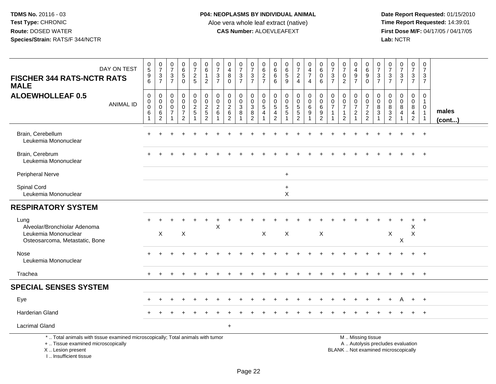I .. Insufficient tissue

 **Date Report Requested:** 01/15/2010 **First Dose M/F:** 04/17/05 / 04/17/05<br>Lab: NCTR **Lab:** NCTR

| DAY ON TEST<br><b>FISCHER 344 RATS-NCTR RATS</b><br><b>MALE</b>                                                                            | $\begin{array}{c} 0 \\ 5 \end{array}$<br>$\boldsymbol{9}$<br>6 | $\frac{0}{7}$<br>$\ensuremath{\mathsf{3}}$<br>$\overline{7}$       | $\frac{0}{7}$<br>$\ensuremath{\mathsf{3}}$<br>$\overline{7}$        | $\begin{array}{c} 0 \\ 6 \\ 5 \end{array}$<br>$\mathbf 0$           | $\begin{array}{c} 0 \\ 7 \end{array}$<br>$\frac{2}{5}$  | $_{\rm 6}^{\rm 0}$<br>$\mathbf{1}$<br>$\overline{c}$      | $\frac{0}{7}$<br>$\sqrt{3}$<br>$\overline{7}$                   | $\frac{0}{4}$<br>$\, 8$<br>$\mathbf 0$                        | $\frac{0}{7}$<br>$\mathbf 3$<br>$\overline{7}$     | $\frac{0}{7}$<br>$\frac{3}{7}$                      | $_{6}^{\rm 0}$<br>$\frac{2}{7}$              | $\begin{array}{c} 0 \\ 6 \end{array}$<br>$6\phantom{a}$<br>6               | $\begin{array}{c} 0 \\ 6 \end{array}$<br>$\overline{5}$<br>9 | $\frac{0}{7}$<br>$\frac{2}{4}$                              | $_4^{\rm 0}$<br>$\overline{7}$<br>$\overline{4}$                                | $\begin{array}{c} 0 \\ 6 \end{array}$<br>$\overline{0}$<br>6                  | $\frac{0}{7}$<br>$\ensuremath{\mathsf{3}}$<br>$\overline{7}$ | $\frac{0}{7}$<br>$\pmb{0}$<br>$\overline{2}$                                   | $\begin{smallmatrix}0\\4\end{smallmatrix}$<br>$\boldsymbol{9}$<br>$\overline{7}$ | 0<br>6<br>9<br>$\mathbf 0$                                                                    | $\frac{0}{7}$<br>$\frac{3}{7}$                  | $\frac{0}{7}$<br>$\frac{3}{7}$                         | $\begin{array}{c} 0 \\ 7 \end{array}$<br>$\frac{3}{7}$  | $\frac{0}{7}$<br>$\mathbf{3}$<br>$\overline{7}$           | $\pmb{0}$<br>$\overline{7}$<br>$\mathbf{3}$<br>$\overline{7}$                  |                 |
|--------------------------------------------------------------------------------------------------------------------------------------------|----------------------------------------------------------------|--------------------------------------------------------------------|---------------------------------------------------------------------|---------------------------------------------------------------------|---------------------------------------------------------|-----------------------------------------------------------|-----------------------------------------------------------------|---------------------------------------------------------------|----------------------------------------------------|-----------------------------------------------------|----------------------------------------------|----------------------------------------------------------------------------|--------------------------------------------------------------|-------------------------------------------------------------|---------------------------------------------------------------------------------|-------------------------------------------------------------------------------|--------------------------------------------------------------|--------------------------------------------------------------------------------|----------------------------------------------------------------------------------|-----------------------------------------------------------------------------------------------|-------------------------------------------------|--------------------------------------------------------|---------------------------------------------------------|-----------------------------------------------------------|--------------------------------------------------------------------------------|-----------------|
| <b>ALOEWHOLLEAF 0.5</b><br><b>ANIMAL ID</b>                                                                                                | $\pmb{0}$<br>$\boldsymbol{0}$<br>$\pmb{0}$<br>6<br>1           | $\mathbf 0$<br>$\mathbf 0$<br>$\pmb{0}$<br>$\,6$<br>$\overline{c}$ | $\mathbf 0$<br>$\mathbf 0$<br>$\mathsf{O}\xspace$<br>$\overline{7}$ | 0<br>$\mathbf 0$<br>$\mathbf 0$<br>$\overline{7}$<br>$\overline{c}$ | $\pmb{0}$<br>$\pmb{0}$<br>$\frac{2}{5}$<br>$\mathbf{1}$ | $\pmb{0}$<br>$\mathsf 0$<br>$rac{2}{5}$<br>$\overline{2}$ | $\boldsymbol{0}$<br>$\mathbf 0$<br>$\overline{\mathbf{c}}$<br>6 | $\mathbf 0$<br>$\mathbf 0$<br>$\frac{2}{6}$<br>$\overline{2}$ | 0<br>$\mathbf 0$<br>$\mathbf{3}$<br>$\overline{8}$ | 0<br>$\mathbf 0$<br>$\frac{3}{8}$<br>$\overline{c}$ | $\pmb{0}$<br>$\mathbf 0$<br>$\,$ 5 $\,$<br>4 | $\pmb{0}$<br>$\mathbf 0$<br>$\sqrt{5}$<br>$\overline{4}$<br>$\overline{2}$ | $\mathbf 0$<br>$\mathbf 0$<br>$\frac{5}{5}$                  | 0<br>$\mathsf{O}\xspace$<br>$\frac{5}{5}$<br>$\overline{2}$ | $\pmb{0}$<br>$\ddot{\mathbf{0}}$<br>$\,6\,$<br>$\overline{9}$<br>$\overline{1}$ | $\pmb{0}$<br>$\mathsf{O}\xspace$<br>$\,6$<br>$\overline{9}$<br>$\overline{2}$ | $\mathbf 0$<br>$\mathbf{0}$<br>7                             | $\mathbf 0$<br>$\mathbf 0$<br>$\overline{7}$<br>$\mathbf{1}$<br>$\overline{2}$ | 0<br>$\pmb{0}$<br>$\overline{7}$<br>$\overline{c}$<br>$\mathbf{1}$               | 0<br>$\mathsf 0$<br>$\boldsymbol{7}$<br>$\overline{a}$<br>$\overline{2}$                      | $\mathbf 0$<br>$\mathbf 0$<br>$\bf 8$<br>3<br>1 | $\mathbf 0$<br>$\mathbf 0$<br>$^8_3$<br>$\overline{c}$ | $\mathbf 0$<br>$\mathbf 0$<br>$\bf 8$<br>$\overline{4}$ | 0<br>$\mathbf 0$<br>8<br>$\overline{4}$<br>$\overline{2}$ | $\mathbf 0$<br>$\mathbf{1}$<br>$\mathbf 0$<br>$\overline{1}$<br>$\overline{1}$ | males<br>(cont) |
| Brain, Cerebellum<br>Leukemia Mononuclear                                                                                                  |                                                                |                                                                    |                                                                     |                                                                     |                                                         |                                                           |                                                                 |                                                               |                                                    |                                                     |                                              |                                                                            |                                                              |                                                             |                                                                                 |                                                                               |                                                              |                                                                                |                                                                                  |                                                                                               |                                                 |                                                        |                                                         |                                                           | $+$                                                                            |                 |
| Brain, Cerebrum<br>Leukemia Mononuclear                                                                                                    |                                                                |                                                                    |                                                                     |                                                                     |                                                         |                                                           |                                                                 |                                                               |                                                    |                                                     |                                              |                                                                            |                                                              |                                                             |                                                                                 |                                                                               |                                                              |                                                                                |                                                                                  |                                                                                               |                                                 |                                                        |                                                         |                                                           | $+$                                                                            |                 |
| Peripheral Nerve                                                                                                                           |                                                                |                                                                    |                                                                     |                                                                     |                                                         |                                                           |                                                                 |                                                               |                                                    |                                                     |                                              |                                                                            | $\ddot{}$                                                    |                                                             |                                                                                 |                                                                               |                                                              |                                                                                |                                                                                  |                                                                                               |                                                 |                                                        |                                                         |                                                           |                                                                                |                 |
| Spinal Cord<br>Leukemia Mononuclear                                                                                                        |                                                                |                                                                    |                                                                     |                                                                     |                                                         |                                                           |                                                                 |                                                               |                                                    |                                                     |                                              |                                                                            | $\ddot{}$<br>$\times$                                        |                                                             |                                                                                 |                                                                               |                                                              |                                                                                |                                                                                  |                                                                                               |                                                 |                                                        |                                                         |                                                           |                                                                                |                 |
| <b>RESPIRATORY SYSTEM</b>                                                                                                                  |                                                                |                                                                    |                                                                     |                                                                     |                                                         |                                                           |                                                                 |                                                               |                                                    |                                                     |                                              |                                                                            |                                                              |                                                             |                                                                                 |                                                                               |                                                              |                                                                                |                                                                                  |                                                                                               |                                                 |                                                        |                                                         |                                                           |                                                                                |                 |
| Lung<br>Alveolar/Bronchiolar Adenoma<br>Leukemia Mononuclear<br>Osteosarcoma, Metastatic, Bone                                             |                                                                | X                                                                  |                                                                     | $\mathsf X$                                                         |                                                         |                                                           | $\pmb{\times}$                                                  |                                                               |                                                    |                                                     | X                                            |                                                                            | $\mathsf X$                                                  |                                                             |                                                                                 | $\boldsymbol{\mathsf{X}}$                                                     |                                                              |                                                                                |                                                                                  |                                                                                               |                                                 | $\boldsymbol{\mathsf{X}}$                              | X                                                       | +<br>X<br>$\boldsymbol{\mathsf{X}}$                       | $+$                                                                            |                 |
| Nose<br>Leukemia Mononuclear                                                                                                               |                                                                |                                                                    |                                                                     |                                                                     |                                                         |                                                           |                                                                 |                                                               |                                                    |                                                     |                                              |                                                                            |                                                              |                                                             |                                                                                 |                                                                               |                                                              |                                                                                |                                                                                  |                                                                                               |                                                 |                                                        |                                                         | $+$                                                       | $+$                                                                            |                 |
| Trachea                                                                                                                                    | $+$                                                            |                                                                    |                                                                     |                                                                     |                                                         |                                                           |                                                                 |                                                               |                                                    |                                                     |                                              |                                                                            |                                                              |                                                             |                                                                                 |                                                                               |                                                              |                                                                                |                                                                                  |                                                                                               |                                                 |                                                        |                                                         | $+$                                                       | $+$                                                                            |                 |
| <b>SPECIAL SENSES SYSTEM</b>                                                                                                               |                                                                |                                                                    |                                                                     |                                                                     |                                                         |                                                           |                                                                 |                                                               |                                                    |                                                     |                                              |                                                                            |                                                              |                                                             |                                                                                 |                                                                               |                                                              |                                                                                |                                                                                  |                                                                                               |                                                 |                                                        |                                                         |                                                           |                                                                                |                 |
| Eye                                                                                                                                        |                                                                |                                                                    |                                                                     |                                                                     |                                                         |                                                           |                                                                 |                                                               |                                                    |                                                     |                                              |                                                                            |                                                              |                                                             |                                                                                 |                                                                               |                                                              |                                                                                |                                                                                  |                                                                                               |                                                 |                                                        |                                                         | $+$                                                       | $^{+}$                                                                         |                 |
| <b>Harderian Gland</b>                                                                                                                     |                                                                |                                                                    |                                                                     |                                                                     |                                                         |                                                           |                                                                 |                                                               |                                                    |                                                     |                                              |                                                                            |                                                              |                                                             |                                                                                 |                                                                               |                                                              |                                                                                |                                                                                  |                                                                                               |                                                 |                                                        |                                                         |                                                           | $+$                                                                            |                 |
| <b>Lacrimal Gland</b>                                                                                                                      |                                                                |                                                                    |                                                                     |                                                                     |                                                         |                                                           |                                                                 | $\ddot{}$                                                     |                                                    |                                                     |                                              |                                                                            |                                                              |                                                             |                                                                                 |                                                                               |                                                              |                                                                                |                                                                                  |                                                                                               |                                                 |                                                        |                                                         |                                                           |                                                                                |                 |
| *  Total animals with tissue examined microscopically; Total animals with tumor<br>+  Tissue examined microscopically<br>X  Lesion present |                                                                |                                                                    |                                                                     |                                                                     |                                                         |                                                           |                                                                 |                                                               |                                                    |                                                     |                                              |                                                                            |                                                              |                                                             |                                                                                 |                                                                               |                                                              |                                                                                |                                                                                  | M  Missing tissue<br>A  Autolysis precludes evaluation<br>BLANK  Not examined microscopically |                                                 |                                                        |                                                         |                                                           |                                                                                |                 |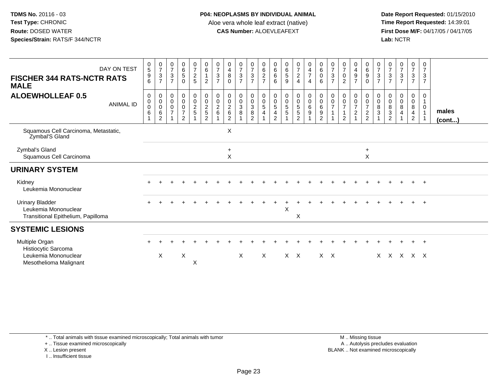**Date Report Requested:** 01/15/2010 **First Dose M/F:** 04/17/05 / 04/17/05<br>Lab: NCTR **Lab:** NCTR

| <b>FISCHER 344 RATS-NCTR RATS</b><br><b>MALE</b>                                        | DAY ON TEST      | $\begin{array}{c} 0 \\ 5 \end{array}$<br>$\frac{9}{6}$ | $\begin{array}{c} 0 \\ 7 \end{array}$<br>$\frac{3}{7}$                               | $\frac{0}{7}$<br>$\frac{3}{7}$            | $\begin{array}{c} 0 \\ 6 \\ 5 \end{array}$<br>$\mathbf 0$ | $\frac{0}{7}$<br>$\frac{2}{5}$ | $_{6}^{\rm 0}$<br>$\mathbf{1}$<br>$\overline{2}$                  | $\begin{matrix} 0 \\ 7 \\ 3 \end{matrix}$<br>$\overline{7}$ | $\begin{smallmatrix}0\0\4\end{smallmatrix}$<br>8<br>$\Omega$ | $\frac{0}{7}$<br>$\frac{3}{7}$         | $\frac{0}{7}$<br>$\sqrt{3}$<br>$\overline{7}$                                   | $\begin{array}{c} 0 \\ 6 \end{array}$<br>$\frac{2}{7}$                        | $0$<br>6<br>6<br>6                                                | 0<br>6<br>5<br>9                                | $\frac{0}{7}$<br>4    | $\begin{array}{c} 0 \\ 4 \\ 7 \end{array}$<br>$\overline{4}$ | $\begin{matrix} 0 \\ 6 \\ 0 \end{matrix}$<br>$6\phantom{1}6$             | $\frac{0}{7}$<br>$\sqrt{3}$<br>$\overline{7}$ | $\begin{matrix} 0 \\ 7 \\ 0 \end{matrix}$<br>$\overline{c}$ | 0<br>$\frac{4}{9}$<br>$\overline{7}$ | $\begin{matrix} 0 \\ 6 \end{matrix}$<br>$\boldsymbol{9}$<br>$\mathbf 0$ | $07/3$<br>7        | $\frac{0}{7}$<br>$\mathbf{3}$<br>$\overline{7}$       | $\begin{array}{c} 0 \\ 7 \\ 3 \end{array}$<br>$\overline{7}$ | 07/3/7                                       | 0<br>$\overline{7}$<br>3<br>$\overline{7}$ |                 |
|-----------------------------------------------------------------------------------------|------------------|--------------------------------------------------------|--------------------------------------------------------------------------------------|-------------------------------------------|-----------------------------------------------------------|--------------------------------|-------------------------------------------------------------------|-------------------------------------------------------------|--------------------------------------------------------------|----------------------------------------|---------------------------------------------------------------------------------|-------------------------------------------------------------------------------|-------------------------------------------------------------------|-------------------------------------------------|-----------------------|--------------------------------------------------------------|--------------------------------------------------------------------------|-----------------------------------------------|-------------------------------------------------------------|--------------------------------------|-------------------------------------------------------------------------|--------------------|-------------------------------------------------------|--------------------------------------------------------------|----------------------------------------------|--------------------------------------------|-----------------|
| <b>ALOEWHOLLEAF 0.5</b>                                                                 | <b>ANIMAL ID</b> | 0<br>$\pmb{0}$<br>$\pmb{0}$<br>$\,6\,$                 | $\pmb{0}$<br>$\begin{smallmatrix} 0\\0 \end{smallmatrix}$<br>$\,6$<br>$\overline{2}$ | 0<br>$_{\rm 0}^{\rm 0}$<br>$\overline{7}$ | 000007<br>$\overline{2}$                                  | 0<br>$\frac{0}{2}$             | $\begin{array}{c} 0 \\ 0 \\ 2 \\ 5 \end{array}$<br>$\overline{2}$ | $\begin{smallmatrix} 0\\0\\2 \end{smallmatrix}$<br>6        | 0<br>$\pmb{0}$<br>$^2\phantom{1}6$<br>$\overline{2}$         | $\boldsymbol{0}$<br>$\frac{0}{3}$<br>8 | 0<br>$\begin{smallmatrix} 0\\ 3 \end{smallmatrix}$<br>$\bf 8$<br>$\overline{2}$ | $\pmb{0}$<br>$\begin{array}{c} 0 \\ 5 \end{array}$<br>$\overline{\mathbf{4}}$ | 0<br>$\begin{array}{c} 0 \\ 5 \end{array}$<br>4<br>$\overline{2}$ | 0<br>$\begin{array}{c} 0 \\ 5 \\ 5 \end{array}$ | 0<br>0<br>5<br>5<br>2 | $\begin{smallmatrix}0\0\0\0\0\end{smallmatrix}$              | $\begin{smallmatrix}0\0\0\6\end{smallmatrix}$<br>$9\,$<br>$\overline{2}$ | 0<br>$\mathsf 0$<br>$\overline{7}$            | $\mathbf 0$<br>$\frac{0}{7}$<br>$\overline{2}$              | 0<br>$\frac{0}{7}$<br>$\overline{c}$ | 0<br>$\begin{array}{c} 0 \\ 7 \end{array}$<br>$\frac{2}{2}$             | 0<br>$\frac{0}{8}$ | 0<br>$\mathbf 0$<br>8<br>$\sqrt{3}$<br>$\overline{2}$ | 0<br>$\pmb{0}$<br>$\bf 8$<br>$\overline{4}$                  | 0<br>$\mathbf 0$<br>8<br>4<br>$\overline{2}$ | 0<br>$\Omega$                              | males<br>(cont) |
| Squamous Cell Carcinoma, Metastatic,<br>Zymbal'S Gland                                  |                  |                                                        |                                                                                      |                                           |                                                           |                                |                                                                   |                                                             | $\pmb{\times}$                                               |                                        |                                                                                 |                                                                               |                                                                   |                                                 |                       |                                                              |                                                                          |                                               |                                                             |                                      |                                                                         |                    |                                                       |                                                              |                                              |                                            |                 |
| Zymbal's Gland<br>Squamous Cell Carcinoma                                               |                  |                                                        |                                                                                      |                                           |                                                           |                                |                                                                   |                                                             | $\ddot{}$<br>X                                               |                                        |                                                                                 |                                                                               |                                                                   |                                                 |                       |                                                              |                                                                          |                                               |                                                             |                                      | $\ddot{}$<br>Χ                                                          |                    |                                                       |                                                              |                                              |                                            |                 |
| <b>URINARY SYSTEM</b>                                                                   |                  |                                                        |                                                                                      |                                           |                                                           |                                |                                                                   |                                                             |                                                              |                                        |                                                                                 |                                                                               |                                                                   |                                                 |                       |                                                              |                                                                          |                                               |                                                             |                                      |                                                                         |                    |                                                       |                                                              |                                              |                                            |                 |
| Kidney<br>Leukemia Mononuclear                                                          |                  |                                                        |                                                                                      |                                           |                                                           |                                |                                                                   |                                                             |                                                              |                                        |                                                                                 |                                                                               |                                                                   |                                                 |                       |                                                              |                                                                          |                                               |                                                             |                                      |                                                                         |                    |                                                       |                                                              |                                              | $+$                                        |                 |
| <b>Urinary Bladder</b><br>Leukemia Mononuclear<br>Transitional Epithelium, Papilloma    |                  |                                                        |                                                                                      |                                           |                                                           |                                |                                                                   |                                                             |                                                              |                                        |                                                                                 |                                                                               |                                                                   | X                                               | X                     |                                                              |                                                                          |                                               |                                                             |                                      |                                                                         |                    |                                                       |                                                              |                                              | $\ddot{}$                                  |                 |
| <b>SYSTEMIC LESIONS</b>                                                                 |                  |                                                        |                                                                                      |                                           |                                                           |                                |                                                                   |                                                             |                                                              |                                        |                                                                                 |                                                                               |                                                                   |                                                 |                       |                                                              |                                                                          |                                               |                                                             |                                      |                                                                         |                    |                                                       |                                                              |                                              |                                            |                 |
| Multiple Organ<br>Histiocytic Sarcoma<br>Leukemia Mononuclear<br>Mesothelioma Malignant |                  |                                                        | X                                                                                    |                                           | X                                                         | Χ                              |                                                                   |                                                             |                                                              | $\times$                               |                                                                                 | $\times$                                                                      |                                                                   |                                                 | $X$ $X$               |                                                              | $X \times$                                                               |                                               |                                                             |                                      |                                                                         |                    |                                                       |                                                              | $X$ $X$ $X$ $X$ $X$                          | $\ddot{}$                                  |                 |

\* .. Total animals with tissue examined microscopically; Total animals with tumor

+ .. Tissue examined microscopically

X .. Lesion present

I .. Insufficient tissue

 M .. Missing tissuey the contract of the contract of the contract of the contract of the contract of the contract of the contract of  $A$ . Autolysis precludes evaluation Lesion present BLANK .. Not examined microscopically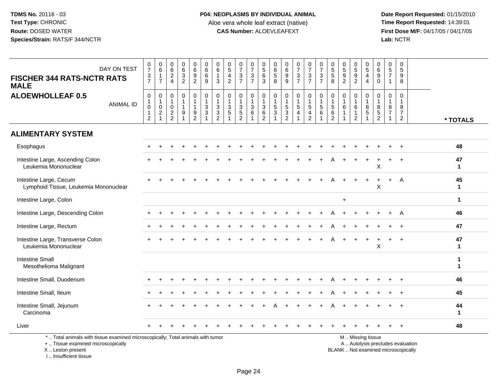**Date Report Requested:** 01/15/2010 **First Dose M/F:** 04/17/05 / 04/17/05<br>Lab: NCTR **Lab:** NCTR

| DAY ON TEST<br><b>FISCHER 344 RATS-NCTR RATS</b><br><b>MALE</b>                                                                            | $\frac{0}{7}$<br>$\frac{3}{7}$                                           | $\begin{array}{c} 0 \\ 6 \end{array}$<br>$\mathbf{1}$<br>$\overline{7}$          | $\begin{array}{c} 0 \\ 6 \end{array}$<br>$\overline{c}$<br>$\overline{4}$ | $\begin{array}{c} 0 \\ 6 \end{array}$<br>3<br>$\overline{2}$         | $069$<br>2                                                              | $_{6}^{\rm 0}$<br>6<br>9                                                    | 0<br>$\,6\,$<br>$\mathbf{1}$<br>3                                  | $\begin{smallmatrix}0\0\5\end{smallmatrix}$<br>$\overline{4}$<br>$\overline{2}$ | $\frac{0}{7}$<br>$\frac{3}{7}$               | $\begin{smallmatrix}0\\7\end{smallmatrix}$<br>$\ensuremath{\mathsf{3}}$<br>$\overline{7}$ | $\boldsymbol{0}$<br>5<br>6<br>$\mathbf{3}$                     | 0<br>$\,6$<br>$\,$ 5 $\,$<br>$\overline{8}$ | 0<br>$\,6\,$<br>$^9_9$                            | $\frac{0}{7}$<br>$\frac{3}{7}$                               | $\frac{0}{7}$<br>$\frac{3}{7}$                                                | $\frac{0}{7}$<br>$\frac{3}{7}$                                                                    | $\begin{array}{c} 0 \\ 5 \\ 5 \end{array}$<br>8                            | $\begin{array}{c} 0 \\ 5 \end{array}$<br>$\boldsymbol{9}$<br>$\overline{2}$ | 0592                                              | $\begin{array}{c} 0 \\ 5 \end{array}$<br>$\overline{4}$<br>$\overline{4}$ | 0<br>$\,6\,$<br>9<br>$\mathbf 0$                          | $\begin{array}{c} 0 \\ 5 \end{array}$<br>$\overline{7}$<br>$\mathbf{1}$ | $\pmb{0}$<br>$\sqrt{5}$<br>9<br>8                                        |                                      |
|--------------------------------------------------------------------------------------------------------------------------------------------|--------------------------------------------------------------------------|----------------------------------------------------------------------------------|---------------------------------------------------------------------------|----------------------------------------------------------------------|-------------------------------------------------------------------------|-----------------------------------------------------------------------------|--------------------------------------------------------------------|---------------------------------------------------------------------------------|----------------------------------------------|-------------------------------------------------------------------------------------------|----------------------------------------------------------------|---------------------------------------------|---------------------------------------------------|--------------------------------------------------------------|-------------------------------------------------------------------------------|---------------------------------------------------------------------------------------------------|----------------------------------------------------------------------------|-----------------------------------------------------------------------------|---------------------------------------------------|---------------------------------------------------------------------------|-----------------------------------------------------------|-------------------------------------------------------------------------|--------------------------------------------------------------------------|--------------------------------------|
| <b>ALOEWHOLLEAF 0.5</b><br><b>ANIMAL ID</b>                                                                                                | $\pmb{0}$<br>$\mathbf{1}$<br>$\pmb{0}$<br>$\mathbf{1}$<br>$\overline{2}$ | $\pmb{0}$<br>$\mathbf{1}$<br>$\pmb{0}$<br>$\overline{c}$<br>$\blacktriangleleft$ | $\mathbf 0$<br>$\mathbf{1}$<br>$\mathsf{O}\xspace$<br>$\overline{c}$<br>2 | $\mathbf 0$<br>$\overline{1}$<br>$\mathbf{1}$<br>9<br>$\overline{1}$ | 0<br>$\mathbf{1}$<br>$\mathbf{1}$<br>$\boldsymbol{9}$<br>$\overline{2}$ | $\begin{smallmatrix}0\\1\end{smallmatrix}$<br>$\frac{3}{3}$<br>$\mathbf{1}$ | $\mathbf 0$<br>$\mathbf{1}$<br>$\mathbf{3}$<br>3<br>$\overline{2}$ | 0<br>$\mathbf{1}$<br>$\mathbf{3}$<br>$5\phantom{.0}$                            | $\mathbf 0$<br>$\mathbf{1}$<br>$\frac{3}{5}$ | 0<br>$\mathbf{1}$<br>$\sqrt{3}$<br>$\,6\,$<br>$\blacktriangleleft$                        | 0<br>$\mathbf{1}$<br>$\mathbf{3}$<br>$\,6\,$<br>$\overline{2}$ | 0<br>$\mathbf{1}$<br>5<br>$\mathbf{3}$<br>1 | $\boldsymbol{0}$<br>$\mathbf{1}$<br>$\frac{5}{2}$ | $\mathbf 0$<br>$\mathbf{1}$<br>$\mathbf 5$<br>$\overline{4}$ | $\mathbf 0$<br>$\mathbf{1}$<br>$\sqrt{5}$<br>$\overline{4}$<br>$\overline{2}$ | $\begin{smallmatrix}0\\1\end{smallmatrix}$<br>$\overline{5}$<br>$6\phantom{1}6$<br>$\overline{1}$ | $\mathbf 0$<br>$\mathbf{1}$<br>$\overline{5}$<br>$\,6\,$<br>$\overline{2}$ | $\mathbf 0$<br>$\overline{1}$<br>$\,6\,$<br>$\overline{1}$                  | 0<br>$\mathbf{1}$<br>$\,6\,$<br>$\mathbf{1}$<br>2 | $\mathbf 0$<br>$\overline{1}$<br>$\bf8$<br>$\,$ 5 $\,$<br>$\overline{1}$  | $\mathbf 0$<br>$\mathbf{1}$<br>$\,8\,$<br>$\sqrt{5}$<br>2 | 0<br>8<br>$\overline{7}$                                                | $\pmb{0}$<br>$\mathbf{1}$<br>$\bf 8$<br>$\overline{7}$<br>$\overline{2}$ | * TOTALS                             |
| <b>ALIMENTARY SYSTEM</b>                                                                                                                   |                                                                          |                                                                                  |                                                                           |                                                                      |                                                                         |                                                                             |                                                                    |                                                                                 |                                              |                                                                                           |                                                                |                                             |                                                   |                                                              |                                                                               |                                                                                                   |                                                                            |                                                                             |                                                   |                                                                           |                                                           |                                                                         |                                                                          |                                      |
| Esophagus                                                                                                                                  |                                                                          |                                                                                  |                                                                           |                                                                      |                                                                         |                                                                             |                                                                    |                                                                                 |                                              |                                                                                           |                                                                |                                             |                                                   |                                                              |                                                                               |                                                                                                   |                                                                            |                                                                             |                                                   |                                                                           |                                                           |                                                                         | $\div$                                                                   | 48                                   |
| Intestine Large, Ascending Colon<br>Leukemia Mononuclear                                                                                   |                                                                          |                                                                                  |                                                                           |                                                                      |                                                                         |                                                                             |                                                                    |                                                                                 |                                              |                                                                                           |                                                                |                                             |                                                   |                                                              |                                                                               |                                                                                                   |                                                                            |                                                                             |                                                   |                                                                           | X                                                         |                                                                         |                                                                          | 47<br>$\mathbf{1}$                   |
| Intestine Large, Cecum<br>Lymphoid Tissue, Leukemia Mononuclear                                                                            |                                                                          |                                                                                  |                                                                           |                                                                      |                                                                         |                                                                             |                                                                    |                                                                                 |                                              |                                                                                           |                                                                |                                             |                                                   |                                                              |                                                                               |                                                                                                   |                                                                            |                                                                             |                                                   |                                                                           | X                                                         | $+$                                                                     | $\overline{A}$                                                           | 45<br>$\mathbf{1}$                   |
| Intestine Large, Colon                                                                                                                     |                                                                          |                                                                                  |                                                                           |                                                                      |                                                                         |                                                                             |                                                                    |                                                                                 |                                              |                                                                                           |                                                                |                                             |                                                   |                                                              |                                                                               |                                                                                                   |                                                                            | $\ddot{}$                                                                   |                                                   |                                                                           |                                                           |                                                                         |                                                                          | $\mathbf{1}$                         |
| Intestine Large, Descending Colon                                                                                                          |                                                                          |                                                                                  |                                                                           |                                                                      |                                                                         |                                                                             |                                                                    |                                                                                 |                                              |                                                                                           |                                                                |                                             |                                                   |                                                              |                                                                               |                                                                                                   |                                                                            |                                                                             |                                                   |                                                                           |                                                           |                                                                         | A                                                                        | 46                                   |
| Intestine Large, Rectum                                                                                                                    |                                                                          |                                                                                  |                                                                           |                                                                      |                                                                         |                                                                             |                                                                    |                                                                                 |                                              |                                                                                           |                                                                |                                             |                                                   |                                                              |                                                                               |                                                                                                   |                                                                            |                                                                             |                                                   |                                                                           |                                                           |                                                                         |                                                                          | 47                                   |
| Intestine Large, Transverse Colon<br>Leukemia Mononuclear                                                                                  |                                                                          |                                                                                  |                                                                           |                                                                      |                                                                         |                                                                             |                                                                    |                                                                                 |                                              |                                                                                           |                                                                |                                             |                                                   |                                                              |                                                                               |                                                                                                   |                                                                            |                                                                             |                                                   |                                                                           | $\times$                                                  |                                                                         | $\ddot{}$                                                                | 47<br>$\mathbf{1}$                   |
| <b>Intestine Small</b><br>Mesothelioma Malignant                                                                                           |                                                                          |                                                                                  |                                                                           |                                                                      |                                                                         |                                                                             |                                                                    |                                                                                 |                                              |                                                                                           |                                                                |                                             |                                                   |                                                              |                                                                               |                                                                                                   |                                                                            |                                                                             |                                                   |                                                                           |                                                           |                                                                         |                                                                          | $\mathbf{1}$<br>$\blacktriangleleft$ |
| Intestine Small, Duodenum                                                                                                                  |                                                                          |                                                                                  |                                                                           |                                                                      |                                                                         |                                                                             |                                                                    |                                                                                 |                                              |                                                                                           |                                                                |                                             |                                                   |                                                              |                                                                               |                                                                                                   |                                                                            |                                                                             |                                                   |                                                                           |                                                           |                                                                         |                                                                          | 46                                   |
| Intestine Small, Ileum                                                                                                                     |                                                                          |                                                                                  |                                                                           |                                                                      |                                                                         |                                                                             |                                                                    |                                                                                 |                                              |                                                                                           |                                                                |                                             |                                                   |                                                              |                                                                               |                                                                                                   |                                                                            |                                                                             |                                                   |                                                                           |                                                           |                                                                         |                                                                          | 45                                   |
| Intestine Small, Jejunum<br>Carcinoma                                                                                                      |                                                                          |                                                                                  |                                                                           |                                                                      |                                                                         |                                                                             |                                                                    |                                                                                 |                                              |                                                                                           |                                                                |                                             |                                                   |                                                              |                                                                               |                                                                                                   |                                                                            |                                                                             |                                                   |                                                                           |                                                           |                                                                         |                                                                          | 44<br>$\mathbf{1}$                   |
| Liver                                                                                                                                      |                                                                          |                                                                                  |                                                                           |                                                                      |                                                                         |                                                                             |                                                                    |                                                                                 |                                              |                                                                                           |                                                                |                                             |                                                   |                                                              |                                                                               |                                                                                                   |                                                                            |                                                                             |                                                   |                                                                           |                                                           |                                                                         |                                                                          | 48                                   |
| *  Total animals with tissue examined microscopically; Total animals with tumor<br>+  Tissue examined microscopically<br>X  Lesion present |                                                                          |                                                                                  |                                                                           |                                                                      |                                                                         |                                                                             |                                                                    |                                                                                 |                                              |                                                                                           |                                                                |                                             |                                                   |                                                              |                                                                               |                                                                                                   |                                                                            | BLANK  Not examined microscopically                                         |                                                   | M  Missing tissue<br>A  Autolysis precludes evaluation                    |                                                           |                                                                         |                                                                          |                                      |

I .. Insufficient tissue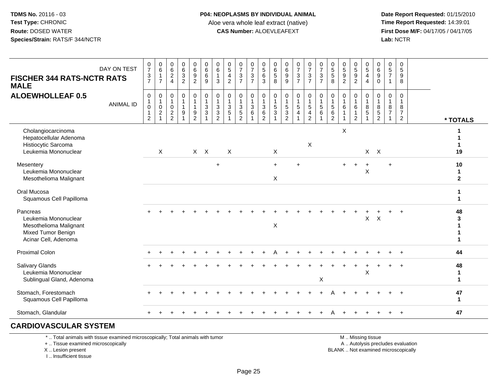**Date Report Requested:** 01/15/2010 **First Dose M/F:** 04/17/05 / 04/17/05<br>Lab: NCTR **Lab:** NCTR

| <b>FISCHER 344 RATS-NCTR RATS</b><br><b>MALE</b>                                                         | DAY ON TEST      | $\frac{0}{7}$<br>$\frac{3}{7}$ | $\begin{array}{c} 0 \\ 6 \end{array}$<br>$\overline{1}$<br>$\overline{7}$ | 0<br>$6\phantom{a}$<br>$\boldsymbol{2}$<br>$\overline{4}$ | $\begin{array}{c} 0 \\ 6 \\ 3 \end{array}$<br>$\overline{2}$      | $\begin{array}{c} 0 \\ 6 \\ 9 \end{array}$<br>$\overline{2}$ | $_{6}^{\rm 0}$<br>6<br>9                       | $\begin{array}{c} 0 \\ 6 \end{array}$<br>$\mathbf{1}$<br>$\mathbf{3}$                       | $\frac{0}{5}$<br>$\overline{4}$<br>$\overline{2}$                 | $\frac{0}{7}$<br>$\mathbf{3}$<br>$\overline{7}$                               | $\frac{0}{7}$<br>3<br>$\overline{7}$ | $\begin{array}{c} 0 \\ 5 \\ 6 \end{array}$<br>3                                 | $\begin{array}{c} 0 \\ 6 \\ 5 \end{array}$<br>8 | $\begin{array}{c} 0 \\ 6 \\ 9 \end{array}$<br>9                      | $\frac{0}{7}$<br>$\mathbf 3$<br>$\overline{7}$   | $\begin{array}{c} 0 \\ 7 \\ 3 \\ 7 \end{array}$  | $\begin{array}{c} 0 \\ 7 \\ 3 \end{array}$<br>$\overline{7}$ | $\begin{array}{c} 0 \\ 5 \\ 5 \end{array}$<br>8              | $\begin{array}{c} 0 \\ 5 \\ 9 \end{array}$<br>$\overline{2}$           | $\begin{array}{c} 0 \\ 5 \\ 9 \end{array}$<br>$\overline{c}$ | $\begin{array}{c} 0 \\ 5 \\ 4 \end{array}$<br>$\overline{4}$ | 0<br>$\overline{6}$<br>$\boldsymbol{9}$<br>$\mathbf 0$ | $\begin{array}{c} 0 \\ 5 \end{array}$<br>$\overline{7}$<br>$\mathbf{1}$ | $\mathbf 0$<br>$\overline{5}$<br>$\boldsymbol{9}$<br>8  |                                    |
|----------------------------------------------------------------------------------------------------------|------------------|--------------------------------|---------------------------------------------------------------------------|-----------------------------------------------------------|-------------------------------------------------------------------|--------------------------------------------------------------|------------------------------------------------|---------------------------------------------------------------------------------------------|-------------------------------------------------------------------|-------------------------------------------------------------------------------|--------------------------------------|---------------------------------------------------------------------------------|-------------------------------------------------|----------------------------------------------------------------------|--------------------------------------------------|--------------------------------------------------|--------------------------------------------------------------|--------------------------------------------------------------|------------------------------------------------------------------------|--------------------------------------------------------------|--------------------------------------------------------------|--------------------------------------------------------|-------------------------------------------------------------------------|---------------------------------------------------------|------------------------------------|
| <b>ALOEWHOLLEAF 0.5</b>                                                                                  | <b>ANIMAL ID</b> | 0<br>$\pmb{0}$<br>2            | $\pmb{0}$<br>$\overline{1}$<br>$\pmb{0}$<br>$\sqrt{2}$<br>$\overline{1}$  | $\mathbf 0$<br>1<br>0<br>$\overline{c}$<br>2              | $\mathbf 0$<br>$\overline{1}$<br>$\mathbf{1}$<br>$\boldsymbol{9}$ | 0<br>$\mathbf{1}$<br>$\mathbf{1}$<br>$\frac{9}{2}$           | 0<br>$\ensuremath{\mathsf{3}}$<br>$\mathbf{3}$ | $\begin{smallmatrix} 0\\ 1 \end{smallmatrix}$<br>$\begin{array}{c} 3 \\ 3 \\ 2 \end{array}$ | 0<br>$\mathbf{1}$<br>$\mathbf{3}$<br>$\sqrt{5}$<br>$\overline{ }$ | $\mathbf 0$<br>$\mathbf{1}$<br>$\sqrt{3}$<br>$\overline{5}$<br>$\overline{2}$ | 0<br>$\mathbf{1}$<br>3<br>6          | $\mathbf 0$<br>$\mathbf{1}$<br>$\ensuremath{\mathsf{3}}$<br>$6\phantom{1}$<br>2 | 0<br>$\mathbf{1}$<br>$\mathbf 5$<br>$\mathsf 3$ | 0<br>$\mathbf{1}$<br>$\,$ 5 $\,$<br>$\mathfrak{S}$<br>$\overline{2}$ | $\mathbf 0$<br>$\overline{1}$<br>$\sqrt{5}$<br>4 | 0<br>$\mathbf{1}$<br>$\sqrt{5}$<br>$\frac{4}{2}$ | 0<br>$\frac{1}{5}$<br>6<br>1                                 | 0<br>$\mathbf{1}$<br>$\sqrt{5}$<br>$\,6\,$<br>$\overline{2}$ | $\mathbf 0$<br>$\mathbf{1}$<br>$\,6\,$<br>$\mathbf{1}$<br>$\mathbf{1}$ | $\mathbf 0$<br>$\,6$<br>2                                    | 0<br>$\mathbf{1}$<br>8<br>$\overline{5}$                     | 0<br>$\overline{1}$<br>8<br>$\frac{5}{2}$              | $\mathbf 0$<br>$\overline{1}$<br>8<br>$\overline{7}$<br>$\mathbf 1$     | $\mathbf 0$<br>$\mathbf{1}$<br>8<br>$\overline{7}$<br>2 | * TOTALS                           |
| Cholangiocarcinoma<br>Hepatocellular Adenoma<br>Histiocytic Sarcoma<br>Leukemia Mononuclear              |                  |                                | $\mathsf{X}$                                                              |                                                           |                                                                   |                                                              | $X$ $X$                                        |                                                                                             | $\pmb{\times}$                                                    |                                                                               |                                      |                                                                                 | X                                               |                                                                      |                                                  | X                                                |                                                              |                                                              | X                                                                      |                                                              |                                                              | $X$ $X$                                                |                                                                         |                                                         | 1<br>1<br>19                       |
| Mesentery<br>Leukemia Mononuclear<br>Mesothelioma Malignant                                              |                  |                                |                                                                           |                                                           |                                                                   |                                                              |                                                | $\ddot{}$                                                                                   |                                                                   |                                                                               |                                      |                                                                                 | $\ddot{}$<br>X                                  |                                                                      |                                                  |                                                  |                                                              |                                                              |                                                                        |                                                              | $\boldsymbol{\mathsf{X}}$                                    |                                                        | $\ddot{}$                                                               |                                                         | 10<br>$\mathbf{1}$<br>$\mathbf{2}$ |
| Oral Mucosa<br>Squamous Cell Papilloma                                                                   |                  |                                |                                                                           |                                                           |                                                                   |                                                              |                                                |                                                                                             |                                                                   |                                                                               |                                      |                                                                                 |                                                 |                                                                      |                                                  |                                                  |                                                              |                                                              |                                                                        |                                                              |                                                              |                                                        |                                                                         |                                                         | 1                                  |
| Pancreas<br>Leukemia Mononuclear<br>Mesothelioma Malignant<br>Mixed Tumor Benign<br>Acinar Cell, Adenoma |                  |                                |                                                                           |                                                           |                                                                   |                                                              |                                                |                                                                                             |                                                                   |                                                                               |                                      |                                                                                 | X                                               |                                                                      |                                                  |                                                  |                                                              |                                                              |                                                                        |                                                              | $\mathsf{X}$                                                 | $\mathsf{X}$                                           |                                                                         |                                                         | 48<br>3                            |
| <b>Proximal Colon</b>                                                                                    |                  |                                |                                                                           |                                                           |                                                                   |                                                              |                                                |                                                                                             |                                                                   |                                                                               |                                      |                                                                                 |                                                 |                                                                      |                                                  |                                                  |                                                              |                                                              |                                                                        |                                                              |                                                              |                                                        |                                                                         |                                                         | 44                                 |
| <b>Salivary Glands</b><br>Leukemia Mononuclear<br>Sublingual Gland, Adenoma                              |                  |                                |                                                                           |                                                           |                                                                   |                                                              |                                                |                                                                                             |                                                                   |                                                                               |                                      |                                                                                 |                                                 |                                                                      |                                                  |                                                  | X                                                            |                                                              |                                                                        |                                                              | X                                                            |                                                        |                                                                         |                                                         | 48<br>-1<br>$\mathbf 1$            |
| Stomach, Forestomach<br>Squamous Cell Papilloma                                                          |                  |                                |                                                                           |                                                           |                                                                   |                                                              |                                                |                                                                                             |                                                                   |                                                                               |                                      |                                                                                 |                                                 |                                                                      |                                                  |                                                  |                                                              |                                                              |                                                                        |                                                              |                                                              |                                                        |                                                                         |                                                         | 47<br>$\mathbf{1}$                 |
| Stomach, Glandular                                                                                       |                  |                                |                                                                           |                                                           |                                                                   |                                                              |                                                |                                                                                             |                                                                   |                                                                               |                                      |                                                                                 |                                                 |                                                                      |                                                  |                                                  |                                                              |                                                              |                                                                        |                                                              |                                                              |                                                        |                                                                         | $\div$                                                  | 47                                 |
|                                                                                                          |                  |                                |                                                                           |                                                           |                                                                   |                                                              |                                                |                                                                                             |                                                                   |                                                                               |                                      |                                                                                 |                                                 |                                                                      |                                                  |                                                  |                                                              |                                                              |                                                                        |                                                              |                                                              |                                                        |                                                                         |                                                         |                                    |

### **CARDIOVASCULAR SYSTEM**

\* .. Total animals with tissue examined microscopically; Total animals with tumor

+ .. Tissue examined microscopically

 Lesion present BLANK .. Not examined microscopicallyX .. Lesion present

I .. Insufficient tissue

M .. Missing tissue

y the contract of the contract of the contract of the contract of the contract of the contract of the contract of  $A$ . Autolysis precludes evaluation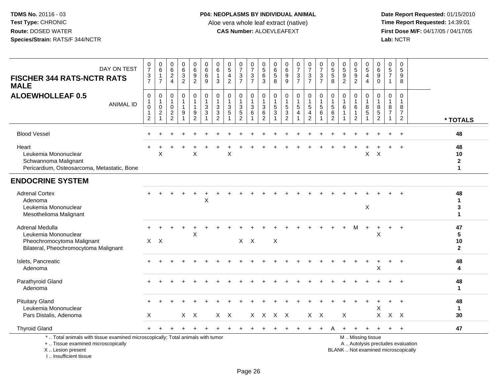**Date Report Requested:** 01/15/2010 **First Dose M/F:** 04/17/05 / 04/17/05<br>Lab: NCTR **Lab:** NCTR

| DAY ON TEST<br><b>FISCHER 344 RATS-NCTR RATS</b><br><b>MALE</b>                                                       | $\frac{0}{7}$<br>$\ensuremath{\mathsf{3}}$<br>$\overline{7}$ | 0<br>$6\phantom{a}$<br>$\mathbf{1}$<br>$\overline{7}$              | $\begin{matrix} 0 \\ 6 \\ 2 \\ 4 \end{matrix}$               | $\begin{array}{c} 0 \\ 6 \\ 3 \end{array}$<br>$\overline{2}$ | $_6^0$<br>$\boldsymbol{9}$<br>$\overline{2}$ | $\begin{array}{c} 0 \\ 6 \\ 6 \end{array}$<br>9                         | 0<br>$\,6$<br>$\overline{1}$<br>3                          | $\begin{array}{c} 0 \\ 5 \end{array}$<br>$\overline{4}$<br>$\overline{2}$ | 0<br>$\overline{7}$<br>$\mathsf 3$<br>$\overline{7}$ | $\frac{0}{7}$<br>$\mathbf{3}$<br>$\overline{7}$                  | 0<br>$\overline{5}$<br>$\,6$<br>3             | 0<br>$\overline{6}$<br>5<br>8             | $_{6}^{\rm 0}$<br>$\frac{9}{9}$                  | $\frac{0}{7}$<br>$\frac{3}{7}$                                      | $\frac{0}{7}$<br>$\frac{3}{7}$                                   | $\frac{0}{7}$<br>$\mathbf{3}$<br>$\overline{7}$ | $\begin{array}{c} 0 \\ 5 \\ 5 \end{array}$<br>8                        | $\begin{array}{c} 0 \\ 5 \\ 9 \end{array}$<br>$\overline{2}$ | $\begin{array}{c} 0 \\ 5 \\ 9 \\ 2 \end{array}$                        | $\begin{array}{c} 0 \\ 5 \end{array}$<br>$\overline{4}$<br>$\overline{4}$ | $\begin{array}{c} 0 \\ 6 \end{array}$<br>$\overline{9}$<br>$\mathbf 0$ | $\begin{array}{c} 0 \\ 5 \end{array}$<br>$\overline{7}$<br>$\mathbf{1}$ | 0<br>$\overline{5}$<br>$\boldsymbol{9}$<br>8                    |                                         |
|-----------------------------------------------------------------------------------------------------------------------|--------------------------------------------------------------|--------------------------------------------------------------------|--------------------------------------------------------------|--------------------------------------------------------------|----------------------------------------------|-------------------------------------------------------------------------|------------------------------------------------------------|---------------------------------------------------------------------------|------------------------------------------------------|------------------------------------------------------------------|-----------------------------------------------|-------------------------------------------|--------------------------------------------------|---------------------------------------------------------------------|------------------------------------------------------------------|-------------------------------------------------|------------------------------------------------------------------------|--------------------------------------------------------------|------------------------------------------------------------------------|---------------------------------------------------------------------------|------------------------------------------------------------------------|-------------------------------------------------------------------------|-----------------------------------------------------------------|-----------------------------------------|
| <b>ALOEWHOLLEAF 0.5</b><br><b>ANIMAL ID</b>                                                                           | $\mathbf 0$<br>1<br>$\mathbf 0$<br>$\mathbf 1$<br>$\sqrt{2}$ | 0<br>$\mathbf{1}$<br>$\pmb{0}$<br>$\boldsymbol{2}$<br>$\mathbf{1}$ | 0<br>-1<br>$\mathbf 0$<br>$\boldsymbol{2}$<br>$\overline{2}$ | $\pmb{0}$<br>1<br>1<br>9<br>$\mathbf{1}$                     | 0<br>1<br>$\frac{9}{2}$                      | $\pmb{0}$<br>$\overline{1}$<br>$\sqrt{3}$<br>$\sqrt{3}$<br>$\mathbf{1}$ | 0<br>$\overline{1}$<br>$\mathbf{3}$<br>3<br>$\overline{2}$ | $\mathbf 0$<br>$\mathbf{1}$<br>$\sqrt{3}$<br>$\sqrt{5}$<br>$\overline{1}$ | 0<br>1<br>3<br>$\mathbf 5$<br>$\overline{2}$         | $\pmb{0}$<br>$\mathbf{1}$<br>$\sqrt{3}$<br>$\,6$<br>$\mathbf{1}$ | 0<br>$\mathbf{1}$<br>3<br>6<br>$\overline{2}$ | 0<br>$\mathbf 1$<br>$5\,$<br>$\mathbf{3}$ | 0<br>$\mathbf{1}$<br>$\sqrt{5}$<br>$\frac{3}{2}$ | 0<br>$\mathbf{1}$<br>$\sqrt{5}$<br>$\overline{4}$<br>$\overline{1}$ | $\mathbf 0$<br>$\overline{1}$<br>$\overline{5}$<br>$\frac{4}{2}$ | 0<br>1<br>$\overline{5}$<br>6                   | $\mathbf 0$<br>$\mathbf{1}$<br>$\sqrt{5}$<br>$\,6\,$<br>$\overline{c}$ | 0<br>1.<br>$\,6\,$<br>1                                      | $\pmb{0}$<br>$\mathbf{1}$<br>$\,6\,$<br>$\mathbf{1}$<br>$\overline{2}$ | $\mathbf 0$<br>$\,8\,$<br>$\sqrt{5}$                                      | 0<br>$\overline{1}$<br>8<br>$\frac{5}{2}$                              | $\mathbf 0$<br>$\mathbf{1}$<br>8<br>$\overline{7}$<br>$\mathbf{1}$      | 0<br>$\mathbf{1}$<br>$\bf8$<br>$\overline{7}$<br>$\overline{2}$ | * TOTALS                                |
| <b>Blood Vessel</b>                                                                                                   |                                                              |                                                                    |                                                              |                                                              |                                              |                                                                         |                                                            |                                                                           |                                                      |                                                                  |                                               |                                           |                                                  |                                                                     |                                                                  |                                                 |                                                                        |                                                              |                                                                        |                                                                           |                                                                        |                                                                         |                                                                 | 48                                      |
| Heart<br>Leukemia Mononuclear<br>Schwannoma Malignant<br>Pericardium, Osteosarcoma, Metastatic, Bone                  |                                                              | X                                                                  |                                                              |                                                              | $\sf X$                                      |                                                                         |                                                            | X                                                                         |                                                      |                                                                  |                                               |                                           |                                                  |                                                                     |                                                                  |                                                 |                                                                        |                                                              |                                                                        | $\pmb{\times}$                                                            | $\boldsymbol{\mathsf{X}}$                                              |                                                                         |                                                                 | 48<br>10<br>$\mathbf{2}$<br>$\mathbf 1$ |
| <b>ENDOCRINE SYSTEM</b>                                                                                               |                                                              |                                                                    |                                                              |                                                              |                                              |                                                                         |                                                            |                                                                           |                                                      |                                                                  |                                               |                                           |                                                  |                                                                     |                                                                  |                                                 |                                                                        |                                                              |                                                                        |                                                                           |                                                                        |                                                                         |                                                                 |                                         |
| <b>Adrenal Cortex</b><br>Adenoma<br>Leukemia Mononuclear<br>Mesothelioma Malignant                                    |                                                              |                                                                    |                                                              |                                                              |                                              | X                                                                       |                                                            |                                                                           |                                                      |                                                                  |                                               |                                           |                                                  |                                                                     |                                                                  |                                                 |                                                                        |                                                              |                                                                        | X                                                                         |                                                                        |                                                                         |                                                                 | 48<br>$\mathbf{1}$<br>3<br>1            |
| Adrenal Medulla<br>Leukemia Mononuclear<br>Pheochromocytoma Malignant<br>Bilateral, Pheochromocytoma Malignant        |                                                              | $X$ $X$                                                            |                                                              |                                                              | X                                            |                                                                         |                                                            |                                                                           |                                                      | $X \times X$                                                     |                                               | X                                         |                                                  |                                                                     |                                                                  |                                                 |                                                                        |                                                              | м                                                                      |                                                                           | X                                                                      |                                                                         | $\div$                                                          | 47<br>5<br>10<br>$\overline{2}$         |
| Islets, Pancreatic<br>Adenoma                                                                                         |                                                              |                                                                    |                                                              |                                                              |                                              |                                                                         |                                                            |                                                                           |                                                      |                                                                  |                                               |                                           |                                                  |                                                                     |                                                                  |                                                 |                                                                        |                                                              |                                                                        |                                                                           | X                                                                      |                                                                         | $+$                                                             | 48<br>4                                 |
| Parathyroid Gland<br>Adenoma                                                                                          |                                                              |                                                                    |                                                              |                                                              |                                              |                                                                         |                                                            |                                                                           |                                                      |                                                                  |                                               |                                           |                                                  |                                                                     |                                                                  |                                                 |                                                                        |                                                              |                                                                        |                                                                           |                                                                        |                                                                         |                                                                 | 48<br>$\mathbf{1}$                      |
| <b>Pituitary Gland</b><br>Leukemia Mononuclear<br>Pars Distalis, Adenoma                                              | $\times$                                                     |                                                                    |                                                              |                                                              | $X$ $X$                                      |                                                                         |                                                            | $X$ $X$                                                                   |                                                      |                                                                  |                                               | X X X X                                   |                                                  |                                                                     | $X$ $X$                                                          |                                                 |                                                                        | X                                                            |                                                                        |                                                                           | X<br>$\mathsf{X}$                                                      | $X$ $X$                                                                 | $\ddot{}$                                                       | 48<br>$\mathbf{1}$<br>30                |
| <b>Thyroid Gland</b>                                                                                                  |                                                              |                                                                    |                                                              |                                                              |                                              |                                                                         |                                                            |                                                                           |                                                      |                                                                  |                                               |                                           |                                                  |                                                                     |                                                                  |                                                 |                                                                        |                                                              |                                                                        |                                                                           |                                                                        | $\ddot{}$                                                               | $+$                                                             | 47                                      |
| *  Total animals with tissue examined microscopically; Total animals with tumor<br>+  Tissue examined microscopically |                                                              |                                                                    |                                                              |                                                              |                                              |                                                                         |                                                            |                                                                           |                                                      |                                                                  |                                               |                                           |                                                  |                                                                     |                                                                  |                                                 |                                                                        |                                                              |                                                                        | M  Missing tissue                                                         |                                                                        |                                                                         | A  Autolysis precludes evaluation                               |                                         |

X .. Lesion present

I .. Insufficient tissue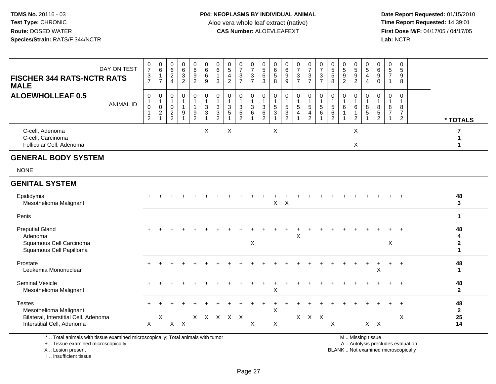**Date Report Requested:** 01/15/2010 **First Dose M/F:** 04/17/05 / 04/17/05<br>Lab: NCTR **Lab:** NCTR

| DAY ON TEST<br><b>FISCHER 344 RATS-NCTR RATS</b><br><b>MALE</b>                         | $\frac{0}{7}$<br>3<br>$\overline{7}$         | $\begin{array}{c} 0 \\ 6 \end{array}$<br>$\mathbf{1}$<br>$\overline{7}$ | $\begin{matrix} 0 \\ 6 \\ 2 \\ 4 \end{matrix}$ | $\begin{array}{c} 0 \\ 6 \\ 3 \\ 2 \end{array}$ | $069$<br>2                                             | $\begin{array}{c} 0 \\ 6 \end{array}$<br>6<br>9                   | 0<br>6<br>$\mathbf{1}$<br>3 | $\begin{array}{c} 0 \\ 5 \end{array}$<br>$\overline{4}$<br>$\overline{2}$ | $\frac{0}{7}$<br>$\frac{3}{7}$ | $\frac{0}{7}$<br>$\frac{3}{7}$        | $\begin{smallmatrix} 0\\5 \end{smallmatrix}$<br>$\,6\,$<br>3 | 0<br>$\,6\,$<br>$\sqrt{5}$<br>8               | 0<br>6<br>9<br>9                                | $\frac{0}{7}$<br>$\frac{3}{7}$ | $\begin{smallmatrix}0\\7\end{smallmatrix}$<br>$\frac{1}{7}$ | $\frac{0}{7}$<br>$\frac{3}{7}$       | $\begin{array}{c} 0 \\ 5 \\ 5 \end{array}$<br>8 | $\begin{array}{c} 0 \\ 5 \end{array}$<br>$\frac{9}{2}$     | $^{\rm 0}_{\rm 5}$<br>$\overline{9}$<br>$\overline{2}$ | $\begin{array}{c} 0 \\ 5 \\ 4 \end{array}$<br>$\overline{4}$ | $_{6}^{\rm 0}$<br>$\boldsymbol{9}$<br>$\mathbf 0$ | 0<br>$\sqrt{5}$<br>$\overline{7}$<br>$\mathbf{1}$ | 0<br>$\sqrt{5}$<br>9<br>8                 |                                         |
|-----------------------------------------------------------------------------------------|----------------------------------------------|-------------------------------------------------------------------------|------------------------------------------------|-------------------------------------------------|--------------------------------------------------------|-------------------------------------------------------------------|-----------------------------|---------------------------------------------------------------------------|--------------------------------|---------------------------------------|--------------------------------------------------------------|-----------------------------------------------|-------------------------------------------------|--------------------------------|-------------------------------------------------------------|--------------------------------------|-------------------------------------------------|------------------------------------------------------------|--------------------------------------------------------|--------------------------------------------------------------|---------------------------------------------------|---------------------------------------------------|-------------------------------------------|-----------------------------------------|
| <b>ALOEWHOLLEAF 0.5</b><br><b>ANIMAL ID</b>                                             | 0<br>1<br>$\mathbf 0$<br>1<br>$\overline{2}$ | 0<br>$\mathbf{1}$<br>0<br>$\overline{c}$                                | 0<br>$\mathbf{1}$<br>0<br>$\frac{2}{2}$        | 0<br>$\mathbf{1}$<br>$\mathbf{1}$<br>9          | 0<br>$\overline{1}$<br>$\overline{1}$<br>$\frac{9}{2}$ | 0<br>$\mathbf{1}$<br>$\overline{3}$<br>$\sqrt{3}$<br>$\mathbf{1}$ | 0<br>3<br>3<br>2            | 0<br>$\mathbf{1}$<br>3<br>$\sqrt{5}$                                      | 0<br>$\frac{3}{5}$             | $\mathbf 0$<br>1<br>$\mathbf{3}$<br>6 | $\mathbf 0$<br>$\mathbf{1}$<br>$\sqrt{3}$<br>$\frac{6}{2}$   | 0<br>$\mathbf{1}$<br>5<br>3<br>$\overline{1}$ | 0<br>1<br>$\overline{5}$<br>3<br>$\overline{2}$ | 0<br>$\mathbf{1}$<br>5<br>4    | 0<br>$\mathbf{1}$<br>$\overline{5}$<br>$\frac{4}{2}$        | 0<br>$\mathbf{1}$<br>$\sqrt{5}$<br>6 | 0<br>$\overline{1}$<br>$\sqrt{5}$<br>6<br>2     | 0<br>$\overline{1}$<br>6<br>$\overline{1}$<br>$\mathbf{1}$ | 0<br>6<br>$\mathbf{1}$<br>$\overline{2}$               | 0<br>$\mathbf{1}$<br>8<br>$\mathbf 5$                        | 0<br>$\mathbf{1}$<br>8<br>$\frac{5}{2}$           | $\mathbf 0$<br>8<br>$\overline{7}$                | $\mathbf 0$<br>$\mathbf 1$<br>8<br>7<br>2 | * TOTALS                                |
| C-cell, Adenoma<br>C-cell, Carcinoma<br>Follicular Cell, Adenoma                        |                                              |                                                                         |                                                |                                                 |                                                        | X                                                                 |                             | X                                                                         |                                |                                       |                                                              | X                                             |                                                 |                                |                                                             |                                      |                                                 |                                                            | X<br>X                                                 |                                                              |                                                   |                                                   |                                           | 7<br>1<br>1                             |
| <b>GENERAL BODY SYSTEM</b>                                                              |                                              |                                                                         |                                                |                                                 |                                                        |                                                                   |                             |                                                                           |                                |                                       |                                                              |                                               |                                                 |                                |                                                             |                                      |                                                 |                                                            |                                                        |                                                              |                                                   |                                                   |                                           |                                         |
| <b>NONE</b>                                                                             |                                              |                                                                         |                                                |                                                 |                                                        |                                                                   |                             |                                                                           |                                |                                       |                                                              |                                               |                                                 |                                |                                                             |                                      |                                                 |                                                            |                                                        |                                                              |                                                   |                                                   |                                           |                                         |
| <b>GENITAL SYSTEM</b>                                                                   |                                              |                                                                         |                                                |                                                 |                                                        |                                                                   |                             |                                                                           |                                |                                       |                                                              |                                               |                                                 |                                |                                                             |                                      |                                                 |                                                            |                                                        |                                                              |                                                   |                                                   |                                           |                                         |
| Epididymis<br>Mesothelioma Malignant                                                    |                                              |                                                                         |                                                |                                                 |                                                        |                                                                   |                             |                                                                           |                                |                                       |                                                              | X                                             | $\boldsymbol{\mathsf{X}}$                       |                                |                                                             |                                      |                                                 |                                                            |                                                        |                                                              |                                                   |                                                   |                                           | 48<br>$\mathbf{3}$                      |
| Penis                                                                                   |                                              |                                                                         |                                                |                                                 |                                                        |                                                                   |                             |                                                                           |                                |                                       |                                                              |                                               |                                                 |                                |                                                             |                                      |                                                 |                                                            |                                                        |                                                              |                                                   |                                                   |                                           | $\mathbf{1}$                            |
| <b>Preputial Gland</b><br>Adenoma<br>Squamous Cell Carcinoma<br>Squamous Cell Papilloma |                                              |                                                                         |                                                |                                                 |                                                        |                                                                   |                             |                                                                           |                                | X                                     |                                                              |                                               |                                                 | X                              |                                                             |                                      |                                                 |                                                            |                                                        |                                                              |                                                   | X                                                 |                                           | 48<br>4<br>$\mathbf{2}$<br>$\mathbf{1}$ |
| Prostate<br>Leukemia Mononuclear                                                        |                                              |                                                                         |                                                |                                                 |                                                        |                                                                   |                             |                                                                           |                                |                                       |                                                              |                                               |                                                 |                                |                                                             |                                      |                                                 |                                                            |                                                        |                                                              | X                                                 |                                                   |                                           | 48<br>$\mathbf{1}$                      |
| Seminal Vesicle<br>Mesothelioma Malignant                                               |                                              |                                                                         |                                                |                                                 |                                                        |                                                                   |                             |                                                                           |                                |                                       |                                                              | Χ                                             |                                                 |                                |                                                             |                                      |                                                 |                                                            |                                                        |                                                              |                                                   |                                                   |                                           | 48<br>$\mathbf{2}$                      |
| <b>Testes</b><br>Mesothelioma Malignant<br>Bilateral, Interstitial Cell, Adenoma        |                                              | X                                                                       |                                                |                                                 |                                                        |                                                                   |                             | X X X X X                                                                 |                                |                                       |                                                              | Χ                                             |                                                 |                                | $X$ $X$ $X$                                                 |                                      |                                                 |                                                            |                                                        |                                                              |                                                   |                                                   | X                                         | 48<br>$\mathbf{2}$<br>25                |
| Interstitial Cell, Adenoma                                                              | $\mathsf{X}$                                 |                                                                         |                                                | $X$ $X$                                         |                                                        |                                                                   |                             |                                                                           |                                | X                                     |                                                              | X                                             |                                                 |                                |                                                             |                                      | X                                               |                                                            |                                                        |                                                              | $X$ $X$                                           |                                                   |                                           | 14                                      |
| *  Total animals with tissue examined microscopically; Total animals with tumor         |                                              |                                                                         |                                                |                                                 |                                                        |                                                                   |                             |                                                                           |                                |                                       |                                                              |                                               |                                                 |                                |                                                             |                                      |                                                 |                                                            |                                                        | M  Missing tissue                                            |                                                   |                                                   |                                           |                                         |

+ .. Tissue examined microscopically

X .. Lesion present

I .. Insufficient tissue

y the contract of the contract of the contract of the contract of the contract of the contract of the contract of  $A$ . Autolysis precludes evaluation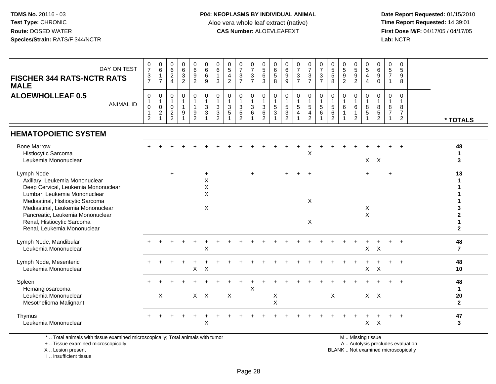**Date Report Requested:** 01/15/2010 **First Dose M/F:** 04/17/05 / 04/17/05<br>Lab: NCTR **Lab:** NCTR

| DAY ON TEST<br><b>FISCHER 344 RATS-NCTR RATS</b><br><b>MALE</b>                                                                                                                                                                                                                               | $\frac{0}{7}$<br>$\frac{3}{7}$                                               | $\begin{matrix} 0 \\ 6 \end{matrix}$<br>$\mathbf{1}$<br>$\overline{7}$           | $\begin{array}{c} 0 \\ 6 \end{array}$<br>$\overline{c}$<br>$\overline{4}$        | $\begin{array}{c} 0 \\ 6 \\ 3 \end{array}$<br>$\overline{2}$ | $_{6}^{\rm 0}$<br>$\overline{9}$<br>$\overline{2}$                        | $\begin{matrix} 0 \\ 6 \\ 6 \end{matrix}$<br>9          | $\begin{matrix} 0 \\ 6 \end{matrix}$<br>$\overline{1}$<br>3          | $\begin{array}{c} 0 \\ 5 \end{array}$<br>$\overline{4}$<br>$\overline{2}$ | $\frac{0}{7}$<br>$\mathsf 3$<br>$\overline{7}$         | $\frac{0}{7}$<br>$\overline{3}$<br>$\overline{7}$            | $\begin{array}{c} 0 \\ 5 \\ 6 \end{array}$<br>3             | $\begin{array}{c} 0 \\ 6 \\ 5 \end{array}$<br>8 | 0<br>9<br>9                                                                 | $07/3$<br>7                   | $\frac{0}{7}$<br>$rac{3}{7}$                                                  | $\begin{array}{c} 0 \\ 7 \\ 3 \end{array}$<br>$\overline{7}$ | $\begin{array}{c} 0 \\ 5 \\ 5 \end{array}$<br>8                        | $\begin{array}{c} 0 \\ 5 \\ 9 \end{array}$<br>$\overline{2}$ | 0<br>5<br>9<br>2                                               | $\begin{array}{c} 0 \\ 5 \end{array}$<br>4<br>$\overline{4}$ | $\begin{array}{c} 0 \\ 6 \\ 9 \end{array}$<br>$\mathsf{O}\xspace$ | $\begin{array}{c} 0 \\ 5 \\ 7 \end{array}$<br>$\mathbf{1}$ | 0<br>9<br>9<br>8                                                     |                                           |
|-----------------------------------------------------------------------------------------------------------------------------------------------------------------------------------------------------------------------------------------------------------------------------------------------|------------------------------------------------------------------------------|----------------------------------------------------------------------------------|----------------------------------------------------------------------------------|--------------------------------------------------------------|---------------------------------------------------------------------------|---------------------------------------------------------|----------------------------------------------------------------------|---------------------------------------------------------------------------|--------------------------------------------------------|--------------------------------------------------------------|-------------------------------------------------------------|-------------------------------------------------|-----------------------------------------------------------------------------|-------------------------------|-------------------------------------------------------------------------------|--------------------------------------------------------------|------------------------------------------------------------------------|--------------------------------------------------------------|----------------------------------------------------------------|--------------------------------------------------------------|-------------------------------------------------------------------|------------------------------------------------------------|----------------------------------------------------------------------|-------------------------------------------|
| <b>ALOEWHOLLEAF 0.5</b><br><b>ANIMAL ID</b>                                                                                                                                                                                                                                                   | $\mathbf 0$<br>$\mathbf{1}$<br>$\mathbf 0$<br>$\mathbf{1}$<br>$\overline{c}$ | $\mathbf 0$<br>$\overline{1}$<br>$\mathbf 0$<br>$\boldsymbol{2}$<br>$\mathbf{1}$ | $\mathbf 0$<br>$\mathbf{1}$<br>$\mathbf 0$<br>$\boldsymbol{2}$<br>$\overline{2}$ | 0<br>$\mathbf{1}$<br>$\mathbf{1}$<br>9<br>$\mathbf{1}$       | 0<br>$\overline{1}$<br>$\mathbf{1}$<br>$\boldsymbol{9}$<br>$\overline{2}$ | $\mathbf 0$<br>$\mathbf{1}$<br>$\sqrt{3}$<br>$\sqrt{3}$ | $\mathbf 0$<br>$\overline{1}$<br>3<br>$\mathbf{3}$<br>$\overline{2}$ | $\mathbf 0$<br>$\mathbf{1}$<br>3<br>$\overline{5}$                        | 0<br>$\mathbf{1}$<br>3<br>$\sqrt{5}$<br>$\overline{2}$ | 0<br>$\mathbf{1}$<br>$\sqrt{3}$<br>$\,6\,$<br>$\overline{1}$ | $\mathbf 0$<br>$\mathbf{1}$<br>3<br>$\,6$<br>$\overline{2}$ | 0<br>$\mathbf{1}$<br>5<br>$\sqrt{3}$            | $\mathbf 0$<br>$\mathbf{1}$<br>$\,$ 5 $\,$<br>$\mathbf 3$<br>$\overline{2}$ | 0<br>1<br>5<br>$\overline{4}$ | $\mathbf 0$<br>$\mathbf{1}$<br>$\sqrt{5}$<br>$\overline{4}$<br>$\overline{2}$ | 0<br>$\overline{1}$<br>5<br>6                                | $\mathbf 0$<br>$\mathbf{1}$<br>$\sqrt{5}$<br>$\,6\,$<br>$\overline{2}$ | $\mathbf{0}$<br>6                                            | 0<br>$\mathbf{1}$<br>$\,6\,$<br>$\mathbf{1}$<br>$\overline{2}$ | 0<br>$\mathbf{1}$<br>8<br>5                                  | 0<br>$\mathbf{1}$<br>$^8_5$<br>$\overline{2}$                     | 0<br>$\mathbf{1}$<br>8<br>$\overline{7}$<br>$\mathbf{1}$   | $\mathbf 0$<br>$\mathbf{1}$<br>8<br>$\overline{7}$<br>$\overline{2}$ | * TOTALS                                  |
| <b>HEMATOPOIETIC SYSTEM</b>                                                                                                                                                                                                                                                                   |                                                                              |                                                                                  |                                                                                  |                                                              |                                                                           |                                                         |                                                                      |                                                                           |                                                        |                                                              |                                                             |                                                 |                                                                             |                               |                                                                               |                                                              |                                                                        |                                                              |                                                                |                                                              |                                                                   |                                                            |                                                                      |                                           |
| <b>Bone Marrow</b><br>Histiocytic Sarcoma<br>Leukemia Mononuclear                                                                                                                                                                                                                             |                                                                              |                                                                                  |                                                                                  |                                                              |                                                                           |                                                         |                                                                      |                                                                           |                                                        |                                                              |                                                             |                                                 |                                                                             |                               | X                                                                             |                                                              |                                                                        |                                                              |                                                                | X                                                            | $\mathsf{X}$                                                      |                                                            |                                                                      | 48<br>3                                   |
| Lymph Node<br>Axillary, Leukemia Mononuclear<br>Deep Cervical, Leukemia Mononuclear<br>Lumbar, Leukemia Mononuclear<br>Mediastinal, Histiocytic Sarcoma<br>Mediastinal, Leukemia Mononuclear<br>Pancreatic, Leukemia Mononuclear<br>Renal, Histiocytic Sarcoma<br>Renal, Leukemia Mononuclear |                                                                              |                                                                                  | $\ddot{}$                                                                        |                                                              |                                                                           | $\ddot{}$<br>X<br>$\sf X$<br>X<br>X                     |                                                                      |                                                                           |                                                        | $\ddot{}$                                                    |                                                             |                                                 |                                                                             |                               | X<br>X                                                                        |                                                              |                                                                        |                                                              |                                                                | $\overline{ }$<br>X<br>$\sf X$                               |                                                                   |                                                            |                                                                      | 13<br>3<br>2<br>1<br>$\mathbf{2}$         |
| Lymph Node, Mandibular<br>Leukemia Mononuclear                                                                                                                                                                                                                                                |                                                                              |                                                                                  |                                                                                  |                                                              |                                                                           | $\boldsymbol{\mathsf{X}}$                               |                                                                      |                                                                           |                                                        |                                                              |                                                             |                                                 |                                                                             |                               |                                                                               |                                                              |                                                                        |                                                              |                                                                | X                                                            | $\boldsymbol{X}$                                                  |                                                            |                                                                      | 48<br>$\overline{7}$                      |
| Lymph Node, Mesenteric<br>Leukemia Mononuclear                                                                                                                                                                                                                                                |                                                                              |                                                                                  |                                                                                  |                                                              | $\mathsf{X}$                                                              | $\mathsf{X}$                                            |                                                                      |                                                                           |                                                        |                                                              |                                                             |                                                 |                                                                             |                               |                                                                               |                                                              |                                                                        |                                                              |                                                                | $\mathsf{X}$                                                 | $\mathsf{X}$                                                      |                                                            | $\div$                                                               | 48<br>10                                  |
| Spleen<br>Hemangiosarcoma<br>Leukemia Mononuclear<br>Mesothelioma Malignant                                                                                                                                                                                                                   |                                                                              | $\mathsf{X}$                                                                     |                                                                                  |                                                              |                                                                           | $X$ $X$                                                 |                                                                      | $\pmb{\times}$                                                            |                                                        | $\times$                                                     |                                                             | $\boldsymbol{\mathsf{X}}$<br>X                  |                                                                             |                               |                                                                               |                                                              | $\pmb{\times}$                                                         |                                                              |                                                                |                                                              | $X$ $X$                                                           |                                                            |                                                                      | 48<br>$\mathbf 1$<br>20<br>$\overline{2}$ |
| Thymus<br>Leukemia Mononuclear                                                                                                                                                                                                                                                                |                                                                              |                                                                                  |                                                                                  |                                                              |                                                                           | X                                                       |                                                                      |                                                                           |                                                        |                                                              |                                                             |                                                 |                                                                             |                               |                                                                               |                                                              |                                                                        |                                                              |                                                                | X                                                            | X                                                                 |                                                            |                                                                      | 47<br>3                                   |

\* .. Total animals with tissue examined microscopically; Total animals with tumor

+ .. Tissue examined microscopically

X .. Lesion present

I .. Insufficient tissue

M .. Missing tissue

y the contract of the contract of the contract of the contract of the contract of the contract of the contract of  $A$ . Autolysis precludes evaluation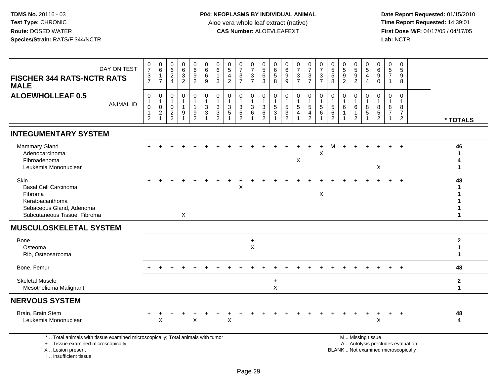I .. Insufficient tissue

 **Date Report Requested:** 01/15/2010 **First Dose M/F:** 04/17/05 / 04/17/05<br>Lab: NCTR **Lab:** NCTR

| <b>FISCHER 344 RATS-NCTR RATS</b><br><b>MALE</b>                                                                                           | DAY ON TEST      | 0<br>$\overline{7}$<br>$\mathbf{3}$<br>$\overline{7}$ | $\begin{array}{c} 0 \\ 6 \end{array}$<br>$\mathbf 1$<br>$\overline{7}$      | 0<br>$\,6\,$<br>$\sqrt{2}$<br>$\overline{4}$               | $\begin{array}{c} 0 \\ 6 \end{array}$<br>$\ensuremath{\mathsf{3}}$<br>$\overline{2}$ | $\mathbf 0$<br>$6\phantom{a}$<br>$\boldsymbol{9}$<br>2               | 0<br>$\,6\,$<br>6<br>9                                    | 0<br>6<br>1<br>3 | 0<br>$\sqrt{5}$<br>4<br>$\overline{2}$         | $\begin{array}{c} 0 \\ 7 \end{array}$<br>$\ensuremath{\mathsf{3}}$<br>$\overline{7}$ | 0<br>$\overline{7}$<br>$\mathbf{3}$<br>$\overline{7}$ | 0<br>$\sqrt{5}$<br>$6\phantom{1}6$<br>3                                          | 0<br>$6\phantom{1}6$<br>$\sqrt{5}$<br>8     | 0<br>6<br>9<br>9                                        | $\frac{0}{7}$<br>$\mathbf{3}$<br>$\overline{7}$ | $\frac{0}{7}$<br>$\mathsf 3$<br>$\overline{7}$                 | $\frac{0}{7}$<br>$\ensuremath{\mathsf{3}}$<br>$\overline{7}$ | $\boldsymbol{0}$<br>$\sqrt{5}$<br>$\sqrt{5}$<br>8 | 0<br>$\sqrt{5}$<br>$9\,$<br>$\overline{2}$       | 0<br>$\overline{5}$<br>$\boldsymbol{9}$<br>$\overline{2}$ | 0<br>5<br>4<br>$\overline{4}$                        | 0<br>$\,6$<br>$\boldsymbol{9}$<br>$\mathbf 0$             | 0<br>5<br>$\overline{7}$<br>$\mathbf{1}$ | 0<br>$\sqrt{5}$<br>9<br>8                                  |                                   |                                      |  |
|--------------------------------------------------------------------------------------------------------------------------------------------|------------------|-------------------------------------------------------|-----------------------------------------------------------------------------|------------------------------------------------------------|--------------------------------------------------------------------------------------|----------------------------------------------------------------------|-----------------------------------------------------------|------------------|------------------------------------------------|--------------------------------------------------------------------------------------|-------------------------------------------------------|----------------------------------------------------------------------------------|---------------------------------------------|---------------------------------------------------------|-------------------------------------------------|----------------------------------------------------------------|--------------------------------------------------------------|---------------------------------------------------|--------------------------------------------------|-----------------------------------------------------------|------------------------------------------------------|-----------------------------------------------------------|------------------------------------------|------------------------------------------------------------|-----------------------------------|--------------------------------------|--|
| <b>ALOEWHOLLEAF 0.5</b>                                                                                                                    | <b>ANIMAL ID</b> | 0<br>1<br>$\mathbf 0$<br>1<br>$\overline{2}$          | $\mathbf 0$<br>$\mathbf{1}$<br>$\mathbf 0$<br>$\overline{c}$<br>$\mathbf 1$ | 0<br>$\mathbf{1}$<br>0<br>$\overline{2}$<br>$\overline{2}$ | $\mathbf 0$<br>$\mathbf{1}$<br>9                                                     | $\mathbf 0$<br>$\overline{1}$<br>$\mathbf{1}$<br>9<br>$\overline{c}$ | $\pmb{0}$<br>$\overline{1}$<br>$\mathbf{3}$<br>$\sqrt{3}$ | 0<br>3<br>3<br>2 | $\mathbf 0$<br>$\mathbf{1}$<br>3<br>$\sqrt{5}$ | 0<br>1<br>$\sqrt{3}$<br>$\overline{5}$<br>$\overline{2}$                             | $\mathbf 0$<br>3<br>6                                 | $\mathbf 0$<br>$\overline{1}$<br>$\sqrt{3}$<br>$6\phantom{1}6$<br>$\overline{2}$ | 0<br>$\mathbf{1}$<br>5<br>$\mathbf{3}$<br>1 | $\mathbf 0$<br>1<br>5<br>$\mathbf{3}$<br>$\overline{2}$ | 0<br>1<br>5<br>4<br>1                           | $\pmb{0}$<br>$\mathbf{1}$<br>$\sqrt{5}$<br>4<br>$\overline{2}$ | $\pmb{0}$<br>$\mathbf{1}$<br>$\sqrt{5}$<br>6<br>-1           | 0<br>5<br>6<br>$\overline{2}$                     | $\mathbf 0$<br>$\mathbf{1}$<br>6<br>$\mathbf{1}$ | 0<br>6<br>1<br>$\overline{2}$                             | $\mathbf 0$<br>$\overline{1}$<br>8<br>$\overline{5}$ | 0<br>$\mathbf 1$<br>8<br>$\overline{5}$<br>$\overline{2}$ | 0<br>8<br>7                              | $\mathbf 0$<br>-1<br>8<br>$\overline{7}$<br>$\overline{2}$ |                                   | * TOTALS                             |  |
| <b>INTEGUMENTARY SYSTEM</b>                                                                                                                |                  |                                                       |                                                                             |                                                            |                                                                                      |                                                                      |                                                           |                  |                                                |                                                                                      |                                                       |                                                                                  |                                             |                                                         |                                                 |                                                                |                                                              |                                                   |                                                  |                                                           |                                                      |                                                           |                                          |                                                            |                                   |                                      |  |
| <b>Mammary Gland</b><br>Adenocarcinoma<br>Fibroadenoma<br>Leukemia Mononuclear                                                             |                  |                                                       |                                                                             |                                                            |                                                                                      |                                                                      |                                                           |                  |                                                |                                                                                      |                                                       |                                                                                  |                                             |                                                         | X                                               |                                                                | X                                                            |                                                   |                                                  |                                                           |                                                      | X                                                         |                                          |                                                            |                                   | 46<br>-1<br>1                        |  |
| Skin<br><b>Basal Cell Carcinoma</b><br>Fibroma<br>Keratoacanthoma<br>Sebaceous Gland, Adenoma<br>Subcutaneous Tissue, Fibroma              |                  |                                                       |                                                                             |                                                            | $\mathsf{X}$                                                                         |                                                                      |                                                           |                  |                                                | +<br>X                                                                               |                                                       |                                                                                  |                                             |                                                         |                                                 |                                                                | X                                                            |                                                   |                                                  |                                                           |                                                      |                                                           |                                          |                                                            |                                   | 48                                   |  |
| <b>MUSCULOSKELETAL SYSTEM</b>                                                                                                              |                  |                                                       |                                                                             |                                                            |                                                                                      |                                                                      |                                                           |                  |                                                |                                                                                      |                                                       |                                                                                  |                                             |                                                         |                                                 |                                                                |                                                              |                                                   |                                                  |                                                           |                                                      |                                                           |                                          |                                                            |                                   |                                      |  |
| Bone<br>Osteoma<br>Rib, Osteosarcoma                                                                                                       |                  |                                                       |                                                                             |                                                            |                                                                                      |                                                                      |                                                           |                  |                                                |                                                                                      | $\ddot{}$<br>$\pmb{\times}$                           |                                                                                  |                                             |                                                         |                                                 |                                                                |                                                              |                                                   |                                                  |                                                           |                                                      |                                                           |                                          |                                                            |                                   | $\mathbf{2}$<br>1                    |  |
| Bone, Femur                                                                                                                                |                  |                                                       |                                                                             |                                                            |                                                                                      |                                                                      |                                                           |                  |                                                |                                                                                      |                                                       |                                                                                  |                                             |                                                         |                                                 |                                                                |                                                              |                                                   |                                                  |                                                           |                                                      |                                                           |                                          |                                                            |                                   | 48                                   |  |
| <b>Skeletal Muscle</b><br>Mesothelioma Malignant                                                                                           |                  |                                                       |                                                                             |                                                            |                                                                                      |                                                                      |                                                           |                  |                                                |                                                                                      |                                                       |                                                                                  | $\ddot{}$<br>$\sf X$                        |                                                         |                                                 |                                                                |                                                              |                                                   |                                                  |                                                           |                                                      |                                                           |                                          |                                                            |                                   | $\mathbf{2}$<br>$\blacktriangleleft$ |  |
| <b>NERVOUS SYSTEM</b>                                                                                                                      |                  |                                                       |                                                                             |                                                            |                                                                                      |                                                                      |                                                           |                  |                                                |                                                                                      |                                                       |                                                                                  |                                             |                                                         |                                                 |                                                                |                                                              |                                                   |                                                  |                                                           |                                                      |                                                           |                                          |                                                            |                                   |                                      |  |
| Brain, Brain Stem<br>Leukemia Mononuclear                                                                                                  |                  |                                                       | $\mathsf{X}$                                                                |                                                            |                                                                                      | $\boldsymbol{\mathsf{X}}$                                            |                                                           |                  | X                                              |                                                                                      |                                                       |                                                                                  |                                             |                                                         |                                                 |                                                                |                                                              |                                                   |                                                  |                                                           |                                                      | $\ddot{}$<br>$\boldsymbol{\mathsf{X}}$                    |                                          | $\overline{+}$                                             |                                   | 48<br>4                              |  |
| *  Total animals with tissue examined microscopically; Total animals with tumor<br>+  Tissue examined microscopically<br>X  Lesion present |                  |                                                       |                                                                             |                                                            |                                                                                      |                                                                      |                                                           |                  |                                                |                                                                                      |                                                       |                                                                                  |                                             |                                                         |                                                 |                                                                |                                                              |                                                   | BLANK  Not examined microscopically              |                                                           | M  Missing tissue                                    |                                                           |                                          |                                                            | A  Autolysis precludes evaluation |                                      |  |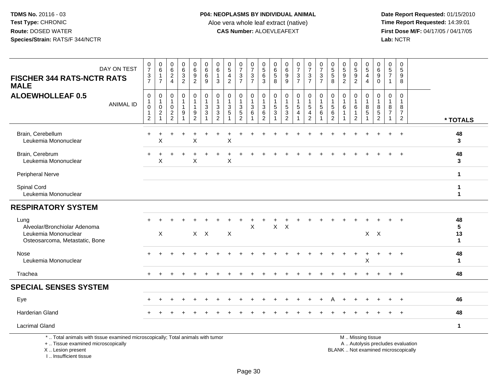I .. Insufficient tissue

 **Date Report Requested:** 01/15/2010 **First Dose M/F:** 04/17/05 / 04/17/05<br>Lab: NCTR **Lab:** NCTR

| DAY ON TEST<br><b>FISCHER 344 RATS-NCTR RATS</b><br><b>MALE</b>                                                                            | $\frac{0}{7}$<br>$\frac{3}{7}$                                            | 0<br>$\,6\,$<br>$\mathbf{1}$<br>$\overline{7}$        | 0<br>$\,6\,$<br>$\overline{c}$<br>$\overline{4}$                    | $\begin{array}{c} 0 \\ 6 \\ 3 \end{array}$<br>$\overline{c}$ | $\begin{array}{c} 0 \\ 6 \\ 9 \\ 2 \end{array}$            | 0<br>$\,6\,$<br>$\,6$<br>9                                   | 0<br>$\,6\,$<br>$\overline{1}$<br>3             | 0<br>$\overline{5}$<br>$\overline{4}$<br>$\overline{2}$        | $\frac{0}{7}$<br>$\ensuremath{\mathsf{3}}$<br>$\overline{7}$ | $\frac{0}{7}$<br>$\frac{3}{7}$                       | 0<br>$\overline{5}$<br>$6\phantom{a}$<br>3             | 0<br>6<br>$\sqrt{5}$<br>8     | $\begin{array}{c} 0 \\ 6 \end{array}$<br>$\boldsymbol{9}$<br>9                  | $\frac{0}{7}$<br>$\ensuremath{\mathsf{3}}$<br>$\overline{7}$ | $\frac{0}{7}$<br>$\sqrt{3}$<br>$\overline{7}$          | 0<br>$\overline{7}$<br>$\ensuremath{\mathsf{3}}$<br>$\overline{7}$ | $\begin{array}{c} 0 \\ 5 \\ 5 \end{array}$<br>8 | $\begin{array}{c} 0 \\ 5 \\ 9 \end{array}$<br>$\overline{2}$       | $\begin{array}{c} 0 \\ 5 \\ 9 \end{array}$<br>$\overline{2}$ | 0<br>$\frac{5}{4}$<br>$\overline{4}$                  | 0<br>$6\overline{6}$<br>$\overline{9}$<br>$\pmb{0}$                      | $\mathbf 0$<br>$\,$ 5 $\,$<br>$\overline{7}$<br>$\overline{\mathbf{1}}$ | $\mathbf 0$<br>$\sqrt{5}$<br>9<br>8                  |                               |
|--------------------------------------------------------------------------------------------------------------------------------------------|---------------------------------------------------------------------------|-------------------------------------------------------|---------------------------------------------------------------------|--------------------------------------------------------------|------------------------------------------------------------|--------------------------------------------------------------|-------------------------------------------------|----------------------------------------------------------------|--------------------------------------------------------------|------------------------------------------------------|--------------------------------------------------------|-------------------------------|---------------------------------------------------------------------------------|--------------------------------------------------------------|--------------------------------------------------------|--------------------------------------------------------------------|-------------------------------------------------|--------------------------------------------------------------------|--------------------------------------------------------------|-------------------------------------------------------|--------------------------------------------------------------------------|-------------------------------------------------------------------------|------------------------------------------------------|-------------------------------|
| <b>ALOEWHOLLEAF 0.5</b><br><b>ANIMAL ID</b>                                                                                                | $\pmb{0}$<br>$\mathbf{1}$<br>$\mathbf 0$<br>$\mathbf 1$<br>$\overline{2}$ | $\mathbf 0$<br>$\mathbf{1}$<br>0<br>2<br>$\mathbf{1}$ | $\mathbf 0$<br>$\overline{1}$<br>$\mathbf 0$<br>2<br>$\overline{2}$ | 0<br>1<br>$\mathbf 1$<br>9<br>$\mathbf 1$                    | $\pmb{0}$<br>$\mathbf{1}$<br>$\mathbf{1}$<br>$\frac{9}{2}$ | $\pmb{0}$<br>$\mathbf{1}$<br>$\sqrt{3}$<br>$\mathbf{3}$<br>1 | 0<br>$\overline{1}$<br>3<br>3<br>$\overline{2}$ | $\mathbf 0$<br>1<br>$\mathbf{3}$<br>$\sqrt{5}$<br>$\mathbf{1}$ | 0<br>1<br>3<br>$\sqrt{5}$<br>$\overline{2}$                  | 0<br>$\mathbf{1}$<br>$\sqrt{3}$<br>6<br>$\mathbf{1}$ | $\mathbf 0$<br>$\mathbf{3}$<br>$\,6$<br>$\overline{c}$ | 0<br>$\overline{1}$<br>5<br>3 | $\mathbf 0$<br>$\mathbf{1}$<br>$\overline{5}$<br>$\mathbf{3}$<br>$\overline{2}$ | 0<br>1<br>5<br>$\overline{4}$                                | 0<br>$\mathbf{1}$<br>$\sqrt{5}$<br>4<br>$\overline{2}$ | $\mathbf 0$<br>$\sqrt{5}$<br>6                                     | 0<br>$\overline{1}$<br>$\sqrt{5}$<br>6<br>2     | $\mathbf 0$<br>$\mathbf{1}$<br>6<br>$\overline{1}$<br>$\mathbf{1}$ | 0<br>6<br>1<br>$\overline{2}$                                | $\mathbf 0$<br>$\mathbf{1}$<br>8<br>5<br>$\mathbf{1}$ | $\mathbf 0$<br>8<br>$\,$ 5 $\,$<br>$\overline{2}$                        | $\mathbf 0$<br>-1<br>8<br>$\overline{7}$<br>-1                          | $\Omega$<br>$\mathbf{1}$<br>8<br>7<br>$\overline{2}$ | * TOTALS                      |
| Brain, Cerebellum<br>Leukemia Mononuclear                                                                                                  |                                                                           | X                                                     |                                                                     |                                                              | X                                                          |                                                              |                                                 | Χ                                                              |                                                              |                                                      |                                                        |                               |                                                                                 |                                                              |                                                        |                                                                    |                                                 |                                                                    |                                                              |                                                       |                                                                          |                                                                         |                                                      | 48<br>3                       |
| Brain, Cerebrum<br>Leukemia Mononuclear                                                                                                    |                                                                           | X                                                     |                                                                     |                                                              | X                                                          |                                                              |                                                 | X                                                              |                                                              |                                                      |                                                        |                               |                                                                                 |                                                              |                                                        |                                                                    |                                                 |                                                                    |                                                              |                                                       |                                                                          |                                                                         |                                                      | 48<br>3                       |
| Peripheral Nerve                                                                                                                           |                                                                           |                                                       |                                                                     |                                                              |                                                            |                                                              |                                                 |                                                                |                                                              |                                                      |                                                        |                               |                                                                                 |                                                              |                                                        |                                                                    |                                                 |                                                                    |                                                              |                                                       |                                                                          |                                                                         |                                                      | $\mathbf{1}$                  |
| Spinal Cord<br>Leukemia Mononuclear                                                                                                        |                                                                           |                                                       |                                                                     |                                                              |                                                            |                                                              |                                                 |                                                                |                                                              |                                                      |                                                        |                               |                                                                                 |                                                              |                                                        |                                                                    |                                                 |                                                                    |                                                              |                                                       |                                                                          |                                                                         |                                                      | 1<br>$\mathbf{1}$             |
| <b>RESPIRATORY SYSTEM</b>                                                                                                                  |                                                                           |                                                       |                                                                     |                                                              |                                                            |                                                              |                                                 |                                                                |                                                              |                                                      |                                                        |                               |                                                                                 |                                                              |                                                        |                                                                    |                                                 |                                                                    |                                                              |                                                       |                                                                          |                                                                         |                                                      |                               |
| Lung<br>Alveolar/Bronchiolar Adenoma<br>Leukemia Mononuclear<br>Osteosarcoma, Metastatic, Bone                                             |                                                                           | $\times$                                              |                                                                     |                                                              |                                                            | $X$ $X$                                                      |                                                 | $\sf X$                                                        |                                                              | $\mathsf{X}$                                         |                                                        | X                             | X                                                                               |                                                              |                                                        |                                                                    |                                                 |                                                                    |                                                              |                                                       | $X$ $X$                                                                  |                                                                         |                                                      | 48<br>5<br>13<br>$\mathbf{1}$ |
| Nose<br>Leukemia Mononuclear                                                                                                               |                                                                           |                                                       |                                                                     |                                                              |                                                            |                                                              |                                                 |                                                                |                                                              |                                                      |                                                        |                               |                                                                                 |                                                              |                                                        |                                                                    |                                                 |                                                                    |                                                              | Χ                                                     |                                                                          |                                                                         | $\ddot{}$                                            | 48<br>$\mathbf{1}$            |
| Trachea                                                                                                                                    |                                                                           |                                                       |                                                                     |                                                              |                                                            |                                                              |                                                 |                                                                |                                                              |                                                      |                                                        |                               |                                                                                 |                                                              |                                                        |                                                                    |                                                 |                                                                    |                                                              |                                                       |                                                                          |                                                                         | $\ddot{}$                                            | 48                            |
| <b>SPECIAL SENSES SYSTEM</b>                                                                                                               |                                                                           |                                                       |                                                                     |                                                              |                                                            |                                                              |                                                 |                                                                |                                                              |                                                      |                                                        |                               |                                                                                 |                                                              |                                                        |                                                                    |                                                 |                                                                    |                                                              |                                                       |                                                                          |                                                                         |                                                      |                               |
| Eye                                                                                                                                        |                                                                           |                                                       |                                                                     |                                                              |                                                            |                                                              |                                                 |                                                                |                                                              |                                                      |                                                        |                               |                                                                                 |                                                              |                                                        |                                                                    |                                                 |                                                                    |                                                              |                                                       |                                                                          |                                                                         |                                                      | 46                            |
| <b>Harderian Gland</b>                                                                                                                     |                                                                           |                                                       |                                                                     |                                                              |                                                            |                                                              |                                                 |                                                                |                                                              |                                                      |                                                        |                               |                                                                                 |                                                              |                                                        |                                                                    |                                                 |                                                                    |                                                              |                                                       |                                                                          |                                                                         | $\ddot{}$                                            | 48                            |
| <b>Lacrimal Gland</b>                                                                                                                      |                                                                           |                                                       |                                                                     |                                                              |                                                            |                                                              |                                                 |                                                                |                                                              |                                                      |                                                        |                               |                                                                                 |                                                              |                                                        |                                                                    |                                                 |                                                                    |                                                              |                                                       |                                                                          |                                                                         |                                                      | $\mathbf{1}$                  |
| *  Total animals with tissue examined microscopically; Total animals with tumor<br>+  Tissue examined microscopically<br>X  Lesion present |                                                                           |                                                       |                                                                     |                                                              |                                                            |                                                              |                                                 |                                                                |                                                              |                                                      |                                                        |                               |                                                                                 |                                                              |                                                        |                                                                    |                                                 |                                                                    |                                                              | M  Missing tissue                                     | A  Autolysis precludes evaluation<br>BLANK  Not examined microscopically |                                                                         |                                                      |                               |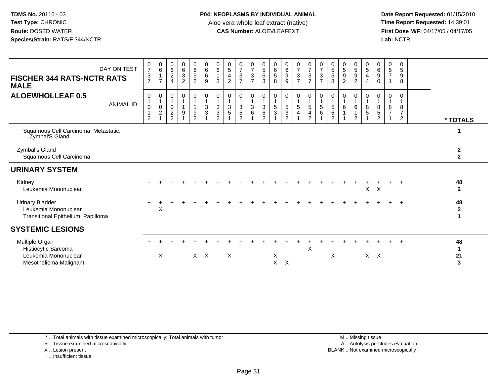**Date Report Requested:** 01/15/2010 **First Dose M/F:** 04/17/05 / 04/17/05<br>Lab: NCTR **Lab:** NCTR

| <b>FISCHER 344 RATS-NCTR RATS</b><br><b>MALE</b>                                     | DAY ON TEST      | $\frac{0}{7}$<br>$\frac{3}{7}$ | $\begin{array}{c} 0 \\ 6 \end{array}$<br>$\mathbf{1}$<br>$\overline{7}$ | $\begin{array}{c} 0 \\ 6 \end{array}$<br>$\boldsymbol{2}$<br>$\overline{4}$ | 0<br>$^6_3$<br>$\overline{2}$                        | $\begin{matrix}0\6\9\end{matrix}$<br>$\overline{2}$ | $\begin{matrix}0\6\6\end{matrix}$<br>9                           | $_{6}^{\rm 0}$<br>$\mathbf{1}$<br>3                                                      | $\begin{matrix} 0 \\ 5 \end{matrix}$<br>$\overline{4}$<br>$\overline{2}$ | $\frac{0}{7}$<br>$\frac{3}{7}$                                                                 | $\frac{0}{7}$<br>$\frac{3}{7}$               | $\begin{array}{c} 0 \\ 5 \\ 6 \end{array}$<br>3                      | 0<br>$^6$ 5<br>8                      | $0$<br>$6$<br>$9$<br>9                              | $\frac{0}{7}$<br>$\frac{3}{7}$                             | $\begin{smallmatrix}0\\7\end{smallmatrix}$<br>$rac{3}{7}$         | $\frac{0}{7}$<br>$\frac{3}{7}$                                                      | $\begin{array}{c} 0 \\ 5 \\ 5 \end{array}$<br>8                       | 0<br>$\frac{5}{9}$<br>$\overline{2}$ | $\begin{array}{c} 0 \\ 5 \\ 9 \end{array}$<br>$\overline{2}$ | $\begin{matrix} 0 \\ 5 \end{matrix}$<br>$\overline{\mathbf{4}}$<br>$\overline{4}$ | $\begin{matrix} 0 \\ 6 \\ 9 \end{matrix}$<br>$\mathbf 0$ | 0<br>$\sqrt{5}$<br>$\overline{7}$ | 0<br>$\sqrt{5}$<br>$\boldsymbol{9}$<br>8             |                                         |
|--------------------------------------------------------------------------------------|------------------|--------------------------------|-------------------------------------------------------------------------|-----------------------------------------------------------------------------|------------------------------------------------------|-----------------------------------------------------|------------------------------------------------------------------|------------------------------------------------------------------------------------------|--------------------------------------------------------------------------|------------------------------------------------------------------------------------------------|----------------------------------------------|----------------------------------------------------------------------|---------------------------------------|-----------------------------------------------------|------------------------------------------------------------|-------------------------------------------------------------------|-------------------------------------------------------------------------------------|-----------------------------------------------------------------------|--------------------------------------|--------------------------------------------------------------|-----------------------------------------------------------------------------------|----------------------------------------------------------|-----------------------------------|------------------------------------------------------|-----------------------------------------|
| <b>ALOEWHOLLEAF 0.5</b>                                                              | <b>ANIMAL ID</b> | 0<br>0<br>$\overline{2}$       | $\pmb{0}$<br>$\overline{1}$<br>$\frac{0}{2}$                            | 0<br>$\mathbf{1}$<br>$\mathbf 0$<br>$\sqrt{2}$<br>2                         | $\mathbf 0$<br>1<br>$\mathbf{1}$<br>$\boldsymbol{9}$ | $\mathbf 0$<br>9<br>2                               | 0<br>$\overline{1}$<br>$\ensuremath{\mathsf{3}}$<br>$\mathbf{3}$ | $\pmb{0}$<br>$\mathbf{1}$<br>$\ensuremath{\mathsf{3}}$<br>$\ensuremath{\mathsf{3}}$<br>2 | $\mathbf 0$<br>$\mathbf{3}$<br>$\sqrt{5}$                                | $\boldsymbol{0}$<br>$\mathbf{1}$<br>$\ensuremath{\mathsf{3}}$<br>$\mathbf 5$<br>$\overline{2}$ | 0<br>$\mathbf{1}$<br>$\mathbf{3}$<br>$\,6\,$ | $\,0\,$<br>$\overline{1}$<br>$\sqrt{3}$<br>$\,6\,$<br>$\overline{2}$ | 0<br>$\mathbf{1}$<br>$\,$ 5 $\,$<br>3 | 0<br>$\mathbf 1$<br>$\frac{5}{3}$<br>$\overline{2}$ | $\pmb{0}$<br>$\mathbf{1}$<br>$\,$ 5 $\,$<br>$\overline{4}$ | $\mathbf 0$<br>$\overline{5}$<br>$\overline{4}$<br>$\overline{2}$ | $\begin{smallmatrix}0\\1\end{smallmatrix}$<br>$\begin{array}{c} 5 \\ 6 \end{array}$ | $\pmb{0}$<br>$\mathbf{1}$<br>$\,$ 5 $\,$<br>$\,6\,$<br>$\overline{2}$ | 0<br>$\overline{1}$<br>6             | 0<br>6<br>2                                                  | 0<br>$\overline{1}$<br>8<br>5                                                     | 0<br>$\mathbf{1}$<br>8<br>$\mathbf 5$<br>$\overline{2}$  | $\Omega$<br>8<br>$\overline{7}$   | $\mathbf 0$<br>8<br>$\overline{7}$<br>$\overline{2}$ | * TOTALS                                |
| Squamous Cell Carcinoma, Metastatic,<br>Zymbal'S Gland                               |                  |                                |                                                                         |                                                                             |                                                      |                                                     |                                                                  |                                                                                          |                                                                          |                                                                                                |                                              |                                                                      |                                       |                                                     |                                                            |                                                                   |                                                                                     |                                                                       |                                      |                                                              |                                                                                   |                                                          |                                   |                                                      |                                         |
| Zymbal's Gland<br>Squamous Cell Carcinoma                                            |                  |                                |                                                                         |                                                                             |                                                      |                                                     |                                                                  |                                                                                          |                                                                          |                                                                                                |                                              |                                                                      |                                       |                                                     |                                                            |                                                                   |                                                                                     |                                                                       |                                      |                                                              |                                                                                   |                                                          |                                   |                                                      | $\mathbf{2}$<br>$\overline{\mathbf{2}}$ |
| <b>URINARY SYSTEM</b>                                                                |                  |                                |                                                                         |                                                                             |                                                      |                                                     |                                                                  |                                                                                          |                                                                          |                                                                                                |                                              |                                                                      |                                       |                                                     |                                                            |                                                                   |                                                                                     |                                                                       |                                      |                                                              |                                                                                   |                                                          |                                   |                                                      |                                         |
| Kidney<br>Leukemia Mononuclear                                                       |                  |                                |                                                                         |                                                                             |                                                      |                                                     |                                                                  |                                                                                          |                                                                          |                                                                                                |                                              |                                                                      |                                       |                                                     |                                                            |                                                                   |                                                                                     |                                                                       |                                      |                                                              | $\mathsf{X}$                                                                      | $\mathsf{X}$                                             |                                   |                                                      | 48<br>$\mathbf{2}$                      |
| <b>Urinary Bladder</b><br>Leukemia Mononuclear<br>Transitional Epithelium, Papilloma |                  |                                | X                                                                       |                                                                             |                                                      |                                                     |                                                                  |                                                                                          |                                                                          |                                                                                                |                                              |                                                                      |                                       |                                                     |                                                            |                                                                   |                                                                                     |                                                                       |                                      |                                                              |                                                                                   |                                                          |                                   |                                                      | 48<br>$\mathbf{2}$                      |
| <b>SYSTEMIC LESIONS</b>                                                              |                  |                                |                                                                         |                                                                             |                                                      |                                                     |                                                                  |                                                                                          |                                                                          |                                                                                                |                                              |                                                                      |                                       |                                                     |                                                            |                                                                   |                                                                                     |                                                                       |                                      |                                                              |                                                                                   |                                                          |                                   |                                                      |                                         |
| Multiple Organ<br>Histiocytic Sarcoma<br>Leukemia Mononuclear                        |                  |                                |                                                                         |                                                                             |                                                      |                                                     | $X$ $X$                                                          |                                                                                          | $\times$                                                                 |                                                                                                |                                              |                                                                      | X                                     |                                                     |                                                            | X                                                                 |                                                                                     | X                                                                     |                                      |                                                              |                                                                                   | $X$ $X$                                                  |                                   |                                                      | 48<br>$\mathbf 1$<br>21                 |

\* .. Total animals with tissue examined microscopically; Total animals with tumor

+ .. Tissue examined microscopically

X .. Lesion present

I .. Insufficient tissue

 M .. Missing tissuey the contract of the contract of the contract of the contract of the contract of the contract of the contract of  $A$ . Autolysis precludes evaluation Lesion present BLANK .. Not examined microscopically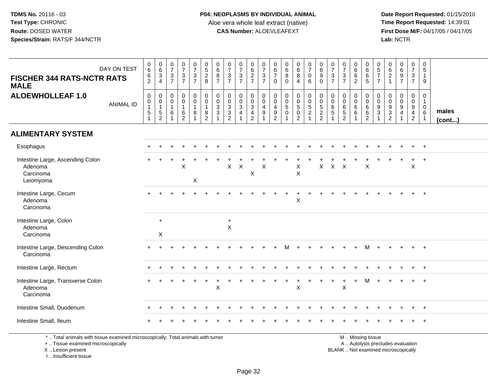**Date Report Requested:** 01/15/2010 **First Dose M/F:** 04/17/05 / 04/17/05<br>Lab: NCTR **Lab:** NCTR

| <b>FISCHER 344 RATS-NCTR RATS</b><br><b>MALE</b>                                                                                           | DAY ON TEST      | 0<br>6<br>6<br>$\overline{2}$                      | $\begin{array}{c} 0 \\ 6 \\ 3 \\ 4 \end{array}$                             | $\begin{array}{c} 0 \\ 7 \end{array}$<br>$\frac{3}{7}$ | $\begin{array}{c} 0 \\ 7 \end{array}$<br>$\frac{3}{7}$                    | $\frac{0}{7}$<br>$\frac{3}{7}$                                                  | $0$<br>$5$<br>$2$<br>$8$                                                | $\begin{array}{c} 0 \\ 6 \end{array}$<br>8<br>$\overline{7}$ | $\frac{0}{7}$<br>$\frac{3}{7}$                                                                  | $\frac{0}{7}$<br>$\frac{3}{7}$                   | $\begin{array}{c} 0 \\ 6 \end{array}$<br>$\frac{2}{7}$         | $\begin{array}{c} 0 \\ 7 \end{array}$<br>$\frac{3}{7}$             | $\pmb{0}$<br>$6\phantom{1}6$<br>$\overline{7}$<br>$\mathbf 0$            | $\mathbf 0$<br>$6\phantom{1}$<br>8<br>$\mathbf 0$     | $\begin{array}{c} 0 \\ 6 \\ 8 \end{array}$<br>$\overline{4}$ | $\begin{smallmatrix}0\\7\end{smallmatrix}$<br>$\mathsf{O}\xspace$<br>$6\phantom{1}$ | $_{\rm 6}^{\rm 0}$<br>$\boldsymbol{9}$<br>$\mathbf 0$ | $\begin{array}{c} 0 \\ 7 \end{array}$<br>$\frac{3}{7}$ | $\begin{array}{c} 0 \\ 7 \end{array}$<br>$\frac{3}{7}$                | $_6^0$<br>$\,6\,$<br>$\overline{2}$ | $_{6}^{\rm 0}$<br>$\overline{6}$<br>5                                                         | $\begin{array}{c} 0 \\ 5 \\ 7 \end{array}$<br>$\overline{7}$                 | $\begin{matrix} 0 \\ 6 \end{matrix}$<br>$\overline{c}$<br>$\mathbf{1}$ | 0697                                                                                       | $\frac{0}{7}$<br>$\frac{3}{7}$                                 | $\mathbf 0$<br>5<br>$\mathbf{1}$<br>$\boldsymbol{9}$            |                 |
|--------------------------------------------------------------------------------------------------------------------------------------------|------------------|----------------------------------------------------|-----------------------------------------------------------------------------|--------------------------------------------------------|---------------------------------------------------------------------------|---------------------------------------------------------------------------------|-------------------------------------------------------------------------|--------------------------------------------------------------|-------------------------------------------------------------------------------------------------|--------------------------------------------------|----------------------------------------------------------------|--------------------------------------------------------------------|--------------------------------------------------------------------------|-------------------------------------------------------|--------------------------------------------------------------|-------------------------------------------------------------------------------------|-------------------------------------------------------|--------------------------------------------------------|-----------------------------------------------------------------------|-------------------------------------|-----------------------------------------------------------------------------------------------|------------------------------------------------------------------------------|------------------------------------------------------------------------|--------------------------------------------------------------------------------------------|----------------------------------------------------------------|-----------------------------------------------------------------|-----------------|
| <b>ALOEWHOLLEAF 1.0</b>                                                                                                                    | <b>ANIMAL ID</b> | $\pmb{0}$<br>$\mathbf 0$<br>$\mathbf{1}$<br>5<br>1 | $\mathbf 0$<br>$\mathbf 0$<br>$\mathbf{1}$<br>$\,$ 5 $\,$<br>$\overline{c}$ | $\pmb{0}$<br>0<br>$\mathbf{1}$<br>6<br>$\overline{1}$  | $\mathbf 0$<br>$\ddot{\mathbf{0}}$<br>$\mathbf{1}$<br>6<br>$\overline{2}$ | $\mathbf 0$<br>$\overline{0}$<br>$\overline{1}$<br>8<br>$\overline{\mathbf{1}}$ | $\pmb{0}$<br>$\ddot{\mathbf{0}}$<br>$\mathbf{1}$<br>8<br>$\overline{2}$ | 0<br>$\mathbf 0$<br>$\mathbf{3}$<br>3                        | $\mathbf 0$<br>$\ddot{\mathbf{0}}$<br>$\sqrt{3}$<br>$\ensuremath{\mathsf{3}}$<br>$\overline{2}$ | 0<br>$\mathbf 0$<br>$\sqrt{3}$<br>$\overline{4}$ | 0<br>$\mathsf{O}\xspace$<br>$\mathsf 3$<br>4<br>$\overline{2}$ | 0<br>$\overline{0}$<br>$\overline{\mathbf{4}}$<br>9<br>$\mathbf 1$ | 0<br>$\mathsf 0$<br>$\overline{4}$<br>$\boldsymbol{9}$<br>$\overline{2}$ | $\pmb{0}$<br>$\mathbf 0$<br>$\sqrt{5}$<br>$\mathbf 0$ | 0<br>$\ddot{\mathbf{0}}$<br>$\sqrt{5}$<br>$\frac{0}{2}$      | $\begin{array}{c} 0 \\ 0 \\ 5 \\ 2 \end{array}$<br>$\mathbf{1}$                     | 00522                                                 | $\mathbf 0$<br>$\mathbf 0$<br>$\,6\,$<br>$\sqrt{5}$    | $\mathbf 0$<br>$\mathbf 0$<br>$\,6\,$<br>$\sqrt{5}$<br>$\overline{2}$ | 0<br>$\mathbf 0$<br>$\,6\,$<br>6    | $_{\rm 0}^{\rm 0}$<br>$6\phantom{a}$<br>$\,6\,$<br>$\overline{2}$                             | 0<br>$\ddot{\mathbf{0}}$<br>$\boldsymbol{9}$<br>$\mathbf{3}$<br>$\mathbf{1}$ | 0<br>$\mathbf 0$<br>$\boldsymbol{9}$<br>$\frac{3}{2}$                  | $\mathbf 0$<br>$\ddot{\mathbf{0}}$<br>$\boldsymbol{9}$<br>$\overline{4}$<br>$\overline{1}$ | 0<br>$\boldsymbol{0}$<br>9<br>$\overline{4}$<br>$\overline{2}$ | $\mathbf 0$<br>$\mathbf{1}$<br>$\mathbf 0$<br>6<br>$\mathbf{1}$ | males<br>(cont) |
| <b>ALIMENTARY SYSTEM</b>                                                                                                                   |                  |                                                    |                                                                             |                                                        |                                                                           |                                                                                 |                                                                         |                                                              |                                                                                                 |                                                  |                                                                |                                                                    |                                                                          |                                                       |                                                              |                                                                                     |                                                       |                                                        |                                                                       |                                     |                                                                                               |                                                                              |                                                                        |                                                                                            |                                                                |                                                                 |                 |
| Esophagus                                                                                                                                  |                  |                                                    |                                                                             |                                                        |                                                                           |                                                                                 |                                                                         |                                                              |                                                                                                 |                                                  |                                                                |                                                                    |                                                                          |                                                       |                                                              |                                                                                     |                                                       |                                                        |                                                                       |                                     |                                                                                               |                                                                              |                                                                        |                                                                                            |                                                                | $+$                                                             |                 |
| Intestine Large, Ascending Colon<br>Adenoma<br>Carcinoma<br>Leiomyoma                                                                      |                  |                                                    |                                                                             |                                                        | X                                                                         | X                                                                               |                                                                         |                                                              | X                                                                                               | $\boldsymbol{\mathsf{X}}$                        | $\mathsf X$                                                    | X                                                                  |                                                                          |                                                       | X<br>X                                                       |                                                                                     | X                                                     | $\mathsf{X}$                                           | $\times$                                                              |                                     | $\sf X$                                                                                       |                                                                              |                                                                        |                                                                                            | X                                                              |                                                                 |                 |
| Intestine Large, Cecum<br>Adenoma<br>Carcinoma                                                                                             |                  |                                                    |                                                                             |                                                        |                                                                           |                                                                                 |                                                                         |                                                              |                                                                                                 |                                                  |                                                                |                                                                    |                                                                          |                                                       | $\sf X$                                                      |                                                                                     |                                                       |                                                        |                                                                       |                                     |                                                                                               |                                                                              |                                                                        |                                                                                            |                                                                | $+$                                                             |                 |
| Intestine Large, Colon<br>Adenoma<br>Carcinoma                                                                                             |                  |                                                    | $\ddot{}$<br>$\mathsf X$                                                    |                                                        |                                                                           |                                                                                 |                                                                         |                                                              | $+$<br>$\times$                                                                                 |                                                  |                                                                |                                                                    |                                                                          |                                                       |                                                              |                                                                                     |                                                       |                                                        |                                                                       |                                     |                                                                                               |                                                                              |                                                                        |                                                                                            |                                                                |                                                                 |                 |
| Intestine Large, Descending Colon<br>Carcinoma                                                                                             |                  |                                                    |                                                                             |                                                        |                                                                           |                                                                                 |                                                                         |                                                              |                                                                                                 |                                                  |                                                                |                                                                    |                                                                          |                                                       |                                                              |                                                                                     |                                                       |                                                        |                                                                       |                                     |                                                                                               |                                                                              |                                                                        |                                                                                            |                                                                | $\overline{1}$                                                  |                 |
| Intestine Large, Rectum                                                                                                                    |                  |                                                    |                                                                             |                                                        |                                                                           |                                                                                 |                                                                         |                                                              |                                                                                                 |                                                  |                                                                |                                                                    |                                                                          |                                                       |                                                              |                                                                                     |                                                       |                                                        |                                                                       |                                     |                                                                                               |                                                                              |                                                                        |                                                                                            |                                                                |                                                                 |                 |
| Intestine Large, Transverse Colon<br>Adenoma<br>Carcinoma                                                                                  |                  |                                                    |                                                                             |                                                        |                                                                           |                                                                                 |                                                                         | X                                                            |                                                                                                 |                                                  |                                                                |                                                                    |                                                                          |                                                       | X                                                            |                                                                                     |                                                       |                                                        | X                                                                     | $\ddot{}$                           | M                                                                                             | $\ddot{}$                                                                    |                                                                        |                                                                                            | $\ddot{}$                                                      | $\overline{1}$                                                  |                 |
| Intestine Small, Duodenum                                                                                                                  |                  |                                                    |                                                                             |                                                        |                                                                           |                                                                                 |                                                                         |                                                              |                                                                                                 |                                                  |                                                                |                                                                    |                                                                          |                                                       |                                                              |                                                                                     |                                                       |                                                        |                                                                       |                                     |                                                                                               |                                                                              |                                                                        |                                                                                            |                                                                |                                                                 |                 |
| Intestine Small, Ileum                                                                                                                     |                  |                                                    |                                                                             |                                                        |                                                                           |                                                                                 |                                                                         |                                                              |                                                                                                 |                                                  |                                                                |                                                                    |                                                                          |                                                       |                                                              |                                                                                     |                                                       |                                                        |                                                                       |                                     |                                                                                               |                                                                              |                                                                        |                                                                                            |                                                                |                                                                 |                 |
| *  Total animals with tissue examined microscopically; Total animals with tumor<br>+  Tissue examined microscopically<br>X  Lesion present |                  |                                                    |                                                                             |                                                        |                                                                           |                                                                                 |                                                                         |                                                              |                                                                                                 |                                                  |                                                                |                                                                    |                                                                          |                                                       |                                                              |                                                                                     |                                                       |                                                        |                                                                       |                                     | M  Missing tissue<br>A  Autolysis precludes evaluation<br>BLANK  Not examined microscopically |                                                                              |                                                                        |                                                                                            |                                                                |                                                                 |                 |

I .. Insufficient tissue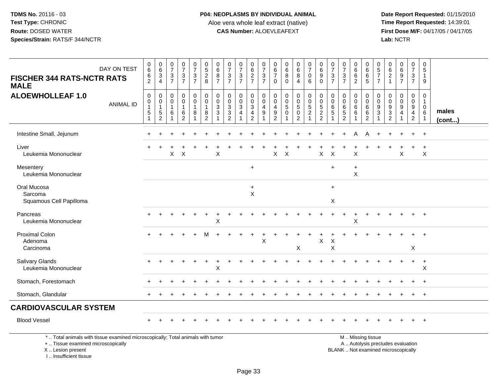# **P04: NEOPLASMS BY INDIVIDUAL ANIMAL**Aloe vera whole leaf extract (native)<br>**CAS Number:** ALOEVLEAFEXT

 **Date Report Requested:** 01/15/2010 **First Dose M/F:** 04/17/05 / 04/17/05<br>Lab: NCTR **Lab:** NCTR

|                                                                                                                       | 0                                                   |                                                             |                                                       |                                                       |                                              |                                                                 |                                            |                                                                |                                                            |                                                                    |                                                 | 0                     | 0                                                         |                                                       |                                      |                                                        | 0                                    |                                                            | 0                                                | 0                                                | 0                                 | 0                                                   |                                                   |                                                           | 0                                                     |                       |
|-----------------------------------------------------------------------------------------------------------------------|-----------------------------------------------------|-------------------------------------------------------------|-------------------------------------------------------|-------------------------------------------------------|----------------------------------------------|-----------------------------------------------------------------|--------------------------------------------|----------------------------------------------------------------|------------------------------------------------------------|--------------------------------------------------------------------|-------------------------------------------------|-----------------------|-----------------------------------------------------------|-------------------------------------------------------|--------------------------------------|--------------------------------------------------------|--------------------------------------|------------------------------------------------------------|--------------------------------------------------|--------------------------------------------------|-----------------------------------|-----------------------------------------------------|---------------------------------------------------|-----------------------------------------------------------|-------------------------------------------------------|-----------------------|
| DAY ON TEST                                                                                                           | 6<br>6                                              | $\begin{array}{c} 0 \\ 6 \\ 3 \end{array}$                  | $\begin{array}{c} 0 \\ 7 \end{array}$<br>$\mathbf{3}$ | $\frac{0}{7}$                                         | $\begin{smallmatrix} 0\\7 \end{smallmatrix}$ | $0$<br>5<br>2<br>8                                              | $\begin{array}{c} 0 \\ 6 \end{array}$<br>8 | $\frac{0}{7}$<br>$\mathbf 3$                                   | $\frac{0}{7}$                                              | 0627                                                               | $\frac{0}{7}$<br>$\sqrt{3}$                     | 6<br>$\overline{7}$   | 6<br>8                                                    | $_{6}^{\rm 0}$<br>$\overline{8}$                      | $\frac{0}{7}$<br>$\mathbf 0$         | $_{\rm 6}^{\rm 0}$<br>$\overline{9}$                   | $\overline{7}$<br>$\mathbf{3}$       | $\frac{0}{7}$<br>$\mathbf 3$                               | $\overline{6}$                                   | 6<br>6                                           | $\frac{5}{7}$                     | 6<br>$\overline{c}$                                 | 0697                                              | $\begin{smallmatrix}0\\7\end{smallmatrix}$<br>$\mathsf 3$ | 5<br>$\mathbf{1}$                                     |                       |
| <b>FISCHER 344 RATS-NCTR RATS</b><br><b>MALE</b>                                                                      | $\overline{2}$                                      | 4                                                           | $\overline{7}$                                        | $\frac{3}{7}$                                         | $\frac{3}{7}$                                |                                                                 | $\overline{7}$                             | $\overline{7}$                                                 | $\frac{3}{7}$                                              |                                                                    | $\overline{7}$                                  | $\Omega$              | $\Omega$                                                  | 4                                                     | 6                                    | $\mathbf 0$                                            | $\overline{7}$                       | $\overline{7}$                                             | $\overline{2}$                                   | $\sqrt{5}$                                       | $\overline{7}$                    | $\mathbf{1}$                                        |                                                   | $\overline{7}$                                            | 9                                                     |                       |
| <b>ALOEWHOLLEAF 1.0</b><br><b>ANIMAL ID</b>                                                                           | 0<br>$\pmb{0}$<br>$\mathbf{1}$<br>5<br>$\mathbf{1}$ | $\mathbf 0$<br>$\mathbf 0$<br>$\mathbf{1}$<br>$\frac{5}{2}$ | $\mathbf 0$<br>$\pmb{0}$<br>$\overline{1}$<br>6       | 0<br>$\pmb{0}$<br>$\mathbf{1}$<br>6<br>$\overline{2}$ | 0<br>$\pmb{0}$<br>$\overline{1}$<br>8        | $\pmb{0}$<br>$\mathbf 0$<br>$\mathbf{1}$<br>8<br>$\overline{2}$ | $\mathbf 0$<br>$\mathbf 0$<br>3<br>3       | 0<br>$\pmb{0}$<br>$\sqrt{3}$<br>$\mathbf{3}$<br>$\overline{2}$ | $\mathbf 0$<br>$\pmb{0}$<br>$\mathbf{3}$<br>$\overline{4}$ | 0<br>$\pmb{0}$<br>$\ensuremath{\mathsf{3}}$<br>4<br>$\overline{c}$ | $\mathbf 0$<br>$\pmb{0}$<br>$\overline{a}$<br>9 | 0<br>0<br>4<br>9<br>2 | $\mathbf 0$<br>$\mathbf 0$<br>$\sqrt{5}$<br>$\Omega$<br>1 | 0<br>$\mathsf 0$<br>$\sqrt{5}$<br>0<br>$\overline{2}$ | 0<br>$\frac{0}{5}$<br>$\overline{2}$ | $\pmb{0}$<br>$\pmb{0}$<br>$\,$ 5 $\,$<br>$\frac{2}{2}$ | $\mathbf 0$<br>$\mathbf 0$<br>6<br>5 | 0<br>$\mathbf 0$<br>6<br>$5\phantom{.0}$<br>$\overline{2}$ | 0<br>$\pmb{0}$<br>$\,6\,$<br>6<br>$\overline{1}$ | 0<br>$\pmb{0}$<br>$\,6\,$<br>6<br>$\overline{c}$ | $\Omega$<br>$\mathbf 0$<br>9<br>3 | $\Omega$<br>$\mathbf 0$<br>9<br>3<br>$\overline{2}$ | $\mathbf 0$<br>$\pmb{0}$<br>$\boldsymbol{9}$<br>4 | 0<br>$\mathbf 0$<br>9<br>$\overline{4}$<br>$\overline{2}$ | 0<br>$\mathbf{1}$<br>$\mathbf 0$<br>6<br>$\mathbf{1}$ | males<br>$($ cont $)$ |
| Intestine Small, Jejunum                                                                                              |                                                     |                                                             |                                                       |                                                       |                                              |                                                                 |                                            |                                                                |                                                            |                                                                    |                                                 |                       |                                                           |                                                       |                                      |                                                        |                                      |                                                            |                                                  |                                                  |                                   |                                                     |                                                   |                                                           | $\ddot{}$                                             |                       |
| Liver<br>Leukemia Mononuclear                                                                                         |                                                     |                                                             | X                                                     | $\boldsymbol{\mathsf{X}}$                             |                                              |                                                                 | X                                          |                                                                |                                                            |                                                                    |                                                 | X                     | $\times$                                                  |                                                       |                                      | $\mathsf X$                                            | $\boldsymbol{\mathsf{X}}$            |                                                            | $\ddot{}$<br>$\sf X$                             |                                                  |                                   |                                                     | $\ddot{}$<br>$\pmb{\times}$                       | $\ddot{}$                                                 | $+$<br>$\boldsymbol{\mathsf{X}}$                      |                       |
| Mesentery<br>Leukemia Mononuclear                                                                                     |                                                     |                                                             |                                                       |                                                       |                                              |                                                                 |                                            |                                                                |                                                            | $+$                                                                |                                                 |                       |                                                           |                                                       |                                      |                                                        | $\ddot{}$                            |                                                            | $\ddot{}$<br>$\pmb{\times}$                      |                                                  |                                   |                                                     |                                                   |                                                           |                                                       |                       |
| Oral Mucosa<br>Sarcoma<br>Squamous Cell Papilloma                                                                     |                                                     |                                                             |                                                       |                                                       |                                              |                                                                 |                                            |                                                                |                                                            | $\ddot{}$<br>X                                                     |                                                 |                       |                                                           |                                                       |                                      |                                                        | $\ddot{}$<br>X                       |                                                            |                                                  |                                                  |                                   |                                                     |                                                   |                                                           |                                                       |                       |
| Pancreas<br>Leukemia Mononuclear                                                                                      |                                                     |                                                             |                                                       |                                                       |                                              |                                                                 | х                                          |                                                                |                                                            |                                                                    |                                                 |                       |                                                           |                                                       |                                      |                                                        |                                      |                                                            | $\mathsf X$                                      |                                                  |                                   |                                                     |                                                   |                                                           | $\ddot{}$                                             |                       |
| <b>Proximal Colon</b><br>Adenoma<br>Carcinoma                                                                         |                                                     |                                                             |                                                       |                                                       |                                              |                                                                 |                                            |                                                                |                                                            |                                                                    | X                                               |                       |                                                           | X                                                     |                                      | X                                                      | X<br>X                               |                                                            |                                                  |                                                  |                                   |                                                     |                                                   | Χ                                                         |                                                       |                       |
| Salivary Glands<br>Leukemia Mononuclear                                                                               |                                                     |                                                             |                                                       |                                                       |                                              |                                                                 | Χ                                          |                                                                |                                                            |                                                                    |                                                 |                       |                                                           |                                                       |                                      |                                                        |                                      |                                                            |                                                  |                                                  |                                   |                                                     |                                                   | $+$                                                       | $\ddot{}$<br>X                                        |                       |
| Stomach, Forestomach                                                                                                  |                                                     |                                                             |                                                       |                                                       |                                              |                                                                 |                                            |                                                                |                                                            |                                                                    |                                                 |                       |                                                           |                                                       |                                      |                                                        |                                      |                                                            |                                                  |                                                  |                                   |                                                     |                                                   |                                                           |                                                       |                       |
| Stomach, Glandular                                                                                                    |                                                     |                                                             |                                                       |                                                       |                                              |                                                                 |                                            |                                                                |                                                            |                                                                    |                                                 |                       |                                                           |                                                       |                                      |                                                        |                                      |                                                            |                                                  |                                                  |                                   |                                                     |                                                   | $\ddot{}$                                                 | $+$                                                   |                       |
| <b>CARDIOVASCULAR SYSTEM</b>                                                                                          |                                                     |                                                             |                                                       |                                                       |                                              |                                                                 |                                            |                                                                |                                                            |                                                                    |                                                 |                       |                                                           |                                                       |                                      |                                                        |                                      |                                                            |                                                  |                                                  |                                   |                                                     |                                                   |                                                           |                                                       |                       |
| <b>Blood Vessel</b>                                                                                                   |                                                     |                                                             |                                                       |                                                       |                                              |                                                                 |                                            |                                                                |                                                            |                                                                    |                                                 |                       |                                                           |                                                       |                                      |                                                        |                                      |                                                            |                                                  |                                                  |                                   |                                                     |                                                   |                                                           | $\ddot{}$                                             |                       |
| *  Total animals with tissue examined microscopically; Total animals with tumor<br>+  Tissue examined microscopically |                                                     |                                                             |                                                       |                                                       |                                              |                                                                 |                                            |                                                                |                                                            |                                                                    |                                                 |                       |                                                           |                                                       |                                      |                                                        |                                      |                                                            |                                                  | M  Missing tissue                                |                                   |                                                     | A  Autolysis precludes evaluation                 |                                                           |                                                       |                       |

X .. Lesion present

I .. Insufficient tissue

 A .. Autolysis precludes evaluationLesion present BLANK .. Not examined microscopically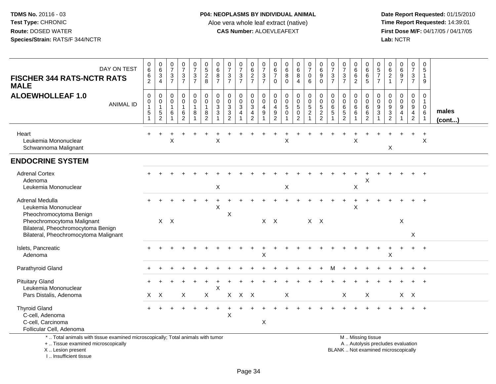**Date Report Requested:** 01/15/2010 **First Dose M/F:** 04/17/05 / 04/17/05<br>Lab: NCTR **Lab:** NCTR

| DAY ON TEST<br><b>FISCHER 344 RATS-NCTR RATS</b><br><b>MALE</b>                                           | $\begin{array}{c} 0 \\ 6 \end{array}$<br>6<br>$\overline{2}$ | $\begin{array}{c} 0 \\ 6 \end{array}$<br>3<br>$\overline{4}$ | $\frac{0}{7}$<br>$\mathbf{3}$<br>$\overline{7}$ | $\frac{0}{7}$<br>$\frac{3}{7}$                             | $\frac{0}{7}$<br>$\frac{3}{7}$                                    | $0$<br>528                                                                    | $\begin{array}{c} 0 \\ 6 \end{array}$<br>8<br>$\overline{7}$    | $\frac{0}{7}$<br>$\ensuremath{\mathsf{3}}$<br>$\overline{7}$                   | $\frac{0}{7}$<br>$\frac{3}{7}$                     | 0627                                 | $\frac{0}{7}$<br>$\frac{3}{7}$                                 | $\begin{array}{c} 0 \\ 6 \end{array}$<br>$\overline{7}$<br>$\mathbf 0$                  | $\begin{array}{c} 0 \\ 6 \end{array}$<br>8<br>$\Omega$ | $\begin{matrix}0\\6\\8\end{matrix}$<br>$\overline{4}$                       | $\begin{matrix} 0 \\ 7 \\ 0 \end{matrix}$<br>6                    | $\begin{array}{c} 0 \\ 6 \\ 9 \end{array}$<br>$\mathbf 0$           | 0<br>$\overline{7}$<br>3<br>$\overline{7}$     | $\frac{0}{7}$<br>$\sqrt{3}$<br>$\overline{7}$               | 0<br>$\overline{6}$<br>$6$<br>$\overline{2}$           | 0<br>$\,6\,$<br>6<br>5                                   | $\begin{array}{c} 0 \\ 5 \\ 7 \end{array}$<br>$\overline{7}$ | $_{6}^{\rm 0}$<br>$\begin{array}{c} 2 \\ 1 \end{array}$ | 0697                                                                   | $\frac{0}{7}$<br>$\mathbf{3}$<br>$\overline{7}$           | 0<br>$\,$ 5 $\,$<br>$\overline{1}$<br>9                                            |                       |
|-----------------------------------------------------------------------------------------------------------|--------------------------------------------------------------|--------------------------------------------------------------|-------------------------------------------------|------------------------------------------------------------|-------------------------------------------------------------------|-------------------------------------------------------------------------------|-----------------------------------------------------------------|--------------------------------------------------------------------------------|----------------------------------------------------|--------------------------------------|----------------------------------------------------------------|-----------------------------------------------------------------------------------------|--------------------------------------------------------|-----------------------------------------------------------------------------|-------------------------------------------------------------------|---------------------------------------------------------------------|------------------------------------------------|-------------------------------------------------------------|--------------------------------------------------------|----------------------------------------------------------|--------------------------------------------------------------|---------------------------------------------------------|------------------------------------------------------------------------|-----------------------------------------------------------|------------------------------------------------------------------------------------|-----------------------|
| <b>ALOEWHOLLEAF 1.0</b><br><b>ANIMAL ID</b>                                                               | $\pmb{0}$<br>$\mathbf 0$<br>$\mathbf{1}$<br>$\sqrt{5}$       | 0<br>$\mathbf 0$<br>$\mathbf{1}$<br>$\sqrt{5}$<br>2          | 0<br>$\mathbf 0$<br>$\mathbf{1}$<br>6           | 0<br>$\overline{0}$<br>$\mathbf{1}$<br>6<br>$\overline{2}$ | $\begin{smallmatrix} 0\\0 \end{smallmatrix}$<br>$\mathbf{1}$<br>8 | $\pmb{0}$<br>$\ddot{\mathbf{0}}$<br>$\mathbf{1}$<br>$\bf 8$<br>$\overline{2}$ | $\boldsymbol{0}$<br>$\mathbf 0$<br>$\mathbf{3}$<br>$\mathbf{3}$ | $\pmb{0}$<br>$\mathbf 0$<br>$\overline{3}$<br>$\overline{3}$<br>$\overline{2}$ | 0<br>$\mathbf 0$<br>$\mathbf{3}$<br>$\overline{4}$ | 0<br>$\frac{0}{3}$<br>$\overline{2}$ | $\pmb{0}$<br>$\mathsf 0$<br>$\overline{4}$<br>$\boldsymbol{9}$ | $\boldsymbol{0}$<br>$\mathbf 0$<br>$\overline{4}$<br>$\boldsymbol{9}$<br>$\overline{2}$ | $\pmb{0}$<br>$\mathbf 0$<br>$\sqrt{5}$<br>$\mathbf 0$  | 0<br>$\mathsf{O}\xspace$<br>$\overline{5}$<br>$\mathbf 0$<br>$\overline{2}$ | $\begin{array}{c} 0 \\ 0 \\ 5 \\ 2 \end{array}$<br>$\overline{1}$ | $\pmb{0}$<br>$\mathsf{O}\xspace$<br>$\frac{5}{2}$<br>$\overline{2}$ | $\mathbf 0$<br>$\mathbf 0$<br>6<br>$\,$ 5 $\,$ | $\boldsymbol{0}$<br>$\mathbf 0$<br>$\,6\,$<br>$\frac{5}{2}$ | 0<br>$\mathbf 0$<br>$\,6\,$<br>$\,6\,$<br>$\mathbf{1}$ | 0<br>$\mathbf 0$<br>$\,6\,$<br>$\,6\,$<br>$\overline{2}$ | 0<br>$\mathbf 0$<br>$9\,$<br>3                               | 0<br>$\boldsymbol{0}$<br>$\frac{9}{2}$                  | $\mathbf 0$<br>$\mathsf{O}\xspace$<br>$\overline{9}$<br>$\overline{a}$ | 0<br>$\mathbf 0$<br>9<br>$\overline{4}$<br>$\overline{2}$ | $\pmb{0}$<br>$\mathbf{1}$<br>$\boldsymbol{0}$<br>$6\phantom{1}6$<br>$\overline{1}$ | males<br>$($ cont $)$ |
| Heart<br>Leukemia Mononuclear<br>Schwannoma Malignant                                                     |                                                              |                                                              | X                                               |                                                            |                                                                   |                                                                               | X                                                               |                                                                                |                                                    |                                      |                                                                |                                                                                         | X                                                      |                                                                             |                                                                   |                                                                     |                                                |                                                             | X                                                      |                                                          |                                                              | X                                                       |                                                                        | $\ddot{}$                                                 | $+$<br>$\times$                                                                    |                       |
| <b>ENDOCRINE SYSTEM</b>                                                                                   |                                                              |                                                              |                                                 |                                                            |                                                                   |                                                                               |                                                                 |                                                                                |                                                    |                                      |                                                                |                                                                                         |                                                        |                                                                             |                                                                   |                                                                     |                                                |                                                             |                                                        |                                                          |                                                              |                                                         |                                                                        |                                                           |                                                                                    |                       |
| <b>Adrenal Cortex</b><br>Adenoma<br>Leukemia Mononuclear                                                  |                                                              |                                                              |                                                 |                                                            |                                                                   |                                                                               | $\pmb{\times}$                                                  |                                                                                |                                                    |                                      |                                                                |                                                                                         | $\mathsf X$                                            |                                                                             |                                                                   |                                                                     |                                                |                                                             | X                                                      | X                                                        |                                                              |                                                         |                                                                        |                                                           |                                                                                    |                       |
| Adrenal Medulla<br>Leukemia Mononuclear<br>Pheochromocytoma Benign                                        |                                                              |                                                              |                                                 |                                                            |                                                                   |                                                                               | X                                                               | X                                                                              |                                                    |                                      |                                                                |                                                                                         |                                                        |                                                                             |                                                                   |                                                                     |                                                |                                                             | X                                                      |                                                          |                                                              |                                                         |                                                                        |                                                           | $\ddot{}$                                                                          |                       |
| Pheochromocytoma Malignant<br>Bilateral, Pheochromocytoma Benign<br>Bilateral, Pheochromocytoma Malignant |                                                              | $\mathsf{X}$                                                 | $\mathsf{X}$                                    |                                                            |                                                                   |                                                                               |                                                                 |                                                                                |                                                    |                                      | X                                                              | $\mathsf{X}$                                                                            |                                                        |                                                                             | $X$ $X$                                                           |                                                                     |                                                |                                                             |                                                        |                                                          |                                                              |                                                         | $\mathsf X$                                                            | $\boldsymbol{\mathsf{X}}$                                 |                                                                                    |                       |
| Islets, Pancreatic<br>Adenoma                                                                             |                                                              |                                                              |                                                 |                                                            |                                                                   |                                                                               |                                                                 |                                                                                |                                                    |                                      | X                                                              |                                                                                         |                                                        |                                                                             |                                                                   |                                                                     |                                                |                                                             |                                                        |                                                          |                                                              | X                                                       |                                                                        | $+$                                                       | $+$                                                                                |                       |
| Parathyroid Gland                                                                                         |                                                              |                                                              |                                                 |                                                            |                                                                   |                                                                               |                                                                 |                                                                                |                                                    |                                      |                                                                |                                                                                         |                                                        |                                                                             |                                                                   |                                                                     |                                                |                                                             |                                                        |                                                          |                                                              |                                                         |                                                                        |                                                           |                                                                                    |                       |
| <b>Pituitary Gland</b><br>Leukemia Mononuclear                                                            |                                                              |                                                              |                                                 |                                                            |                                                                   |                                                                               | $\boldsymbol{\mathsf{X}}$                                       |                                                                                |                                                    |                                      |                                                                |                                                                                         |                                                        |                                                                             |                                                                   |                                                                     |                                                |                                                             |                                                        |                                                          |                                                              |                                                         |                                                                        |                                                           |                                                                                    |                       |
| Pars Distalis, Adenoma                                                                                    | $\mathsf{X}$                                                 | $\boldsymbol{\mathsf{X}}$                                    |                                                 | X                                                          |                                                                   | X                                                                             |                                                                 | $\mathsf{X}$                                                                   | $\mathsf{X}$                                       | $\mathsf{X}$                         |                                                                |                                                                                         | $\mathsf X$                                            |                                                                             |                                                                   |                                                                     |                                                | X                                                           |                                                        | $\sf X$                                                  |                                                              |                                                         | $X$ $X$                                                                |                                                           |                                                                                    |                       |
| <b>Thyroid Gland</b><br>C-cell, Adenoma<br>C-cell, Carcinoma<br>Follicular Cell, Adenoma                  |                                                              |                                                              |                                                 |                                                            |                                                                   |                                                                               |                                                                 | X                                                                              |                                                    |                                      | X                                                              |                                                                                         |                                                        |                                                                             |                                                                   |                                                                     |                                                |                                                             |                                                        |                                                          |                                                              |                                                         |                                                                        |                                                           |                                                                                    |                       |

\* .. Total animals with tissue examined microscopically; Total animals with tumor

+ .. Tissue examined microscopically

X .. Lesion present

I .. Insufficient tissue

M .. Missing tissue

y the contract of the contract of the contract of the contract of the contract of the contract of the contract of  $A$ . Autolysis precludes evaluation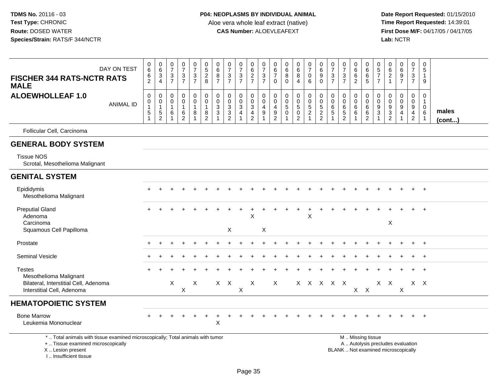**Date Report Requested:** 01/15/2010 **First Dose M/F:** 04/17/05 / 04/17/05<br>Lab: NCTR **Lab:** NCTR

| DAY ON TEST<br><b>FISCHER 344 RATS-NCTR RATS</b><br><b>MALE</b>                                                       | $\mathbf 0$<br>6<br>$\,6$<br>$\overline{2}$      | $063$<br>4                                                              | $\pmb{0}$<br>$\overline{7}$<br>$\mathbf{3}$<br>$\overline{7}$ | $\begin{array}{c} 0 \\ 7 \end{array}$<br>$\ensuremath{\mathsf{3}}$<br>$\overline{7}$ | $\frac{0}{7}$<br>$\frac{3}{7}$                                  | $\pmb{0}$<br>5<br>$\overline{c}$<br>8                                         | $\pmb{0}$<br>$^6_8$<br>$\overline{7}$                       | $\begin{array}{c} 0 \\ 7 \end{array}$<br>$\mathbf{3}$<br>$\overline{7}$                 | $\frac{0}{7}$<br>$\frac{3}{7}$                 | 0627                                                                                                | $\frac{0}{7}$<br>$\frac{3}{7}$                                            | $\mathbf 0$<br>6<br>$\overline{7}$<br>$\Omega$                          | $\pmb{0}$<br>6<br>8<br>$\Omega$                       | $\begin{array}{c} 0 \\ 6 \\ 8 \end{array}$<br>4             | $\frac{0}{7}$<br>$\mathbf 0$<br>$6\phantom{1}$ | $\begin{array}{c} 0 \\ 6 \end{array}$<br>$\boldsymbol{9}$<br>$\mathbf 0$ | $\begin{smallmatrix} 0\\7 \end{smallmatrix}$<br>$\sqrt{3}$<br>$\overline{7}$ | $\begin{array}{c} 0 \\ 7 \end{array}$<br>$\sqrt{3}$<br>$\overline{7}$ | 0<br>$\,6\,$<br>6<br>$\overline{2}$    | $\pmb{0}$<br>6<br>$\,6$<br>5                               | 0<br>$\frac{5}{7}$<br>$\overline{7}$ | $\pmb{0}$<br>$\frac{6}{2}$<br>$\overline{1}$        | 0697                                                           | $\begin{array}{c} 0 \\ 7 \end{array}$<br>$\frac{3}{7}$               | $\mathbf 0$<br>5<br>$\mathbf{1}$<br>9                           |                 |
|-----------------------------------------------------------------------------------------------------------------------|--------------------------------------------------|-------------------------------------------------------------------------|---------------------------------------------------------------|--------------------------------------------------------------------------------------|-----------------------------------------------------------------|-------------------------------------------------------------------------------|-------------------------------------------------------------|-----------------------------------------------------------------------------------------|------------------------------------------------|-----------------------------------------------------------------------------------------------------|---------------------------------------------------------------------------|-------------------------------------------------------------------------|-------------------------------------------------------|-------------------------------------------------------------|------------------------------------------------|--------------------------------------------------------------------------|------------------------------------------------------------------------------|-----------------------------------------------------------------------|----------------------------------------|------------------------------------------------------------|--------------------------------------|-----------------------------------------------------|----------------------------------------------------------------|----------------------------------------------------------------------|-----------------------------------------------------------------|-----------------|
| <b>ALOEWHOLLEAF 1.0</b><br><b>ANIMAL ID</b>                                                                           | $\mathsf 0$<br>0<br>$\overline{1}$<br>$\sqrt{5}$ | $\pmb{0}$<br>$\pmb{0}$<br>$\mathbf{1}$<br>$\mathbf 5$<br>$\overline{c}$ | $\mathbf 0$<br>0<br>$\mathbf{1}$<br>6                         | $\pmb{0}$<br>$\pmb{0}$<br>$\mathbf{1}$<br>$\,6\,$<br>$\overline{2}$                  | $\boldsymbol{0}$<br>$\mathbf 0$<br>$\mathbf{1}$<br>$\bf 8$<br>1 | $\pmb{0}$<br>$\mathsf{O}\xspace$<br>$\mathbf{1}$<br>$\bf 8$<br>$\overline{2}$ | $\mathbf 0$<br>$\pmb{0}$<br>$\mathbf{3}$<br>$\sqrt{3}$<br>1 | $\pmb{0}$<br>$\mathbf 0$<br>$\mathbf{3}$<br>$\ensuremath{\mathsf{3}}$<br>$\overline{2}$ | 0<br>$\pmb{0}$<br>$\sqrt{3}$<br>$\overline{4}$ | $\mathbf 0$<br>$\mathsf{O}\xspace$<br>$\ensuremath{\mathsf{3}}$<br>$\overline{4}$<br>$\overline{2}$ | 0<br>$\mathsf{O}$<br>$\overline{a}$<br>$\boldsymbol{9}$<br>$\overline{1}$ | $\mathbf 0$<br>$\mathbf 0$<br>$\overline{4}$<br>$9\,$<br>$\overline{2}$ | $\pmb{0}$<br>$\mathbf 0$<br>$\sqrt{5}$<br>$\mathbf 0$ | 0<br>$\pmb{0}$<br>$\sqrt{5}$<br>$\pmb{0}$<br>$\overline{c}$ | $\pmb{0}$<br>$\frac{0}{5}$<br>$\mathbf{1}$     | $\mathsf{O}\xspace$<br>$\pmb{0}$<br>$\sqrt{5}$<br>$\frac{2}{2}$          | $\mathbf 0$<br>$\pmb{0}$<br>$\,6\,$<br>$\,$ 5 $\,$                           | $\pmb{0}$<br>$\mathbf 0$<br>$\,6\,$<br>$\sqrt{5}$<br>$\overline{2}$   | 0<br>$\pmb{0}$<br>6<br>$6\phantom{1}6$ | $\mathbf 0$<br>$\pmb{0}$<br>$\,6\,$<br>6<br>$\overline{2}$ | $\mathbf 0$<br>0<br>9<br>3<br>1      | 0<br>$\pmb{0}$<br>$\boldsymbol{9}$<br>$\frac{3}{2}$ | $\mathbf 0$<br>$\pmb{0}$<br>$\boldsymbol{9}$<br>$\overline{4}$ | 0<br>$\mathbf 0$<br>$\boldsymbol{9}$<br>$\overline{4}$<br>$\sqrt{2}$ | $\mathbf 0$<br>$\mathbf{1}$<br>$\mathbf 0$<br>6<br>$\mathbf{1}$ | males<br>(cont) |
| Follicular Cell, Carcinoma                                                                                            |                                                  |                                                                         |                                                               |                                                                                      |                                                                 |                                                                               |                                                             |                                                                                         |                                                |                                                                                                     |                                                                           |                                                                         |                                                       |                                                             |                                                |                                                                          |                                                                              |                                                                       |                                        |                                                            |                                      |                                                     |                                                                |                                                                      |                                                                 |                 |
| <b>GENERAL BODY SYSTEM</b>                                                                                            |                                                  |                                                                         |                                                               |                                                                                      |                                                                 |                                                                               |                                                             |                                                                                         |                                                |                                                                                                     |                                                                           |                                                                         |                                                       |                                                             |                                                |                                                                          |                                                                              |                                                                       |                                        |                                                            |                                      |                                                     |                                                                |                                                                      |                                                                 |                 |
| <b>Tissue NOS</b><br>Scrotal, Mesothelioma Malignant                                                                  |                                                  |                                                                         |                                                               |                                                                                      |                                                                 |                                                                               |                                                             |                                                                                         |                                                |                                                                                                     |                                                                           |                                                                         |                                                       |                                                             |                                                |                                                                          |                                                                              |                                                                       |                                        |                                                            |                                      |                                                     |                                                                |                                                                      |                                                                 |                 |
| <b>GENITAL SYSTEM</b>                                                                                                 |                                                  |                                                                         |                                                               |                                                                                      |                                                                 |                                                                               |                                                             |                                                                                         |                                                |                                                                                                     |                                                                           |                                                                         |                                                       |                                                             |                                                |                                                                          |                                                                              |                                                                       |                                        |                                                            |                                      |                                                     |                                                                |                                                                      |                                                                 |                 |
| Epididymis<br>Mesothelioma Malignant                                                                                  |                                                  |                                                                         |                                                               |                                                                                      |                                                                 |                                                                               |                                                             |                                                                                         |                                                |                                                                                                     |                                                                           |                                                                         |                                                       |                                                             |                                                |                                                                          |                                                                              |                                                                       |                                        |                                                            |                                      |                                                     |                                                                |                                                                      | $^{+}$                                                          |                 |
| <b>Preputial Gland</b><br>Adenoma<br>Carcinoma<br>Squamous Cell Papilloma                                             |                                                  |                                                                         |                                                               |                                                                                      |                                                                 |                                                                               |                                                             | X                                                                                       |                                                | $\mathsf X$                                                                                         | X                                                                         |                                                                         |                                                       |                                                             | X                                              |                                                                          |                                                                              |                                                                       |                                        |                                                            |                                      | X                                                   |                                                                |                                                                      | $\ddot{}$                                                       |                 |
| Prostate                                                                                                              |                                                  |                                                                         |                                                               |                                                                                      |                                                                 |                                                                               |                                                             |                                                                                         |                                                |                                                                                                     |                                                                           |                                                                         |                                                       |                                                             |                                                |                                                                          |                                                                              |                                                                       |                                        |                                                            |                                      |                                                     |                                                                |                                                                      | $+$                                                             |                 |
| <b>Seminal Vesicle</b>                                                                                                |                                                  |                                                                         |                                                               |                                                                                      |                                                                 |                                                                               |                                                             |                                                                                         |                                                |                                                                                                     |                                                                           |                                                                         |                                                       |                                                             |                                                |                                                                          |                                                                              |                                                                       |                                        |                                                            |                                      |                                                     |                                                                |                                                                      |                                                                 |                 |
| <b>Testes</b><br>Mesothelioma Malignant<br>Bilateral, Interstitial Cell, Adenoma<br>Interstitial Cell, Adenoma        |                                                  |                                                                         | X                                                             | $\boldsymbol{\mathsf{X}}$                                                            | X                                                               |                                                                               |                                                             | $X$ $X$                                                                                 | X                                              | X                                                                                                   |                                                                           | X                                                                       |                                                       | $\mathsf{X}$                                                | $\mathsf{X}$                                   | $\mathsf{X}$                                                             | $X$ $X$                                                                      |                                                                       |                                        | $X$ $X$                                                    | X.                                   | $\mathsf{X}$                                        | $\mathsf X$                                                    |                                                                      | $X \times$                                                      |                 |
| <b>HEMATOPOIETIC SYSTEM</b>                                                                                           |                                                  |                                                                         |                                                               |                                                                                      |                                                                 |                                                                               |                                                             |                                                                                         |                                                |                                                                                                     |                                                                           |                                                                         |                                                       |                                                             |                                                |                                                                          |                                                                              |                                                                       |                                        |                                                            |                                      |                                                     |                                                                |                                                                      |                                                                 |                 |
| <b>Bone Marrow</b><br>Leukemia Mononuclear                                                                            |                                                  |                                                                         |                                                               |                                                                                      |                                                                 |                                                                               | X                                                           |                                                                                         |                                                |                                                                                                     |                                                                           |                                                                         |                                                       |                                                             |                                                |                                                                          |                                                                              |                                                                       |                                        |                                                            |                                      |                                                     |                                                                |                                                                      | $+$                                                             |                 |
| *  Total animals with tissue examined microscopically; Total animals with tumor<br>+  Tissue examined microscopically |                                                  |                                                                         |                                                               |                                                                                      |                                                                 |                                                                               |                                                             |                                                                                         |                                                |                                                                                                     |                                                                           |                                                                         |                                                       |                                                             |                                                |                                                                          |                                                                              |                                                                       |                                        | M  Missing tissue<br>A  Autolysis precludes evaluation     |                                      |                                                     |                                                                |                                                                      |                                                                 |                 |

 Lesion present BLANK .. Not examined microscopicallyX .. Lesion present

I .. Insufficient tissue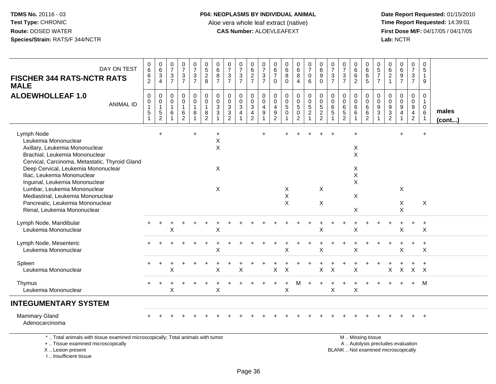# **P04: NEOPLASMS BY INDIVIDUAL ANIMAL**Aloe vera whole leaf extract (native)<br>**CAS Number:** ALOEVLEAFEXT

 **Date Report Requested:** 01/15/2010 **First Dose M/F:** 04/17/05 / 04/17/05<br>Lab: NCTR **Lab:** NCTR

| DAY ON TEST<br><b>FISCHER 344 RATS-NCTR RATS</b><br><b>MALE</b>                                                                                                                                                                                                                                                                                                                                          | $_{6}^{\rm 0}$<br>6<br>$\overline{2}$ | $\begin{array}{c} 0 \\ 6 \end{array}$<br>$\ensuremath{\mathsf{3}}$<br>$\overline{4}$ | 0<br>$\overline{7}$<br>$\mathbf{3}$<br>$\overline{7}$ | $\frac{0}{7}$<br>$\frac{3}{7}$                                | $\frac{0}{7}$<br>$\ensuremath{\mathsf{3}}$<br>$\overline{7}$ | 0<br>$\overline{5}$<br>$\sqrt{2}$<br>8                                 | 0<br>6<br>8<br>$\overline{7}$                                            | 0<br>$\overline{7}$<br>$\ensuremath{\mathsf{3}}$<br>$\overline{7}$ | $\frac{0}{7}$<br>$\ensuremath{\mathsf{3}}$<br>$\overline{7}$ | 0<br>$\,6\,$<br>$\boldsymbol{2}$<br>$\overline{7}$                              | 0<br>$\overline{7}$<br>$\ensuremath{\mathsf{3}}$<br>$\overline{7}$ | 0<br>$\,6$<br>$\overline{7}$<br>$\mathbf{0}$                          | 0<br>$\,6\,$<br>$\bf 8$<br>$\Omega$                     | $_{6}^{\rm 0}$<br>$\bf 8$<br>4                   | 0<br>$\overline{7}$<br>$\mathbf 0$<br>6                   | $\begin{array}{c} 0 \\ 6 \end{array}$<br>$\boldsymbol{9}$<br>$\mathbf 0$ | 0<br>$\overline{7}$<br>$\mathbf{3}$<br>$\overline{7}$ | $\frac{0}{7}$<br>$\frac{3}{7}$                    | 0<br>$\,6$<br>$\,6$<br>$\overline{c}$        | 0<br>$\,6\,$<br>$\,6\,$<br>5                                                                  | 0<br>5<br>$\overline{7}$<br>$\overline{7}$ | 0<br>$6\overline{6}$<br>$\boldsymbol{2}$<br>$\overline{1}$ | $\begin{matrix}0\6\9\end{matrix}$<br>$\overline{7}$ | 0<br>$\overline{7}$<br>$\ensuremath{\mathsf{3}}$<br>$\overline{7}$       | 0<br>$\sqrt{5}$<br>$\mathbf{1}$<br>9                          |                       |
|----------------------------------------------------------------------------------------------------------------------------------------------------------------------------------------------------------------------------------------------------------------------------------------------------------------------------------------------------------------------------------------------------------|---------------------------------------|--------------------------------------------------------------------------------------|-------------------------------------------------------|---------------------------------------------------------------|--------------------------------------------------------------|------------------------------------------------------------------------|--------------------------------------------------------------------------|--------------------------------------------------------------------|--------------------------------------------------------------|---------------------------------------------------------------------------------|--------------------------------------------------------------------|-----------------------------------------------------------------------|---------------------------------------------------------|--------------------------------------------------|-----------------------------------------------------------|--------------------------------------------------------------------------|-------------------------------------------------------|---------------------------------------------------|----------------------------------------------|-----------------------------------------------------------------------------------------------|--------------------------------------------|------------------------------------------------------------|-----------------------------------------------------|--------------------------------------------------------------------------|---------------------------------------------------------------|-----------------------|
| <b>ALOEWHOLLEAF 1.0</b><br><b>ANIMAL ID</b>                                                                                                                                                                                                                                                                                                                                                              | $\pmb{0}$<br>0<br>$\overline{1}$<br>5 | 0<br>$\mathsf{O}\xspace$<br>$\mathbf{1}$<br>$\,$ 5 $\,$<br>$\overline{c}$            | 0<br>0<br>1<br>6                                      | $\pmb{0}$<br>$\pmb{0}$<br>$\mathbf{1}$<br>6<br>$\overline{2}$ | 0<br>$\mathbf 0$<br>$\mathbf{1}$<br>8                        | $\mathbf 0$<br>$\mathbf 0$<br>$\mathbf{1}$<br>$\, 8$<br>$\overline{2}$ | $\mathbf 0$<br>$\mathbf 0$<br>$\mathbf{3}$<br>3                          | $\mathbf 0$<br>$\pmb{0}$<br>$_3^3$<br>$\overline{2}$               | 0<br>$\mathbf 0$<br>$\mathbf{3}$<br>$\overline{4}$           | 0<br>$\pmb{0}$<br>$\ensuremath{\mathsf{3}}$<br>$\overline{4}$<br>$\overline{2}$ | 0<br>$\Omega$<br>4<br>$\boldsymbol{9}$                             | 0<br>$\Omega$<br>$\overline{4}$<br>$\boldsymbol{9}$<br>$\overline{2}$ | $\mathbf 0$<br>$\mathbf 0$<br>$\sqrt{5}$<br>$\mathbf 0$ | 0<br>$\mathbf 0$<br>$\sqrt{5}$<br>$\pmb{0}$<br>2 | $\pmb{0}$<br>$\pmb{0}$<br>$\frac{5}{2}$<br>$\overline{1}$ | 0<br>$\mathbf 0$<br>$\frac{5}{2}$<br>$\overline{2}$                      | 0<br>$\mathbf 0$<br>6<br>$\sqrt{5}$                   | 0<br>$\pmb{0}$<br>$\frac{6}{5}$<br>$\overline{2}$ | 0<br>$\mathbf 0$<br>$\,6$<br>6               | 0<br>$\mathbf 0$<br>6<br>$\,6\,$<br>$\overline{2}$                                            | 0<br>$\Omega$<br>9<br>3                    | $\mathbf 0$<br>$\mathbf 0$<br>$\frac{9}{2}$                | $\pmb{0}$<br>$\mathbf 0$<br>9<br>$\overline{4}$     | 0<br>$\mathbf 0$<br>$\boldsymbol{9}$<br>$\overline{4}$<br>$\overline{c}$ | 0<br>$\mathbf{1}$<br>$\mathbf 0$<br>$\,6\,$<br>$\overline{1}$ | males<br>$($ cont $)$ |
| Lymph Node<br>Leukemia Mononuclear<br>Axillary, Leukemia Mononuclear<br>Brachial, Leukemia Mononuclear<br>Cervical, Carcinoma, Metastatic, Thyroid Gland<br>Deep Cervical, Leukemia Mononuclear<br>Iliac, Leukemia Mononuclear<br>Inguinal, Leukemia Mononuclear<br>Lumbar, Leukemia Mononuclear<br>Mediastinal, Leukemia Mononuclear<br>Pancreatic, Leukemia Mononuclear<br>Renal, Leukemia Mononuclear |                                       | $\ddot{}$                                                                            |                                                       |                                                               | $+$                                                          |                                                                        | $\ddot{}$<br>$\sf X$<br>$\sf X$<br>$\times$<br>$\boldsymbol{\mathsf{X}}$ |                                                                    |                                                              |                                                                                 | $\div$                                                             |                                                                       | X<br>$\boldsymbol{\mathsf{X}}$<br>$\pmb{\times}$        |                                                  |                                                           | X<br>X                                                                   |                                                       |                                                   | $+$<br>X<br>X<br>X<br>$\sf X$<br>Χ<br>X<br>X |                                                                                               |                                            |                                                            | $\ddot{}$<br>X<br>X<br>X                            |                                                                          | $\ddot{}$<br>X                                                |                       |
| Lymph Node, Mandibular<br>Leukemia Mononuclear                                                                                                                                                                                                                                                                                                                                                           |                                       |                                                                                      | Χ                                                     |                                                               |                                                              |                                                                        | Χ                                                                        |                                                                    |                                                              |                                                                                 |                                                                    |                                                                       |                                                         |                                                  |                                                           | X                                                                        |                                                       |                                                   | X                                            |                                                                                               |                                            |                                                            | X                                                   |                                                                          | $\ddot{}$<br>X                                                |                       |
| Lymph Node, Mesenteric<br>Leukemia Mononuclear                                                                                                                                                                                                                                                                                                                                                           |                                       |                                                                                      |                                                       |                                                               |                                                              |                                                                        | Χ                                                                        |                                                                    |                                                              |                                                                                 |                                                                    |                                                                       | $\times$                                                |                                                  |                                                           | $\sf X$                                                                  |                                                       |                                                   | +<br>X                                       |                                                                                               |                                            |                                                            | $\ddot{}$<br>X                                      | $\ddot{}$                                                                | $\ddot{}$<br>$\pmb{\times}$                                   |                       |
| Spleen<br>Leukemia Mononuclear                                                                                                                                                                                                                                                                                                                                                                           |                                       |                                                                                      | X                                                     |                                                               |                                                              |                                                                        | Χ                                                                        |                                                                    | X                                                            |                                                                                 |                                                                    | $\mathsf X$                                                           | $\times$                                                |                                                  |                                                           | X                                                                        | $\pmb{\times}$                                        |                                                   | X                                            |                                                                                               |                                            | X                                                          | $\boldsymbol{\mathsf{X}}$                           | $\mathsf{X}$                                                             | $\ddot{}$<br>$\mathsf{X}$                                     |                       |
| Thymus<br>Leukemia Mononuclear                                                                                                                                                                                                                                                                                                                                                                           |                                       |                                                                                      | X                                                     |                                                               |                                                              |                                                                        | X                                                                        |                                                                    |                                                              |                                                                                 |                                                                    |                                                                       | $\ddot{}$<br>X                                          | М                                                |                                                           | $\ddot{}$                                                                | X                                                     |                                                   | $\ddot{}$<br>X                               |                                                                                               |                                            |                                                            |                                                     | $+$                                                                      | M                                                             |                       |
| <b>INTEGUMENTARY SYSTEM</b>                                                                                                                                                                                                                                                                                                                                                                              |                                       |                                                                                      |                                                       |                                                               |                                                              |                                                                        |                                                                          |                                                                    |                                                              |                                                                                 |                                                                    |                                                                       |                                                         |                                                  |                                                           |                                                                          |                                                       |                                                   |                                              |                                                                                               |                                            |                                                            |                                                     |                                                                          |                                                               |                       |
| <b>Mammary Gland</b><br>Adenocarcinoma                                                                                                                                                                                                                                                                                                                                                                   |                                       |                                                                                      |                                                       |                                                               |                                                              |                                                                        |                                                                          |                                                                    |                                                              |                                                                                 |                                                                    |                                                                       |                                                         |                                                  |                                                           |                                                                          |                                                       |                                                   |                                              |                                                                                               |                                            |                                                            |                                                     |                                                                          | $+$                                                           |                       |
| *  Total animals with tissue examined microscopically; Total animals with tumor<br>+  Tissue examined microscopically<br>X  Lesion present                                                                                                                                                                                                                                                               |                                       |                                                                                      |                                                       |                                                               |                                                              |                                                                        |                                                                          |                                                                    |                                                              |                                                                                 |                                                                    |                                                                       |                                                         |                                                  |                                                           |                                                                          |                                                       |                                                   |                                              | M  Missing tissue<br>A  Autolysis precludes evaluation<br>BLANK  Not examined microscopically |                                            |                                                            |                                                     |                                                                          |                                                               |                       |

I .. Insufficient tissue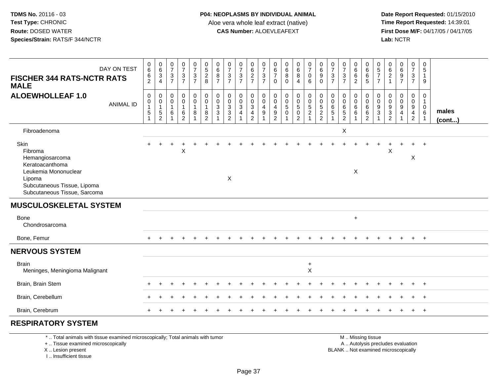**Date Report Requested:** 01/15/2010 **First Dose M/F:** 04/17/05 / 04/17/05<br>Lab: NCTR **Lab:** NCTR

| DAY ON TEST<br><b>FISCHER 344 RATS-NCTR RATS</b><br><b>MALE</b>                                                        | $_{6}^{\rm 0}$<br>$\frac{6}{2}$                                             | $\begin{array}{c} 0 \\ 6 \end{array}$<br>$\frac{3}{4}$  | $\frac{0}{7}$<br>$\frac{3}{7}$ | $\frac{0}{7}$<br>$\frac{3}{7}$                            | $\begin{smallmatrix}0\\7\end{smallmatrix}$<br>$\frac{3}{7}$         | $0$<br>5<br>2<br>8                                                  | $_{6}^{\rm 0}$<br>$\frac{8}{7}$                   | $\frac{0}{7}$<br>$\frac{3}{7}$  | $\frac{0}{7}$<br>$\frac{3}{7}$                         | $\begin{array}{c} 0 \\ 6 \end{array}$<br>$\frac{2}{7}$ | $\frac{0}{7}$<br>$\frac{3}{7}$                                      | 0<br>$\,6\,$<br>$\overline{7}$<br>$\mathbf 0$                                    | $\begin{array}{c} 0 \\ 6 \end{array}$<br>8<br>$\Omega$  | $\begin{matrix}0\\6\\8\end{matrix}$<br>$\overline{4}$ | $\frac{0}{7}$<br>$\mathsf{O}\xspace$<br>$6^{\circ}$               | $_{6}^{\rm 0}$<br>$\overline{9}$      | $\frac{0}{7}$<br>$\frac{3}{7}$                      | $\frac{0}{7}$<br>$\frac{3}{7}$                       | 0<br>$\overline{6}$<br>$6$<br>$\overline{2}$           | 0<br>$\,6\,$<br>$^6_5$                                         | $\begin{array}{c} 0 \\ 5 \\ 7 \end{array}$<br>$\overline{7}$ | 0<br>$\,6\,$<br>$\frac{2}{1}$   | 0697                                                       | $\begin{smallmatrix}0\\7\end{smallmatrix}$<br>$\frac{3}{7}$                               | 0<br>$\sqrt{5}$<br>$\mathbf{1}$<br>9                      |                       |
|------------------------------------------------------------------------------------------------------------------------|-----------------------------------------------------------------------------|---------------------------------------------------------|--------------------------------|-----------------------------------------------------------|---------------------------------------------------------------------|---------------------------------------------------------------------|---------------------------------------------------|---------------------------------|--------------------------------------------------------|--------------------------------------------------------|---------------------------------------------------------------------|----------------------------------------------------------------------------------|---------------------------------------------------------|-------------------------------------------------------|-------------------------------------------------------------------|---------------------------------------|-----------------------------------------------------|------------------------------------------------------|--------------------------------------------------------|----------------------------------------------------------------|--------------------------------------------------------------|---------------------------------|------------------------------------------------------------|-------------------------------------------------------------------------------------------|-----------------------------------------------------------|-----------------------|
| <b>ALOEWHOLLEAF 1.0</b><br><b>ANIMAL ID</b>                                                                            | $\pmb{0}$<br>$\mathbf 0$<br>$\overline{1}$<br>$\,$ 5 $\,$<br>$\overline{1}$ | $\pmb{0}$<br>$\pmb{0}$<br>$\mathbf{1}$<br>$\frac{5}{2}$ | 0<br>0<br>$\overline{1}$<br>6  | $\mathbf 0$<br>$\pmb{0}$<br>$\mathbf{1}$<br>$\frac{6}{2}$ | $\pmb{0}$<br>$\mathbf 0$<br>$\mathbf{1}$<br>$\bf 8$<br>$\mathbf{1}$ | $\pmb{0}$<br>$\pmb{0}$<br>$\mathbf{1}$<br>$\bf 8$<br>$\overline{2}$ | $\pmb{0}$<br>$\mathsf{O}\xspace$<br>$\frac{3}{3}$ | 0<br>$\pmb{0}$<br>$\frac{3}{2}$ | $\pmb{0}$<br>$_{3}^{\rm 0}$<br>$\overline{\mathbf{4}}$ | $\pmb{0}$<br>$\frac{0}{3}$<br>$\frac{4}{2}$            | $\pmb{0}$<br>$\mathbf 0$<br>$\overline{4}$<br>$\boldsymbol{9}$<br>1 | $\pmb{0}$<br>$\mathbf 0$<br>$\overline{4}$<br>$\boldsymbol{9}$<br>$\overline{2}$ | $\pmb{0}$<br>$\pmb{0}$<br>$\overline{5}$<br>$\mathbf 0$ | 0<br>$\begin{array}{c} 0 \\ 5 \\ 0 \\ 2 \end{array}$  | $\begin{array}{c} 0 \\ 0 \\ 5 \\ 2 \end{array}$<br>$\overline{1}$ | $\pmb{0}$<br>$0$<br>$5$<br>$2$<br>$2$ | $\mathbf 0$<br>$\mathbf 0$<br>$\,6\,$<br>$\sqrt{5}$ | $\pmb{0}$<br>$\mathbf 0$<br>$\,6\,$<br>$\frac{5}{2}$ | $\pmb{0}$<br>$\pmb{0}$<br>$\,6\,$<br>6<br>$\mathbf{1}$ | $\pmb{0}$<br>$\mathbf 0$<br>$\,6\,$<br>$\,6$<br>$\overline{c}$ | 0<br>0<br>$\frac{9}{3}$                                      | $\pmb{0}$<br>0<br>$\frac{9}{2}$ | $\pmb{0}$<br>$\pmb{0}$<br>$\overline{9}$<br>$\overline{4}$ | $\mathbf 0$<br>$\mathbf 0$<br>$\overline{9}$<br>$\overline{\mathbf{4}}$<br>$\overline{2}$ | 0<br>$\overline{1}$<br>$\mathbf 0$<br>6<br>$\overline{1}$ | males<br>$($ cont $)$ |
| Fibroadenoma                                                                                                           |                                                                             |                                                         |                                |                                                           |                                                                     |                                                                     |                                                   |                                 |                                                        |                                                        |                                                                     |                                                                                  |                                                         |                                                       |                                                                   |                                       |                                                     | X                                                    |                                                        |                                                                |                                                              |                                 |                                                            |                                                                                           |                                                           |                       |
| Skin<br>Fibroma<br>Hemangiosarcoma<br>Keratoacanthoma<br>Leukemia Mononuclear<br>Lipoma<br>Subcutaneous Tissue, Lipoma |                                                                             |                                                         |                                | $\boldsymbol{\mathsf{X}}$                                 |                                                                     |                                                                     |                                                   | $\pmb{\times}$                  |                                                        |                                                        |                                                                     |                                                                                  |                                                         |                                                       |                                                                   |                                       |                                                     |                                                      | X                                                      |                                                                |                                                              | $\boldsymbol{\mathsf{X}}$       |                                                            | X                                                                                         |                                                           |                       |
| Subcutaneous Tissue, Sarcoma                                                                                           |                                                                             |                                                         |                                |                                                           |                                                                     |                                                                     |                                                   |                                 |                                                        |                                                        |                                                                     |                                                                                  |                                                         |                                                       |                                                                   |                                       |                                                     |                                                      |                                                        |                                                                |                                                              |                                 |                                                            |                                                                                           |                                                           |                       |
| <b>MUSCULOSKELETAL SYSTEM</b>                                                                                          |                                                                             |                                                         |                                |                                                           |                                                                     |                                                                     |                                                   |                                 |                                                        |                                                        |                                                                     |                                                                                  |                                                         |                                                       |                                                                   |                                       |                                                     |                                                      |                                                        |                                                                |                                                              |                                 |                                                            |                                                                                           |                                                           |                       |
| <b>Bone</b><br>Chondrosarcoma                                                                                          |                                                                             |                                                         |                                |                                                           |                                                                     |                                                                     |                                                   |                                 |                                                        |                                                        |                                                                     |                                                                                  |                                                         |                                                       |                                                                   |                                       |                                                     |                                                      | $\ddot{}$                                              |                                                                |                                                              |                                 |                                                            |                                                                                           |                                                           |                       |
| Bone, Femur                                                                                                            |                                                                             |                                                         |                                |                                                           |                                                                     |                                                                     |                                                   |                                 |                                                        |                                                        |                                                                     |                                                                                  |                                                         |                                                       |                                                                   |                                       |                                                     |                                                      |                                                        |                                                                |                                                              |                                 |                                                            | $\pm$                                                                                     | $+$                                                       |                       |
| <b>NERVOUS SYSTEM</b>                                                                                                  |                                                                             |                                                         |                                |                                                           |                                                                     |                                                                     |                                                   |                                 |                                                        |                                                        |                                                                     |                                                                                  |                                                         |                                                       |                                                                   |                                       |                                                     |                                                      |                                                        |                                                                |                                                              |                                 |                                                            |                                                                                           |                                                           |                       |
| <b>Brain</b><br>Meninges, Meningioma Malignant                                                                         |                                                                             |                                                         |                                |                                                           |                                                                     |                                                                     |                                                   |                                 |                                                        |                                                        |                                                                     |                                                                                  |                                                         |                                                       | $+$<br>$\pmb{\times}$                                             |                                       |                                                     |                                                      |                                                        |                                                                |                                                              |                                 |                                                            |                                                                                           |                                                           |                       |
| Brain, Brain Stem                                                                                                      |                                                                             |                                                         |                                |                                                           |                                                                     |                                                                     |                                                   |                                 |                                                        |                                                        |                                                                     |                                                                                  |                                                         |                                                       |                                                                   |                                       |                                                     |                                                      |                                                        |                                                                |                                                              |                                 |                                                            |                                                                                           | $+$                                                       |                       |
| Brain, Cerebellum                                                                                                      |                                                                             |                                                         |                                |                                                           |                                                                     |                                                                     |                                                   |                                 |                                                        |                                                        |                                                                     |                                                                                  |                                                         |                                                       |                                                                   |                                       |                                                     |                                                      |                                                        |                                                                |                                                              |                                 |                                                            |                                                                                           | $+$                                                       |                       |
| Brain, Cerebrum                                                                                                        | $+$                                                                         |                                                         |                                |                                                           |                                                                     |                                                                     |                                                   |                                 |                                                        |                                                        |                                                                     |                                                                                  |                                                         |                                                       |                                                                   |                                       |                                                     |                                                      |                                                        |                                                                |                                                              |                                 |                                                            | $\ddot{}$                                                                                 | $+$                                                       |                       |
| <b>RESPIRATORY SYSTEM</b>                                                                                              |                                                                             |                                                         |                                |                                                           |                                                                     |                                                                     |                                                   |                                 |                                                        |                                                        |                                                                     |                                                                                  |                                                         |                                                       |                                                                   |                                       |                                                     |                                                      |                                                        |                                                                |                                                              |                                 |                                                            |                                                                                           |                                                           |                       |

\* .. Total animals with tissue examined microscopically; Total animals with tumor

+ .. Tissue examined microscopically

X .. Lesion present

I .. Insufficient tissue

 M .. Missing tissuey the contract of the contract of the contract of the contract of the contract of the contract of the contract of  $A$ . Autolysis precludes evaluation Lesion present BLANK .. Not examined microscopically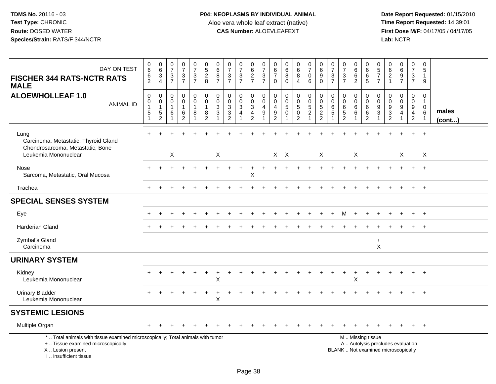**Date Report Requested:** 01/15/2010 **First Dose M/F:** 04/17/05 / 04/17/05<br>Lab: NCTR **Lab:** NCTR

| DAY ON TEST<br><b>FISCHER 344 RATS-NCTR RATS</b><br><b>MALE</b>                                                                            | $\mathbf 0$<br>6<br>6<br>$\overline{2}$                     | $\pmb{0}$<br>$\,6\,$<br>$\sqrt{3}$<br>$\overline{4}$ | $\frac{0}{7}$<br>$\sqrt{3}$<br>$\overline{7}$   | $\frac{0}{7}$<br>$\frac{3}{7}$                                | $\begin{smallmatrix}0\\7\end{smallmatrix}$<br>$\mathbf 3$<br>$\overline{7}$ | $\begin{array}{c} 0 \\ 5 \end{array}$<br>$\overline{2}$<br>8           | 0<br>$\,6$<br>8<br>$\overline{7}$               | $\frac{0}{7}$<br>$\frac{3}{7}$                                | 0<br>$\overline{7}$<br>$\frac{3}{7}$               | $\pmb{0}$<br>$\,6\,$<br>$\overline{2}$<br>$\overline{7}$   | $\frac{0}{7}$<br>$\mathbf{3}$<br>$\overline{7}$ | 0<br>$\,6\,$<br>$\overline{7}$<br>$\Omega$                                | 0<br>$\,6\,$<br>8<br>$\Omega$                               | $\begin{matrix} 0 \\ 6 \end{matrix}$<br>$\overline{8}$<br>$\overline{4}$ | $\begin{array}{c} 0 \\ 7 \end{array}$<br>$\mathbf 0$<br>6   | $\begin{array}{c} 0 \\ 6 \end{array}$<br>9<br>$\Omega$      | $\frac{0}{7}$<br>$\frac{3}{7}$            | $\frac{0}{7}$<br>$\ensuremath{\mathsf{3}}$<br>$\overline{7}$  | 0<br>$\,6$<br>$6\phantom{a}$<br>$\overline{2}$ | $^{\rm 0}_{\rm 6}$<br>$6\overline{6}$<br>5                                                    | 0<br>$\frac{5}{7}$<br>$\overline{7}$         | 0<br>6<br>$\overline{c}$<br>$\mathbf{1}$                  | $\begin{array}{c} 0 \\ 6 \end{array}$<br>$\overline{9}$<br>$\overline{7}$ | $\begin{smallmatrix}0\\7\end{smallmatrix}$<br>$\mathbf{3}$<br>$\overline{7}$ | 0<br>5<br>$\mathbf{1}$<br>9                              |                       |
|--------------------------------------------------------------------------------------------------------------------------------------------|-------------------------------------------------------------|------------------------------------------------------|-------------------------------------------------|---------------------------------------------------------------|-----------------------------------------------------------------------------|------------------------------------------------------------------------|-------------------------------------------------|---------------------------------------------------------------|----------------------------------------------------|------------------------------------------------------------|-------------------------------------------------|---------------------------------------------------------------------------|-------------------------------------------------------------|--------------------------------------------------------------------------|-------------------------------------------------------------|-------------------------------------------------------------|-------------------------------------------|---------------------------------------------------------------|------------------------------------------------|-----------------------------------------------------------------------------------------------|----------------------------------------------|-----------------------------------------------------------|---------------------------------------------------------------------------|------------------------------------------------------------------------------|----------------------------------------------------------|-----------------------|
| <b>ALOEWHOLLEAF 1.0</b><br><b>ANIMAL ID</b>                                                                                                | $\mathbf 0$<br>$\pmb{0}$<br>$\mathbf{1}$<br>$\sqrt{5}$<br>1 | 0<br>0<br>$\mathbf{1}$<br>$5\,$<br>$\overline{c}$    | $\mathbf 0$<br>$\mathbf 0$<br>$\mathbf{1}$<br>6 | 0<br>$\mathbf 0$<br>$\mathbf{1}$<br>$\,6\,$<br>$\overline{2}$ | $\mathbf 0$<br>$\mathbf 0$<br>$\mathbf{1}$<br>8<br>-1                       | $\mathbf 0$<br>$\mathbf 0$<br>$\mathbf{1}$<br>$\, 8$<br>$\overline{2}$ | $\mathbf 0$<br>$\mathbf 0$<br>3<br>$\mathbf{3}$ | $\mathbf 0$<br>$\mathsf 0$<br>$\frac{3}{3}$<br>$\overline{2}$ | 0<br>$\mathbf 0$<br>$\mathbf{3}$<br>$\overline{4}$ | 0<br>0<br>$\ensuremath{\mathsf{3}}$<br>4<br>$\overline{2}$ | 0<br>$\mathbf 0$<br>$\overline{4}$<br>$9\,$     | 0<br>$\mathbf{0}$<br>$\overline{4}$<br>$\boldsymbol{9}$<br>$\overline{2}$ | $\mathbf 0$<br>$\mathbf 0$<br>$\overline{5}$<br>$\mathbf 0$ | 0<br>$\mathsf 0$<br>$\sqrt{5}$<br>$\bar{0}$<br>$\overline{c}$            | $\pmb{0}$<br>$\mathbf 0$<br>$\frac{5}{2}$<br>$\overline{1}$ | $\mathbf 0$<br>$\pmb{0}$<br>$\frac{5}{2}$<br>$\overline{2}$ | 0<br>$\mathbf 0$<br>$\,6\,$<br>$\sqrt{5}$ | 0<br>$\mathbf 0$<br>$\,6$<br>$\overline{5}$<br>$\overline{2}$ | 0<br>$\mathbf 0$<br>$\,6$<br>$\,6$             | 0<br>$\mathsf{O}\xspace$<br>$\,6\,$<br>$6\phantom{a}$<br>$\overline{2}$                       | 0<br>$\mathbf 0$<br>9<br>$\overline{3}$<br>1 | 0<br>$\mathbf 0$<br>$9\,$<br>$\sqrt{3}$<br>$\overline{2}$ | 0<br>$\mathbf 0$<br>$\boldsymbol{9}$<br>$\overline{4}$                    | 0<br>$\mathbf 0$<br>9<br>4<br>$\overline{2}$                                 | 0<br>$\mathbf{1}$<br>$\mathbf{0}$<br>6<br>$\overline{1}$ | males<br>$($ cont $)$ |
| Lung<br>Carcinoma, Metastatic, Thyroid Gland<br>Chondrosarcoma, Metastatic, Bone<br>Leukemia Mononuclear                                   |                                                             |                                                      | X                                               |                                                               |                                                                             |                                                                        | X                                               |                                                               |                                                    |                                                            |                                                 |                                                                           | $X$ $X$                                                     |                                                                          |                                                             | $\times$                                                    |                                           |                                                               | X                                              |                                                                                               |                                              |                                                           | $\boldsymbol{\mathsf{X}}$                                                 |                                                                              | $\sf X$                                                  |                       |
| Nose<br>Sarcoma, Metastatic, Oral Mucosa                                                                                                   |                                                             |                                                      |                                                 |                                                               |                                                                             |                                                                        |                                                 |                                                               |                                                    | X                                                          |                                                 |                                                                           |                                                             |                                                                          |                                                             |                                                             |                                           |                                                               |                                                |                                                                                               |                                              |                                                           |                                                                           |                                                                              |                                                          |                       |
| Trachea                                                                                                                                    |                                                             |                                                      |                                                 |                                                               |                                                                             |                                                                        |                                                 |                                                               |                                                    |                                                            |                                                 |                                                                           |                                                             |                                                                          |                                                             |                                                             |                                           |                                                               |                                                |                                                                                               |                                              |                                                           |                                                                           |                                                                              | $\ddot{}$                                                |                       |
| <b>SPECIAL SENSES SYSTEM</b>                                                                                                               |                                                             |                                                      |                                                 |                                                               |                                                                             |                                                                        |                                                 |                                                               |                                                    |                                                            |                                                 |                                                                           |                                                             |                                                                          |                                                             |                                                             |                                           |                                                               |                                                |                                                                                               |                                              |                                                           |                                                                           |                                                                              |                                                          |                       |
| Eye                                                                                                                                        |                                                             |                                                      |                                                 |                                                               |                                                                             |                                                                        |                                                 |                                                               |                                                    |                                                            |                                                 |                                                                           |                                                             |                                                                          |                                                             |                                                             |                                           | M                                                             |                                                |                                                                                               |                                              |                                                           |                                                                           | $\div$                                                                       | $+$                                                      |                       |
| <b>Harderian Gland</b>                                                                                                                     |                                                             |                                                      |                                                 |                                                               |                                                                             |                                                                        |                                                 |                                                               |                                                    |                                                            |                                                 |                                                                           |                                                             |                                                                          |                                                             |                                                             |                                           |                                                               |                                                |                                                                                               |                                              |                                                           |                                                                           | +                                                                            | $^{+}$                                                   |                       |
| Zymbal's Gland<br>Carcinoma                                                                                                                |                                                             |                                                      |                                                 |                                                               |                                                                             |                                                                        |                                                 |                                                               |                                                    |                                                            |                                                 |                                                                           |                                                             |                                                                          |                                                             |                                                             |                                           |                                                               |                                                |                                                                                               | $\ddot{}$<br>$\sf X$                         |                                                           |                                                                           |                                                                              |                                                          |                       |
| <b>URINARY SYSTEM</b>                                                                                                                      |                                                             |                                                      |                                                 |                                                               |                                                                             |                                                                        |                                                 |                                                               |                                                    |                                                            |                                                 |                                                                           |                                                             |                                                                          |                                                             |                                                             |                                           |                                                               |                                                |                                                                                               |                                              |                                                           |                                                                           |                                                                              |                                                          |                       |
| Kidney<br>Leukemia Mononuclear                                                                                                             |                                                             |                                                      |                                                 |                                                               |                                                                             |                                                                        | X                                               |                                                               |                                                    |                                                            |                                                 |                                                                           |                                                             |                                                                          |                                                             |                                                             |                                           |                                                               | X                                              |                                                                                               |                                              |                                                           |                                                                           |                                                                              |                                                          |                       |
| <b>Urinary Bladder</b><br>Leukemia Mononuclear                                                                                             |                                                             |                                                      |                                                 |                                                               |                                                                             |                                                                        | X                                               |                                                               |                                                    |                                                            |                                                 |                                                                           |                                                             |                                                                          |                                                             |                                                             |                                           |                                                               |                                                |                                                                                               |                                              |                                                           |                                                                           |                                                                              |                                                          |                       |
| <b>SYSTEMIC LESIONS</b>                                                                                                                    |                                                             |                                                      |                                                 |                                                               |                                                                             |                                                                        |                                                 |                                                               |                                                    |                                                            |                                                 |                                                                           |                                                             |                                                                          |                                                             |                                                             |                                           |                                                               |                                                |                                                                                               |                                              |                                                           |                                                                           |                                                                              |                                                          |                       |
| Multiple Organ                                                                                                                             |                                                             |                                                      |                                                 |                                                               |                                                                             |                                                                        |                                                 |                                                               |                                                    |                                                            |                                                 |                                                                           |                                                             |                                                                          |                                                             |                                                             |                                           |                                                               |                                                |                                                                                               |                                              |                                                           |                                                                           | $\overline{+}$                                                               | $+$                                                      |                       |
| *  Total animals with tissue examined microscopically; Total animals with tumor<br>+  Tissue examined microscopically<br>X  Lesion present |                                                             |                                                      |                                                 |                                                               |                                                                             |                                                                        |                                                 |                                                               |                                                    |                                                            |                                                 |                                                                           |                                                             |                                                                          |                                                             |                                                             |                                           |                                                               |                                                | M  Missing tissue<br>A  Autolysis precludes evaluation<br>BLANK  Not examined microscopically |                                              |                                                           |                                                                           |                                                                              |                                                          |                       |

I .. Insufficient tissue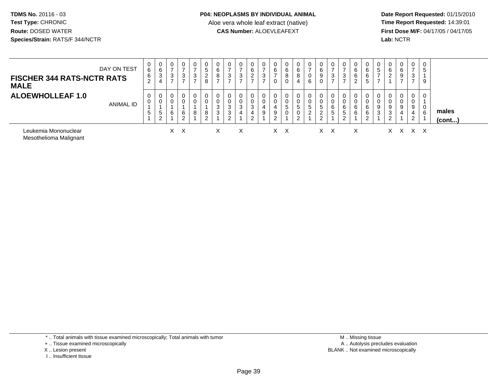**Date Report Requested:** 01/15/2010 **First Dose M/F:** 04/17/05 / 04/17/05<br>Lab: NCTR **Lab:** NCTR

| <b>FISCHER 344 RATS-NCTR RATS</b><br><b>MALE</b> | DAY ON TEST | 0<br>6<br>6<br>$\overline{2}$ | 0<br>6<br>3<br>4        | 0<br>$\rightarrow$<br>3<br>$\rightarrow$ | 0<br>$\overline{ }$<br>3<br>$\overline{ }$ | 0<br>⇁<br>3<br>⇁ | 5<br>2<br>8 | 6<br>8<br>$\rightarrow$ | 3<br>–           | 0<br>$\rightarrow$<br>3<br>$\rightarrow$ | 0<br>6<br>$\overline{2}$<br>$\overline{ }$ | 0<br>3           | 0<br>6<br>0           | 0<br>6<br>8<br>$\mathbf 0$          | 0<br>6<br>8                | -<br>6                  | 0<br>6<br>9<br>$\mathbf 0$                        | 0<br>$\overline{ }$<br>3<br>$\overline{ }$ | 0<br>$\overline{ }$<br>3<br>$\overline{ }$ | 6<br>6<br>$\sim$ | 6<br>6<br>5       | <sub>5</sub><br>$\rightarrow$ | 6<br>2           | 0<br>6<br>9<br>$\rightarrow$ | $\mathbf 0$<br>$\overline{ }$<br>3<br>$\overline{ }$ | $\overline{0}$<br>5<br>9 |                 |
|--------------------------------------------------|-------------|-------------------------------|-------------------------|------------------------------------------|--------------------------------------------|------------------|-------------|-------------------------|------------------|------------------------------------------|--------------------------------------------|------------------|-----------------------|-------------------------------------|----------------------------|-------------------------|---------------------------------------------------|--------------------------------------------|--------------------------------------------|------------------|-------------------|-------------------------------|------------------|------------------------------|------------------------------------------------------|--------------------------|-----------------|
| <b>ALOEWHOLLEAF 1.0</b>                          | ANIMAL ID   | 0<br>0<br>5                   | 0<br>0<br>5<br>$\Omega$ | 0<br>0<br>6                              | 0<br>0<br>6<br>2                           | 0<br>0<br>8      | 8<br>ົ      | n<br>$\sim$<br>J.<br>3  | 3<br>3<br>C<br>∠ | 0<br>0<br>3<br>4                         | 0<br>0<br>3<br>4<br>$\Omega$<br>∼          | 0<br>0<br>4<br>9 | 0<br>0<br>9<br>$\sim$ | 0<br>$5\phantom{.0}$<br>$\mathbf 0$ | 0<br>0<br>5<br>0<br>$\sim$ | 5<br>$\mathcal{L}$<br>ے | 0<br>0<br>5<br>$\Omega$<br>$\epsilon$<br>$\Omega$ | 0<br>0<br>6<br>5                           | 0<br>0<br>6<br>5<br>$\overline{2}$         | 6<br>6           | 6<br>6<br>ົດ<br>∼ | 9<br>3                        | 9<br>3<br>ົ<br>∼ | 0<br>0<br>9<br>4             | 0<br>0<br>9<br>4<br>2                                | 0<br>0<br>6              | males<br>(cont) |
| Leukemia Mononuclear<br>Mesothelioma Malignant   |             |                               |                         | X.                                       | $\times$                                   |                  |             | X                       |                  | X                                        |                                            |                  | X                     | $\times$                            |                            |                         | $X \times$                                        |                                            |                                            | X                |                   |                               | X.               |                              | x x x                                                |                          |                 |

\* .. Total animals with tissue examined microscopically; Total animals with tumor

- + .. Tissue examined microscopically
- X .. Lesion present
- I .. Insufficient tissue

 M .. Missing tissuey the contract of the contract of the contract of the contract of the contract of the contract of the contract of  $A$ . Autolysis precludes evaluation Lesion present BLANK .. Not examined microscopically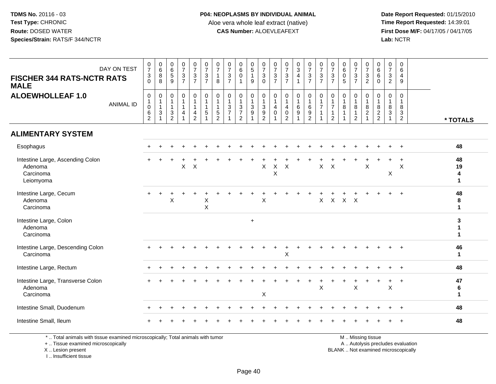**Date Report Requested:** 01/15/2010 **First Dose M/F:** 04/17/05 / 04/17/05<br>Lab: NCTR **Lab:** NCTR

| DAY ON TEST<br><b>FISCHER 344 RATS-NCTR RATS</b><br><b>MALE</b>                 | $\frac{0}{7}$<br>$_{0}^{3}$                                           | $\begin{matrix} 0 \\ 6 \\ 8 \end{matrix}$<br>$\overline{8}$                                  | $\begin{matrix} 0 \\ 6 \\ 5 \end{matrix}$<br>9                                       | $\frac{0}{7}$<br>$\frac{3}{7}$                                                  | $\frac{0}{7}$<br>$\frac{3}{7}$                                        | $\frac{0}{7}$<br>$\frac{3}{7}$                                              | $\frac{0}{7}$<br>$\mathbf{1}$<br>8                                           | $\frac{0}{7}$<br>$\frac{3}{7}$                                   | $\begin{smallmatrix}0\0\0\0\end{smallmatrix}$<br>$\mathbf{1}$                 | $\begin{array}{c} 0 \\ 5 \\ 1 \end{array}$<br>9 | $\begin{array}{c} 0 \\ 7 \\ 3 \\ 0 \end{array}$ | $\frac{0}{7}$<br>$\frac{3}{7}$                                  | $\frac{0}{7}$<br>$\frac{3}{7}$                               | $\begin{array}{c} 0 \\ 3 \\ 4 \end{array}$<br>$\overline{1}$ | $\frac{0}{7}$<br>$\frac{3}{7}$                                     | $\frac{0}{7}$<br>$\frac{3}{7}$                                    | $\frac{0}{7}$<br>$\frac{3}{7}$                                        |                                                                   | $\frac{0}{7}$<br>$\frac{3}{7}$                                           | $\frac{0}{7}$<br>$\frac{3}{2}$                               | $\begin{array}{c} 0 \\ 6 \end{array}$<br>6<br>$\mathbf 0$ | $\frac{0}{7}$<br>3<br>$\overline{2}$  | $\mathbf 0$<br>$6\phantom{1}$<br>$\overline{4}$<br>9            |                                |
|---------------------------------------------------------------------------------|-----------------------------------------------------------------------|----------------------------------------------------------------------------------------------|--------------------------------------------------------------------------------------|---------------------------------------------------------------------------------|-----------------------------------------------------------------------|-----------------------------------------------------------------------------|------------------------------------------------------------------------------|------------------------------------------------------------------|-------------------------------------------------------------------------------|-------------------------------------------------|-------------------------------------------------|-----------------------------------------------------------------|--------------------------------------------------------------|--------------------------------------------------------------|--------------------------------------------------------------------|-------------------------------------------------------------------|-----------------------------------------------------------------------|-------------------------------------------------------------------|--------------------------------------------------------------------------|--------------------------------------------------------------|-----------------------------------------------------------|---------------------------------------|-----------------------------------------------------------------|--------------------------------|
| <b>ALOEWHOLLEAF 1.0</b><br><b>ANIMAL ID</b>                                     | $\mathbf 0$<br>$\mathbf{1}$<br>$\mathbf 0$<br>$\,6$<br>$\overline{c}$ | $\mathbf 0$<br>$\mathbf{1}$<br>$\overline{1}$<br>$\ensuremath{\mathsf{3}}$<br>$\overline{1}$ | 0<br>$\overline{1}$<br>$\overline{1}$<br>$\ensuremath{\mathsf{3}}$<br>$\overline{2}$ | $\mathbf 0$<br>$\mathbf{1}$<br>$\mathbf{1}$<br>$\overline{4}$<br>$\overline{1}$ | 0<br>$\mathbf{1}$<br>$\mathbf{1}$<br>$\overline{4}$<br>$\overline{2}$ | $\mathbf 0$<br>$\mathbf{1}$<br>$\mathbf{1}$<br>$\sqrt{5}$<br>$\overline{1}$ | $\mathbf 0$<br>$\mathbf{1}$<br>$\mathbf{1}$<br>$\,$ 5 $\,$<br>$\overline{2}$ | $\pmb{0}$<br>$\frac{1}{3}$<br>$\boldsymbol{7}$<br>$\overline{1}$ | $\pmb{0}$<br>$\mathbf{1}$<br>$\sqrt{3}$<br>$\boldsymbol{7}$<br>$\overline{2}$ | 0<br>$\mathbf{1}$<br>3<br>$\boldsymbol{9}$<br>1 | $\,0\,$<br>$\frac{1}{3}$<br>$\frac{9}{2}$       | 0<br>$\mathbf{1}$<br>$\overline{4}$<br>$\mathsf{O}\xspace$<br>1 | $\mathbf 0$<br>$\overline{4}$<br>$\pmb{0}$<br>$\overline{2}$ | $\pmb{0}$<br>$\mathbf{1}$<br>$\,6\,$<br>$\boldsymbol{9}$     | 0<br>$\mathbf{1}$<br>$\,6\,$<br>$\boldsymbol{9}$<br>$\overline{2}$ | $\mathbf 0$<br>$\mathbf 1$<br>$\overline{7}$<br>$\mathbf{1}$<br>1 | 0<br>$\mathbf{1}$<br>$\overline{7}$<br>$\mathbf{1}$<br>$\overline{2}$ | 0<br>$\mathbf{1}$<br>8<br>$\mathbf{1}$<br>$\overline{\mathbf{1}}$ | $\mathbf 0$<br>$\mathbf{1}$<br>$\,8\,$<br>$\mathbf{1}$<br>$\overline{2}$ | 0<br>$\mathbf{1}$<br>$\,8\,$<br>$\sqrt{2}$<br>$\overline{1}$ | $\mathbf 0$<br>$\overline{1}$<br>8<br>$\frac{2}{2}$       | $\mathbf 0$<br>$\mathbf{1}$<br>8<br>3 | $\Omega$<br>$\mathbf{1}$<br>8<br>$\mathbf{3}$<br>$\overline{2}$ | * TOTALS                       |
| <b>ALIMENTARY SYSTEM</b>                                                        |                                                                       |                                                                                              |                                                                                      |                                                                                 |                                                                       |                                                                             |                                                                              |                                                                  |                                                                               |                                                 |                                                 |                                                                 |                                                              |                                                              |                                                                    |                                                                   |                                                                       |                                                                   |                                                                          |                                                              |                                                           |                                       |                                                                 |                                |
| Esophagus                                                                       |                                                                       |                                                                                              |                                                                                      |                                                                                 |                                                                       |                                                                             |                                                                              |                                                                  |                                                                               |                                                 |                                                 |                                                                 |                                                              |                                                              |                                                                    |                                                                   |                                                                       |                                                                   |                                                                          |                                                              |                                                           |                                       |                                                                 | 48                             |
| Intestine Large, Ascending Colon<br>Adenoma<br>Carcinoma<br>Leiomyoma           |                                                                       |                                                                                              |                                                                                      | X                                                                               | $\boldsymbol{\mathsf{X}}$                                             |                                                                             |                                                                              |                                                                  |                                                                               |                                                 | X                                               | $\sf X$<br>$\sf X$                                              | $\sf X$                                                      |                                                              |                                                                    | $\mathsf{X}$                                                      | $\boldsymbol{\mathsf{X}}$                                             |                                                                   |                                                                          | $\sf X$                                                      |                                                           | Χ                                     | X                                                               | 48<br>19<br>4<br>1             |
| Intestine Large, Cecum<br>Adenoma<br>Carcinoma                                  |                                                                       |                                                                                              | $\sf X$                                                                              |                                                                                 |                                                                       | $\boldsymbol{\mathsf{X}}$<br>X                                              |                                                                              |                                                                  |                                                                               |                                                 | X                                               |                                                                 |                                                              |                                                              |                                                                    | $\mathsf X$                                                       | $\mathsf X$                                                           | $X$ $X$                                                           |                                                                          |                                                              |                                                           |                                       | $\ddot{}$                                                       | 48<br>8<br>$\mathbf 1$         |
| Intestine Large, Colon<br>Adenoma<br>Carcinoma                                  |                                                                       |                                                                                              |                                                                                      |                                                                                 |                                                                       |                                                                             |                                                                              |                                                                  |                                                                               | $\ddot{}$                                       |                                                 |                                                                 |                                                              |                                                              |                                                                    |                                                                   |                                                                       |                                                                   |                                                                          |                                                              |                                                           |                                       |                                                                 | 3<br>1<br>$\blacktriangleleft$ |
| Intestine Large, Descending Colon<br>Carcinoma                                  |                                                                       |                                                                                              |                                                                                      |                                                                                 |                                                                       |                                                                             |                                                                              |                                                                  |                                                                               |                                                 |                                                 |                                                                 | X                                                            |                                                              |                                                                    |                                                                   |                                                                       |                                                                   |                                                                          |                                                              |                                                           |                                       |                                                                 | 46<br>$\mathbf 1$              |
| Intestine Large, Rectum                                                         |                                                                       |                                                                                              |                                                                                      |                                                                                 |                                                                       |                                                                             |                                                                              |                                                                  |                                                                               |                                                 |                                                 |                                                                 |                                                              |                                                              |                                                                    |                                                                   |                                                                       |                                                                   |                                                                          |                                                              |                                                           |                                       |                                                                 | 48                             |
| Intestine Large, Transverse Colon<br>Adenoma<br>Carcinoma                       |                                                                       |                                                                                              |                                                                                      |                                                                                 |                                                                       |                                                                             |                                                                              |                                                                  |                                                                               |                                                 | X                                               |                                                                 |                                                              |                                                              |                                                                    | X                                                                 |                                                                       |                                                                   | $\sf X$                                                                  |                                                              |                                                           | X                                     | $\ddot{}$                                                       | 47<br>6<br>$\mathbf 1$         |
| Intestine Small, Duodenum                                                       |                                                                       |                                                                                              |                                                                                      |                                                                                 |                                                                       |                                                                             |                                                                              |                                                                  |                                                                               |                                                 |                                                 |                                                                 |                                                              |                                                              |                                                                    |                                                                   |                                                                       |                                                                   |                                                                          |                                                              |                                                           |                                       |                                                                 | 48                             |
| Intestine Small, Ileum                                                          |                                                                       |                                                                                              |                                                                                      |                                                                                 |                                                                       |                                                                             |                                                                              |                                                                  |                                                                               |                                                 |                                                 |                                                                 |                                                              |                                                              |                                                                    |                                                                   |                                                                       |                                                                   |                                                                          |                                                              |                                                           |                                       |                                                                 | 48                             |
| *  Total animals with tissue examined microscopically; Total animals with tumor |                                                                       |                                                                                              |                                                                                      |                                                                                 |                                                                       |                                                                             |                                                                              |                                                                  |                                                                               |                                                 |                                                 |                                                                 |                                                              |                                                              |                                                                    |                                                                   |                                                                       |                                                                   |                                                                          | M  Missing tissue                                            |                                                           |                                       |                                                                 |                                |

+ .. Tissue examined microscopically

X .. Lesion present

I .. Insufficient tissue

y the contract of the contract of the contract of the contract of the contract of the contract of the contract of  $A$ . Autolysis precludes evaluation

Lesion present BLANK .. Not examined microscopically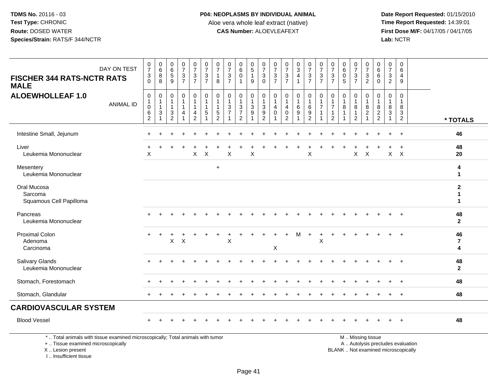**Date Report Requested:** 01/15/2010 **First Dose M/F:** 04/17/05 / 04/17/05<br>Lab: NCTR **Lab:** NCTR

| DAY ON TEST<br><b>FISCHER 344 RATS-NCTR RATS</b><br><b>MALE</b>                                                                            | $\frac{0}{7}$<br>$\mathbf{3}$<br>$\Omega$               | $\begin{matrix} 0 \\ 6 \end{matrix}$<br>8<br>8 | $\begin{array}{c} 0 \\ 6 \end{array}$<br>$\overline{5}$<br>9                    | $\frac{0}{7}$<br>$\frac{3}{7}$              | $\frac{0}{7}$<br>$\mathbf{3}$<br>$\overline{7}$                      | $\frac{0}{7}$<br>$\sqrt{3}$<br>$\overline{7}$                                   | 0<br>$\overline{7}$<br>$\mathbf{1}$<br>8              | 0<br>$\overline{7}$<br>$\ensuremath{\mathsf{3}}$<br>$\overline{7}$ | $\begin{array}{c} 0 \\ 6 \end{array}$<br>$\mathbf 0$ | $\begin{array}{c} 0 \\ 5 \end{array}$<br>$\mathbf{1}$<br>9    | $\frac{0}{7}$<br>$\sqrt{3}$<br>$\Omega$                            | $\frac{0}{7}$<br>3<br>$\overline{7}$ | $\frac{0}{7}$<br>$\frac{3}{7}$                                    | $\begin{array}{c} 0 \\ 3 \\ 4 \end{array}$<br>$\mathbf{1}$ | $\frac{0}{7}$<br>$\mathbf{3}$<br>$\overline{7}$ | $\frac{0}{7}$<br>$\frac{3}{7}$                                                    | $\frac{0}{7}$<br>$\sqrt{3}$<br>$\overline{7}$                      | 0<br>6<br>$\mathbf 0$<br>5             | $\frac{0}{7}$<br>$\sqrt{3}$<br>$\overline{7}$ | $\frac{0}{7}$<br>$\ensuremath{\mathsf{3}}$<br>$\overline{2}$               | 0<br>$6\overline{6}$<br>6<br>$\Omega$                        | 0<br>$\overline{7}$<br>3<br>$\overline{2}$                               | $\mathbf 0$<br>6<br>$\overline{4}$<br>9                           |                                    |
|--------------------------------------------------------------------------------------------------------------------------------------------|---------------------------------------------------------|------------------------------------------------|---------------------------------------------------------------------------------|---------------------------------------------|----------------------------------------------------------------------|---------------------------------------------------------------------------------|-------------------------------------------------------|--------------------------------------------------------------------|------------------------------------------------------|---------------------------------------------------------------|--------------------------------------------------------------------|--------------------------------------|-------------------------------------------------------------------|------------------------------------------------------------|-------------------------------------------------|-----------------------------------------------------------------------------------|--------------------------------------------------------------------|----------------------------------------|-----------------------------------------------|----------------------------------------------------------------------------|--------------------------------------------------------------|--------------------------------------------------------------------------|-------------------------------------------------------------------|------------------------------------|
| <b>ALOEWHOLLEAF 1.0</b><br><b>ANIMAL ID</b>                                                                                                | $\mathbf 0$<br>$\mathbf{1}$<br>0<br>6<br>$\overline{2}$ | 0<br>$\mathbf{1}$<br>$\mathbf{1}$<br>3<br>1    | $\mathbf 0$<br>$\mathbf{1}$<br>$\overline{1}$<br>$\mathbf{3}$<br>$\overline{c}$ | $\pmb{0}$<br>$\mathbf{1}$<br>$\overline{4}$ | $\mathbf 0$<br>$\overline{1}$<br>$\mathbf{1}$<br>4<br>$\overline{2}$ | $\mathbf 0$<br>$\overline{1}$<br>$\overline{1}$<br>$\sqrt{5}$<br>$\overline{1}$ | $\mathbf 0$<br>1<br>1<br>$\sqrt{5}$<br>$\overline{2}$ | $\mathbf 0$<br>$\overline{1}$<br>3<br>$\overline{7}$               | $\mathbf 0$<br>$\frac{3}{7}$<br>2                    | $\mathbf 0$<br>$\mathbf{1}$<br>$\ensuremath{\mathsf{3}}$<br>9 | $\mathbf 0$<br>$\mathbf{1}$<br>$\mathbf{3}$<br>9<br>$\overline{2}$ | 0<br>4<br>$\mathbf 0$                | $\mathbf 0$<br>$\mathbf{1}$<br>4<br>$\mathbf 0$<br>$\overline{2}$ | 0<br>$\mathbf{1}$<br>6<br>9                                | 0<br>6<br>9<br>$\overline{2}$                   | $\pmb{0}$<br>$\overline{1}$<br>$\overline{7}$<br>$\overline{1}$<br>$\overline{1}$ | $\mathbf 0$<br>$\mathbf{1}$<br>7<br>$\mathbf{1}$<br>$\overline{2}$ | $\mathbf 0$<br>$\mathbf{1}$<br>8<br>-1 | $\mathbf 0$<br>1.<br>8<br>$\mathbf{1}$<br>2   | $\mathbf 0$<br>$\mathbf{1}$<br>$\bf 8$<br>$\overline{c}$<br>$\overline{1}$ | 0<br>$\mathbf{1}$<br>8<br>$\boldsymbol{2}$<br>$\overline{2}$ | $\mathbf 0$<br>$\mathbf 1$<br>8<br>$\mathbf{3}$<br>1                     | $\Omega$<br>$\overline{1}$<br>8<br>$\mathbf{3}$<br>$\overline{2}$ | * TOTALS                           |
| Intestine Small, Jejunum                                                                                                                   |                                                         |                                                |                                                                                 |                                             |                                                                      |                                                                                 |                                                       |                                                                    |                                                      |                                                               |                                                                    |                                      |                                                                   |                                                            |                                                 |                                                                                   |                                                                    |                                        |                                               |                                                                            |                                                              |                                                                          | $\div$                                                            | 46                                 |
| Liver<br>Leukemia Mononuclear                                                                                                              | X                                                       |                                                |                                                                                 |                                             | $\mathsf{X}$                                                         | $\times$                                                                        |                                                       | X                                                                  |                                                      | X                                                             |                                                                    |                                      |                                                                   |                                                            | X                                               |                                                                                   |                                                                    |                                        | X                                             | $\boldsymbol{\mathsf{X}}$                                                  |                                                              | $\mathsf{X}$                                                             | $\boldsymbol{\mathsf{X}}$                                         | 48<br>20                           |
| Mesentery<br>Leukemia Mononuclear                                                                                                          |                                                         |                                                |                                                                                 |                                             |                                                                      |                                                                                 | $\ddot{}$                                             |                                                                    |                                                      |                                                               |                                                                    |                                      |                                                                   |                                                            |                                                 |                                                                                   |                                                                    |                                        |                                               |                                                                            |                                                              |                                                                          |                                                                   | 4<br>1                             |
| Oral Mucosa<br>Sarcoma<br>Squamous Cell Papilloma                                                                                          |                                                         |                                                |                                                                                 |                                             |                                                                      |                                                                                 |                                                       |                                                                    |                                                      |                                                               |                                                                    |                                      |                                                                   |                                                            |                                                 |                                                                                   |                                                                    |                                        |                                               |                                                                            |                                                              |                                                                          |                                                                   | $\overline{2}$<br>1<br>1           |
| Pancreas<br>Leukemia Mononuclear                                                                                                           |                                                         |                                                |                                                                                 |                                             |                                                                      |                                                                                 |                                                       |                                                                    |                                                      |                                                               |                                                                    |                                      |                                                                   |                                                            |                                                 |                                                                                   |                                                                    |                                        |                                               |                                                                            |                                                              |                                                                          |                                                                   | 48<br>$\mathbf{2}$                 |
| <b>Proximal Colon</b><br>Adenoma<br>Carcinoma                                                                                              |                                                         |                                                | $\mathsf{X}$                                                                    | $\mathsf{X}$                                |                                                                      |                                                                                 |                                                       | X                                                                  |                                                      |                                                               |                                                                    | X                                    |                                                                   |                                                            |                                                 | X                                                                                 |                                                                    |                                        |                                               |                                                                            |                                                              |                                                                          |                                                                   | 46<br>$\overline{\mathbf{r}}$<br>4 |
| Salivary Glands<br>Leukemia Mononuclear                                                                                                    |                                                         |                                                |                                                                                 |                                             |                                                                      |                                                                                 |                                                       |                                                                    |                                                      |                                                               |                                                                    |                                      |                                                                   |                                                            |                                                 |                                                                                   |                                                                    |                                        |                                               |                                                                            |                                                              |                                                                          |                                                                   | 48<br>$\mathbf{2}$                 |
| Stomach, Forestomach                                                                                                                       |                                                         |                                                |                                                                                 |                                             |                                                                      |                                                                                 |                                                       |                                                                    |                                                      |                                                               |                                                                    |                                      |                                                                   |                                                            |                                                 |                                                                                   |                                                                    |                                        |                                               |                                                                            |                                                              |                                                                          |                                                                   | 48                                 |
| Stomach, Glandular                                                                                                                         |                                                         |                                                |                                                                                 |                                             |                                                                      |                                                                                 |                                                       |                                                                    |                                                      |                                                               |                                                                    |                                      |                                                                   |                                                            |                                                 |                                                                                   |                                                                    |                                        |                                               |                                                                            |                                                              |                                                                          |                                                                   | 48                                 |
| <b>CARDIOVASCULAR SYSTEM</b>                                                                                                               |                                                         |                                                |                                                                                 |                                             |                                                                      |                                                                                 |                                                       |                                                                    |                                                      |                                                               |                                                                    |                                      |                                                                   |                                                            |                                                 |                                                                                   |                                                                    |                                        |                                               |                                                                            |                                                              |                                                                          |                                                                   |                                    |
| <b>Blood Vessel</b>                                                                                                                        |                                                         |                                                |                                                                                 |                                             |                                                                      |                                                                                 |                                                       |                                                                    |                                                      |                                                               |                                                                    |                                      |                                                                   |                                                            |                                                 |                                                                                   |                                                                    |                                        |                                               |                                                                            |                                                              |                                                                          |                                                                   | 48                                 |
| *  Total animals with tissue examined microscopically; Total animals with tumor<br>+  Tissue examined microscopically<br>X  Lesion present |                                                         |                                                |                                                                                 |                                             |                                                                      |                                                                                 |                                                       |                                                                    |                                                      |                                                               |                                                                    |                                      |                                                                   |                                                            |                                                 |                                                                                   |                                                                    |                                        |                                               | M  Missing tissue                                                          |                                                              | A  Autolysis precludes evaluation<br>BLANK  Not examined microscopically |                                                                   |                                    |

I .. Insufficient tissue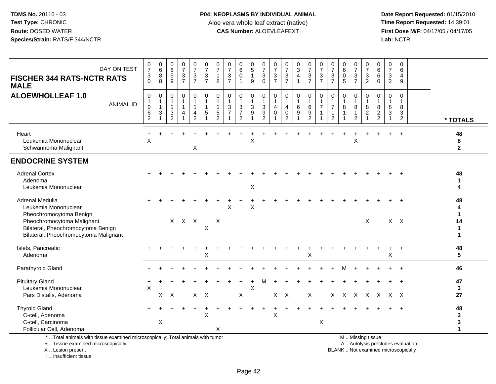**Date Report Requested:** 01/15/2010 **First Dose M/F:** 04/17/05 / 04/17/05<br>Lab: NCTR **Lab:** NCTR

| DAY ON TEST<br><b>FISCHER 344 RATS-NCTR RATS</b><br><b>MALE</b>                                                                                                                 | $\frac{0}{7}$<br>$\sqrt{3}$<br>$\Omega$              | $\begin{matrix} 0 \\ 6 \end{matrix}$<br>8<br>8         | $_{6}^{\rm 0}$<br>$\sqrt{5}$<br>9                                           | $\frac{0}{7}$<br>$\frac{3}{7}$ | $\frac{0}{7}$<br>$\ensuremath{\mathsf{3}}$<br>$\overline{7}$ | $\frac{0}{7}$<br>$\mathbf{3}$<br>$\overline{7}$                                   | 0<br>$\overline{7}$<br>$\overline{1}$<br>8                                     | $\frac{0}{7}$<br>$\mathbf{3}$<br>$\overline{7}$                             | $\begin{matrix} 0 \\ 6 \\ 0 \end{matrix}$<br>$\mathbf 1$   | $^{\rm 0}_{\rm 5}$<br>$\mathbf{1}$<br>9             | $\frac{0}{7}$<br>$\sqrt{3}$<br>$\mathbf 0$                                        | $\frac{0}{7}$<br>$\sqrt{3}$<br>$\overline{7}$ | $\frac{0}{7}$<br>$\sqrt{3}$<br>$\overline{7}$                     | $\frac{0}{3}$<br>$\overline{\mathbf{4}}$<br>$\mathbf{1}$ | $\frac{0}{7}$<br>$\frac{3}{7}$                                | $\frac{0}{7}$<br>$\mathsf 3$<br>$\overline{7}$                | $\frac{0}{7}$<br>$\sqrt{3}$<br>$\overline{7}$                           | 0<br>$\,6$<br>$\mathbf 0$<br>5      | $\frac{0}{7}$<br>3<br>$\overline{7}$                            | $\frac{0}{7}$<br>$\ensuremath{\mathsf{3}}$<br>$\overline{2}$       | 0<br>$6\overline{6}$<br>$\,6\,$<br>$\mathbf 0$       | 0<br>$\overline{7}$<br>$\mathbf{3}$<br>$\sqrt{2}$ | $\mathbf 0$<br>6<br>$\overline{4}$<br>9   |                                        |
|---------------------------------------------------------------------------------------------------------------------------------------------------------------------------------|------------------------------------------------------|--------------------------------------------------------|-----------------------------------------------------------------------------|--------------------------------|--------------------------------------------------------------|-----------------------------------------------------------------------------------|--------------------------------------------------------------------------------|-----------------------------------------------------------------------------|------------------------------------------------------------|-----------------------------------------------------|-----------------------------------------------------------------------------------|-----------------------------------------------|-------------------------------------------------------------------|----------------------------------------------------------|---------------------------------------------------------------|---------------------------------------------------------------|-------------------------------------------------------------------------|-------------------------------------|-----------------------------------------------------------------|--------------------------------------------------------------------|------------------------------------------------------|---------------------------------------------------|-------------------------------------------|----------------------------------------|
| <b>ALOEWHOLLEAF 1.0</b><br><b>ANIMAL ID</b>                                                                                                                                     | $\mathbf 0$<br>$\mathbf{1}$<br>$\mathbf 0$<br>6<br>2 | 0<br>$\mathbf{1}$<br>$\mathbf{1}$<br>3<br>$\mathbf{1}$ | $\mathbf 0$<br>$\mathbf{1}$<br>$\mathbf{1}$<br>$\sqrt{3}$<br>$\overline{2}$ | 0<br>$\mathbf{1}$<br>1<br>4    | 0<br>1<br>4<br>$\overline{2}$                                | $\mathbf 0$<br>$\overline{1}$<br>$\mathbf{1}$<br>$\overline{5}$<br>$\overline{1}$ | $\mathbf 0$<br>$\overline{1}$<br>$\mathbf{1}$<br>$\,$ 5 $\,$<br>$\overline{2}$ | $\mathbf 0$<br>$\mathbf{1}$<br>$\sqrt{3}$<br>$\overline{7}$<br>$\mathbf{1}$ | 0<br>$\mathbf{1}$<br>3<br>$\overline{7}$<br>$\overline{2}$ | 0<br>$\mathbf{1}$<br>$\ensuremath{\mathsf{3}}$<br>9 | $\mathbf 0$<br>$\overline{1}$<br>$\sqrt{3}$<br>$\boldsymbol{9}$<br>$\overline{2}$ | 0<br>$\mathbf{1}$<br>4<br>$\mathbf 0$<br>1    | $\mathbf 0$<br>$\mathbf{1}$<br>4<br>$\mathbf 0$<br>$\overline{2}$ | 0<br>$\mathbf{1}$<br>6<br>9                              | $\mathbf 0$<br>$\mathbf{1}$<br>$\,6\,$<br>9<br>$\overline{2}$ | $\mathbf 0$<br>$\mathbf{1}$<br>$\overline{7}$<br>$\mathbf{1}$ | 0<br>$\overline{1}$<br>$\overline{7}$<br>$\mathbf{1}$<br>$\overline{2}$ | $\Omega$<br>$\mathbf{1}$<br>8<br>-1 | $\Omega$<br>$\mathbf{1}$<br>8<br>$\mathbf{1}$<br>$\overline{2}$ | $\mathbf 0$<br>$\mathbf{1}$<br>8<br>$\overline{c}$<br>$\mathbf{1}$ | $\Omega$<br>$\mathbf{1}$<br>8<br>$\overline{c}$<br>2 | 0<br>$\overline{1}$<br>8<br>3                     | $\Omega$<br>$\overline{1}$<br>8<br>3<br>2 | * TOTALS                               |
| Heart<br>Leukemia Mononuclear<br>Schwannoma Malignant                                                                                                                           | $\boldsymbol{\mathsf{X}}$                            |                                                        |                                                                             |                                | X                                                            |                                                                                   |                                                                                |                                                                             |                                                            | X                                                   |                                                                                   |                                               |                                                                   |                                                          |                                                               |                                                               |                                                                         |                                     | $\sf X$                                                         |                                                                    |                                                      |                                                   | $\ddot{}$                                 | 48<br>8<br>$\mathbf{2}$                |
| <b>ENDOCRINE SYSTEM</b>                                                                                                                                                         |                                                      |                                                        |                                                                             |                                |                                                              |                                                                                   |                                                                                |                                                                             |                                                            |                                                     |                                                                                   |                                               |                                                                   |                                                          |                                                               |                                                               |                                                                         |                                     |                                                                 |                                                                    |                                                      |                                                   |                                           |                                        |
| <b>Adrenal Cortex</b><br>Adenoma<br>Leukemia Mononuclear                                                                                                                        |                                                      |                                                        |                                                                             |                                |                                                              |                                                                                   |                                                                                |                                                                             |                                                            | X                                                   |                                                                                   |                                               |                                                                   |                                                          |                                                               |                                                               |                                                                         |                                     |                                                                 |                                                                    |                                                      |                                                   |                                           | 48<br>$\mathbf 1$<br>4                 |
| Adrenal Medulla<br>Leukemia Mononuclear<br>Pheochromocytoma Benign<br>Pheochromocytoma Malignant<br>Bilateral, Pheochromocytoma Benign<br>Bilateral, Pheochromocytoma Malignant |                                                      |                                                        |                                                                             | X X X                          |                                                              | X                                                                                 | $\boldsymbol{\mathsf{X}}$                                                      | Χ                                                                           |                                                            | X                                                   |                                                                                   |                                               |                                                                   |                                                          |                                                               |                                                               |                                                                         |                                     |                                                                 | X                                                                  |                                                      | $X$ $X$                                           |                                           | 48<br>4<br>1<br>14<br>$\mathbf 1$<br>1 |
| Islets, Pancreatic<br>Adenoma                                                                                                                                                   |                                                      |                                                        |                                                                             |                                |                                                              | X                                                                                 |                                                                                |                                                                             |                                                            |                                                     |                                                                                   |                                               |                                                                   |                                                          | X                                                             |                                                               |                                                                         |                                     |                                                                 |                                                                    |                                                      | $\mathsf X$                                       |                                           | 48<br>5                                |
| Parathyroid Gland                                                                                                                                                               |                                                      |                                                        |                                                                             |                                |                                                              |                                                                                   |                                                                                |                                                                             |                                                            |                                                     |                                                                                   |                                               |                                                                   |                                                          |                                                               |                                                               |                                                                         | м                                   |                                                                 |                                                                    |                                                      |                                                   | $\ddot{}$                                 | 46                                     |
| <b>Pituitary Gland</b><br>Leukemia Mononuclear<br>Pars Distalis, Adenoma                                                                                                        | +<br>$\times$                                        | X                                                      | $\mathsf{X}$                                                                |                                |                                                              | $X$ $X$                                                                           |                                                                                |                                                                             | $\pmb{\times}$                                             | X                                                   | м                                                                                 |                                               | $X$ $X$                                                           |                                                          | X                                                             |                                                               |                                                                         | X X X                               |                                                                 | $\mathsf{X}$                                                       | $\mathsf{X}$                                         | x x                                               |                                           | 47<br>3<br>27                          |
| <b>Thyroid Gland</b><br>C-cell, Adenoma<br>C-cell, Carcinoma                                                                                                                    |                                                      | $\pmb{\times}$                                         |                                                                             |                                |                                                              | $\times$                                                                          |                                                                                |                                                                             |                                                            |                                                     |                                                                                   | $\pmb{\times}$                                |                                                                   |                                                          |                                                               | X                                                             |                                                                         |                                     |                                                                 |                                                                    |                                                      |                                                   |                                           | 48<br>$\mathbf 3$<br>3                 |
| Follicular Cell, Adenoma                                                                                                                                                        |                                                      |                                                        |                                                                             |                                |                                                              |                                                                                   | X                                                                              |                                                                             |                                                            |                                                     |                                                                                   |                                               |                                                                   |                                                          |                                                               |                                                               |                                                                         |                                     |                                                                 |                                                                    |                                                      |                                                   |                                           | $\mathbf{1}$                           |
| *  Total animals with tissue examined microscopically; Total animals with tumor                                                                                                 |                                                      |                                                        |                                                                             |                                |                                                              |                                                                                   |                                                                                |                                                                             |                                                            |                                                     |                                                                                   |                                               |                                                                   |                                                          |                                                               |                                                               |                                                                         |                                     |                                                                 | M  Missing tissue                                                  |                                                      |                                                   |                                           |                                        |

+ .. Tissue examined microscopically

X .. Lesion present

I .. Insufficient tissue

y the contract of the contract of the contract of the contract of the contract of the contract of the contract of  $A$ . Autolysis precludes evaluation

Lesion present BLANK .. Not examined microscopically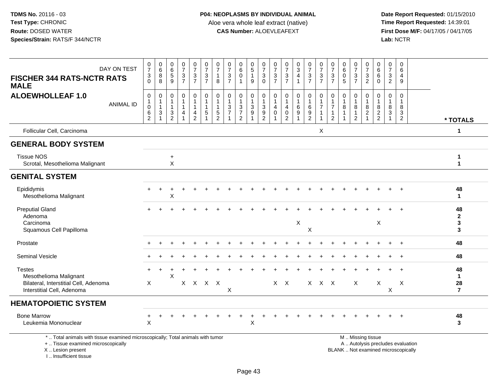**Date Report Requested:** 01/15/2010 **First Dose M/F:** 04/17/05 / 04/17/05<br>Lab: NCTR **Lab:** NCTR

| DAY ON TEST<br><b>FISCHER 344 RATS-NCTR RATS</b><br><b>MALE</b>                                                                            | $\frac{0}{7}$<br>$\ensuremath{\mathsf{3}}$<br>$\Omega$                   | $\begin{array}{c} 0 \\ 6 \end{array}$<br>$_{8}^8$ | $\pmb{0}$<br>$6\phantom{a}$<br>$\,$ 5 $\,$<br>9 | $\frac{0}{7}$<br>$\frac{3}{7}$                     | $\frac{0}{7}$<br>$\mathbf{3}$<br>$\overline{7}$ | $\frac{0}{7}$<br>$\mathbf{3}$<br>$\overline{7}$                  | 0<br>$\overline{7}$<br>$\overline{1}$<br>8                    | $\frac{0}{7}$<br>$\mathbf{3}$<br>$\overline{7}$             | 0<br>6<br>$\mathbf 0$                               | 0<br>$\overline{5}$<br>$\mathbf{1}$<br>$\mathsf g$          | 0<br>$\overline{7}$<br>$\sqrt{3}$<br>$\Omega$                         | $\frac{0}{7}$<br>$\ensuremath{\mathsf{3}}$<br>$\overline{7}$ | $\frac{0}{7}$<br>$\frac{3}{7}$                            | 0<br>$\overline{3}$<br>$\overline{4}$ | $\frac{0}{7}$<br>$\frac{3}{7}$                        | 0<br>$\overline{7}$<br>3<br>$\overline{7}$ | $\frac{0}{7}$<br>$\mathbf{3}$<br>$\overline{7}$                                 | 0<br>6<br>$\pmb{0}$<br>5 | $\frac{0}{7}$<br>$\frac{3}{7}$                                          | 0<br>$\overline{7}$<br>$\mathbf{3}$<br>$\overline{2}$ | 0<br>6<br>$\,6\,$<br>$\Omega$              | $\frac{0}{7}$<br>$\sqrt{3}$<br>$\overline{2}$ | 0<br>6<br>$\overline{4}$<br>9                                            |                                           |
|--------------------------------------------------------------------------------------------------------------------------------------------|--------------------------------------------------------------------------|---------------------------------------------------|-------------------------------------------------|----------------------------------------------------|-------------------------------------------------|------------------------------------------------------------------|---------------------------------------------------------------|-------------------------------------------------------------|-----------------------------------------------------|-------------------------------------------------------------|-----------------------------------------------------------------------|--------------------------------------------------------------|-----------------------------------------------------------|---------------------------------------|-------------------------------------------------------|--------------------------------------------|---------------------------------------------------------------------------------|--------------------------|-------------------------------------------------------------------------|-------------------------------------------------------|--------------------------------------------|-----------------------------------------------|--------------------------------------------------------------------------|-------------------------------------------|
| <b>ALOEWHOLLEAF 1.0</b><br><b>ANIMAL ID</b>                                                                                                | $\pmb{0}$<br>$\mathbf{1}$<br>$\boldsymbol{0}$<br>$\,6$<br>$\overline{2}$ | 0<br>1<br>1<br>3<br>1                             | 0<br>$\mathbf{1}$<br>$\mathbf{1}$<br>3<br>2     | $\mathbf 0$<br>1<br>$\mathbf{1}$<br>$\overline{4}$ | 0<br>$\mathbf{1}$<br>4<br>$\overline{2}$        | $\pmb{0}$<br>$\overline{1}$<br>$\overline{1}$<br>$\sqrt{5}$<br>1 | $\mathbf 0$<br>$\overline{1}$<br>$\sqrt{5}$<br>$\overline{2}$ | $\mathbf 0$<br>$\mathbf{1}$<br>$\sqrt{3}$<br>$\overline{7}$ | 0<br>$\sqrt{3}$<br>$\overline{7}$<br>$\overline{2}$ | $\pmb{0}$<br>$\mathbf{1}$<br>$\sqrt{3}$<br>$\boldsymbol{9}$ | 0<br>$\mathbf{1}$<br>$\sqrt{3}$<br>$\boldsymbol{9}$<br>$\overline{2}$ | 0<br>$\mathbf{1}$<br>$\overline{4}$<br>$\mathbf 0$           | 0<br>1<br>$\overline{4}$<br>$\mathsf 0$<br>$\overline{2}$ | 0<br>$\,6\,$<br>9                     | $\pmb{0}$<br>$\mathbf{1}$<br>$\,6\,$<br>$\frac{9}{2}$ | $\mathbf 0$<br>$\overline{7}$<br>-1        | $\mathbf 0$<br>$\mathbf{1}$<br>$\overline{7}$<br>$\mathbf{1}$<br>$\overline{2}$ | 0<br>8<br>1              | $\pmb{0}$<br>$\mathbf{1}$<br>$\bf{8}$<br>$\mathbf{1}$<br>$\overline{2}$ | 0<br>$\mathbf{1}$<br>8<br>$\overline{c}$              | 0<br>8<br>$\overline{c}$<br>$\overline{2}$ | 0<br>$\mathbf{1}$<br>8<br>$\mathbf{3}$        | $\mathbf 0$<br>1<br>8<br>3<br>$\overline{2}$                             | * TOTALS                                  |
| Follicular Cell, Carcinoma                                                                                                                 |                                                                          |                                                   |                                                 |                                                    |                                                 |                                                                  |                                                               |                                                             |                                                     |                                                             |                                                                       |                                                              |                                                           |                                       |                                                       | $\boldsymbol{\mathsf{X}}$                  |                                                                                 |                          |                                                                         |                                                       |                                            |                                               |                                                                          | $\mathbf{1}$                              |
| <b>GENERAL BODY SYSTEM</b>                                                                                                                 |                                                                          |                                                   |                                                 |                                                    |                                                 |                                                                  |                                                               |                                                             |                                                     |                                                             |                                                                       |                                                              |                                                           |                                       |                                                       |                                            |                                                                                 |                          |                                                                         |                                                       |                                            |                                               |                                                                          |                                           |
| <b>Tissue NOS</b><br>Scrotal, Mesothelioma Malignant                                                                                       |                                                                          |                                                   | $\ddot{}$<br>$\pmb{\times}$                     |                                                    |                                                 |                                                                  |                                                               |                                                             |                                                     |                                                             |                                                                       |                                                              |                                                           |                                       |                                                       |                                            |                                                                                 |                          |                                                                         |                                                       |                                            |                                               |                                                                          | 1<br>$\mathbf{1}$                         |
| <b>GENITAL SYSTEM</b>                                                                                                                      |                                                                          |                                                   |                                                 |                                                    |                                                 |                                                                  |                                                               |                                                             |                                                     |                                                             |                                                                       |                                                              |                                                           |                                       |                                                       |                                            |                                                                                 |                          |                                                                         |                                                       |                                            |                                               |                                                                          |                                           |
| Epididymis<br>Mesothelioma Malignant                                                                                                       |                                                                          |                                                   | X                                               |                                                    |                                                 |                                                                  |                                                               |                                                             |                                                     |                                                             |                                                                       |                                                              |                                                           |                                       |                                                       |                                            |                                                                                 |                          |                                                                         |                                                       |                                            |                                               |                                                                          | 48<br>$\mathbf 1$                         |
| <b>Preputial Gland</b><br>Adenoma<br>Carcinoma<br>Squamous Cell Papilloma                                                                  |                                                                          |                                                   |                                                 |                                                    |                                                 |                                                                  |                                                               |                                                             |                                                     |                                                             |                                                                       |                                                              |                                                           | X                                     | $\sf X$                                               |                                            |                                                                                 |                          |                                                                         |                                                       | X                                          |                                               | $\ddot{}$                                                                | 48<br>$\mathbf 2$<br>$\mathbf{3}$<br>3    |
| Prostate                                                                                                                                   |                                                                          |                                                   |                                                 |                                                    |                                                 |                                                                  |                                                               |                                                             |                                                     |                                                             |                                                                       |                                                              |                                                           |                                       |                                                       |                                            |                                                                                 |                          |                                                                         |                                                       |                                            |                                               |                                                                          | 48                                        |
| <b>Seminal Vesicle</b>                                                                                                                     |                                                                          |                                                   |                                                 |                                                    |                                                 |                                                                  |                                                               |                                                             |                                                     |                                                             |                                                                       |                                                              |                                                           |                                       |                                                       |                                            |                                                                                 |                          |                                                                         |                                                       |                                            |                                               | $\ddot{}$                                                                | 48                                        |
| <b>Testes</b><br>Mesothelioma Malignant<br>Bilateral, Interstitial Cell, Adenoma<br>Interstitial Cell, Adenoma                             | $\times$                                                                 |                                                   | X                                               |                                                    |                                                 | X X X X                                                          |                                                               | X                                                           |                                                     |                                                             |                                                                       |                                                              | $X$ $X$                                                   |                                       |                                                       | X X X                                      |                                                                                 |                          | $\sf X$                                                                 |                                                       | $\boldsymbol{X}$                           | X                                             | X                                                                        | 48<br>$\mathbf 1$<br>28<br>$\overline{7}$ |
| <b>HEMATOPOIETIC SYSTEM</b>                                                                                                                |                                                                          |                                                   |                                                 |                                                    |                                                 |                                                                  |                                                               |                                                             |                                                     |                                                             |                                                                       |                                                              |                                                           |                                       |                                                       |                                            |                                                                                 |                          |                                                                         |                                                       |                                            |                                               |                                                                          |                                           |
| <b>Bone Marrow</b><br>Leukemia Mononuclear                                                                                                 | $\mathsf{X}$                                                             |                                                   |                                                 |                                                    |                                                 |                                                                  |                                                               |                                                             |                                                     | X                                                           |                                                                       |                                                              |                                                           |                                       |                                                       |                                            |                                                                                 |                          |                                                                         |                                                       |                                            |                                               |                                                                          | 48<br>3                                   |
| *  Total animals with tissue examined microscopically; Total animals with tumor<br>+  Tissue examined microscopically<br>X  Lesion present |                                                                          |                                                   |                                                 |                                                    |                                                 |                                                                  |                                                               |                                                             |                                                     |                                                             |                                                                       |                                                              |                                                           |                                       |                                                       |                                            |                                                                                 |                          | M  Missing tissue                                                       |                                                       |                                            |                                               | A  Autolysis precludes evaluation<br>BLANK  Not examined microscopically |                                           |

I .. Insufficient tissue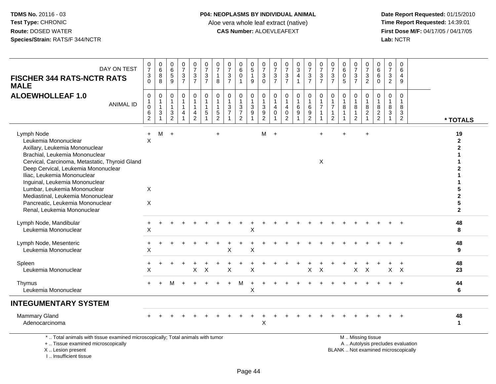**Date Report Requested:** 01/15/2010 **First Dose M/F:** 04/17/05 / 04/17/05<br>Lab: NCTR **Lab:** NCTR

| DAY ON TEST<br><b>FISCHER 344 RATS-NCTR RATS</b><br><b>MALE</b>                                                                                                                                                                                                                                                                                                                                          | $\frac{0}{7}$<br>$\frac{3}{0}$                                                  | $\begin{array}{c} 0 \\ 6 \end{array}$<br>$\bf 8$<br>8          | 0<br>6<br>5<br>9                                                 | $\frac{0}{7}$<br>$\frac{3}{7}$                                                  | $\frac{0}{7}$<br>$\frac{3}{7}$           | $\frac{0}{7}$<br>$\frac{3}{7}$                                 | $\frac{0}{7}$<br>$\mathbf{1}$<br>$\bf8$                            | $\frac{0}{7}$<br>$\sqrt{3}$<br>$\overline{7}$ | $\begin{matrix}0\\6\end{matrix}$<br>$\mathsf 0$<br>$\overline{\mathbf{1}}$    | $\begin{array}{c} 0 \\ 5 \end{array}$<br>$\mathbf{1}$<br>9 | $\frac{0}{7}$<br>$\mathbf{3}$<br>$\Omega$                                      | $\frac{0}{7}$<br>$\ensuremath{\mathsf{3}}$<br>$\overline{7}$ | $\frac{0}{7}$<br>$\frac{3}{7}$                                                 | $_3^0$<br>$\overline{4}$                         | $\frac{0}{7}$<br>$\frac{3}{7}$                                     | $\frac{0}{7}$<br>$\frac{3}{7}$                                                | $\frac{0}{7}$<br>$\mathbf{3}$<br>$\overline{7}$ | $\begin{array}{c} 0 \\ 6 \end{array}$<br>$\pmb{0}$<br>5            | $\frac{0}{7}$<br>$\frac{3}{7}$                           | $\frac{0}{7}$<br>$\frac{3}{2}$  | 0<br>6<br>$\,6\,$<br>$\Omega$                             | 0<br>$\overline{7}$<br>$\mathsf 3$<br>$\overline{2}$ | $\mathbf 0$<br>6<br>$\overline{4}$<br>9              |                                             |
|----------------------------------------------------------------------------------------------------------------------------------------------------------------------------------------------------------------------------------------------------------------------------------------------------------------------------------------------------------------------------------------------------------|---------------------------------------------------------------------------------|----------------------------------------------------------------|------------------------------------------------------------------|---------------------------------------------------------------------------------|------------------------------------------|----------------------------------------------------------------|--------------------------------------------------------------------|-----------------------------------------------|-------------------------------------------------------------------------------|------------------------------------------------------------|--------------------------------------------------------------------------------|--------------------------------------------------------------|--------------------------------------------------------------------------------|--------------------------------------------------|--------------------------------------------------------------------|-------------------------------------------------------------------------------|-------------------------------------------------|--------------------------------------------------------------------|----------------------------------------------------------|---------------------------------|-----------------------------------------------------------|------------------------------------------------------|------------------------------------------------------|---------------------------------------------|
| <b>ALOEWHOLLEAF 1.0</b><br><b>ANIMAL ID</b>                                                                                                                                                                                                                                                                                                                                                              | $\mathbf 0$<br>$\mathbf{1}$<br>$\mathsf{O}\xspace$<br>$\,6\,$<br>$\overline{c}$ | 0<br>$\mathbf{1}$<br>$\mathbf{1}$<br>$\ensuremath{\mathsf{3}}$ | $\mathbf 0$<br>$\overline{1}$<br>$\overline{1}$<br>$\frac{3}{2}$ | $\mathbf 0$<br>$\mathbf{1}$<br>$\mathbf{1}$<br>$\overline{4}$<br>$\overline{1}$ | 0<br>$\mathbf{1}$<br>4<br>$\overline{2}$ | $\mathbf 0$<br>$\mathbf{1}$<br>$\mathbf{1}$<br>$\sqrt{5}$<br>1 | 0<br>$\mathbf{1}$<br>$\mathbf{1}$<br>$\,$ 5 $\,$<br>$\overline{c}$ | $\mathbf 0$<br>$\mathbf{3}$<br>$\overline{7}$ | $\mathbf 0$<br>$\mathbf{1}$<br>$\sqrt{3}$<br>$\overline{7}$<br>$\overline{2}$ | 0<br>$\mathbf{1}$<br>$\mathbf 3$<br>9                      | $\Omega$<br>$\mathbf{1}$<br>$\mathbf{3}$<br>$\boldsymbol{9}$<br>$\overline{2}$ | $\mathbf 0$<br>$\mathbf{1}$<br>$\overline{4}$<br>$\mathbf 0$ | $\mathbf 0$<br>$\mathbf{1}$<br>$\overline{4}$<br>$\mathsf 0$<br>$\overline{2}$ | 0<br>$\mathbf{1}$<br>$\,6\,$<br>$\boldsymbol{9}$ | 0<br>$\mathbf{1}$<br>$\,6\,$<br>$\boldsymbol{9}$<br>$\overline{2}$ | $\mathbf 0$<br>$\mathbf{1}$<br>$\overline{7}$<br>$\mathbf{1}$<br>$\mathbf{1}$ | 0<br>$\overline{7}$<br>1<br>2                   | $\mathbf 0$<br>$\mathbf{1}$<br>8<br>$\mathbf{1}$<br>$\overline{1}$ | 0<br>$\mathbf{1}$<br>8<br>$\mathbf{1}$<br>$\overline{2}$ | 0<br>1<br>$\bf 8$<br>$\sqrt{2}$ | $\mathbf 0$<br>$\overline{1}$<br>$\,8\,$<br>$\frac{2}{2}$ | 0<br>$\mathbf{1}$<br>8<br>$\sqrt{3}$<br>1            | $\Omega$<br>$\mathbf{1}$<br>8<br>3<br>$\overline{2}$ | * TOTALS                                    |
| Lymph Node<br>Leukemia Mononuclear<br>Axillary, Leukemia Mononuclear<br>Brachial, Leukemia Mononuclear<br>Cervical, Carcinoma, Metastatic, Thyroid Gland<br>Deep Cervical, Leukemia Mononuclear<br>Iliac, Leukemia Mononuclear<br>Inguinal, Leukemia Mononuclear<br>Lumbar, Leukemia Mononuclear<br>Mediastinal, Leukemia Mononuclear<br>Pancreatic, Leukemia Mononuclear<br>Renal, Leukemia Mononuclear | $+$<br>$\mathsf{X}$<br>X<br>X                                                   | M                                                              | $+$                                                              |                                                                                 |                                          |                                                                | $\ddot{}$                                                          |                                               |                                                                               |                                                            | M                                                                              | $+$                                                          |                                                                                |                                                  |                                                                    | $+$<br>X                                                                      |                                                 | $\ddot{}$                                                          |                                                          | $+$                             |                                                           |                                                      |                                                      | 19<br>$\overline{2}$<br>5<br>$\overline{2}$ |
| Lymph Node, Mandibular<br>Leukemia Mononuclear                                                                                                                                                                                                                                                                                                                                                           | $\div$<br>$\mathsf X$                                                           |                                                                |                                                                  |                                                                                 |                                          |                                                                |                                                                    |                                               |                                                                               | Χ                                                          |                                                                                |                                                              |                                                                                |                                                  |                                                                    |                                                                               |                                                 |                                                                    |                                                          |                                 |                                                           |                                                      |                                                      | 48<br>8                                     |
| Lymph Node, Mesenteric<br>Leukemia Mononuclear                                                                                                                                                                                                                                                                                                                                                           | $\ddot{}$<br>$\mathsf{X}$                                                       |                                                                |                                                                  |                                                                                 |                                          |                                                                |                                                                    | Χ                                             |                                                                               | X                                                          |                                                                                |                                                              |                                                                                |                                                  |                                                                    |                                                                               |                                                 |                                                                    |                                                          |                                 |                                                           |                                                      |                                                      | 48<br>9                                     |
| Spleen<br>Leukemia Mononuclear                                                                                                                                                                                                                                                                                                                                                                           | +<br>X                                                                          |                                                                |                                                                  |                                                                                 | $\mathsf{X}$                             | $\mathsf{X}$                                                   |                                                                    | X                                             |                                                                               | X                                                          |                                                                                |                                                              |                                                                                |                                                  | $\mathsf{X}$                                                       | $\mathsf{X}$                                                                  |                                                 |                                                                    | X                                                        | $\mathsf{X}$                    |                                                           |                                                      | $X$ $X$                                              | 48<br>23                                    |
| Thymus<br>Leukemia Mononuclear                                                                                                                                                                                                                                                                                                                                                                           |                                                                                 |                                                                |                                                                  |                                                                                 |                                          |                                                                |                                                                    |                                               | м                                                                             | Χ                                                          |                                                                                |                                                              |                                                                                |                                                  |                                                                    |                                                                               |                                                 |                                                                    |                                                          |                                 |                                                           |                                                      |                                                      | 44<br>6                                     |
| <b>INTEGUMENTARY SYSTEM</b>                                                                                                                                                                                                                                                                                                                                                                              |                                                                                 |                                                                |                                                                  |                                                                                 |                                          |                                                                |                                                                    |                                               |                                                                               |                                                            |                                                                                |                                                              |                                                                                |                                                  |                                                                    |                                                                               |                                                 |                                                                    |                                                          |                                 |                                                           |                                                      |                                                      |                                             |
| <b>Mammary Gland</b><br>Adenocarcinoma                                                                                                                                                                                                                                                                                                                                                                   |                                                                                 |                                                                |                                                                  |                                                                                 |                                          |                                                                |                                                                    |                                               |                                                                               |                                                            | $\boldsymbol{\mathsf{X}}$                                                      |                                                              |                                                                                |                                                  |                                                                    |                                                                               |                                                 |                                                                    |                                                          |                                 |                                                           |                                                      |                                                      | 48<br>$\mathbf 1$                           |
| *  Total animals with tissue examined microscopically; Total animals with tumor                                                                                                                                                                                                                                                                                                                          |                                                                                 |                                                                |                                                                  |                                                                                 |                                          |                                                                |                                                                    |                                               |                                                                               |                                                            |                                                                                |                                                              |                                                                                |                                                  |                                                                    |                                                                               |                                                 |                                                                    |                                                          | M  Missing tissue               |                                                           |                                                      |                                                      |                                             |

+ .. Tissue examined microscopically

X .. Lesion present

I .. Insufficient tissue

y the contract of the contract of the contract of the contract of the contract of the contract of the contract of  $A$ . Autolysis precludes evaluation

Lesion present BLANK .. Not examined microscopically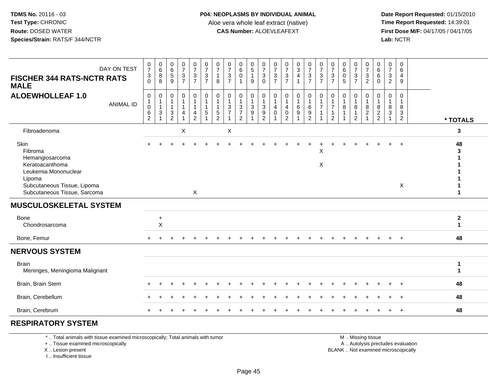**Date Report Requested:** 01/15/2010 **First Dose M/F:** 04/17/05 / 04/17/05<br>Lab: NCTR **Lab:** NCTR

| <b>FISCHER 344 RATS-NCTR RATS</b><br><b>MALE</b>                                                                                                       | DAY ON TEST      | 0<br>$\overline{7}$<br>$\mathbf 3$<br>$\Omega$ | $\begin{matrix} 0 \\ 6 \end{matrix}$<br>8<br>8    | 0<br>$\,6\,$<br>$\overline{5}$<br>$\overline{9}$     | $\begin{array}{c} 0 \\ 7 \end{array}$<br>$\frac{3}{7}$ | $\frac{0}{7}$<br>$\frac{3}{7}$                     | $\frac{0}{7}$<br>$\frac{3}{7}$                                                    | 0<br>$\overline{7}$<br>8                          | 0<br>$\overline{7}$<br>$\frac{3}{7}$                                         | 0<br>$6\phantom{a}$<br>$\overline{0}$<br>$\overline{1}$ | $\begin{array}{c} 0 \\ 5 \end{array}$<br>$\mathbf{1}$<br>9 | $\frac{0}{7}$<br>$\mathbf{3}$<br>$\Omega$            | $\frac{0}{7}$<br>$\frac{3}{7}$           | $\frac{0}{7}$<br>$\frac{3}{7}$                                             | $\begin{array}{c} 0 \\ 3 \\ 4 \end{array}$<br>$\mathbf{1}$ | 0<br>$\overline{7}$<br>$\frac{3}{7}$ | $\frac{0}{7}$<br>$\frac{3}{7}$                                                             | 0<br>$\overline{7}$<br>$\frac{3}{7}$                                  | 0<br>$\,6\,$<br>$\mathbf 0$<br>5 | $\frac{0}{7}$<br>$\frac{3}{7}$             | $\frac{0}{7}$<br>$\frac{3}{2}$                      | 0<br>$6\phantom{1}$<br>6<br>$\mathbf 0$ | 0<br>$\overline{7}$<br>$\mathbf{3}$<br>$\overline{2}$ | $\mathbf 0$<br>6<br>$\overline{4}$<br>9                            |          |                                  |
|--------------------------------------------------------------------------------------------------------------------------------------------------------|------------------|------------------------------------------------|---------------------------------------------------|------------------------------------------------------|--------------------------------------------------------|----------------------------------------------------|-----------------------------------------------------------------------------------|---------------------------------------------------|------------------------------------------------------------------------------|---------------------------------------------------------|------------------------------------------------------------|------------------------------------------------------|------------------------------------------|----------------------------------------------------------------------------|------------------------------------------------------------|--------------------------------------|--------------------------------------------------------------------------------------------|-----------------------------------------------------------------------|----------------------------------|--------------------------------------------|-----------------------------------------------------|-----------------------------------------|-------------------------------------------------------|--------------------------------------------------------------------|----------|----------------------------------|
| <b>ALOEWHOLLEAF 1.0</b>                                                                                                                                | <b>ANIMAL ID</b> | $\,0\,$<br>1<br>$\mathbf 0$<br>$\frac{6}{2}$   | 0<br>$\mathbf{1}$<br>$\mathbf{1}$<br>$\mathbf{3}$ | 0<br>$\overline{1}$<br>$\mathbf{1}$<br>$\frac{3}{2}$ | $\pmb{0}$<br>$\mathbf{1}$<br>4                         | 0<br>$\mathbf{1}$<br>$\mathbf{1}$<br>$\frac{4}{2}$ | $\pmb{0}$<br>$\overline{1}$<br>$\overline{1}$<br>$\overline{5}$<br>$\overline{1}$ | 0<br>$\mathbf{1}$<br>$\sqrt{5}$<br>$\overline{2}$ | $\mathbf 0$<br>$\overline{1}$<br>$\ensuremath{\mathsf{3}}$<br>$\overline{7}$ | 0<br>$\frac{3}{7}$<br>$\mathfrak{p}$                    | $\mathbf 0$<br>$\mathbf{1}$<br>$_9^3$                      | 0<br>$\overline{1}$<br>$\mathbf{3}$<br>$\frac{9}{2}$ | 0<br>-1<br>$\overline{4}$<br>$\mathbf 0$ | $\pmb{0}$<br>$\mathbf{1}$<br>$\overline{4}$<br>$\pmb{0}$<br>$\overline{2}$ | $\pmb{0}$<br>$\mathbf{1}$<br>6<br>$\overline{9}$           | 0<br>6<br>$\frac{9}{2}$              | $\pmb{0}$<br>$\overline{1}$<br>$\overline{7}$<br>$\overline{1}$<br>$\overline{\mathbf{1}}$ | 0<br>$\mathbf{1}$<br>$\overline{7}$<br>$\mathbf{1}$<br>$\overline{2}$ | $\mathbf 0$<br>1<br>8<br>1       | 0<br>$\mathbf 1$<br>8<br>$\mathbf{1}$<br>2 | $\,0\,$<br>$\mathbf{1}$<br>$^8_2$<br>$\overline{1}$ | 0<br>$\mathbf{1}$<br>8<br>$\frac{2}{2}$ | 0<br>$\mathbf{1}$<br>8<br>$\mathbf{3}$                | $\mathbf 0$<br>$\mathbf{1}$<br>8<br>$\mathbf{3}$<br>$\overline{2}$ | * TOTALS |                                  |
| Fibroadenoma                                                                                                                                           |                  |                                                |                                                   |                                                      | X                                                      |                                                    |                                                                                   |                                                   | X                                                                            |                                                         |                                                            |                                                      |                                          |                                                                            |                                                            |                                      |                                                                                            |                                                                       |                                  |                                            |                                                     |                                         |                                                       |                                                                    |          | 3                                |
| Skin<br>Fibroma<br>Hemangiosarcoma<br>Keratoacanthoma<br>Leukemia Mononuclear<br>Lipoma<br>Subcutaneous Tissue, Lipoma<br>Subcutaneous Tissue, Sarcoma |                  |                                                |                                                   |                                                      |                                                        | X                                                  |                                                                                   |                                                   |                                                                              |                                                         |                                                            |                                                      |                                          |                                                                            |                                                            |                                      | X<br>$\boldsymbol{\mathsf{X}}$                                                             |                                                                       |                                  |                                            |                                                     |                                         |                                                       | X                                                                  |          | 48                               |
| <b>MUSCULOSKELETAL SYSTEM</b>                                                                                                                          |                  |                                                |                                                   |                                                      |                                                        |                                                    |                                                                                   |                                                   |                                                                              |                                                         |                                                            |                                                      |                                          |                                                                            |                                                            |                                      |                                                                                            |                                                                       |                                  |                                            |                                                     |                                         |                                                       |                                                                    |          |                                  |
| Bone<br>Chondrosarcoma                                                                                                                                 |                  |                                                | $\ddot{}$<br>X                                    |                                                      |                                                        |                                                    |                                                                                   |                                                   |                                                                              |                                                         |                                                            |                                                      |                                          |                                                                            |                                                            |                                      |                                                                                            |                                                                       |                                  |                                            |                                                     |                                         |                                                       |                                                                    |          | $\boldsymbol{2}$<br>$\mathbf{1}$ |
| Bone, Femur                                                                                                                                            |                  |                                                |                                                   |                                                      |                                                        |                                                    |                                                                                   |                                                   |                                                                              |                                                         |                                                            |                                                      |                                          |                                                                            |                                                            |                                      |                                                                                            |                                                                       |                                  |                                            |                                                     |                                         | $+$                                                   | $+$                                                                |          | 48                               |
| <b>NERVOUS SYSTEM</b>                                                                                                                                  |                  |                                                |                                                   |                                                      |                                                        |                                                    |                                                                                   |                                                   |                                                                              |                                                         |                                                            |                                                      |                                          |                                                                            |                                                            |                                      |                                                                                            |                                                                       |                                  |                                            |                                                     |                                         |                                                       |                                                                    |          |                                  |
| <b>Brain</b><br>Meninges, Meningioma Malignant                                                                                                         |                  |                                                |                                                   |                                                      |                                                        |                                                    |                                                                                   |                                                   |                                                                              |                                                         |                                                            |                                                      |                                          |                                                                            |                                                            |                                      |                                                                                            |                                                                       |                                  |                                            |                                                     |                                         |                                                       |                                                                    | 1<br>1   |                                  |
| Brain, Brain Stem                                                                                                                                      |                  |                                                |                                                   |                                                      |                                                        |                                                    |                                                                                   |                                                   |                                                                              |                                                         |                                                            |                                                      |                                          |                                                                            |                                                            |                                      |                                                                                            |                                                                       |                                  |                                            |                                                     |                                         |                                                       |                                                                    |          | 48                               |
| Brain, Cerebellum                                                                                                                                      |                  |                                                |                                                   |                                                      |                                                        |                                                    |                                                                                   |                                                   |                                                                              |                                                         |                                                            |                                                      |                                          |                                                                            |                                                            |                                      |                                                                                            |                                                                       |                                  |                                            |                                                     |                                         |                                                       |                                                                    |          | 48                               |
| Brain, Cerebrum                                                                                                                                        |                  |                                                |                                                   |                                                      |                                                        |                                                    |                                                                                   |                                                   |                                                                              |                                                         |                                                            |                                                      |                                          |                                                                            |                                                            |                                      |                                                                                            |                                                                       |                                  |                                            |                                                     |                                         |                                                       | $\ddot{}$                                                          |          | 48                               |
| <b>RESPIRATORY SYSTEM</b>                                                                                                                              |                  |                                                |                                                   |                                                      |                                                        |                                                    |                                                                                   |                                                   |                                                                              |                                                         |                                                            |                                                      |                                          |                                                                            |                                                            |                                      |                                                                                            |                                                                       |                                  |                                            |                                                     |                                         |                                                       |                                                                    |          |                                  |

\* .. Total animals with tissue examined microscopically; Total animals with tumor

+ .. Tissue examined microscopically

 Lesion present BLANK .. Not examined microscopicallyX .. Lesion present

I .. Insufficient tissue

 M .. Missing tissuey the contract of the contract of the contract of the contract of the contract of the contract of the contract of  $A$ . Autolysis precludes evaluation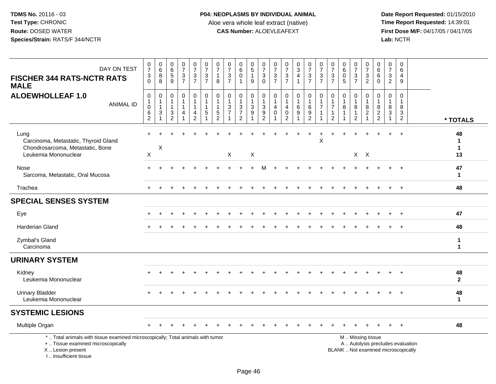| DAY ON TEST<br><b>FISCHER 344 RATS-NCTR RATS</b><br><b>MALE</b>                                                                                                    | $\frac{0}{7}$<br>$\ensuremath{\mathsf{3}}$<br>$\mathbf 0$   | $\begin{array}{c} 0 \\ 6 \end{array}$<br>8<br>8 | $\begin{array}{c} 0 \\ 6 \end{array}$<br>$\overline{5}$<br>9 | $\frac{0}{7}$<br>$\frac{3}{7}$         | $\begin{smallmatrix}0\\7\end{smallmatrix}$<br>$\frac{3}{7}$ | $\frac{0}{7}$<br>$\sqrt{3}$<br>$\overline{7}$                      | $\frac{0}{7}$<br>$\overline{1}$<br>8                             | $\frac{0}{7}$<br>$\frac{3}{7}$                                                             | $\begin{array}{c} 0 \\ 6 \end{array}$<br>$\mathbf 0$<br>$\mathbf{1}$               | $\begin{array}{c} 0 \\ 5 \end{array}$<br>$\overline{1}$<br>$\mathsf g$                     | 0<br>$\boldsymbol{7}$<br>3<br>$\mathbf 0$                                            | $\frac{0}{7}$<br>$\frac{3}{7}$        | $\begin{array}{c} 0 \\ 7 \end{array}$<br>$\frac{3}{7}$        | $\begin{array}{c} 0 \\ 3 \\ 4 \end{array}$<br>$\mathbf{1}$    | $\frac{0}{7}$<br>$\ensuremath{\mathsf{3}}$<br>$\overline{7}$ | $\frac{0}{7}$<br>$\mathbf{3}$<br>$\overline{7}$          | $\frac{0}{7}$<br>$\sqrt{3}$<br>$\overline{7}$                                   | $\begin{matrix} 0 \\ 6 \\ 0 \end{matrix}$<br>5   | $\frac{0}{7}$<br>$\frac{3}{7}$                                 | $\frac{0}{7}$<br>$\sqrt{3}$<br>$\overline{2}$                                                 | $\begin{array}{c} 0 \\ 6 \end{array}$<br>6<br>$\mathbf{0}$ | $\frac{0}{7}$<br>$\mathbf{3}$<br>$\overline{c}$                    | $\pmb{0}$<br>6<br>$\overline{4}$<br>9                            |                              |
|--------------------------------------------------------------------------------------------------------------------------------------------------------------------|-------------------------------------------------------------|-------------------------------------------------|--------------------------------------------------------------|----------------------------------------|-------------------------------------------------------------|--------------------------------------------------------------------|------------------------------------------------------------------|--------------------------------------------------------------------------------------------|------------------------------------------------------------------------------------|--------------------------------------------------------------------------------------------|--------------------------------------------------------------------------------------|---------------------------------------|---------------------------------------------------------------|---------------------------------------------------------------|--------------------------------------------------------------|----------------------------------------------------------|---------------------------------------------------------------------------------|--------------------------------------------------|----------------------------------------------------------------|-----------------------------------------------------------------------------------------------|------------------------------------------------------------|--------------------------------------------------------------------|------------------------------------------------------------------|------------------------------|
| <b>ALOEWHOLLEAF 1.0</b><br><b>ANIMAL ID</b>                                                                                                                        | $\mathsf 0$<br>$\mathbf{1}$<br>$\pmb{0}$<br>6<br>$\sqrt{2}$ | $\mathbf 0$<br>1<br>$\mathbf{1}$<br>3           | $\mathbf 0$<br>$\mathbf{1}$<br>$\mathbf{1}$<br>$\frac{3}{2}$ | 0<br>$\mathbf{1}$<br>$\mathbf{1}$<br>4 | 0<br>$\mathbf{1}$<br>$\mathbf{1}$<br>4<br>$\overline{2}$    | $\pmb{0}$<br>$\overline{1}$<br>$\mathbf{1}$<br>5<br>$\overline{1}$ | $\mathbf 0$<br>$\overline{1}$<br>$\overline{1}$<br>$\frac{5}{2}$ | $\mathbf 0$<br>$\mathbf{1}$<br>$\ensuremath{\mathsf{3}}$<br>$\overline{7}$<br>$\mathbf{1}$ | 0<br>$\mathbf{1}$<br>$\ensuremath{\mathsf{3}}$<br>$\overline{7}$<br>$\overline{2}$ | $\pmb{0}$<br>$\mathbf{1}$<br>$\ensuremath{\mathsf{3}}$<br>$\boldsymbol{9}$<br>$\mathbf{1}$ | 0<br>$\mathbf{1}$<br>$\ensuremath{\mathsf{3}}$<br>$\boldsymbol{9}$<br>$\overline{2}$ | 0<br>$\mathbf{1}$<br>4<br>$\mathbf 0$ | $\pmb{0}$<br>$\mathbf{1}$<br>4<br>$\pmb{0}$<br>$\overline{2}$ | $\mathbf 0$<br>$\mathbf{1}$<br>$\,6\,$<br>9<br>$\overline{1}$ | $\mathbf 0$<br>$\mathbf{1}$<br>$\,6\,$<br>$\frac{9}{2}$      | $\mathbf 0$<br>$\mathbf{1}$<br>$\overline{7}$<br>-1<br>1 | $\mathbf 0$<br>$\mathbf{1}$<br>$\overline{7}$<br>$\mathbf{1}$<br>$\overline{2}$ | $\mathbf 0$<br>$\mathbf{1}$<br>8<br>$\mathbf{1}$ | 0<br>$\mathbf{1}$<br>$\bf 8$<br>$\mathbf{1}$<br>$\overline{c}$ | $\mathbf 0$<br>$\mathbf{1}$<br>$\,8\,$<br>$\sqrt{2}$                                          | $\mathbf 0$<br>$\mathbf{1}$<br>$\bf 8$<br>$\frac{2}{2}$    | $\mathbf 0$<br>$\overline{1}$<br>8<br>$\sqrt{3}$<br>$\overline{1}$ | $\mathbf 0$<br>$\mathbf{1}$<br>8<br>$\sqrt{3}$<br>$\overline{2}$ | * TOTALS                     |
| Lung<br>Carcinoma, Metastatic, Thyroid Gland<br>Chondrosarcoma, Metastatic, Bone<br>Leukemia Mononuclear                                                           | ÷<br>$\boldsymbol{\mathsf{X}}$                              | X                                               |                                                              |                                        |                                                             |                                                                    |                                                                  | X                                                                                          |                                                                                    | X                                                                                          |                                                                                      |                                       |                                                               |                                                               |                                                              | $\mathsf X$                                              |                                                                                 |                                                  |                                                                | $X$ $X$                                                                                       |                                                            |                                                                    |                                                                  | 48<br>1<br>$\mathbf 1$<br>13 |
| Nose<br>Sarcoma, Metastatic, Oral Mucosa                                                                                                                           |                                                             |                                                 |                                                              |                                        |                                                             |                                                                    |                                                                  |                                                                                            |                                                                                    |                                                                                            |                                                                                      |                                       |                                                               |                                                               |                                                              |                                                          |                                                                                 |                                                  |                                                                |                                                                                               |                                                            |                                                                    | $^{+}$                                                           | 47<br>$\mathbf{1}$           |
| Trachea                                                                                                                                                            |                                                             |                                                 |                                                              |                                        |                                                             |                                                                    |                                                                  |                                                                                            |                                                                                    |                                                                                            |                                                                                      |                                       |                                                               |                                                               |                                                              |                                                          |                                                                                 |                                                  |                                                                |                                                                                               |                                                            | $+$                                                                | $+$                                                              | 48                           |
| <b>SPECIAL SENSES SYSTEM</b>                                                                                                                                       |                                                             |                                                 |                                                              |                                        |                                                             |                                                                    |                                                                  |                                                                                            |                                                                                    |                                                                                            |                                                                                      |                                       |                                                               |                                                               |                                                              |                                                          |                                                                                 |                                                  |                                                                |                                                                                               |                                                            |                                                                    |                                                                  |                              |
| Eye                                                                                                                                                                |                                                             |                                                 |                                                              |                                        |                                                             |                                                                    |                                                                  |                                                                                            |                                                                                    |                                                                                            |                                                                                      |                                       |                                                               |                                                               |                                                              |                                                          |                                                                                 |                                                  |                                                                |                                                                                               |                                                            |                                                                    | $+$                                                              | 47                           |
| <b>Harderian Gland</b>                                                                                                                                             |                                                             |                                                 |                                                              |                                        |                                                             |                                                                    |                                                                  |                                                                                            |                                                                                    |                                                                                            |                                                                                      |                                       |                                                               |                                                               |                                                              |                                                          |                                                                                 |                                                  |                                                                |                                                                                               |                                                            |                                                                    | $\ddot{}$                                                        | 48                           |
| Zymbal's Gland<br>Carcinoma                                                                                                                                        |                                                             |                                                 |                                                              |                                        |                                                             |                                                                    |                                                                  |                                                                                            |                                                                                    |                                                                                            |                                                                                      |                                       |                                                               |                                                               |                                                              |                                                          |                                                                                 |                                                  |                                                                |                                                                                               |                                                            |                                                                    |                                                                  | 1<br>$\mathbf{1}$            |
| <b>URINARY SYSTEM</b>                                                                                                                                              |                                                             |                                                 |                                                              |                                        |                                                             |                                                                    |                                                                  |                                                                                            |                                                                                    |                                                                                            |                                                                                      |                                       |                                                               |                                                               |                                                              |                                                          |                                                                                 |                                                  |                                                                |                                                                                               |                                                            |                                                                    |                                                                  |                              |
| Kidney<br>Leukemia Mononuclear                                                                                                                                     |                                                             |                                                 |                                                              |                                        |                                                             |                                                                    |                                                                  |                                                                                            |                                                                                    |                                                                                            |                                                                                      |                                       |                                                               |                                                               |                                                              |                                                          |                                                                                 |                                                  |                                                                |                                                                                               |                                                            |                                                                    |                                                                  | 48<br>$\mathbf{2}$           |
| <b>Urinary Bladder</b><br>Leukemia Mononuclear                                                                                                                     |                                                             |                                                 |                                                              |                                        |                                                             |                                                                    |                                                                  |                                                                                            |                                                                                    |                                                                                            |                                                                                      |                                       |                                                               |                                                               |                                                              |                                                          |                                                                                 |                                                  |                                                                |                                                                                               |                                                            |                                                                    |                                                                  | 48<br>$\mathbf{1}$           |
| <b>SYSTEMIC LESIONS</b>                                                                                                                                            |                                                             |                                                 |                                                              |                                        |                                                             |                                                                    |                                                                  |                                                                                            |                                                                                    |                                                                                            |                                                                                      |                                       |                                                               |                                                               |                                                              |                                                          |                                                                                 |                                                  |                                                                |                                                                                               |                                                            |                                                                    |                                                                  |                              |
| Multiple Organ                                                                                                                                                     |                                                             |                                                 |                                                              |                                        |                                                             |                                                                    |                                                                  |                                                                                            |                                                                                    |                                                                                            |                                                                                      |                                       |                                                               |                                                               |                                                              |                                                          |                                                                                 |                                                  |                                                                |                                                                                               |                                                            |                                                                    | $\ddot{}$                                                        | 48                           |
| *  Total animals with tissue examined microscopically; Total animals with tumor<br>+  Tissue examined microscopically<br>X Lesion present<br>I Insufficient tissue |                                                             |                                                 |                                                              |                                        |                                                             |                                                                    |                                                                  |                                                                                            |                                                                                    |                                                                                            |                                                                                      |                                       |                                                               |                                                               |                                                              |                                                          |                                                                                 |                                                  |                                                                | M  Missing tissue<br>A  Autolysis precludes evaluation<br>BLANK  Not examined microscopically |                                                            |                                                                    |                                                                  |                              |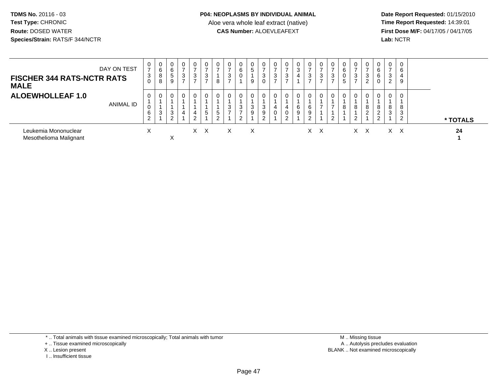**Date Report Requested:** 01/15/2010 **First Dose M/F:** 04/17/05 / 04/17/05<br>Lab: NCTR **Lab:** NCTR

| DAY ON TEST<br><b>FISCHER 344 RATS-NCTR RATS</b><br><b>MALE</b> |           | 0<br>$\rightarrow$<br>3<br>0 | 0<br>6<br>8<br>8 | 0<br>6<br>5<br>9 | 0<br>$\overline{ }$<br>3<br>$\overline{ }$ | 0<br>$\rightarrow$<br>3 | $\overline{ }$<br>3 | $\mathbf{0}$<br>$\rightarrow$<br>8 | 3        | 0<br>6<br>$\mathbf 0$                    | 0<br>5<br>9 | 0<br>3<br>0      | ۍ | $\overline{ }$<br>3 | $\mathbf{0}$<br>3 | 0<br>3                | 0<br>$\overline{ }$<br>3<br>⇁ | 0<br>$\rightarrow$<br>3       | 0<br>6<br>0<br>5 | $\rightarrow$<br>ົ         | $\overline{ }$<br>3<br>2 | 0<br>6<br>6<br>0           | 0<br>$\rightarrow$<br>3<br>റ<br>∠ | $\mathbf 0$<br>6<br>4<br>9 |  |          |
|-----------------------------------------------------------------|-----------|------------------------------|------------------|------------------|--------------------------------------------|-------------------------|---------------------|------------------------------------|----------|------------------------------------------|-------------|------------------|---|---------------------|-------------------|-----------------------|-------------------------------|-------------------------------|------------------|----------------------------|--------------------------|----------------------------|-----------------------------------|----------------------------|--|----------|
| <b>ALOEWHOLLEAF 1.0</b>                                         | ANIMAL ID | $\mathbf{0}$<br>v<br>6<br>2  | 0<br>3           | 0<br>3<br>ົ<br>∠ | 0<br>$\overline{4}$                        | 0<br>4<br>$\sim$        | 5                   | 0<br>5<br>$\sim$<br>∼              | 0<br>3   | 0<br>3<br>$\rightarrow$<br>ົ<br><u>.</u> | 0<br>3<br>9 | 0<br>3<br>9<br>C |   | 0                   | 0<br>6<br>9       | 0<br>6<br>9<br>⌒<br>▵ | 0<br>$\overline{ }$           | 0<br>$\overline{ }$<br>ົ<br>▵ | 0<br>8           | $\mathbf 0$<br>8<br>$\sim$ | 8<br>2                   | 0<br>8<br>◠<br>∠<br>⌒<br>- | 0<br>8<br>3                       | 0<br>8<br>3<br>ົ           |  | * TOTALS |
| Leukemia Mononuclear<br>Mesothelioma Malignant                  |           | $\checkmark$<br>⋏            |                  | X                |                                            |                         | x x                 |                                    | $\times$ |                                          | X           |                  |   |                     |                   |                       | X X                           |                               |                  |                            | X X                      |                            |                                   | x x                        |  | 24       |

\* .. Total animals with tissue examined microscopically; Total animals with tumor

+ .. Tissue examined microscopically

- X .. Lesion present
- I .. Insufficient tissue

 M .. Missing tissuey the contract of the contract of the contract of the contract of the contract of the contract of the contract of  $A$ . Autolysis precludes evaluation Lesion present BLANK .. Not examined microscopically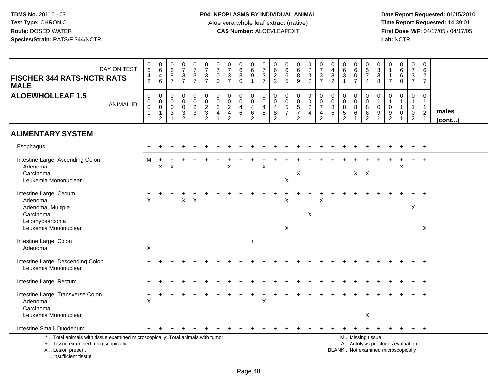| DAY ON TEST<br><b>FISCHER 344 RATS-NCTR RATS</b><br><b>MALE</b>                                                                                                       |                  | $_{6}^{\rm 0}$<br>$\overline{4}$<br>$\overline{c}$ | $\begin{array}{c} 0 \\ 6 \end{array}$<br>$\overline{4}$<br>$6\phantom{1}6$ | $\pmb{0}$<br>$\,6\,$<br>9<br>$\overline{7}$         | $\frac{0}{7}$<br>$\frac{3}{7}$                             | $\frac{0}{7}$<br>$\frac{3}{7}$                        | $\frac{0}{7}$<br>$\frac{3}{7}$              | $\frac{0}{7}$<br>$\pmb{0}$<br>$\mathbf 0$                                                              | $\begin{smallmatrix}0\\7\end{smallmatrix}$<br>$\sqrt{3}$<br>$\overline{7}$     | $\pmb{0}$<br>$\,6\,$<br>$\overline{8}$<br>$\Omega$                        | 0<br>$\,6\,$<br>$\boldsymbol{9}$<br>$\mathbf{1}$ | $\frac{0}{7}$<br>$\frac{3}{7}$                                                 | 0<br>$6\over 2$<br>$\overline{2}$                                         | 0<br>$^6_6$<br>5                                                                   | $\begin{matrix}0\\6\\8\end{matrix}$<br>$\overline{9}$ | $\frac{0}{7}$<br>$\frac{3}{7}$                                                     | $\frac{0}{7}$<br>$\frac{3}{7}$                                                        | $\pmb{0}$<br>$\overline{4}$<br>$\overline{8}$<br>$\overline{2}$     | $\pmb{0}$<br>$6\phantom{1}$<br>$\sqrt{3}$<br>$\overline{1}$ | $\begin{smallmatrix}0\0\0\end{smallmatrix}$<br>$\overline{7}$           | $\begin{array}{c} 0 \\ 5 \\ 7 \end{array}$<br>$\overline{4}$ | $\begin{smallmatrix} 0\\ 3\\ 3 \end{smallmatrix}$<br>8            | 0<br>$\overline{1}$<br>$\overline{1}$<br>$\overline{7}$       | $\begin{array}{c} 0 \\ 6 \end{array}$<br>$\,6\,$<br>$\Omega$               | $\begin{smallmatrix}0\\7\end{smallmatrix}$<br>$\frac{3}{7}$                    | $\pmb{0}$<br>6<br>$\frac{2}{7}$                                                  |                 |
|-----------------------------------------------------------------------------------------------------------------------------------------------------------------------|------------------|----------------------------------------------------|----------------------------------------------------------------------------|-----------------------------------------------------|------------------------------------------------------------|-------------------------------------------------------|---------------------------------------------|--------------------------------------------------------------------------------------------------------|--------------------------------------------------------------------------------|---------------------------------------------------------------------------|--------------------------------------------------|--------------------------------------------------------------------------------|---------------------------------------------------------------------------|------------------------------------------------------------------------------------|-------------------------------------------------------|------------------------------------------------------------------------------------|---------------------------------------------------------------------------------------|---------------------------------------------------------------------|-------------------------------------------------------------|-------------------------------------------------------------------------|--------------------------------------------------------------|-------------------------------------------------------------------|---------------------------------------------------------------|----------------------------------------------------------------------------|--------------------------------------------------------------------------------|----------------------------------------------------------------------------------|-----------------|
| <b>ALOEWHOLLEAF 1.5</b>                                                                                                                                               | <b>ANIMAL ID</b> | 0<br>$\boldsymbol{0}$<br>$\pmb{0}$                 | $\mathbf 0$<br>$_{\rm 0}^{\rm 0}$<br>$\mathbf{1}$<br>$\overline{2}$        | $\mathbf 0$<br>0<br>$\mathbf 0$<br>$\sqrt{3}$<br>-1 | $\mathbf 0$<br>$\mathbf 0$<br>$\mathbf 0$<br>$\frac{3}{2}$ | 0<br>$\mathbf 0$<br>$\overline{2}$<br>$\sqrt{3}$<br>1 | $\mathbf 0$<br>$\mathbf 0$<br>$\frac{2}{3}$ | $\mathbf 0$<br>$\begin{smallmatrix} 0\\2 \end{smallmatrix}$<br>$\overline{\mathbf{4}}$<br>$\mathbf{1}$ | $\mathbf 0$<br>$\mathbf 0$<br>$\mathbf{2}$<br>$\overline{4}$<br>$\overline{c}$ | $\mathbf 0$<br>$\mathbf 0$<br>$\overline{4}$<br>$\,6\,$<br>$\overline{1}$ | 0<br>0<br>$\overline{4}$<br>$^6_2$               | $\mathbf 0$<br>$\boldsymbol{0}$<br>$\overline{4}$<br>$\bf 8$<br>$\overline{1}$ | $\mathbf 0$<br>$\mathbf 0$<br>$\overline{4}$<br>$\bf 8$<br>$\overline{c}$ | $\mathbf 0$<br>$\mathbf 0$<br>$\overline{5}$<br>$\boldsymbol{7}$<br>$\overline{1}$ | 0<br>$0$<br>57<br>2                                   | $\mathbf 0$<br>$\mathbf 0$<br>$\boldsymbol{7}$<br>$\overline{4}$<br>$\overline{1}$ | $\mathbf 0$<br>$\mathbf 0$<br>$\overline{7}$<br>$\begin{array}{c} 4 \\ 2 \end{array}$ | $\mathbf 0$<br>$\mathbf 0$<br>$\,8\,$<br>$\sqrt{5}$<br>$\mathbf{1}$ | $\mathbf 0$<br>$\mathbf 0$<br>$\,8\,$<br>$\frac{5}{2}$      | $\mathbf 0$<br>$\mathbf 0$<br>$\overline{8}$<br>$\,6\,$<br>$\mathbf{1}$ | 0<br>$\mathsf{O}\xspace$<br>$\frac{8}{6}$                    | $\mathbf 0$<br>$\mathbf{1}$<br>$\pmb{0}$<br>$\boldsymbol{9}$<br>1 | $\mathbf 0$<br>$\overline{1}$<br>$\mathbf 0$<br>$\frac{9}{2}$ | $\mathbf 0$<br>$\mathbf{1}$<br>$\mathbf{1}$<br>$\mathbf 0$<br>$\mathbf{1}$ | $\mathbf 0$<br>$\mathbf{1}$<br>$\mathbf{1}$<br>$\mathbf 0$<br>$\boldsymbol{2}$ | $\overline{0}$<br>$\mathbf{1}$<br>$\mathbf{1}$<br>$\overline{2}$<br>$\mathbf{1}$ | males<br>(cont) |
| <b>ALIMENTARY SYSTEM</b>                                                                                                                                              |                  |                                                    |                                                                            |                                                     |                                                            |                                                       |                                             |                                                                                                        |                                                                                |                                                                           |                                                  |                                                                                |                                                                           |                                                                                    |                                                       |                                                                                    |                                                                                       |                                                                     |                                                             |                                                                         |                                                              |                                                                   |                                                               |                                                                            |                                                                                |                                                                                  |                 |
| Esophagus                                                                                                                                                             |                  |                                                    |                                                                            |                                                     |                                                            |                                                       |                                             |                                                                                                        |                                                                                |                                                                           |                                                  |                                                                                |                                                                           |                                                                                    |                                                       |                                                                                    |                                                                                       |                                                                     |                                                             |                                                                         |                                                              |                                                                   |                                                               |                                                                            |                                                                                |                                                                                  |                 |
| Intestine Large, Ascending Colon<br>Adenoma<br>Carcinoma<br>Leukemia Mononuclear                                                                                      |                  | м                                                  | $\boldsymbol{\mathsf{X}}$                                                  | $\boldsymbol{\mathsf{X}}$                           |                                                            |                                                       |                                             |                                                                                                        | $\sf X$                                                                        |                                                                           |                                                  | $\sf X$                                                                        |                                                                           | $\sf X$                                                                            | $\mathsf X$                                           |                                                                                    |                                                                                       |                                                                     |                                                             |                                                                         | $X$ $X$                                                      |                                                                   |                                                               | X                                                                          |                                                                                |                                                                                  |                 |
| Intestine Large, Cecum<br>Adenoma<br>Adenoma, Multiple<br>Carcinoma<br>Leiomyosarcoma                                                                                 |                  | +<br>X                                             |                                                                            |                                                     | $\mathsf{X}$                                               | $\boldsymbol{\mathsf{X}}$                             |                                             |                                                                                                        |                                                                                |                                                                           |                                                  |                                                                                |                                                                           | X                                                                                  | $\ddot{}$                                             | +<br>X                                                                             | $\times$                                                                              |                                                                     |                                                             |                                                                         |                                                              |                                                                   |                                                               |                                                                            | X                                                                              |                                                                                  |                 |
| Leukemia Mononuclear                                                                                                                                                  |                  |                                                    |                                                                            |                                                     |                                                            |                                                       |                                             |                                                                                                        |                                                                                |                                                                           |                                                  |                                                                                |                                                                           | $\mathsf{X}$                                                                       |                                                       |                                                                                    |                                                                                       |                                                                     |                                                             |                                                                         |                                                              |                                                                   |                                                               |                                                                            |                                                                                | $\boldsymbol{X}$                                                                 |                 |
| Intestine Large, Colon<br>Adenoma                                                                                                                                     |                  | $\ddot{}$<br>X                                     |                                                                            |                                                     |                                                            |                                                       |                                             |                                                                                                        |                                                                                |                                                                           |                                                  | $+$ $+$                                                                        |                                                                           |                                                                                    |                                                       |                                                                                    |                                                                                       |                                                                     |                                                             |                                                                         |                                                              |                                                                   |                                                               |                                                                            |                                                                                |                                                                                  |                 |
| Intestine Large, Descending Colon<br>Leukemia Mononuclear                                                                                                             |                  |                                                    |                                                                            |                                                     |                                                            |                                                       |                                             |                                                                                                        |                                                                                |                                                                           |                                                  |                                                                                |                                                                           |                                                                                    |                                                       |                                                                                    |                                                                                       |                                                                     |                                                             |                                                                         |                                                              |                                                                   |                                                               |                                                                            |                                                                                | $+$                                                                              |                 |
| Intestine Large, Rectum                                                                                                                                               |                  |                                                    |                                                                            |                                                     |                                                            |                                                       |                                             |                                                                                                        |                                                                                |                                                                           |                                                  |                                                                                |                                                                           |                                                                                    |                                                       |                                                                                    |                                                                                       |                                                                     |                                                             |                                                                         |                                                              |                                                                   |                                                               |                                                                            |                                                                                | $^{+}$                                                                           |                 |
| Intestine Large, Transverse Colon<br>Adenoma<br>Carcinoma<br>Leukemia Mononuclear                                                                                     |                  | $\ddot{}$<br>X                                     |                                                                            |                                                     |                                                            |                                                       |                                             |                                                                                                        |                                                                                |                                                                           |                                                  | X                                                                              |                                                                           |                                                                                    |                                                       |                                                                                    |                                                                                       |                                                                     |                                                             |                                                                         | X                                                            |                                                                   |                                                               |                                                                            |                                                                                |                                                                                  |                 |
| Intestine Small, Duodenum                                                                                                                                             |                  | $+$                                                |                                                                            |                                                     |                                                            |                                                       |                                             |                                                                                                        |                                                                                |                                                                           |                                                  |                                                                                |                                                                           |                                                                                    |                                                       |                                                                                    |                                                                                       |                                                                     |                                                             |                                                                         |                                                              |                                                                   |                                                               |                                                                            | $\ddot{}$                                                                      | $+$                                                                              |                 |
| *  Total animals with tissue examined microscopically; Total animals with tumor<br>+  Tissue examined microscopically<br>X  Lesion present<br>I., Insufficient tissue |                  |                                                    |                                                                            |                                                     |                                                            |                                                       |                                             |                                                                                                        |                                                                                |                                                                           |                                                  |                                                                                |                                                                           |                                                                                    |                                                       |                                                                                    |                                                                                       |                                                                     | M  Missing tissue<br>BLANK  Not examined microscopically    |                                                                         |                                                              |                                                                   |                                                               | A  Autolysis precludes evaluation                                          |                                                                                |                                                                                  |                 |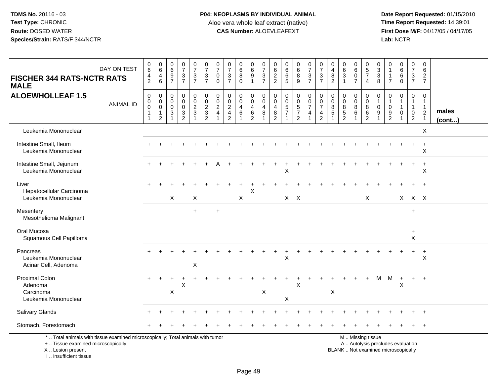## **P04: NEOPLASMS BY INDIVIDUAL ANIMAL**Aloe vera whole leaf extract (native)<br>**CAS Number:** ALOEVLEAFEXT

 **Date Report Requested:** 01/15/2010 **First Dose M/F:** 04/17/05 / 04/17/05<br>Lab: NCTR **Lab:** NCTR

| <b>FISCHER 344 RATS-NCTR RATS</b><br><b>MALE</b>                                                                                           | DAY ON TEST      | $\begin{array}{c} 0 \\ 6 \end{array}$<br>$\frac{4}{2}$                             | $\pmb{0}$<br>6<br>4<br>6                             | $\mathbf 0$<br>$\,6\,$<br>9<br>$\overline{7}$ | $\pmb{0}$<br>$\overline{7}$<br>3<br>$\overline{7}$                                     | $\frac{0}{7}$<br>$\frac{3}{7}$              | $\frac{0}{7}$<br>$\frac{3}{7}$                                      | $\frac{0}{7}$<br>$\mathbf 0$<br>$\mathbf 0$                                           | 0<br>$\overline{7}$<br>$\mathbf{3}$<br>$\overline{7}$        | $\begin{array}{c} 0 \\ 6 \end{array}$<br>$\bf 8$<br>$\mathbf{0}$ | 0<br>$6\phantom{a}$<br>9<br>$\overline{1}$                 | $\frac{0}{7}$<br>$\frac{3}{7}$                                                                           | 0<br>$\,6\,$<br>$\frac{2}{2}$                | $\boldsymbol{0}$<br>$\,6\,$<br>$\,6$<br>$\overline{5}$ | $_6^0$<br>$^8_9$                                       | $\frac{0}{7}$<br>$\frac{3}{7}$                                              | $\frac{0}{7}$<br>$\frac{3}{7}$                              | $\pmb{0}$<br>$\overline{\mathbf{4}}$<br>$\bf 8$<br>$\overline{2}$ | 0<br>$\,6\,$<br>$\mathbf{3}$<br>$\overline{1}$                        | 0<br>$\,6\,$<br>$\mathbf 0$<br>$\overline{7}$            | $\pmb{0}$<br>$\sqrt{5}$<br>$\overline{7}$<br>$\overline{4}$ | 0<br>$\ensuremath{\mathsf{3}}$<br>$\mathbf{3}$<br>8 | 0<br>$\overline{1}$<br>$\overline{7}$                         | $_{6}^{\rm 0}$<br>6<br>$\overline{0}$                      | $\mathbf 0$<br>$\boldsymbol{7}$<br>$\frac{3}{7}$                                          | 0<br>$\,6\,$<br>$\frac{2}{7}$                                                        |                 |
|--------------------------------------------------------------------------------------------------------------------------------------------|------------------|------------------------------------------------------------------------------------|------------------------------------------------------|-----------------------------------------------|----------------------------------------------------------------------------------------|---------------------------------------------|---------------------------------------------------------------------|---------------------------------------------------------------------------------------|--------------------------------------------------------------|------------------------------------------------------------------|------------------------------------------------------------|----------------------------------------------------------------------------------------------------------|----------------------------------------------|--------------------------------------------------------|--------------------------------------------------------|-----------------------------------------------------------------------------|-------------------------------------------------------------|-------------------------------------------------------------------|-----------------------------------------------------------------------|----------------------------------------------------------|-------------------------------------------------------------|-----------------------------------------------------|---------------------------------------------------------------|------------------------------------------------------------|-------------------------------------------------------------------------------------------|--------------------------------------------------------------------------------------|-----------------|
| <b>ALOEWHOLLEAF 1.5</b>                                                                                                                    | <b>ANIMAL ID</b> | $\boldsymbol{0}$<br>$\begin{smallmatrix} 0\\0 \end{smallmatrix}$<br>$\overline{1}$ | 0<br>$\mathbf 0$<br>$\mathsf 0$<br>$\mathbf{1}$<br>2 | $\mathbf 0$<br>0<br>$\mathbf 0$<br>3<br>1     | $\pmb{0}$<br>$\mathbf 0$<br>$\mathbf 0$<br>$\ensuremath{\mathsf{3}}$<br>$\overline{2}$ | $\mathbf 0$<br>$\mathbf 0$<br>$\frac{2}{3}$ | $\pmb{0}$<br>$\mathsf{O}\xspace$<br>$\frac{2}{3}$<br>$\overline{2}$ | $\begin{smallmatrix} 0\\0 \end{smallmatrix}$<br>$\overline{2}$<br>$\overline{4}$<br>1 | 0<br>0<br>$\overline{c}$<br>$\overline{4}$<br>$\overline{2}$ | $\mathbf 0$<br>$\overline{0}$<br>4<br>$6\phantom{1}$             | $\pmb{0}$<br>$\mathbf 0$<br>$\overline{4}$<br>$\,6\,$<br>2 | $\begin{smallmatrix}0\\0\end{smallmatrix}$<br>$\overline{4}$<br>$\boldsymbol{8}$<br>$\blacktriangleleft$ | 0<br>$\mathbf 0$<br>$\overline{4}$<br>8<br>2 | $\mathbf 0$<br>$\mathbf 0$<br>$\frac{5}{7}$<br>1       | 0<br>$\overline{0}$<br>$\frac{5}{7}$<br>$\overline{2}$ | $\begin{matrix} 0 \\ 0 \\ 7 \end{matrix}$<br>$\overline{4}$<br>$\mathbf{1}$ | $_{\rm 0}^{\rm 0}$<br>$\overline{7}$<br>4<br>$\overline{2}$ | $\mathbf 0$<br>$\mathbf 0$<br>$\,8\,$<br>$\sqrt{5}$               | $\mathbf 0$<br>$\mathbf 0$<br>$\bf 8$<br>$\sqrt{5}$<br>$\overline{2}$ | 0<br>$\mathbf 0$<br>$\bf 8$<br>$\,6\,$<br>$\overline{1}$ | $\mathbf 0$<br>$\mathbf 0$<br>$\bf 8$<br>$\,6\,$<br>2       | 0<br>$\mathbf 0$<br>9                               | $\mathbf 0$<br>$\overline{1}$<br>$\mathbf 0$<br>$\frac{9}{2}$ | $\mathbf 0$<br>$\mathbf{1}$<br>$\mathbf{1}$<br>$\mathbf 0$ | $\pmb{0}$<br>$\mathbf{1}$<br>$\mathbf{1}$<br>$\begin{smallmatrix} 0\\2 \end{smallmatrix}$ | $\mathbf 0$<br>$\mathbf{1}$<br>$\mathbf{1}$<br>$\begin{array}{c} 2 \\ 1 \end{array}$ | males<br>(cont) |
| Leukemia Mononuclear                                                                                                                       |                  |                                                                                    |                                                      |                                               |                                                                                        |                                             |                                                                     |                                                                                       |                                                              |                                                                  |                                                            |                                                                                                          |                                              |                                                        |                                                        |                                                                             |                                                             |                                                                   |                                                                       |                                                          |                                                             |                                                     |                                                               |                                                            |                                                                                           | X                                                                                    |                 |
| Intestine Small, Ileum<br>Leukemia Mononuclear                                                                                             |                  |                                                                                    |                                                      |                                               |                                                                                        |                                             |                                                                     |                                                                                       |                                                              |                                                                  |                                                            |                                                                                                          |                                              |                                                        |                                                        |                                                                             |                                                             |                                                                   |                                                                       |                                                          |                                                             |                                                     |                                                               |                                                            | $\ddot{}$                                                                                 | $+$<br>X                                                                             |                 |
| Intestine Small, Jejunum<br>Leukemia Mononuclear                                                                                           |                  |                                                                                    |                                                      |                                               |                                                                                        |                                             |                                                                     |                                                                                       |                                                              |                                                                  |                                                            |                                                                                                          |                                              | X                                                      |                                                        |                                                                             |                                                             |                                                                   |                                                                       |                                                          |                                                             |                                                     |                                                               |                                                            | $\ddot{}$                                                                                 | $+$<br>$\mathsf X$                                                                   |                 |
| Liver<br>Hepatocellular Carcinoma<br>Leukemia Mononuclear                                                                                  |                  |                                                                                    |                                                      | X                                             |                                                                                        | X                                           |                                                                     |                                                                                       |                                                              | X                                                                | X                                                          |                                                                                                          |                                              |                                                        | $X$ $X$                                                |                                                                             |                                                             |                                                                   |                                                                       |                                                          | X                                                           |                                                     |                                                               |                                                            | $X$ $X$ $X$                                                                               |                                                                                      |                 |
| Mesentery<br>Mesothelioma Malignant                                                                                                        |                  |                                                                                    |                                                      |                                               |                                                                                        | $+$                                         |                                                                     | $\ddot{}$                                                                             |                                                              |                                                                  |                                                            |                                                                                                          |                                              |                                                        |                                                        |                                                                             |                                                             |                                                                   |                                                                       |                                                          |                                                             |                                                     |                                                               |                                                            | $+$                                                                                       |                                                                                      |                 |
| Oral Mucosa<br>Squamous Cell Papilloma                                                                                                     |                  |                                                                                    |                                                      |                                               |                                                                                        |                                             |                                                                     |                                                                                       |                                                              |                                                                  |                                                            |                                                                                                          |                                              |                                                        |                                                        |                                                                             |                                                             |                                                                   |                                                                       |                                                          |                                                             |                                                     |                                                               |                                                            | $\ddot{}$<br>X                                                                            |                                                                                      |                 |
| Pancreas<br>Leukemia Mononuclear<br>Acinar Cell, Adenoma                                                                                   |                  |                                                                                    |                                                      |                                               |                                                                                        | Χ                                           |                                                                     |                                                                                       |                                                              |                                                                  |                                                            |                                                                                                          |                                              | X                                                      |                                                        |                                                                             |                                                             |                                                                   |                                                                       |                                                          |                                                             |                                                     |                                                               |                                                            | $+$                                                                                       | $\ddot{}$<br>X                                                                       |                 |
| <b>Proximal Colon</b><br>Adenoma<br>Carcinoma<br>Leukemia Mononuclear                                                                      |                  |                                                                                    |                                                      | $\boldsymbol{\mathsf{X}}$                     | х                                                                                      |                                             |                                                                     |                                                                                       |                                                              |                                                                  |                                                            | $\boldsymbol{\mathsf{X}}$                                                                                |                                              | X                                                      | X                                                      |                                                                             |                                                             | $\pmb{\times}$                                                    |                                                                       |                                                          |                                                             | M                                                   | M                                                             | $\ddot{}$<br>X                                             | $+$                                                                                       | $+$                                                                                  |                 |
| Salivary Glands                                                                                                                            |                  |                                                                                    |                                                      |                                               |                                                                                        |                                             |                                                                     |                                                                                       |                                                              |                                                                  |                                                            |                                                                                                          |                                              |                                                        |                                                        |                                                                             |                                                             |                                                                   |                                                                       |                                                          |                                                             |                                                     |                                                               |                                                            |                                                                                           | $\overline{1}$                                                                       |                 |
| Stomach, Forestomach                                                                                                                       |                  |                                                                                    |                                                      |                                               |                                                                                        |                                             |                                                                     |                                                                                       |                                                              |                                                                  |                                                            |                                                                                                          |                                              |                                                        |                                                        |                                                                             |                                                             |                                                                   |                                                                       |                                                          |                                                             |                                                     |                                                               |                                                            | $+$                                                                                       | $+$                                                                                  |                 |
| *  Total animals with tissue examined microscopically; Total animals with tumor<br>+  Tissue examined microscopically<br>X  Lesion present |                  |                                                                                    |                                                      |                                               |                                                                                        |                                             |                                                                     |                                                                                       |                                                              |                                                                  |                                                            |                                                                                                          |                                              |                                                        |                                                        |                                                                             |                                                             |                                                                   | BLANK  Not examined microscopically                                   |                                                          | M  Missing tissue<br>A  Autolysis precludes evaluation      |                                                     |                                                               |                                                            |                                                                                           |                                                                                      |                 |

I .. Insufficient tissue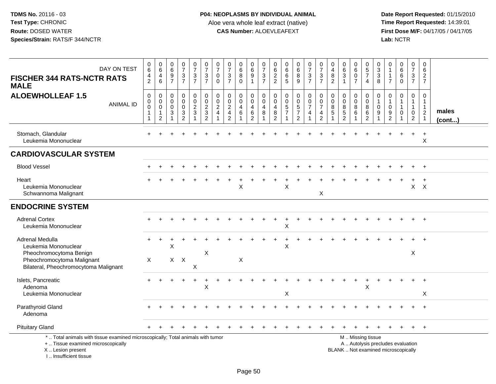| DAY ON TEST<br><b>FISCHER 344 RATS-NCTR RATS</b><br><b>MALE</b>                                                                                                       | $\begin{array}{c} 0 \\ 6 \end{array}$<br>4<br>2 | $\begin{array}{c} 0 \\ 6 \end{array}$<br>$\overline{4}$<br>$\,6\,$         | $\begin{array}{c} 0 \\ 6 \end{array}$<br>9<br>$\overline{7}$                | $\begin{smallmatrix}0\\7\end{smallmatrix}$<br>$\frac{3}{7}$            | $\frac{0}{7}$<br>$\mathbf{3}$<br>$\overline{7}$                 | $\begin{array}{c} 0 \\ 7 \end{array}$<br>$\mathbf{3}$<br>$\overline{7}$ | $\frac{0}{7}$<br>$\pmb{0}$<br>$\mathbf 0$          | $\frac{0}{7}$<br>$\frac{3}{7}$                                                       | $\begin{array}{c} 0 \\ 6 \end{array}$<br>8<br>$\mathbf 0$ | $\begin{matrix} 0 \\ 6 \end{matrix}$<br>$\boldsymbol{9}$<br>$\mathbf{1}$                 | $\frac{0}{7}$<br>$\mathsf 3$<br>$\overline{7}$ | $\begin{matrix} 0 \\ 6 \end{matrix}$<br>$\frac{2}{2}$             | $\begin{array}{c} 0 \\ 6 \end{array}$<br>$6\overline{6}$<br>5 | $\begin{array}{c} 0 \\ 6 \end{array}$<br>8<br>9                            | $\frac{0}{7}$<br>$\frac{3}{7}$                                                | $\frac{0}{7}$<br>$\sqrt{3}$<br>$\overline{7}$                                    | 0<br>4<br>$\, 8$<br>2                                  | $\begin{array}{c} 0 \\ 6 \end{array}$<br>$\overline{3}$<br>$\mathbf{1}$ | $\pmb{0}$<br>$\overline{6}$<br>$\mathbf 0$<br>$\overline{7}$ | $\begin{array}{c} 0 \\ 5 \\ 7 \end{array}$<br>$\overline{4}$                                  | $_{3}^{\rm 0}$<br>$\overline{3}$<br>8                                      | 0<br>$\mathbf{1}$<br>$\overline{1}$<br>$\overline{7}$             | $\begin{array}{c} 0 \\ 6 \end{array}$<br>6<br>$\mathbf 0$        | $\pmb{0}$<br>$\overline{7}$<br>3<br>$\overline{7}$                 | 0<br>6<br>$\overline{2}$<br>$\overline{7}$                          |                 |
|-----------------------------------------------------------------------------------------------------------------------------------------------------------------------|-------------------------------------------------|----------------------------------------------------------------------------|-----------------------------------------------------------------------------|------------------------------------------------------------------------|-----------------------------------------------------------------|-------------------------------------------------------------------------|----------------------------------------------------|--------------------------------------------------------------------------------------|-----------------------------------------------------------|------------------------------------------------------------------------------------------|------------------------------------------------|-------------------------------------------------------------------|---------------------------------------------------------------|----------------------------------------------------------------------------|-------------------------------------------------------------------------------|----------------------------------------------------------------------------------|--------------------------------------------------------|-------------------------------------------------------------------------|--------------------------------------------------------------|-----------------------------------------------------------------------------------------------|----------------------------------------------------------------------------|-------------------------------------------------------------------|------------------------------------------------------------------|--------------------------------------------------------------------|---------------------------------------------------------------------|-----------------|
| <b>ALOEWHOLLEAF 1.5</b><br><b>ANIMAL ID</b>                                                                                                                           | 0<br>$\pmb{0}$<br>$\mathbf 0$                   | $\boldsymbol{0}$<br>$\mathbf 0$<br>$\pmb{0}$<br>$\mathbf{1}$<br>$\sqrt{2}$ | $\mathbf 0$<br>$\mathbf 0$<br>$\mathbf 0$<br>$\mathbf{3}$<br>$\overline{1}$ | 0<br>$\mathsf{O}\xspace$<br>$\mathsf{O}\xspace$<br>3<br>$\overline{2}$ | $\begin{array}{c} 0 \\ 0 \\ 2 \\ 3 \end{array}$<br>$\mathbf{1}$ | 0<br>$\overline{0}$<br>$\overline{c}$<br>3<br>$\overline{2}$            | 0<br>$\pmb{0}$<br>$\overline{c}$<br>$\overline{4}$ | $\mathbf 0$<br>$\ddot{\mathbf{0}}$<br>$\sqrt{2}$<br>$\overline{4}$<br>$\overline{2}$ | 0<br>$\mathbf 0$<br>$\overline{4}$<br>$\,6\,$             | $\mathbf 0$<br>$\overline{0}$<br>$\begin{array}{c} 4 \\ 6 \end{array}$<br>$\overline{2}$ | 0<br>$\mathbf 0$<br>$\overline{4}$<br>8        | $\pmb{0}$<br>$\mathbf 0$<br>$\overline{4}$<br>8<br>$\overline{2}$ | 0<br>$\overline{0}$<br>$\frac{5}{7}$                          | 0<br>$\ddot{\mathbf{0}}$<br>$\sqrt{5}$<br>$\overline{7}$<br>$\overline{2}$ | $\begin{matrix} 0 \\ 0 \\ 7 \end{matrix}$<br>$\overline{4}$<br>$\overline{1}$ | $\mathbf 0$<br>$\mathbf 0$<br>$\overline{7}$<br>$\overline{4}$<br>$\overline{2}$ | $\mathbf 0$<br>$\mathbf 0$<br>8<br>5<br>$\overline{1}$ | 0<br>$\mathbf 0$<br>$\bf 8$<br>$\sqrt{5}$<br>$\mathfrak{p}$             | 0<br>$\mathsf{O}\xspace$<br>$\,8\,$<br>6<br>-1               | 0<br>$\ddot{\mathbf{0}}$<br>$\,8\,$<br>$\,6\,$<br>$\overline{2}$                              | $\mathbf 0$<br>$\mathbf{1}$<br>$\mathbf 0$<br>9<br>$\overline{\mathbf{1}}$ | $\mathbf 0$<br>$\mathbf{1}$<br>$\mathbf 0$<br>9<br>$\overline{2}$ | 0<br>$\mathbf{1}$<br>$\mathbf{1}$<br>$\mathbf 0$<br>$\mathbf{1}$ | 0<br>$\mathbf{1}$<br>$\mathbf{1}$<br>$\mathbf 0$<br>$\overline{2}$ | 0<br>$\mathbf{1}$<br>$\mathbf{1}$<br>$\overline{2}$<br>$\mathbf{1}$ | males<br>(cont) |
| Stomach, Glandular<br>Leukemia Mononuclear                                                                                                                            |                                                 |                                                                            |                                                                             |                                                                        |                                                                 |                                                                         |                                                    |                                                                                      |                                                           |                                                                                          |                                                |                                                                   |                                                               |                                                                            |                                                                               |                                                                                  |                                                        |                                                                         |                                                              |                                                                                               |                                                                            |                                                                   |                                                                  |                                                                    | $\ddot{}$<br>X                                                      |                 |
| <b>CARDIOVASCULAR SYSTEM</b>                                                                                                                                          |                                                 |                                                                            |                                                                             |                                                                        |                                                                 |                                                                         |                                                    |                                                                                      |                                                           |                                                                                          |                                                |                                                                   |                                                               |                                                                            |                                                                               |                                                                                  |                                                        |                                                                         |                                                              |                                                                                               |                                                                            |                                                                   |                                                                  |                                                                    |                                                                     |                 |
| <b>Blood Vessel</b>                                                                                                                                                   |                                                 |                                                                            |                                                                             |                                                                        |                                                                 |                                                                         |                                                    |                                                                                      |                                                           |                                                                                          |                                                |                                                                   |                                                               |                                                                            |                                                                               |                                                                                  |                                                        |                                                                         |                                                              |                                                                                               |                                                                            |                                                                   |                                                                  |                                                                    |                                                                     |                 |
| Heart<br>Leukemia Mononuclear<br>Schwannoma Malignant                                                                                                                 |                                                 |                                                                            |                                                                             |                                                                        |                                                                 |                                                                         |                                                    |                                                                                      | $\pmb{\times}$                                            |                                                                                          |                                                |                                                                   | X                                                             |                                                                            |                                                                               | $\sf X$                                                                          |                                                        |                                                                         |                                                              |                                                                                               |                                                                            |                                                                   |                                                                  |                                                                    | $X$ $X$                                                             |                 |
| <b>ENDOCRINE SYSTEM</b>                                                                                                                                               |                                                 |                                                                            |                                                                             |                                                                        |                                                                 |                                                                         |                                                    |                                                                                      |                                                           |                                                                                          |                                                |                                                                   |                                                               |                                                                            |                                                                               |                                                                                  |                                                        |                                                                         |                                                              |                                                                                               |                                                                            |                                                                   |                                                                  |                                                                    |                                                                     |                 |
| <b>Adrenal Cortex</b><br>Leukemia Mononuclear                                                                                                                         |                                                 |                                                                            |                                                                             |                                                                        |                                                                 |                                                                         |                                                    |                                                                                      |                                                           |                                                                                          |                                                |                                                                   | $\sf X$                                                       |                                                                            |                                                                               |                                                                                  |                                                        |                                                                         |                                                              |                                                                                               |                                                                            |                                                                   |                                                                  |                                                                    |                                                                     |                 |
| Adrenal Medulla<br>Leukemia Mononuclear<br>Pheochromocytoma Benign<br>Pheochromocytoma Malignant<br>Bilateral, Pheochromocytoma Malignant                             | $\pm$<br>X                                      |                                                                            | X                                                                           | $X$ $X$                                                                | X                                                               | X                                                                       |                                                    |                                                                                      | $\boldsymbol{\mathsf{X}}$                                 |                                                                                          |                                                |                                                                   | Χ                                                             |                                                                            |                                                                               |                                                                                  |                                                        |                                                                         |                                                              |                                                                                               |                                                                            |                                                                   |                                                                  | X                                                                  |                                                                     |                 |
| Islets, Pancreatic<br>Adenoma<br>Leukemia Mononuclear                                                                                                                 |                                                 |                                                                            |                                                                             |                                                                        | $\div$                                                          | $\ddot{}$<br>$\sf X$                                                    |                                                    |                                                                                      |                                                           |                                                                                          |                                                |                                                                   | X                                                             |                                                                            |                                                                               |                                                                                  |                                                        |                                                                         | $\ddot{}$                                                    | $\ddot{}$<br>X                                                                                |                                                                            |                                                                   |                                                                  |                                                                    | $\boldsymbol{\mathsf{X}}$                                           |                 |
| Parathyroid Gland<br>Adenoma                                                                                                                                          |                                                 |                                                                            |                                                                             |                                                                        |                                                                 |                                                                         |                                                    |                                                                                      |                                                           |                                                                                          |                                                |                                                                   |                                                               |                                                                            |                                                                               |                                                                                  |                                                        |                                                                         |                                                              |                                                                                               |                                                                            |                                                                   |                                                                  |                                                                    |                                                                     |                 |
| <b>Pituitary Gland</b>                                                                                                                                                |                                                 |                                                                            |                                                                             |                                                                        |                                                                 |                                                                         |                                                    |                                                                                      |                                                           |                                                                                          |                                                |                                                                   |                                                               |                                                                            |                                                                               |                                                                                  |                                                        |                                                                         |                                                              |                                                                                               |                                                                            |                                                                   |                                                                  |                                                                    |                                                                     |                 |
| *  Total animals with tissue examined microscopically; Total animals with tumor<br>+  Tissue examined microscopically<br>X  Lesion present<br>I., Insufficient tissue |                                                 |                                                                            |                                                                             |                                                                        |                                                                 |                                                                         |                                                    |                                                                                      |                                                           |                                                                                          |                                                |                                                                   |                                                               |                                                                            |                                                                               |                                                                                  |                                                        |                                                                         |                                                              | M  Missing tissue<br>A  Autolysis precludes evaluation<br>BLANK  Not examined microscopically |                                                                            |                                                                   |                                                                  |                                                                    |                                                                     |                 |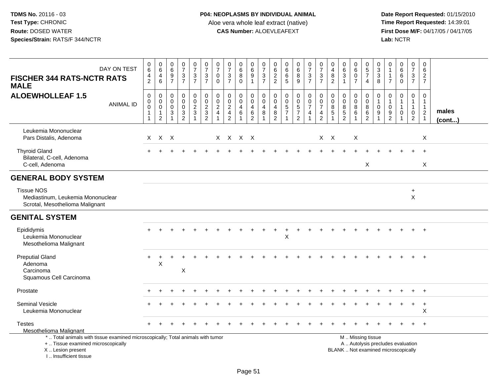| DAY ON TEST<br><b>FISCHER 344 RATS-NCTR RATS</b><br><b>MALE</b>                                                                                                     | $_{6}^{\rm 0}$<br>$\overline{4}$<br>$\overline{2}$                                       | $\begin{array}{c} 0 \\ 6 \end{array}$<br>$\overline{4}$<br>6                   | $\pmb{0}$<br>$\overline{6}$<br>$\boldsymbol{9}$<br>$\overline{7}$ | $\begin{array}{c} 0 \\ 7 \end{array}$<br>$\frac{3}{7}$           | $\frac{0}{7}$<br>3<br>$\overline{7}$                                        | $\begin{array}{c} 0 \\ 7 \end{array}$<br>$\mathbf{3}$<br>$\overline{7}$ | $\begin{array}{c} 0 \\ 7 \end{array}$<br>0<br>$\mathbf 0$  | $\frac{0}{7}$<br>$\ensuremath{\mathsf{3}}$<br>$\overline{7}$                     | $\begin{array}{c} 0 \\ 6 \end{array}$<br>$\overline{8}$<br>$\mathbf 0$ | $\begin{array}{c} 0 \\ 6 \end{array}$<br>$\boldsymbol{9}$<br>$\mathbf{1}$ | $\begin{array}{c} 0 \\ 7 \end{array}$<br>$\sqrt{3}$<br>$\overline{7}$ | 0<br>6<br>$\overline{2}$<br>$\overline{2}$                          | $\begin{array}{c} 0 \\ 6 \end{array}$<br>$\,6$<br>5                           | $\begin{array}{c} 0 \\ 6 \end{array}$<br>$\overline{8}$<br>9 | $\begin{array}{c} 0 \\ 7 \end{array}$<br>$\sqrt{3}$<br>$\overline{7}$ | $\frac{0}{7}$<br>$\sqrt{3}$<br>$\overline{7}$                                         | 0<br>4<br>8<br>$\overline{2}$       | 0<br>6<br>$\mathbf{3}$<br>$\overline{1}$                        | $_6^0$<br>$\ddot{\mathbf{0}}$<br>$\overline{7}$ | $\begin{array}{c} 0 \\ 5 \end{array}$<br>$\overline{7}$<br>$\overline{4}$                     | $\begin{smallmatrix} 0\\ 3\\ 3 \end{smallmatrix}$<br>8                     | 0<br>$\mathbf{1}$<br>$\mathbf{1}$<br>$\overline{7}$               | $\begin{array}{c} 0 \\ 6 \end{array}$<br>$\,6\,$<br>$\Omega$         | $\frac{0}{7}$<br>$\ensuremath{\mathsf{3}}$<br>$\overline{7}$       | $\mathbf 0$<br>6<br>$\overline{2}$<br>$\overline{7}$                          |                       |
|---------------------------------------------------------------------------------------------------------------------------------------------------------------------|------------------------------------------------------------------------------------------|--------------------------------------------------------------------------------|-------------------------------------------------------------------|------------------------------------------------------------------|-----------------------------------------------------------------------------|-------------------------------------------------------------------------|------------------------------------------------------------|----------------------------------------------------------------------------------|------------------------------------------------------------------------|---------------------------------------------------------------------------|-----------------------------------------------------------------------|---------------------------------------------------------------------|-------------------------------------------------------------------------------|--------------------------------------------------------------|-----------------------------------------------------------------------|---------------------------------------------------------------------------------------|-------------------------------------|-----------------------------------------------------------------|-------------------------------------------------|-----------------------------------------------------------------------------------------------|----------------------------------------------------------------------------|-------------------------------------------------------------------|----------------------------------------------------------------------|--------------------------------------------------------------------|-------------------------------------------------------------------------------|-----------------------|
| <b>ALOEWHOLLEAF 1.5</b><br><b>ANIMAL ID</b>                                                                                                                         | $\pmb{0}$<br>$\begin{smallmatrix}0\0\0\end{smallmatrix}$<br>$\mathbf{1}$<br>$\mathbf{1}$ | $\mathbf 0$<br>$\mathsf{O}\xspace$<br>$\mathsf{O}\xspace$<br>$\mathbf{1}$<br>2 | 0<br>0<br>$\mathbf 0$<br>$\mathbf{3}$<br>$\overline{1}$           | $\mathbf 0$<br>$\mathsf{O}\xspace$<br>$\pmb{0}$<br>$\frac{3}{2}$ | 0<br>$\overline{0}$<br>$\boldsymbol{2}$<br>$\mathfrak{S}$<br>$\overline{1}$ | $\pmb{0}$<br>$\overline{0}$<br>$\overline{c}$<br>3<br>$\overline{2}$    | 0<br>$\overline{0}$<br>$\overline{c}$<br>4<br>$\mathbf{1}$ | $\mathbf 0$<br>$\mathbf 0$<br>$\overline{c}$<br>$\overline{4}$<br>$\overline{2}$ | 0<br>$\mathbf 0$<br>$\overline{4}$<br>6                                | $\mathbf 0$<br>$\mathsf{O}\xspace$<br>4<br>$\,6\,$<br>$\overline{2}$      | 0<br>$\mathbf 0$<br>4<br>8<br>$\overline{1}$                          | $\mathbf 0$<br>$\mathbf 0$<br>$\overline{4}$<br>8<br>$\overline{2}$ | $\mathbf 0$<br>$\mathbf 0$<br>$\mathbf 5$<br>$\boldsymbol{7}$<br>$\mathbf{1}$ | 0<br>$\overline{0}$<br>$\frac{5}{7}$<br>$\overline{2}$       | 0<br>$\frac{0}{7}$<br>4<br>$\overline{1}$                             | $\begin{smallmatrix} 0\\0 \end{smallmatrix}$<br>$\overline{7}$<br>4<br>$\overline{2}$ | 0<br>$\mathbf 0$<br>8<br>$\sqrt{5}$ | $\mathbf 0$<br>$\mathbf 0$<br>8<br>$\sqrt{5}$<br>$\overline{2}$ | 0<br>$\mathbf 0$<br>8<br>6<br>$\mathbf 1$       | 0<br>$\mathsf{O}\xspace$<br>$\,8\,$<br>$\,6\,$<br>$\overline{2}$                              | $\pmb{0}$<br>$\mathbf{1}$<br>$\boldsymbol{0}$<br>9<br>$\blacktriangleleft$ | $\mathbf 0$<br>$\mathbf{1}$<br>$\mathbf 0$<br>9<br>$\overline{2}$ | $\mathbf 0$<br>$\overline{1}$<br>$\mathbf{1}$<br>0<br>$\overline{1}$ | 0<br>$\mathbf{1}$<br>$\mathbf{1}$<br>$\mathbf 0$<br>$\overline{2}$ | $\mathbf 0$<br>$\mathbf{1}$<br>$\mathbf{1}$<br>$\overline{2}$<br>$\mathbf{1}$ | males<br>$($ cont $)$ |
| Leukemia Mononuclear<br>Pars Distalis, Adenoma                                                                                                                      | X                                                                                        | $X$ $X$                                                                        |                                                                   |                                                                  |                                                                             |                                                                         |                                                            | X X X X                                                                          |                                                                        |                                                                           |                                                                       |                                                                     |                                                                               |                                                              |                                                                       | $X$ $X$                                                                               |                                     |                                                                 | X                                               |                                                                                               |                                                                            |                                                                   |                                                                      |                                                                    | X                                                                             |                       |
| <b>Thyroid Gland</b><br>Bilateral, C-cell, Adenoma<br>C-cell, Adenoma                                                                                               |                                                                                          |                                                                                |                                                                   |                                                                  |                                                                             |                                                                         |                                                            |                                                                                  |                                                                        |                                                                           |                                                                       |                                                                     |                                                                               |                                                              |                                                                       |                                                                                       |                                     |                                                                 |                                                 | X                                                                                             |                                                                            |                                                                   |                                                                      |                                                                    | $+$<br>$\boldsymbol{\mathsf{X}}$                                              |                       |
| <b>GENERAL BODY SYSTEM</b>                                                                                                                                          |                                                                                          |                                                                                |                                                                   |                                                                  |                                                                             |                                                                         |                                                            |                                                                                  |                                                                        |                                                                           |                                                                       |                                                                     |                                                                               |                                                              |                                                                       |                                                                                       |                                     |                                                                 |                                                 |                                                                                               |                                                                            |                                                                   |                                                                      |                                                                    |                                                                               |                       |
| <b>Tissue NOS</b><br>Mediastinum, Leukemia Mononuclear<br>Scrotal, Mesothelioma Malignant                                                                           |                                                                                          |                                                                                |                                                                   |                                                                  |                                                                             |                                                                         |                                                            |                                                                                  |                                                                        |                                                                           |                                                                       |                                                                     |                                                                               |                                                              |                                                                       |                                                                                       |                                     |                                                                 |                                                 |                                                                                               |                                                                            |                                                                   |                                                                      | $\ddot{}$<br>$\pmb{\times}$                                        |                                                                               |                       |
| <b>GENITAL SYSTEM</b>                                                                                                                                               |                                                                                          |                                                                                |                                                                   |                                                                  |                                                                             |                                                                         |                                                            |                                                                                  |                                                                        |                                                                           |                                                                       |                                                                     |                                                                               |                                                              |                                                                       |                                                                                       |                                     |                                                                 |                                                 |                                                                                               |                                                                            |                                                                   |                                                                      |                                                                    |                                                                               |                       |
| Epididymis<br>Leukemia Mononuclear<br>Mesothelioma Malignant                                                                                                        |                                                                                          |                                                                                |                                                                   |                                                                  |                                                                             |                                                                         |                                                            |                                                                                  |                                                                        |                                                                           |                                                                       |                                                                     | X                                                                             |                                                              |                                                                       |                                                                                       |                                     |                                                                 |                                                 |                                                                                               |                                                                            |                                                                   |                                                                      |                                                                    | $\overline{1}$                                                                |                       |
| <b>Preputial Gland</b><br>Adenoma<br>Carcinoma<br>Squamous Cell Carcinoma                                                                                           | $+$                                                                                      | +<br>X                                                                         |                                                                   | X                                                                |                                                                             |                                                                         |                                                            |                                                                                  |                                                                        |                                                                           |                                                                       |                                                                     |                                                                               |                                                              |                                                                       |                                                                                       |                                     |                                                                 |                                                 |                                                                                               |                                                                            |                                                                   |                                                                      |                                                                    | $\overline{1}$                                                                |                       |
| Prostate                                                                                                                                                            |                                                                                          |                                                                                |                                                                   |                                                                  |                                                                             |                                                                         |                                                            |                                                                                  |                                                                        |                                                                           |                                                                       |                                                                     |                                                                               |                                                              |                                                                       |                                                                                       |                                     |                                                                 |                                                 |                                                                                               |                                                                            |                                                                   |                                                                      |                                                                    |                                                                               |                       |
| Seminal Vesicle<br>Leukemia Mononuclear                                                                                                                             |                                                                                          |                                                                                |                                                                   |                                                                  |                                                                             |                                                                         |                                                            |                                                                                  |                                                                        |                                                                           |                                                                       |                                                                     |                                                                               |                                                              |                                                                       |                                                                                       |                                     |                                                                 |                                                 |                                                                                               |                                                                            |                                                                   |                                                                      | $\ddot{}$                                                          | $\overline{1}$<br>X                                                           |                       |
| <b>Testes</b><br><b>Mesothelioma Malignant</b>                                                                                                                      |                                                                                          |                                                                                |                                                                   |                                                                  |                                                                             |                                                                         |                                                            |                                                                                  |                                                                        |                                                                           |                                                                       |                                                                     |                                                                               |                                                              |                                                                       |                                                                                       |                                     |                                                                 |                                                 |                                                                                               |                                                                            |                                                                   |                                                                      |                                                                    |                                                                               |                       |
| *  Total animals with tissue examined microscopically; Total animals with tumor<br>+  Tissue examined microscopically<br>X  Lesion present<br>I Insufficient tissue |                                                                                          |                                                                                |                                                                   |                                                                  |                                                                             |                                                                         |                                                            |                                                                                  |                                                                        |                                                                           |                                                                       |                                                                     |                                                                               |                                                              |                                                                       |                                                                                       |                                     |                                                                 |                                                 | M  Missing tissue<br>A  Autolysis precludes evaluation<br>BLANK  Not examined microscopically |                                                                            |                                                                   |                                                                      |                                                                    |                                                                               |                       |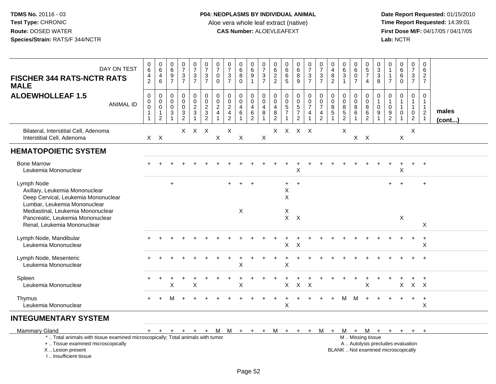| DAY ON TEST<br><b>FISCHER 344 RATS-NCTR RATS</b><br><b>MALE</b>                                                                                          | $\pmb{0}$<br>$\overline{6}$<br>$\frac{4}{2}$                                | $\begin{array}{c} 0 \\ 6 \end{array}$<br>$\overline{4}$<br>6           | $\begin{array}{c} 0 \\ 6 \end{array}$<br>$\boldsymbol{9}$<br>$\overline{7}$    | $\frac{0}{7}$<br>$\frac{3}{7}$                         | $\begin{smallmatrix}0\\7\end{smallmatrix}$<br>$\frac{3}{7}$ | $\begin{smallmatrix}0\\7\end{smallmatrix}$<br>$\frac{3}{7}$   | $\frac{0}{7}$<br>$\mathbf 0$<br>$\Omega$                            | $\frac{0}{7}$<br>$\frac{3}{7}$                 | $\mathbf 0$<br>$\overline{6}$<br>8<br>$\Omega$    | $\begin{array}{c} 0 \\ 6 \\ 9 \\ 1 \end{array}$        | $\frac{0}{7}$<br>$\frac{3}{7}$                        | $062$<br>22                                                                        | $\begin{array}{c} 0 \\ 6 \end{array}$<br>$\,6\,$<br>5               | $\begin{array}{c} 0 \\ 6 \end{array}$<br>$\bf 8$<br>$\overline{9}$ | $\begin{array}{c} 0 \\ 7 \end{array}$<br>$\frac{3}{7}$ | $\frac{0}{7}$<br>$\frac{3}{7}$                                                                  | $\pmb{0}$<br>$\overline{\mathbf{4}}$<br>8<br>$\overline{c}$ | $\boldsymbol{0}$<br>$\overline{6}$<br>$\sqrt{3}$<br>$\mathbf{1}$ | 0<br>$6\overline{6}$<br>$\mathbf 0$<br>$\overline{7}$ | $\pmb{0}$<br>$rac{5}{7}$<br>$\overline{4}$                               | 0<br>$\overline{3}$<br>$\mathfrak{S}$<br>8 | 0<br>$\mathbf{1}$<br>1<br>$\overline{7}$          | $\begin{array}{c} 0 \\ 6 \end{array}$<br>$\,6\,$<br>$\Omega$ | $\mathbf 0$<br>$\overline{7}$<br>$\frac{3}{7}$                             | $\pmb{0}$<br>$\,6\,$<br>$\frac{2}{7}$                                       |                 |
|----------------------------------------------------------------------------------------------------------------------------------------------------------|-----------------------------------------------------------------------------|------------------------------------------------------------------------|--------------------------------------------------------------------------------|--------------------------------------------------------|-------------------------------------------------------------|---------------------------------------------------------------|---------------------------------------------------------------------|------------------------------------------------|---------------------------------------------------|--------------------------------------------------------|-------------------------------------------------------|------------------------------------------------------------------------------------|---------------------------------------------------------------------|--------------------------------------------------------------------|--------------------------------------------------------|-------------------------------------------------------------------------------------------------|-------------------------------------------------------------|------------------------------------------------------------------|-------------------------------------------------------|--------------------------------------------------------------------------|--------------------------------------------|---------------------------------------------------|--------------------------------------------------------------|----------------------------------------------------------------------------|-----------------------------------------------------------------------------|-----------------|
| <b>ALOEWHOLLEAF 1.5</b><br><b>ANIMAL ID</b>                                                                                                              | $\mathbf 0$<br>$\mathbf 0$<br>$\mathbf 0$<br>$\mathbf{1}$<br>$\overline{1}$ | 0<br>$\boldsymbol{0}$<br>$\mathbf 0$<br>$\mathbf{1}$<br>$\overline{c}$ | 0<br>$\mathbf 0$<br>$\mathbf 0$<br>$\ensuremath{\mathsf{3}}$<br>$\overline{1}$ | $\mathbf 0$<br>$\pmb{0}$<br>$\pmb{0}$<br>$\frac{3}{2}$ | $\mathbf 0$<br>$\mathsf{O}\xspace$<br>$\frac{2}{3}$         | $\mathbf 0$<br>$\mathbf 0$<br>$\frac{2}{3}$<br>$\overline{c}$ | $\mathbf 0$<br>$\mathbf 0$<br>$\overline{2}$<br>$\overline{4}$<br>1 | $\mathbf 0$<br>$\overline{0}$<br>$\frac{2}{4}$ | $\mathbf 0$<br>$\mathbf 0$<br>$\overline{4}$<br>6 | 0<br>$\overline{0}$<br>$\overline{4}$<br>$\frac{6}{2}$ | 0<br>$\overline{0}$<br>$\overline{4}$<br>$\bf 8$<br>1 | $\mathbf 0$<br>$\mathbf 0$<br>$\overline{\mathbf{4}}$<br>$\,8\,$<br>$\overline{2}$ | $\mathbf 0$<br>$\ddot{\mathbf{0}}$<br>$\frac{5}{7}$<br>$\mathbf{1}$ | 0<br>$\frac{0}{5}$<br>$\overline{7}$<br>$\overline{c}$             | 0<br>$\frac{0}{7}$<br>$\overline{4}$                   | $\pmb{0}$<br>$\ddot{\mathbf{0}}$<br>$\overline{7}$<br>$\overline{\mathbf{4}}$<br>$\overline{c}$ | 0<br>$\mathbf 0$<br>$\bf 8$<br>$\sqrt{5}$                   | $\mathbf 0$<br>$\mathsf 0$<br>$\bf 8$<br>$\frac{5}{2}$           | 0<br>$\pmb{0}$<br>8<br>$\,6\,$<br>$\mathbf{1}$        | $\mathbf 0$<br>$\mathbf 0$<br>8<br>$\,6\,$<br>$\sqrt{2}$                 | $\mathbf 0$<br>1<br>$\mathbf 0$<br>9       | $\mathbf 0$<br>$\mathbf{1}$<br>0<br>$\frac{9}{2}$ | $\mathbf 0$<br>1<br>1<br>$\mathbf 0$                         | $\mathbf 0$<br>$\mathbf{1}$<br>$\overline{1}$<br>$\mathbf 0$<br>$\sqrt{2}$ | $\mathbf 0$<br>$\overline{1}$<br>$\mathbf{1}$<br>$\sqrt{2}$<br>$\mathbf{1}$ | males<br>(cont) |
| Bilateral, Interstitial Cell, Adenoma<br>Interstitial Cell, Adenoma                                                                                      |                                                                             | $X$ $X$                                                                |                                                                                |                                                        | $X$ $X$ $X$                                                 |                                                               | $\boldsymbol{\mathsf{X}}$                                           | $\pmb{\times}$                                 | X                                                 |                                                        | X                                                     | X                                                                                  |                                                                     | X X X                                                              |                                                        |                                                                                                 |                                                             | X                                                                |                                                       | $X$ $X$                                                                  |                                            |                                                   | X                                                            | X                                                                          |                                                                             |                 |
| <b>HEMATOPOIETIC SYSTEM</b>                                                                                                                              |                                                                             |                                                                        |                                                                                |                                                        |                                                             |                                                               |                                                                     |                                                |                                                   |                                                        |                                                       |                                                                                    |                                                                     |                                                                    |                                                        |                                                                                                 |                                                             |                                                                  |                                                       |                                                                          |                                            |                                                   |                                                              |                                                                            |                                                                             |                 |
| <b>Bone Marrow</b><br>Leukemia Mononuclear                                                                                                               |                                                                             |                                                                        |                                                                                |                                                        |                                                             |                                                               |                                                                     |                                                |                                                   |                                                        |                                                       |                                                                                    |                                                                     | Χ                                                                  |                                                        |                                                                                                 |                                                             |                                                                  |                                                       |                                                                          |                                            |                                                   | X                                                            |                                                                            |                                                                             |                 |
| Lymph Node<br>Axillary, Leukemia Mononuclear<br>Deep Cervical, Leukemia Mononuclear<br>Lumbar, Leukemia Mononuclear<br>Mediastinal, Leukemia Mononuclear |                                                                             |                                                                        | $+$                                                                            |                                                        |                                                             |                                                               |                                                                     |                                                | $\overline{+}$<br>X                               | $\overline{+}$                                         |                                                       |                                                                                    | $+$<br>X<br>X<br>X                                                  | $+$                                                                |                                                        |                                                                                                 |                                                             |                                                                  |                                                       |                                                                          |                                            | $+$                                               | $\overline{+}$                                               |                                                                            | $\ddot{}$                                                                   |                 |
| Pancreatic, Leukemia Mononuclear<br>Renal, Leukemia Mononuclear                                                                                          |                                                                             |                                                                        |                                                                                |                                                        |                                                             |                                                               |                                                                     |                                                |                                                   |                                                        |                                                       |                                                                                    | $\mathsf{X}$                                                        | $\mathsf{X}$                                                       |                                                        |                                                                                                 |                                                             |                                                                  |                                                       |                                                                          |                                            |                                                   | X                                                            |                                                                            | X                                                                           |                 |
| Lymph Node, Mandibular<br>Leukemia Mononuclear                                                                                                           |                                                                             |                                                                        |                                                                                |                                                        |                                                             |                                                               |                                                                     |                                                |                                                   |                                                        |                                                       |                                                                                    | X                                                                   | $\times$                                                           |                                                        |                                                                                                 |                                                             |                                                                  |                                                       |                                                                          |                                            |                                                   |                                                              |                                                                            | $\ddot{}$<br>X                                                              |                 |
| Lymph Node, Mesenteric<br>Leukemia Mononuclear                                                                                                           |                                                                             |                                                                        |                                                                                |                                                        |                                                             |                                                               |                                                                     |                                                | $\overline{\mathsf{x}}$                           |                                                        |                                                       |                                                                                    | $\times$                                                            |                                                                    |                                                        |                                                                                                 |                                                             |                                                                  |                                                       |                                                                          |                                            |                                                   |                                                              |                                                                            |                                                                             |                 |
| Spleen<br>Leukemia Mononuclear                                                                                                                           |                                                                             |                                                                        | X                                                                              |                                                        | $\sf X$                                                     |                                                               |                                                                     |                                                | X                                                 |                                                        |                                                       |                                                                                    | X                                                                   | $\boldsymbol{\mathsf{X}}$                                          | $\mathsf{X}$                                           |                                                                                                 |                                                             |                                                                  |                                                       | $\pmb{\times}$                                                           |                                            |                                                   | X                                                            |                                                                            | $X$ $X$                                                                     |                 |
| Thymus<br>Leukemia Mononuclear                                                                                                                           |                                                                             |                                                                        |                                                                                |                                                        |                                                             |                                                               |                                                                     |                                                |                                                   |                                                        |                                                       |                                                                                    | X                                                                   |                                                                    |                                                        |                                                                                                 |                                                             | м                                                                | м                                                     |                                                                          |                                            |                                                   |                                                              | $\ddot{}$                                                                  | $\ddot{}$<br>X                                                              |                 |
| <b>INTEGUMENTARY SYSTEM</b>                                                                                                                              |                                                                             |                                                                        |                                                                                |                                                        |                                                             |                                                               |                                                                     |                                                |                                                   |                                                        |                                                       |                                                                                    |                                                                     |                                                                    |                                                        |                                                                                                 |                                                             |                                                                  |                                                       |                                                                          |                                            |                                                   |                                                              |                                                                            |                                                                             |                 |
| <b>Mammary Gland</b><br>*  Total animals with tissue examined microscopically; Total animals with tumor                                                  | $+$                                                                         | $+$                                                                    | $+$                                                                            | $+$                                                    | $+$                                                         | $+$                                                           |                                                                     | $M M + + +$                                    |                                                   |                                                        |                                                       | M +                                                                                |                                                                     | $+$                                                                |                                                        | + M                                                                                             | $+$                                                         |                                                                  |                                                       | $M + M + + +$<br>M  Missing tissue                                       |                                            |                                                   |                                                              | $+$                                                                        | $+$                                                                         |                 |
| +  Tissue examined microscopically<br>X  Lesion present<br>I., Insufficient tissue                                                                       |                                                                             |                                                                        |                                                                                |                                                        |                                                             |                                                               |                                                                     |                                                |                                                   |                                                        |                                                       |                                                                                    |                                                                     |                                                                    |                                                        |                                                                                                 |                                                             |                                                                  |                                                       | A  Autolysis precludes evaluation<br>BLANK  Not examined microscopically |                                            |                                                   |                                                              |                                                                            |                                                                             |                 |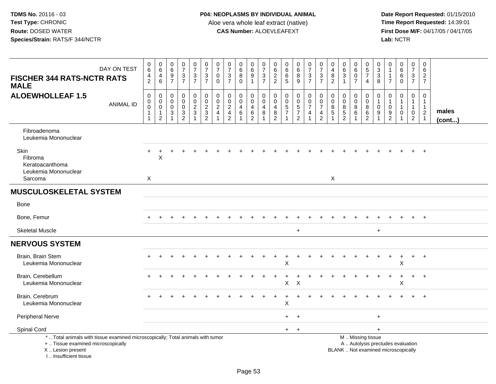| DAY ON TEST<br><b>FISCHER 344 RATS-NCTR RATS</b><br><b>MALE</b>                                                                                                     | $_6^0$<br>$\overline{4}$<br>$\overline{2}$                      | $\begin{array}{c} 0 \\ 6 \end{array}$<br>$\overline{\mathbf{4}}$<br>$\,6\,$ | $\begin{array}{c} 0 \\ 6 \end{array}$<br>$\frac{9}{7}$                                                | $\frac{0}{7}$<br>$\frac{3}{7}$                           | $\begin{array}{c} 0 \\ 7 \end{array}$<br>$\frac{3}{7}$            | $\begin{array}{c} 0 \\ 7 \end{array}$<br>$\frac{3}{7}$ | $\frac{0}{7}$<br>$\mathbf 0$<br>$\mathbf 0$            | $\frac{0}{7}$<br>$\ensuremath{\mathsf{3}}$<br>$\overline{7}$ | $_{6}^{\rm 0}$<br>$\overline{8}$<br>$\mathbf 0$ | $_{6}^{\rm 0}$<br>$\overline{9}$<br>$\mathbf{1}$             | $\frac{0}{7}$<br>$\frac{3}{7}$                              | 0<br>6<br>$\sqrt{2}$<br>$\overline{2}$                                  | $\pmb{0}$<br>$\,6\,$<br>$\,6\,$<br>5                                     | $\begin{array}{c} 0 \\ 6 \end{array}$<br>$\bf 8$<br>9                  | $\begin{array}{c} 0 \\ 7 \end{array}$<br>$\frac{3}{7}$ | $\frac{0}{7}$<br>$\ensuremath{\mathsf{3}}$<br>$\overline{7}$ | $\mathbf 0$<br>$\overline{\mathbf{4}}$<br>$\bf 8$<br>$\overline{2}$ | $\mathbf 0$<br>$\overline{6}$<br>$\overline{3}$<br>$\overline{1}$ | $\begin{array}{c} 0 \\ 6 \end{array}$<br>$\overline{0}$<br>$\overline{7}$ | $\begin{array}{c} 0 \\ 5 \\ 7 \end{array}$<br>$\overline{4}$ | 0<br>$_3^3$<br>8                     | $\mathbf 0$<br>$\mathbf{1}$<br>$\mathbf 1$<br>$\overline{7}$ | $\begin{array}{c} 0 \\ 6 \end{array}$<br>$6\phantom{a}$<br>$\mathbf 0$   | $\pmb{0}$<br>$\boldsymbol{7}$<br>$\frac{3}{7}$                                 | $\mathbf 0$<br>6<br>$\sqrt{2}$<br>$\overline{7}$             |                       |
|---------------------------------------------------------------------------------------------------------------------------------------------------------------------|-----------------------------------------------------------------|-----------------------------------------------------------------------------|-------------------------------------------------------------------------------------------------------|----------------------------------------------------------|-------------------------------------------------------------------|--------------------------------------------------------|--------------------------------------------------------|--------------------------------------------------------------|-------------------------------------------------|--------------------------------------------------------------|-------------------------------------------------------------|-------------------------------------------------------------------------|--------------------------------------------------------------------------|------------------------------------------------------------------------|--------------------------------------------------------|--------------------------------------------------------------|---------------------------------------------------------------------|-------------------------------------------------------------------|---------------------------------------------------------------------------|--------------------------------------------------------------|--------------------------------------|--------------------------------------------------------------|--------------------------------------------------------------------------|--------------------------------------------------------------------------------|--------------------------------------------------------------|-----------------------|
| <b>ALOEWHOLLEAF 1.5</b><br><b>ANIMAL ID</b>                                                                                                                         | $\mathsf 0$<br>0<br>$\mathbf 0$<br>$\mathbf{1}$<br>$\mathbf{1}$ | $\mathbf 0$<br>$\mathbf 0$<br>$\mathbf 0$<br>$\mathbf{1}$<br>$\overline{c}$ | $\mathsf{O}\xspace$<br>$\boldsymbol{0}$<br>$\mathbf 0$<br>$\ensuremath{\mathsf{3}}$<br>$\overline{1}$ | $\mathsf 0$<br>$\mathsf 0$<br>$\pmb{0}$<br>$\frac{3}{2}$ | $\begin{array}{c} 0 \\ 0 \\ 2 \\ 3 \end{array}$<br>$\overline{1}$ | 00023                                                  | 0<br>$\mathbf 0$<br>$\boldsymbol{2}$<br>$\overline{4}$ | $\pmb{0}$<br>$\pmb{0}$<br>$\frac{2}{4}$                      | 0<br>$\mathsf{O}\xspace$<br>$\overline{4}$<br>6 | $\pmb{0}$<br>$\mathsf{O}\xspace$<br>$\overline{4}$<br>$^6_2$ | $\mathbf 0$<br>$\boldsymbol{0}$<br>$\overline{a}$<br>$\, 8$ | 0<br>$\mathbf 0$<br>4<br>$\begin{smallmatrix} 8 \\ 2 \end{smallmatrix}$ | $\pmb{0}$<br>$\mathbf 0$<br>$\sqrt{5}$<br>$\overline{7}$<br>$\mathbf{1}$ | 0<br>$\mathbf 0$<br>$\overline{5}$<br>$\overline{7}$<br>$\overline{2}$ | 0<br>$\mathsf{O}\xspace$<br>$\overline{7}$<br>4<br>1   | $\mathbf 0$<br>$\frac{0}{7}$<br>$\frac{4}{2}$                | $\mathbf 0$<br>$\mathbf 0$<br>8<br>$\sqrt{5}$                       | $\mathbf 0$<br>$\mathbf 0$<br>8<br>$\frac{5}{2}$                  | 0<br>$\pmb{0}$<br>$\,8\,$<br>$\,6$<br>$\mathbf{1}$                        | $\mathbf 0$<br>$\pmb{0}$<br>8<br>$\,6$<br>$\boldsymbol{2}$   | $\mathbf 0$<br>1<br>$\mathbf 0$<br>9 | $\mathbf 0$<br>$\mathbf{1}$<br>$\mathbf 0$<br>$\frac{9}{2}$  | $\mathbf 0$<br>$\mathbf{1}$<br>$\mathbf 0$                               | $\mathbf 0$<br>$\overline{1}$<br>$\mathbf{1}$<br>$\mathbf 0$<br>$\overline{2}$ | $\mathbf 0$<br>$\mathbf{1}$<br>$\mathbf{1}$<br>$\frac{2}{1}$ | males<br>$($ cont $)$ |
| Fibroadenoma<br>Leukemia Mononuclear                                                                                                                                |                                                                 |                                                                             |                                                                                                       |                                                          |                                                                   |                                                        |                                                        |                                                              |                                                 |                                                              |                                                             |                                                                         |                                                                          |                                                                        |                                                        |                                                              |                                                                     |                                                                   |                                                                           |                                                              |                                      |                                                              |                                                                          |                                                                                |                                                              |                       |
| Skin<br>Fibroma<br>Keratoacanthoma<br>Leukemia Mononuclear<br>Sarcoma                                                                                               | $\boldsymbol{X}$                                                | $\sf X$                                                                     |                                                                                                       |                                                          |                                                                   |                                                        |                                                        |                                                              |                                                 |                                                              |                                                             |                                                                         |                                                                          |                                                                        |                                                        |                                                              | X                                                                   |                                                                   |                                                                           |                                                              |                                      |                                                              |                                                                          |                                                                                | $\ddot{}$                                                    |                       |
| <b>MUSCULOSKELETAL SYSTEM</b>                                                                                                                                       |                                                                 |                                                                             |                                                                                                       |                                                          |                                                                   |                                                        |                                                        |                                                              |                                                 |                                                              |                                                             |                                                                         |                                                                          |                                                                        |                                                        |                                                              |                                                                     |                                                                   |                                                                           |                                                              |                                      |                                                              |                                                                          |                                                                                |                                                              |                       |
| <b>Bone</b>                                                                                                                                                         |                                                                 |                                                                             |                                                                                                       |                                                          |                                                                   |                                                        |                                                        |                                                              |                                                 |                                                              |                                                             |                                                                         |                                                                          |                                                                        |                                                        |                                                              |                                                                     |                                                                   |                                                                           |                                                              |                                      |                                                              |                                                                          |                                                                                |                                                              |                       |
| Bone, Femur                                                                                                                                                         |                                                                 |                                                                             |                                                                                                       |                                                          |                                                                   |                                                        |                                                        |                                                              |                                                 |                                                              |                                                             |                                                                         |                                                                          |                                                                        |                                                        |                                                              |                                                                     |                                                                   |                                                                           |                                                              |                                      |                                                              |                                                                          | $+$                                                                            | $+$                                                          |                       |
| <b>Skeletal Muscle</b>                                                                                                                                              |                                                                 |                                                                             |                                                                                                       |                                                          |                                                                   |                                                        |                                                        |                                                              |                                                 |                                                              |                                                             |                                                                         |                                                                          | $\ddot{}$                                                              |                                                        |                                                              |                                                                     |                                                                   |                                                                           |                                                              | $\ddot{}$                            |                                                              |                                                                          |                                                                                |                                                              |                       |
| <b>NERVOUS SYSTEM</b>                                                                                                                                               |                                                                 |                                                                             |                                                                                                       |                                                          |                                                                   |                                                        |                                                        |                                                              |                                                 |                                                              |                                                             |                                                                         |                                                                          |                                                                        |                                                        |                                                              |                                                                     |                                                                   |                                                                           |                                                              |                                      |                                                              |                                                                          |                                                                                |                                                              |                       |
| Brain, Brain Stem<br>Leukemia Mononuclear                                                                                                                           |                                                                 |                                                                             |                                                                                                       |                                                          |                                                                   |                                                        |                                                        |                                                              |                                                 |                                                              |                                                             |                                                                         | X                                                                        |                                                                        |                                                        |                                                              |                                                                     |                                                                   |                                                                           |                                                              |                                      | $\div$                                                       | $\div$<br>X                                                              | $+$                                                                            | $+$                                                          |                       |
| Brain, Cerebellum<br>Leukemia Mononuclear                                                                                                                           |                                                                 |                                                                             |                                                                                                       |                                                          |                                                                   |                                                        |                                                        |                                                              |                                                 |                                                              |                                                             |                                                                         | X                                                                        | $\boldsymbol{\mathsf{X}}$                                              |                                                        |                                                              |                                                                     |                                                                   |                                                                           |                                                              |                                      |                                                              | X                                                                        |                                                                                | $\div$                                                       |                       |
| Brain, Cerebrum<br>Leukemia Mononuclear                                                                                                                             |                                                                 |                                                                             |                                                                                                       |                                                          |                                                                   |                                                        |                                                        |                                                              |                                                 |                                                              |                                                             |                                                                         | X                                                                        |                                                                        |                                                        |                                                              |                                                                     |                                                                   |                                                                           |                                                              |                                      |                                                              |                                                                          |                                                                                |                                                              |                       |
| Peripheral Nerve                                                                                                                                                    |                                                                 |                                                                             |                                                                                                       |                                                          |                                                                   |                                                        |                                                        |                                                              |                                                 |                                                              |                                                             |                                                                         | $+$                                                                      | $+$                                                                    |                                                        |                                                              |                                                                     |                                                                   |                                                                           |                                                              | $\ddot{}$                            |                                                              |                                                                          |                                                                                |                                                              |                       |
| Spinal Cord                                                                                                                                                         |                                                                 |                                                                             |                                                                                                       |                                                          |                                                                   |                                                        |                                                        |                                                              |                                                 |                                                              |                                                             |                                                                         | $+$                                                                      | $+$                                                                    |                                                        |                                                              |                                                                     |                                                                   |                                                                           |                                                              | $+$                                  |                                                              |                                                                          |                                                                                |                                                              |                       |
| *  Total animals with tissue examined microscopically; Total animals with tumor<br>+  Tissue examined microscopically<br>X  Lesion present<br>I Insufficient tissue |                                                                 |                                                                             |                                                                                                       |                                                          |                                                                   |                                                        |                                                        |                                                              |                                                 |                                                              |                                                             |                                                                         |                                                                          |                                                                        |                                                        |                                                              |                                                                     |                                                                   |                                                                           | M  Missing tissue                                            |                                      |                                                              | A  Autolysis precludes evaluation<br>BLANK  Not examined microscopically |                                                                                |                                                              |                       |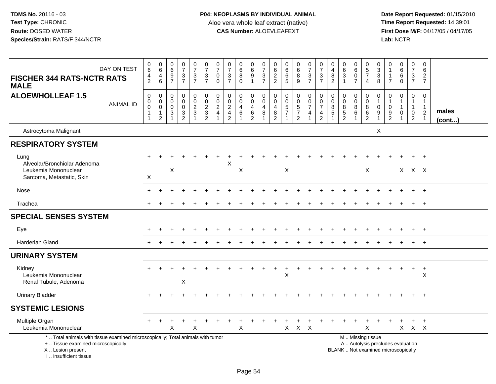| DAY ON TEST<br><b>FISCHER 344 RATS-NCTR RATS</b><br><b>MALE</b>                                                                                                      | $_{6}^{\rm 0}$<br>$\frac{4}{2}$                           | $\begin{array}{c} 0 \\ 6 \end{array}$<br>$\overline{4}$<br>6            | $\begin{array}{c} 0 \\ 6 \end{array}$<br>$\frac{9}{7}$        | $\frac{0}{7}$<br>$\frac{3}{7}$                             | $\frac{0}{7}$<br>$\frac{3}{7}$                                 | $\begin{array}{c} 0 \\ 7 \end{array}$<br>$\frac{3}{7}$ | $\frac{0}{7}$<br>$\pmb{0}$<br>$\mathbf 0$                   | $\begin{array}{c} 0 \\ 7 \end{array}$<br>$\frac{3}{7}$                                        | $\begin{array}{c} 0 \\ 6 \end{array}$<br>$\bf 8$<br>$\Omega$            | $\begin{array}{c} 0 \\ 6 \end{array}$<br>$\overline{9}$<br>$\mathbf{1}$ | $\begin{array}{c} 0 \\ 7 \end{array}$<br>$\frac{3}{7}$      | $\begin{array}{c} 0 \\ 6 \end{array}$<br>$\frac{2}{2}$ | 0<br>$6\overline{6}$<br>$\,6\,$<br>5                             | $\begin{array}{c} 0 \\ 6 \end{array}$<br>$\overline{8}$<br>9      | $\begin{array}{c} 0 \\ 7 \end{array}$<br>$rac{3}{7}$      | $\frac{0}{7}$<br>$\frac{3}{7}$                                                                   | $\pmb{0}$<br>$\overline{4}$<br>$\bf 8$<br>$\overline{2}$                   | $\mathbf 0$<br>$\,6\,$<br>$\ensuremath{\mathsf{3}}$<br>$\overline{1}$ | $\begin{array}{c} 0 \\ 6 \end{array}$<br>$\ddot{\mathbf{0}}$<br>$\overline{7}$ | $\begin{array}{c} 0 \\ 5 \\ 7 \end{array}$<br>$\overline{4}$       | $\begin{smallmatrix}0\3\3\end{smallmatrix}$<br>8        | 0<br>$\overline{7}$                     | $\begin{matrix} 0 \\ 6 \\ 6 \\ 0 \end{matrix}$                           | $\begin{array}{c} 0 \\ 7 \end{array}$<br>$\frac{3}{7}$     | $\mathbf 0$<br>6<br>$\sqrt{2}$<br>$\overline{7}$                                |                 |
|----------------------------------------------------------------------------------------------------------------------------------------------------------------------|-----------------------------------------------------------|-------------------------------------------------------------------------|---------------------------------------------------------------|------------------------------------------------------------|----------------------------------------------------------------|--------------------------------------------------------|-------------------------------------------------------------|-----------------------------------------------------------------------------------------------|-------------------------------------------------------------------------|-------------------------------------------------------------------------|-------------------------------------------------------------|--------------------------------------------------------|------------------------------------------------------------------|-------------------------------------------------------------------|-----------------------------------------------------------|--------------------------------------------------------------------------------------------------|----------------------------------------------------------------------------|-----------------------------------------------------------------------|--------------------------------------------------------------------------------|--------------------------------------------------------------------|---------------------------------------------------------|-----------------------------------------|--------------------------------------------------------------------------|------------------------------------------------------------|---------------------------------------------------------------------------------|-----------------|
| <b>ALOEWHOLLEAF 1.5</b><br><b>ANIMAL ID</b>                                                                                                                          | $\boldsymbol{0}$<br>0<br>$\overline{0}$<br>$\overline{1}$ | $\mathsf 0$<br>$\mathbf 0$<br>$\mathsf 0$<br>$\mathbf{1}$<br>$\sqrt{2}$ | $\mathbf 0$<br>$\mathbf 0$<br>$\mathbf 0$<br>3<br>$\mathbf 1$ | $\mathbf 0$<br>$\mathbf 0$<br>$\mathbf 0$<br>$\frac{3}{2}$ | $\mathsf{O}$<br>$\mathbf 0$<br>$\frac{2}{3}$<br>$\overline{1}$ | $0023$<br>$232$                                        | $\pmb{0}$<br>$\frac{0}{2}$<br>$\overline{\mathbf{4}}$<br>-1 | $\pmb{0}$<br>$\begin{smallmatrix} 0\\2 \end{smallmatrix}$<br>$\overline{4}$<br>$\overline{2}$ | $\pmb{0}$<br>$\mathbf 0$<br>$\overline{4}$<br>$\,6\,$<br>$\overline{1}$ | $\mathbf 0$<br>$\mathbf 0$<br>$\overline{4}$<br>$\frac{6}{2}$           | $\boldsymbol{0}$<br>$\mathbf 0$<br>$\overline{4}$<br>8<br>1 | $\mathbf 0$<br>0<br>4<br>$\frac{8}{2}$                 | $\pmb{0}$<br>0<br>$\sqrt{5}$<br>$\overline{7}$<br>$\overline{1}$ | 0<br>$\begin{array}{c} 0 \\ 5 \\ 7 \end{array}$<br>$\overline{2}$ | $\mathbf 0$<br>$\mathsf{O}\xspace$<br>$\overline{7}$<br>4 | $\pmb{0}$<br>$\check{\mathbf{0}}$<br>$\overline{7}$<br>$\overline{\mathbf{4}}$<br>$\overline{2}$ | $\mathbf 0$<br>$\boldsymbol{0}$<br>$\,8\,$<br>$\sqrt{5}$<br>$\overline{1}$ | $\pmb{0}$<br>$\mathbf 0$<br>$\overline{8}$<br>$\frac{5}{2}$           | 0<br>0<br>$\bf 8$<br>$\,6\,$<br>1                                              | $\mathsf 0$<br>$\ddot{\mathbf{0}}$<br>$\overline{8}$<br>$6\over 2$ | 0<br>$\mathbf{1}$<br>$\pmb{0}$<br>$\boldsymbol{9}$<br>1 | $\mathbf 0$<br>-1<br>0<br>$\frac{9}{2}$ | $\mathbf 0$<br>$\mathbf{1}$<br>$\mathbf{1}$<br>$\mathbf 0$               | 0<br>$\overline{1}$<br>$\mathbf{1}$<br>0<br>$\overline{2}$ | $\mathbf 0$<br>$\overline{1}$<br>$\mathbf{1}$<br>$\overline{2}$<br>$\mathbf{1}$ | males<br>(cont) |
| Astrocytoma Malignant                                                                                                                                                |                                                           |                                                                         |                                                               |                                                            |                                                                |                                                        |                                                             |                                                                                               |                                                                         |                                                                         |                                                             |                                                        |                                                                  |                                                                   |                                                           |                                                                                                  |                                                                            |                                                                       |                                                                                |                                                                    | X                                                       |                                         |                                                                          |                                                            |                                                                                 |                 |
| <b>RESPIRATORY SYSTEM</b>                                                                                                                                            |                                                           |                                                                         |                                                               |                                                            |                                                                |                                                        |                                                             |                                                                                               |                                                                         |                                                                         |                                                             |                                                        |                                                                  |                                                                   |                                                           |                                                                                                  |                                                                            |                                                                       |                                                                                |                                                                    |                                                         |                                         |                                                                          |                                                            |                                                                                 |                 |
| Lung<br>Alveolar/Bronchiolar Adenoma<br>Leukemia Mononuclear<br>Sarcoma, Metastatic, Skin                                                                            | X                                                         |                                                                         | X                                                             |                                                            |                                                                |                                                        |                                                             | X                                                                                             | X                                                                       |                                                                         |                                                             |                                                        | $\mathsf X$                                                      |                                                                   |                                                           |                                                                                                  |                                                                            |                                                                       |                                                                                | X                                                                  |                                                         |                                         |                                                                          | $\ddot{}$<br>$X$ $X$ $X$                                   | $+$                                                                             |                 |
| Nose                                                                                                                                                                 |                                                           |                                                                         |                                                               |                                                            |                                                                |                                                        |                                                             |                                                                                               |                                                                         |                                                                         |                                                             |                                                        |                                                                  |                                                                   |                                                           |                                                                                                  |                                                                            |                                                                       |                                                                                |                                                                    |                                                         |                                         |                                                                          |                                                            |                                                                                 |                 |
| Trachea                                                                                                                                                              |                                                           |                                                                         |                                                               |                                                            |                                                                |                                                        |                                                             |                                                                                               |                                                                         |                                                                         |                                                             |                                                        |                                                                  |                                                                   |                                                           |                                                                                                  |                                                                            |                                                                       |                                                                                |                                                                    |                                                         |                                         |                                                                          | $\ddot{}$                                                  | $+$                                                                             |                 |
| <b>SPECIAL SENSES SYSTEM</b>                                                                                                                                         |                                                           |                                                                         |                                                               |                                                            |                                                                |                                                        |                                                             |                                                                                               |                                                                         |                                                                         |                                                             |                                                        |                                                                  |                                                                   |                                                           |                                                                                                  |                                                                            |                                                                       |                                                                                |                                                                    |                                                         |                                         |                                                                          |                                                            |                                                                                 |                 |
| Eye                                                                                                                                                                  | $\pm$                                                     |                                                                         |                                                               |                                                            |                                                                |                                                        |                                                             |                                                                                               |                                                                         |                                                                         |                                                             |                                                        |                                                                  |                                                                   |                                                           |                                                                                                  |                                                                            |                                                                       |                                                                                |                                                                    |                                                         |                                         |                                                                          | $\ddot{}$                                                  | $+$                                                                             |                 |
| <b>Harderian Gland</b>                                                                                                                                               |                                                           |                                                                         |                                                               |                                                            |                                                                |                                                        |                                                             |                                                                                               |                                                                         |                                                                         |                                                             |                                                        |                                                                  |                                                                   |                                                           |                                                                                                  |                                                                            |                                                                       |                                                                                |                                                                    |                                                         |                                         |                                                                          | $\ddot{}$                                                  | $+$                                                                             |                 |
| <b>URINARY SYSTEM</b>                                                                                                                                                |                                                           |                                                                         |                                                               |                                                            |                                                                |                                                        |                                                             |                                                                                               |                                                                         |                                                                         |                                                             |                                                        |                                                                  |                                                                   |                                                           |                                                                                                  |                                                                            |                                                                       |                                                                                |                                                                    |                                                         |                                         |                                                                          |                                                            |                                                                                 |                 |
| Kidney<br>Leukemia Mononuclear<br>Renal Tubule, Adenoma                                                                                                              | $\pm$                                                     |                                                                         |                                                               | X                                                          |                                                                |                                                        |                                                             |                                                                                               |                                                                         |                                                                         |                                                             |                                                        | $\sf X$                                                          |                                                                   |                                                           |                                                                                                  |                                                                            |                                                                       |                                                                                |                                                                    |                                                         |                                         |                                                                          | $\ddot{}$                                                  | $^{+}$<br>$\mathsf X$                                                           |                 |
| <b>Urinary Bladder</b>                                                                                                                                               |                                                           |                                                                         |                                                               |                                                            |                                                                |                                                        |                                                             |                                                                                               |                                                                         |                                                                         |                                                             |                                                        |                                                                  |                                                                   |                                                           |                                                                                                  |                                                                            |                                                                       |                                                                                |                                                                    |                                                         |                                         |                                                                          |                                                            | $+$                                                                             |                 |
| <b>SYSTEMIC LESIONS</b>                                                                                                                                              |                                                           |                                                                         |                                                               |                                                            |                                                                |                                                        |                                                             |                                                                                               |                                                                         |                                                                         |                                                             |                                                        |                                                                  |                                                                   |                                                           |                                                                                                  |                                                                            |                                                                       |                                                                                |                                                                    |                                                         |                                         |                                                                          |                                                            |                                                                                 |                 |
| Multiple Organ<br>Leukemia Mononuclear                                                                                                                               | $\pm$                                                     | $\ddot{}$                                                               | Χ                                                             |                                                            | X                                                              |                                                        |                                                             |                                                                                               | X                                                                       |                                                                         |                                                             |                                                        | X                                                                | $\ddot{}$<br>$X$ $X$                                              | +                                                         |                                                                                                  |                                                                            |                                                                       | $\ddot{}$                                                                      | $\ddot{}$<br>X                                                     | $\div$                                                  |                                         |                                                                          | $\ddot{}$<br>$X$ $X$ $X$                                   | $+$                                                                             |                 |
| *  Total animals with tissue examined microscopically; Total animals with tumor<br>+  Tissue examined microscopically<br>X  Lesion present<br>L. Insufficient tissue |                                                           |                                                                         |                                                               |                                                            |                                                                |                                                        |                                                             |                                                                                               |                                                                         |                                                                         |                                                             |                                                        |                                                                  |                                                                   |                                                           |                                                                                                  |                                                                            |                                                                       |                                                                                | M  Missing tissue                                                  |                                                         |                                         | A  Autolysis precludes evaluation<br>BLANK  Not examined microscopically |                                                            |                                                                                 |                 |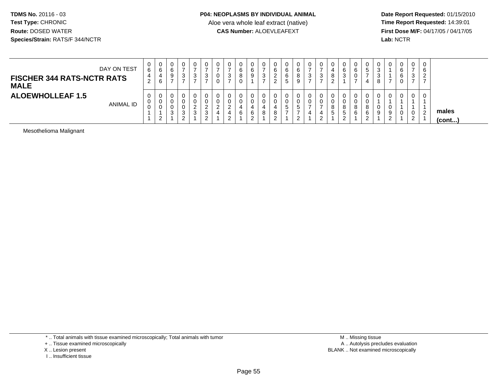**Date Report Requested:** 01/15/2010 **First Dose M/F:** 04/17/05 / 04/17/05<br>Lab: NCTR **Lab:** NCTR

| DAY ON TEST<br><b>FISCHER 344 RATS-NCTR RATS</b><br><b>MALE</b> | 0<br>6<br>4<br>ົ<br>$\sim$ | U<br>6<br>4<br>6 | 0<br>6<br>9                | ັບ                    | v<br>ົ<br>৩<br>-   | v<br>- ఎ    | U<br>0<br>0 | 3<br>$\rightarrow$                        | 0<br>6<br>8<br>0 |    | - 0 | υ<br>6<br>◠<br>∼<br>◠<br>_ | 6 | 0<br>6<br>$\circ$<br>9 | 0<br>ົ<br>◡<br>- | ت | o                 | ັບ<br>⌒<br>O<br>ు     | U<br>6<br>0                       | $\mathbf{0}$<br>$5^{\circ}$<br>4       | 0<br>3<br>3<br>8 |        | ◠ | 0<br>3<br>$\rightarrow$      | 0<br>6<br>ົ<br>$\epsilon$ |                       |
|-----------------------------------------------------------------|----------------------------|------------------|----------------------------|-----------------------|--------------------|-------------|-------------|-------------------------------------------|------------------|----|-----|----------------------------|---|------------------------|------------------|---|-------------------|-----------------------|-----------------------------------|----------------------------------------|------------------|--------|---|------------------------------|---------------------------|-----------------------|
| <b>ALOEWHOLLEAF 1.5</b><br><b>ANIMAL ID</b>                     | 0<br>0<br>$\mathbf{0}$     | U<br>U<br>v<br>ົ | 0<br>0<br>0<br>$\sim$<br>ັ | $\sim$<br>J<br>$\sim$ | <u>.</u><br>$\sim$ | ▃<br>J<br>▃ | 0<br>0      | <u>_</u><br>4<br><sup>o</sup><br><u>_</u> | 0<br>0<br>6      | д. |     | υ<br>υ<br>8<br>◠<br>_      | ັ | 0<br>ಾ<br>$\sim$       | 0<br>0           |   | 8<br><sub>5</sub> | U<br>o<br>5<br>ົ<br>ے | U<br>0<br>$\circ$<br>$\circ$<br>6 | 0<br>0<br>8<br>6<br>$\sim$<br><u>_</u> | 0<br>0<br>9      | Ω<br>ູ |   | 0<br>0<br>$\sim$<br><u>.</u> | $\epsilon$                | males<br>$($ cont $)$ |

Mesothelioma Malignant

\* .. Total animals with tissue examined microscopically; Total animals with tumor

+ .. Tissue examined microscopically

- X .. Lesion present
- I .. Insufficient tissue

 M .. Missing tissuey the contract of the contract of the contract of the contract of the contract of the contract of the contract of  $A$ . Autolysis precludes evaluation Lesion present BLANK .. Not examined microscopically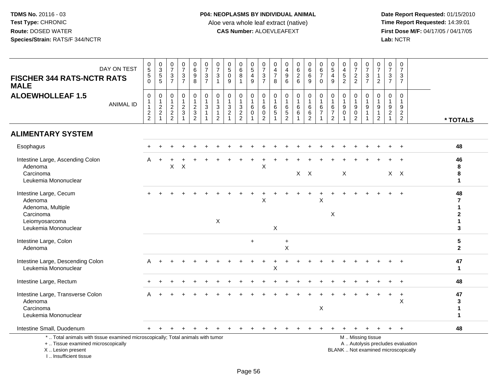| DAY ON TEST<br><b>FISCHER 344 RATS-NCTR RATS</b><br><b>MALE</b>                                                                                                      | 0<br>5<br>5<br>0                                           | $\begin{array}{c} 0 \\ 3 \\ 5 \\ 5 \end{array}$                         | 0<br>$\overline{7}$<br>$\frac{3}{7}$         | $\begin{array}{c} 0 \\ 7 \end{array}$<br>$rac{3}{7}$ | $\begin{array}{c} 0 \\ 6 \\ 9 \end{array}$<br>$\,8\,$ | $\begin{smallmatrix}0\\7\end{smallmatrix}$<br>$\frac{3}{7}$                 | $\frac{0}{7}$<br>3<br>$\mathbf{1}$                       | $\pmb{0}$<br>$\overline{5}$<br>$\pmb{0}$<br>9                                         | $\begin{array}{c} 0 \\ 6 \end{array}$<br>$\overline{8}$<br>$\mathbf{1}$ | $\begin{array}{c} 0 \\ 5 \end{array}$<br>$\overline{4}$<br>$\mathsf g$ | $\frac{0}{7}$<br>$\frac{3}{7}$                                               | $\mathbf 0$<br>$\overline{4}$<br>$\overline{7}$<br>8 | 0<br>$\overline{4}$<br>$\overline{9}$<br>$6\phantom{1}$          | 0626                                            | $\begin{matrix} 0 \\ 6 \\ 6 \end{matrix}$<br>9                           | $\pmb{0}$<br>6<br>$\overline{7}$<br>$\mathbf 0$                                         | $\begin{array}{c} 0 \\ 5 \end{array}$<br>$\overline{\mathbf{4}}$<br>9 | 0<br>$\frac{4}{5}$                                                  | $\frac{0}{7}$<br>$\frac{2}{2}$                                               | $\mathbf 0$<br>$\overline{7}$<br>$\frac{3}{7}$ | $\begin{array}{c} 0 \\ 7 \end{array}$<br>$\mathbf{1}$<br>$\overline{2}$             | $\pmb{0}$<br>$\overline{7}$<br>$\ensuremath{\mathsf{3}}$<br>$\overline{7}$               | $\mathbf 0$<br>$\overline{7}$<br>3<br>$\overline{7}$                 |                                   |                                        |
|----------------------------------------------------------------------------------------------------------------------------------------------------------------------|------------------------------------------------------------|-------------------------------------------------------------------------|----------------------------------------------|------------------------------------------------------|-------------------------------------------------------|-----------------------------------------------------------------------------|----------------------------------------------------------|---------------------------------------------------------------------------------------|-------------------------------------------------------------------------|------------------------------------------------------------------------|------------------------------------------------------------------------------|------------------------------------------------------|------------------------------------------------------------------|-------------------------------------------------|--------------------------------------------------------------------------|-----------------------------------------------------------------------------------------|-----------------------------------------------------------------------|---------------------------------------------------------------------|------------------------------------------------------------------------------|------------------------------------------------|-------------------------------------------------------------------------------------|------------------------------------------------------------------------------------------|----------------------------------------------------------------------|-----------------------------------|----------------------------------------|
| <b>ALOEWHOLLEAF 1.5</b><br><b>ANIMAL ID</b>                                                                                                                          | $\pmb{0}$<br>$\mathbf{1}$<br>$\mathbf{1}$<br>$\frac{2}{2}$ | $\pmb{0}$<br>$\begin{array}{c} 1 \\ 2 \\ 2 \end{array}$<br>$\mathbf{1}$ | $\mathbf 0$<br>$\mathbf{1}$<br>$\frac{2}{2}$ | $\mathbf 0$<br>$\mathbf{1}$<br>$\frac{2}{3}$         | $\pmb{0}$<br>$\mathbf{1}$<br>$\frac{2}{3}$            | $\pmb{0}$<br>$\mathbf{1}$<br>$\overline{3}$<br>$\mathbf{1}$<br>$\mathbf{1}$ | 0<br>$\mathbf{1}$<br>3<br>$\mathbf{1}$<br>$\overline{2}$ | $\pmb{0}$<br>$\mathbf 1$<br>$\ensuremath{\mathsf{3}}$<br>$\sqrt{2}$<br>$\overline{1}$ | $\pmb{0}$<br>$\mathbf{1}$<br>$\frac{3}{2}$                              | 0<br>$\overline{1}$<br>$\,6\,$<br>$\mathbf 0$                          | $\pmb{0}$<br>$\overline{1}$<br>$\,6\,$<br>$\boldsymbol{0}$<br>$\overline{2}$ | 0<br>$\mathbf{1}$<br>$\,6$<br>$\mathbf 5$            | $\mathsf 0$<br>$\mathbf{1}$<br>6<br>$\sqrt{5}$<br>$\overline{c}$ | $\pmb{0}$<br>$\mathbf{1}$<br>$\,6\,$<br>$\,6\,$ | $\pmb{0}$<br>$\mathbf{1}$<br>$\overline{6}$<br>$\,6\,$<br>$\overline{2}$ | $\begin{smallmatrix}0\\1\end{smallmatrix}$<br>$\,6\,$<br>$\overline{7}$<br>$\mathbf{1}$ | 0<br>1<br>6<br>$\overline{7}$<br>$\overline{2}$                       | $\pmb{0}$<br>$\mathbf{1}$<br>$9\,$<br>$\mathbf 0$<br>$\overline{1}$ | $\pmb{0}$<br>$\mathbf{1}$<br>$\boldsymbol{9}$<br>$\pmb{0}$<br>$\overline{2}$ | 0<br>$\boldsymbol{9}$<br>$\overline{1}$        | $\mathbf 0$<br>$\overline{1}$<br>$\boldsymbol{9}$<br>$\mathbf{1}$<br>$\overline{2}$ | $\boldsymbol{0}$<br>$\overline{1}$<br>$\boldsymbol{9}$<br>$\overline{c}$<br>$\mathbf{1}$ | $\pmb{0}$<br>$\overline{1}$<br>9<br>$\overline{c}$<br>$\overline{2}$ |                                   | * TOTALS                               |
| <b>ALIMENTARY SYSTEM</b>                                                                                                                                             |                                                            |                                                                         |                                              |                                                      |                                                       |                                                                             |                                                          |                                                                                       |                                                                         |                                                                        |                                                                              |                                                      |                                                                  |                                                 |                                                                          |                                                                                         |                                                                       |                                                                     |                                                                              |                                                |                                                                                     |                                                                                          |                                                                      |                                   |                                        |
| Esophagus                                                                                                                                                            |                                                            |                                                                         |                                              |                                                      |                                                       |                                                                             |                                                          |                                                                                       |                                                                         |                                                                        |                                                                              |                                                      |                                                                  |                                                 |                                                                          |                                                                                         |                                                                       |                                                                     |                                                                              |                                                |                                                                                     |                                                                                          |                                                                      |                                   | 48                                     |
| Intestine Large, Ascending Colon<br>Adenoma<br>Carcinoma<br>Leukemia Mononuclear                                                                                     | A                                                          | $\ddot{}$                                                               | X                                            | X                                                    |                                                       |                                                                             |                                                          |                                                                                       |                                                                         |                                                                        | $\times$                                                                     |                                                      |                                                                  |                                                 | $X$ $X$                                                                  |                                                                                         |                                                                       | $\pmb{\times}$                                                      |                                                                              |                                                |                                                                                     | $\mathsf{X}$                                                                             | $\mathsf{X}$                                                         |                                   | 46<br>8<br>8<br>1                      |
| Intestine Large, Cecum<br>Adenoma<br>Adenoma, Multiple<br>Carcinoma<br>Leiomyosarcoma<br>Leukemia Mononuclear                                                        |                                                            |                                                                         |                                              |                                                      |                                                       |                                                                             | $\pmb{\times}$                                           |                                                                                       |                                                                         |                                                                        | X                                                                            | $\times$                                             |                                                                  |                                                 |                                                                          | X                                                                                       | X                                                                     |                                                                     |                                                                              |                                                |                                                                                     |                                                                                          |                                                                      |                                   | 48<br>7<br>1<br>$\mathbf{2}$<br>1<br>3 |
| Intestine Large, Colon<br>Adenoma                                                                                                                                    |                                                            |                                                                         |                                              |                                                      |                                                       |                                                                             |                                                          |                                                                                       |                                                                         | $\ddot{}$                                                              |                                                                              |                                                      | $+$<br>X                                                         |                                                 |                                                                          |                                                                                         |                                                                       |                                                                     |                                                                              |                                                |                                                                                     |                                                                                          |                                                                      |                                   | 5<br>$\mathbf{2}$                      |
| Intestine Large, Descending Colon<br>Leukemia Mononuclear                                                                                                            | A                                                          |                                                                         |                                              |                                                      |                                                       |                                                                             |                                                          |                                                                                       |                                                                         |                                                                        |                                                                              | X                                                    |                                                                  |                                                 |                                                                          |                                                                                         |                                                                       |                                                                     |                                                                              |                                                |                                                                                     |                                                                                          |                                                                      |                                   | 47<br>$\mathbf 1$                      |
| Intestine Large, Rectum                                                                                                                                              |                                                            |                                                                         |                                              |                                                      |                                                       |                                                                             |                                                          |                                                                                       |                                                                         |                                                                        |                                                                              |                                                      |                                                                  |                                                 |                                                                          |                                                                                         |                                                                       |                                                                     |                                                                              |                                                |                                                                                     |                                                                                          |                                                                      |                                   | 48                                     |
| Intestine Large, Transverse Colon<br>Adenoma<br>Carcinoma<br>Leukemia Mononuclear                                                                                    |                                                            |                                                                         |                                              |                                                      |                                                       |                                                                             |                                                          |                                                                                       |                                                                         |                                                                        |                                                                              |                                                      |                                                                  |                                                 |                                                                          | X                                                                                       |                                                                       |                                                                     |                                                                              |                                                |                                                                                     |                                                                                          | $\div$<br>X                                                          |                                   | 47<br>3<br>1<br>1                      |
| Intestine Small, Duodenum                                                                                                                                            |                                                            |                                                                         |                                              |                                                      |                                                       |                                                                             |                                                          |                                                                                       |                                                                         |                                                                        |                                                                              |                                                      |                                                                  |                                                 |                                                                          |                                                                                         |                                                                       |                                                                     |                                                                              |                                                |                                                                                     |                                                                                          |                                                                      |                                   | 48                                     |
| *  Total animals with tissue examined microscopically; Total animals with tumor<br>+  Tissue examined microscopically<br>X  Lesion present<br>L. Insufficient tissue |                                                            |                                                                         |                                              |                                                      |                                                       |                                                                             |                                                          |                                                                                       |                                                                         |                                                                        |                                                                              |                                                      |                                                                  |                                                 |                                                                          |                                                                                         |                                                                       | M  Missing tissue<br>BLANK  Not examined microscopically            |                                                                              |                                                |                                                                                     |                                                                                          |                                                                      | A  Autolysis precludes evaluation |                                        |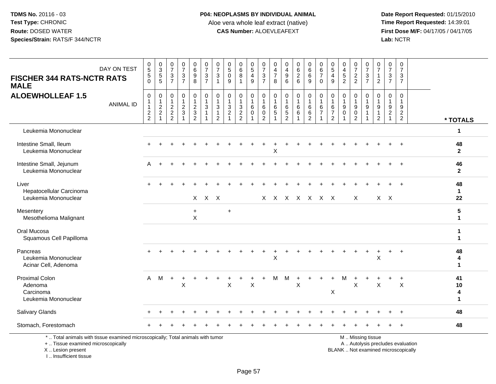**Date Report Requested:** 01/15/2010 **First Dose M/F:** 04/17/05 / 04/17/05<br>Lab: NCTR **Lab:** NCTR

| DAY ON TEST<br><b>FISCHER 344 RATS-NCTR RATS</b><br><b>MALE</b>                                                                            | 0<br>5<br>5<br>0                                            | $\begin{array}{c} 0 \\ 3 \\ 5 \\ 5 \end{array}$                     | $\frac{0}{7}$<br>3<br>$\overline{7}$                                | $\frac{0}{7}$<br>$\frac{3}{7}$                  | 0<br>0<br>0<br>0<br>0                                | 0<br>$\boldsymbol{7}$<br>$\frac{3}{7}$         | $\frac{0}{7}$<br>$\sqrt{3}$<br>$\overline{1}$                             | 0<br>$\sqrt{5}$<br>0<br>9                       | 0<br>$\,6\,$<br>8<br>$\mathbf{1}$                                             | $\begin{array}{c} 0 \\ 5 \end{array}$<br>$\overline{4}$<br>9 | $\frac{0}{7}$<br>$\frac{3}{7}$                                      | 0<br>$\overline{\mathbf{4}}$<br>$\overline{7}$<br>8    | 0<br>$\overline{\mathcal{A}}$<br>9<br>6               | 0626                                            | $_{6}^{\rm 0}$<br>6<br>9                                | $\pmb{0}$<br>$\,6\,$<br>$\overline{7}$<br>$\mathbf 0$                           | $\begin{array}{c} 0 \\ 5 \end{array}$<br>$\overline{\mathbf{4}}$<br>9 | 0<br>$\frac{4}{5}$                                   | $\frac{0}{7}$<br>$\frac{2}{2}$                                       | 0<br>$\overline{7}$<br>$\frac{3}{7}$ | $\mathbf 0$<br>$\overline{7}$<br>$\mathbf{1}$<br>$\overline{2}$                       | 0<br>$\overline{7}$<br>3<br>$\overline{7}$    | $\mathbf 0$<br>$\overline{7}$<br>3<br>$\overline{7}$                   |                               |
|--------------------------------------------------------------------------------------------------------------------------------------------|-------------------------------------------------------------|---------------------------------------------------------------------|---------------------------------------------------------------------|-------------------------------------------------|------------------------------------------------------|------------------------------------------------|---------------------------------------------------------------------------|-------------------------------------------------|-------------------------------------------------------------------------------|--------------------------------------------------------------|---------------------------------------------------------------------|--------------------------------------------------------|-------------------------------------------------------|-------------------------------------------------|---------------------------------------------------------|---------------------------------------------------------------------------------|-----------------------------------------------------------------------|------------------------------------------------------|----------------------------------------------------------------------|--------------------------------------|---------------------------------------------------------------------------------------|-----------------------------------------------|------------------------------------------------------------------------|-------------------------------|
| <b>ALOEWHOLLEAF 1.5</b><br><b>ANIMAL ID</b>                                                                                                | $\pmb{0}$<br>$\mathbf 1$<br>$\overline{1}$<br>$\frac{2}{2}$ | $\boldsymbol{0}$<br>$\mathbf{1}$<br>$\frac{2}{2}$<br>$\overline{1}$ | 0<br>$\mathbf{1}$<br>$\overline{a}$<br>$\sqrt{2}$<br>$\overline{2}$ | $\pmb{0}$<br>$\mathbf{1}$<br>$\frac{2}{3}$<br>1 | 0<br>$\mathbf{1}$<br>$\frac{2}{3}$<br>$\overline{2}$ | 0<br>$\mathbf{1}$<br>$\ensuremath{\mathsf{3}}$ | $\pmb{0}$<br>$\mathbf{1}$<br>$\sqrt{3}$<br>$\mathbf{1}$<br>$\overline{2}$ | 0<br>$\overline{1}$<br>$\sqrt{3}$<br>$\sqrt{2}$ | $\mathbf 0$<br>$\mathbf{1}$<br>$\sqrt{3}$<br>$\overline{c}$<br>$\overline{2}$ | 0<br>6<br>$\mathbf 0$                                        | $\pmb{0}$<br>$\mathbf{1}$<br>$\,6\,$<br>$\pmb{0}$<br>$\overline{2}$ | $\pmb{0}$<br>$\mathbf{1}$<br>$\,6\,$<br>$\overline{5}$ | 0<br>$\mathbf 1$<br>6<br>$\sqrt{5}$<br>$\overline{2}$ | $\pmb{0}$<br>$\mathbf{1}$<br>$\,6\,$<br>$\,6\,$ | 0<br>$\mathbf{1}$<br>$\,6$<br>$\,6\,$<br>$\overline{2}$ | $\overline{0}$<br>$\overline{1}$<br>$\,6\,$<br>$\overline{7}$<br>$\overline{1}$ | 0<br>$\mathbf{1}$<br>6<br>$\overline{7}$<br>$\overline{2}$            | 0<br>$\mathbf{1}$<br>$\boldsymbol{9}$<br>$\mathbf 0$ | 0<br>$\mathbf{1}$<br>$\boldsymbol{9}$<br>$\pmb{0}$<br>$\overline{2}$ | 0<br>$\boldsymbol{9}$                | $\mathbf 0$<br>$\overline{1}$<br>$\boldsymbol{9}$<br>$\overline{1}$<br>$\overline{2}$ | 0<br>$\mathbf{1}$<br>9<br>$\overline{c}$<br>1 | $\mathbf 0$<br>$\overline{1}$<br>9<br>$\overline{2}$<br>$\overline{2}$ | * TOTALS                      |
| Leukemia Mononuclear                                                                                                                       |                                                             |                                                                     |                                                                     |                                                 |                                                      |                                                |                                                                           |                                                 |                                                                               |                                                              |                                                                     |                                                        |                                                       |                                                 |                                                         |                                                                                 |                                                                       |                                                      |                                                                      |                                      |                                                                                       |                                               |                                                                        | $\mathbf 1$                   |
| Intestine Small, Ileum<br>Leukemia Mononuclear                                                                                             |                                                             |                                                                     |                                                                     |                                                 |                                                      |                                                |                                                                           |                                                 |                                                                               |                                                              |                                                                     | Х                                                      |                                                       |                                                 |                                                         |                                                                                 |                                                                       |                                                      |                                                                      |                                      |                                                                                       |                                               |                                                                        | 48<br>$\mathbf{2}$            |
| Intestine Small, Jejunum<br>Leukemia Mononuclear                                                                                           | Α                                                           |                                                                     |                                                                     |                                                 |                                                      |                                                |                                                                           |                                                 |                                                                               |                                                              |                                                                     |                                                        |                                                       |                                                 |                                                         |                                                                                 |                                                                       |                                                      |                                                                      |                                      |                                                                                       |                                               |                                                                        | 46<br>$\mathbf{2}$            |
| Liver<br>Hepatocellular Carcinoma<br>Leukemia Mononuclear                                                                                  |                                                             |                                                                     |                                                                     |                                                 |                                                      | $X$ $X$ $X$                                    |                                                                           |                                                 |                                                                               |                                                              |                                                                     |                                                        | X X X X X X X                                         |                                                 |                                                         |                                                                                 |                                                                       |                                                      | X                                                                    |                                      |                                                                                       | $X$ $X$                                       |                                                                        | 48<br>$\mathbf{1}$<br>22      |
| Mesentery<br>Mesothelioma Malignant                                                                                                        |                                                             |                                                                     |                                                                     |                                                 | $\ddot{}$<br>X                                       |                                                |                                                                           | $\ddot{}$                                       |                                                                               |                                                              |                                                                     |                                                        |                                                       |                                                 |                                                         |                                                                                 |                                                                       |                                                      |                                                                      |                                      |                                                                                       |                                               |                                                                        | 5<br>$\mathbf{1}$             |
| Oral Mucosa<br>Squamous Cell Papilloma                                                                                                     |                                                             |                                                                     |                                                                     |                                                 |                                                      |                                                |                                                                           |                                                 |                                                                               |                                                              |                                                                     |                                                        |                                                       |                                                 |                                                         |                                                                                 |                                                                       |                                                      |                                                                      |                                      |                                                                                       |                                               |                                                                        | -1<br>$\mathbf 1$             |
| Pancreas<br>Leukemia Mononuclear<br>Acinar Cell, Adenoma                                                                                   |                                                             |                                                                     |                                                                     |                                                 |                                                      |                                                |                                                                           |                                                 |                                                                               |                                                              |                                                                     | $\ddot{}$<br>$\mathsf X$                               |                                                       |                                                 |                                                         |                                                                                 |                                                                       |                                                      |                                                                      | +                                    | +<br>$\boldsymbol{\mathsf{X}}$                                                        | $+$                                           | $\div$                                                                 | 48<br>4<br>$\mathbf 1$        |
| <b>Proximal Colon</b><br>Adenoma<br>Carcinoma<br>Leukemia Mononuclear                                                                      | $\mathsf{A}$                                                | M                                                                   |                                                                     | X                                               |                                                      |                                                |                                                                           | X                                               |                                                                               | X                                                            |                                                                     | М                                                      | м                                                     | $\sf X$                                         |                                                         |                                                                                 | $\pmb{\times}$                                                        |                                                      | X                                                                    |                                      | X                                                                                     |                                               | X                                                                      | 41<br>10<br>4<br>$\mathbf{1}$ |
| <b>Salivary Glands</b>                                                                                                                     |                                                             |                                                                     |                                                                     |                                                 |                                                      |                                                |                                                                           |                                                 |                                                                               |                                                              |                                                                     |                                                        |                                                       |                                                 |                                                         |                                                                                 |                                                                       |                                                      |                                                                      |                                      |                                                                                       |                                               |                                                                        | 48                            |
| Stomach, Forestomach                                                                                                                       |                                                             |                                                                     |                                                                     |                                                 |                                                      |                                                |                                                                           |                                                 |                                                                               |                                                              |                                                                     |                                                        |                                                       |                                                 |                                                         |                                                                                 |                                                                       |                                                      |                                                                      |                                      |                                                                                       |                                               |                                                                        | 48                            |
| *  Total animals with tissue examined microscopically; Total animals with tumor<br>+  Tissue examined microscopically<br>X  Lesion present |                                                             |                                                                     |                                                                     |                                                 |                                                      |                                                |                                                                           |                                                 |                                                                               |                                                              |                                                                     |                                                        |                                                       |                                                 |                                                         |                                                                                 |                                                                       | BLANK  Not examined microscopically                  |                                                                      | M  Missing tissue                    |                                                                                       |                                               | A  Autolysis precludes evaluation                                      |                               |

I .. Insufficient tissue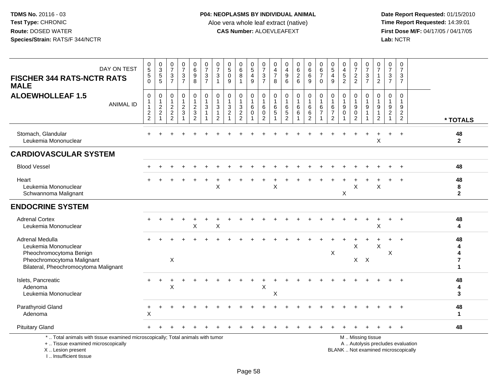I .. Insufficient tissue

| DAY ON TEST<br><b>FISCHER 344 RATS-NCTR RATS</b><br><b>MALE</b>                                                                            | $\begin{array}{c} 0 \\ 5 \end{array}$<br>5<br>$\Omega$      | 0<br>3<br>5<br>5                                | $\frac{0}{7}$<br>$\frac{3}{7}$                                 | $\begin{array}{c} 0 \\ 7 \end{array}$<br>$\frac{3}{7}$ | 0<br>$6\phantom{a}$<br>$\boldsymbol{9}$<br>8         | $\begin{array}{c} 0 \\ 7 \end{array}$<br>$\frac{3}{7}$         | $\frac{0}{7}$<br>$\mathbf{3}$<br>$\mathbf{1}$                                            | $\begin{array}{c} 0 \\ 5 \end{array}$<br>$\mathsf{O}\xspace$<br>9           | $\begin{array}{c} 0 \\ 6 \end{array}$<br>$\,8\,$             | $0$<br>$5$<br>$4$<br>$9$                                     | $\frac{0}{7}$<br>$\frac{3}{7}$                                  | 0<br>$\overline{4}$<br>$\overline{7}$<br>8 | $\frac{0}{4}$<br>$\boldsymbol{9}$<br>6                             | $\begin{matrix} 0 \\ 6 \\ 2 \end{matrix}$<br>6 | $\begin{matrix} 0 \\ 6 \\ 6 \end{matrix}$<br>9                        | 0<br>$6\phantom{a}$<br>$\overline{7}$<br>$\mathbf 0$                   | 0<br>$\overline{5}$<br>$\overline{4}$<br>9     | $\begin{smallmatrix}0\0\4\end{smallmatrix}$<br>$\sqrt{5}$<br>$\overline{2}$ | $\frac{0}{7}$<br>$\frac{2}{2}$                                       | $\begin{smallmatrix}0\\7\end{smallmatrix}$<br>$\ensuremath{\mathsf{3}}$<br>$\overline{7}$ | 0<br>$\overline{7}$<br>$\mathbf{1}$<br>$\overline{2}$                                 | 0<br>$\overline{7}$<br>3<br>$\overline{7}$                          | $\pmb{0}$<br>$\overline{7}$<br>$\sqrt{3}$<br>$\overline{7}$ |                                                                          |                         |
|--------------------------------------------------------------------------------------------------------------------------------------------|-------------------------------------------------------------|-------------------------------------------------|----------------------------------------------------------------|--------------------------------------------------------|------------------------------------------------------|----------------------------------------------------------------|------------------------------------------------------------------------------------------|-----------------------------------------------------------------------------|--------------------------------------------------------------|--------------------------------------------------------------|-----------------------------------------------------------------|--------------------------------------------|--------------------------------------------------------------------|------------------------------------------------|-----------------------------------------------------------------------|------------------------------------------------------------------------|------------------------------------------------|-----------------------------------------------------------------------------|----------------------------------------------------------------------|-------------------------------------------------------------------------------------------|---------------------------------------------------------------------------------------|---------------------------------------------------------------------|-------------------------------------------------------------|--------------------------------------------------------------------------|-------------------------|
| <b>ALOEWHOLLEAF 1.5</b><br><b>ANIMAL ID</b>                                                                                                | $\mathbf 0$<br>$\mathbf 1$<br>$\mathbf{1}$<br>$\frac{2}{2}$ | $\pmb{0}$<br>$\mathbf{1}$<br>$\frac{2}{2}$<br>1 | $\mathbf 0$<br>$\mathbf{1}$<br>$\frac{2}{2}$<br>$\overline{2}$ | $\mathsf{O}\xspace$<br>$\mathbf{1}$<br>$\frac{2}{3}$   | 0<br>$\mathbf{1}$<br>$\frac{2}{3}$<br>$\overline{2}$ | $\pmb{0}$<br>$\mathbf{1}$<br>$\sqrt{3}$<br>$\overline{1}$<br>1 | $\pmb{0}$<br>$\mathbf{1}$<br>$\ensuremath{\mathsf{3}}$<br>$\mathbf{1}$<br>$\overline{2}$ | $\pmb{0}$<br>$\mathbf{1}$<br>$\sqrt{3}$<br>$\overline{c}$<br>$\overline{1}$ | $\pmb{0}$<br>$\mathbf{1}$<br>$\frac{3}{2}$<br>$\overline{2}$ | $\boldsymbol{0}$<br>$\overline{1}$<br>$\,6\,$<br>$\mathbf 0$ | $\pmb{0}$<br>$\overline{1}$<br>$\,6\,$<br>$\boldsymbol{0}$<br>2 | 0<br>1<br>$\,6$<br>5                       | $\mathbf 0$<br>$\overline{1}$<br>6<br>$\sqrt{5}$<br>$\overline{2}$ | $\pmb{0}$<br>$\,6\,$<br>$\,6\,$                | $\mathbf 0$<br>$\overline{1}$<br>$\,6\,$<br>$\,6\,$<br>$\overline{2}$ | $\pmb{0}$<br>$\mathbf{1}$<br>$\,6\,$<br>$\overline{7}$<br>$\mathbf{1}$ | 0<br>$\,6$<br>$\overline{7}$<br>$\overline{2}$ | 0<br>$\overline{1}$<br>$\boldsymbol{9}$<br>$\mathbf 0$                      | 0<br>$\mathbf{1}$<br>$\boldsymbol{9}$<br>$\pmb{0}$<br>$\overline{2}$ | $\mathbf 0$<br>$\boldsymbol{9}$                                                           | $\mathsf 0$<br>$\overline{1}$<br>$\boldsymbol{9}$<br>$\overline{1}$<br>$\overline{2}$ | $\mathbf 0$<br>$\mathbf 1$<br>9<br>$\boldsymbol{2}$<br>$\mathbf{1}$ | $\mathbf 0$<br>$\mathbf{1}$<br>$9\,$<br>$\overline{c}$<br>2 |                                                                          | * TOTALS                |
| Stomach, Glandular<br>Leukemia Mononuclear                                                                                                 |                                                             |                                                 |                                                                |                                                        |                                                      |                                                                |                                                                                          |                                                                             |                                                              |                                                              |                                                                 |                                            |                                                                    |                                                |                                                                       |                                                                        |                                                |                                                                             |                                                                      |                                                                                           | $\boldsymbol{\mathsf{X}}$                                                             | $\pm$                                                               |                                                             |                                                                          | 48<br>$\mathbf{2}$      |
| <b>CARDIOVASCULAR SYSTEM</b>                                                                                                               |                                                             |                                                 |                                                                |                                                        |                                                      |                                                                |                                                                                          |                                                                             |                                                              |                                                              |                                                                 |                                            |                                                                    |                                                |                                                                       |                                                                        |                                                |                                                                             |                                                                      |                                                                                           |                                                                                       |                                                                     |                                                             |                                                                          |                         |
| <b>Blood Vessel</b>                                                                                                                        |                                                             |                                                 |                                                                |                                                        |                                                      |                                                                |                                                                                          |                                                                             |                                                              |                                                              |                                                                 |                                            |                                                                    |                                                |                                                                       |                                                                        |                                                |                                                                             |                                                                      |                                                                                           |                                                                                       |                                                                     |                                                             |                                                                          | 48                      |
| Heart<br>Leukemia Mononuclear<br>Schwannoma Malignant                                                                                      |                                                             |                                                 |                                                                |                                                        |                                                      |                                                                | X                                                                                        |                                                                             |                                                              |                                                              |                                                                 | X                                          |                                                                    |                                                |                                                                       |                                                                        |                                                | X                                                                           | X                                                                    |                                                                                           | $\times$                                                                              |                                                                     |                                                             |                                                                          | 48<br>8<br>$\mathbf{2}$ |
| <b>ENDOCRINE SYSTEM</b>                                                                                                                    |                                                             |                                                 |                                                                |                                                        |                                                      |                                                                |                                                                                          |                                                                             |                                                              |                                                              |                                                                 |                                            |                                                                    |                                                |                                                                       |                                                                        |                                                |                                                                             |                                                                      |                                                                                           |                                                                                       |                                                                     |                                                             |                                                                          |                         |
| <b>Adrenal Cortex</b><br>Leukemia Mononuclear                                                                                              |                                                             |                                                 |                                                                |                                                        | X                                                    |                                                                | X                                                                                        |                                                                             |                                                              |                                                              |                                                                 |                                            |                                                                    |                                                |                                                                       |                                                                        |                                                |                                                                             |                                                                      |                                                                                           | $\sf X$                                                                               |                                                                     |                                                             |                                                                          | 48<br>4                 |
| Adrenal Medulla<br>Leukemia Mononuclear<br>Pheochromocytoma Benign<br>Pheochromocytoma Malignant<br>Bilateral, Pheochromocytoma Malignant  |                                                             |                                                 | $\mathsf X$                                                    |                                                        |                                                      |                                                                |                                                                                          |                                                                             |                                                              |                                                              |                                                                 |                                            |                                                                    |                                                |                                                                       |                                                                        | X                                              |                                                                             | X                                                                    | $X$ $X$                                                                                   | $\mathsf X$                                                                           | X                                                                   |                                                             |                                                                          | 48<br>1                 |
| Islets, Pancreatic<br>Adenoma<br>Leukemia Mononuclear                                                                                      |                                                             |                                                 | X                                                              |                                                        |                                                      |                                                                |                                                                                          |                                                                             |                                                              |                                                              | X                                                               | Χ                                          |                                                                    |                                                |                                                                       |                                                                        |                                                |                                                                             |                                                                      |                                                                                           |                                                                                       |                                                                     |                                                             |                                                                          | 48<br>4<br>3            |
| Parathyroid Gland<br>Adenoma                                                                                                               | +<br>X                                                      |                                                 |                                                                |                                                        |                                                      |                                                                |                                                                                          |                                                                             |                                                              |                                                              |                                                                 |                                            |                                                                    |                                                |                                                                       |                                                                        |                                                |                                                                             |                                                                      |                                                                                           |                                                                                       |                                                                     |                                                             |                                                                          | 48<br>$\mathbf{1}$      |
| <b>Pituitary Gland</b>                                                                                                                     |                                                             |                                                 |                                                                |                                                        |                                                      |                                                                |                                                                                          |                                                                             |                                                              |                                                              |                                                                 |                                            |                                                                    |                                                |                                                                       |                                                                        |                                                |                                                                             |                                                                      |                                                                                           |                                                                                       |                                                                     |                                                             |                                                                          | 48                      |
| *  Total animals with tissue examined microscopically; Total animals with tumor<br>+  Tissue examined microscopically<br>X  Lesion present |                                                             |                                                 |                                                                |                                                        |                                                      |                                                                |                                                                                          |                                                                             |                                                              |                                                              |                                                                 |                                            |                                                                    |                                                |                                                                       |                                                                        |                                                |                                                                             |                                                                      | M  Missing tissue                                                                         |                                                                                       |                                                                     |                                                             | A  Autolysis precludes evaluation<br>BLANK  Not examined microscopically |                         |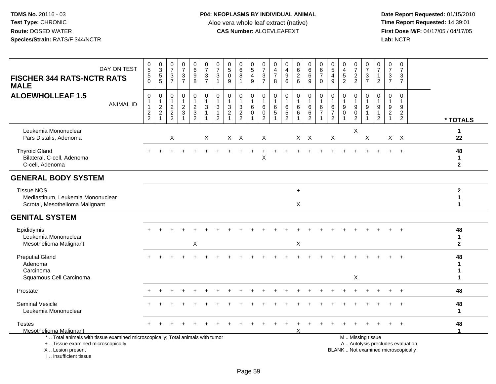| DAY ON TEST<br><b>FISCHER 344 RATS-NCTR RATS</b><br><b>MALE</b>                                                                                                     | $\begin{array}{c} 0 \\ 5 \end{array}$<br>$\overline{5}$<br>$\mathbf 0$ | 0<br>3<br>5<br>5                                                                  | $\frac{0}{7}$<br>$\sqrt{3}$<br>$\overline{7}$              | $\begin{array}{c} 0 \\ 7 \end{array}$<br>$\mathbf 3$<br>$\overline{7}$      | $\begin{array}{c} 0 \\ 6 \end{array}$<br>$\overline{9}$<br>8 | $\frac{0}{7}$<br>$\mathbf{3}$<br>$\overline{7}$                         | 0<br>$\overline{7}$<br>3<br>$\mathbf{1}$                                                   | $\begin{array}{c} 0 \\ 5 \end{array}$<br>0<br>9              | $\begin{array}{c} 0 \\ 6 \end{array}$<br>$\, 8$<br>$\mathbf 1$ | $\frac{0}{5}$<br>4<br>$9\,$                      | $\frac{0}{7}$<br>$\mathbf{3}$<br>$\overline{7}$                       | 0<br>$\overline{\mathbf{4}}$<br>$\overline{7}$<br>8 | $\pmb{0}$<br>$\overline{\mathbf{4}}$<br>$\boldsymbol{9}$<br>$6\phantom{a}$ | $\begin{array}{c} 0 \\ 6 \end{array}$<br>$\overline{2}$<br>$6\phantom{1}$ | $\begin{array}{c} 0 \\ 6 \end{array}$<br>$6\phantom{a}$<br>9      | $\pmb{0}$<br>$\,6\,$<br>$\overline{7}$<br>$\mathbf 0$                    | $\frac{0}{5}$<br>4<br>9                                    | 0<br>$\overline{4}$<br>$\sqrt{5}$<br>$\overline{2}$            | $\frac{0}{7}$<br>$\frac{2}{2}$                         | $\frac{0}{7}$<br>3<br>$\overline{7}$                              | $\frac{0}{7}$<br>$\mathbf{1}$<br>$\overline{2}$                        | $\pmb{0}$<br>$\overline{7}$<br>3<br>$\overline{7}$ | $\begin{array}{c} 0 \\ 7 \end{array}$<br>3<br>$\overline{7}$ |                                   |                                    |
|---------------------------------------------------------------------------------------------------------------------------------------------------------------------|------------------------------------------------------------------------|-----------------------------------------------------------------------------------|------------------------------------------------------------|-----------------------------------------------------------------------------|--------------------------------------------------------------|-------------------------------------------------------------------------|--------------------------------------------------------------------------------------------|--------------------------------------------------------------|----------------------------------------------------------------|--------------------------------------------------|-----------------------------------------------------------------------|-----------------------------------------------------|----------------------------------------------------------------------------|---------------------------------------------------------------------------|-------------------------------------------------------------------|--------------------------------------------------------------------------|------------------------------------------------------------|----------------------------------------------------------------|--------------------------------------------------------|-------------------------------------------------------------------|------------------------------------------------------------------------|----------------------------------------------------|--------------------------------------------------------------|-----------------------------------|------------------------------------|
| <b>ALOEWHOLLEAF 1.5</b><br><b>ANIMAL ID</b>                                                                                                                         | $\pmb{0}$<br>1<br>$\overline{1}$<br>$\frac{2}{2}$                      | $\pmb{0}$<br>$\mathbf{1}$<br>$\sqrt{2}$<br>$\overline{c}$<br>$\blacktriangleleft$ | $\mathbf 0$<br>$\mathbf{1}$<br>$\sqrt{2}$<br>$\frac{2}{2}$ | $\mathbf 0$<br>$\mathbf{1}$<br>$\sqrt{2}$<br>$\mathbf{3}$<br>$\overline{1}$ | $\mathbf 0$<br>$\mathbf{1}$<br>$\sqrt{2}$<br>$\frac{3}{2}$   | $\pmb{0}$<br>$\mathbf{1}$<br>$\sqrt{3}$<br>$\mathbf{1}$<br>$\mathbf{1}$ | $\mathbf 0$<br>$\mathbf{1}$<br>$\ensuremath{\mathsf{3}}$<br>$\mathbf{1}$<br>$\overline{2}$ | $\mathbf 0$<br>$\mathbf 1$<br>$\mathbf{3}$<br>$\overline{2}$ | $\mathbf 0$<br>$\mathbf{1}$<br>$\frac{3}{2}$                   | 0<br>$\mathbf{1}$<br>$\,6\,$<br>$\mathbf 0$<br>1 | 0<br>$\mathbf{1}$<br>$6\phantom{1}6$<br>$\mathbf 0$<br>$\overline{2}$ | 0<br>$\mathbf{1}$<br>$\,6$<br>$\sqrt{5}$<br>1       | 0<br>$\mathbf{1}$<br>$\,6\,$<br>$\frac{5}{2}$                              | $\mathbf 0$<br>$\mathbf{1}$<br>$\,6$<br>$\,6\,$                           | $\mathbf 0$<br>$\mathbf{1}$<br>$\,6$<br>$\,6\,$<br>$\overline{2}$ | $\pmb{0}$<br>$\mathbf{1}$<br>$\,6\,$<br>$\overline{7}$<br>$\overline{1}$ | 0<br>$\mathbf{1}$<br>6<br>$\overline{7}$<br>$\overline{2}$ | $\mathbf 0$<br>$\mathbf{1}$<br>$\boldsymbol{9}$<br>$\mathbf 0$ | $\mathbf 0$<br>$\boldsymbol{9}$<br>0<br>$\overline{2}$ | $\mathbf 0$<br>$\mathbf{1}$<br>$\boldsymbol{9}$<br>$\overline{1}$ | $\mathbf 0$<br>$\mathbf{1}$<br>$9\,$<br>$\mathbf{1}$<br>$\overline{2}$ | $\mathbf 0$<br>9<br>$\overline{2}$                 | $\mathbf 0$<br>-1<br>$\boldsymbol{9}$<br>$\overline{2}$<br>2 |                                   | * TOTALS                           |
| Leukemia Mononuclear<br>Pars Distalis, Adenoma                                                                                                                      |                                                                        |                                                                                   | $\mathsf X$                                                |                                                                             |                                                              | X                                                                       |                                                                                            | $X$ $X$                                                      |                                                                |                                                  | $\boldsymbol{X}$                                                      |                                                     |                                                                            | $X$ $X$                                                                   |                                                                   |                                                                          | X                                                          |                                                                | X                                                      | X                                                                 |                                                                        |                                                    | $X$ $X$                                                      |                                   | 1<br>22                            |
| <b>Thyroid Gland</b><br>Bilateral, C-cell, Adenoma<br>C-cell, Adenoma                                                                                               |                                                                        |                                                                                   |                                                            |                                                                             |                                                              |                                                                         |                                                                                            |                                                              |                                                                | ÷.                                               | ÷<br>X                                                                |                                                     |                                                                            |                                                                           |                                                                   |                                                                          |                                                            |                                                                |                                                        |                                                                   |                                                                        |                                                    | $\ddot{}$                                                    |                                   | 48<br>$\mathbf{1}$<br>$\mathbf{2}$ |
| <b>GENERAL BODY SYSTEM</b>                                                                                                                                          |                                                                        |                                                                                   |                                                            |                                                                             |                                                              |                                                                         |                                                                                            |                                                              |                                                                |                                                  |                                                                       |                                                     |                                                                            |                                                                           |                                                                   |                                                                          |                                                            |                                                                |                                                        |                                                                   |                                                                        |                                                    |                                                              |                                   |                                    |
| <b>Tissue NOS</b><br>Mediastinum, Leukemia Mononuclear<br>Scrotal, Mesothelioma Malignant                                                                           |                                                                        |                                                                                   |                                                            |                                                                             |                                                              |                                                                         |                                                                                            |                                                              |                                                                |                                                  |                                                                       |                                                     |                                                                            | $\ddot{}$<br>$\mathsf{X}$                                                 |                                                                   |                                                                          |                                                            |                                                                |                                                        |                                                                   |                                                                        |                                                    |                                                              |                                   | $\mathbf{2}$<br>1<br>$\mathbf 1$   |
| <b>GENITAL SYSTEM</b>                                                                                                                                               |                                                                        |                                                                                   |                                                            |                                                                             |                                                              |                                                                         |                                                                                            |                                                              |                                                                |                                                  |                                                                       |                                                     |                                                                            |                                                                           |                                                                   |                                                                          |                                                            |                                                                |                                                        |                                                                   |                                                                        |                                                    |                                                              |                                   |                                    |
| Epididymis<br>Leukemia Mononuclear<br>Mesothelioma Malignant                                                                                                        |                                                                        |                                                                                   |                                                            |                                                                             | X                                                            |                                                                         |                                                                                            |                                                              |                                                                |                                                  |                                                                       |                                                     |                                                                            | $\boldsymbol{\mathsf{X}}$                                                 |                                                                   |                                                                          |                                                            |                                                                |                                                        |                                                                   |                                                                        |                                                    |                                                              |                                   | 48<br>$\mathbf{1}$<br>$\mathbf{2}$ |
| <b>Preputial Gland</b><br>Adenoma<br>Carcinoma<br>Squamous Cell Carcinoma                                                                                           |                                                                        |                                                                                   |                                                            |                                                                             |                                                              |                                                                         |                                                                                            |                                                              |                                                                |                                                  |                                                                       |                                                     |                                                                            |                                                                           |                                                                   |                                                                          |                                                            |                                                                | X                                                      |                                                                   |                                                                        |                                                    |                                                              |                                   | 48<br>1<br>1<br>1                  |
| Prostate                                                                                                                                                            |                                                                        |                                                                                   |                                                            |                                                                             |                                                              |                                                                         |                                                                                            |                                                              |                                                                |                                                  |                                                                       |                                                     |                                                                            |                                                                           |                                                                   |                                                                          |                                                            |                                                                |                                                        |                                                                   |                                                                        |                                                    |                                                              |                                   | 48                                 |
| <b>Seminal Vesicle</b><br>Leukemia Mononuclear                                                                                                                      |                                                                        |                                                                                   |                                                            |                                                                             |                                                              |                                                                         |                                                                                            |                                                              |                                                                |                                                  |                                                                       |                                                     |                                                                            |                                                                           |                                                                   |                                                                          |                                                            |                                                                |                                                        |                                                                   |                                                                        |                                                    |                                                              |                                   | 48<br>$\mathbf{1}$                 |
| <b>Testes</b><br><b>Mesothelioma Malignant</b>                                                                                                                      |                                                                        |                                                                                   |                                                            |                                                                             |                                                              |                                                                         |                                                                                            |                                                              |                                                                |                                                  |                                                                       |                                                     |                                                                            | X                                                                         |                                                                   |                                                                          |                                                            |                                                                |                                                        |                                                                   |                                                                        |                                                    |                                                              |                                   | 48<br>$\blacktriangleleft$         |
| *  Total animals with tissue examined microscopically; Total animals with tumor<br>+  Tissue examined microscopically<br>X  Lesion present<br>I Insufficient tissue |                                                                        |                                                                                   |                                                            |                                                                             |                                                              |                                                                         |                                                                                            |                                                              |                                                                |                                                  |                                                                       |                                                     |                                                                            |                                                                           |                                                                   |                                                                          |                                                            |                                                                |                                                        | M  Missing tissue                                                 |                                                                        | BLANK  Not examined microscopically                |                                                              | A  Autolysis precludes evaluation |                                    |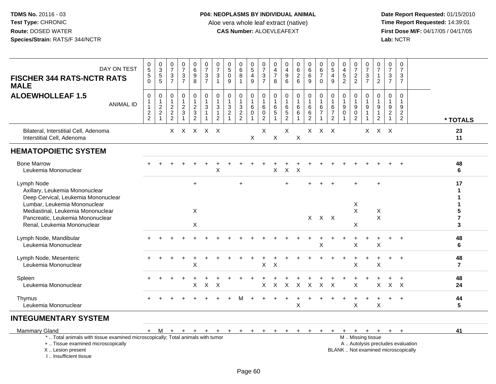| DAY ON TEST<br><b>FISCHER 344 RATS-NCTR RATS</b><br><b>MALE</b>                                                                                                                                                             | $\begin{array}{c} 0 \\ 5 \end{array}$<br>$5\,$<br>$\mathbf 0$ | $\begin{smallmatrix} 0\\ 3 \end{smallmatrix}$<br>5<br>$\overline{5}$  | $\frac{0}{7}$<br>$\sqrt{3}$<br>$\overline{7}$                                 | $\begin{array}{c} 0 \\ 7 \end{array}$<br>$\frac{3}{7}$ | 0<br>$6\phantom{a}$<br>$\boldsymbol{9}$<br>$\overline{8}$      | $\frac{0}{7}$<br>$\mathbf{3}$<br>$\overline{7}$                  | $\frac{0}{7}$<br>3<br>$\mathbf{1}$                       | $\pmb{0}$<br>$\overline{5}$<br>$\pmb{0}$<br>9                                   | $_{6}^{\rm 0}$<br>$\,8\,$<br>$\overline{1}$ | 0<br>$\overline{5}$<br>$\overline{4}$<br>$9\,$                | $\begin{array}{c} 0 \\ 7 \end{array}$<br>$\ensuremath{\mathsf{3}}$<br>$\overline{7}$ | 0<br>4<br>$\overline{7}$<br>8 | $\mathbf 0$<br>$\overline{4}$<br>$\boldsymbol{9}$<br>$6\phantom{a}$ | $_{6}^{\rm 0}$<br>$\frac{2}{6}$             | $\begin{array}{c} 0 \\ 6 \\ 6 \end{array}$<br>9                   | $\pmb{0}$<br>$6\phantom{a}$<br>$\overline{7}$<br>$\mathbf 0$                    | 0<br>$\overline{5}$<br>$\overline{\mathbf{4}}$<br>9   | $\pmb{0}$<br>$\frac{4}{5}$<br>$\overline{2}$                           | $\begin{array}{c} 0 \\ 7 \end{array}$<br>$\frac{2}{2}$              | $\begin{array}{c} 0 \\ 7 \end{array}$<br>$\frac{3}{7}$            | 0<br>$\overline{7}$<br>$\mathbf{1}$<br>$\overline{c}$           | 0<br>$\overline{7}$<br>3<br>$\overline{7}$ | $\frac{0}{7}$<br>$\ensuremath{\mathsf{3}}$<br>$\overline{7}$         |                                   |                      |
|-----------------------------------------------------------------------------------------------------------------------------------------------------------------------------------------------------------------------------|---------------------------------------------------------------|-----------------------------------------------------------------------|-------------------------------------------------------------------------------|--------------------------------------------------------|----------------------------------------------------------------|------------------------------------------------------------------|----------------------------------------------------------|---------------------------------------------------------------------------------|---------------------------------------------|---------------------------------------------------------------|--------------------------------------------------------------------------------------|-------------------------------|---------------------------------------------------------------------|---------------------------------------------|-------------------------------------------------------------------|---------------------------------------------------------------------------------|-------------------------------------------------------|------------------------------------------------------------------------|---------------------------------------------------------------------|-------------------------------------------------------------------|-----------------------------------------------------------------|--------------------------------------------|----------------------------------------------------------------------|-----------------------------------|----------------------|
| <b>ALOEWHOLLEAF 1.5</b><br><b>ANIMAL ID</b>                                                                                                                                                                                 | $\mathbf 0$<br>$\mathbf{1}$<br>$\mathbf{1}$<br>$\frac{2}{2}$  | 0<br>$\mathbf{1}$<br>$\overline{c}$<br>$\overline{c}$<br>$\mathbf{1}$ | $\mathbf 0$<br>$\mathbf{1}$<br>$\overline{c}$<br>$\sqrt{2}$<br>$\overline{2}$ | $\mathbf 0$<br>$\mathbf{1}$<br>$\frac{2}{3}$<br>-1     | $\mathbf 0$<br>$\mathbf{1}$<br>$\frac{2}{3}$<br>$\overline{2}$ | $\mathbf 0$<br>$\mathbf{1}$<br>$\mathbf{3}$<br>$\mathbf{1}$<br>1 | 0<br>$\mathbf{1}$<br>3<br>$\mathbf{1}$<br>$\overline{2}$ | $\mathbf 0$<br>$\mathbf{1}$<br>$\sqrt{3}$<br>$\boldsymbol{2}$<br>$\overline{1}$ | $\pmb{0}$<br>$\mathbf{1}$<br>$\frac{3}{2}$  | $\mathbf 0$<br>$\overline{1}$<br>$\,6\,$<br>$\mathbf 0$<br>-1 | $\Omega$<br>$\overline{1}$<br>6<br>$\mathbf 0$<br>$\overline{c}$                     | $\mathbf 0$<br>6<br>5         | $\mathbf 0$<br>$\mathbf{1}$<br>6<br>$\,$ 5 $\,$<br>$\overline{2}$   | $\mathbf 0$<br>$\mathbf{1}$<br>$\,6\,$<br>6 | $\pmb{0}$<br>$\mathbf{1}$<br>$\,6\,$<br>$\,6\,$<br>$\overline{c}$ | $\mathbf 0$<br>$\mathbf{1}$<br>$6\phantom{1}6$<br>$\overline{7}$<br>$\mathbf 1$ | $\mathbf 0$<br>$6\phantom{1}6$<br>7<br>$\overline{c}$ | $\mathbf 0$<br>$\mathbf{1}$<br>$\boldsymbol{9}$<br>0<br>$\overline{1}$ | $\mathbf 0$<br>1<br>$\boldsymbol{9}$<br>$\pmb{0}$<br>$\overline{2}$ | $\mathbf 0$<br>$\mathbf{1}$<br>$\boldsymbol{9}$<br>$\overline{1}$ | $\Omega$<br>$\mathbf{1}$<br>9<br>$\mathbf{1}$<br>$\overline{2}$ | $\mathbf 0$<br>9<br>$\overline{c}$<br>1    | $\mathbf 0$<br>$\mathbf{1}$<br>$9\,$<br>$\sqrt{2}$<br>$\overline{2}$ |                                   | * TOTALS             |
| Bilateral, Interstitial Cell, Adenoma<br>Interstitial Cell, Adenoma                                                                                                                                                         |                                                               |                                                                       | X.                                                                            |                                                        |                                                                | $X$ $X$ $X$ $X$                                                  |                                                          |                                                                                 |                                             | $\mathsf X$                                                   | X                                                                                    | $\boldsymbol{\mathsf{X}}$     | X                                                                   | $\boldsymbol{\mathsf{X}}$                   |                                                                   | $X$ $X$ $X$                                                                     |                                                       |                                                                        |                                                                     |                                                                   | $X$ $X$ $X$                                                     |                                            |                                                                      |                                   | 23<br>11             |
| <b>HEMATOPOIETIC SYSTEM</b>                                                                                                                                                                                                 |                                                               |                                                                       |                                                                               |                                                        |                                                                |                                                                  |                                                          |                                                                                 |                                             |                                                               |                                                                                      |                               |                                                                     |                                             |                                                                   |                                                                                 |                                                       |                                                                        |                                                                     |                                                                   |                                                                 |                                            |                                                                      |                                   |                      |
| <b>Bone Marrow</b><br>Leukemia Mononuclear                                                                                                                                                                                  |                                                               |                                                                       |                                                                               |                                                        |                                                                |                                                                  | X                                                        |                                                                                 |                                             |                                                               |                                                                                      | X                             | X                                                                   | X                                           |                                                                   |                                                                                 |                                                       |                                                                        |                                                                     |                                                                   |                                                                 |                                            |                                                                      |                                   | 48<br>6              |
| Lymph Node<br>Axillary, Leukemia Mononuclear<br>Deep Cervical, Leukemia Mononuclear<br>Lumbar, Leukemia Mononuclear<br>Mediastinal, Leukemia Mononuclear<br>Pancreatic, Leukemia Mononuclear<br>Renal, Leukemia Mononuclear |                                                               |                                                                       |                                                                               |                                                        | $+$<br>X<br>X                                                  |                                                                  |                                                          |                                                                                 | $\ddot{}$                                   |                                                               |                                                                                      |                               | $\div$                                                              |                                             |                                                                   | X X X                                                                           |                                                       |                                                                        | $\ddot{}$<br>Χ<br>X<br>X                                            |                                                                   | $+$<br>X<br>X                                                   |                                            |                                                                      |                                   | 17<br>1<br>7<br>3    |
| Lymph Node, Mandibular<br>Leukemia Mononuclear                                                                                                                                                                              |                                                               |                                                                       |                                                                               |                                                        |                                                                |                                                                  |                                                          |                                                                                 |                                             |                                                               |                                                                                      |                               |                                                                     |                                             |                                                                   | $\times$                                                                        |                                                       |                                                                        | X                                                                   |                                                                   | $\times$                                                        |                                            |                                                                      |                                   | 48<br>6              |
| Lymph Node, Mesenteric<br>Leukemia Mononuclear                                                                                                                                                                              |                                                               |                                                                       |                                                                               | $\ddot{}$                                              | $\ddot{}$<br>Χ                                                 |                                                                  |                                                          |                                                                                 |                                             | +                                                             | X                                                                                    | $\times$                      |                                                                     |                                             |                                                                   |                                                                                 |                                                       |                                                                        | $\ddot{}$<br>X                                                      | $\ddot{}$                                                         | $\ddot{}$<br>$\times$                                           | $+$                                        | $\ddot{}$                                                            |                                   | 48<br>$\overline{7}$ |
| Spleen<br>Leukemia Mononuclear                                                                                                                                                                                              |                                                               |                                                                       |                                                                               |                                                        | X                                                              | $\mathsf{X}$                                                     | $\mathsf{X}$                                             |                                                                                 |                                             |                                                               | $\mathsf{X}$                                                                         | $\boldsymbol{\mathsf{X}}$     | $\boldsymbol{\mathsf{X}}$                                           | $\mathsf{X}$                                | $\mathsf{X}$                                                      | X X                                                                             |                                                       |                                                                        | X                                                                   |                                                                   | $\sf X$                                                         | $\mathsf{X}$                               | $\mathsf{X}$                                                         |                                   | 48<br>24             |
| Thymus<br>Leukemia Mononuclear                                                                                                                                                                                              |                                                               |                                                                       |                                                                               |                                                        |                                                                |                                                                  |                                                          |                                                                                 |                                             |                                                               |                                                                                      |                               |                                                                     | X                                           |                                                                   |                                                                                 |                                                       |                                                                        | $\ddot{}$<br>X                                                      | $\ddot{}$                                                         | $\ddot{}$<br>X                                                  | $+$                                        | $\ddot{}$                                                            |                                   | 44<br>5              |
| <b>INTEGUMENTARY SYSTEM</b>                                                                                                                                                                                                 |                                                               |                                                                       |                                                                               |                                                        |                                                                |                                                                  |                                                          |                                                                                 |                                             |                                                               |                                                                                      |                               |                                                                     |                                             |                                                                   |                                                                                 |                                                       |                                                                        |                                                                     |                                                                   |                                                                 |                                            |                                                                      |                                   |                      |
| <b>Mammary Gland</b><br>*  Total animals with tissue examined microscopically; Total animals with tumor<br>+  Tissue examined microscopically<br>X Lesion present<br>I Insufficient tissue                                  |                                                               | + M                                                                   | $+$                                                                           | $+$                                                    | $+$                                                            | $+$                                                              |                                                          |                                                                                 |                                             |                                                               |                                                                                      |                               | + + + + + + + +                                                     |                                             | $+$                                                               | $+$                                                                             | $+$                                                   | $+$<br>BLANK  Not examined microscopically                             |                                                                     | $+$ $+$ $+$<br>M  Missing tissue                                  |                                                                 | $+$                                        | $+$                                                                  | A  Autolysis precludes evaluation | 41                   |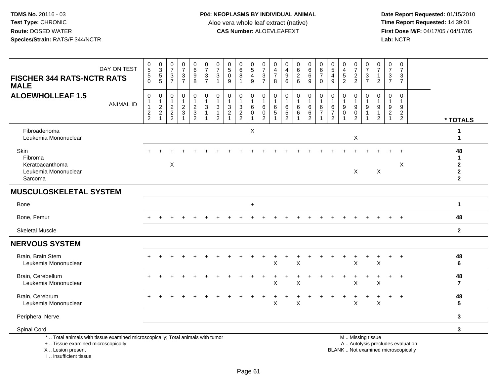**Date Report Requested:** 01/15/2010 **First Dose M/F:** 04/17/05 / 04/17/05<br>Lab: NCTR **Lab:** NCTR

| DAY ON TEST<br><b>FISCHER 344 RATS-NCTR RATS</b><br><b>MALE</b>                                                       | $\begin{array}{c} 0 \\ 5 \end{array}$<br>$\,$ 5 $\,$<br>$\mathbf 0$ | $\begin{smallmatrix}0\3\5\end{smallmatrix}$<br>5                      | 0<br>$\overline{7}$<br>$\mathbf{3}$<br>$\overline{7}$ | $\begin{array}{c} 0 \\ 7 \end{array}$<br>$\ensuremath{\mathsf{3}}$<br>$\overline{7}$ | 0<br>$6\phantom{a}$<br>$\boldsymbol{9}$<br>$\bf8$      | $\frac{0}{7}$<br>$\mathbf{3}$<br>$\overline{7}$          | 0<br>$\overline{7}$<br>$\ensuremath{\mathsf{3}}$<br>$\mathbf{1}$              | $\begin{smallmatrix}0\\5\end{smallmatrix}$<br>$\pmb{0}$<br>9 | $\begin{array}{c} 0 \\ 6 \end{array}$<br>$\overline{8}$ | $\begin{array}{c} 0 \\ 5 \end{array}$<br>$\overline{\mathbf{4}}$<br>9 | $\frac{0}{7}$<br>$\sqrt{3}$<br>$\overline{7}$                          | 0<br>$\overline{4}$<br>$\overline{7}$<br>8 | 0<br>$\overline{\mathbf{4}}$<br>$\boldsymbol{9}$<br>6           | $\begin{matrix} 0 \\ 6 \\ 2 \end{matrix}$<br>6 | $\begin{matrix} 0 \\ 6 \\ 6 \end{matrix}$<br>9          | 0<br>$rac{6}{7}$<br>$\mathbf 0$                                  | 0<br>$\overline{5}$<br>$\overline{4}$<br>9 | 0<br>$\overline{4}$<br>$\sqrt{5}$<br>$\overline{2}$ | $\frac{0}{7}$<br>$\frac{2}{2}$                                 | 0<br>$\overline{7}$<br>$\ensuremath{\mathsf{3}}$<br>$\overline{7}$ | 0<br>$\overline{7}$<br>$\mathbf{1}$<br>2                               | 0<br>$\overline{7}$<br>3<br>$\overline{7}$ | $\frac{0}{7}$<br>$\sqrt{3}$<br>$\overline{7}$                       |                                   |                                                          |
|-----------------------------------------------------------------------------------------------------------------------|---------------------------------------------------------------------|-----------------------------------------------------------------------|-------------------------------------------------------|--------------------------------------------------------------------------------------|--------------------------------------------------------|----------------------------------------------------------|-------------------------------------------------------------------------------|--------------------------------------------------------------|---------------------------------------------------------|-----------------------------------------------------------------------|------------------------------------------------------------------------|--------------------------------------------|-----------------------------------------------------------------|------------------------------------------------|---------------------------------------------------------|------------------------------------------------------------------|--------------------------------------------|-----------------------------------------------------|----------------------------------------------------------------|--------------------------------------------------------------------|------------------------------------------------------------------------|--------------------------------------------|---------------------------------------------------------------------|-----------------------------------|----------------------------------------------------------|
| <b>ALOEWHOLLEAF 1.5</b><br><b>ANIMAL ID</b>                                                                           | $\pmb{0}$<br>$\mathbf{1}$<br>$\mathbf{1}$<br>$\frac{2}{2}$          | 0<br>$\mathbf{1}$<br>$\overline{c}$<br>$\overline{c}$<br>$\mathbf{1}$ | 0<br>$\overline{c}$<br>$\sqrt{2}$<br>$\overline{2}$   | $\mathbf 0$<br>$\mathbf{1}$<br>$\boldsymbol{2}$<br>$\mathbf{3}$<br>$\overline{1}$    | 0<br>$\mathbf{1}$<br>$\boldsymbol{2}$<br>$\frac{3}{2}$ | 0<br>$\mathbf{1}$<br>$\mathfrak{S}$<br>$\mathbf{1}$<br>1 | $\mathbf 0$<br>$\mathbf{1}$<br>$\mathbf{3}$<br>$\mathbf{1}$<br>$\overline{2}$ | 0<br>-1<br>$\mathbf{3}$<br>$\boldsymbol{2}$                  | $\mathbf 0$<br>$\mathbf{1}$<br>$\frac{3}{2}$            | 0<br>$\overline{1}$<br>$\,6\,$<br>$\mathbf 0$<br>$\overline{1}$       | $\mathbf 0$<br>$\mathbf{1}$<br>6<br>$\boldsymbol{0}$<br>$\overline{2}$ | 0<br>1<br>6<br>5                           | $\mathbf 0$<br>$\mathbf 1$<br>6<br>$\sqrt{5}$<br>$\overline{2}$ | 0<br>$\,6\,$<br>6                              | $\mathbf 0$<br>$\mathbf{1}$<br>$\,6\,$<br>$\frac{6}{2}$ | $\pmb{0}$<br>$\mathbf{1}$<br>6<br>$\overline{7}$<br>$\mathbf{1}$ | 0<br>6<br>$\overline{7}$<br>$\overline{2}$ | 0<br>-1<br>$9\,$<br>$\Omega$                        | $\mathbf 0$<br>$\boldsymbol{9}$<br>$\pmb{0}$<br>$\overline{2}$ | $\mathbf 0$<br>9                                                   | $\mathbf 0$<br>$\mathbf{1}$<br>$9\,$<br>$\mathbf{1}$<br>$\overline{2}$ | $\mathbf 0$<br>1<br>9<br>$\sqrt{2}$        | $\mathbf 0$<br>$\mathbf 1$<br>9<br>$\overline{2}$<br>$\overline{2}$ |                                   | * TOTALS                                                 |
| Fibroadenoma<br>Leukemia Mononuclear                                                                                  |                                                                     |                                                                       |                                                       |                                                                                      |                                                        |                                                          |                                                                               |                                                              |                                                         | X                                                                     |                                                                        |                                            |                                                                 |                                                |                                                         |                                                                  |                                            |                                                     | $\mathsf X$                                                    |                                                                    |                                                                        |                                            |                                                                     |                                   | 1<br>1                                                   |
| Skin<br>Fibroma<br>Keratoacanthoma<br>Leukemia Mononuclear<br>Sarcoma                                                 |                                                                     |                                                                       | $\boldsymbol{\mathsf{X}}$                             |                                                                                      |                                                        |                                                          |                                                                               |                                                              |                                                         |                                                                       |                                                                        |                                            |                                                                 |                                                |                                                         |                                                                  |                                            |                                                     | X                                                              |                                                                    | X                                                                      |                                            | X                                                                   |                                   | 48<br>1<br>$\mathbf 2$<br>$\mathbf{2}$<br>$\overline{2}$ |
| <b>MUSCULOSKELETAL SYSTEM</b>                                                                                         |                                                                     |                                                                       |                                                       |                                                                                      |                                                        |                                                          |                                                                               |                                                              |                                                         |                                                                       |                                                                        |                                            |                                                                 |                                                |                                                         |                                                                  |                                            |                                                     |                                                                |                                                                    |                                                                        |                                            |                                                                     |                                   |                                                          |
| Bone                                                                                                                  |                                                                     |                                                                       |                                                       |                                                                                      |                                                        |                                                          |                                                                               |                                                              |                                                         | $\ddot{}$                                                             |                                                                        |                                            |                                                                 |                                                |                                                         |                                                                  |                                            |                                                     |                                                                |                                                                    |                                                                        |                                            |                                                                     |                                   | 1                                                        |
| Bone, Femur                                                                                                           |                                                                     |                                                                       |                                                       |                                                                                      |                                                        |                                                          |                                                                               |                                                              |                                                         |                                                                       |                                                                        |                                            |                                                                 |                                                |                                                         |                                                                  |                                            |                                                     |                                                                |                                                                    |                                                                        |                                            |                                                                     |                                   | 48                                                       |
| <b>Skeletal Muscle</b>                                                                                                |                                                                     |                                                                       |                                                       |                                                                                      |                                                        |                                                          |                                                                               |                                                              |                                                         |                                                                       |                                                                        |                                            |                                                                 |                                                |                                                         |                                                                  |                                            |                                                     |                                                                |                                                                    |                                                                        |                                            |                                                                     |                                   | $\mathbf{2}$                                             |
| <b>NERVOUS SYSTEM</b>                                                                                                 |                                                                     |                                                                       |                                                       |                                                                                      |                                                        |                                                          |                                                                               |                                                              |                                                         |                                                                       |                                                                        |                                            |                                                                 |                                                |                                                         |                                                                  |                                            |                                                     |                                                                |                                                                    |                                                                        |                                            |                                                                     |                                   |                                                          |
| Brain, Brain Stem<br>Leukemia Mononuclear                                                                             |                                                                     |                                                                       |                                                       |                                                                                      |                                                        |                                                          |                                                                               |                                                              |                                                         |                                                                       |                                                                        | $\ddot{}$<br>X                             | $\pm$                                                           | $\ddot{}$<br>X                                 |                                                         |                                                                  |                                            | $\ddot{}$                                           | $\ddot{}$<br>X                                                 | $\ddot{}$                                                          | $\ddot{}$<br>$\sf X$                                                   | $+$                                        | $\overline{+}$                                                      |                                   | 48<br>6                                                  |
| Brain, Cerebellum<br>Leukemia Mononuclear                                                                             |                                                                     |                                                                       |                                                       |                                                                                      |                                                        |                                                          |                                                                               |                                                              |                                                         |                                                                       |                                                                        | X                                          |                                                                 | X                                              |                                                         |                                                                  |                                            |                                                     | X                                                              |                                                                    | X                                                                      |                                            | $\ddot{}$                                                           |                                   | 48<br>$\overline{7}$                                     |
| Brain, Cerebrum<br>Leukemia Mononuclear                                                                               |                                                                     |                                                                       |                                                       |                                                                                      |                                                        |                                                          |                                                                               |                                                              |                                                         |                                                                       |                                                                        | X                                          |                                                                 | $\ddot{}$<br>X                                 |                                                         |                                                                  |                                            |                                                     | $\ddot{}$<br>X                                                 | $\ddot{}$                                                          | $\ddot{}$<br>X                                                         | $+$                                        | $\ddot{}$                                                           |                                   | 48<br>5                                                  |
| <b>Peripheral Nerve</b>                                                                                               |                                                                     |                                                                       |                                                       |                                                                                      |                                                        |                                                          |                                                                               |                                                              |                                                         |                                                                       |                                                                        |                                            |                                                                 |                                                |                                                         |                                                                  |                                            |                                                     |                                                                |                                                                    |                                                                        |                                            |                                                                     |                                   | $\mathbf{3}$                                             |
| Spinal Cord                                                                                                           |                                                                     |                                                                       |                                                       |                                                                                      |                                                        |                                                          |                                                                               |                                                              |                                                         |                                                                       |                                                                        |                                            |                                                                 |                                                |                                                         |                                                                  |                                            |                                                     |                                                                |                                                                    |                                                                        |                                            |                                                                     |                                   | 3                                                        |
| *  Total animals with tissue examined microscopically; Total animals with tumor<br>+  Tissue examined microscopically |                                                                     |                                                                       |                                                       |                                                                                      |                                                        |                                                          |                                                                               |                                                              |                                                         |                                                                       |                                                                        |                                            |                                                                 |                                                |                                                         |                                                                  |                                            |                                                     |                                                                | M  Missing tissue                                                  |                                                                        |                                            |                                                                     | A  Autolysis precludes evaluation |                                                          |

 Lesion present BLANK .. Not examined microscopicallyX .. Lesion present

I .. Insufficient tissue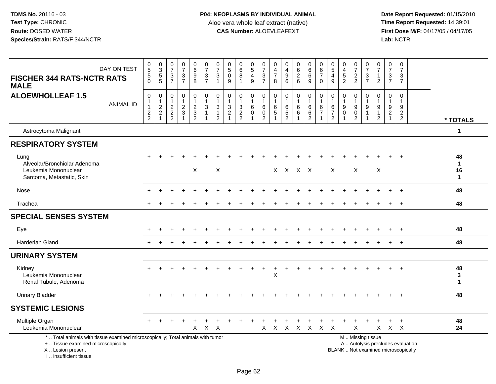| DAY ON TEST<br><b>FISCHER 344 RATS-NCTR RATS</b><br><b>MALE</b>                                                                                                     | $\begin{array}{c} 0 \\ 5 \\ 5 \end{array}$<br>$\overline{0}$ | 0<br>3<br>5<br>5                                                        | $\begin{smallmatrix}0\\7\end{smallmatrix}$<br>3<br>$\overline{7}$ | $\begin{array}{c} 0 \\ 7 \end{array}$<br>$\frac{3}{7}$ | $\begin{array}{c} 0 \\ 6 \end{array}$<br>$\overline{9}$<br>8    | $\begin{array}{c} 0 \\ 7 \end{array}$<br>$\frac{3}{7}$                                     | $\frac{0}{7}$<br>3<br>1                  | $\begin{array}{c} 0 \\ 5 \end{array}$<br>$\pmb{0}$<br>$9\,$                            | $\begin{matrix}0\6\8\end{matrix}$                                         | $\begin{array}{c} 0 \\ 5 \\ 4 \end{array}$<br>9             | $\frac{0}{7}$<br>$\ensuremath{\mathsf{3}}$<br>$\overline{7}$  | $\mathbf 0$<br>$\overline{4}$<br>$\overline{7}$<br>8 | $_4^{\rm 0}$<br>$9\,$<br>6                              | $\begin{matrix} 0 \\ 6 \\ 2 \end{matrix}$<br>6            | $\begin{array}{c} 0 \\ 6 \end{array}$<br>$\,6\,$<br>9             | 0<br>$\frac{6}{7}$<br>$\mathbf 0$              | $\begin{smallmatrix}0\0\5\end{smallmatrix}$<br>$\overline{4}$<br>9       | 0<br>$\overline{4}$<br>$\frac{5}{2}$               | $\frac{0}{7}$<br>$\frac{2}{2}$                               | $\frac{0}{7}$<br>$\frac{3}{7}$                                                   | $\frac{0}{7}$<br>$\overline{1}$<br>$\overline{2}$         | $\begin{array}{c} 0 \\ 7 \end{array}$<br>$\frac{3}{7}$                | $\begin{array}{c} 0 \\ 7 \end{array}$<br>3<br>$\overline{7}$             |                                         |
|---------------------------------------------------------------------------------------------------------------------------------------------------------------------|--------------------------------------------------------------|-------------------------------------------------------------------------|-------------------------------------------------------------------|--------------------------------------------------------|-----------------------------------------------------------------|--------------------------------------------------------------------------------------------|------------------------------------------|----------------------------------------------------------------------------------------|---------------------------------------------------------------------------|-------------------------------------------------------------|---------------------------------------------------------------|------------------------------------------------------|---------------------------------------------------------|-----------------------------------------------------------|-------------------------------------------------------------------|------------------------------------------------|--------------------------------------------------------------------------|----------------------------------------------------|--------------------------------------------------------------|----------------------------------------------------------------------------------|-----------------------------------------------------------|-----------------------------------------------------------------------|--------------------------------------------------------------------------|-----------------------------------------|
| <b>ALOEWHOLLEAF 1.5</b><br><b>ANIMAL ID</b>                                                                                                                         | $\mathsf 0$<br>1<br>$\overline{1}$<br>$\frac{2}{2}$          | 0<br>$\mathbf{1}$<br>$\boldsymbol{2}$<br>$\overline{c}$<br>$\mathbf{1}$ | $\mathbf 0$<br>$\mathbf{1}$<br>$\sqrt{2}$<br>$\frac{2}{2}$        | $\pmb{0}$<br>$\mathbf{1}$<br>$\frac{2}{3}$             | 0<br>$\mathbf{1}$<br>$\sqrt{2}$<br>$\sqrt{3}$<br>$\overline{2}$ | $\begin{smallmatrix}0\\1\end{smallmatrix}$<br>$\sqrt{3}$<br>$\mathbf{1}$<br>$\overline{1}$ | 0<br>$\mathbf{3}$<br>1<br>$\overline{2}$ | $\mathbf 0$<br>$\mathbf{1}$<br>$\ensuremath{\mathsf{3}}$<br>$\sqrt{2}$<br>$\mathbf{1}$ | $\mathbf 0$<br>$\mathbf{1}$<br>$\ensuremath{\mathsf{3}}$<br>$\frac{2}{2}$ | 0<br>$\mathbf{1}$<br>$\,6\,$<br>$\mathbf 0$<br>$\mathbf{1}$ | 0<br>$\mathbf{1}$<br>$\,6\,$<br>$\mathsf 0$<br>$\overline{c}$ | $\mathbf 0$<br>$\mathbf{1}$<br>$\,6\,$<br>$\sqrt{5}$ | $\mathbf 0$<br>$\mathbf{1}$<br>$\,6\,$<br>$\frac{5}{2}$ | $\pmb{0}$<br>$\mathbf{1}$<br>$\,6\,$<br>6<br>$\mathbf{1}$ | $\pmb{0}$<br>$\mathbf{1}$<br>$\,6\,$<br>$\,6\,$<br>$\overline{c}$ | 0<br>$\mathbf{1}$<br>$\,6\,$<br>$\overline{7}$ | $\mathbf 0$<br>$\mathbf{1}$<br>$\,6$<br>$\overline{7}$<br>$\overline{2}$ | 0<br>$\mathbf{1}$<br>$\boldsymbol{9}$<br>$\pmb{0}$ | $\mathbf 0$<br>$\boldsymbol{9}$<br>$\mathbf 0$<br>$\sqrt{2}$ | $\mathbf 0$<br>$\mathbf{1}$<br>$\boldsymbol{9}$<br>$\overline{1}$<br>$\mathbf 1$ | 0<br>$\boldsymbol{9}$<br>$\overline{1}$<br>$\overline{2}$ | $\boldsymbol{0}$<br>$\mathbf{1}$<br>$\boldsymbol{9}$<br>$\frac{2}{1}$ | $\mathbf 0$<br>$\mathbf{1}$<br>9<br>$\frac{2}{2}$                        | * TOTALS                                |
| Astrocytoma Malignant                                                                                                                                               |                                                              |                                                                         |                                                                   |                                                        |                                                                 |                                                                                            |                                          |                                                                                        |                                                                           |                                                             |                                                               |                                                      |                                                         |                                                           |                                                                   |                                                |                                                                          |                                                    |                                                              |                                                                                  |                                                           |                                                                       |                                                                          | $\mathbf{1}$                            |
| <b>RESPIRATORY SYSTEM</b>                                                                                                                                           |                                                              |                                                                         |                                                                   |                                                        |                                                                 |                                                                                            |                                          |                                                                                        |                                                                           |                                                             |                                                               |                                                      |                                                         |                                                           |                                                                   |                                                |                                                                          |                                                    |                                                              |                                                                                  |                                                           |                                                                       |                                                                          |                                         |
| Lung<br>Alveolar/Bronchiolar Adenoma<br>Leukemia Mononuclear<br>Sarcoma, Metastatic, Skin                                                                           |                                                              |                                                                         |                                                                   |                                                        | X                                                               |                                                                                            | $\boldsymbol{\mathsf{X}}$                |                                                                                        |                                                                           |                                                             |                                                               | $\mathsf{X}$                                         |                                                         | X X X                                                     |                                                                   |                                                | $\mathsf{X}$                                                             |                                                    | X                                                            |                                                                                  | $\times$                                                  |                                                                       | $\overline{1}$                                                           | 48<br>$\mathbf 1$<br>16<br>$\mathbf{1}$ |
| Nose                                                                                                                                                                |                                                              |                                                                         |                                                                   |                                                        |                                                                 |                                                                                            |                                          |                                                                                        |                                                                           |                                                             |                                                               |                                                      |                                                         |                                                           |                                                                   |                                                |                                                                          |                                                    |                                                              |                                                                                  |                                                           |                                                                       | $\ddot{}$                                                                | 48                                      |
| Trachea                                                                                                                                                             |                                                              |                                                                         |                                                                   |                                                        |                                                                 |                                                                                            |                                          |                                                                                        |                                                                           |                                                             |                                                               |                                                      |                                                         |                                                           |                                                                   |                                                |                                                                          |                                                    |                                                              |                                                                                  |                                                           |                                                                       | $+$                                                                      | 48                                      |
| <b>SPECIAL SENSES SYSTEM</b>                                                                                                                                        |                                                              |                                                                         |                                                                   |                                                        |                                                                 |                                                                                            |                                          |                                                                                        |                                                                           |                                                             |                                                               |                                                      |                                                         |                                                           |                                                                   |                                                |                                                                          |                                                    |                                                              |                                                                                  |                                                           |                                                                       |                                                                          |                                         |
| Eye                                                                                                                                                                 |                                                              |                                                                         |                                                                   |                                                        |                                                                 |                                                                                            |                                          |                                                                                        |                                                                           |                                                             |                                                               |                                                      |                                                         |                                                           |                                                                   |                                                |                                                                          |                                                    |                                                              |                                                                                  |                                                           |                                                                       | $+$                                                                      | 48                                      |
| <b>Harderian Gland</b>                                                                                                                                              |                                                              |                                                                         |                                                                   |                                                        |                                                                 |                                                                                            |                                          |                                                                                        |                                                                           |                                                             |                                                               |                                                      |                                                         |                                                           |                                                                   |                                                |                                                                          |                                                    |                                                              |                                                                                  |                                                           |                                                                       |                                                                          | 48                                      |
| <b>URINARY SYSTEM</b>                                                                                                                                               |                                                              |                                                                         |                                                                   |                                                        |                                                                 |                                                                                            |                                          |                                                                                        |                                                                           |                                                             |                                                               |                                                      |                                                         |                                                           |                                                                   |                                                |                                                                          |                                                    |                                                              |                                                                                  |                                                           |                                                                       |                                                                          |                                         |
| Kidney<br>Leukemia Mononuclear<br>Renal Tubule, Adenoma                                                                                                             | $\pm$                                                        |                                                                         |                                                                   |                                                        |                                                                 |                                                                                            |                                          |                                                                                        |                                                                           |                                                             |                                                               | $\boldsymbol{\mathsf{X}}$                            |                                                         |                                                           |                                                                   |                                                |                                                                          |                                                    |                                                              |                                                                                  |                                                           |                                                                       | $+$                                                                      | 48<br>3<br>$\mathbf{1}$                 |
| <b>Urinary Bladder</b>                                                                                                                                              |                                                              |                                                                         |                                                                   |                                                        |                                                                 |                                                                                            |                                          |                                                                                        |                                                                           |                                                             |                                                               |                                                      |                                                         |                                                           |                                                                   |                                                |                                                                          |                                                    |                                                              |                                                                                  |                                                           |                                                                       | $+$                                                                      | 48                                      |
| <b>SYSTEMIC LESIONS</b>                                                                                                                                             |                                                              |                                                                         |                                                                   |                                                        |                                                                 |                                                                                            |                                          |                                                                                        |                                                                           |                                                             |                                                               |                                                      |                                                         |                                                           |                                                                   |                                                |                                                                          |                                                    |                                                              |                                                                                  |                                                           |                                                                       |                                                                          |                                         |
| Multiple Organ<br>Leukemia Mononuclear                                                                                                                              |                                                              |                                                                         |                                                                   |                                                        | X                                                               | $\sf X$                                                                                    | $\times$                                 |                                                                                        |                                                                           |                                                             | X                                                             | $\mathsf{X}$                                         | X X X                                                   | $\ddot{}$                                                 | $\ddot{}$                                                         | $\ddot{}$<br>$X$ $X$                           | $\ddot{}$                                                                | $\ddot{}$                                          | $\ddot{}$<br>$\pmb{\times}$                                  | $\div$                                                                           | $\mathsf{X}$                                              | +                                                                     | $+$<br>$X$ $X$                                                           | 48<br>24                                |
| *  Total animals with tissue examined microscopically; Total animals with tumor<br>+  Tissue examined microscopically<br>X  Lesion present<br>I Insufficient tissue |                                                              |                                                                         |                                                                   |                                                        |                                                                 |                                                                                            |                                          |                                                                                        |                                                                           |                                                             |                                                               |                                                      |                                                         |                                                           |                                                                   |                                                |                                                                          |                                                    |                                                              | M  Missing tissue                                                                |                                                           |                                                                       | A  Autolysis precludes evaluation<br>BLANK  Not examined microscopically |                                         |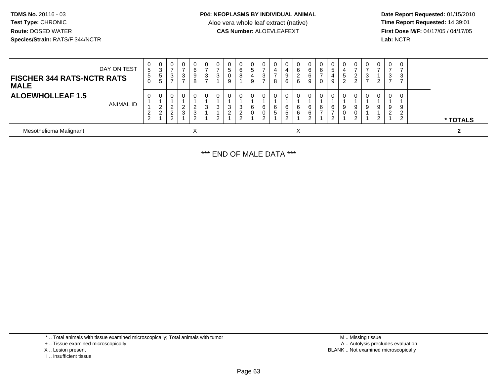**Date Report Requested:** 01/15/2010 **First Dose M/F:** 04/17/05 / 04/17/05<br>Lab: NCTR **Lab:** NCTR

| DAY ON TEST<br><b>FISCHER 344 RATS-NCTR RATS</b><br><b>MALE</b> | $\mathbf{0}$<br>5 <sup>5</sup><br>5<br>0 | U<br>3<br>5<br>5 | 0<br>3                                        | 0<br>⇁<br>3<br>$\overline{ }$ | 0<br>6<br>9<br>8      | చ | v<br>ົ<br>J. | 0<br>5<br>0<br>9   | 0<br>6<br>8                            | 0<br>5<br>4<br>9 | U<br>3<br>$\overline{ }$ | 0<br>4<br>8            | 4<br>9<br>6 | 6<br>∠<br>6 | $\mathbf{0}$<br>6<br>b<br>9 | U<br>6<br>U | 0<br>5<br>4<br>9      | 0<br>4<br>.5<br>ົ | 0<br>ົ<br>∠<br>◠ | J. | $\mathbf 0$<br>3 | 0<br>3                     |  |          |  |
|-----------------------------------------------------------------|------------------------------------------|------------------|-----------------------------------------------|-------------------------------|-----------------------|---|--------------|--------------------|----------------------------------------|------------------|--------------------------|------------------------|-------------|-------------|-----------------------------|-------------|-----------------------|-------------------|------------------|----|------------------|----------------------------|--|----------|--|
| <b>ALOEWHOLLEAF 1.5</b><br>ANIMAL ID                            | 0<br>ົ<br>$\angle$<br>2                  | U<br>∼<br>⌒      | 0<br><u>_</u><br>$\sim$<br><u>_</u><br>റ<br>∠ | 0<br>ົ<br>3                   | 0<br>ົ<br>∠<br>3<br>ົ |   | 3<br>L       | 3<br>$\mathcal{D}$ | 0<br>3<br>$\sim$<br><u>_</u><br>$\sim$ | 0<br>6<br>0      | 6<br>റ                   | 0<br>6<br><sub>5</sub> | 6<br>'5     | 6<br>6      | 6<br>6                      | U<br>6      | $\mathbf 0$<br>6<br>2 | $\Omega$<br>9     | 0<br>9<br>0<br>ົ | a  | 0<br>9<br>າ      | 0<br>9<br>$\sim$<br>▵<br>ົ |  | * TOTALS |  |
| Mesothelioma Malignant                                          |                                          |                  |                                               |                               | $\lambda$             |   |              |                    |                                        |                  |                          |                        |             | ㅅ           |                             |             |                       |                   |                  |    |                  |                            |  | ຳ        |  |

\*\*\* END OF MALE DATA \*\*\*

\* .. Total animals with tissue examined microscopically; Total animals with tumor

+ .. Tissue examined microscopically

X .. Lesion present

I .. Insufficient tissue

 M .. Missing tissuey the contract of the contract of the contract of the contract of the contract of the contract of the contract of  $A$ . Autolysis precludes evaluation Lesion present BLANK .. Not examined microscopically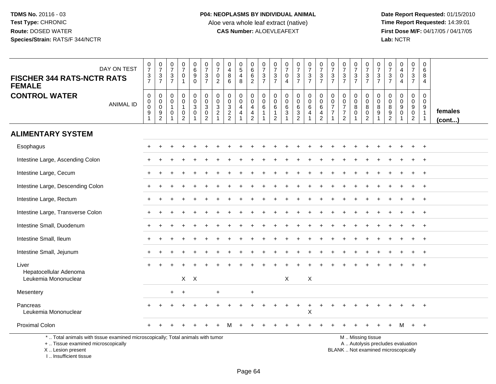**Date Report Requested:** 01/15/2010 **First Dose M/F:** 04/17/05 / 04/17/05<br>Lab: NCTR **Lab:** NCTR

| DAY ON TEST<br><b>FISCHER 344 RATS-NCTR RATS</b><br><b>FEMALE</b>                                                                         | $\begin{array}{c} 0 \\ 7 \end{array}$<br>$\frac{3}{7}$          | $\frac{0}{7}$<br>$\frac{3}{7}$                    | $\frac{0}{7}$<br>$\frac{3}{7}$                        | $\frac{0}{7}$<br>0<br>$\mathbf{1}$                      | $\begin{array}{c} 0 \\ 6 \end{array}$<br>$\overline{9}$<br>$\mathbf 0$ | $\frac{0}{7}$<br>$\frac{3}{7}$                                                      | $\begin{array}{c} 0 \\ 7 \end{array}$<br>0<br>$\overline{2}$            | $\mathbf 0$<br>$\overline{4}$<br>$\,8\,$<br>6                 | $\begin{array}{c} 0 \\ 5 \end{array}$<br>$\overline{4}$<br>8 | $_{6}^{\rm 0}$<br>$\frac{6}{2}$                                                   | $\begin{array}{c} 0 \\ 7 \end{array}$<br>$\frac{3}{7}$ | 0<br>$\overline{7}$<br>$\frac{3}{7}$                     | $\begin{array}{c} 0 \\ 7 \end{array}$<br>$\mathbf 0$<br>$\overline{4}$     | $\begin{smallmatrix}0\\7\end{smallmatrix}$<br>$\frac{3}{7}$                | $\frac{0}{7}$<br>$\frac{3}{7}$                          | $\frac{0}{7}$<br>$\frac{3}{7}$                                       | $\begin{array}{c} 0 \\ 7 \end{array}$<br>$\frac{3}{7}$                 | $\begin{array}{c} 0 \\ 7 \end{array}$<br>$\frac{3}{7}$                      | $\frac{0}{7}$<br>$\frac{3}{7}$            | $\begin{matrix} 0 \\ 7 \end{matrix}$<br>$\frac{3}{7}$                                        | $\frac{0}{7}$<br>3<br>$\overline{7}$ | $\frac{0}{7}$<br>$\frac{3}{7}$               | $_4^{\rm 0}$<br>$\pmb{0}$<br>$\overline{4}$              | $\mathbf 0$<br>$\overline{7}$<br>$\mathbf{3}$<br>$\overline{7}$ | $\mathbf 0$<br>$\,6\,$<br>8<br>$\overline{4}$                                   |                   |
|-------------------------------------------------------------------------------------------------------------------------------------------|-----------------------------------------------------------------|---------------------------------------------------|-------------------------------------------------------|---------------------------------------------------------|------------------------------------------------------------------------|-------------------------------------------------------------------------------------|-------------------------------------------------------------------------|---------------------------------------------------------------|--------------------------------------------------------------|-----------------------------------------------------------------------------------|--------------------------------------------------------|----------------------------------------------------------|----------------------------------------------------------------------------|----------------------------------------------------------------------------|---------------------------------------------------------|----------------------------------------------------------------------|------------------------------------------------------------------------|-----------------------------------------------------------------------------|-------------------------------------------|----------------------------------------------------------------------------------------------|--------------------------------------|----------------------------------------------|----------------------------------------------------------|-----------------------------------------------------------------|---------------------------------------------------------------------------------|-------------------|
| <b>CONTROL WATER</b><br><b>ANIMAL ID</b>                                                                                                  | $\pmb{0}$<br>$\boldsymbol{0}$<br>$\boldsymbol{0}$<br>$9\,$<br>1 | $\mathbf 0$<br>$\mathbf 0$<br>$\pmb{0}$<br>9<br>2 | $\mathbf 0$<br>$\Omega$<br>$\overline{1}$<br>$\Omega$ | 0<br>$\mathbf 0$<br>$\mathbf{1}$<br>0<br>$\overline{2}$ | $\pmb{0}$<br>$\ddot{\mathbf{0}}$<br>$\mathbf 3$<br>$\mathbf 0$         | $\mathbf 0$<br>$\ddot{\mathbf{0}}$<br>$\ensuremath{\mathsf{3}}$<br>$\mathbf 0$<br>2 | $\pmb{0}$<br>$\pmb{0}$<br>$\ensuremath{\mathsf{3}}$<br>$\boldsymbol{2}$ | $\mathbf 0$<br>$\mathbf 0$<br>$\frac{3}{2}$<br>$\overline{2}$ | 0<br>$\mathbf 0$<br>$\overline{4}$<br>$\overline{4}$         | $_{\rm 0}^{\rm 0}$<br>$\overline{\mathbf{4}}$<br>$\overline{4}$<br>$\overline{2}$ | $\pmb{0}$<br>$\mathbf 0$<br>$\,6$<br>$\mathbf{1}$<br>1 | $\mathbf 0$<br>$\mathbf 0$<br>$\,6$<br>$\mathbf{1}$<br>2 | $\mathbf 0$<br>$\ddot{\mathbf{0}}$<br>$\,6\,$<br>$\ensuremath{\mathsf{3}}$ | 0<br>$\mathbf 0$<br>$\,6\,$<br>$\ensuremath{\mathsf{3}}$<br>$\overline{2}$ | $\mathbf 0$<br>$\ddot{\mathbf{0}}$<br>$\,6\,$<br>4<br>1 | $\mathbf 0$<br>$\mathsf{O}\xspace$<br>$\,6\,$<br>4<br>$\overline{2}$ | $\mathbf 0$<br>0<br>$\overline{7}$<br>$\overline{7}$<br>$\overline{1}$ | $\mathbf 0$<br>$\mathsf{O}\xspace$<br>$\overline{7}$<br>$\overline{7}$<br>2 | 0<br>$\mathbf 0$<br>$\bf8$<br>$\mathbf 0$ | 0<br>$\overline{0}$<br>$\, 8$<br>$\mathbf 0$<br>2                                            | 0<br>$\Omega$<br>8<br>9              | 0<br>$\mathbf 0$<br>$\bf 8$<br>$\frac{9}{2}$ | 0<br>$\boldsymbol{0}$<br>$\boldsymbol{9}$<br>$\mathbf 0$ | 0<br>$\overline{0}$<br>9<br>$\mathbf 0$<br>$\overline{2}$       | $\mathbf 0$<br>$\Omega$<br>$\boldsymbol{9}$<br>$\overline{1}$<br>$\overline{1}$ | females<br>(cont) |
| <b>ALIMENTARY SYSTEM</b>                                                                                                                  |                                                                 |                                                   |                                                       |                                                         |                                                                        |                                                                                     |                                                                         |                                                               |                                                              |                                                                                   |                                                        |                                                          |                                                                            |                                                                            |                                                         |                                                                      |                                                                        |                                                                             |                                           |                                                                                              |                                      |                                              |                                                          |                                                                 |                                                                                 |                   |
| Esophagus                                                                                                                                 |                                                                 |                                                   |                                                       |                                                         |                                                                        |                                                                                     |                                                                         |                                                               |                                                              |                                                                                   |                                                        |                                                          |                                                                            |                                                                            |                                                         |                                                                      |                                                                        |                                                                             |                                           |                                                                                              |                                      |                                              |                                                          |                                                                 | $+$                                                                             |                   |
| Intestine Large, Ascending Colon                                                                                                          |                                                                 |                                                   |                                                       |                                                         |                                                                        |                                                                                     |                                                                         |                                                               |                                                              |                                                                                   |                                                        |                                                          |                                                                            |                                                                            |                                                         |                                                                      |                                                                        |                                                                             |                                           |                                                                                              |                                      |                                              |                                                          |                                                                 |                                                                                 |                   |
| Intestine Large, Cecum                                                                                                                    |                                                                 |                                                   |                                                       |                                                         |                                                                        |                                                                                     |                                                                         |                                                               |                                                              |                                                                                   |                                                        |                                                          |                                                                            |                                                                            |                                                         |                                                                      |                                                                        |                                                                             |                                           |                                                                                              |                                      |                                              |                                                          |                                                                 |                                                                                 |                   |
| Intestine Large, Descending Colon                                                                                                         |                                                                 |                                                   |                                                       |                                                         |                                                                        |                                                                                     |                                                                         |                                                               |                                                              |                                                                                   |                                                        |                                                          |                                                                            |                                                                            |                                                         |                                                                      |                                                                        |                                                                             |                                           |                                                                                              |                                      |                                              |                                                          |                                                                 | $+$                                                                             |                   |
| Intestine Large, Rectum                                                                                                                   |                                                                 |                                                   |                                                       |                                                         |                                                                        |                                                                                     |                                                                         |                                                               |                                                              |                                                                                   |                                                        |                                                          |                                                                            |                                                                            |                                                         |                                                                      |                                                                        |                                                                             |                                           |                                                                                              |                                      |                                              |                                                          |                                                                 |                                                                                 |                   |
| Intestine Large, Transverse Colon                                                                                                         |                                                                 |                                                   |                                                       |                                                         |                                                                        |                                                                                     |                                                                         |                                                               |                                                              |                                                                                   |                                                        |                                                          |                                                                            |                                                                            |                                                         |                                                                      |                                                                        |                                                                             |                                           |                                                                                              |                                      |                                              |                                                          |                                                                 |                                                                                 |                   |
| Intestine Small, Duodenum                                                                                                                 |                                                                 |                                                   |                                                       |                                                         |                                                                        |                                                                                     |                                                                         |                                                               |                                                              |                                                                                   |                                                        |                                                          |                                                                            |                                                                            |                                                         |                                                                      |                                                                        |                                                                             |                                           |                                                                                              |                                      |                                              |                                                          |                                                                 | $+$                                                                             |                   |
| Intestine Small, Ileum                                                                                                                    |                                                                 |                                                   |                                                       |                                                         |                                                                        |                                                                                     |                                                                         |                                                               |                                                              |                                                                                   |                                                        |                                                          |                                                                            |                                                                            |                                                         |                                                                      |                                                                        |                                                                             |                                           |                                                                                              |                                      |                                              |                                                          |                                                                 | $+$                                                                             |                   |
| Intestine Small, Jejunum                                                                                                                  |                                                                 |                                                   |                                                       |                                                         |                                                                        |                                                                                     |                                                                         |                                                               |                                                              |                                                                                   |                                                        |                                                          |                                                                            |                                                                            |                                                         |                                                                      |                                                                        |                                                                             |                                           |                                                                                              |                                      |                                              |                                                          |                                                                 |                                                                                 |                   |
| Liver<br>Hepatocellular Adenoma<br>Leukemia Mononuclear                                                                                   |                                                                 |                                                   |                                                       |                                                         | $X$ $X$                                                                |                                                                                     |                                                                         |                                                               |                                                              |                                                                                   |                                                        |                                                          | X                                                                          |                                                                            | $\sf X$                                                 |                                                                      |                                                                        |                                                                             |                                           |                                                                                              |                                      |                                              |                                                          |                                                                 |                                                                                 |                   |
| Mesentery                                                                                                                                 |                                                                 |                                                   | $\ddot{}$                                             | $\ddot{}$                                               |                                                                        |                                                                                     | $\ddot{}$                                                               |                                                               |                                                              | +                                                                                 |                                                        |                                                          |                                                                            |                                                                            |                                                         |                                                                      |                                                                        |                                                                             |                                           |                                                                                              |                                      |                                              |                                                          |                                                                 |                                                                                 |                   |
| Pancreas<br>Leukemia Mononuclear                                                                                                          |                                                                 |                                                   |                                                       |                                                         |                                                                        |                                                                                     |                                                                         |                                                               |                                                              |                                                                                   |                                                        |                                                          |                                                                            | +                                                                          | $\ddot{}$<br>$\times$                                   | $\ddot{}$                                                            |                                                                        |                                                                             |                                           |                                                                                              |                                      |                                              |                                                          |                                                                 |                                                                                 |                   |
| <b>Proximal Colon</b>                                                                                                                     |                                                                 |                                                   |                                                       |                                                         |                                                                        |                                                                                     |                                                                         |                                                               |                                                              |                                                                                   |                                                        |                                                          |                                                                            |                                                                            |                                                         |                                                                      |                                                                        |                                                                             |                                           |                                                                                              |                                      |                                              |                                                          | $\pm$                                                           | $+$                                                                             |                   |
| *  Total animals with tissue examined microscopically; Total animals with tumor<br>+  Tissue examined microscopically<br>X Lesion present |                                                                 |                                                   |                                                       |                                                         |                                                                        |                                                                                     |                                                                         |                                                               |                                                              |                                                                                   |                                                        |                                                          |                                                                            |                                                                            |                                                         |                                                                      |                                                                        |                                                                             |                                           | M  Missing tissue<br>A  Autolysis precludes evaluation<br>BLANK Not examined microscopically |                                      |                                              |                                                          |                                                                 |                                                                                 |                   |

I .. Insufficient tissue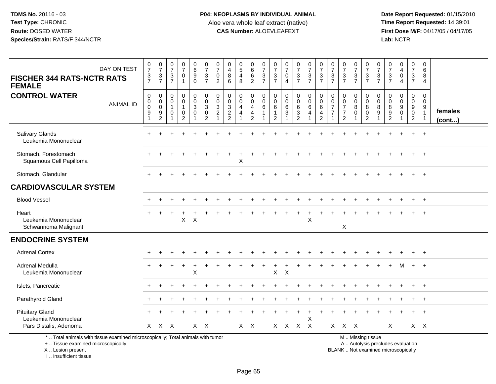**Date Report Requested:** 01/15/2010 **First Dose M/F:** 04/17/05 / 04/17/05<br>Lab: NCTR **Lab:** NCTR

| DAY ON TEST<br><b>FISCHER 344 RATS-NCTR RATS</b><br><b>FEMALE</b>               | $\begin{array}{c} 0 \\ 7 \end{array}$<br>$\frac{3}{7}$                       | $\frac{0}{7}$<br>$\ensuremath{\mathsf{3}}$<br>$\overline{7}$ | $\frac{0}{7}$<br>$\mathsf 3$<br>$\overline{7}$          | $\frac{0}{7}$<br>$\pmb{0}$                      | $\begin{array}{c} 0 \\ 6 \end{array}$<br>$\boldsymbol{9}$<br>$\mathbf 0$ | $\frac{0}{7}$<br>$\frac{3}{7}$                                                   | 0<br>$\overline{7}$<br>$\mathbf 0$<br>2          | 0<br>$\overline{4}$<br>$\bf 8$<br>6                                              | $\begin{array}{c} 0 \\ 5 \end{array}$<br>$\overline{4}$<br>8 | 0<br>$\,6\,$<br>$\,6\,$<br>$\overline{2}$                 | $\frac{0}{7}$<br>$\sqrt{3}$<br>$\overline{7}$                  | $\frac{0}{7}$<br>3<br>$\overline{7}$         | $\frac{0}{7}$<br>$\mathbf 0$<br>$\overline{4}$                             | $\frac{0}{7}$<br>$\frac{3}{7}$                                           | $\frac{0}{7}$<br>$\ensuremath{\mathsf{3}}$<br>$\overline{7}$ | $\frac{0}{7}$<br>$\frac{3}{7}$                                                    | $\frac{0}{7}$<br>$\mathbf 3$<br>$\overline{7}$             | $\frac{0}{7}$<br>$rac{3}{7}$                                             | $\frac{0}{7}$<br>$\frac{3}{7}$       | $\frac{0}{7}$<br>$\frac{3}{7}$                             | $\frac{0}{7}$<br>$\frac{3}{7}$                               | 0<br>$\overline{7}$<br>$\mathbf{3}$<br>$\overline{7}$              | 0<br>$\overline{\mathbf{4}}$<br>$\mathbf 0$<br>4 | $\frac{0}{7}$<br>$\mathbf{3}$<br>$\overline{7}$                               | 0<br>$\,6\,$<br>8<br>$\overline{4}$                     |                         |
|---------------------------------------------------------------------------------|------------------------------------------------------------------------------|--------------------------------------------------------------|---------------------------------------------------------|-------------------------------------------------|--------------------------------------------------------------------------|----------------------------------------------------------------------------------|--------------------------------------------------|----------------------------------------------------------------------------------|--------------------------------------------------------------|-----------------------------------------------------------|----------------------------------------------------------------|----------------------------------------------|----------------------------------------------------------------------------|--------------------------------------------------------------------------|--------------------------------------------------------------|-----------------------------------------------------------------------------------|------------------------------------------------------------|--------------------------------------------------------------------------|--------------------------------------|------------------------------------------------------------|--------------------------------------------------------------|--------------------------------------------------------------------|--------------------------------------------------|-------------------------------------------------------------------------------|---------------------------------------------------------|-------------------------|
| <b>CONTROL WATER</b><br><b>ANIMAL ID</b>                                        | $\mathbf 0$<br>$\mathbf 0$<br>$\mathbf 0$<br>$\boldsymbol{9}$<br>$\mathbf 1$ | 0<br>0<br>$\mathbf 0$<br>9<br>$\overline{2}$                 | $\mathbf 0$<br>$\mathbf 0$<br>$\overline{1}$<br>0<br>-1 | 0<br>$\mathbf 0$<br>$\pmb{0}$<br>$\overline{2}$ | 0<br>$\pmb{0}$<br>$\ensuremath{\mathsf{3}}$<br>$\pmb{0}$                 | $\mathbf 0$<br>$\mathbf 0$<br>$\mathbf{3}$<br>$\boldsymbol{0}$<br>$\overline{2}$ | 0<br>$\mathbf 0$<br>3<br>$\overline{\mathbf{c}}$ | $\mathbf 0$<br>$\mathbf 0$<br>$\mathbf{3}$<br>$\boldsymbol{2}$<br>$\overline{2}$ | 0<br>$\mathsf{O}\xspace$<br>$\overline{4}$<br>4              | 0<br>$\mathbf 0$<br>$\overline{a}$<br>$\overline{4}$<br>2 | $\mathbf 0$<br>$\mathbf 0$<br>6<br>$\mathbf{1}$<br>$\mathbf 1$ | 0<br>$\mathbf 0$<br>6<br>1<br>$\overline{2}$ | 0<br>$\mathsf{O}\xspace$<br>6<br>$\ensuremath{\mathsf{3}}$<br>$\mathbf{1}$ | 0<br>$\pmb{0}$<br>$\,6\,$<br>$\ensuremath{\mathsf{3}}$<br>$\overline{2}$ | 0<br>$\overline{0}$<br>6<br>4                                | $\mathbf 0$<br>$\mathbf 0$<br>$6\phantom{1}6$<br>$\overline{4}$<br>$\overline{2}$ | 0<br>$\mathbf 0$<br>$\overline{7}$<br>$\overline{7}$<br>-1 | 0<br>$\mathbf 0$<br>$\overline{7}$<br>$\boldsymbol{7}$<br>$\overline{2}$ | 0<br>$\mathbf 0$<br>8<br>$\mathsf 0$ | 0<br>$\mathbf 0$<br>$\bf 8$<br>$\pmb{0}$<br>$\overline{c}$ | $\Omega$<br>$\mathbf 0$<br>$\,8\,$<br>$\boldsymbol{9}$<br>-1 | $\Omega$<br>$\mathbf 0$<br>8<br>$\boldsymbol{9}$<br>$\overline{c}$ | $\Omega$<br>$\Omega$<br>9<br>$\mathbf 0$<br>-1   | $\mathbf{0}$<br>$\mathbf 0$<br>$9\,$<br>$\mathsf{O}\xspace$<br>$\overline{2}$ | 0<br>$\mathbf 0$<br>9<br>$\mathbf{1}$<br>$\overline{1}$ | females<br>$($ cont $)$ |
| Salivary Glands<br>Leukemia Mononuclear                                         |                                                                              |                                                              |                                                         |                                                 |                                                                          |                                                                                  |                                                  |                                                                                  |                                                              |                                                           |                                                                |                                              |                                                                            |                                                                          |                                                              |                                                                                   |                                                            |                                                                          |                                      |                                                            |                                                              |                                                                    |                                                  |                                                                               | $+$                                                     |                         |
| Stomach, Forestomach<br>Squamous Cell Papilloma                                 |                                                                              |                                                              |                                                         |                                                 |                                                                          |                                                                                  |                                                  |                                                                                  | X                                                            |                                                           |                                                                |                                              |                                                                            |                                                                          |                                                              |                                                                                   |                                                            |                                                                          |                                      |                                                            |                                                              |                                                                    |                                                  |                                                                               | $\overline{+}$                                          |                         |
| Stomach, Glandular                                                              |                                                                              |                                                              |                                                         |                                                 |                                                                          |                                                                                  |                                                  |                                                                                  |                                                              |                                                           |                                                                |                                              |                                                                            |                                                                          |                                                              |                                                                                   |                                                            |                                                                          |                                      |                                                            |                                                              |                                                                    |                                                  |                                                                               | $\overline{+}$                                          |                         |
| <b>CARDIOVASCULAR SYSTEM</b>                                                    |                                                                              |                                                              |                                                         |                                                 |                                                                          |                                                                                  |                                                  |                                                                                  |                                                              |                                                           |                                                                |                                              |                                                                            |                                                                          |                                                              |                                                                                   |                                                            |                                                                          |                                      |                                                            |                                                              |                                                                    |                                                  |                                                                               |                                                         |                         |
| <b>Blood Vessel</b>                                                             |                                                                              |                                                              |                                                         |                                                 |                                                                          |                                                                                  |                                                  |                                                                                  |                                                              |                                                           |                                                                |                                              |                                                                            |                                                                          |                                                              |                                                                                   |                                                            |                                                                          |                                      |                                                            |                                                              |                                                                    |                                                  |                                                                               | $+$                                                     |                         |
| Heart<br>Leukemia Mononuclear<br>Schwannoma Malignant                           | $+$                                                                          |                                                              |                                                         | $\overline{ }$<br>$\mathsf{X}$                  | $\boldsymbol{\mathsf{X}}$                                                |                                                                                  |                                                  |                                                                                  |                                                              |                                                           |                                                                |                                              |                                                                            | $\overline{+}$                                                           | $\ddot{}$<br>X                                               |                                                                                   |                                                            | X                                                                        |                                      |                                                            |                                                              |                                                                    |                                                  |                                                                               | $\overline{+}$                                          |                         |
| <b>ENDOCRINE SYSTEM</b>                                                         |                                                                              |                                                              |                                                         |                                                 |                                                                          |                                                                                  |                                                  |                                                                                  |                                                              |                                                           |                                                                |                                              |                                                                            |                                                                          |                                                              |                                                                                   |                                                            |                                                                          |                                      |                                                            |                                                              |                                                                    |                                                  |                                                                               |                                                         |                         |
| <b>Adrenal Cortex</b>                                                           |                                                                              |                                                              |                                                         |                                                 |                                                                          |                                                                                  |                                                  |                                                                                  |                                                              |                                                           |                                                                |                                              |                                                                            |                                                                          |                                                              |                                                                                   |                                                            |                                                                          |                                      |                                                            |                                                              |                                                                    |                                                  |                                                                               | $\overline{+}$                                          |                         |
| Adrenal Medulla<br>Leukemia Mononuclear                                         |                                                                              |                                                              |                                                         | $\ddot{}$                                       | $\ddot{}$<br>X                                                           |                                                                                  |                                                  |                                                                                  |                                                              |                                                           |                                                                | X                                            | X                                                                          |                                                                          |                                                              |                                                                                   |                                                            |                                                                          |                                      |                                                            |                                                              |                                                                    | м                                                | $+$                                                                           | $+$                                                     |                         |
| Islets, Pancreatic                                                              |                                                                              |                                                              |                                                         |                                                 |                                                                          |                                                                                  |                                                  |                                                                                  |                                                              |                                                           |                                                                |                                              |                                                                            |                                                                          |                                                              |                                                                                   |                                                            |                                                                          |                                      |                                                            |                                                              |                                                                    |                                                  |                                                                               | $+$                                                     |                         |
| Parathyroid Gland                                                               |                                                                              |                                                              |                                                         |                                                 |                                                                          |                                                                                  |                                                  |                                                                                  |                                                              |                                                           |                                                                |                                              |                                                                            |                                                                          |                                                              |                                                                                   |                                                            |                                                                          |                                      |                                                            |                                                              |                                                                    |                                                  |                                                                               | $\overline{+}$                                          |                         |
| <b>Pituitary Gland</b><br>Leukemia Mononuclear                                  |                                                                              |                                                              |                                                         |                                                 |                                                                          |                                                                                  |                                                  |                                                                                  |                                                              |                                                           |                                                                |                                              |                                                                            |                                                                          | X                                                            |                                                                                   |                                                            |                                                                          |                                      |                                                            |                                                              |                                                                    |                                                  |                                                                               | $\ddot{}$                                               |                         |
| Pars Distalis, Adenoma                                                          |                                                                              | $X$ $X$ $X$                                                  |                                                         |                                                 |                                                                          | $X$ $X$                                                                          |                                                  |                                                                                  |                                                              | $X$ $X$                                                   |                                                                |                                              |                                                                            | $X$ $X$ $X$ $X$                                                          |                                                              |                                                                                   |                                                            | $X$ $X$ $X$                                                              |                                      |                                                            |                                                              | $\times$                                                           |                                                  |                                                                               | $X \times$                                              |                         |
| *  Total animals with tissue examined microscopically; Total animals with tumor |                                                                              |                                                              |                                                         |                                                 |                                                                          |                                                                                  |                                                  |                                                                                  |                                                              |                                                           |                                                                |                                              |                                                                            |                                                                          |                                                              |                                                                                   |                                                            |                                                                          |                                      | M  Missing tissue                                          |                                                              |                                                                    |                                                  |                                                                               |                                                         |                         |

+ .. Tissue examined microscopically

 Lesion present BLANK .. Not examined microscopicallyX .. Lesion present

I .. Insufficient tissue

y the contract of the contract of the contract of the contract of the contract of the contract of the contract of  $A$ . Autolysis precludes evaluation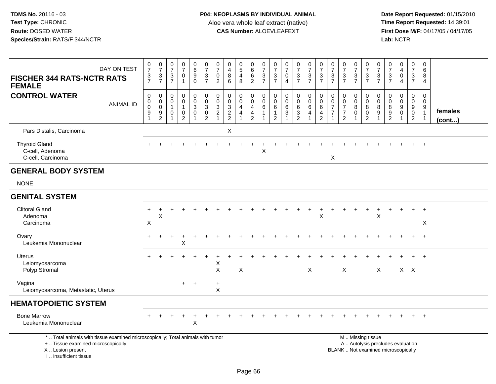**Date Report Requested:** 01/15/2010 **First Dose M/F:** 04/17/05 / 04/17/05<br>Lab: NCTR **Lab:** NCTR

| DAY ON TEST<br><b>FISCHER 344 RATS-NCTR RATS</b><br><b>FEMALE</b>                                                     | $\frac{0}{7}$<br>$\frac{3}{7}$            | $\frac{0}{7}$<br>$\frac{3}{7}$                         | $\frac{0}{7}$<br>$\frac{3}{7}$                     | 0<br>$\overline{7}$<br>$\mathsf 0$<br>$\mathbf{1}$ | $\begin{array}{c} 0 \\ 6 \end{array}$<br>$\overline{9}$<br>$\mathbf 0$ | $\frac{0}{7}$<br>$\frac{3}{7}$                                               | 0<br>$\overline{7}$<br>$\pmb{0}$<br>$\overline{2}$            | 0<br>$\overline{4}$<br>8<br>6                             | $\begin{array}{c} 0 \\ 5 \end{array}$<br>$\overline{4}$<br>8 | $\begin{matrix} 0 \\ 6 \end{matrix}$<br>$6\phantom{a}$<br>$\overline{2}$ | $\frac{0}{7}$<br>$\frac{3}{7}$                                       | $\frac{0}{7}$<br>$\frac{3}{7}$                                     | $\frac{0}{7}$<br>$\mathbf 0$<br>$\overline{4}$ | $\begin{array}{c} 0 \\ 7 \end{array}$<br>$\frac{3}{7}$ | $\frac{0}{7}$<br>$\frac{3}{7}$                                          | $\frac{0}{7}$<br>$\frac{3}{7}$                                             | $\frac{0}{7}$<br>$\frac{3}{7}$                       | $\frac{0}{7}$<br>$\frac{3}{7}$                                           | $\frac{0}{7}$<br>$\frac{3}{7}$     | $\frac{0}{7}$<br>$\frac{3}{7}$                                  | $\frac{0}{7}$<br>$\frac{3}{7}$                                                   | $\frac{0}{7}$<br>$\frac{3}{7}$                                           | $\begin{smallmatrix}0\0\4\end{smallmatrix}$<br>$\pmb{0}$<br>$\overline{4}$ | $\frac{0}{7}$<br>$\frac{3}{7}$                             | 0<br>$6^{\circ}$<br>8<br>$\overline{4}$                            |                         |
|-----------------------------------------------------------------------------------------------------------------------|-------------------------------------------|--------------------------------------------------------|----------------------------------------------------|----------------------------------------------------|------------------------------------------------------------------------|------------------------------------------------------------------------------|---------------------------------------------------------------|-----------------------------------------------------------|--------------------------------------------------------------|--------------------------------------------------------------------------|----------------------------------------------------------------------|--------------------------------------------------------------------|------------------------------------------------|--------------------------------------------------------|-------------------------------------------------------------------------|----------------------------------------------------------------------------|------------------------------------------------------|--------------------------------------------------------------------------|------------------------------------|-----------------------------------------------------------------|----------------------------------------------------------------------------------|--------------------------------------------------------------------------|----------------------------------------------------------------------------|------------------------------------------------------------|--------------------------------------------------------------------|-------------------------|
| <b>CONTROL WATER</b><br><b>ANIMAL ID</b>                                                                              | 0<br>0<br>$\mathbf 0$<br>$\boldsymbol{9}$ | 0<br>$\pmb{0}$<br>$\ddot{\mathbf{0}}$<br>$\frac{9}{2}$ | 0<br>0<br>$\mathbf 1$<br>0<br>$\blacktriangleleft$ | 0<br>0<br>$\mathbf{1}$<br>0<br>$\overline{2}$      | $\mathbf 0$<br>$\overline{0}$<br>$\overline{3}$<br>$\pmb{0}$           | $\pmb{0}$<br>$\overline{0}$<br>$\overline{3}$<br>$\pmb{0}$<br>$\overline{2}$ | $\mathbf 0$<br>$\mathbf 0$<br>$\overline{3}$<br>$\frac{2}{1}$ | $\mathbf 0$<br>$\mathbf 0$<br>$\sqrt{3}$<br>$\frac{2}{2}$ | 0<br>$\mathbf 0$<br>$\overline{4}$<br>$\overline{4}$         | 0<br>$\mathbf 0$<br>4<br>4<br>$\overline{2}$                             | 0<br>$\mathbf 0$<br>$6\phantom{1}$<br>$\mathbf{1}$<br>$\overline{1}$ | 0<br>$\pmb{0}$<br>$6\phantom{1}$<br>$\mathbf{1}$<br>$\overline{2}$ | $\mathbf 0$<br>0<br>$\,6\,$<br>$\mathbf{3}$    | 0<br>$\mathsf{O}\xspace$<br>$\,6\,$<br>$\frac{3}{2}$   | 0<br>$\mathsf{O}\xspace$<br>$\,6\,$<br>$\overline{4}$<br>$\overline{1}$ | $\mathbf 0$<br>$\pmb{0}$<br>6<br>$\overline{\mathbf{r}}$<br>$\overline{2}$ | 0<br>$\mathbf 0$<br>$\overline{7}$<br>$\overline{7}$ | $\mathbf 0$<br>0<br>$\overline{7}$<br>$\boldsymbol{7}$<br>$\overline{2}$ | 0<br>$\pmb{0}$<br>8<br>$\mathbf 0$ | 0<br>$\pmb{0}$<br>$\overline{8}$<br>$\pmb{0}$<br>$\overline{2}$ | $\mathbf 0$<br>$\mathsf 0$<br>$\overline{8}$<br>$\boldsymbol{9}$<br>$\mathbf{1}$ | $\mathbf 0$<br>0<br>$\overline{8}$<br>$\boldsymbol{9}$<br>$\overline{2}$ | $\mathbf 0$<br>$\mathbf 0$<br>$9\,$<br>$\mathbf 0$<br>$\overline{1}$       | 0<br>$\mathbf 0$<br>$9\,$<br>$\mathbf 0$<br>$\overline{2}$ | 0<br>$\mathbf 0$<br>$\overline{9}$<br>$\mathbf{1}$<br>$\mathbf{1}$ | females<br>$($ cont $)$ |
| Pars Distalis, Carcinoma                                                                                              |                                           |                                                        |                                                    |                                                    |                                                                        |                                                                              |                                                               | $\boldsymbol{\mathsf{X}}$                                 |                                                              |                                                                          |                                                                      |                                                                    |                                                |                                                        |                                                                         |                                                                            |                                                      |                                                                          |                                    |                                                                 |                                                                                  |                                                                          |                                                                            |                                                            |                                                                    |                         |
| <b>Thyroid Gland</b><br>C-cell, Adenoma<br>C-cell, Carcinoma                                                          |                                           |                                                        |                                                    |                                                    |                                                                        |                                                                              |                                                               |                                                           |                                                              |                                                                          | $\mathsf X$                                                          |                                                                    |                                                |                                                        |                                                                         |                                                                            | $\pmb{\times}$                                       |                                                                          |                                    |                                                                 |                                                                                  |                                                                          |                                                                            |                                                            | $\ddot{+}$                                                         |                         |
| <b>GENERAL BODY SYSTEM</b>                                                                                            |                                           |                                                        |                                                    |                                                    |                                                                        |                                                                              |                                                               |                                                           |                                                              |                                                                          |                                                                      |                                                                    |                                                |                                                        |                                                                         |                                                                            |                                                      |                                                                          |                                    |                                                                 |                                                                                  |                                                                          |                                                                            |                                                            |                                                                    |                         |
| <b>NONE</b>                                                                                                           |                                           |                                                        |                                                    |                                                    |                                                                        |                                                                              |                                                               |                                                           |                                                              |                                                                          |                                                                      |                                                                    |                                                |                                                        |                                                                         |                                                                            |                                                      |                                                                          |                                    |                                                                 |                                                                                  |                                                                          |                                                                            |                                                            |                                                                    |                         |
| <b>GENITAL SYSTEM</b>                                                                                                 |                                           |                                                        |                                                    |                                                    |                                                                        |                                                                              |                                                               |                                                           |                                                              |                                                                          |                                                                      |                                                                    |                                                |                                                        |                                                                         |                                                                            |                                                      |                                                                          |                                    |                                                                 |                                                                                  |                                                                          |                                                                            |                                                            |                                                                    |                         |
| <b>Clitoral Gland</b><br>Adenoma<br>Carcinoma                                                                         | $\ddot{}$<br>X                            | $\ddot{}$<br>X                                         |                                                    |                                                    |                                                                        |                                                                              |                                                               |                                                           |                                                              |                                                                          |                                                                      |                                                                    |                                                |                                                        | $\ddot{}$                                                               | $\ddot{}$<br>X                                                             |                                                      |                                                                          | $\ddot{}$                          | $\ddot{}$                                                       | $\ddot{}$<br>X                                                                   |                                                                          |                                                                            | $+$                                                        | $\ddot{+}$<br>X                                                    |                         |
| Ovary<br>Leukemia Mononuclear                                                                                         |                                           |                                                        |                                                    | X                                                  |                                                                        |                                                                              |                                                               |                                                           |                                                              |                                                                          |                                                                      |                                                                    |                                                |                                                        |                                                                         |                                                                            |                                                      |                                                                          |                                    |                                                                 |                                                                                  |                                                                          |                                                                            |                                                            |                                                                    |                         |
| <b>Uterus</b><br>Leiomyosarcoma<br>Polyp Stromal                                                                      |                                           |                                                        |                                                    |                                                    |                                                                        | $\overline{1}$                                                               | X<br>$\sf X$                                                  |                                                           | X                                                            |                                                                          |                                                                      |                                                                    |                                                |                                                        | $\mathsf{X}$                                                            |                                                                            |                                                      | $\sf X$                                                                  |                                    |                                                                 | $\mathsf{X}$                                                                     |                                                                          |                                                                            | $X$ $X$                                                    |                                                                    |                         |
| Vagina<br>Leiomyosarcoma, Metastatic, Uterus                                                                          |                                           |                                                        |                                                    | $+$                                                | $^{+}$                                                                 |                                                                              | $\ddot{}$<br>X                                                |                                                           |                                                              |                                                                          |                                                                      |                                                                    |                                                |                                                        |                                                                         |                                                                            |                                                      |                                                                          |                                    |                                                                 |                                                                                  |                                                                          |                                                                            |                                                            |                                                                    |                         |
| <b>HEMATOPOIETIC SYSTEM</b>                                                                                           |                                           |                                                        |                                                    |                                                    |                                                                        |                                                                              |                                                               |                                                           |                                                              |                                                                          |                                                                      |                                                                    |                                                |                                                        |                                                                         |                                                                            |                                                      |                                                                          |                                    |                                                                 |                                                                                  |                                                                          |                                                                            |                                                            |                                                                    |                         |
| <b>Bone Marrow</b><br>Leukemia Mononuclear                                                                            |                                           |                                                        |                                                    |                                                    | X                                                                      |                                                                              |                                                               |                                                           |                                                              |                                                                          |                                                                      |                                                                    |                                                |                                                        |                                                                         |                                                                            |                                                      |                                                                          |                                    |                                                                 |                                                                                  |                                                                          |                                                                            | $\ddot{}$                                                  | $+$                                                                |                         |
| *  Total animals with tissue examined microscopically; Total animals with tumor<br>+  Tissue examined microscopically |                                           |                                                        |                                                    |                                                    |                                                                        |                                                                              |                                                               |                                                           |                                                              |                                                                          |                                                                      |                                                                    |                                                |                                                        |                                                                         |                                                                            |                                                      |                                                                          |                                    | M  Missing tissue                                               |                                                                                  |                                                                          | A  Autolysis precludes evaluation                                          |                                                            |                                                                    |                         |

X .. Lesion present

I .. Insufficient tissue

Lesion present BLANK .. Not examined microscopically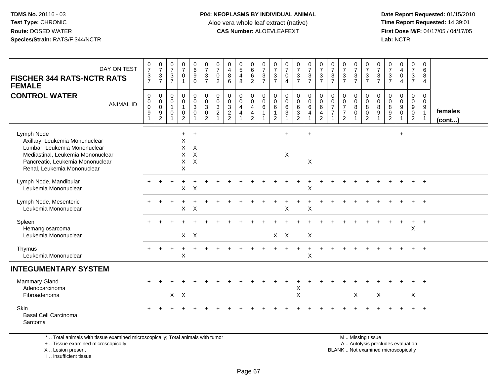**Date Report Requested:** 01/15/2010 **First Dose M/F:** 04/17/05 / 04/17/05<br>Lab: NCTR **Lab:** NCTR

| DAY ON TEST<br><b>FISCHER 344 RATS-NCTR RATS</b><br><b>FEMALE</b>                                    | $\frac{0}{7}$<br>$\frac{3}{7}$                      | $\frac{0}{7}$<br>$\ensuremath{\mathsf{3}}$<br>$\overline{7}$                         | $\frac{0}{7}$<br>$\ensuremath{\mathsf{3}}$<br>$\overline{7}$ | $\frac{0}{7}$<br>$\mathbf 0$<br>$\mathbf{1}$    | $_{6}^{\rm 0}$<br>$\boldsymbol{9}$<br>$\mathbf 0$                | $\begin{array}{c} 0 \\ 7 \\ 3 \\ 7 \end{array}$                     | 0<br>$\overline{7}$<br>$\mathbf 0$<br>$\overline{2}$ | 0<br>$\overline{\mathbf{4}}$<br>8<br>6                                         | $\begin{array}{c} 0 \\ 5 \end{array}$<br>$\overline{4}$<br>8 | $_{6}^{\rm 0}$<br>$\,6\,$<br>$\overline{2}$                                             | $\frac{0}{7}$<br>$\frac{3}{7}$                             | 0<br>$\overline{7}$<br>$\mathsf 3$<br>$\overline{7}$              | $\frac{0}{7}$<br>$\mathbf 0$<br>$\overline{4}$               | $\frac{0}{7}$<br>$\frac{3}{7}$                                                   | $\frac{0}{7}$<br>$\frac{3}{7}$                               | $\frac{0}{7}$<br>$\mathbf{3}$<br>$\overline{7}$ | 0<br>$\overline{7}$<br>$\ensuremath{\mathsf{3}}$<br>$\overline{7}$ | $\frac{0}{7}$<br>$\frac{3}{7}$                                                   | $\frac{0}{7}$<br>$\ensuremath{\mathsf{3}}$<br>$\overline{7}$ | $\frac{0}{7}$<br>$\frac{3}{7}$                                                                                                                                                                                                                                                                                                     | $\frac{0}{7}$<br>$\ensuremath{\mathsf{3}}$<br>$\overline{7}$ | $\frac{0}{7}$<br>$\mathsf 3$<br>$\overline{7}$ | $_4^{\rm 0}$<br>$\pmb{0}$<br>$\overline{4}$ | 0<br>$\overline{7}$<br>$\mathbf{3}$<br>$\overline{7}$          | $\mathbf 0$<br>6<br>8<br>$\overline{4}$                           |                         |
|------------------------------------------------------------------------------------------------------|-----------------------------------------------------|--------------------------------------------------------------------------------------|--------------------------------------------------------------|-------------------------------------------------|------------------------------------------------------------------|---------------------------------------------------------------------|------------------------------------------------------|--------------------------------------------------------------------------------|--------------------------------------------------------------|-----------------------------------------------------------------------------------------|------------------------------------------------------------|-------------------------------------------------------------------|--------------------------------------------------------------|----------------------------------------------------------------------------------|--------------------------------------------------------------|-------------------------------------------------|--------------------------------------------------------------------|----------------------------------------------------------------------------------|--------------------------------------------------------------|------------------------------------------------------------------------------------------------------------------------------------------------------------------------------------------------------------------------------------------------------------------------------------------------------------------------------------|--------------------------------------------------------------|------------------------------------------------|---------------------------------------------|----------------------------------------------------------------|-------------------------------------------------------------------|-------------------------|
| <b>CONTROL WATER</b><br><b>ANIMAL ID</b>                                                             | 0<br>$\mathbf 0$<br>$\mathbf 0$<br>$\boldsymbol{9}$ | $\mathbf 0$<br>$\mathbf 0$<br>$\boldsymbol{0}$<br>$\boldsymbol{9}$<br>$\overline{c}$ | 0<br>$\mathbf 0$<br>$\mathbf{1}$<br>$\mathbf 0$<br>1         | 0<br>$\overline{0}$<br>1<br>0<br>$\overline{2}$ | $\pmb{0}$<br>$\pmb{0}$<br>$\ensuremath{\mathsf{3}}$<br>$\pmb{0}$ | $\mathbf 0$<br>$\overline{0}$<br>$\overline{3}$ 0<br>$\overline{2}$ | 0<br>$\mathbf 0$<br>$\mathbf{3}$<br>$\overline{2}$   | $\mathbf 0$<br>$\mathbf 0$<br>$\mathbf{3}$<br>$\overline{2}$<br>$\overline{2}$ | 0<br>$\mathbf 0$<br>4<br>$\overline{4}$                      | 0<br>$\ddot{\mathbf{0}}$<br>$\overline{4}$<br>$\overline{\mathbf{4}}$<br>$\overline{2}$ | $\mathbf 0$<br>$\mathsf{O}\xspace$<br>$\,6$<br>$\mathbf 1$ | $\mathbf 0$<br>$\mathbf 0$<br>6<br>$\mathbf{1}$<br>$\overline{2}$ | $\mathbf 0$<br>$\mathbf 0$<br>$6\phantom{1}6$<br>$\mathbf 3$ | $\pmb{0}$<br>$\pmb{0}$<br>$\,6\,$<br>$\ensuremath{\mathsf{3}}$<br>$\overline{2}$ | $\pmb{0}$<br>$\mathsf{O}\xspace$<br>6<br>$\overline{4}$<br>1 | 0<br>$\mathbf 0$<br>6<br>4<br>$\overline{2}$    | $\mathbf 0$<br>0<br>$\overline{7}$<br>$\overline{7}$               | $\mathbf 0$<br>$\mathbf 0$<br>$\overline{7}$<br>$\overline{7}$<br>$\overline{2}$ | 0<br>$\mathbf 0$<br>$\bf 8$<br>$\mathbf 0$                   | $\mathbf 0$<br>$\mathsf{O}\xspace$<br>8<br>$\pmb{0}$<br>$\overline{2}$                                                                                                                                                                                                                                                             | 0<br>$\mathbf 0$<br>8<br>$\boldsymbol{9}$                    | 0<br>$\mathbf 0$<br>$\bf 8$<br>$\frac{9}{2}$   | $\pmb{0}$<br>$\pmb{0}$<br>9<br>$\pmb{0}$    | 0<br>$\mathbf 0$<br>9<br>$\mathsf{O}\xspace$<br>$\overline{2}$ | $\mathbf 0$<br>$\mathbf 0$<br>9<br>$\mathbf{1}$<br>$\overline{1}$ | females<br>$($ cont $)$ |
| Lymph Node<br>Axillary, Leukemia Mononuclear<br>Lumbar, Leukemia Mononuclear                         |                                                     |                                                                                      |                                                              | $\ddot{}$<br>X<br>X                             | $+$<br>X                                                         |                                                                     |                                                      |                                                                                |                                                              |                                                                                         |                                                            |                                                                   | $+$                                                          |                                                                                  | $\ddot{}$                                                    |                                                 |                                                                    |                                                                                  |                                                              |                                                                                                                                                                                                                                                                                                                                    |                                                              |                                                | $\ddot{}$                                   |                                                                |                                                                   |                         |
| Mediastinal, Leukemia Mononuclear<br>Pancreatic, Leukemia Mononuclear<br>Renal, Leukemia Mononuclear |                                                     |                                                                                      |                                                              | $\pmb{\times}$<br>$\mathsf{X}$<br>$\sf X$       | $\mathsf{X}$<br>$\pmb{\times}$                                   |                                                                     |                                                      |                                                                                |                                                              |                                                                                         |                                                            |                                                                   | $\mathsf X$                                                  |                                                                                  | $\boldsymbol{\mathsf{X}}$                                    |                                                 |                                                                    |                                                                                  |                                                              |                                                                                                                                                                                                                                                                                                                                    |                                                              |                                                |                                             |                                                                |                                                                   |                         |
| Lymph Node, Mandibular<br>Leukemia Mononuclear                                                       |                                                     |                                                                                      |                                                              | $\pmb{\times}$                                  | X                                                                |                                                                     |                                                      |                                                                                |                                                              |                                                                                         |                                                            |                                                                   |                                                              |                                                                                  | Χ                                                            |                                                 |                                                                    |                                                                                  |                                                              |                                                                                                                                                                                                                                                                                                                                    |                                                              |                                                |                                             |                                                                |                                                                   |                         |
| Lymph Node, Mesenteric<br>Leukemia Mononuclear                                                       |                                                     |                                                                                      |                                                              | $\mathsf X$                                     | $\boldsymbol{\mathsf{X}}$                                        |                                                                     |                                                      |                                                                                |                                                              |                                                                                         |                                                            |                                                                   | X                                                            |                                                                                  | X                                                            |                                                 |                                                                    |                                                                                  |                                                              |                                                                                                                                                                                                                                                                                                                                    |                                                              |                                                |                                             |                                                                | $\ddot{}$                                                         |                         |
| Spleen<br>Hemangiosarcoma<br>Leukemia Mononuclear                                                    |                                                     |                                                                                      |                                                              |                                                 | $X$ $X$                                                          |                                                                     |                                                      |                                                                                |                                                              |                                                                                         |                                                            | $X$ $X$                                                           |                                                              |                                                                                  | X                                                            |                                                 |                                                                    |                                                                                  |                                                              |                                                                                                                                                                                                                                                                                                                                    |                                                              |                                                |                                             | $\pmb{\times}$                                                 | $+$                                                               |                         |
| Thymus<br>Leukemia Mononuclear                                                                       |                                                     |                                                                                      |                                                              | $\ddot{}$<br>X                                  |                                                                  |                                                                     |                                                      |                                                                                |                                                              |                                                                                         |                                                            |                                                                   |                                                              | $\ddot{}$                                                                        | $\ddot{}$<br>$\boldsymbol{\mathsf{X}}$                       |                                                 |                                                                    |                                                                                  |                                                              |                                                                                                                                                                                                                                                                                                                                    |                                                              |                                                |                                             |                                                                | $+$                                                               |                         |
| <b>INTEGUMENTARY SYSTEM</b>                                                                          |                                                     |                                                                                      |                                                              |                                                 |                                                                  |                                                                     |                                                      |                                                                                |                                                              |                                                                                         |                                                            |                                                                   |                                                              |                                                                                  |                                                              |                                                 |                                                                    |                                                                                  |                                                              |                                                                                                                                                                                                                                                                                                                                    |                                                              |                                                |                                             |                                                                |                                                                   |                         |
| Mammary Gland<br>Adenocarcinoma<br>Fibroadenoma                                                      |                                                     |                                                                                      | $X$ $X$                                                      |                                                 |                                                                  |                                                                     |                                                      |                                                                                |                                                              |                                                                                         |                                                            |                                                                   |                                                              | X<br>X                                                                           |                                                              |                                                 |                                                                    |                                                                                  | X                                                            |                                                                                                                                                                                                                                                                                                                                    | $\boldsymbol{\mathsf{X}}$                                    |                                                |                                             | X                                                              |                                                                   |                         |
| Skin<br><b>Basal Cell Carcinoma</b><br>Sarcoma                                                       |                                                     |                                                                                      |                                                              |                                                 |                                                                  |                                                                     |                                                      |                                                                                |                                                              |                                                                                         |                                                            |                                                                   |                                                              |                                                                                  |                                                              |                                                 |                                                                    |                                                                                  |                                                              |                                                                                                                                                                                                                                                                                                                                    |                                                              |                                                |                                             |                                                                | $+$                                                               |                         |
| $\star$ . Tatal actionals with theorie are probable and action constanting Tatal actionals with the  |                                                     |                                                                                      |                                                              |                                                 |                                                                  |                                                                     |                                                      |                                                                                |                                                              |                                                                                         |                                                            |                                                                   |                                                              |                                                                                  |                                                              |                                                 |                                                                    |                                                                                  |                                                              | $\mathbf{A}$ $\mathbf{A}$ $\mathbf{A}$ $\mathbf{A}$ $\mathbf{A}$ $\mathbf{A}$ $\mathbf{A}$ $\mathbf{A}$ $\mathbf{A}$ $\mathbf{A}$ $\mathbf{A}$ $\mathbf{A}$ $\mathbf{A}$ $\mathbf{A}$ $\mathbf{A}$ $\mathbf{A}$ $\mathbf{A}$ $\mathbf{A}$ $\mathbf{A}$ $\mathbf{A}$ $\mathbf{A}$ $\mathbf{A}$ $\mathbf{A}$ $\mathbf{A}$ $\mathbf{$ |                                                              |                                                |                                             |                                                                |                                                                   |                         |

\* .. Total animals with tissue examined microscopically; Total animals with tumor

+ .. Tissue examined microscopically

X .. Lesion present

I .. Insufficient tissue

 M .. Missing tissuey the contract of the contract of the contract of the contract of the contract of the contract of the contract of  $A$ . Autolysis precludes evaluation Lesion present BLANK .. Not examined microscopically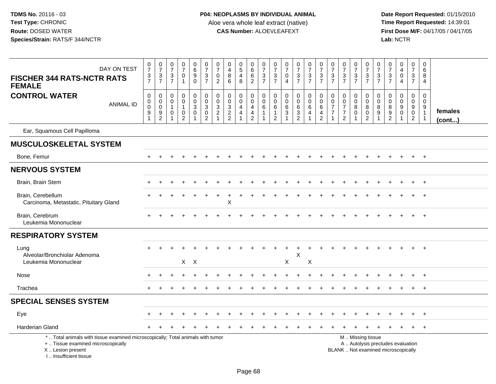| DAY ON TEST<br><b>FISCHER 344 RATS-NCTR RATS</b><br><b>FEMALE</b>                                                                                                     | $\frac{0}{7}$<br>$\frac{3}{7}$                                                | $\frac{0}{7}$<br>$\ensuremath{\mathsf{3}}$<br>$\overline{7}$ | $\begin{array}{c} 0 \\ 7 \end{array}$<br>$\sqrt{3}$<br>$\overline{7}$   | $\frac{0}{7}$<br>$\mathsf{O}$<br>$\mathbf{1}$                                   | $\begin{array}{c} 0 \\ 6 \end{array}$<br>$\overline{9}$<br>$\mathbf 0$ | $\frac{0}{7}$<br>$\sqrt{3}$<br>$\overline{7}$                                       | $\frac{0}{7}$<br>$\mathbf 0$<br>2                                 | 0<br>$\overline{4}$<br>$\boldsymbol{8}$<br>6                  | $\begin{array}{c} 0 \\ 5 \end{array}$<br>$\overline{4}$<br>8   | $\begin{array}{c} 0 \\ 6 \end{array}$<br>$6\overline{6}$<br>$\overline{2}$ | $\begin{smallmatrix}0\\7\end{smallmatrix}$<br>$\mathbf{3}$<br>$\overline{7}$ | $\begin{smallmatrix}0\\7\end{smallmatrix}$<br>$\sqrt{3}$<br>$\overline{7}$ | $\begin{smallmatrix}0\\7\end{smallmatrix}$<br>$\mathbf 0$<br>$\overline{A}$ | $\frac{0}{7}$<br>$\mathbf{3}$<br>$\overline{7}$ | $\frac{0}{7}$<br>$\ensuremath{\mathsf{3}}$<br>$\overline{7}$                   | $\begin{array}{c} 0 \\ 7 \end{array}$<br>$\sqrt{3}$<br>$\overline{7}$ | $\frac{0}{7}$<br>$\mathfrak{Z}$<br>$\overline{7}$                      | $\frac{0}{7}$<br>$\ensuremath{\mathsf{3}}$<br>$\overline{7}$                     | $\begin{array}{c} 0 \\ 7 \end{array}$<br>$\ensuremath{\mathsf{3}}$<br>$\overline{7}$ | $\frac{0}{7}$<br>$\frac{3}{7}$                                                                | 0<br>$\overline{7}$<br>3<br>$\overline{7}$                          | $\frac{0}{7}$<br>$\sqrt{3}$<br>$\overline{7}$    | $\begin{array}{c} 0 \\ 4 \end{array}$<br>$\mathsf{O}\xspace$<br>4                   | $\frac{0}{7}$<br>$\mathbf{3}$<br>$\overline{7}$ | $\mathbf 0$<br>6<br>8<br>4                      |                   |
|-----------------------------------------------------------------------------------------------------------------------------------------------------------------------|-------------------------------------------------------------------------------|--------------------------------------------------------------|-------------------------------------------------------------------------|---------------------------------------------------------------------------------|------------------------------------------------------------------------|-------------------------------------------------------------------------------------|-------------------------------------------------------------------|---------------------------------------------------------------|----------------------------------------------------------------|----------------------------------------------------------------------------|------------------------------------------------------------------------------|----------------------------------------------------------------------------|-----------------------------------------------------------------------------|-------------------------------------------------|--------------------------------------------------------------------------------|-----------------------------------------------------------------------|------------------------------------------------------------------------|----------------------------------------------------------------------------------|--------------------------------------------------------------------------------------|-----------------------------------------------------------------------------------------------|---------------------------------------------------------------------|--------------------------------------------------|-------------------------------------------------------------------------------------|-------------------------------------------------|-------------------------------------------------|-------------------|
| <b>CONTROL WATER</b><br><b>ANIMAL ID</b>                                                                                                                              | $\mathbf 0$<br>$\mathbf 0$<br>$\mathbf 0$<br>$\boldsymbol{9}$<br>$\mathbf{1}$ | $\mathbf 0$<br>$\mathbf 0$<br>$\mathbf 0$<br>$\frac{9}{2}$   | $\mathbf 0$<br>$\mathbf 0$<br>$\mathbf{1}$<br>$\pmb{0}$<br>$\mathbf{1}$ | $\mathbf 0$<br>$\mathbf 0$<br>$\mathbf 1$<br>$\boldsymbol{0}$<br>$\overline{2}$ | $\mathsf 0$<br>$\mathbf 0$<br>$\overline{3}$<br>$\mathsf{O}\xspace$    | $\mathbf 0$<br>$\ddot{\mathbf{0}}$<br>$\overline{3}$<br>$\pmb{0}$<br>$\overline{2}$ | $\boldsymbol{0}$<br>$\mathbf 0$<br>$\mathbf{3}$<br>$\overline{c}$ | $\mathbf 0$<br>$\mathbf 0$<br>$\overline{3}$<br>$\frac{2}{2}$ | $\mathbf 0$<br>$\mathsf 0$<br>$\overline{4}$<br>$\overline{4}$ | $\pmb{0}$<br>$\mathsf{O}\xspace$<br>$\frac{4}{4}$                          | $\mathbf 0$<br>$\mathbf 0$<br>$\,6\,$<br>$\mathbf{1}$<br>1                   | $\mathbf 0$<br>$\mathbf 0$<br>6<br>1<br>$\overline{2}$                     | $\mathbf 0$<br>$\mathsf{O}\xspace$<br>6<br>$\sqrt{3}$                       | 0<br>$\overline{0}$<br>$\,6\,$<br>$\frac{3}{2}$ | $\mathbf 0$<br>$\boldsymbol{0}$<br>$\,6\,$<br>$\overline{4}$<br>$\overline{1}$ | $\mathbf 0$<br>$\mathsf 0$<br>$\,6\,$<br>4<br>$\overline{2}$          | $\mathbf 0$<br>$\mathsf{O}\xspace$<br>$\overline{7}$<br>$\overline{7}$ | $\mathbf 0$<br>$\mathbf 0$<br>$\overline{7}$<br>$\overline{7}$<br>$\overline{2}$ | $\mathbf 0$<br>$\mathbf 0$<br>$\bf 8$<br>$\mathbf 0$                                 | $\mathbf 0$<br>$\mathsf{O}\xspace$<br>$\,8\,$<br>$\frac{0}{2}$                                | $\mathbf 0$<br>$\mathsf 0$<br>8<br>$\boldsymbol{9}$<br>$\mathbf{1}$ | $\mathbf 0$<br>$\mathbf 0$<br>8<br>$\frac{9}{2}$ | $\mathbf 0$<br>$\mathbf 0$<br>$\overline{9}$<br>$\mathsf{O}\xspace$<br>$\mathbf{1}$ | $\mathbf 0$<br>$\mathbf 0$<br>$\frac{9}{2}$     | $\mathbf 0$<br>$\mathbf 0$<br>9<br>$\mathbf{1}$ | females<br>(cont) |
| Ear, Squamous Cell Papilloma                                                                                                                                          |                                                                               |                                                              |                                                                         |                                                                                 |                                                                        |                                                                                     |                                                                   |                                                               |                                                                |                                                                            |                                                                              |                                                                            |                                                                             |                                                 |                                                                                |                                                                       |                                                                        |                                                                                  |                                                                                      |                                                                                               |                                                                     |                                                  |                                                                                     |                                                 |                                                 |                   |
| <b>MUSCULOSKELETAL SYSTEM</b>                                                                                                                                         |                                                                               |                                                              |                                                                         |                                                                                 |                                                                        |                                                                                     |                                                                   |                                                               |                                                                |                                                                            |                                                                              |                                                                            |                                                                             |                                                 |                                                                                |                                                                       |                                                                        |                                                                                  |                                                                                      |                                                                                               |                                                                     |                                                  |                                                                                     |                                                 |                                                 |                   |
| Bone, Femur                                                                                                                                                           |                                                                               |                                                              |                                                                         |                                                                                 |                                                                        |                                                                                     |                                                                   |                                                               |                                                                |                                                                            |                                                                              |                                                                            |                                                                             |                                                 |                                                                                |                                                                       |                                                                        |                                                                                  |                                                                                      |                                                                                               |                                                                     |                                                  |                                                                                     | $+$                                             | $+$                                             |                   |
| <b>NERVOUS SYSTEM</b>                                                                                                                                                 |                                                                               |                                                              |                                                                         |                                                                                 |                                                                        |                                                                                     |                                                                   |                                                               |                                                                |                                                                            |                                                                              |                                                                            |                                                                             |                                                 |                                                                                |                                                                       |                                                                        |                                                                                  |                                                                                      |                                                                                               |                                                                     |                                                  |                                                                                     |                                                 |                                                 |                   |
| Brain, Brain Stem                                                                                                                                                     |                                                                               |                                                              |                                                                         |                                                                                 |                                                                        |                                                                                     |                                                                   |                                                               |                                                                |                                                                            |                                                                              |                                                                            |                                                                             |                                                 |                                                                                |                                                                       |                                                                        |                                                                                  |                                                                                      |                                                                                               |                                                                     |                                                  |                                                                                     |                                                 | $+$                                             |                   |
| Brain, Cerebellum<br>Carcinoma, Metastatic, Pituitary Gland                                                                                                           |                                                                               |                                                              |                                                                         |                                                                                 |                                                                        |                                                                                     |                                                                   | X                                                             |                                                                |                                                                            |                                                                              |                                                                            |                                                                             |                                                 |                                                                                |                                                                       |                                                                        |                                                                                  |                                                                                      |                                                                                               |                                                                     |                                                  |                                                                                     |                                                 | $\pm$                                           |                   |
| Brain, Cerebrum<br>Leukemia Mononuclear                                                                                                                               |                                                                               |                                                              |                                                                         |                                                                                 |                                                                        |                                                                                     |                                                                   |                                                               |                                                                |                                                                            |                                                                              |                                                                            |                                                                             |                                                 |                                                                                |                                                                       |                                                                        |                                                                                  |                                                                                      |                                                                                               |                                                                     |                                                  |                                                                                     |                                                 | $+$                                             |                   |
| <b>RESPIRATORY SYSTEM</b>                                                                                                                                             |                                                                               |                                                              |                                                                         |                                                                                 |                                                                        |                                                                                     |                                                                   |                                                               |                                                                |                                                                            |                                                                              |                                                                            |                                                                             |                                                 |                                                                                |                                                                       |                                                                        |                                                                                  |                                                                                      |                                                                                               |                                                                     |                                                  |                                                                                     |                                                 |                                                 |                   |
| Lung<br>Alveolar/Bronchiolar Adenoma<br>Leukemia Mononuclear                                                                                                          |                                                                               |                                                              |                                                                         |                                                                                 | $X$ $X$                                                                |                                                                                     |                                                                   |                                                               |                                                                |                                                                            |                                                                              |                                                                            | X                                                                           | $\ddot{}$<br>X                                  | X                                                                              |                                                                       |                                                                        |                                                                                  |                                                                                      |                                                                                               |                                                                     |                                                  |                                                                                     |                                                 |                                                 |                   |
| Nose                                                                                                                                                                  |                                                                               |                                                              |                                                                         |                                                                                 |                                                                        |                                                                                     |                                                                   |                                                               |                                                                |                                                                            |                                                                              |                                                                            |                                                                             |                                                 |                                                                                |                                                                       |                                                                        |                                                                                  |                                                                                      |                                                                                               |                                                                     |                                                  |                                                                                     |                                                 |                                                 |                   |
| Trachea                                                                                                                                                               |                                                                               |                                                              |                                                                         |                                                                                 |                                                                        |                                                                                     |                                                                   |                                                               |                                                                |                                                                            |                                                                              |                                                                            |                                                                             |                                                 |                                                                                |                                                                       |                                                                        |                                                                                  |                                                                                      |                                                                                               |                                                                     |                                                  |                                                                                     |                                                 | $^{+}$                                          |                   |
| <b>SPECIAL SENSES SYSTEM</b>                                                                                                                                          |                                                                               |                                                              |                                                                         |                                                                                 |                                                                        |                                                                                     |                                                                   |                                                               |                                                                |                                                                            |                                                                              |                                                                            |                                                                             |                                                 |                                                                                |                                                                       |                                                                        |                                                                                  |                                                                                      |                                                                                               |                                                                     |                                                  |                                                                                     |                                                 |                                                 |                   |
| Eye                                                                                                                                                                   |                                                                               |                                                              |                                                                         |                                                                                 |                                                                        |                                                                                     |                                                                   |                                                               |                                                                |                                                                            |                                                                              |                                                                            |                                                                             |                                                 |                                                                                |                                                                       |                                                                        |                                                                                  |                                                                                      |                                                                                               |                                                                     |                                                  |                                                                                     | $\pm$                                           | $^{+}$                                          |                   |
| <b>Harderian Gland</b>                                                                                                                                                |                                                                               |                                                              |                                                                         |                                                                                 |                                                                        |                                                                                     |                                                                   |                                                               |                                                                |                                                                            |                                                                              |                                                                            |                                                                             |                                                 |                                                                                |                                                                       |                                                                        |                                                                                  |                                                                                      |                                                                                               |                                                                     |                                                  |                                                                                     | $+$                                             | $+$                                             |                   |
| *  Total animals with tissue examined microscopically; Total animals with tumor<br>+  Tissue examined microscopically<br>X  Lesion present<br>I., Insufficient tissue |                                                                               |                                                              |                                                                         |                                                                                 |                                                                        |                                                                                     |                                                                   |                                                               |                                                                |                                                                            |                                                                              |                                                                            |                                                                             |                                                 |                                                                                |                                                                       |                                                                        |                                                                                  |                                                                                      | M  Missing tissue<br>A  Autolysis precludes evaluation<br>BLANK  Not examined microscopically |                                                                     |                                                  |                                                                                     |                                                 |                                                 |                   |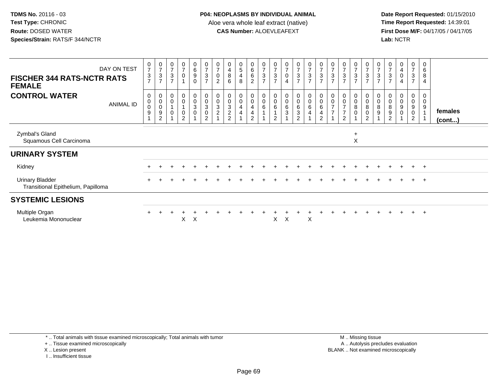**Date Report Requested:** 01/15/2010 **First Dose M/F:** 04/17/05 / 04/17/05<br>Lab: NCTR **Lab:** NCTR

| DAY ON TEST<br><b>FISCHER 344 RATS-NCTR RATS</b><br><b>FEMALE</b> | $\frac{0}{7}$<br>$\frac{3}{7}$                  | $\frac{0}{7}$<br>$\frac{3}{7}$                            | 0<br>$\overline{7}$<br>$\ensuremath{\mathsf{3}}$<br>$\overline{7}$ | $\pmb{0}$<br>$\boldsymbol{7}$<br>$\mathsf 0$ | $\begin{array}{c} 0 \\ 6 \\ 9 \end{array}$<br>$\mathbf 0$ | $\frac{0}{7}$<br>$\frac{3}{7}$                                             | 0<br>$\overline{7}$<br>0<br>$\overline{2}$ | 0<br>4<br>$\bf 8$<br>$6\phantom{1}$                                                      | $\begin{array}{c} 0 \\ 5 \end{array}$<br>$\overline{4}$<br>8 | $_6^0$<br>6<br>$\overline{2}$                   | $\frac{0}{7}$<br>$\sqrt{3}$<br>$\overline{7}$ | $\frac{0}{7}$<br>$\ensuremath{\mathsf{3}}$<br>$\overline{7}$ | $\pmb{0}$<br>$\overline{7}$<br>$\mathsf 0$<br>$\overline{4}$     | 0<br>$\overline{7}$<br>$\mathbf 3$<br>$\overline{7}$ | $\begin{array}{c} 0 \\ 7 \end{array}$<br>$\frac{3}{7}$ | $\frac{0}{7}$<br>$\frac{3}{7}$                                                                   | $\overline{\mathcal{I}}$<br>$\mathbf{3}$<br>$\overline{7}$ | $\pmb{0}$<br>$\boldsymbol{7}$<br>$\sqrt{3}$<br>$\overline{7}$                | $\frac{0}{7}$<br>$\ensuremath{\mathsf{3}}$<br>$\overline{7}$ | $\frac{0}{7}$<br>$\ensuremath{\mathsf{3}}$<br>$\overline{7}$                        | 0<br>$\overline{7}$<br>3<br>$\overline{7}$ | $\frac{0}{7}$<br>$\frac{3}{7}$ | 0<br>4<br>$\boldsymbol{0}$<br>$\overline{4}$ | 0<br>$\overline{7}$<br>$\mathbf{3}$<br>$\overline{7}$ | 0<br>$\,6$<br>$\,8\,$<br>$\overline{4}$ |                         |
|-------------------------------------------------------------------|-------------------------------------------------|-----------------------------------------------------------|--------------------------------------------------------------------|----------------------------------------------|-----------------------------------------------------------|----------------------------------------------------------------------------|--------------------------------------------|------------------------------------------------------------------------------------------|--------------------------------------------------------------|-------------------------------------------------|-----------------------------------------------|--------------------------------------------------------------|------------------------------------------------------------------|------------------------------------------------------|--------------------------------------------------------|--------------------------------------------------------------------------------------------------|------------------------------------------------------------|------------------------------------------------------------------------------|--------------------------------------------------------------|-------------------------------------------------------------------------------------|--------------------------------------------|--------------------------------|----------------------------------------------|-------------------------------------------------------|-----------------------------------------|-------------------------|
| <b>CONTROL WATER</b><br><b>ANIMAL ID</b>                          | $\boldsymbol{0}$<br>$_{\rm 0}^{\rm 0}$<br>$9\,$ | 0<br>$\pmb{0}$<br>$\boldsymbol{0}$<br>9<br>$\overline{2}$ | 0<br>0<br>0                                                        | $\pmb{0}$<br>$\pmb{0}$<br>$\pmb{0}$<br>2     | 0<br>$\pmb{0}$<br>$\sqrt{3}$<br>$\pmb{0}$                 | $\begin{smallmatrix}0\\0\\3\end{smallmatrix}$<br>$\,0\,$<br>$\overline{2}$ | 0<br>$\pmb{0}$<br>3<br>$\overline{c}$      | $\begin{smallmatrix}0\\0\end{smallmatrix}$<br>$\sqrt{3}$<br>$\sqrt{2}$<br>$\overline{2}$ | $_0^0$<br>4<br>4                                             | $_0^0$<br>$\overline{4}$<br>4<br>$\overline{2}$ | $_{\rm 0}^{\rm 0}$<br>$\,6\,$                 | 0<br>$\pmb{0}$<br>6<br>2                                     | $\mathbf 0$<br>$\pmb{0}$<br>$\,6\,$<br>$\ensuremath{\mathsf{3}}$ | 0<br>$\pmb{0}$<br>6<br>3<br>$\mathcal{P}$            | $_{\rm 0}^{\rm 0}$<br>6<br>4                           | $\begin{smallmatrix}0\\0\end{smallmatrix}$<br>$\,6$<br>$\overline{\mathbf{4}}$<br>$\overline{2}$ | 0<br>0<br>$\rightarrow$                                    | $\pmb{0}$<br>$\pmb{0}$<br>$\overline{z}$<br>$\overline{7}$<br>$\overline{2}$ | 0<br>0<br>8<br>0                                             | $\begin{smallmatrix}0\\0\end{smallmatrix}$<br>$\, 8$<br>$\pmb{0}$<br>$\overline{2}$ | 0<br>$\mathbf 0$<br>8<br>9                 | 0<br>8<br>9<br>$\overline{2}$  | 0<br>$\pmb{0}$<br>$\boldsymbol{9}$<br>0      | 0<br>0<br>9<br>0<br>$\overline{2}$                    | 0<br>$\mathbf 0$<br>$\boldsymbol{9}$    | females<br>$($ cont $)$ |
| Zymbal's Gland<br>Squamous Cell Carcinoma                         |                                                 |                                                           |                                                                    |                                              |                                                           |                                                                            |                                            |                                                                                          |                                                              |                                                 |                                               |                                                              |                                                                  |                                                      |                                                        |                                                                                                  |                                                            |                                                                              | $\ddot{}$<br>$\pmb{\times}$                                  |                                                                                     |                                            |                                |                                              |                                                       |                                         |                         |
| <b>URINARY SYSTEM</b>                                             |                                                 |                                                           |                                                                    |                                              |                                                           |                                                                            |                                            |                                                                                          |                                                              |                                                 |                                               |                                                              |                                                                  |                                                      |                                                        |                                                                                                  |                                                            |                                                                              |                                                              |                                                                                     |                                            |                                |                                              |                                                       |                                         |                         |
| Kidney                                                            |                                                 |                                                           |                                                                    |                                              |                                                           |                                                                            |                                            |                                                                                          |                                                              |                                                 |                                               |                                                              |                                                                  |                                                      |                                                        |                                                                                                  |                                                            |                                                                              |                                                              |                                                                                     |                                            |                                |                                              | $+$                                                   | $+$                                     |                         |
| <b>Urinary Bladder</b><br>Transitional Epithelium, Papilloma      |                                                 |                                                           |                                                                    |                                              |                                                           |                                                                            |                                            |                                                                                          |                                                              |                                                 |                                               |                                                              |                                                                  |                                                      |                                                        |                                                                                                  |                                                            |                                                                              |                                                              |                                                                                     |                                            |                                |                                              | $+$                                                   | $+$                                     |                         |
| <b>SYSTEMIC LESIONS</b>                                           |                                                 |                                                           |                                                                    |                                              |                                                           |                                                                            |                                            |                                                                                          |                                                              |                                                 |                                               |                                                              |                                                                  |                                                      |                                                        |                                                                                                  |                                                            |                                                                              |                                                              |                                                                                     |                                            |                                |                                              |                                                       |                                         |                         |
| Multiple Organ<br>Leukemia Mononuclear                            |                                                 |                                                           |                                                                    | X                                            | X                                                         |                                                                            |                                            |                                                                                          |                                                              |                                                 |                                               | X                                                            | $\times$                                                         |                                                      | X                                                      |                                                                                                  |                                                            |                                                                              |                                                              |                                                                                     |                                            |                                |                                              |                                                       | $\overline{+}$                          |                         |

\* .. Total animals with tissue examined microscopically; Total animals with tumor

+ .. Tissue examined microscopically

X .. Lesion present

I .. Insufficient tissue

 M .. Missing tissuey the contract of the contract of the contract of the contract of the contract of the contract of the contract of  $A$ . Autolysis precludes evaluation Lesion present BLANK .. Not examined microscopically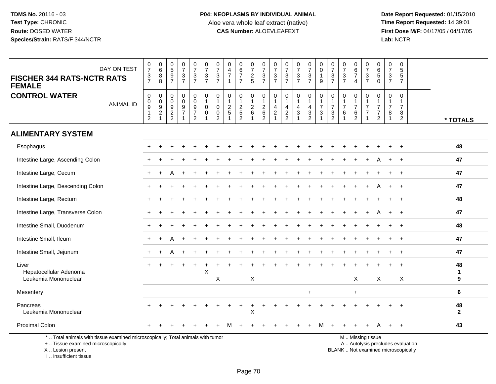**Date Report Requested:** 01/15/2010 **First Dose M/F:** 04/17/05 / 04/17/05<br>Lab: NCTR **Lab:** NCTR

| DAY ON TEST<br><b>FISCHER 344 RATS-NCTR RATS</b><br><b>FEMALE</b>                                                                          | $\frac{0}{7}$<br>$\frac{3}{7}$                                              | $\begin{array}{c} 0 \\ 6 \end{array}$<br>$\bf 8$<br>8   | $\begin{array}{c} 0 \\ 5 \end{array}$<br>$\frac{9}{7}$ | $\begin{smallmatrix}0\\7\end{smallmatrix}$<br>$\sqrt{3}$<br>$\overline{7}$          | $\frac{0}{7}$<br>$\mathbf{3}$<br>$\overline{7}$           | $\frac{0}{7}$<br>$\mathbf{3}$<br>$\overline{7}$                             | $\frac{0}{7}$<br>$\mathsf 3$<br>$\overline{7}$                              | 0<br>$\overline{4}$<br>$\overline{7}$<br>$\overline{1}$ | 0<br>$6\phantom{a}$<br>$\overline{7}$<br>$\overline{7}$        | 0<br>$\overline{7}$<br>$\overline{c}$<br>$5\phantom{.0}$        | 0<br>$\overline{7}$<br>$\mathsf 3$<br>$\overline{7}$          | 0<br>$\overline{7}$<br>$\ensuremath{\mathsf{3}}$<br>$\overline{7}$ | 0<br>$\overline{7}$<br>$\ensuremath{\mathsf{3}}$<br>$\overline{7}$ | $\frac{0}{7}$<br>$\sqrt{3}$<br>$\overline{7}$ | $\frac{0}{7}$<br>$\ensuremath{\mathsf{3}}$<br>$\overline{7}$                                   | 0<br>$\pmb{0}$<br>$\mathbf{1}$<br>9                                         | 0<br>$\overline{7}$<br>3<br>$\overline{7}$           | 0<br>$\overline{7}$<br>$\mathbf 3$<br>$\overline{7}$                 | 0<br>$6\phantom{a}$<br>$\overline{7}$<br>$\overline{4}$    | $\frac{0}{7}$<br>$\mathsf 3$<br>$\overline{7}$           | 0<br>$\,6\,$<br>$\overline{5}$<br>$\Omega$                 | 0<br>$\overline{7}$<br>3<br>$\overline{7}$ | 0<br>5<br>5<br>$\overline{7}$                          |                                   |                      |
|--------------------------------------------------------------------------------------------------------------------------------------------|-----------------------------------------------------------------------------|---------------------------------------------------------|--------------------------------------------------------|-------------------------------------------------------------------------------------|-----------------------------------------------------------|-----------------------------------------------------------------------------|-----------------------------------------------------------------------------|---------------------------------------------------------|----------------------------------------------------------------|-----------------------------------------------------------------|---------------------------------------------------------------|--------------------------------------------------------------------|--------------------------------------------------------------------|-----------------------------------------------|------------------------------------------------------------------------------------------------|-----------------------------------------------------------------------------|------------------------------------------------------|----------------------------------------------------------------------|------------------------------------------------------------|----------------------------------------------------------|------------------------------------------------------------|--------------------------------------------|--------------------------------------------------------|-----------------------------------|----------------------|
| <b>CONTROL WATER</b><br><b>ANIMAL ID</b>                                                                                                   | $\mathsf{O}\xspace$<br>$\pmb{0}$<br>$\boldsymbol{9}$<br>1<br>$\overline{c}$ | $\pmb{0}$<br>$\pmb{0}$<br>$\frac{9}{2}$<br>$\mathbf{1}$ | $\boldsymbol{0}$<br>$\mathbf 0$<br>$\frac{9}{2}$       | $\mathbf 0$<br>$\mathbf 0$<br>$\begin{array}{c} 9 \\ 7 \end{array}$<br>$\mathbf{1}$ | 0<br>$\mathbf 0$<br>9<br>$\overline{7}$<br>$\overline{a}$ | $\mathbf 0$<br>$\mathbf{1}$<br>$\mathbf 0$<br>$\mathbf 0$<br>$\overline{1}$ | $\mathbf 0$<br>$\mathbf{1}$<br>$\mathbf 0$<br>$\mathbf 0$<br>$\overline{2}$ | 0<br>$\frac{2}{5}$                                      | $\mathbf 0$<br>$\mathbf{1}$<br>$\frac{2}{5}$<br>$\overline{2}$ | 0<br>$\mathbf{1}$<br>$\begin{array}{c} 2 \\ 6 \end{array}$<br>1 | $\mathbf 0$<br>$\mathbf{1}$<br>$^2\phantom{1}6$<br>$\sqrt{2}$ | $\mathbf 0$<br>$\mathbf{1}$<br>4<br>$\overline{c}$<br>$\mathbf{1}$ | $\mathbf 0$<br>$\mathbf{1}$<br>4<br>$\sqrt{2}$<br>$\overline{2}$   | $\pmb{0}$<br>$\mathbf{1}$<br>4<br>$\mathsf 3$ | $\mathbf 0$<br>$\overline{1}$<br>$\overline{a}$<br>$\ensuremath{\mathsf{3}}$<br>$\overline{2}$ | $\mathbf 0$<br>$\mathbf{1}$<br>$\overline{7}$<br>$\sqrt{3}$<br>$\mathbf{1}$ | $\mathbf 0$<br>$\overline{7}$<br>3<br>$\overline{c}$ | $\mathbf 0$<br>$\mathbf{1}$<br>$\overline{7}$<br>6<br>$\overline{1}$ | 0<br>$\mathbf{1}$<br>$\overline{7}$<br>6<br>$\overline{2}$ | 0<br>$\overline{7}$<br>$\overline{7}$                    | $\mathbf 0$<br>-1<br>$\overline{7}$<br>7<br>$\overline{2}$ | $\mathbf 0$<br>$\overline{7}$<br>8<br>1    | $\Omega$<br>1<br>$\overline{7}$<br>8<br>$\overline{2}$ |                                   | * TOTALS             |
| <b>ALIMENTARY SYSTEM</b>                                                                                                                   |                                                                             |                                                         |                                                        |                                                                                     |                                                           |                                                                             |                                                                             |                                                         |                                                                |                                                                 |                                                               |                                                                    |                                                                    |                                               |                                                                                                |                                                                             |                                                      |                                                                      |                                                            |                                                          |                                                            |                                            |                                                        |                                   |                      |
| Esophagus                                                                                                                                  |                                                                             |                                                         |                                                        |                                                                                     |                                                           |                                                                             |                                                                             |                                                         |                                                                |                                                                 |                                                               |                                                                    |                                                                    |                                               |                                                                                                |                                                                             |                                                      |                                                                      |                                                            |                                                          |                                                            |                                            |                                                        |                                   | 48                   |
| Intestine Large, Ascending Colon                                                                                                           |                                                                             |                                                         |                                                        |                                                                                     |                                                           |                                                                             |                                                                             |                                                         |                                                                |                                                                 |                                                               |                                                                    |                                                                    |                                               |                                                                                                |                                                                             |                                                      |                                                                      |                                                            |                                                          |                                                            |                                            |                                                        |                                   | 47                   |
| Intestine Large, Cecum                                                                                                                     |                                                                             |                                                         |                                                        |                                                                                     |                                                           |                                                                             |                                                                             |                                                         |                                                                |                                                                 |                                                               |                                                                    |                                                                    |                                               |                                                                                                |                                                                             |                                                      |                                                                      |                                                            |                                                          |                                                            |                                            |                                                        |                                   | 47                   |
| Intestine Large, Descending Colon                                                                                                          |                                                                             |                                                         |                                                        |                                                                                     |                                                           |                                                                             |                                                                             |                                                         |                                                                |                                                                 |                                                               |                                                                    |                                                                    |                                               |                                                                                                |                                                                             |                                                      |                                                                      |                                                            | ÷                                                        |                                                            | $\ddot{}$                                  | $\ddot{}$                                              |                                   | 47                   |
| Intestine Large, Rectum                                                                                                                    |                                                                             |                                                         |                                                        |                                                                                     |                                                           |                                                                             |                                                                             |                                                         |                                                                |                                                                 |                                                               |                                                                    |                                                                    |                                               |                                                                                                |                                                                             |                                                      |                                                                      |                                                            |                                                          |                                                            |                                            |                                                        |                                   | 48                   |
| Intestine Large, Transverse Colon                                                                                                          |                                                                             |                                                         |                                                        |                                                                                     |                                                           |                                                                             |                                                                             |                                                         |                                                                |                                                                 |                                                               |                                                                    |                                                                    |                                               |                                                                                                |                                                                             |                                                      |                                                                      |                                                            |                                                          |                                                            |                                            |                                                        |                                   | 47                   |
| Intestine Small, Duodenum                                                                                                                  |                                                                             |                                                         |                                                        |                                                                                     |                                                           |                                                                             |                                                                             |                                                         |                                                                |                                                                 |                                                               |                                                                    |                                                                    |                                               |                                                                                                |                                                                             |                                                      |                                                                      |                                                            |                                                          |                                                            |                                            | $\ddot{}$                                              |                                   | 48                   |
| Intestine Small, Ileum                                                                                                                     |                                                                             |                                                         |                                                        |                                                                                     |                                                           |                                                                             |                                                                             |                                                         |                                                                |                                                                 |                                                               |                                                                    |                                                                    |                                               |                                                                                                |                                                                             |                                                      |                                                                      |                                                            |                                                          |                                                            |                                            |                                                        |                                   | 47                   |
| Intestine Small, Jejunum                                                                                                                   |                                                                             |                                                         |                                                        |                                                                                     |                                                           |                                                                             |                                                                             |                                                         |                                                                |                                                                 |                                                               |                                                                    |                                                                    |                                               |                                                                                                |                                                                             |                                                      |                                                                      |                                                            |                                                          |                                                            |                                            |                                                        |                                   | 47                   |
| Liver<br>Hepatocellular Adenoma                                                                                                            | $+$                                                                         | $\ddot{}$                                               |                                                        |                                                                                     | $\ddot{}$                                                 | $\mathsf X$                                                                 |                                                                             |                                                         |                                                                |                                                                 |                                                               |                                                                    |                                                                    |                                               |                                                                                                |                                                                             |                                                      |                                                                      |                                                            |                                                          |                                                            |                                            | $\ddot{}$                                              |                                   | 48<br>$\mathbf{1}$   |
| Leukemia Mononuclear                                                                                                                       |                                                                             |                                                         |                                                        |                                                                                     |                                                           |                                                                             | X                                                                           |                                                         |                                                                | X                                                               |                                                               |                                                                    |                                                                    |                                               |                                                                                                |                                                                             |                                                      |                                                                      | X                                                          |                                                          | X                                                          |                                            | X                                                      |                                   | 9                    |
| Mesentery                                                                                                                                  |                                                                             |                                                         |                                                        |                                                                                     |                                                           |                                                                             |                                                                             |                                                         |                                                                |                                                                 |                                                               |                                                                    |                                                                    |                                               | $\ddot{}$                                                                                      |                                                                             |                                                      |                                                                      | $\ddot{}$                                                  |                                                          |                                                            |                                            |                                                        |                                   | 6                    |
| Pancreas<br>Leukemia Mononuclear                                                                                                           |                                                                             |                                                         |                                                        |                                                                                     |                                                           |                                                                             |                                                                             |                                                         |                                                                | $\mathsf X$                                                     |                                                               |                                                                    |                                                                    |                                               |                                                                                                |                                                                             |                                                      |                                                                      |                                                            |                                                          |                                                            |                                            |                                                        |                                   | 48<br>$\overline{2}$ |
| <b>Proximal Colon</b>                                                                                                                      |                                                                             |                                                         |                                                        |                                                                                     |                                                           |                                                                             |                                                                             |                                                         |                                                                |                                                                 |                                                               |                                                                    |                                                                    |                                               |                                                                                                |                                                                             |                                                      |                                                                      |                                                            |                                                          |                                                            |                                            | $\ddot{}$                                              |                                   | 43                   |
| *  Total animals with tissue examined microscopically; Total animals with tumor<br>+  Tissue examined microscopically<br>X  Lesion present |                                                                             |                                                         |                                                        |                                                                                     |                                                           |                                                                             |                                                                             |                                                         |                                                                |                                                                 |                                                               |                                                                    |                                                                    |                                               |                                                                                                |                                                                             |                                                      |                                                                      |                                                            | M  Missing tissue<br>BLANK  Not examined microscopically |                                                            |                                            |                                                        | A  Autolysis precludes evaluation |                      |

I .. Insufficient tissue

Jpically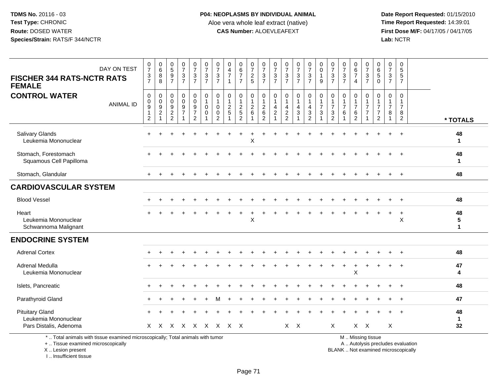**Date Report Requested:** 01/15/2010 **First Dose M/F:** 04/17/05 / 04/17/05<br>Lab: NCTR **Lab:** NCTR

| DAY ON TEST<br><b>FISCHER 344 RATS-NCTR RATS</b><br><b>FEMALE</b>              | $\frac{0}{7}$<br>3<br>$\overline{7}$    | $_{6}^{\rm 0}$<br>8<br>8                  | $\frac{0}{9}$<br>$\overline{7}$                             | $\frac{0}{7}$<br>$\frac{3}{7}$          | $\frac{0}{7}$<br>$\frac{3}{7}$                                                   | 0<br>$\overline{7}$<br>3<br>$\overline{7}$ | 0<br>$\overline{7}$<br>3<br>$\overline{7}$              | 0<br>$\overline{4}$<br>$\overline{7}$ | $\begin{array}{c} 0 \\ 6 \\ 7 \end{array}$<br>$\overline{7}$           | $\frac{0}{7}$<br>$\frac{2}{5}$       | 0<br>$\overline{7}$<br>3<br>$\overline{7}$ | $\frac{0}{7}$<br>$\frac{3}{7}$                | $\frac{0}{7}$<br>$\frac{3}{7}$                           | $\frac{0}{7}$<br>$\frac{3}{7}$           | $\frac{0}{7}$<br>3<br>$\overline{7}$ | 0<br>$\mathbf 0$<br>9    | 0<br>$\overline{7}$<br>$\frac{3}{7}$                  | 0<br>$\overline{7}$<br>3<br>$\overline{7}$ | 0<br>6<br>$\overline{7}$<br>$\overline{4}$              | 0<br>$\overline{7}$<br>3<br>$\overline{7}$ | 0<br>$\,6\,$<br>5<br>$\Omega$                                  | $\frac{0}{7}$<br>3<br>$\overline{7}$ | 0<br>$\overline{5}$<br>$\frac{5}{7}$            |                         |
|--------------------------------------------------------------------------------|-----------------------------------------|-------------------------------------------|-------------------------------------------------------------|-----------------------------------------|----------------------------------------------------------------------------------|--------------------------------------------|---------------------------------------------------------|---------------------------------------|------------------------------------------------------------------------|--------------------------------------|--------------------------------------------|-----------------------------------------------|----------------------------------------------------------|------------------------------------------|--------------------------------------|--------------------------|-------------------------------------------------------|--------------------------------------------|---------------------------------------------------------|--------------------------------------------|----------------------------------------------------------------|--------------------------------------|-------------------------------------------------|-------------------------|
| <b>CONTROL WATER</b><br><b>ANIMAL ID</b>                                       | $\mathbf 0$<br>0<br>9<br>$\overline{2}$ | 0<br>$\mathbf 0$<br>9<br>$\boldsymbol{2}$ | 0<br>$\mathbf 0$<br>9<br>$\boldsymbol{2}$<br>$\overline{2}$ | 0<br>$\mathbf 0$<br>9<br>$\overline{7}$ | $\mathbf 0$<br>$\pmb{0}$<br>$\boldsymbol{9}$<br>$\overline{7}$<br>$\overline{2}$ | 0<br>$\Omega$<br>$\Omega$                  | $\mathbf 0$<br>$\mathbf{1}$<br>0<br>0<br>$\overline{2}$ | 0<br>$\overline{c}$<br>5              | 0<br>$\overline{1}$<br>$\overline{c}$<br>$\,$ 5 $\,$<br>$\overline{2}$ | $\mathbf 0$<br>$\mathbf 1$<br>2<br>6 | 0<br>2<br>$\,6$<br>2                       | $\mathbf 0$<br>$\mathbf 1$<br>4<br>$\sqrt{2}$ | 0<br>$\overline{1}$<br>4<br>$\sqrt{2}$<br>$\overline{2}$ | 0<br>$\mathbf{1}$<br>$\overline{4}$<br>3 | 0<br>1<br>4<br>3<br>$\overline{2}$   | 0<br>$\overline{7}$<br>3 | 0<br>$\overline{7}$<br>$\ensuremath{\mathsf{3}}$<br>2 | $\Omega$<br>$\overline{7}$<br>6            | $\Omega$<br>$\overline{7}$<br>$\,6\,$<br>$\overline{2}$ | 0<br>7                                     | $\Omega$<br>$\overline{7}$<br>$\overline{7}$<br>$\overline{2}$ | 0<br>1<br>$\overline{7}$<br>8<br>1   | 0<br>1<br>$\overline{7}$<br>8<br>$\overline{2}$ | * TOTALS                |
| <b>Salivary Glands</b><br>Leukemia Mononuclear                                 |                                         |                                           |                                                             |                                         |                                                                                  |                                            |                                                         |                                       |                                                                        | X                                    |                                            |                                               |                                                          |                                          |                                      |                          |                                                       |                                            |                                                         |                                            |                                                                |                                      | $\ddot{}$                                       | 48<br>1                 |
| Stomach, Forestomach<br>Squamous Cell Papilloma                                |                                         |                                           |                                                             |                                         |                                                                                  |                                            |                                                         |                                       |                                                                        |                                      |                                            |                                               |                                                          |                                          |                                      |                          |                                                       |                                            |                                                         |                                            |                                                                |                                      |                                                 | 48<br>$\mathbf 1$       |
| Stomach, Glandular                                                             | ÷                                       |                                           |                                                             |                                         |                                                                                  |                                            |                                                         |                                       |                                                                        |                                      |                                            |                                               |                                                          |                                          |                                      |                          |                                                       |                                            |                                                         |                                            |                                                                |                                      | $+$                                             | 48                      |
| <b>CARDIOVASCULAR SYSTEM</b>                                                   |                                         |                                           |                                                             |                                         |                                                                                  |                                            |                                                         |                                       |                                                                        |                                      |                                            |                                               |                                                          |                                          |                                      |                          |                                                       |                                            |                                                         |                                            |                                                                |                                      |                                                 |                         |
| <b>Blood Vessel</b>                                                            |                                         |                                           |                                                             |                                         |                                                                                  |                                            |                                                         |                                       |                                                                        |                                      |                                            |                                               |                                                          |                                          |                                      |                          |                                                       |                                            |                                                         |                                            |                                                                |                                      |                                                 | 48                      |
| Heart<br>Leukemia Mononuclear<br>Schwannoma Malignant                          |                                         |                                           |                                                             |                                         |                                                                                  |                                            |                                                         |                                       |                                                                        | X                                    |                                            |                                               |                                                          |                                          |                                      |                          |                                                       |                                            |                                                         |                                            |                                                                | $\ddot{}$                            | $\ddot{}$<br>$\pmb{\times}$                     | 48<br>5<br>$\mathbf{1}$ |
| <b>ENDOCRINE SYSTEM</b>                                                        |                                         |                                           |                                                             |                                         |                                                                                  |                                            |                                                         |                                       |                                                                        |                                      |                                            |                                               |                                                          |                                          |                                      |                          |                                                       |                                            |                                                         |                                            |                                                                |                                      |                                                 |                         |
| <b>Adrenal Cortex</b>                                                          |                                         |                                           |                                                             |                                         |                                                                                  |                                            |                                                         |                                       |                                                                        |                                      |                                            |                                               |                                                          |                                          |                                      |                          |                                                       |                                            |                                                         |                                            |                                                                |                                      |                                                 | 48                      |
| <b>Adrenal Medulla</b><br>Leukemia Mononuclear                                 |                                         |                                           |                                                             |                                         |                                                                                  |                                            |                                                         |                                       |                                                                        |                                      |                                            |                                               |                                                          |                                          |                                      |                          |                                                       | ÷                                          | Χ                                                       |                                            |                                                                |                                      |                                                 | 47<br>4                 |
| Islets, Pancreatic                                                             |                                         |                                           |                                                             |                                         |                                                                                  |                                            |                                                         |                                       |                                                                        |                                      |                                            |                                               |                                                          |                                          |                                      |                          |                                                       |                                            |                                                         |                                            |                                                                |                                      |                                                 | 48                      |
| Parathyroid Gland                                                              |                                         |                                           |                                                             |                                         |                                                                                  |                                            | м                                                       |                                       |                                                                        |                                      |                                            |                                               |                                                          |                                          |                                      |                          |                                                       |                                            |                                                         |                                            |                                                                |                                      | $\ddot{}$                                       | 47                      |
| <b>Pituitary Gland</b><br>Leukemia Mononuclear<br>Pars Distalis, Adenoma       | $\times$                                | $\mathsf{X}$                              | $\mathsf{X}$                                                | $\mathsf{X}$                            | $\mathsf{X}$                                                                     |                                            |                                                         | X X X X                               |                                                                        |                                      |                                            |                                               | $X$ $X$                                                  |                                          |                                      |                          | X                                                     |                                            | $X -$                                                   | $\mathsf{X}$                               |                                                                | X                                    |                                                 | 48<br>1<br>32           |
| * Total animals with tissue examined microscopically: Total animals with tumor |                                         |                                           |                                                             |                                         |                                                                                  |                                            |                                                         |                                       |                                                                        |                                      |                                            |                                               |                                                          |                                          |                                      |                          |                                                       |                                            | M Miccinaticcup                                         |                                            |                                                                |                                      |                                                 |                         |

\* .. Total animals with tissue examined microscopically; Total animals with tumor

+ .. Tissue examined microscopically

X .. Lesion present

I .. Insufficient tissue

M .. Missing tissue

y the contract of the contract of the contract of the contract of the contract of the contract of the contract of  $A$ . Autolysis precludes evaluation

Lesion present BLANK .. Not examined microscopically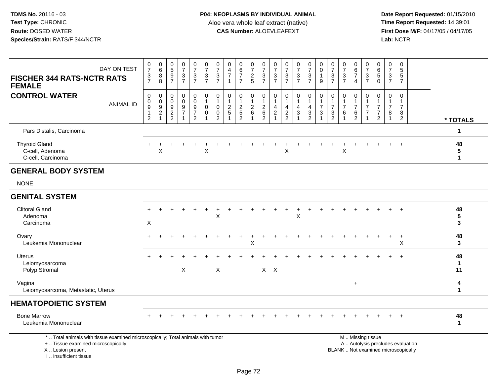**Date Report Requested:** 01/15/2010 **First Dose M/F:** 04/17/05 / 04/17/05<br>**Lab:** NCTR **Lab:** NCTR

| <b>FISCHER 344 RATS-NCTR RATS</b><br><b>FEMALE</b>           | DAY ON TEST      | $\frac{0}{7}$<br>$\frac{3}{7}$             | $\begin{matrix} 0 \\ 6 \\ 8 \end{matrix}$<br>8 | $\begin{array}{c} 0 \\ 5 \\ 9 \end{array}$<br>$\overline{7}$ | $\frac{0}{7}$<br>$\sqrt{3}$<br>$\overline{7}$                    | $\begin{array}{c} 0 \\ 7 \\ 3 \end{array}$<br>$\overline{7}$        | $\frac{0}{7}$<br>$\frac{3}{7}$  | $\begin{array}{c} 0 \\ 7 \\ 3 \\ 7 \end{array}$                | $\pmb{0}$<br>$\frac{4}{7}$<br>$\overline{1}$ | $\begin{array}{c} 0 \\ 6 \\ 7 \end{array}$<br>$\overline{7}$ | 0725                                                 | $\begin{smallmatrix}0\\7\end{smallmatrix}$<br>$\mathsf 3$<br>$\overline{7}$ | $\begin{array}{c} 0 \\ 7 \\ 3 \end{array}$<br>$\overline{7}$ | $\frac{0}{7}$<br>$\mathsf 3$<br>$\overline{7}$ | $\begin{array}{c} 0 \\ 7 \\ 3 \end{array}$<br>$\overline{7}$ | $\frac{0}{7}$<br>$\frac{3}{7}$ | $\begin{matrix} 0 \\ 0 \\ 1 \end{matrix}$<br>9 | $07/3$<br>7                                                                    | $\frac{0}{7}$<br>$\sqrt{3}$<br>$\overline{7}$ | $\boldsymbol{0}$<br>$\frac{6}{7}$<br>4          | $\frac{0}{7}$<br>$\mathbf{3}$<br>$\overline{7}$ | $\begin{array}{c} 0 \\ 6 \\ 5 \end{array}$<br>$\mathbf 0$                 | $\frac{0}{7}$<br>$\mathbf{3}$<br>$\overline{7}$    | 0<br>5<br>5<br>$\overline{7}$ |                            |
|--------------------------------------------------------------|------------------|--------------------------------------------|------------------------------------------------|--------------------------------------------------------------|------------------------------------------------------------------|---------------------------------------------------------------------|---------------------------------|----------------------------------------------------------------|----------------------------------------------|--------------------------------------------------------------|------------------------------------------------------|-----------------------------------------------------------------------------|--------------------------------------------------------------|------------------------------------------------|--------------------------------------------------------------|--------------------------------|------------------------------------------------|--------------------------------------------------------------------------------|-----------------------------------------------|-------------------------------------------------|-------------------------------------------------|---------------------------------------------------------------------------|----------------------------------------------------|-------------------------------|----------------------------|
| <b>CONTROL WATER</b>                                         | <b>ANIMAL ID</b> | 0<br>$\pmb{0}$<br>$\overline{9}$<br>1<br>2 | 0<br>$\frac{0}{9}$                             | $\pmb{0}$<br>$\mathbf 0$<br>$\frac{9}{2}$                    | $\mathbf 0$<br>$\mathbf 0$<br>$\boldsymbol{9}$<br>$\overline{7}$ | $\mathbf 0$<br>$\pmb{0}$<br>$\boldsymbol{9}$<br>$\overline{7}$<br>2 | $\mathbf 0$<br>$\mathbf 0$<br>0 | $\mathbf 0$<br>$\mathbf{1}$<br>$\mathbf 0$<br>$\mathbf 0$<br>2 | 0<br>$\mathbf{1}$<br>$\frac{2}{5}$           | 0<br>$\mathbf{1}$<br>$\frac{2}{5}$<br>$\overline{2}$         | $\boldsymbol{0}$<br>$\mathbf{1}$<br>$^2\phantom{1}6$ | 0<br>$\mathbf{1}$<br>$^2\phantom{1}6$<br>$\overline{2}$                     | $\pmb{0}$<br>$\overline{1}$<br>$\frac{4}{2}$                 | 0<br>4<br>$\boldsymbol{2}$<br>$\overline{2}$   | 0<br>1<br>4<br>3                                             | 0<br>$\frac{4}{3}$<br>2        | $\mathbf 0$<br>$\overline{7}$<br>3             | $\boldsymbol{0}$<br>$\overline{\mathbf{1}}$<br>$\overline{7}$<br>$\frac{3}{2}$ | 0<br>$\mathbf{1}$<br>$\overline{7}$<br>6      | 0<br>$\overline{1}$<br>$\overline{7}$<br>6<br>2 | 0<br>$\overline{7}$<br>$\overline{7}$           | 0<br>$\overline{1}$<br>$\overline{7}$<br>$\overline{7}$<br>$\overline{2}$ | $\mathbf 0$<br>$\mathbf{1}$<br>$\overline{7}$<br>8 | $\Omega$<br>8<br>2            | * TOTALS                   |
| Pars Distalis, Carcinoma                                     |                  |                                            |                                                |                                                              |                                                                  |                                                                     |                                 |                                                                |                                              |                                                              |                                                      |                                                                             |                                                              |                                                |                                                              |                                |                                                |                                                                                |                                               |                                                 |                                                 |                                                                           |                                                    |                               | 1                          |
| <b>Thyroid Gland</b><br>C-cell, Adenoma<br>C-cell, Carcinoma |                  |                                            | X                                              |                                                              |                                                                  |                                                                     | X                               |                                                                |                                              |                                                              |                                                      |                                                                             |                                                              | X                                              |                                                              |                                |                                                |                                                                                | $\times$                                      |                                                 |                                                 |                                                                           |                                                    | $\ddot{}$                     | 48<br>5<br>1               |
| <b>GENERAL BODY SYSTEM</b>                                   |                  |                                            |                                                |                                                              |                                                                  |                                                                     |                                 |                                                                |                                              |                                                              |                                                      |                                                                             |                                                              |                                                |                                                              |                                |                                                |                                                                                |                                               |                                                 |                                                 |                                                                           |                                                    |                               |                            |
| <b>NONE</b>                                                  |                  |                                            |                                                |                                                              |                                                                  |                                                                     |                                 |                                                                |                                              |                                                              |                                                      |                                                                             |                                                              |                                                |                                                              |                                |                                                |                                                                                |                                               |                                                 |                                                 |                                                                           |                                                    |                               |                            |
| <b>GENITAL SYSTEM</b>                                        |                  |                                            |                                                |                                                              |                                                                  |                                                                     |                                 |                                                                |                                              |                                                              |                                                      |                                                                             |                                                              |                                                |                                                              |                                |                                                |                                                                                |                                               |                                                 |                                                 |                                                                           |                                                    |                               |                            |
| <b>Clitoral Gland</b><br>Adenoma<br>Carcinoma                |                  | $+$<br>$\pmb{\times}$                      |                                                |                                                              |                                                                  |                                                                     |                                 | $\times$                                                       |                                              |                                                              |                                                      |                                                                             |                                                              |                                                | X                                                            |                                |                                                |                                                                                |                                               |                                                 |                                                 |                                                                           | $+$                                                | $+$                           | 48<br>$5\phantom{.0}$<br>3 |
| Ovary<br>Leukemia Mononuclear                                |                  |                                            |                                                |                                                              |                                                                  |                                                                     |                                 |                                                                |                                              |                                                              | X                                                    |                                                                             |                                                              |                                                |                                                              |                                |                                                |                                                                                |                                               |                                                 |                                                 |                                                                           | $\ddot{}$                                          | $\ddot{}$<br>X                | 48<br>3                    |
| <b>Uterus</b><br>Leiomyosarcoma<br>Polyp Stromal             |                  |                                            |                                                |                                                              | $\boldsymbol{\mathsf{X}}$                                        |                                                                     |                                 | X                                                              |                                              |                                                              |                                                      |                                                                             | $X$ $X$                                                      |                                                |                                                              |                                |                                                |                                                                                |                                               |                                                 |                                                 |                                                                           |                                                    | $\ddot{}$                     | 48<br>1<br>11              |

Vagina <sup>+</sup>Leiomyosarcoma, Metastatic, Uterus

## **HEMATOPOIETIC SYSTEM**

| <b>Bone Marrow</b><br>Leukemia Mononuclear |  |  |  |  |  |  |  |  |  |  |  |  | 48 |  |
|--------------------------------------------|--|--|--|--|--|--|--|--|--|--|--|--|----|--|
|                                            |  |  |  |  |  |  |  |  |  |  |  |  |    |  |

**<sup>1</sup>**

\* .. Total animals with tissue examined microscopically; Total animals with tumor

+ .. Tissue examined microscopically

X .. Lesion present

I .. Insufficient tissue

M .. Missing tissue

y the contract of the contract of the contract of the contract of the contract of the contract of the contract of  $A$ . Autolysis precludes evaluation Lesion present BLANK .. Not examined microscopically

**<sup>4</sup>**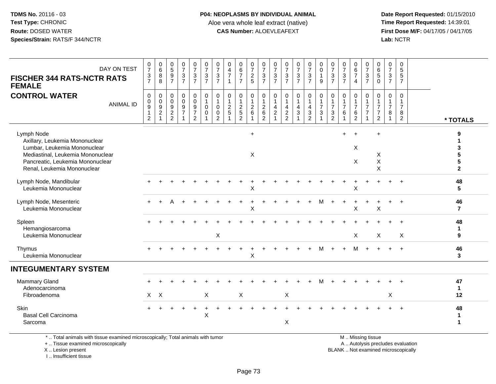**Date Report Requested:** 01/15/2010 **First Dose M/F:** 04/17/05 / 04/17/05<br>Lab: NCTR **Lab:** NCTR

| DAY ON TEST<br><b>FISCHER 344 RATS-NCTR RATS</b><br><b>FEMALE</b>                                                                                                                    | $\frac{0}{7}$<br>$\frac{3}{7}$                                                 | $_{6}^{\rm 0}$<br>$\bf 8$<br>8                                           | $\frac{0}{9}$<br>$\overline{7}$           | $\frac{0}{7}$<br>$\frac{3}{7}$          | $\frac{0}{7}$<br>$\frac{3}{7}$                                      | $\frac{0}{7}$<br>$\frac{3}{7}$                                              | $\frac{0}{7}$<br>3<br>$\overline{7}$                              | $\begin{array}{c} 0 \\ 4 \\ 7 \end{array}$<br>$\mathbf{1}$ | $\begin{array}{c} 0 \\ 6 \\ 7 \end{array}$<br>$\overline{7}$   | 0725                                           | $\frac{0}{7}$<br>$\frac{3}{7}$                                      | 0<br>$\overline{7}$<br>$\sqrt{3}$<br>$\overline{7}$          | $\frac{0}{7}$<br>$\ensuremath{\mathsf{3}}$<br>$\overline{7}$ | $\frac{0}{7}$<br>$\frac{3}{7}$           | $\frac{0}{7}$<br>$\frac{3}{7}$                                               | 0<br>$\overline{0}$<br>$\mathbf{1}$<br>9                  | 0<br>$\overline{7}$<br>$\mathbf{3}$<br>$\overline{7}$                             | $\frac{0}{7}$<br>$\ensuremath{\mathsf{3}}$<br>$\overline{7}$          | 0<br>$rac{6}{7}$<br>$\overline{4}$                               | 0<br>$\overline{7}$<br>$\sqrt{3}$<br>$\overline{7}$ | $\begin{array}{c} 0 \\ 6 \\ 5 \end{array}$<br>$\mathbf 0$              | $\begin{smallmatrix}0\\7\end{smallmatrix}$<br>$\mathbf{3}$<br>$\overline{7}$ | 0<br>$\overline{5}$<br>$\sqrt{5}$<br>$\overline{7}$  |                                                  |
|--------------------------------------------------------------------------------------------------------------------------------------------------------------------------------------|--------------------------------------------------------------------------------|--------------------------------------------------------------------------|-------------------------------------------|-----------------------------------------|---------------------------------------------------------------------|-----------------------------------------------------------------------------|-------------------------------------------------------------------|------------------------------------------------------------|----------------------------------------------------------------|------------------------------------------------|---------------------------------------------------------------------|--------------------------------------------------------------|--------------------------------------------------------------|------------------------------------------|------------------------------------------------------------------------------|-----------------------------------------------------------|-----------------------------------------------------------------------------------|-----------------------------------------------------------------------|------------------------------------------------------------------|-----------------------------------------------------|------------------------------------------------------------------------|------------------------------------------------------------------------------|------------------------------------------------------|--------------------------------------------------|
| <b>CONTROL WATER</b><br><b>ANIMAL ID</b>                                                                                                                                             | $\pmb{0}$<br>$\mathbf 0$<br>$\boldsymbol{9}$<br>$\mathbf{1}$<br>$\overline{2}$ | 0<br>$\mathbf 0$<br>$\boldsymbol{9}$<br>$\overline{2}$<br>$\overline{1}$ | $\pmb{0}$<br>$\mathbf 0$<br>$\frac{9}{2}$ | $\pmb{0}$<br>$\pmb{0}$<br>$\frac{9}{7}$ | $\pmb{0}$<br>$\mathsf{O}\xspace$<br>$\frac{9}{7}$<br>$\overline{2}$ | $\mathbf 0$<br>$\overline{1}$<br>$\mathbf 0$<br>$\mathbf 0$<br>$\mathbf{1}$ | 0<br>$\mathbf{1}$<br>$\mathbf 0$<br>$\mathbf 0$<br>$\overline{2}$ | $\pmb{0}$<br>$\mathbf{1}$<br>$\sqrt{2}$<br>$\sqrt{5}$      | $\mathbf 0$<br>$\mathbf{1}$<br>$\overline{2}$<br>$\frac{1}{2}$ | 0<br>$\mathbf{1}$<br>$\overline{c}$<br>$\,6\,$ | $\boldsymbol{0}$<br>$\mathbf{1}$<br>$\frac{2}{6}$<br>$\overline{2}$ | 0<br>$\overline{1}$<br>4<br>$\overline{2}$<br>$\overline{ }$ | $\pmb{0}$<br>$\mathbf{1}$<br>$\overline{a}$<br>$\frac{2}{2}$ | 0<br>$\mathbf{1}$<br>4<br>$\mathfrak{S}$ | 0<br>$\mathbf{1}$<br>$\overline{\mathbf{4}}$<br>$\sqrt{3}$<br>$\overline{2}$ | $\pmb{0}$<br>$\mathbf{1}$<br>$\overline{7}$<br>$\sqrt{3}$ | $\mathbf 0$<br>$\overline{1}$<br>$\overline{7}$<br>$\mathbf{3}$<br>$\overline{2}$ | $\boldsymbol{0}$<br>$\mathbf{1}$<br>$\overline{7}$<br>$6\phantom{1}6$ | 0<br>$\mathbf{1}$<br>$\overline{7}$<br>$\,6\,$<br>$\overline{2}$ | 0<br>1<br>$\overline{7}$<br>$\overline{7}$<br>1     | $\mathbf 0$<br>1<br>$\overline{7}$<br>$\overline{7}$<br>$\overline{2}$ | $\mathsf{O}\xspace$<br>$\mathbf{1}$<br>$\overline{7}$<br>8<br>$\mathbf{1}$   | $\mathbf 0$<br>$\overline{7}$<br>8<br>$\overline{c}$ | * TOTALS                                         |
| Lymph Node<br>Axillary, Leukemia Mononuclear<br>Lumbar, Leukemia Mononuclear<br>Mediastinal, Leukemia Mononuclear<br>Pancreatic, Leukemia Mononuclear<br>Renal, Leukemia Mononuclear |                                                                                |                                                                          |                                           |                                         |                                                                     |                                                                             |                                                                   |                                                            |                                                                | $+$<br>X                                       |                                                                     |                                                              |                                                              |                                          |                                                                              |                                                           |                                                                                   | $+$                                                                   | $+$<br>X<br>X                                                    |                                                     | $\ddot{}$<br>X<br>$\mathsf X$<br>X                                     |                                                                              |                                                      | 9<br>1<br>3<br>5<br>5<br>$\overline{\mathbf{2}}$ |
| Lymph Node, Mandibular<br>Leukemia Mononuclear                                                                                                                                       |                                                                                |                                                                          |                                           |                                         |                                                                     |                                                                             |                                                                   |                                                            |                                                                | X                                              |                                                                     |                                                              |                                                              |                                          |                                                                              |                                                           |                                                                                   |                                                                       | Χ                                                                |                                                     |                                                                        |                                                                              |                                                      | 48<br>5                                          |
| Lymph Node, Mesenteric<br>Leukemia Mononuclear                                                                                                                                       |                                                                                |                                                                          |                                           |                                         |                                                                     |                                                                             |                                                                   |                                                            |                                                                | X                                              |                                                                     |                                                              |                                                              |                                          |                                                                              | м                                                         |                                                                                   |                                                                       | X                                                                |                                                     | X                                                                      |                                                                              | $\ddot{}$                                            | 46<br>$\overline{7}$                             |
| Spleen<br>Hemangiosarcoma<br>Leukemia Mononuclear                                                                                                                                    |                                                                                |                                                                          |                                           |                                         |                                                                     |                                                                             | $\boldsymbol{\mathsf{X}}$                                         |                                                            |                                                                |                                                |                                                                     |                                                              |                                                              |                                          |                                                                              |                                                           |                                                                                   |                                                                       | $\mathsf{X}$                                                     |                                                     | X                                                                      |                                                                              | $\ddot{}$<br>X                                       | 48<br>1<br>9                                     |
| Thymus<br>Leukemia Mononuclear                                                                                                                                                       |                                                                                |                                                                          |                                           |                                         |                                                                     |                                                                             |                                                                   |                                                            |                                                                | X                                              |                                                                     |                                                              |                                                              |                                          |                                                                              | м                                                         | $\ddot{}$                                                                         | $+$                                                                   | м                                                                |                                                     |                                                                        |                                                                              | $\ddot{}$                                            | 46<br>3                                          |
| <b>INTEGUMENTARY SYSTEM</b>                                                                                                                                                          |                                                                                |                                                                          |                                           |                                         |                                                                     |                                                                             |                                                                   |                                                            |                                                                |                                                |                                                                     |                                                              |                                                              |                                          |                                                                              |                                                           |                                                                                   |                                                                       |                                                                  |                                                     |                                                                        |                                                                              |                                                      |                                                  |
| <b>Mammary Gland</b><br>Adenocarcinoma<br>Fibroadenoma                                                                                                                               |                                                                                | $X$ $X$                                                                  |                                           |                                         |                                                                     | $\sf X$                                                                     |                                                                   |                                                            | X                                                              |                                                |                                                                     |                                                              | $\mathsf X$                                                  |                                          |                                                                              |                                                           |                                                                                   |                                                                       |                                                                  |                                                     |                                                                        | $\mathsf X$                                                                  |                                                      | 47<br>$\mathbf 1$<br>12                          |
| <b>Skin</b><br><b>Basal Cell Carcinoma</b><br>Sarcoma                                                                                                                                |                                                                                |                                                                          |                                           |                                         |                                                                     | X                                                                           |                                                                   |                                                            |                                                                |                                                |                                                                     |                                                              | X                                                            |                                          |                                                                              |                                                           |                                                                                   |                                                                       |                                                                  |                                                     |                                                                        |                                                                              |                                                      | 48<br>1<br>$\mathbf{1}$                          |
|                                                                                                                                                                                      |                                                                                |                                                                          |                                           |                                         |                                                                     |                                                                             |                                                                   |                                                            |                                                                |                                                |                                                                     |                                                              |                                                              |                                          |                                                                              |                                                           |                                                                                   |                                                                       |                                                                  |                                                     |                                                                        |                                                                              |                                                      |                                                  |

\* .. Total animals with tissue examined microscopically; Total animals with tumor

+ .. Tissue examined microscopically

X .. Lesion present

I .. Insufficient tissue

M .. Missing tissue

y the contract of the contract of the contract of the contract of the contract of the contract of the contract of  $A$ . Autolysis precludes evaluation

Lesion present BLANK .. Not examined microscopically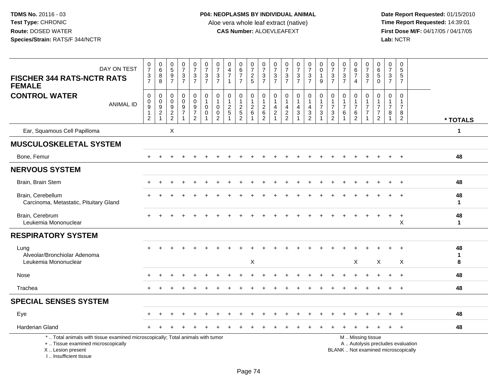| DAY ON TEST<br><b>FISCHER 344 RATS-NCTR RATS</b><br><b>FEMALE</b>                                                                                                   | $\frac{0}{7}$<br>$\frac{3}{7}$                                                 | 0<br>8<br>8                                                 | $0$<br>5<br>9<br>7                                              | $\frac{0}{7}$<br>$\frac{3}{7}$                                        | $\begin{smallmatrix}0\\7\end{smallmatrix}$<br>$\frac{3}{7}$                      | $\frac{0}{7}$<br>$\mathbf{3}$<br>$\overline{7}$   | $\frac{0}{7}$<br>$\frac{3}{7}$                                              | 0<br>$\overline{4}$<br>$\overline{7}$<br>$\overline{1}$ | $\begin{array}{c} 0 \\ 6 \\ 7 \end{array}$<br>$\overline{7}$ | $\frac{0}{7}$<br>$\frac{2}{5}$                                                 | 0<br>$\overline{7}$<br>3<br>$\overline{7}$              | $\frac{0}{7}$<br>$\sqrt{3}$<br>$\overline{7}$                          | $\frac{0}{7}$<br>$\frac{3}{7}$          | $\frac{0}{7}$<br>$\frac{3}{7}$                                                 | $\frac{0}{7}$<br>$\frac{3}{7}$                       | 0<br>$\mathbf 0$<br>$\mathbf{1}$<br>9              | $\frac{0}{7}$<br>$\frac{3}{7}$                                                  | $\frac{0}{7}$<br>$\ensuremath{\mathsf{3}}$<br>$\overline{7}$ | 0<br>$\,6\,$<br>$\overline{7}$<br>$\overline{4}$                                              | 0<br>$\overline{7}$<br>3<br>$\overline{7}$ | $\begin{array}{c} 0 \\ 6 \end{array}$<br>$\sqrt{5}$<br>$\mathbf 0$                | 0<br>$\overline{7}$<br>3<br>$\overline{7}$                        | $\begin{array}{c} 0 \\ 5 \end{array}$<br>$\frac{5}{7}$               |                   |
|---------------------------------------------------------------------------------------------------------------------------------------------------------------------|--------------------------------------------------------------------------------|-------------------------------------------------------------|-----------------------------------------------------------------|-----------------------------------------------------------------------|----------------------------------------------------------------------------------|---------------------------------------------------|-----------------------------------------------------------------------------|---------------------------------------------------------|--------------------------------------------------------------|--------------------------------------------------------------------------------|---------------------------------------------------------|------------------------------------------------------------------------|-----------------------------------------|--------------------------------------------------------------------------------|------------------------------------------------------|----------------------------------------------------|---------------------------------------------------------------------------------|--------------------------------------------------------------|-----------------------------------------------------------------------------------------------|--------------------------------------------|-----------------------------------------------------------------------------------|-------------------------------------------------------------------|----------------------------------------------------------------------|-------------------|
| <b>CONTROL WATER</b><br><b>ANIMAL ID</b>                                                                                                                            | $\mathbf 0$<br>$\mathbf 0$<br>$\overline{9}$<br>$\mathbf{1}$<br>$\overline{c}$ | $\mathbf 0$<br>$\pmb{0}$<br>$\frac{9}{2}$<br>$\overline{1}$ | $\mathbf 0$<br>$\mathbf 0$<br>$\boldsymbol{9}$<br>$\frac{2}{2}$ | $\mathbf 0$<br>$\mathbf 0$<br>$\boldsymbol{9}$<br>$\overline{7}$<br>1 | $\mathbf 0$<br>$\mathbf 0$<br>$\overline{9}$<br>$\overline{7}$<br>$\overline{2}$ | $\mathbf 0$<br>$\mathbf{1}$<br>$\Omega$<br>0<br>1 | $\mathbf 0$<br>$\mathbf{1}$<br>$\mathbf 0$<br>$\mathbf 0$<br>$\overline{2}$ | $\mathbf 0$<br>$\mathbf{1}$<br>$\sqrt{2}$<br>$\sqrt{5}$ | 0<br>$\mathbf{1}$<br>$\frac{2}{5}$<br>$\overline{2}$         | $\mathbf 0$<br>$\overline{1}$<br>$\boldsymbol{2}$<br>$\,6\,$<br>$\overline{1}$ | $\mathbf 0$<br>$\mathbf{1}$<br>$\overline{c}$<br>6<br>2 | $\mathbf 0$<br>$\overline{1}$<br>4<br>$\overline{2}$<br>$\overline{1}$ | 0<br>$\mathbf{1}$<br>4<br>$\frac{2}{2}$ | 0<br>$\mathbf{1}$<br>$\overline{4}$<br>$\mathbf{3}$<br>$\overline{\mathbf{1}}$ | 0<br>$\mathbf{1}$<br>$\overline{4}$<br>$\frac{3}{2}$ | $\mathbf 0$<br>$\mathbf{1}$<br>$\overline{7}$<br>3 | $\mathbf 0$<br>$\mathbf{1}$<br>$\overline{7}$<br>$\mathbf{3}$<br>$\overline{2}$ | 0<br>$\mathbf{1}$<br>$\overline{7}$<br>6                     | $\mathbf 0$<br>$\mathbf{1}$<br>$\overline{7}$<br>6<br>2                                       | 0<br>$\overline{7}$<br>$\overline{7}$      | $\mathbf 0$<br>$\mathbf{1}$<br>$\overline{7}$<br>$\overline{7}$<br>$\overline{2}$ | $\mathbf 0$<br>$\mathbf 1$<br>$\overline{7}$<br>8<br>$\mathbf{1}$ | $\mathbf 0$<br>$\mathbf{1}$<br>$\overline{7}$<br>8<br>$\overline{2}$ | * TOTALS          |
| Ear, Squamous Cell Papilloma                                                                                                                                        |                                                                                |                                                             | X                                                               |                                                                       |                                                                                  |                                                   |                                                                             |                                                         |                                                              |                                                                                |                                                         |                                                                        |                                         |                                                                                |                                                      |                                                    |                                                                                 |                                                              |                                                                                               |                                            |                                                                                   |                                                                   |                                                                      | 1                 |
| <b>MUSCULOSKELETAL SYSTEM</b>                                                                                                                                       |                                                                                |                                                             |                                                                 |                                                                       |                                                                                  |                                                   |                                                                             |                                                         |                                                              |                                                                                |                                                         |                                                                        |                                         |                                                                                |                                                      |                                                    |                                                                                 |                                                              |                                                                                               |                                            |                                                                                   |                                                                   |                                                                      |                   |
| Bone, Femur                                                                                                                                                         |                                                                                |                                                             |                                                                 |                                                                       |                                                                                  |                                                   |                                                                             |                                                         |                                                              |                                                                                |                                                         |                                                                        |                                         |                                                                                |                                                      |                                                    |                                                                                 |                                                              |                                                                                               |                                            |                                                                                   | $\ddot{}$                                                         | $+$                                                                  | 48                |
| <b>NERVOUS SYSTEM</b>                                                                                                                                               |                                                                                |                                                             |                                                                 |                                                                       |                                                                                  |                                                   |                                                                             |                                                         |                                                              |                                                                                |                                                         |                                                                        |                                         |                                                                                |                                                      |                                                    |                                                                                 |                                                              |                                                                                               |                                            |                                                                                   |                                                                   |                                                                      |                   |
| Brain, Brain Stem                                                                                                                                                   |                                                                                |                                                             |                                                                 |                                                                       |                                                                                  |                                                   |                                                                             |                                                         |                                                              |                                                                                |                                                         |                                                                        |                                         |                                                                                |                                                      |                                                    |                                                                                 |                                                              |                                                                                               |                                            |                                                                                   |                                                                   | $\overline{+}$                                                       | 48                |
| Brain, Cerebellum<br>Carcinoma, Metastatic, Pituitary Gland                                                                                                         |                                                                                |                                                             |                                                                 |                                                                       |                                                                                  |                                                   |                                                                             |                                                         |                                                              |                                                                                |                                                         |                                                                        |                                         |                                                                                |                                                      |                                                    |                                                                                 |                                                              |                                                                                               |                                            |                                                                                   |                                                                   | $\overline{+}$                                                       | 48<br>$\mathbf 1$ |
| Brain, Cerebrum<br>Leukemia Mononuclear                                                                                                                             |                                                                                |                                                             |                                                                 |                                                                       |                                                                                  |                                                   |                                                                             |                                                         |                                                              |                                                                                |                                                         |                                                                        |                                         |                                                                                |                                                      |                                                    |                                                                                 |                                                              |                                                                                               |                                            |                                                                                   | $\overline{+}$                                                    | $+$<br>X                                                             | 48<br>1           |
| <b>RESPIRATORY SYSTEM</b>                                                                                                                                           |                                                                                |                                                             |                                                                 |                                                                       |                                                                                  |                                                   |                                                                             |                                                         |                                                              |                                                                                |                                                         |                                                                        |                                         |                                                                                |                                                      |                                                    |                                                                                 |                                                              |                                                                                               |                                            |                                                                                   |                                                                   |                                                                      |                   |
| Lung<br>Alveolar/Bronchiolar Adenoma<br>Leukemia Mononuclear                                                                                                        |                                                                                |                                                             |                                                                 |                                                                       |                                                                                  |                                                   |                                                                             |                                                         |                                                              | $\boldsymbol{\mathsf{X}}$                                                      |                                                         |                                                                        |                                         |                                                                                |                                                      |                                                    |                                                                                 |                                                              | $\times$                                                                                      |                                            | X                                                                                 |                                                                   | $\times$                                                             | 48<br>1<br>8      |
| Nose                                                                                                                                                                |                                                                                |                                                             |                                                                 |                                                                       |                                                                                  |                                                   |                                                                             |                                                         |                                                              |                                                                                |                                                         |                                                                        |                                         |                                                                                |                                                      |                                                    |                                                                                 |                                                              |                                                                                               |                                            |                                                                                   |                                                                   |                                                                      | 48                |
| Trachea                                                                                                                                                             |                                                                                |                                                             |                                                                 |                                                                       |                                                                                  |                                                   |                                                                             |                                                         |                                                              |                                                                                |                                                         |                                                                        |                                         |                                                                                |                                                      |                                                    |                                                                                 |                                                              |                                                                                               |                                            |                                                                                   | $+$                                                               | $+$                                                                  | 48                |
| <b>SPECIAL SENSES SYSTEM</b>                                                                                                                                        |                                                                                |                                                             |                                                                 |                                                                       |                                                                                  |                                                   |                                                                             |                                                         |                                                              |                                                                                |                                                         |                                                                        |                                         |                                                                                |                                                      |                                                    |                                                                                 |                                                              |                                                                                               |                                            |                                                                                   |                                                                   |                                                                      |                   |
| Eye                                                                                                                                                                 |                                                                                |                                                             |                                                                 |                                                                       |                                                                                  |                                                   |                                                                             |                                                         |                                                              |                                                                                |                                                         |                                                                        |                                         |                                                                                |                                                      |                                                    |                                                                                 |                                                              |                                                                                               |                                            |                                                                                   |                                                                   | $\ddot{}$                                                            | 48                |
| <b>Harderian Gland</b>                                                                                                                                              |                                                                                |                                                             |                                                                 |                                                                       |                                                                                  |                                                   |                                                                             |                                                         |                                                              |                                                                                |                                                         |                                                                        |                                         |                                                                                |                                                      |                                                    |                                                                                 |                                                              |                                                                                               |                                            |                                                                                   |                                                                   | $\overline{+}$                                                       | 48                |
| *  Total animals with tissue examined microscopically; Total animals with tumor<br>+  Tissue examined microscopically<br>X  Lesion present<br>I Insufficient tissue |                                                                                |                                                             |                                                                 |                                                                       |                                                                                  |                                                   |                                                                             |                                                         |                                                              |                                                                                |                                                         |                                                                        |                                         |                                                                                |                                                      |                                                    |                                                                                 |                                                              | M  Missing tissue<br>A  Autolysis precludes evaluation<br>BLANK  Not examined microscopically |                                            |                                                                                   |                                                                   |                                                                      |                   |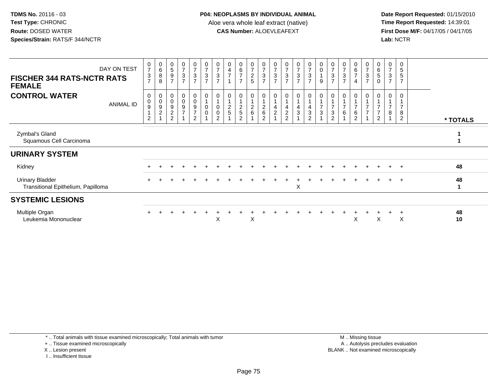Date Report Requested: 01/15/2010<br>Time Report Requested: 14:39:01 **First Dose M/F:** 04/17/05 / 04/17/05 Lab: NCTR **Lab:** NCTR

| DAY ON TEST<br><b>FISCHER 344 RATS-NCTR RATS</b><br><b>FEMALE</b> | $\pmb{0}$<br>$\overline{7}$<br>$\mathbf{3}$<br>$\overline{7}$ | $_{6}^{\rm 0}$<br>$\bf8$<br>8                                                 | $\,$ 5 $\,$<br>9<br>$\overline{7}$         | $\frac{0}{7}$<br>$\sqrt{3}$<br>$\overline{7}$            | $\frac{0}{7}$<br>$\sqrt{3}$<br>$\overline{7}$                  | 0<br>$\overline{7}$<br>3<br>$\overline{7}$ | $\frac{0}{7}$<br>3<br>$\overline{7}$            | $\overline{4}$<br>$\overline{7}$ | $\,6$<br>$\overline{ }$<br>$\overline{ }$               | $\frac{0}{7}$<br>$\frac{2}{5}$ | $\frac{0}{7}$<br>$\mathbf{3}$<br>$\overline{7}$ | 0<br>$\overline{7}$<br>$\ensuremath{\mathsf{3}}$<br>$\overline{7}$ | $\boldsymbol{0}$<br>$\overline{\mathbf{7}}$<br>$\ensuremath{\mathsf{3}}$<br>$\overline{7}$ | $\frac{0}{7}$<br>3<br>$\overline{7}$ | $\begin{array}{c} 0 \\ 7 \\ 3 \end{array}$<br>$\overline{7}$ | 0<br>$\pmb{0}$<br>$\overline{A}$<br>$9\,$ | $\frac{0}{7}$<br>$\ensuremath{\mathsf{3}}$<br>$\overline{7}$       | 0<br>$\overline{\mathcal{I}}$<br>$\mathfrak{S}$<br>$\overline{7}$ | 0<br>6<br>$\overline{7}$<br>$\overline{4}$ | 0<br>$\boldsymbol{7}$<br>$\mathbf{3}$<br>$\overline{7}$ | 0<br>$\,6\,$<br>$5\,$<br>$\mathsf{O}\xspace$                      | 3<br>$\overline{7}$ | 0<br>$\sqrt{5}$<br>$\sqrt{5}$<br>$\overline{7}$ |          |
|-------------------------------------------------------------------|---------------------------------------------------------------|-------------------------------------------------------------------------------|--------------------------------------------|----------------------------------------------------------|----------------------------------------------------------------|--------------------------------------------|-------------------------------------------------|----------------------------------|---------------------------------------------------------|--------------------------------|-------------------------------------------------|--------------------------------------------------------------------|--------------------------------------------------------------------------------------------|--------------------------------------|--------------------------------------------------------------|-------------------------------------------|--------------------------------------------------------------------|-------------------------------------------------------------------|--------------------------------------------|---------------------------------------------------------|-------------------------------------------------------------------|---------------------|-------------------------------------------------|----------|
| <b>CONTROL WATER</b><br><b>ANIMAL ID</b>                          | $\mathbf 0$<br>$\pmb{0}$<br>9<br>$\overline{c}$               | $_{\rm 0}^{\rm 0}$<br>$\begin{array}{c} 9 \\ 2 \end{array}$<br>$\overline{A}$ | 0<br>9<br>$\overline{c}$<br>$\overline{2}$ | $_{\rm 0}^{\rm 0}$<br>$\boldsymbol{9}$<br>$\overline{7}$ | $_0^0$<br>$\boldsymbol{9}$<br>$\overline{7}$<br>$\overline{2}$ | 0<br>$\boldsymbol{0}$<br>$\mathbf 0$       | 0<br>$\mathsf 0$<br>$\pmb{0}$<br>$\overline{2}$ | $\overline{c}$<br>5              | $\overline{\mathbf{c}}$<br>$\sqrt{5}$<br>$\mathfrak{p}$ | 0<br>$^2\phantom{1}6$          | $^2\phantom{1}6$<br>$\overline{2}$              | 0<br>$\overline{4}$<br>$\boldsymbol{2}$                            | 4<br>$\boldsymbol{2}$<br>$\overline{2}$                                                    | 0<br>$\frac{4}{3}$                   | 0<br>4<br>$\ensuremath{\mathsf{3}}$<br>$\overline{2}$        | 0<br>$\overline{z}$<br>$\mathbf{3}$       | 0<br>$\overline{ }$<br>$\ensuremath{\mathsf{3}}$<br>$\overline{2}$ | $\overline{7}$<br>6<br>$\overline{A}$                             | 0<br>$\overline{ }$<br>6<br>$\overline{2}$ | $\overline{ }$<br>$\overline{7}$                        | $\mathbf 0$<br>$\overline{ }$<br>$\overline{7}$<br>$\overline{c}$ | $\overline{ }$<br>8 | 0<br>$\overline{ }$<br>8<br>$\overline{2}$      | * TOTALS |
| Zymbal's Gland<br>Squamous Cell Carcinoma                         |                                                               |                                                                               |                                            |                                                          |                                                                |                                            |                                                 |                                  |                                                         |                                |                                                 |                                                                    |                                                                                            |                                      |                                                              |                                           |                                                                    |                                                                   |                                            |                                                         |                                                                   |                     |                                                 |          |
| <b>URINARY SYSTEM</b>                                             |                                                               |                                                                               |                                            |                                                          |                                                                |                                            |                                                 |                                  |                                                         |                                |                                                 |                                                                    |                                                                                            |                                      |                                                              |                                           |                                                                    |                                                                   |                                            |                                                         |                                                                   |                     |                                                 |          |
| Kidney                                                            |                                                               |                                                                               |                                            |                                                          |                                                                |                                            |                                                 |                                  |                                                         |                                |                                                 |                                                                    |                                                                                            |                                      |                                                              |                                           |                                                                    |                                                                   |                                            |                                                         |                                                                   | $+$                 | $\overline{+}$                                  | 48       |
| <b>Urinary Bladder</b><br>Transitional Epithelium, Papilloma      |                                                               |                                                                               |                                            |                                                          |                                                                |                                            |                                                 |                                  |                                                         |                                |                                                 |                                                                    |                                                                                            | X                                    |                                                              |                                           |                                                                    |                                                                   |                                            |                                                         |                                                                   | $+$                 | $+$                                             | 48       |
| <b>SYSTEMIC LESIONS</b>                                           |                                                               |                                                                               |                                            |                                                          |                                                                |                                            |                                                 |                                  |                                                         |                                |                                                 |                                                                    |                                                                                            |                                      |                                                              |                                           |                                                                    |                                                                   |                                            |                                                         |                                                                   |                     |                                                 |          |
| Multiple Organ<br>Leukemia Mononuclear                            |                                                               |                                                                               |                                            |                                                          |                                                                |                                            | X                                               |                                  |                                                         | Χ                              |                                                 |                                                                    |                                                                                            |                                      |                                                              |                                           |                                                                    |                                                                   | X                                          |                                                         | X                                                                 |                     | X                                               | 48<br>10 |

\* .. Total animals with tissue examined microscopically; Total animals with tumor

+ .. Tissue examined microscopically

X .. Lesion present

I .. Insufficient tissue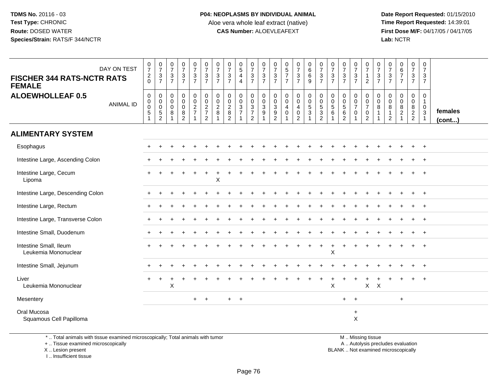Date Report Requested: 01/15/2010<br>Time Report Requested: 14:39:01 **First Dose M/F:** 04/17/05 / 04/17/05 Lab: NCTR **Lab:** NCTR

| DAY ON TEST<br><b>FISCHER 344 RATS-NCTR RATS</b><br><b>FEMALE</b> | $\begin{smallmatrix}0\\7\end{smallmatrix}$<br>$^2_0$             | $\frac{0}{7}$<br>$\sqrt{3}$<br>$\overline{7}$                  | $\frac{0}{7}$<br>$\ensuremath{\mathsf{3}}$<br>$\overline{7}$ | $\frac{0}{7}$<br>$\frac{3}{7}$                       | $\frac{0}{7}$<br>$\frac{3}{7}$       | $\frac{0}{7}$<br>$\ensuremath{\mathsf{3}}$<br>$\overline{7}$ | $\frac{0}{7}$<br>$\frac{3}{7}$              | $\frac{0}{7}$<br>$rac{3}{7}$                                          | $\begin{array}{c} 0 \\ 5 \\ 4 \end{array}$<br>$\overline{4}$ | $\frac{0}{7}$<br>$\frac{3}{7}$                         | $\frac{0}{7}$<br>$\frac{3}{7}$ | $\frac{0}{7}$<br>$\frac{3}{7}$                               | $\begin{array}{c} 0 \\ 5 \\ 7 \end{array}$<br>$\overline{7}$                          | $\begin{array}{c} 0 \\ 7 \end{array}$<br>$\frac{3}{7}$                                        | $\begin{array}{c} 0 \\ 6 \end{array}$<br>6<br>9                | $\frac{0}{7}$<br>$\mathbf{3}$<br>$\overline{7}$                   | $\frac{0}{7}$<br>$\frac{3}{7}$                         | $\frac{0}{7}$<br>$\frac{3}{7}$                            | $\begin{array}{c} 0 \\ 7 \end{array}$<br>$\ensuremath{\mathsf{3}}$<br>$\overline{7}$ | 0<br>$\overline{7}$<br>$\mathbf{1}$<br>2                                                     | 0<br>$\overline{7}$<br>$\ensuremath{\mathsf{3}}$<br>$\overline{7}$ | $\frac{0}{7}$<br>$\ensuremath{\mathsf{3}}$<br>$\overline{7}$ | $\begin{array}{c} 0 \\ 6 \\ 7 \end{array}$<br>$\overline{7}$ | $\begin{array}{c} 0 \\ 7 \end{array}$<br>$\frac{3}{7}$         | 0<br>$\overline{7}$<br>3<br>$\overline{7}$           |                         |
|-------------------------------------------------------------------|------------------------------------------------------------------|----------------------------------------------------------------|--------------------------------------------------------------|------------------------------------------------------|--------------------------------------|--------------------------------------------------------------|---------------------------------------------|-----------------------------------------------------------------------|--------------------------------------------------------------|--------------------------------------------------------|--------------------------------|--------------------------------------------------------------|---------------------------------------------------------------------------------------|-----------------------------------------------------------------------------------------------|----------------------------------------------------------------|-------------------------------------------------------------------|--------------------------------------------------------|-----------------------------------------------------------|--------------------------------------------------------------------------------------|----------------------------------------------------------------------------------------------|--------------------------------------------------------------------|--------------------------------------------------------------|--------------------------------------------------------------|----------------------------------------------------------------|------------------------------------------------------|-------------------------|
| <b>ALOEWHOLLEAF 0.5</b><br><b>ANIMAL ID</b>                       | $\mathbf 0$<br>$\boldsymbol{0}$<br>$\pmb{0}$<br>$\sqrt{5}$<br>-1 | 0<br>$\mathbf 0$<br>$\pmb{0}$<br>$\,$ 5 $\,$<br>$\overline{c}$ | $\mathbf 0$<br>$\mathbf 0$<br>$\mathbf 0$<br>8<br>1          | 0<br>$\mathbf 0$<br>$\pmb{0}$<br>8<br>$\overline{2}$ | 0<br>$\overline{0}$<br>$\frac{2}{7}$ | 0<br>$\pmb{0}$<br>$\frac{2}{7}$<br>$\overline{c}$            | $\mathbf 0$<br>$\mathbf 0$<br>$\frac{2}{8}$ | $\mathbf 0$<br>$\mathbf 0$<br>$\sqrt{2}$<br>$\,8\,$<br>$\overline{2}$ | 0<br>$\mathbf 0$<br>$\frac{3}{7}$<br>1                       | 0<br>$\overline{0}$<br>$\frac{3}{7}$<br>$\overline{2}$ | 0<br>0<br>3<br>9               | 0<br>$\pmb{0}$<br>$\ensuremath{\mathsf{3}}$<br>$\frac{9}{2}$ | $\begin{smallmatrix}0\0\0\end{smallmatrix}$<br>$\overline{\mathbf{4}}$<br>$\mathsf 0$ | $\begin{smallmatrix} 0\\0 \end{smallmatrix}$<br>$\overline{4}$<br>$\pmb{0}$<br>$\overline{c}$ | $\pmb{0}$<br>$\overline{0}$<br>$\frac{5}{3}$<br>$\overline{1}$ | 0<br>$\mathbf 0$<br>$\mathbf 5$<br>$\mathbf{3}$<br>$\overline{2}$ | 0<br>$\mathsf{O}\xspace$<br>$\sqrt{5}$<br>$\,6\,$<br>1 | 0<br>$\pmb{0}$<br>$\sqrt{5}$<br>$\,6\,$<br>$\overline{c}$ | 0<br>$\mathsf 0$<br>$\overline{7}$<br>$\mathbf 0$                                    | $\mathbf 0$<br>$\ddot{\mathbf{0}}$<br>$\boldsymbol{7}$<br>$\boldsymbol{0}$<br>$\overline{2}$ | 0<br>$\mathbf 0$<br>8<br>$\mathbf{1}$<br>1                         | 0<br>$\mathbf 0$<br>8<br>$\mathbf{1}$<br>$\overline{c}$      | 0<br>$\mathbf 0$<br>8<br>$\frac{2}{1}$                       | 0<br>$\mathbf 0$<br>$\begin{array}{c} 8 \\ 2 \\ 2 \end{array}$ | $\mathbf 0$<br>$\mathbf{1}$<br>$\boldsymbol{0}$<br>3 | females<br>$($ cont $)$ |
| <b>ALIMENTARY SYSTEM</b>                                          |                                                                  |                                                                |                                                              |                                                      |                                      |                                                              |                                             |                                                                       |                                                              |                                                        |                                |                                                              |                                                                                       |                                                                                               |                                                                |                                                                   |                                                        |                                                           |                                                                                      |                                                                                              |                                                                    |                                                              |                                                              |                                                                |                                                      |                         |
| Esophagus                                                         |                                                                  |                                                                |                                                              |                                                      |                                      |                                                              |                                             |                                                                       |                                                              |                                                        |                                |                                                              |                                                                                       |                                                                                               |                                                                |                                                                   |                                                        |                                                           |                                                                                      |                                                                                              |                                                                    |                                                              |                                                              | $\pm$                                                          | $^{+}$                                               |                         |
| Intestine Large, Ascending Colon                                  |                                                                  |                                                                |                                                              |                                                      |                                      |                                                              |                                             |                                                                       |                                                              |                                                        |                                |                                                              |                                                                                       |                                                                                               |                                                                |                                                                   |                                                        |                                                           |                                                                                      |                                                                                              |                                                                    |                                                              |                                                              |                                                                | $\ddot{}$                                            |                         |
| Intestine Large, Cecum<br>Lipoma                                  |                                                                  |                                                                |                                                              |                                                      |                                      |                                                              | X                                           |                                                                       |                                                              |                                                        |                                |                                                              |                                                                                       |                                                                                               |                                                                |                                                                   |                                                        |                                                           |                                                                                      |                                                                                              |                                                                    |                                                              |                                                              |                                                                |                                                      |                         |
| Intestine Large, Descending Colon                                 |                                                                  |                                                                |                                                              |                                                      |                                      |                                                              |                                             |                                                                       |                                                              |                                                        |                                |                                                              |                                                                                       |                                                                                               |                                                                |                                                                   |                                                        |                                                           |                                                                                      |                                                                                              |                                                                    |                                                              |                                                              |                                                                |                                                      |                         |
| Intestine Large, Rectum                                           |                                                                  |                                                                |                                                              |                                                      |                                      |                                                              |                                             |                                                                       |                                                              |                                                        |                                |                                                              |                                                                                       |                                                                                               |                                                                |                                                                   |                                                        |                                                           |                                                                                      |                                                                                              |                                                                    |                                                              |                                                              |                                                                | $+$                                                  |                         |
| Intestine Large, Transverse Colon                                 |                                                                  |                                                                |                                                              |                                                      |                                      |                                                              |                                             |                                                                       |                                                              |                                                        |                                |                                                              |                                                                                       |                                                                                               |                                                                |                                                                   |                                                        |                                                           |                                                                                      |                                                                                              |                                                                    |                                                              |                                                              |                                                                | $^{+}$                                               |                         |
| Intestine Small, Duodenum                                         |                                                                  |                                                                |                                                              |                                                      |                                      |                                                              |                                             |                                                                       |                                                              |                                                        |                                |                                                              |                                                                                       |                                                                                               |                                                                |                                                                   |                                                        |                                                           |                                                                                      |                                                                                              |                                                                    |                                                              |                                                              |                                                                | $^{+}$                                               |                         |
| Intestine Small, Ileum<br>Leukemia Mononuclear                    |                                                                  |                                                                |                                                              |                                                      |                                      |                                                              |                                             |                                                                       |                                                              |                                                        |                                |                                                              |                                                                                       |                                                                                               |                                                                |                                                                   | X                                                      |                                                           |                                                                                      |                                                                                              |                                                                    |                                                              |                                                              |                                                                | $\overline{+}$                                       |                         |
| Intestine Small, Jejunum                                          |                                                                  |                                                                |                                                              |                                                      |                                      |                                                              |                                             |                                                                       |                                                              |                                                        |                                |                                                              |                                                                                       |                                                                                               |                                                                |                                                                   |                                                        |                                                           |                                                                                      |                                                                                              |                                                                    |                                                              |                                                              |                                                                |                                                      |                         |
| Liver<br>Leukemia Mononuclear                                     |                                                                  |                                                                | X                                                            |                                                      |                                      |                                                              |                                             |                                                                       |                                                              |                                                        |                                |                                                              |                                                                                       |                                                                                               |                                                                |                                                                   | X                                                      |                                                           |                                                                                      | $\pmb{\times}$                                                                               | $\times$                                                           |                                                              |                                                              | $\pm$                                                          | $+$                                                  |                         |
| Mesentery                                                         |                                                                  |                                                                |                                                              |                                                      | $+$                                  | $+$                                                          |                                             | $+$                                                                   | $+$                                                          |                                                        |                                |                                                              |                                                                                       |                                                                                               |                                                                |                                                                   |                                                        | $+$                                                       | $+$                                                                                  |                                                                                              |                                                                    |                                                              | $+$                                                          |                                                                |                                                      |                         |
| Oral Mucosa<br>Squamous Cell Papilloma                            |                                                                  |                                                                |                                                              |                                                      |                                      |                                                              |                                             |                                                                       |                                                              |                                                        |                                |                                                              |                                                                                       |                                                                                               |                                                                |                                                                   |                                                        |                                                           | $\ddot{}$<br>X                                                                       |                                                                                              |                                                                    |                                                              |                                                              |                                                                |                                                      |                         |

\* .. Total animals with tissue examined microscopically; Total animals with tumor

+ .. Tissue examined microscopically

 Lesion present BLANK .. Not examined microscopicallyX .. Lesion present

I .. Insufficient tissue

M .. Missing tissue

y the contract of the contract of the contract of the contract of the contract of the contract of the contract of  $A$ . Autolysis precludes evaluation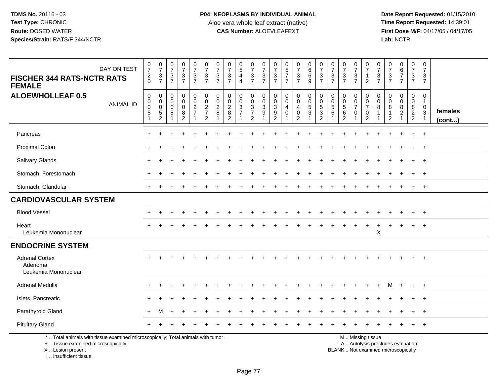**Date Report Requested:** 01/15/2010 **First Dose M/F:** 04/17/05 / 04/17/05<br>Lab: NCTR **Lab:** NCTR

| DAY ON TEST<br><b>FISCHER 344 RATS-NCTR RATS</b><br><b>FEMALE</b>                                                                          | $\frac{0}{7}$<br>$\frac{2}{0}$                                            | $\frac{0}{7}$<br>$\frac{3}{7}$                                      | $\frac{0}{7}$<br>$\frac{3}{7}$            | $\frac{0}{7}$<br>$\frac{3}{7}$                               | $\begin{smallmatrix}0\\7\end{smallmatrix}$<br>$\frac{3}{7}$                            | $\frac{0}{7}$<br>$\frac{3}{7}$                                                       | $\frac{0}{7}$<br>$\frac{3}{7}$                | $\frac{0}{7}$<br>$\frac{3}{7}$                                      | $\begin{array}{c} 0 \\ 5 \end{array}$<br>$\overline{4}$<br>$\overline{4}$ | $\frac{0}{7}$<br>$\frac{3}{7}$                                                            | $\frac{0}{7}$<br>$\frac{3}{7}$                         | 0<br>$\overline{7}$<br>$\frac{3}{7}$                                 | $\begin{array}{c} 0 \\ 5 \\ 7 \end{array}$<br>$\overline{7}$        | $\begin{smallmatrix}0\\7\end{smallmatrix}$<br>$\frac{3}{7}$ | $\begin{array}{c} 0 \\ 6 \end{array}$<br>$\,6\,$<br>9      | $\frac{0}{7}$<br>$\frac{3}{7}$                               | $\frac{0}{7}$<br>$\frac{3}{7}$                             | $\frac{0}{7}$<br>$\frac{3}{7}$               | $\begin{array}{c} 0 \\ 7 \end{array}$<br>$\frac{3}{7}$ | $\frac{0}{7}$<br>$\mathbf{1}$<br>$\overline{2}$                                               | $\frac{0}{7}$<br>3<br>$\overline{7}$ | 0<br>$\boldsymbol{7}$<br>$\frac{3}{7}$                                  | $\begin{array}{c} 0 \\ 6 \\ 7 \end{array}$<br>$\overline{7}$ | $\pmb{0}$<br>$\boldsymbol{7}$<br>$\frac{3}{7}$                         | $\mathbf 0$<br>$\overline{7}$<br>3<br>$\overline{7}$ |                   |
|--------------------------------------------------------------------------------------------------------------------------------------------|---------------------------------------------------------------------------|---------------------------------------------------------------------|-------------------------------------------|--------------------------------------------------------------|----------------------------------------------------------------------------------------|--------------------------------------------------------------------------------------|-----------------------------------------------|---------------------------------------------------------------------|---------------------------------------------------------------------------|-------------------------------------------------------------------------------------------|--------------------------------------------------------|----------------------------------------------------------------------|---------------------------------------------------------------------|-------------------------------------------------------------|------------------------------------------------------------|--------------------------------------------------------------|------------------------------------------------------------|----------------------------------------------|--------------------------------------------------------|-----------------------------------------------------------------------------------------------|--------------------------------------|-------------------------------------------------------------------------|--------------------------------------------------------------|------------------------------------------------------------------------|------------------------------------------------------|-------------------|
| <b>ALOEWHOLLEAF 0.5</b><br><b>ANIMAL ID</b>                                                                                                | $\mathbf 0$<br>$\mathbf 0$<br>$\pmb{0}$<br>$\overline{5}$<br>$\mathbf{1}$ | $\mathbf 0$<br>0<br>$\mathbf 0$<br>$\overline{5}$<br>$\overline{c}$ | 0<br>$\mathbf 0$<br>$\mathbf 0$<br>8<br>1 | 0<br>$\mathbf 0$<br>$\mathbf 0$<br>$\bf 8$<br>$\overline{2}$ | $\mathbf 0$<br>$\ddot{\mathbf{0}}$<br>$\overline{c}$<br>$\overline{7}$<br>$\mathbf{1}$ | $\mathbf 0$<br>$\ddot{\mathbf{0}}$<br>$\sqrt{2}$<br>$\overline{7}$<br>$\overline{2}$ | $\mathbf 0$<br>$\mathbf 0$<br>$\sqrt{2}$<br>8 | $\mathbf 0$<br>$\mathbf 0$<br>$\overline{2}$<br>8<br>$\overline{2}$ | $\mathbf 0$<br>$\mathbf 0$<br>$\ensuremath{\mathsf{3}}$<br>$\overline{7}$ | 0<br>$\ddot{\mathbf{0}}$<br>$\ensuremath{\mathsf{3}}$<br>$\overline{7}$<br>$\overline{2}$ | $\mathbf 0$<br>$\mathbf 0$<br>$\sqrt{3}$<br>$9\,$<br>1 | $\mathbf 0$<br>0<br>$\sqrt{3}$<br>$\boldsymbol{9}$<br>$\overline{2}$ | $\mathbf 0$<br>$\mathsf{O}\xspace$<br>$\overline{4}$<br>$\mathbf 0$ | 0<br>$\mathbf 0$<br>4<br>$\pmb{0}$<br>$\overline{c}$        | $\overline{0}$<br>$\overline{0}$<br>5<br>$\mathbf{3}$<br>1 | 0<br>$\pmb{0}$<br>$\sqrt{5}$<br>$\sqrt{3}$<br>$\overline{c}$ | $\mathbf 0$<br>$\mathbf 0$<br>$\sqrt{5}$<br>$6\phantom{1}$ | 0<br>$\pmb{0}$<br>$\sqrt{5}$<br>$\,6\,$<br>2 | 0<br>$\pmb{0}$<br>$\overline{7}$<br>$\mathbf 0$        | $\mathbf 0$<br>$\mathsf 0$<br>$\overline{7}$<br>$\mathbf 0$<br>$\overline{2}$                 | 0<br>$\mathbf 0$<br>8<br>-1          | $\mathbf 0$<br>$\mathbf 0$<br>$\bf 8$<br>$\mathbf{1}$<br>$\overline{c}$ | 0<br>$\mathbf 0$<br>$\bf 8$<br>$\overline{2}$                | 0<br>$\mathsf{O}\xspace$<br>$\begin{array}{c} 8 \\ 2 \\ 2 \end{array}$ | 0<br>$\mathbf{1}$<br>$_{3}^{\rm 0}$<br>$\mathbf{1}$  | females<br>(cont) |
| Pancreas                                                                                                                                   |                                                                           |                                                                     |                                           |                                                              |                                                                                        |                                                                                      |                                               |                                                                     |                                                                           |                                                                                           |                                                        |                                                                      |                                                                     |                                                             |                                                            |                                                              |                                                            |                                              |                                                        |                                                                                               |                                      |                                                                         |                                                              | $+$                                                                    | $+$                                                  |                   |
| <b>Proximal Colon</b>                                                                                                                      |                                                                           |                                                                     |                                           |                                                              |                                                                                        |                                                                                      |                                               |                                                                     |                                                                           |                                                                                           |                                                        |                                                                      |                                                                     |                                                             |                                                            |                                                              |                                                            |                                              |                                                        |                                                                                               |                                      |                                                                         |                                                              | $\pm$                                                                  | $+$                                                  |                   |
| Salivary Glands                                                                                                                            |                                                                           |                                                                     |                                           |                                                              |                                                                                        |                                                                                      |                                               |                                                                     |                                                                           |                                                                                           |                                                        |                                                                      |                                                                     |                                                             |                                                            |                                                              |                                                            |                                              |                                                        |                                                                                               |                                      |                                                                         |                                                              |                                                                        | $\overline{+}$                                       |                   |
| Stomach, Forestomach                                                                                                                       |                                                                           |                                                                     |                                           |                                                              |                                                                                        |                                                                                      |                                               |                                                                     |                                                                           |                                                                                           |                                                        |                                                                      |                                                                     |                                                             |                                                            |                                                              |                                                            |                                              |                                                        |                                                                                               |                                      |                                                                         |                                                              |                                                                        | $+$                                                  |                   |
| Stomach, Glandular                                                                                                                         |                                                                           |                                                                     |                                           |                                                              |                                                                                        |                                                                                      |                                               |                                                                     |                                                                           |                                                                                           |                                                        |                                                                      |                                                                     |                                                             |                                                            |                                                              |                                                            |                                              |                                                        |                                                                                               |                                      |                                                                         |                                                              | $\pm$                                                                  | $+$                                                  |                   |
| <b>CARDIOVASCULAR SYSTEM</b>                                                                                                               |                                                                           |                                                                     |                                           |                                                              |                                                                                        |                                                                                      |                                               |                                                                     |                                                                           |                                                                                           |                                                        |                                                                      |                                                                     |                                                             |                                                            |                                                              |                                                            |                                              |                                                        |                                                                                               |                                      |                                                                         |                                                              |                                                                        |                                                      |                   |
| <b>Blood Vessel</b>                                                                                                                        |                                                                           |                                                                     |                                           |                                                              |                                                                                        |                                                                                      |                                               |                                                                     |                                                                           |                                                                                           |                                                        |                                                                      |                                                                     |                                                             |                                                            |                                                              |                                                            |                                              |                                                        |                                                                                               |                                      |                                                                         |                                                              |                                                                        | $\overline{ }$                                       |                   |
| Heart<br>Leukemia Mononuclear                                                                                                              |                                                                           |                                                                     |                                           |                                                              |                                                                                        |                                                                                      |                                               |                                                                     |                                                                           |                                                                                           |                                                        |                                                                      |                                                                     |                                                             |                                                            |                                                              |                                                            |                                              |                                                        |                                                                                               | X                                    |                                                                         |                                                              |                                                                        | $\overline{+}$                                       |                   |
| <b>ENDOCRINE SYSTEM</b>                                                                                                                    |                                                                           |                                                                     |                                           |                                                              |                                                                                        |                                                                                      |                                               |                                                                     |                                                                           |                                                                                           |                                                        |                                                                      |                                                                     |                                                             |                                                            |                                                              |                                                            |                                              |                                                        |                                                                                               |                                      |                                                                         |                                                              |                                                                        |                                                      |                   |
| <b>Adrenal Cortex</b><br>Adenoma<br>Leukemia Mononuclear                                                                                   |                                                                           |                                                                     |                                           |                                                              |                                                                                        |                                                                                      |                                               |                                                                     |                                                                           |                                                                                           |                                                        |                                                                      |                                                                     |                                                             |                                                            |                                                              |                                                            |                                              |                                                        |                                                                                               |                                      |                                                                         |                                                              |                                                                        | $+$                                                  |                   |
| Adrenal Medulla                                                                                                                            |                                                                           |                                                                     |                                           |                                                              |                                                                                        |                                                                                      |                                               |                                                                     |                                                                           |                                                                                           |                                                        |                                                                      |                                                                     |                                                             |                                                            |                                                              |                                                            |                                              |                                                        |                                                                                               |                                      | м                                                                       | $\ddot{}$                                                    | $+$                                                                    | $+$                                                  |                   |
| Islets, Pancreatic                                                                                                                         |                                                                           |                                                                     |                                           |                                                              |                                                                                        |                                                                                      |                                               |                                                                     |                                                                           |                                                                                           |                                                        |                                                                      |                                                                     |                                                             |                                                            |                                                              |                                                            |                                              |                                                        |                                                                                               |                                      |                                                                         |                                                              |                                                                        |                                                      |                   |
| Parathyroid Gland                                                                                                                          | $\ddot{}$                                                                 | м                                                                   |                                           |                                                              |                                                                                        |                                                                                      |                                               |                                                                     |                                                                           |                                                                                           |                                                        |                                                                      |                                                                     |                                                             |                                                            |                                                              |                                                            |                                              |                                                        |                                                                                               |                                      |                                                                         |                                                              |                                                                        | $+$                                                  |                   |
| <b>Pituitary Gland</b>                                                                                                                     |                                                                           |                                                                     |                                           |                                                              |                                                                                        |                                                                                      |                                               |                                                                     |                                                                           |                                                                                           |                                                        |                                                                      |                                                                     |                                                             |                                                            |                                                              |                                                            |                                              |                                                        |                                                                                               |                                      |                                                                         |                                                              | $+$                                                                    | $+$                                                  |                   |
| *  Total animals with tissue examined microscopically; Total animals with tumor<br>+  Tissue examined microscopically<br>X  Lesion present |                                                                           |                                                                     |                                           |                                                              |                                                                                        |                                                                                      |                                               |                                                                     |                                                                           |                                                                                           |                                                        |                                                                      |                                                                     |                                                             |                                                            |                                                              |                                                            |                                              |                                                        | M  Missing tissue<br>A  Autolysis precludes evaluation<br>BLANK  Not examined microscopically |                                      |                                                                         |                                                              |                                                                        |                                                      |                   |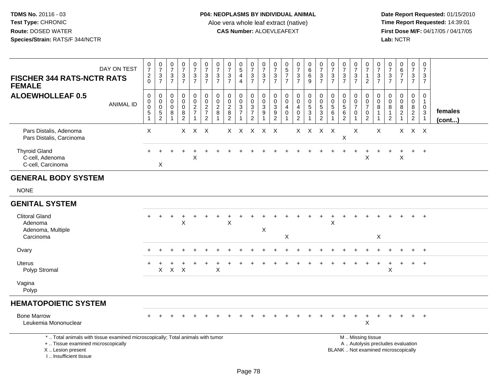| DAY ON TEST<br><b>FISCHER 344 RATS-NCTR RATS</b><br><b>FEMALE</b>                                                                                                   | $\frac{0}{7}$<br>$^2_{0}$              | $\frac{0}{7}$<br>3<br>$\overline{7}$                                      | 0<br>$\overline{7}$<br>$\sqrt{3}$<br>$\overline{7}$ | $\frac{0}{7}$<br>3<br>$\overline{7}$                             | $\frac{0}{7}$<br>$\frac{3}{7}$    | $\frac{0}{7}$<br>$\mathbf{3}$<br>$\overline{7}$             | $\frac{0}{7}$<br>$\ensuremath{\mathsf{3}}$<br>$\overline{7}$ | $\frac{0}{7}$<br>3<br>$\overline{7}$                          | $\begin{array}{c} 0 \\ 5 \end{array}$<br>$\overline{4}$<br>$\overline{4}$ | 0<br>$\overline{7}$<br>$\mathbf{3}$<br>$\overline{7}$ | $\frac{0}{7}$<br>$\mathsf 3$<br>$\overline{7}$                          | 0<br>$\overline{7}$<br>3<br>$\overline{7}$                                       | $\frac{0}{5}$<br>$\overline{7}$<br>$\overline{7}$ | $\frac{0}{7}$<br>$\frac{3}{7}$                       | $\begin{matrix}0\0\0\0\end{matrix}$<br>$\overline{9}$ | $\frac{0}{7}$<br>$\frac{3}{7}$                                | $\frac{0}{7}$<br>3<br>$\overline{7}$                                 | $\frac{0}{7}$<br>$\frac{3}{7}$                         | $\frac{0}{7}$<br>$\ensuremath{\mathsf{3}}$<br>$\overline{7}$   | 0<br>$\overline{7}$<br>$\mathbf{1}$<br>$\overline{2}$                                         | 0<br>$\overline{7}$<br>3<br>$\overline{7}$ | $\frac{0}{7}$<br>3<br>$\overline{7}$                 | $\begin{array}{c} 0 \\ 6 \\ 7 \end{array}$<br>$\overline{7}$ | $\mathbf 0$<br>$\overline{7}$<br>3<br>$\overline{7}$          | 0<br>$\overline{7}$<br>3<br>$\overline{7}$                                              |                   |
|---------------------------------------------------------------------------------------------------------------------------------------------------------------------|----------------------------------------|---------------------------------------------------------------------------|-----------------------------------------------------|------------------------------------------------------------------|-----------------------------------|-------------------------------------------------------------|--------------------------------------------------------------|---------------------------------------------------------------|---------------------------------------------------------------------------|-------------------------------------------------------|-------------------------------------------------------------------------|----------------------------------------------------------------------------------|---------------------------------------------------|------------------------------------------------------|-------------------------------------------------------|---------------------------------------------------------------|----------------------------------------------------------------------|--------------------------------------------------------|----------------------------------------------------------------|-----------------------------------------------------------------------------------------------|--------------------------------------------|------------------------------------------------------|--------------------------------------------------------------|---------------------------------------------------------------|-----------------------------------------------------------------------------------------|-------------------|
| <b>ALOEWHOLLEAF 0.5</b><br><b>ANIMAL ID</b>                                                                                                                         | 0<br>$_{\rm 0}^{\rm 0}$<br>$\,$ 5 $\,$ | $\mathbf 0$<br>$\mathbf 0$<br>$\mathbf 0$<br>$\sqrt{5}$<br>$\overline{2}$ | $\mathbf 0$<br>$\mathbf 0$<br>$\mathbf 0$<br>8      | $\mathbf 0$<br>$\mathbf 0$<br>$\mathbf 0$<br>8<br>$\overline{c}$ | 0<br>$\mathbf 0$<br>$\frac{2}{7}$ | $\pmb{0}$<br>$\mathbf 0$<br>$\frac{2}{7}$<br>$\overline{2}$ | $\pmb{0}$<br>$\ddot{\mathbf{0}}$<br>$\boldsymbol{2}$<br>8    | $\mathbf 0$<br>$\mathbf 0$<br>$\frac{2}{8}$<br>$\overline{2}$ | $\mathbf 0$<br>$\mathbf 0$<br>$\frac{3}{7}$<br>1                          | 0<br>0<br>$\sqrt{3}$<br>$\overline{7}$<br>2           | $\mathbf 0$<br>$\mathbf 0$<br>$\overline{3}$<br>$9\,$<br>$\overline{1}$ | $\mathbf 0$<br>$\mathbf 0$<br>$\ensuremath{\mathsf{3}}$<br>$\boldsymbol{9}$<br>2 | $\mathbf 0$<br>$\pmb{0}$<br>4<br>$\Omega$         | $\mathbf 0$<br>$\mathsf{O}$<br>4<br>$\mathbf 0$<br>2 | 0<br>$\frac{0}{5}$                                    | $\begin{smallmatrix} 0\\0 \end{smallmatrix}$<br>$\frac{5}{2}$ | $\boldsymbol{0}$<br>$\mathbf 0$<br>$\overline{5}$<br>$6\phantom{1}6$ | $\mathbf 0$<br>$\mathbf 0$<br>$\overline{5}$<br>6<br>2 | 0<br>$\mathsf{O}\xspace$<br>$\overline{7}$<br>$\mathbf 0$<br>1 | 0<br>$\mathsf 0$<br>$\overline{7}$<br>$\mathbf 0$<br>$\overline{2}$                           | $\mathbf 0$<br>0<br>8<br>1                 | $\Omega$<br>0<br>8<br>$\mathbf{1}$<br>$\overline{c}$ | 0<br>$\pmb{0}$<br>$\frac{8}{2}$                              | $\mathbf 0$<br>$\mathbf 0$<br>$8\phantom{1}$<br>$\frac{2}{2}$ | $\mathbf 0$<br>$\overline{1}$<br>$\pmb{0}$<br>$\ensuremath{\mathsf{3}}$<br>$\mathbf{1}$ | females<br>(cont) |
| Pars Distalis, Adenoma<br>Pars Distalis, Carcinoma                                                                                                                  | X                                      |                                                                           |                                                     |                                                                  | $X$ $X$ $X$                       |                                                             |                                                              |                                                               | X X X X X                                                                 |                                                       |                                                                         |                                                                                  |                                                   |                                                      | X X X X                                               |                                                               |                                                                      | X                                                      | X                                                              |                                                                                               | X                                          |                                                      |                                                              | $X$ $X$ $X$                                                   |                                                                                         |                   |
| <b>Thyroid Gland</b><br>C-cell, Adenoma<br>C-cell, Carcinoma                                                                                                        |                                        | X                                                                         |                                                     |                                                                  | X                                 |                                                             |                                                              |                                                               |                                                                           |                                                       |                                                                         |                                                                                  |                                                   |                                                      |                                                       |                                                               |                                                                      |                                                        | $\ddot{}$                                                      | $\ddot{}$<br>X                                                                                |                                            |                                                      | X                                                            | $+$                                                           | $+$                                                                                     |                   |
| <b>GENERAL BODY SYSTEM</b>                                                                                                                                          |                                        |                                                                           |                                                     |                                                                  |                                   |                                                             |                                                              |                                                               |                                                                           |                                                       |                                                                         |                                                                                  |                                                   |                                                      |                                                       |                                                               |                                                                      |                                                        |                                                                |                                                                                               |                                            |                                                      |                                                              |                                                               |                                                                                         |                   |
| <b>NONE</b>                                                                                                                                                         |                                        |                                                                           |                                                     |                                                                  |                                   |                                                             |                                                              |                                                               |                                                                           |                                                       |                                                                         |                                                                                  |                                                   |                                                      |                                                       |                                                               |                                                                      |                                                        |                                                                |                                                                                               |                                            |                                                      |                                                              |                                                               |                                                                                         |                   |
| <b>GENITAL SYSTEM</b>                                                                                                                                               |                                        |                                                                           |                                                     |                                                                  |                                   |                                                             |                                                              |                                                               |                                                                           |                                                       |                                                                         |                                                                                  |                                                   |                                                      |                                                       |                                                               |                                                                      |                                                        |                                                                |                                                                                               |                                            |                                                      |                                                              |                                                               |                                                                                         |                   |
| <b>Clitoral Gland</b><br>Adenoma<br>Adenoma, Multiple<br>Carcinoma                                                                                                  |                                        | $\ddot{}$                                                                 |                                                     | X                                                                |                                   |                                                             |                                                              | X                                                             |                                                                           |                                                       | X                                                                       |                                                                                  | X                                                 |                                                      |                                                       |                                                               | X                                                                    |                                                        |                                                                |                                                                                               | X                                          |                                                      |                                                              |                                                               | $\ddot{}$                                                                               |                   |
| Ovary                                                                                                                                                               |                                        |                                                                           |                                                     |                                                                  |                                   |                                                             |                                                              |                                                               |                                                                           |                                                       |                                                                         |                                                                                  |                                                   |                                                      |                                                       |                                                               |                                                                      |                                                        |                                                                |                                                                                               |                                            |                                                      |                                                              |                                                               | $+$                                                                                     |                   |
| Uterus<br>Polyp Stromal                                                                                                                                             |                                        | X                                                                         | $\mathsf{X}$                                        | $\times$                                                         |                                   |                                                             | $\times$                                                     |                                                               |                                                                           |                                                       |                                                                         |                                                                                  |                                                   |                                                      |                                                       |                                                               |                                                                      |                                                        |                                                                |                                                                                               |                                            | X                                                    | $\ddot{}$                                                    | $\ddot{}$                                                     | $+$                                                                                     |                   |
| Vagina<br>Polyp                                                                                                                                                     |                                        |                                                                           |                                                     |                                                                  |                                   |                                                             |                                                              |                                                               |                                                                           |                                                       |                                                                         |                                                                                  |                                                   |                                                      |                                                       |                                                               |                                                                      |                                                        |                                                                |                                                                                               |                                            |                                                      |                                                              |                                                               |                                                                                         |                   |
| <b>HEMATOPOIETIC SYSTEM</b>                                                                                                                                         |                                        |                                                                           |                                                     |                                                                  |                                   |                                                             |                                                              |                                                               |                                                                           |                                                       |                                                                         |                                                                                  |                                                   |                                                      |                                                       |                                                               |                                                                      |                                                        |                                                                |                                                                                               |                                            |                                                      |                                                              |                                                               |                                                                                         |                   |
| <b>Bone Marrow</b><br>Leukemia Mononuclear                                                                                                                          |                                        |                                                                           |                                                     |                                                                  |                                   |                                                             |                                                              |                                                               |                                                                           |                                                       |                                                                         |                                                                                  |                                                   |                                                      |                                                       |                                                               |                                                                      |                                                        |                                                                | $\mathsf X$                                                                                   |                                            |                                                      |                                                              |                                                               |                                                                                         |                   |
| *  Total animals with tissue examined microscopically; Total animals with tumor<br>+  Tissue examined microscopically<br>X  Lesion present<br>I Insufficient tissue |                                        |                                                                           |                                                     |                                                                  |                                   |                                                             |                                                              |                                                               |                                                                           |                                                       |                                                                         |                                                                                  |                                                   |                                                      |                                                       |                                                               |                                                                      |                                                        |                                                                | M  Missing tissue<br>A  Autolysis precludes evaluation<br>BLANK  Not examined microscopically |                                            |                                                      |                                                              |                                                               |                                                                                         |                   |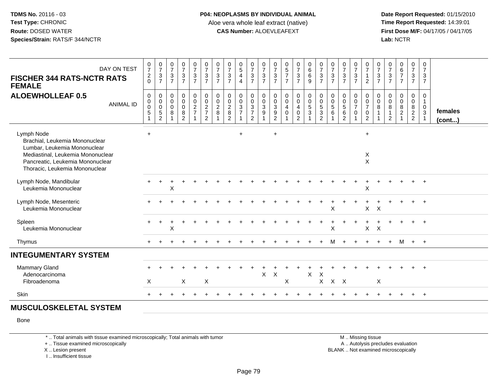Date Report Requested: 01/15/2010<br>Time Report Requested: 14:39:01 **First Dose M/F:** 04/17/05 / 04/17/05 Lab: NCTR **Lab:** NCTR

| DAY ON TEST<br><b>FISCHER 344 RATS-NCTR RATS</b><br><b>FEMALE</b>                                                                                                                       | $\frac{0}{7}$<br>$^2_0$                                                                    | $\frac{0}{7}$<br>$\frac{3}{7}$                        | $\frac{0}{7}$<br>$\mathbf{3}$<br>$\overline{7}$                | $\frac{0}{7}$<br>$\frac{3}{7}$                                   | $\frac{0}{7}$<br>$\frac{3}{7}$                               | $07/3$<br>7                                                       | $\frac{0}{7}$<br>$\frac{3}{7}$                       | 0<br>$\overline{7}$<br>$\frac{3}{7}$      | $\begin{matrix} 0 \\ 5 \end{matrix}$<br>$\overline{4}$<br>$\overline{4}$ | $\frac{0}{7}$<br>$\frac{3}{7}$                                                      | $\frac{0}{7}$<br>$\frac{3}{7}$                                    | $\frac{0}{7}$<br>$\frac{3}{7}$                                       | $0$<br>5<br>7<br>7<br>7                                                       | $\frac{0}{7}$<br>$\frac{3}{7}$                                                 | 0<br>6<br>9                                               | $\frac{0}{7}$<br>$\frac{3}{7}$ | $\frac{0}{7}$<br>$\ensuremath{\mathsf{3}}$<br>$\overline{7}$ | $\frac{0}{7}$<br>$\frac{3}{7}$                                            | $\frac{0}{7}$<br>$\frac{3}{7}$                                               | $\begin{array}{c} 0 \\ 7 \\ 1 \end{array}$<br>$\overline{2}$             | $\frac{0}{7}$<br>$\frac{3}{7}$                             | 0<br>$\overline{7}$<br>$\frac{3}{7}$    | $\begin{array}{c} 0 \\ 6 \\ 7 \end{array}$<br>$\overline{7}$ | $\frac{0}{7}$<br>$\frac{3}{7}$                                                 | 0<br>$\overline{7}$<br>$\frac{3}{7}$                                                |                   |
|-----------------------------------------------------------------------------------------------------------------------------------------------------------------------------------------|--------------------------------------------------------------------------------------------|-------------------------------------------------------|----------------------------------------------------------------|------------------------------------------------------------------|--------------------------------------------------------------|-------------------------------------------------------------------|------------------------------------------------------|-------------------------------------------|--------------------------------------------------------------------------|-------------------------------------------------------------------------------------|-------------------------------------------------------------------|----------------------------------------------------------------------|-------------------------------------------------------------------------------|--------------------------------------------------------------------------------|-----------------------------------------------------------|--------------------------------|--------------------------------------------------------------|---------------------------------------------------------------------------|------------------------------------------------------------------------------|--------------------------------------------------------------------------|------------------------------------------------------------|-----------------------------------------|--------------------------------------------------------------|--------------------------------------------------------------------------------|-------------------------------------------------------------------------------------|-------------------|
| <b>ALOEWHOLLEAF 0.5</b><br><b>ANIMAL ID</b>                                                                                                                                             | $\mathbf 0$<br>$\mathsf{O}\xspace$<br>$\ddot{\mathbf{0}}$<br>$\,$ 5 $\,$<br>$\overline{1}$ | $\mathbf 0$<br>$\begin{matrix}0\\0\\5\\2\end{matrix}$ | $\mathbf 0$<br>$\mathbf 0$<br>$\mathbf 0$<br>8<br>$\mathbf{1}$ | $\mathbf 0$<br>$\mathbf 0$<br>$\mathbf 0$<br>8<br>$\overline{c}$ | $\begin{smallmatrix}0\0\0\end{smallmatrix}$<br>$\frac{2}{7}$ | $\begin{array}{c} 0 \\ 0 \\ 2 \\ 7 \end{array}$<br>$\overline{2}$ | $\begin{smallmatrix} 0\\0\\2 \end{smallmatrix}$<br>8 | $\pmb{0}$<br>$\mathbf 0$<br>$\frac{2}{2}$ | $\begin{smallmatrix}0\\0\\3\end{smallmatrix}$<br>$\overline{7}$          | $\begin{smallmatrix} 0\\0\\3 \end{smallmatrix}$<br>$\overline{7}$<br>$\overline{2}$ | $\begin{smallmatrix}0\\0\\3\end{smallmatrix}$<br>$\boldsymbol{9}$ | 0<br>$\mathbf 0$<br>$\sqrt{3}$<br>$\boldsymbol{9}$<br>$\overline{2}$ | $\begin{smallmatrix} 0\\0 \end{smallmatrix}$<br>$\overline{4}$<br>$\mathbf 0$ | $\begin{smallmatrix}0\0\0\end{smallmatrix}$<br>$\overline{4}$<br>$\frac{0}{2}$ | $\begin{matrix} 0 \\ 0 \\ 5 \end{matrix}$<br>$\mathbf{3}$ | 0<br>0<br>5<br>3<br>2          | $\pmb{0}$<br>$\mathbf 0$<br>$\sqrt{5}$<br>6                  | $\mathbf 0$<br>$\mathbf 0$<br>$\overline{5}$<br>$\,6\,$<br>$\overline{2}$ | $\begin{smallmatrix}0\0\0\end{smallmatrix}$<br>$\overline{7}$<br>$\mathbf 0$ | $\begin{matrix} 0 \\ 0 \\ 7 \end{matrix}$<br>$\pmb{0}$<br>$\overline{2}$ | $\pmb{0}$<br>$\mathbf 0$<br>$\overline{8}$<br>$\mathbf{1}$ | 0<br>$\mathbf 0$<br>8<br>$\overline{2}$ | $\begin{matrix} 0 \\ 0 \\ 8 \\ 2 \end{matrix}$               | $\begin{smallmatrix}0\0\0\end{smallmatrix}$<br>$\overline{8}$<br>$\frac{2}{2}$ | $\mathbf 0$<br>$\mathbf{1}$<br>$\boldsymbol{0}$<br>$\overline{3}$<br>$\overline{1}$ | females<br>(cont) |
| Lymph Node<br>Brachial, Leukemia Mononuclear<br>Lumbar, Leukemia Mononuclear<br>Mediastinal, Leukemia Mononuclear<br>Pancreatic, Leukemia Mononuclear<br>Thoracic, Leukemia Mononuclear | $+$                                                                                        |                                                       |                                                                |                                                                  |                                                              |                                                                   |                                                      |                                           | $\ddot{}$                                                                |                                                                                     |                                                                   | $\ddot{}$                                                            |                                                                               |                                                                                |                                                           |                                |                                                              |                                                                           |                                                                              | $+$<br>X<br>$\mathsf{X}$                                                 |                                                            |                                         |                                                              |                                                                                |                                                                                     |                   |
| Lymph Node, Mandibular<br>Leukemia Mononuclear                                                                                                                                          |                                                                                            |                                                       | X                                                              |                                                                  |                                                              |                                                                   |                                                      |                                           |                                                                          |                                                                                     |                                                                   |                                                                      |                                                                               |                                                                                |                                                           |                                |                                                              |                                                                           |                                                                              | $\boldsymbol{\mathsf{X}}$                                                |                                                            |                                         |                                                              | $+$                                                                            | $+$                                                                                 |                   |
| Lymph Node, Mesenteric<br>Leukemia Mononuclear                                                                                                                                          |                                                                                            |                                                       |                                                                |                                                                  |                                                              |                                                                   |                                                      |                                           |                                                                          |                                                                                     |                                                                   |                                                                      |                                                                               |                                                                                |                                                           |                                | $\mathsf X$                                                  |                                                                           |                                                                              | X                                                                        | $\boldsymbol{\mathsf{X}}$                                  |                                         |                                                              | $+$                                                                            | $+$                                                                                 |                   |
| Spleen<br>Leukemia Mononuclear                                                                                                                                                          |                                                                                            |                                                       | X                                                              |                                                                  |                                                              |                                                                   |                                                      |                                           |                                                                          |                                                                                     |                                                                   |                                                                      |                                                                               |                                                                                |                                                           |                                | X                                                            |                                                                           |                                                                              | $X$ $X$                                                                  |                                                            |                                         |                                                              |                                                                                | $+$                                                                                 |                   |
| Thymus                                                                                                                                                                                  |                                                                                            |                                                       |                                                                |                                                                  |                                                              |                                                                   |                                                      |                                           |                                                                          |                                                                                     |                                                                   |                                                                      |                                                                               |                                                                                |                                                           |                                | M                                                            |                                                                           |                                                                              |                                                                          |                                                            | $+$                                     |                                                              | M + +                                                                          |                                                                                     |                   |
| <b>INTEGUMENTARY SYSTEM</b>                                                                                                                                                             |                                                                                            |                                                       |                                                                |                                                                  |                                                              |                                                                   |                                                      |                                           |                                                                          |                                                                                     |                                                                   |                                                                      |                                                                               |                                                                                |                                                           |                                |                                                              |                                                                           |                                                                              |                                                                          |                                                            |                                         |                                                              |                                                                                |                                                                                     |                   |
| <b>Mammary Gland</b><br>Adenocarcinoma<br>Fibroadenoma                                                                                                                                  | X                                                                                          |                                                       |                                                                | $\sf X$                                                          |                                                              | X                                                                 |                                                      |                                           |                                                                          |                                                                                     | X                                                                 | $\times$                                                             | X                                                                             |                                                                                | X                                                         | $\times$                       | $X$ $X$ $X$                                                  |                                                                           |                                                                              |                                                                          | X                                                          |                                         |                                                              |                                                                                |                                                                                     |                   |
| Skin                                                                                                                                                                                    |                                                                                            |                                                       |                                                                |                                                                  |                                                              |                                                                   |                                                      |                                           |                                                                          |                                                                                     |                                                                   |                                                                      |                                                                               |                                                                                |                                                           |                                |                                                              |                                                                           |                                                                              |                                                                          |                                                            |                                         | $\ddot{}$                                                    |                                                                                | $+$ $+$                                                                             |                   |
| <b>MUSCULOSKELETAL SYSTEM</b>                                                                                                                                                           |                                                                                            |                                                       |                                                                |                                                                  |                                                              |                                                                   |                                                      |                                           |                                                                          |                                                                                     |                                                                   |                                                                      |                                                                               |                                                                                |                                                           |                                |                                                              |                                                                           |                                                                              |                                                                          |                                                            |                                         |                                                              |                                                                                |                                                                                     |                   |

Bone

\* .. Total animals with tissue examined microscopically; Total animals with tumor

+ .. Tissue examined microscopically

X .. Lesion present

I .. Insufficient tissue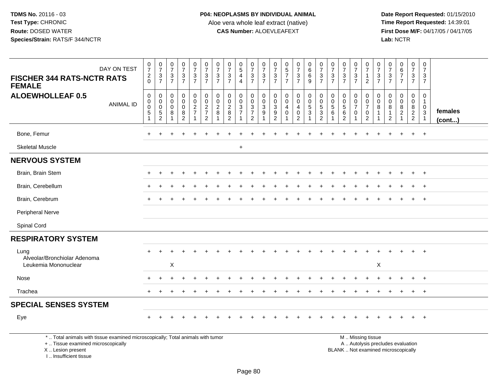**Date Report Requested:** 01/15/2010 **First Dose M/F:** 04/17/05 / 04/17/05<br>Lab: NCTR **Lab:** NCTR

| DAY ON TEST                                                                                                           | $\frac{0}{7}$                                                       | $\frac{0}{7}$                                            | $\frac{0}{7}$                                                  | $\frac{0}{7}$                                                       | $\begin{smallmatrix} 0\\7 \end{smallmatrix}$ | $\frac{0}{7}$                                                                    | $\frac{0}{7}$                                 | $\frac{0}{7}$                                  | 0<br>$\overline{5}$                               | $\frac{0}{7}$                                | 0<br>$\overline{7}$                  | $\frac{0}{7}$                                                          | $\begin{array}{c} 0 \\ 5 \\ 7 \end{array}$           | $\frac{0}{7}$                                                               | $\begin{array}{c} 0 \\ 6 \end{array}$                           | 0<br>$\overline{7}$                                              | $\frac{0}{7}$                                              | $\frac{0}{7}$                                           | $\frac{0}{7}$                                                     | $\boldsymbol{0}$<br>$\overline{7}$                              | 0<br>$\overline{7}$                         | $\frac{0}{7}$                                    | $\pmb{0}$<br>$rac{6}{7}$                                | 0<br>$\overline{7}$                    | 0<br>$\overline{7}$                        |                   |
|-----------------------------------------------------------------------------------------------------------------------|---------------------------------------------------------------------|----------------------------------------------------------|----------------------------------------------------------------|---------------------------------------------------------------------|----------------------------------------------|----------------------------------------------------------------------------------|-----------------------------------------------|------------------------------------------------|---------------------------------------------------|----------------------------------------------|--------------------------------------|------------------------------------------------------------------------|------------------------------------------------------|-----------------------------------------------------------------------------|-----------------------------------------------------------------|------------------------------------------------------------------|------------------------------------------------------------|---------------------------------------------------------|-------------------------------------------------------------------|-----------------------------------------------------------------|---------------------------------------------|--------------------------------------------------|---------------------------------------------------------|----------------------------------------|--------------------------------------------|-------------------|
| <b>FISCHER 344 RATS-NCTR RATS</b><br><b>FEMALE</b>                                                                    | $\boldsymbol{2}$<br>$\Omega$                                        | $\frac{3}{7}$                                            | $\frac{3}{7}$                                                  | $\frac{3}{7}$                                                       | $\frac{3}{7}$                                | $\ensuremath{\mathsf{3}}$<br>$\overline{7}$                                      | $\ensuremath{\mathsf{3}}$<br>$\overline{7}$   | $\frac{3}{7}$                                  | $\overline{4}$<br>$\overline{4}$                  | $\frac{3}{7}$                                | 3<br>$\overline{7}$                  | $\frac{3}{7}$                                                          | $\overline{7}$                                       | $\mathbf{3}$<br>$\overline{7}$                                              | $\,6\,$<br>9                                                    | 3<br>$\overline{7}$                                              | $\mathbf 3$<br>$\overline{7}$                              | $\mathbf 3$<br>$\overline{7}$                           | $\ensuremath{\mathsf{3}}$<br>$\overline{7}$                       | $\mathbf{1}$<br>$\overline{2}$                                  | $\ensuremath{\mathsf{3}}$<br>$\overline{7}$ | $\sqrt{3}$<br>$\overline{7}$                     | $\overline{7}$                                          | 3<br>$\overline{7}$                    | 3<br>$\overline{7}$                        |                   |
| <b>ALOEWHOLLEAF 0.5</b><br><b>ANIMAL ID</b>                                                                           | $\pmb{0}$<br>$\pmb{0}$<br>$\pmb{0}$<br>$\sqrt{5}$<br>$\overline{1}$ | $\mathbf 0$<br>$\pmb{0}$<br>$\mathbf 0$<br>$\frac{5}{2}$ | $\mathbf 0$<br>$\mathbf 0$<br>$\mathbf 0$<br>8<br>$\mathbf{1}$ | 0<br>$\mathbf 0$<br>$\mathsf{O}\xspace$<br>$\bf8$<br>$\overline{2}$ | $\mathbf 0$<br>$\frac{0}{2}$<br>$\mathbf{1}$ | $\mathbf 0$<br>$\mathsf 0$<br>$\overline{2}$<br>$\overline{7}$<br>$\overline{2}$ | 0<br>$\pmb{0}$<br>$\boldsymbol{2}$<br>$\,8\,$ | $\mathbf 0$<br>$\frac{0}{2}$<br>$\overline{2}$ | 0<br>$\mathbf 0$<br>$\mathbf 3$<br>$\overline{7}$ | $\pmb{0}$<br>$\frac{0}{3}$<br>$\overline{2}$ | $\mathbf 0$<br>$\mathbf 0$<br>3<br>9 | 0<br>$\mathbf 0$<br>$\mathbf{3}$<br>$\boldsymbol{9}$<br>$\overline{2}$ | 0<br>$\overline{0}$<br>$\overline{4}$<br>$\mathbf 0$ | 0<br>$\mathsf{O}\xspace$<br>$\overline{4}$<br>$\mathbf 0$<br>$\overline{2}$ | $\begin{array}{c} 0 \\ 0 \\ 5 \\ 3 \end{array}$<br>$\mathbf{1}$ | 0<br>$\mathbf 0$<br>$\sqrt{5}$<br>$\mathbf{3}$<br>$\overline{2}$ | 0<br>$\mathbf 0$<br>$5\phantom{.0}$<br>6<br>$\overline{1}$ | 0<br>$\pmb{0}$<br>$\sqrt{5}$<br>$\,6$<br>$\overline{2}$ | 0<br>$\pmb{0}$<br>$\overline{7}$<br>$\mathbf 0$<br>$\overline{1}$ | 0<br>$\pmb{0}$<br>$\overline{7}$<br>$\pmb{0}$<br>$\overline{2}$ | $\mathbf 0$<br>$\mathbf{0}$<br>8            | $\mathbf 0$<br>$\Omega$<br>8<br>$\mathbf 1$<br>2 | 0<br>$\mathbf 0$<br>8<br>$\overline{2}$<br>$\mathbf{1}$ | 0<br>$\mathbf 0$<br>8<br>$\frac{2}{2}$ | 0<br>$\mathbf{1}$<br>0<br>3<br>$\mathbf 1$ | females<br>(cont) |
| Bone, Femur                                                                                                           |                                                                     |                                                          |                                                                |                                                                     |                                              |                                                                                  |                                               |                                                |                                                   |                                              |                                      |                                                                        |                                                      |                                                                             |                                                                 |                                                                  |                                                            |                                                         |                                                                   |                                                                 |                                             |                                                  |                                                         |                                        |                                            |                   |
| <b>Skeletal Muscle</b>                                                                                                |                                                                     |                                                          |                                                                |                                                                     |                                              |                                                                                  |                                               |                                                | $\ddot{}$                                         |                                              |                                      |                                                                        |                                                      |                                                                             |                                                                 |                                                                  |                                                            |                                                         |                                                                   |                                                                 |                                             |                                                  |                                                         |                                        |                                            |                   |
| <b>NERVOUS SYSTEM</b>                                                                                                 |                                                                     |                                                          |                                                                |                                                                     |                                              |                                                                                  |                                               |                                                |                                                   |                                              |                                      |                                                                        |                                                      |                                                                             |                                                                 |                                                                  |                                                            |                                                         |                                                                   |                                                                 |                                             |                                                  |                                                         |                                        |                                            |                   |
| Brain, Brain Stem                                                                                                     |                                                                     |                                                          |                                                                |                                                                     |                                              |                                                                                  |                                               |                                                |                                                   |                                              |                                      |                                                                        |                                                      |                                                                             |                                                                 |                                                                  |                                                            |                                                         |                                                                   |                                                                 |                                             |                                                  |                                                         |                                        |                                            |                   |
| Brain, Cerebellum                                                                                                     |                                                                     |                                                          |                                                                |                                                                     |                                              |                                                                                  |                                               |                                                |                                                   |                                              |                                      |                                                                        |                                                      |                                                                             |                                                                 |                                                                  |                                                            |                                                         |                                                                   |                                                                 |                                             |                                                  |                                                         |                                        |                                            |                   |
| Brain, Cerebrum                                                                                                       | $\ddot{}$                                                           |                                                          |                                                                |                                                                     |                                              |                                                                                  |                                               |                                                |                                                   |                                              |                                      |                                                                        |                                                      |                                                                             |                                                                 |                                                                  |                                                            |                                                         |                                                                   |                                                                 |                                             |                                                  |                                                         | $\ddot{}$                              | $+$                                        |                   |
| Peripheral Nerve                                                                                                      |                                                                     |                                                          |                                                                |                                                                     |                                              |                                                                                  |                                               |                                                |                                                   |                                              |                                      |                                                                        |                                                      |                                                                             |                                                                 |                                                                  |                                                            |                                                         |                                                                   |                                                                 |                                             |                                                  |                                                         |                                        |                                            |                   |
| Spinal Cord                                                                                                           |                                                                     |                                                          |                                                                |                                                                     |                                              |                                                                                  |                                               |                                                |                                                   |                                              |                                      |                                                                        |                                                      |                                                                             |                                                                 |                                                                  |                                                            |                                                         |                                                                   |                                                                 |                                             |                                                  |                                                         |                                        |                                            |                   |
| <b>RESPIRATORY SYSTEM</b>                                                                                             |                                                                     |                                                          |                                                                |                                                                     |                                              |                                                                                  |                                               |                                                |                                                   |                                              |                                      |                                                                        |                                                      |                                                                             |                                                                 |                                                                  |                                                            |                                                         |                                                                   |                                                                 |                                             |                                                  |                                                         |                                        |                                            |                   |
| Lung<br>Alveolar/Bronchiolar Adenoma<br>Leukemia Mononuclear                                                          |                                                                     |                                                          | X                                                              |                                                                     |                                              |                                                                                  |                                               |                                                |                                                   |                                              |                                      |                                                                        |                                                      |                                                                             |                                                                 |                                                                  |                                                            |                                                         |                                                                   |                                                                 | X                                           |                                                  |                                                         |                                        |                                            |                   |
| Nose                                                                                                                  |                                                                     |                                                          |                                                                |                                                                     |                                              |                                                                                  |                                               |                                                |                                                   |                                              |                                      |                                                                        |                                                      |                                                                             |                                                                 |                                                                  |                                                            |                                                         |                                                                   |                                                                 |                                             |                                                  |                                                         |                                        |                                            |                   |
| Trachea                                                                                                               |                                                                     |                                                          |                                                                |                                                                     |                                              |                                                                                  |                                               |                                                |                                                   |                                              |                                      |                                                                        |                                                      |                                                                             |                                                                 |                                                                  |                                                            |                                                         |                                                                   |                                                                 |                                             |                                                  |                                                         |                                        | $+$                                        |                   |
| <b>SPECIAL SENSES SYSTEM</b>                                                                                          |                                                                     |                                                          |                                                                |                                                                     |                                              |                                                                                  |                                               |                                                |                                                   |                                              |                                      |                                                                        |                                                      |                                                                             |                                                                 |                                                                  |                                                            |                                                         |                                                                   |                                                                 |                                             |                                                  |                                                         |                                        |                                            |                   |
| Eye                                                                                                                   |                                                                     |                                                          |                                                                |                                                                     |                                              |                                                                                  |                                               |                                                |                                                   |                                              |                                      |                                                                        |                                                      |                                                                             |                                                                 |                                                                  |                                                            |                                                         |                                                                   |                                                                 |                                             |                                                  |                                                         |                                        | $+$                                        |                   |
| *  Total animals with tissue examined microscopically; Total animals with tumor<br>+  Tissue examined microscopically |                                                                     |                                                          |                                                                |                                                                     |                                              |                                                                                  |                                               |                                                |                                                   |                                              |                                      |                                                                        |                                                      |                                                                             |                                                                 |                                                                  |                                                            |                                                         |                                                                   | M  Missing tissue<br>A  Autolysis precludes evaluation          |                                             |                                                  |                                                         |                                        |                                            |                   |

X .. Lesion present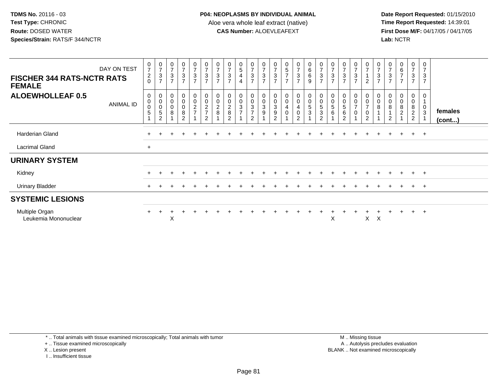Date Report Requested: 01/15/2010<br>Time Report Requested: 14:39:01 **First Dose M/F:** 04/17/05 / 04/17/05 Lab: NCTR **Lab:** NCTR

| <b>FISCHER 344 RATS-NCTR RATS</b><br><b>FEMALE</b> | DAY ON TEST | $\pmb{0}$<br>$\overline{7}$<br>$^2_{\rm 0}$ | $\frac{0}{7}$<br>$\ensuremath{\mathsf{3}}$<br>$\overline{7}$         | $\begin{smallmatrix}0\\7\end{smallmatrix}$<br>$\frac{3}{7}$ | $\frac{0}{7}$<br>$\ensuremath{\mathsf{3}}$<br>$\overline{7}$ | 0<br>$\overline{ }$<br>$\sqrt{3}$<br>$\overline{7}$ | $\begin{array}{c} 0 \\ 7 \end{array}$<br>$\ensuremath{\mathsf{3}}$<br>$\overline{7}$ | $\frac{0}{7}$<br>$\ensuremath{\mathsf{3}}$<br>$\overline{7}$ | $\overline{7}$<br>$\ensuremath{\mathsf{3}}$<br>$\overline{7}$ | $\begin{array}{c} 0 \\ 5 \end{array}$<br>$\overline{\mathbf{4}}$<br>$\overline{4}$ | $\frac{0}{7}$<br>$\ensuremath{\mathsf{3}}$<br>$\overline{7}$                   | $\frac{0}{7}$<br>$\ensuremath{\mathsf{3}}$<br>$\overline{7}$ | $\frac{0}{7}$<br>$\mathbf{3}$<br>$\overline{7}$                          | $\frac{5}{7}$<br>$\overline{7}$                          | $07/3$<br>7                                                         | $_{6}^{\rm 0}$<br>6<br>$\boldsymbol{9}$                   | $\frac{0}{7}$<br>3<br>$\overline{7}$                                     | $\frac{0}{7}$<br>$\ensuremath{\mathsf{3}}$<br>$\overline{7}$   | $\boldsymbol{7}$<br>$\sqrt{3}$<br>$\overline{7}$           | $\begin{array}{c} 0 \\ 7 \end{array}$<br>$\sqrt{3}$<br>$\overline{7}$           | $\frac{0}{7}$<br>$\overline{A}$<br>$\overline{2}$                         | 0<br>$\overline{7}$<br>$\ensuremath{\mathsf{3}}$<br>$\overline{7}$ | $\overline{7}$<br>$\sqrt{3}$<br>$\overline{7}$           | $_6^0$<br>$\overline{7}$<br>$\overline{7}$ | $\frac{0}{7}$<br>$\frac{3}{7}$                                         | 0<br>$\overline{7}$<br>$\sqrt{3}$<br>$\overline{7}$ |                         |
|----------------------------------------------------|-------------|---------------------------------------------|----------------------------------------------------------------------|-------------------------------------------------------------|--------------------------------------------------------------|-----------------------------------------------------|--------------------------------------------------------------------------------------|--------------------------------------------------------------|---------------------------------------------------------------|------------------------------------------------------------------------------------|--------------------------------------------------------------------------------|--------------------------------------------------------------|--------------------------------------------------------------------------|----------------------------------------------------------|---------------------------------------------------------------------|-----------------------------------------------------------|--------------------------------------------------------------------------|----------------------------------------------------------------|------------------------------------------------------------|---------------------------------------------------------------------------------|---------------------------------------------------------------------------|--------------------------------------------------------------------|----------------------------------------------------------|--------------------------------------------|------------------------------------------------------------------------|-----------------------------------------------------|-------------------------|
| <b>ALOEWHOLLEAF 0.5</b>                            | ANIMAL ID   | $\mathbf 0$<br>$\pmb{0}$<br>$\pmb{0}$<br>5  | $\pmb{0}$<br>$\pmb{0}$<br>$\pmb{0}$<br>$\mathbf 5$<br>$\overline{2}$ | 0<br>$\mbox{O}$<br>$\mathsf{O}\xspace$<br>8                 | 0<br>$\mathsf 0$<br>$\pmb{0}$<br>$\bf 8$<br>$\mathfrak{p}$   | $\mathbf 0$<br>$\mathsf 0$<br>$\frac{2}{7}$         | 00027<br>$\overline{2}$                                                              | $_{\rm 0}^{\rm 0}$<br>$\frac{2}{8}$                          | $\pmb{0}$<br>$\pmb{0}$<br>$\boldsymbol{2}$<br>8<br>2          | 0<br>0<br>3<br>$\overline{ }$                                                      | $\begin{smallmatrix}0\0\0\end{smallmatrix}$<br>$\frac{3}{7}$<br>$\overline{2}$ | $\begin{matrix}0\\0\\3\end{matrix}$<br>$\boldsymbol{9}$      | $\begin{smallmatrix} 0\\0\\3 \end{smallmatrix}$<br>$\boldsymbol{9}$<br>2 | $\begin{matrix} 0 \\ 0 \\ 4 \end{matrix}$<br>$\mathbf 0$ | $_{\rm 0}^{\rm 0}$<br>$\overline{4}$<br>$\pmb{0}$<br>$\overline{c}$ | $\pmb{0}$<br>$\pmb{0}$<br>$5\phantom{.0}$<br>$\mathbf{3}$ | $\begin{smallmatrix} 0\\0 \end{smallmatrix}$<br>5<br>3<br>$\overline{2}$ | $\begin{smallmatrix}0\0\0\end{smallmatrix}$<br>$\sqrt{5}$<br>6 | $\begin{matrix} 0 \\ 0 \\ 5 \end{matrix}$<br>$\frac{6}{2}$ | $\begin{matrix} 0 \\ 0 \\ 7 \end{matrix}$<br>$\boldsymbol{0}$<br>$\overline{A}$ | $\mathbf 0$<br>$\pmb{0}$<br>$\overline{7}$<br>$\pmb{0}$<br>$\overline{2}$ | $_{\rm 0}^{\rm 0}$<br>8                                            | $\pmb{0}$<br>$\pmb{0}$<br>$\bf 8$<br>1<br>$\overline{2}$ | $_0^0$<br>8<br>$\overline{c}$              | $\pmb{0}$<br>$\mathbf 0$<br>$\begin{array}{c} 8 \\ 2 \\ 2 \end{array}$ | 0<br>$\pmb{0}$<br>$\mathfrak{S}$                    | females<br>$($ cont $)$ |
| Harderian Gland                                    |             |                                             |                                                                      |                                                             |                                                              |                                                     |                                                                                      |                                                              |                                                               |                                                                                    |                                                                                |                                                              |                                                                          |                                                          |                                                                     |                                                           |                                                                          |                                                                |                                                            |                                                                                 |                                                                           |                                                                    |                                                          | $\ddot{}$                                  | $+$                                                                    | $+$                                                 |                         |
| <b>Lacrimal Gland</b>                              |             | $+$                                         |                                                                      |                                                             |                                                              |                                                     |                                                                                      |                                                              |                                                               |                                                                                    |                                                                                |                                                              |                                                                          |                                                          |                                                                     |                                                           |                                                                          |                                                                |                                                            |                                                                                 |                                                                           |                                                                    |                                                          |                                            |                                                                        |                                                     |                         |
| <b>URINARY SYSTEM</b>                              |             |                                             |                                                                      |                                                             |                                                              |                                                     |                                                                                      |                                                              |                                                               |                                                                                    |                                                                                |                                                              |                                                                          |                                                          |                                                                     |                                                           |                                                                          |                                                                |                                                            |                                                                                 |                                                                           |                                                                    |                                                          |                                            |                                                                        |                                                     |                         |
| Kidney                                             |             |                                             |                                                                      |                                                             |                                                              |                                                     |                                                                                      |                                                              |                                                               |                                                                                    |                                                                                |                                                              |                                                                          |                                                          |                                                                     |                                                           |                                                                          |                                                                |                                                            |                                                                                 |                                                                           |                                                                    |                                                          |                                            | $+$                                                                    | $+$                                                 |                         |
| <b>Urinary Bladder</b>                             |             | $+$                                         |                                                                      |                                                             |                                                              |                                                     |                                                                                      |                                                              |                                                               |                                                                                    |                                                                                |                                                              |                                                                          |                                                          |                                                                     |                                                           |                                                                          |                                                                |                                                            |                                                                                 |                                                                           |                                                                    |                                                          | $\div$                                     | $+$                                                                    | $+$                                                 |                         |
| <b>SYSTEMIC LESIONS</b>                            |             |                                             |                                                                      |                                                             |                                                              |                                                     |                                                                                      |                                                              |                                                               |                                                                                    |                                                                                |                                                              |                                                                          |                                                          |                                                                     |                                                           |                                                                          |                                                                |                                                            |                                                                                 |                                                                           |                                                                    |                                                          |                                            |                                                                        |                                                     |                         |
| Multiple Organ<br>Leukemia Mononuclear             |             |                                             |                                                                      | X                                                           |                                                              |                                                     |                                                                                      |                                                              |                                                               |                                                                                    |                                                                                |                                                              |                                                                          |                                                          |                                                                     |                                                           |                                                                          | X                                                              |                                                            |                                                                                 | X                                                                         | $\boldsymbol{\mathsf{X}}$                                          |                                                          |                                            | $^+$                                                                   | $+$                                                 |                         |

\* .. Total animals with tissue examined microscopically; Total animals with tumor

+ .. Tissue examined microscopically

X .. Lesion present

I .. Insufficient tissue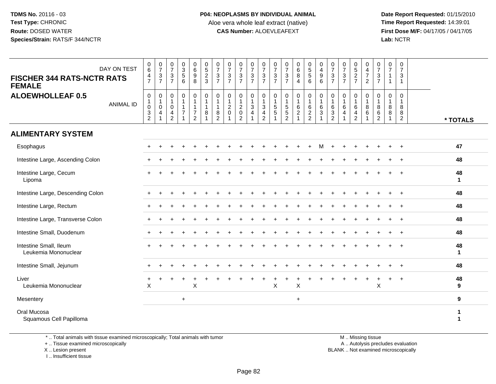**Date Report Requested:** 01/15/2010 **First Dose M/F:** 04/17/05 / 04/17/05 Lab: NCTR **Lab:** NCTR

| <b>FISCHER 344 RATS-NCTR RATS</b><br><b>FEMALE</b> | DAY ON TEST      | $_{6}^{\rm 0}$<br>$\frac{4}{7}$                           | $\begin{array}{c} 0 \\ 7 \end{array}$<br>$\frac{3}{7}$                  | $\frac{0}{7}$<br>$\mathbf{3}$<br>7              | $\begin{array}{c} 0 \\ 3 \\ 5 \end{array}$<br>6                  | 0<br>$\overline{6}$<br>9<br>8                                        | $\begin{array}{c} 0 \\ 5 \\ 2 \end{array}$<br>3                  | $\frac{0}{7}$<br>$\ensuremath{\mathsf{3}}$<br>$\overline{7}$ | $\frac{0}{7}$<br>$\ensuremath{\mathsf{3}}$<br>$\overline{7}$                   | $\frac{0}{7}$<br>$\frac{3}{7}$                                                       | $\frac{0}{7}$<br>$\mathbf{3}$<br>$\overline{7}$        | $\frac{0}{7}$<br>$\frac{3}{7}$             | $\frac{0}{7}$<br>$\ensuremath{\mathsf{3}}$<br>$\overline{7}$               | $\frac{0}{7}$<br>$\mathbf{3}$<br>$\overline{7}$                              | $\begin{matrix}0\\6\\8\end{matrix}$<br>4                       | $\begin{array}{c} 0 \\ 5 \\ 5 \end{array}$<br>6       | 0<br>$\frac{4}{9}$<br>6                  | $\frac{0}{7}$<br>$\frac{3}{7}$                | $\begin{array}{c} 0 \\ 7 \end{array}$<br>$rac{3}{7}$               | $0$<br>5<br>2<br>7                                                       | $\pmb{0}$<br>$rac{4}{7}$<br>$\overline{2}$                                | $\begin{array}{c} 0 \\ 7 \end{array}$<br>$\frac{3}{7}$       | 0<br>$\overline{7}$<br>1<br>$\mathbf{1}$ | $\mathbf 0$<br>$\overline{7}$<br>$\sqrt{3}$<br>$\mathbf{1}$ |                    |  |
|----------------------------------------------------|------------------|-----------------------------------------------------------|-------------------------------------------------------------------------|-------------------------------------------------|------------------------------------------------------------------|----------------------------------------------------------------------|------------------------------------------------------------------|--------------------------------------------------------------|--------------------------------------------------------------------------------|--------------------------------------------------------------------------------------|--------------------------------------------------------|--------------------------------------------|----------------------------------------------------------------------------|------------------------------------------------------------------------------|----------------------------------------------------------------|-------------------------------------------------------|------------------------------------------|-----------------------------------------------|--------------------------------------------------------------------|--------------------------------------------------------------------------|---------------------------------------------------------------------------|--------------------------------------------------------------|------------------------------------------|-------------------------------------------------------------|--------------------|--|
| <b>ALOEWHOLLEAF 0.5</b>                            | <b>ANIMAL ID</b> | $\pmb{0}$<br>$\mathbf{1}$<br>$\mathbf 0$<br>$\frac{3}{2}$ | $\pmb{0}$<br>$\mathbf{1}$<br>$\mathsf{O}\xspace$<br>$\overline{a}$<br>1 | 0<br>$\overline{1}$<br>0<br>4<br>$\overline{c}$ | $\pmb{0}$<br>$\mathbf{1}$<br>$\mathbf{1}$<br>$\overline{7}$<br>1 | $\mathbf 0$<br>$\mathbf{1}$<br>1<br>$\overline{7}$<br>$\overline{2}$ | $\pmb{0}$<br>$\mathbf{1}$<br>$\mathbf{1}$<br>8<br>$\overline{ }$ | $\pmb{0}$<br>$\mathbf{1}$<br>1<br>$\bf 8$<br>$\overline{2}$  | $\pmb{0}$<br>$\overline{1}$<br>$\boldsymbol{2}$<br>$\pmb{0}$<br>$\overline{1}$ | $\pmb{0}$<br>$\mathbf{1}$<br>$\overline{2}$<br>$\mathsf{O}\xspace$<br>$\overline{2}$ | 0<br>$\mathbf{1}$<br>$\mathbf{3}$<br>4<br>$\mathbf{1}$ | $\pmb{0}$<br>$\mathbf{1}$<br>$\frac{3}{4}$ | $\pmb{0}$<br>$\mathbf{1}$<br>$\,$ 5 $\,$<br>$\overline{5}$<br>$\mathbf{1}$ | 0<br>$\mathbf{1}$<br>$\begin{array}{c} 5 \\ 5 \end{array}$<br>$\overline{2}$ | $\pmb{0}$<br>$\overline{1}$<br>$\frac{6}{2}$<br>$\overline{1}$ | $\pmb{0}$<br>$\mathbf{1}$<br>$\,6\,$<br>$\frac{2}{2}$ | $\pmb{0}$<br>$\mathbf{1}$<br>6<br>3<br>1 | 0<br>$\mathbf{1}$<br>$\,6\,$<br>$\frac{3}{2}$ | $\pmb{0}$<br>$\mathbf{1}$<br>6<br>$\overline{4}$<br>$\overline{1}$ | $\pmb{0}$<br>$\mathbf{1}$<br>$\,6\,$<br>$\overline{4}$<br>$\overline{2}$ | $\pmb{0}$<br>$\mathbf{1}$<br>$\,8\,$<br>$6\overline{6}$<br>$\overline{1}$ | $\pmb{0}$<br>$\overline{1}$<br>$\, 8$<br>6<br>$\overline{2}$ | 0<br>$\mathbf{1}$<br>8<br>8<br>1         | $\mathbf 0$<br>$\mathbf{1}$<br>8<br>8<br>$\overline{2}$     | * TOTALS           |  |
| <b>ALIMENTARY SYSTEM</b>                           |                  |                                                           |                                                                         |                                                 |                                                                  |                                                                      |                                                                  |                                                              |                                                                                |                                                                                      |                                                        |                                            |                                                                            |                                                                              |                                                                |                                                       |                                          |                                               |                                                                    |                                                                          |                                                                           |                                                              |                                          |                                                             |                    |  |
| Esophagus                                          |                  |                                                           |                                                                         |                                                 |                                                                  |                                                                      |                                                                  |                                                              |                                                                                |                                                                                      |                                                        |                                            |                                                                            |                                                                              |                                                                |                                                       | м                                        |                                               |                                                                    |                                                                          |                                                                           |                                                              |                                          | $\div$                                                      | 47                 |  |
| Intestine Large, Ascending Colon                   |                  |                                                           |                                                                         |                                                 |                                                                  |                                                                      |                                                                  |                                                              |                                                                                |                                                                                      |                                                        |                                            |                                                                            |                                                                              |                                                                |                                                       |                                          |                                               |                                                                    |                                                                          |                                                                           |                                                              |                                          |                                                             | 48                 |  |
| Intestine Large, Cecum<br>Lipoma                   |                  |                                                           |                                                                         |                                                 |                                                                  |                                                                      |                                                                  |                                                              |                                                                                |                                                                                      |                                                        |                                            |                                                                            |                                                                              |                                                                |                                                       |                                          |                                               |                                                                    |                                                                          |                                                                           |                                                              |                                          |                                                             | 48<br>$\mathbf{1}$ |  |
| Intestine Large, Descending Colon                  |                  |                                                           |                                                                         |                                                 |                                                                  |                                                                      |                                                                  |                                                              |                                                                                |                                                                                      |                                                        |                                            |                                                                            |                                                                              |                                                                |                                                       |                                          |                                               |                                                                    |                                                                          |                                                                           |                                                              |                                          |                                                             | 48                 |  |
| Intestine Large, Rectum                            |                  |                                                           |                                                                         |                                                 |                                                                  |                                                                      |                                                                  |                                                              |                                                                                |                                                                                      |                                                        |                                            |                                                                            |                                                                              |                                                                |                                                       |                                          |                                               |                                                                    |                                                                          |                                                                           |                                                              |                                          |                                                             | 48                 |  |
| Intestine Large, Transverse Colon                  |                  |                                                           |                                                                         |                                                 |                                                                  |                                                                      |                                                                  |                                                              |                                                                                |                                                                                      |                                                        |                                            |                                                                            |                                                                              |                                                                |                                                       |                                          |                                               |                                                                    |                                                                          |                                                                           |                                                              |                                          |                                                             | 48                 |  |
| Intestine Small, Duodenum                          |                  | $+$                                                       |                                                                         |                                                 |                                                                  |                                                                      |                                                                  |                                                              |                                                                                |                                                                                      |                                                        |                                            |                                                                            |                                                                              |                                                                |                                                       |                                          |                                               |                                                                    |                                                                          |                                                                           |                                                              |                                          | $\ddot{}$                                                   | 48                 |  |
| Intestine Small, Ileum<br>Leukemia Mononuclear     |                  |                                                           |                                                                         |                                                 |                                                                  |                                                                      |                                                                  |                                                              |                                                                                |                                                                                      |                                                        |                                            |                                                                            |                                                                              |                                                                |                                                       |                                          |                                               |                                                                    |                                                                          |                                                                           |                                                              |                                          |                                                             | 48<br>$\mathbf{1}$ |  |
| Intestine Small, Jejunum                           |                  |                                                           |                                                                         |                                                 |                                                                  |                                                                      |                                                                  |                                                              |                                                                                |                                                                                      |                                                        |                                            |                                                                            |                                                                              |                                                                |                                                       |                                          |                                               |                                                                    |                                                                          |                                                                           |                                                              |                                          |                                                             | 48                 |  |
| Liver<br>Leukemia Mononuclear                      |                  | $\ddot{}$<br>X                                            |                                                                         |                                                 |                                                                  | X                                                                    |                                                                  |                                                              |                                                                                |                                                                                      |                                                        |                                            | $\pmb{\times}$                                                             |                                                                              | $\pmb{\times}$                                                 |                                                       |                                          |                                               |                                                                    |                                                                          |                                                                           | $\times$                                                     |                                          |                                                             | 48<br>9            |  |
| Mesentery                                          |                  |                                                           |                                                                         |                                                 | $\ddot{}$                                                        |                                                                      |                                                                  |                                                              |                                                                                |                                                                                      |                                                        |                                            |                                                                            |                                                                              | $\ddot{}$                                                      |                                                       |                                          |                                               |                                                                    |                                                                          |                                                                           |                                                              |                                          |                                                             | 9                  |  |
| Oral Mucosa<br>Squamous Cell Papilloma             |                  |                                                           |                                                                         |                                                 |                                                                  |                                                                      |                                                                  |                                                              |                                                                                |                                                                                      |                                                        |                                            |                                                                            |                                                                              |                                                                |                                                       |                                          |                                               |                                                                    |                                                                          |                                                                           |                                                              |                                          |                                                             | 1<br>$\mathbf 1$   |  |

\* .. Total animals with tissue examined microscopically; Total animals with tumor

+ .. Tissue examined microscopically

X .. Lesion present

I .. Insufficient tissue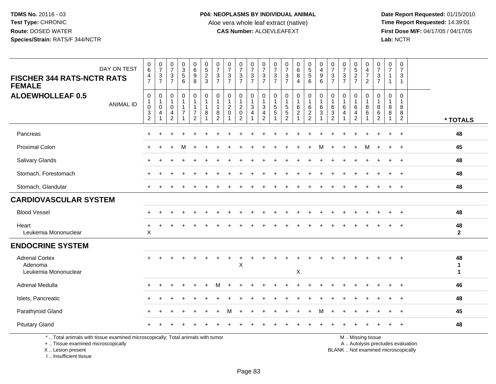**Date Report Requested:** 01/15/2010 **First Dose M/F:** 04/17/05 / 04/17/05<br>Lab: NCTR **Lab:** NCTR

| DAY ON TEST<br><b>FISCHER 344 RATS-NCTR RATS</b>                                                                                           | $\begin{array}{c} 0 \\ 6 \end{array}$<br>4                                    | $\frac{0}{7}$<br>$\frac{3}{7}$                               | $\begin{array}{c} 0 \\ 7 \end{array}$<br>$\frac{3}{7}$            | 0<br>3<br>5<br>6                                   | $\begin{array}{c} 0 \\ 6 \end{array}$<br>$\frac{9}{8}$                | $\begin{array}{c} 0 \\ 5 \end{array}$<br>$\frac{2}{3}$ | 0<br>$\overline{7}$<br>$\frac{3}{7}$                     | $\frac{0}{7}$<br>$\frac{3}{7}$                                  | $\frac{0}{7}$<br>$\frac{3}{7}$                                    | $\begin{array}{c} 0 \\ 7 \end{array}$<br>$\frac{3}{7}$ | $\frac{0}{7}$<br>$\frac{3}{7}$                                        | $\pmb{0}$<br>$\overline{7}$<br>$\frac{3}{7}$                       | $\frac{0}{7}$<br>$\frac{3}{7}$                                          | $\begin{matrix} 0 \\ 6 \end{matrix}$<br>$\overline{8}$ | 0<br>5<br>5<br>6                              | $\pmb{0}$<br>$\overline{4}$<br>$\begin{array}{c} 9 \\ 6 \end{array}$ | $\mathbf 0$<br>$\overline{7}$<br>$\frac{3}{7}$     | $\mathbf 0$<br>$\overline{7}$<br>$\frac{3}{7}$       | $\begin{array}{c} 0 \\ 5 \end{array}$<br>$\frac{2}{7}$           | 0<br>$\overline{4}$<br>$\overline{7}$ | 0<br>$\overline{7}$<br>$\frac{3}{7}$          | 0<br>7<br>$\mathbf{1}$     | $\pmb{0}$<br>$\overline{7}$<br>$\sqrt{3}$                                |                                    |
|--------------------------------------------------------------------------------------------------------------------------------------------|-------------------------------------------------------------------------------|--------------------------------------------------------------|-------------------------------------------------------------------|----------------------------------------------------|-----------------------------------------------------------------------|--------------------------------------------------------|----------------------------------------------------------|-----------------------------------------------------------------|-------------------------------------------------------------------|--------------------------------------------------------|-----------------------------------------------------------------------|--------------------------------------------------------------------|-------------------------------------------------------------------------|--------------------------------------------------------|-----------------------------------------------|----------------------------------------------------------------------|----------------------------------------------------|------------------------------------------------------|------------------------------------------------------------------|---------------------------------------|-----------------------------------------------|----------------------------|--------------------------------------------------------------------------|------------------------------------|
| <b>FEMALE</b>                                                                                                                              | $\overline{7}$                                                                |                                                              |                                                                   |                                                    |                                                                       |                                                        |                                                          |                                                                 |                                                                   |                                                        |                                                                       |                                                                    |                                                                         | $\overline{4}$                                         |                                               |                                                                      |                                                    |                                                      |                                                                  | $\overline{2}$                        |                                               | $\mathbf{1}$               | $\mathbf{1}$                                                             |                                    |
| <b>ALOEWHOLLEAF 0.5</b><br><b>ANIMAL ID</b>                                                                                                | $\boldsymbol{0}$<br>$\mathbf{1}$<br>$\pmb{0}$<br>$\sqrt{3}$<br>$\overline{2}$ | $\mathbf 0$<br>$\mathbf{1}$<br>$\mathbf 0$<br>$\overline{4}$ | $\mathbf 0$<br>$\mathbf{1}$<br>$\mathbf 0$<br>4<br>$\overline{c}$ | 0<br>$\mathbf{1}$<br>$\mathbf 1$<br>$\overline{7}$ | 0<br>$\mathbf{1}$<br>$\mathbf{1}$<br>$\overline{7}$<br>$\overline{2}$ | $\mathbf 0$<br>$\mathbf{1}$<br>$\mathbf{1}$<br>8       | $\mathbf 0$<br>-1<br>$\mathbf{1}$<br>8<br>$\overline{c}$ | $\pmb{0}$<br>$\mathbf{1}$<br>$\overline{c}$<br>$\mathbf 0$<br>1 | 0<br>$\mathbf 1$<br>$\overline{2}$<br>$\pmb{0}$<br>$\overline{2}$ | 0<br>$\overline{1}$<br>$\sqrt{3}$<br>$\overline{4}$    | 0<br>$\mathbf{1}$<br>$\ensuremath{\mathsf{3}}$<br>$\overline{4}$<br>2 | $\boldsymbol{0}$<br>$\overline{1}$<br>$\sqrt{5}$<br>$\overline{5}$ | $\pmb{0}$<br>$\mathbf{1}$<br>$\sqrt{5}$<br>$\sqrt{5}$<br>$\overline{2}$ | 0<br>$\mathbf{1}$<br>$\,6\,$<br>$\boldsymbol{2}$       | 0<br>$\mathbf{1}$<br>$\,6\,$<br>$\frac{2}{2}$ | 0<br>$\mathbf{1}$<br>$\,6$<br>$\ensuremath{\mathsf{3}}$              | $\mathbf 0$<br>6<br>$\mathbf{3}$<br>$\overline{c}$ | $\mathbf 0$<br>$\overline{1}$<br>6<br>$\overline{4}$ | 0<br>$\mathbf{1}$<br>$\,6\,$<br>$\overline{4}$<br>$\overline{c}$ | 0<br>$\mathbf{1}$<br>8<br>6           | $\mathbf{0}$<br>1<br>8<br>6<br>$\overline{c}$ | $\mathbf 0$<br>1<br>8<br>8 | $\mathbf 0$<br>$\mathbf 1$<br>8<br>8<br>$\overline{2}$                   | * TOTALS                           |
| Pancreas                                                                                                                                   |                                                                               |                                                              |                                                                   |                                                    |                                                                       |                                                        |                                                          |                                                                 |                                                                   |                                                        |                                                                       |                                                                    |                                                                         |                                                        |                                               |                                                                      |                                                    |                                                      |                                                                  |                                       |                                               | $+$                        | $^{+}$                                                                   | 48                                 |
| <b>Proximal Colon</b>                                                                                                                      |                                                                               |                                                              |                                                                   | M                                                  | $\ddot{}$                                                             |                                                        |                                                          |                                                                 |                                                                   |                                                        |                                                                       |                                                                    |                                                                         |                                                        |                                               | м                                                                    | $\ddot{}$                                          |                                                      | $\ddot{}$                                                        | M                                     | $\ddot{}$                                     | $+$                        | $+$                                                                      | 45                                 |
| Salivary Glands                                                                                                                            |                                                                               |                                                              |                                                                   |                                                    |                                                                       |                                                        |                                                          |                                                                 |                                                                   |                                                        |                                                                       |                                                                    |                                                                         |                                                        |                                               |                                                                      |                                                    |                                                      |                                                                  |                                       |                                               |                            |                                                                          | 48                                 |
| Stomach, Forestomach                                                                                                                       |                                                                               |                                                              |                                                                   |                                                    |                                                                       |                                                        |                                                          |                                                                 |                                                                   |                                                        |                                                                       |                                                                    |                                                                         |                                                        |                                               |                                                                      |                                                    |                                                      |                                                                  |                                       |                                               |                            |                                                                          | 48                                 |
| Stomach, Glandular                                                                                                                         |                                                                               |                                                              |                                                                   |                                                    |                                                                       |                                                        |                                                          |                                                                 |                                                                   |                                                        |                                                                       |                                                                    |                                                                         |                                                        |                                               |                                                                      |                                                    |                                                      |                                                                  |                                       |                                               |                            | $\overline{1}$                                                           | 48                                 |
| <b>CARDIOVASCULAR SYSTEM</b>                                                                                                               |                                                                               |                                                              |                                                                   |                                                    |                                                                       |                                                        |                                                          |                                                                 |                                                                   |                                                        |                                                                       |                                                                    |                                                                         |                                                        |                                               |                                                                      |                                                    |                                                      |                                                                  |                                       |                                               |                            |                                                                          |                                    |
| <b>Blood Vessel</b>                                                                                                                        |                                                                               |                                                              |                                                                   |                                                    |                                                                       |                                                        |                                                          |                                                                 |                                                                   |                                                        |                                                                       |                                                                    |                                                                         |                                                        |                                               |                                                                      |                                                    |                                                      |                                                                  |                                       |                                               |                            |                                                                          | 48                                 |
| Heart<br>Leukemia Mononuclear                                                                                                              | $\ddot{}$<br>$\times$                                                         |                                                              |                                                                   |                                                    |                                                                       |                                                        |                                                          |                                                                 |                                                                   |                                                        |                                                                       |                                                                    |                                                                         |                                                        |                                               |                                                                      |                                                    |                                                      |                                                                  |                                       |                                               |                            |                                                                          | 48<br>$\mathbf{2}$                 |
| <b>ENDOCRINE SYSTEM</b>                                                                                                                    |                                                                               |                                                              |                                                                   |                                                    |                                                                       |                                                        |                                                          |                                                                 |                                                                   |                                                        |                                                                       |                                                                    |                                                                         |                                                        |                                               |                                                                      |                                                    |                                                      |                                                                  |                                       |                                               |                            |                                                                          |                                    |
| <b>Adrenal Cortex</b><br>Adenoma<br>Leukemia Mononuclear                                                                                   |                                                                               |                                                              |                                                                   |                                                    |                                                                       |                                                        |                                                          |                                                                 | $\mathsf X$                                                       |                                                        |                                                                       |                                                                    |                                                                         | X                                                      |                                               |                                                                      |                                                    |                                                      |                                                                  |                                       |                                               |                            |                                                                          | 48<br>$\mathbf{1}$<br>$\mathbf{1}$ |
| Adrenal Medulla                                                                                                                            |                                                                               |                                                              |                                                                   |                                                    |                                                                       |                                                        |                                                          |                                                                 |                                                                   |                                                        |                                                                       |                                                                    |                                                                         |                                                        |                                               |                                                                      |                                                    |                                                      |                                                                  |                                       |                                               |                            |                                                                          | 46                                 |
| Islets, Pancreatic                                                                                                                         |                                                                               |                                                              |                                                                   |                                                    |                                                                       |                                                        |                                                          |                                                                 |                                                                   |                                                        |                                                                       |                                                                    |                                                                         |                                                        |                                               |                                                                      |                                                    |                                                      |                                                                  |                                       |                                               |                            |                                                                          | 48                                 |
| Parathyroid Gland                                                                                                                          |                                                                               |                                                              |                                                                   |                                                    |                                                                       |                                                        |                                                          | м                                                               |                                                                   |                                                        |                                                                       |                                                                    |                                                                         |                                                        |                                               | м                                                                    |                                                    |                                                      |                                                                  |                                       |                                               |                            | $\overline{1}$                                                           | 45                                 |
| <b>Pituitary Gland</b>                                                                                                                     |                                                                               |                                                              |                                                                   |                                                    |                                                                       |                                                        |                                                          |                                                                 |                                                                   |                                                        |                                                                       |                                                                    |                                                                         |                                                        |                                               |                                                                      |                                                    |                                                      |                                                                  |                                       |                                               |                            | $\overline{ }$                                                           | 48                                 |
| *  Total animals with tissue examined microscopically; Total animals with tumor<br>+  Tissue examined microscopically<br>X  Lesion present |                                                                               |                                                              |                                                                   |                                                    |                                                                       |                                                        |                                                          |                                                                 |                                                                   |                                                        |                                                                       |                                                                    |                                                                         |                                                        |                                               |                                                                      |                                                    |                                                      |                                                                  | M  Missing tissue                     |                                               |                            | A  Autolysis precludes evaluation<br>BLANK  Not examined microscopically |                                    |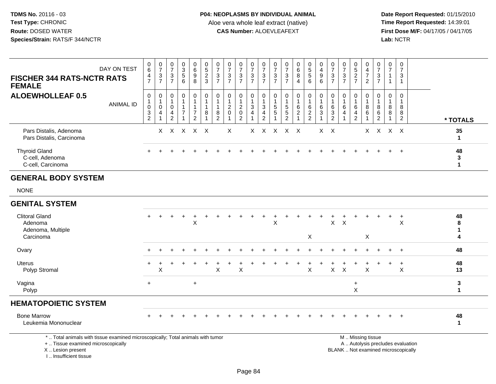**Date Report Requested:** 01/15/2010 **First Dose M/F:** 04/17/05 / 04/17/05<br>**Lab:** NCTR **Lab:** NCTR

| <b>FISCHER 344 RATS-NCTR RATS</b><br><b>FEMALE</b>                 | DAY ON TEST      | $\begin{matrix} 0 \\ 6 \end{matrix}$<br>4<br>$\overline{7}$       | $\frac{0}{7}$<br>$\frac{3}{7}$                  | $\frac{0}{7}$<br>$\sqrt{3}$<br>$\overline{7}$                    | $\mathbf 0$<br>$\mathbf{3}$<br>$\sqrt{5}$<br>6      | 0<br>$\,6$<br>$\boldsymbol{9}$<br>8                  | $0$<br>5<br>2<br>3     | $\begin{array}{c} 0 \\ 7 \\ 3 \\ 7 \end{array}$ | $\frac{0}{7}$<br>$\frac{3}{7}$   | $\frac{0}{7}$<br>$\frac{3}{7}$                     | $\frac{0}{7}$<br>$\frac{3}{7}$    | $\frac{0}{7}$<br>$\ensuremath{\mathsf{3}}$<br>$\overline{7}$                                | $\mathbf 0$<br>$\overline{7}$<br>$\frac{3}{7}$ | 0<br>$\overline{7}$<br>$\mathbf{3}$<br>$\overline{7}$ | 0<br>$\frac{6}{8}$<br>$\overline{4}$ | 0<br>5<br>5<br>6             | $\begin{array}{c} 0 \\ 4 \\ 9 \\ 6 \end{array}$ | $\frac{0}{7}$<br>$\frac{3}{7}$                                              | 0<br>$\overline{7}$<br>$\sqrt{3}$<br>$\overline{7}$ | $\boldsymbol{0}$<br>$\frac{5}{2}$                                 | 0<br>$\overline{4}$<br>$\overline{7}$<br>$\overline{2}$ | $\begin{array}{c} 0 \\ 7 \\ 3 \\ 7 \end{array}$     | $\pmb{0}$<br>$\overline{7}$<br>$\mathbf{1}$<br>$\mathbf{1}$ | 0<br>$\overline{7}$<br>3             |              |
|--------------------------------------------------------------------|------------------|-------------------------------------------------------------------|-------------------------------------------------|------------------------------------------------------------------|-----------------------------------------------------|------------------------------------------------------|------------------------|-------------------------------------------------|----------------------------------|----------------------------------------------------|-----------------------------------|---------------------------------------------------------------------------------------------|------------------------------------------------|-------------------------------------------------------|--------------------------------------|------------------------------|-------------------------------------------------|-----------------------------------------------------------------------------|-----------------------------------------------------|-------------------------------------------------------------------|---------------------------------------------------------|-----------------------------------------------------|-------------------------------------------------------------|--------------------------------------|--------------|
| <b>ALOEWHOLLEAF 0.5</b>                                            | <b>ANIMAL ID</b> | 0<br>$\begin{smallmatrix}0\\3\end{smallmatrix}$<br>$\overline{2}$ | 0<br>$\mathbf 1$<br>$\pmb{0}$<br>$\overline{4}$ | 0<br>$\overline{\mathbf{1}}$<br>$\pmb{0}$<br>$\overline{4}$<br>2 | 0<br>$\mathbf{1}$<br>$\mathbf{1}$<br>$\overline{7}$ | $\mathbf 0$<br>1<br>$\overline{7}$<br>$\overline{2}$ | $\mathbf 0$<br>$\bf 8$ | 0<br>$\mathbf 1$<br>$\, 8$<br>2                 | 0<br>$\overline{c}$<br>$\pmb{0}$ | 0<br>$\overline{2}$<br>$\pmb{0}$<br>$\overline{2}$ | 0<br>$\sqrt{3}$<br>$\overline{4}$ | 0<br>$\mathbf{1}$<br>$\ensuremath{\mathsf{3}}$<br>$\overline{\mathbf{4}}$<br>$\overline{2}$ | 0<br>$\frac{5}{5}$                             | 0<br>5<br>$\sqrt{5}$<br>$\mathcal{P}$                 | 0<br>6<br>$\overline{c}$             | 0<br>$^6_2$<br>$\mathcal{P}$ | $\overline{0}$<br>$\,6$<br>$\mathfrak{Z}$       | $\mathbf 0$<br>$\overline{1}$<br>$\begin{array}{c} 6 \\ 3 \\ 2 \end{array}$ | 0<br>$\overline{1}$<br>6<br>4                       | $\mathbf 0$<br>$\,6$<br>$\overline{\mathbf{4}}$<br>$\overline{2}$ | $\mathbf{0}$<br>8<br>$\,6$                              | 0<br>$\mathbf{1}$<br>8<br>$\,6\,$<br>$\overline{c}$ | 0<br>$\mathbf{1}$<br>8<br>8                                 | $\Omega$<br>8<br>8<br>$\overline{2}$ | * TOTALS     |
| Pars Distalis, Adenoma<br>Pars Distalis, Carcinoma                 |                  |                                                                   |                                                 | $X \times$                                                       |                                                     | $X$ $X$ $X$                                          |                        |                                                 | $\times$                         |                                                    |                                   | $X \times$                                                                                  | $\mathsf{X}$                                   |                                                       | x x                                  |                              |                                                 | $X \times$                                                                  |                                                     |                                                                   |                                                         | $X \times$                                          |                                                             | X X                                  | 35<br>1      |
| <b>Thyroid Gland</b><br>C-cell, Adenoma<br>C-cell, Carcinoma       |                  |                                                                   |                                                 |                                                                  |                                                     |                                                      |                        |                                                 |                                  |                                                    |                                   |                                                                                             |                                                |                                                       |                                      |                              |                                                 |                                                                             |                                                     |                                                                   |                                                         |                                                     |                                                             | $+$                                  | 48<br>3<br>1 |
| <b>GENERAL BODY SYSTEM</b>                                         |                  |                                                                   |                                                 |                                                                  |                                                     |                                                      |                        |                                                 |                                  |                                                    |                                   |                                                                                             |                                                |                                                       |                                      |                              |                                                 |                                                                             |                                                     |                                                                   |                                                         |                                                     |                                                             |                                      |              |
| <b>NONE</b>                                                        |                  |                                                                   |                                                 |                                                                  |                                                     |                                                      |                        |                                                 |                                  |                                                    |                                   |                                                                                             |                                                |                                                       |                                      |                              |                                                 |                                                                             |                                                     |                                                                   |                                                         |                                                     |                                                             |                                      |              |
| <b>GENITAL SYSTEM</b>                                              |                  |                                                                   |                                                 |                                                                  |                                                     |                                                      |                        |                                                 |                                  |                                                    |                                   |                                                                                             |                                                |                                                       |                                      |                              |                                                 |                                                                             |                                                     |                                                                   |                                                         |                                                     |                                                             |                                      |              |
| <b>Clitoral Gland</b><br>Adenoma<br>Adenoma, Multiple<br>Carcinoma |                  | $+$                                                               |                                                 |                                                                  |                                                     | X                                                    |                        |                                                 |                                  |                                                    |                                   |                                                                                             | $\mathsf X$                                    |                                                       |                                      | X                            |                                                 | $\mathsf{X}$                                                                | $\boldsymbol{\mathsf{X}}$                           |                                                                   | X                                                       |                                                     | ÷                                                           | $\ddot{}$<br>X                       | 48<br>8<br>4 |
| Ovary                                                              |                  |                                                                   |                                                 |                                                                  |                                                     |                                                      |                        |                                                 |                                  |                                                    |                                   |                                                                                             |                                                |                                                       |                                      |                              |                                                 |                                                                             |                                                     |                                                                   |                                                         |                                                     |                                                             | $\ddot{}$                            | 48           |
| <b>Uterus</b><br>Polyp Stromal                                     |                  | $\ddot{}$                                                         | X                                               |                                                                  |                                                     |                                                      |                        | $\mathsf X$                                     |                                  | X                                                  |                                   |                                                                                             |                                                |                                                       |                                      | X                            |                                                 | $\mathsf{X}$                                                                | $\boldsymbol{\mathsf{X}}$                           |                                                                   | X                                                       |                                                     | ÷                                                           | $\ddot{}$<br>X                       | 48<br>13     |

## $\mathsf p$ **HEMATOPOIETIC SYSTEM**

Vagina

Polyp

Bone Marrow <sup>+</sup> <sup>+</sup> <sup>+</sup> <sup>+</sup> <sup>+</sup> <sup>+</sup> <sup>+</sup> <sup>+</sup> <sup>+</sup> <sup>+</sup> <sup>+</sup> <sup>+</sup> <sup>+</sup> <sup>+</sup> <sup>+</sup> <sup>+</sup> <sup>+</sup> <sup>+</sup> <sup>+</sup> <sup>+</sup> <sup>+</sup> <sup>+</sup> <sup>+</sup> **<sup>48</sup>** Leukemia Mononuclear**<sup>1</sup>**

<sup>+</sup> <sup>+</sup> **<sup>3</sup>**

\* .. Total animals with tissue examined microscopically; Total animals with tumor

+ .. Tissue examined microscopically

a  $+$ 

X .. Lesion present

I .. Insufficient tissue

M .. Missing tissue

y the contract of the contract of the contract of the contract of the contract of the contract of the contract of  $A$ . Autolysis precludes evaluation Lesion present BLANK .. Not examined microscopically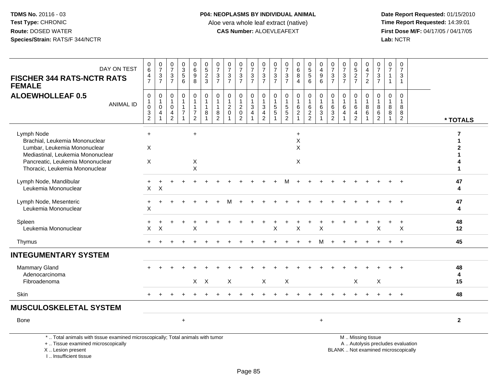**Date Report Requested:** 01/15/2010 **First Dose M/F:** 04/17/05 / 04/17/05<br>Lab: NCTR **Lab:** NCTR

| DAY ON TEST<br><b>FISCHER 344 RATS-NCTR RATS</b><br><b>FEMALE</b>                                                                                                                       | 0<br>6<br>4<br>$\overline{7}$                                   | $\frac{0}{7}$<br>3<br>$\overline{7}$ | $\frac{0}{7}$<br>$\mathbf{3}$<br>$\overline{7}$        | $\begin{array}{c} 0 \\ 3 \\ 5 \end{array}$<br>6     | 0<br>0<br>0<br>0<br>0                                             | $0,52$<br>3                                             | $\frac{0}{7}$<br>$rac{3}{7}$                                      | $\frac{0}{7}$<br>$\frac{3}{7}$                           | $\frac{0}{7}$<br>$\sqrt{3}$<br>$\overline{7}$                    | $\frac{0}{7}$<br>$\mathbf{3}$<br>$\overline{7}$             | 0<br>$\overline{7}$<br>3<br>$\overline{7}$             | $\frac{0}{7}$<br>$\frac{3}{7}$                | $\frac{0}{7}$<br>$\mathbf{3}$<br>$\overline{7}$ | $\begin{matrix}0\6\8\end{matrix}$<br>$\overline{4}$ | $\begin{array}{c} 0 \\ 5 \\ 5 \end{array}$<br>6         | 0<br>$\overline{4}$<br>$\begin{array}{c} 9 \\ 6 \end{array}$ | $\frac{0}{7}$<br>$\frac{3}{7}$                                                     | $\frac{0}{7}$<br>$\frac{3}{7}$               | 0<br>$\frac{5}{2}$                                      | 0<br>4<br>$\overline{7}$<br>$\overline{2}$ | $\frac{0}{7}$<br>$\frac{3}{7}$ | $\frac{0}{7}$<br>$\mathbf{1}$<br>$\mathbf{1}$ | $\frac{0}{7}$<br>3<br>$\mathbf{1}$                                       |               |
|-----------------------------------------------------------------------------------------------------------------------------------------------------------------------------------------|-----------------------------------------------------------------|--------------------------------------|--------------------------------------------------------|-----------------------------------------------------|-------------------------------------------------------------------|---------------------------------------------------------|-------------------------------------------------------------------|----------------------------------------------------------|------------------------------------------------------------------|-------------------------------------------------------------|--------------------------------------------------------|-----------------------------------------------|-------------------------------------------------|-----------------------------------------------------|---------------------------------------------------------|--------------------------------------------------------------|------------------------------------------------------------------------------------|----------------------------------------------|---------------------------------------------------------|--------------------------------------------|--------------------------------|-----------------------------------------------|--------------------------------------------------------------------------|---------------|
| <b>ALOEWHOLLEAF 0.5</b><br><b>ANIMAL ID</b>                                                                                                                                             | $\mathbf 0$<br>1<br>$\mathbf 0$<br>$\sqrt{3}$<br>$\overline{c}$ | 0<br>1<br>$\pmb{0}$<br>4             | $\mathbf 0$<br>$\overline{1}$<br>$\mathbf 0$<br>4<br>2 | 0<br>$\mathbf{1}$<br>$\mathbf{1}$<br>$\overline{7}$ | $\mathbf 0$<br>$\mathbf{1}$<br>$\boldsymbol{7}$<br>$\overline{2}$ | $\mathbf 0$<br>$\mathbf{1}$<br>$\overline{1}$<br>$\bf8$ | 0<br>$\overline{1}$<br>$\overline{1}$<br>$\, 8$<br>$\overline{2}$ | $\mathbf 0$<br>$\mathbf{1}$<br>$\sqrt{2}$<br>$\mathbf 0$ | 0<br>$\mathbf{1}$<br>$\sqrt{2}$<br>$\mathbf 0$<br>$\overline{2}$ | $\mathbf 0$<br>$\mathbf{1}$<br>$\sqrt{3}$<br>$\overline{4}$ | 0<br>$\mathbf{1}$<br>$\sqrt{3}$<br>4<br>$\overline{2}$ | 0<br>$\mathbf{1}$<br>$\sqrt{5}$<br>$\sqrt{5}$ | 0<br>$\mathbf{1}$<br>$\frac{5}{2}$              | 0<br>6<br>$\boldsymbol{2}$                          | $\mathbf 0$<br>$\mathbf{1}$<br>$\,6\,$<br>$\frac{2}{2}$ | 0<br>$\overline{1}$<br>6<br>3                                | $\mathbf 0$<br>$\mathbf{1}$<br>$\,6$<br>$\ensuremath{\mathsf{3}}$<br>$\mathcal{P}$ | 0<br>1<br>$\,6\,$<br>$\overline{\mathbf{4}}$ | $\mathbf 0$<br>$\mathbf{1}$<br>6<br>4<br>$\overline{2}$ | 0<br>$\mathbf{1}$<br>8<br>6                | $\mathbf 0$<br>8<br>6<br>2     | 0<br>$\mathbf{1}$<br>8<br>8                   | $\mathbf 0$<br>$\mathbf{1}$<br>8<br>8<br>$\overline{2}$                  | * TOTALS      |
| Lymph Node<br>Brachial, Leukemia Mononuclear<br>Lumbar, Leukemia Mononuclear<br>Mediastinal, Leukemia Mononuclear<br>Pancreatic, Leukemia Mononuclear<br>Thoracic, Leukemia Mononuclear | $+$<br>X<br>X                                                   |                                      |                                                        |                                                     | $\ddot{}$<br>X<br>$\mathsf{x}$                                    |                                                         |                                                                   |                                                          |                                                                  |                                                             |                                                        |                                               |                                                 | $\ddot{}$<br>X<br>X<br>X                            |                                                         |                                                              |                                                                                    |                                              |                                                         |                                            |                                |                                               |                                                                          | 7<br>1        |
| Lymph Node, Mandibular<br>Leukemia Mononuclear                                                                                                                                          | X                                                               | X                                    |                                                        |                                                     |                                                                   |                                                         |                                                                   |                                                          |                                                                  |                                                             |                                                        |                                               |                                                 |                                                     |                                                         |                                                              |                                                                                    |                                              |                                                         |                                            |                                |                                               |                                                                          | 47<br>4       |
| Lymph Node, Mesenteric<br>Leukemia Mononuclear                                                                                                                                          | $\ddot{}$<br>X                                                  |                                      |                                                        |                                                     |                                                                   |                                                         |                                                                   |                                                          |                                                                  |                                                             |                                                        |                                               |                                                 |                                                     |                                                         |                                                              |                                                                                    |                                              |                                                         |                                            |                                |                                               |                                                                          | 47<br>4       |
| Spleen<br>Leukemia Mononuclear                                                                                                                                                          | X                                                               | X                                    |                                                        |                                                     | X                                                                 |                                                         |                                                                   |                                                          |                                                                  |                                                             |                                                        | х                                             |                                                 | X                                                   |                                                         | X                                                            |                                                                                    |                                              |                                                         |                                            | X                              |                                               | $\ddot{}$<br>X                                                           | 48<br>12      |
| Thymus                                                                                                                                                                                  |                                                                 |                                      |                                                        |                                                     |                                                                   |                                                         |                                                                   |                                                          |                                                                  |                                                             |                                                        |                                               |                                                 |                                                     |                                                         |                                                              |                                                                                    |                                              |                                                         |                                            |                                |                                               | $+$                                                                      | 45            |
| <b>INTEGUMENTARY SYSTEM</b>                                                                                                                                                             |                                                                 |                                      |                                                        |                                                     |                                                                   |                                                         |                                                                   |                                                          |                                                                  |                                                             |                                                        |                                               |                                                 |                                                     |                                                         |                                                              |                                                                                    |                                              |                                                         |                                            |                                |                                               |                                                                          |               |
| <b>Mammary Gland</b><br>Adenocarcinoma<br>Fibroadenoma                                                                                                                                  |                                                                 |                                      |                                                        |                                                     |                                                                   | $X \times$                                              |                                                                   | X                                                        |                                                                  |                                                             | X                                                      |                                               | $\pmb{\times}$                                  |                                                     |                                                         |                                                              |                                                                                    |                                              | $\times$                                                |                                            | $\mathsf X$                    |                                               |                                                                          | 48<br>4<br>15 |
| Skin                                                                                                                                                                                    |                                                                 |                                      |                                                        |                                                     |                                                                   |                                                         |                                                                   |                                                          |                                                                  |                                                             |                                                        |                                               |                                                 |                                                     |                                                         |                                                              |                                                                                    |                                              |                                                         |                                            |                                | $\pm$                                         | $+$                                                                      | 48            |
| <b>MUSCULOSKELETAL SYSTEM</b>                                                                                                                                                           |                                                                 |                                      |                                                        |                                                     |                                                                   |                                                         |                                                                   |                                                          |                                                                  |                                                             |                                                        |                                               |                                                 |                                                     |                                                         |                                                              |                                                                                    |                                              |                                                         |                                            |                                |                                               |                                                                          |               |
| Bone                                                                                                                                                                                    |                                                                 |                                      |                                                        | $\ddot{}$                                           |                                                                   |                                                         |                                                                   |                                                          |                                                                  |                                                             |                                                        |                                               |                                                 |                                                     |                                                         | $+$                                                          |                                                                                    |                                              |                                                         |                                            |                                |                                               |                                                                          | $\mathbf{2}$  |
| *  Total animals with tissue examined microscopically; Total animals with tumor<br>+  Tissue examined microscopically<br>X  Lesion present                                              |                                                                 |                                      |                                                        |                                                     |                                                                   |                                                         |                                                                   |                                                          |                                                                  |                                                             |                                                        |                                               |                                                 |                                                     |                                                         |                                                              |                                                                                    |                                              | M  Missing tissue                                       |                                            |                                |                                               | A  Autolysis precludes evaluation<br>BLANK  Not examined microscopically |               |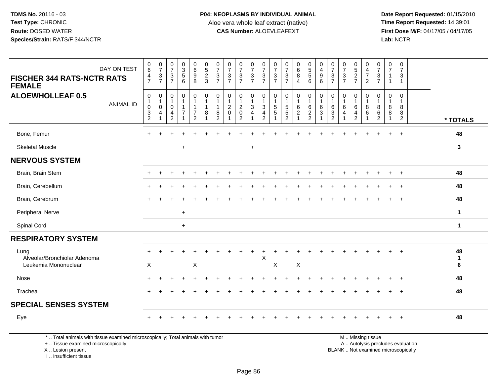**Date Report Requested:** 01/15/2010 **First Dose M/F:** 04/17/05 / 04/17/05 Lab: NCTR **Lab:** NCTR

| DAY ON TEST<br><b>FISCHER 344 RATS-NCTR RATS</b><br><b>FEMALE</b>              | $\pmb{0}$<br>$\,6$<br>$\frac{4}{7}$                   | $\frac{0}{7}$<br>$\mathbf{3}$<br>$\overline{7}$ | $\frac{0}{7}$<br>3<br>$\overline{7}$          | $\begin{array}{c} 0 \\ 3 \\ 5 \end{array}$<br>6 | $\begin{matrix} 0 \\ 6 \\ 9 \end{matrix}$<br>8    | $0$<br>$5$<br>$2$<br>$3$                        | 0<br>$\overline{7}$<br>3<br>$\overline{7}$ | $\frac{0}{7}$<br>3<br>$\overline{7}$                 | $\frac{0}{7}$<br>$\ensuremath{\mathsf{3}}$<br>$\overline{7}$ | 0<br>$\overline{7}$<br>$\ensuremath{\mathsf{3}}$<br>$\overline{7}$ | 0<br>$\overline{7}$<br>$\sqrt{3}$<br>$\overline{7}$      | 0<br>$\overline{7}$<br>3<br>$\overline{7}$ | $\frac{0}{7}$<br>$\ensuremath{\mathsf{3}}$<br>$\overline{7}$ | $\begin{matrix}0\6\8\end{matrix}$<br>$\overline{4}$ | $\begin{array}{c} 0 \\ 5 \\ 5 \end{array}$<br>6 | 0<br>$\overline{4}$<br>$\boldsymbol{9}$<br>6               | 0<br>$\overline{7}$<br>3<br>$\overline{7}$   | $\frac{0}{7}$<br>3<br>$\overline{7}$ | 0<br>5<br>2<br>7                   | 0<br>$\frac{4}{7}$<br>$\overline{2}$ | 0<br>$\overline{7}$<br>3<br>$\overline{7}$       | 0<br>$\overline{7}$<br>$\mathbf{1}$<br>$\mathbf{1}$ | 0<br>$\overline{7}$<br>3<br>$\mathbf{1}$      |                                 |
|--------------------------------------------------------------------------------|-------------------------------------------------------|-------------------------------------------------|-----------------------------------------------|-------------------------------------------------|---------------------------------------------------|-------------------------------------------------|--------------------------------------------|------------------------------------------------------|--------------------------------------------------------------|--------------------------------------------------------------------|----------------------------------------------------------|--------------------------------------------|--------------------------------------------------------------|-----------------------------------------------------|-------------------------------------------------|------------------------------------------------------------|----------------------------------------------|--------------------------------------|------------------------------------|--------------------------------------|--------------------------------------------------|-----------------------------------------------------|-----------------------------------------------|---------------------------------|
| <b>ALOEWHOLLEAF 0.5</b><br><b>ANIMAL ID</b>                                    | 0<br>1<br>$\mathbf 0$<br>$\sqrt{3}$<br>$\overline{2}$ | 0<br>$\mathbf{1}$<br>$\mathbf 0$<br>4           | 0<br>-1<br>$\mathbf 0$<br>4<br>$\overline{c}$ | $\mathbf 0$<br>$\overline{7}$                   | 0<br>-1<br>-1<br>$\overline{7}$<br>$\overline{2}$ | 0<br>$\overline{1}$<br>$\overline{1}$<br>8<br>1 | $\Omega$<br>8<br>2                         | 0<br>$\overline{1}$<br>$\overline{c}$<br>$\mathbf 0$ | $\mathbf 0$<br>$\overline{2}$<br>$\pmb{0}$<br>$\overline{2}$ | $\mathbf 0$<br>$\mathbf{1}$<br>3<br>$\overline{4}$                 | 0<br>$\mathbf{1}$<br>$\mathbf{3}$<br>$\overline{4}$<br>2 | 0<br>5<br>5                                | 0<br>$\mathbf 1$<br>5<br>$\,$ 5 $\,$<br>$\overline{2}$       | 0<br>1<br>6<br>$\overline{c}$<br>$\overline{ }$     | 0<br>6<br>$\sqrt{2}$<br>$\overline{2}$          | 0<br>$\overline{1}$<br>6<br>$\mathbf{3}$<br>$\overline{1}$ | 0<br>-1<br>6<br>$\sqrt{3}$<br>$\overline{2}$ | 0<br>$\mathbf{1}$<br>6<br>4<br>1     | 0<br>1<br>6<br>4<br>$\overline{2}$ | $\Omega$<br>8<br>6                   | $\Omega$<br>-1<br>8<br>$\,6\,$<br>$\overline{2}$ | 0<br>-1<br>8<br>8<br>1                              | $\mathbf 0$<br>-1<br>8<br>8<br>$\overline{2}$ | * TOTALS                        |
| Bone, Femur                                                                    |                                                       |                                                 |                                               |                                                 |                                                   |                                                 |                                            |                                                      |                                                              |                                                                    |                                                          |                                            |                                                              |                                                     |                                                 |                                                            | ÷                                            |                                      | $\ddot{}$                          | ÷                                    |                                                  | $+$                                                 | $\ddot{}$                                     | 48                              |
| <b>Skeletal Muscle</b>                                                         |                                                       |                                                 |                                               | $\ddot{}$                                       |                                                   |                                                 |                                            |                                                      |                                                              | $+$                                                                |                                                          |                                            |                                                              |                                                     |                                                 |                                                            |                                              |                                      |                                    |                                      |                                                  |                                                     |                                               | $\mathbf{3}$                    |
| <b>NERVOUS SYSTEM</b>                                                          |                                                       |                                                 |                                               |                                                 |                                                   |                                                 |                                            |                                                      |                                                              |                                                                    |                                                          |                                            |                                                              |                                                     |                                                 |                                                            |                                              |                                      |                                    |                                      |                                                  |                                                     |                                               |                                 |
| Brain, Brain Stem                                                              |                                                       |                                                 |                                               |                                                 |                                                   |                                                 |                                            |                                                      |                                                              |                                                                    |                                                          |                                            |                                                              |                                                     |                                                 |                                                            |                                              |                                      |                                    |                                      |                                                  |                                                     |                                               | 48                              |
| Brain, Cerebellum                                                              |                                                       |                                                 |                                               |                                                 |                                                   |                                                 |                                            |                                                      |                                                              |                                                                    |                                                          |                                            |                                                              |                                                     |                                                 |                                                            |                                              |                                      |                                    |                                      |                                                  |                                                     | $\ddot{}$                                     | 48                              |
| Brain, Cerebrum                                                                |                                                       |                                                 |                                               |                                                 |                                                   |                                                 |                                            |                                                      |                                                              |                                                                    |                                                          |                                            |                                                              |                                                     |                                                 |                                                            |                                              |                                      |                                    |                                      |                                                  |                                                     |                                               | 48                              |
| Peripheral Nerve                                                               |                                                       |                                                 |                                               | $\ddot{}$                                       |                                                   |                                                 |                                            |                                                      |                                                              |                                                                    |                                                          |                                            |                                                              |                                                     |                                                 |                                                            |                                              |                                      |                                    |                                      |                                                  |                                                     |                                               | $\mathbf{1}$                    |
| Spinal Cord                                                                    |                                                       |                                                 |                                               | $+$                                             |                                                   |                                                 |                                            |                                                      |                                                              |                                                                    |                                                          |                                            |                                                              |                                                     |                                                 |                                                            |                                              |                                      |                                    |                                      |                                                  |                                                     |                                               | $\mathbf{1}$                    |
| <b>RESPIRATORY SYSTEM</b>                                                      |                                                       |                                                 |                                               |                                                 |                                                   |                                                 |                                            |                                                      |                                                              |                                                                    |                                                          |                                            |                                                              |                                                     |                                                 |                                                            |                                              |                                      |                                    |                                      |                                                  |                                                     |                                               |                                 |
| Lung<br>Alveolar/Bronchiolar Adenoma<br>Leukemia Mononuclear                   | X                                                     |                                                 |                                               |                                                 | X                                                 |                                                 |                                            |                                                      |                                                              |                                                                    | X                                                        | X                                          |                                                              | X                                                   |                                                 |                                                            |                                              |                                      |                                    |                                      |                                                  |                                                     |                                               | 48<br>$\blacktriangleleft$<br>6 |
| Nose                                                                           |                                                       |                                                 |                                               |                                                 |                                                   |                                                 |                                            |                                                      |                                                              |                                                                    |                                                          |                                            |                                                              |                                                     |                                                 |                                                            |                                              |                                      |                                    |                                      |                                                  |                                                     |                                               | 48                              |
| Trachea                                                                        |                                                       |                                                 |                                               |                                                 |                                                   |                                                 |                                            |                                                      |                                                              |                                                                    |                                                          |                                            |                                                              |                                                     |                                                 |                                                            |                                              |                                      |                                    |                                      |                                                  | +                                                   | $\ddot{}$                                     | 48                              |
| <b>SPECIAL SENSES SYSTEM</b>                                                   |                                                       |                                                 |                                               |                                                 |                                                   |                                                 |                                            |                                                      |                                                              |                                                                    |                                                          |                                            |                                                              |                                                     |                                                 |                                                            |                                              |                                      |                                    |                                      |                                                  |                                                     |                                               |                                 |
| Eye                                                                            |                                                       |                                                 |                                               |                                                 |                                                   |                                                 |                                            |                                                      |                                                              |                                                                    |                                                          |                                            |                                                              |                                                     |                                                 |                                                            |                                              |                                      |                                    |                                      |                                                  |                                                     | $\div$                                        | 48                              |
| * Total animals with tissue examined microsconically: Total animals with tumor |                                                       |                                                 |                                               |                                                 |                                                   |                                                 |                                            |                                                      |                                                              |                                                                    |                                                          |                                            |                                                              |                                                     |                                                 |                                                            |                                              |                                      |                                    | M Miccina ticcup                     |                                                  |                                                     |                                               |                                 |

\* .. Total animals with tissue examined microscopically; Total animals with tumor

+ .. Tissue examined microscopically

 Lesion present BLANK .. Not examined microscopicallyX .. Lesion present

I .. Insufficient tissue

M .. Missing tissue

y the contract of the contract of the contract of the contract of the contract of the contract of the contract of  $A$ . Autolysis precludes evaluation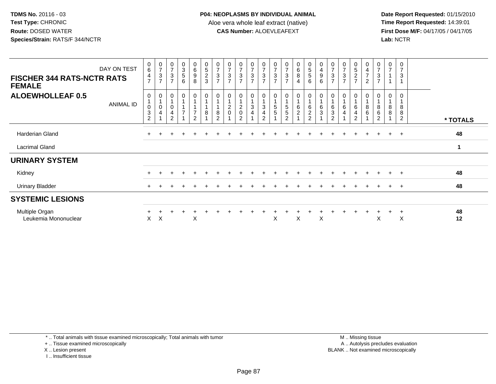**Date Report Requested:** 01/15/2010 **First Dose M/F:** 04/17/05 / 04/17/05 Lab: NCTR **Lab:** NCTR

| <b>FISCHER 344 RATS-NCTR RATS</b><br><b>FEMALE</b> | DAY ON TEST | $_{6}^{\rm 0}$<br>$\frac{4}{7}$ | $\frac{0}{7}$<br>$\ensuremath{\mathsf{3}}$<br>$\overline{7}$ | $\begin{array}{c} 0 \\ 7 \end{array}$<br>3<br>$\overline{7}$ | $_{3}^{\rm 0}$<br>5<br>6 | $_6^0$<br>9<br>8                     | $\begin{array}{c} 0 \\ 5 \end{array}$<br>$\frac{2}{3}$ | $\frac{0}{7}$<br>$\ensuremath{\mathsf{3}}$<br>$\overline{ }$ | $\begin{array}{c} 0 \\ 7 \end{array}$<br>$\frac{3}{7}$ | $\frac{0}{7}$<br>$\ensuremath{\mathsf{3}}$<br>$\overline{7}$ | $\frac{0}{7}$<br>$\ensuremath{\mathsf{3}}$<br>$\overline{7}$ | $\frac{0}{7}$<br>$\sqrt{3}$<br>$\overline{7}$                                                  | $\frac{0}{7}$<br>$\ensuremath{\mathsf{3}}$<br>$\overline{7}$ | 0<br>$\overline{ }$<br>3<br>$\overline{7}$ | $\begin{matrix} 0 \\ 6 \\ 8 \end{matrix}$<br>4 | $\begin{array}{c} 0 \\ 5 \\ 5 \end{array}$<br>6 | $\pmb{0}$<br>$\overline{4}$<br>9<br>6                   | $\frac{0}{7}$<br>3<br>$\overline{7}$                  | $\frac{0}{7}$<br>$\ensuremath{\mathsf{3}}$<br>$\overline{7}$ | $\begin{array}{c} 0 \\ 5 \\ 2 \end{array}$<br>$\overline{7}$ | $\mathbf 0$<br>$\overline{\mathbf{4}}$<br>$\overline{7}$<br>$\overline{2}$ | $\frac{0}{7}$<br>$\sqrt{3}$<br>$\overline{7}$                              | 0<br>$\overline{7}$ | $\mathbf 0$<br>3                     |              |  |
|----------------------------------------------------|-------------|---------------------------------|--------------------------------------------------------------|--------------------------------------------------------------|--------------------------|--------------------------------------|--------------------------------------------------------|--------------------------------------------------------------|--------------------------------------------------------|--------------------------------------------------------------|--------------------------------------------------------------|------------------------------------------------------------------------------------------------|--------------------------------------------------------------|--------------------------------------------|------------------------------------------------|-------------------------------------------------|---------------------------------------------------------|-------------------------------------------------------|--------------------------------------------------------------|--------------------------------------------------------------|----------------------------------------------------------------------------|----------------------------------------------------------------------------|---------------------|--------------------------------------|--------------|--|
| <b>ALOEWHOLLEAF 0.5</b>                            | ANIMAL ID   | 0<br>0<br>3<br>$\sqrt{2}$       | $\pmb{0}$<br>$\mathbf 0$<br>$\overline{4}$                   | 0<br>0<br>4<br>$\overline{2}$                                | 0<br>$\overline{7}$      | 0<br>$\overline{7}$<br>$\mathcal{P}$ | $\mathbf 0$<br>8                                       | 0<br>8<br>$\overline{2}$                                     | $\pmb{0}$<br>$^2_{\rm 0}$                              | 0<br>$\mathbf{1}$<br>$^2_{\rm 0}$<br>$\overline{2}$          | 0<br>3<br>4                                                  | $\begin{smallmatrix}0\\1\end{smallmatrix}$<br>$\mathbf{3}$<br>$\overline{4}$<br>$\overline{2}$ | 0<br>$\mathbf{1}$<br>$\sqrt{5}$<br>$\sqrt{5}$                | 5<br>$\sqrt{5}$<br>$\overline{2}$          | $\mathbf 0$<br>$\frac{6}{2}$                   | 0<br>6<br>$\frac{2}{2}$                         | 0<br>$\mathbf{1}$<br>$\,6$<br>$\ensuremath{\mathsf{3}}$ | 0<br>6<br>$\ensuremath{\mathsf{3}}$<br>$\overline{2}$ | 0<br>6<br>$\overline{4}$                                     | 0<br>$\,6\,$<br>$\overline{4}$<br>$\overline{2}$             | $\pmb{0}$<br>8<br>$\,6$                                                    | $\begin{smallmatrix}0\\1\end{smallmatrix}$<br>$_{6}^{8}$<br>$\overline{2}$ | 0<br>$\bf 8$<br>8   | $\Omega$<br>8<br>8<br>$\overline{2}$ | * TOTALS     |  |
| Harderian Gland                                    |             |                                 |                                                              |                                                              | $+$                      |                                      | $\div$                                                 |                                                              |                                                        |                                                              |                                                              |                                                                                                |                                                              |                                            |                                                |                                                 |                                                         |                                                       |                                                              |                                                              | $\pm$                                                                      |                                                                            | $+$                 | $+$                                  | 48           |  |
| Lacrimal Gland                                     |             |                                 |                                                              |                                                              |                          |                                      |                                                        |                                                              |                                                        |                                                              |                                                              |                                                                                                |                                                              |                                            |                                                |                                                 |                                                         |                                                       |                                                              |                                                              |                                                                            |                                                                            |                     |                                      | $\mathbf{1}$ |  |
| <b>URINARY SYSTEM</b>                              |             |                                 |                                                              |                                                              |                          |                                      |                                                        |                                                              |                                                        |                                                              |                                                              |                                                                                                |                                                              |                                            |                                                |                                                 |                                                         |                                                       |                                                              |                                                              |                                                                            |                                                                            |                     |                                      |              |  |
| Kidney                                             |             |                                 |                                                              |                                                              |                          |                                      |                                                        |                                                              |                                                        |                                                              |                                                              |                                                                                                |                                                              |                                            |                                                |                                                 |                                                         |                                                       |                                                              |                                                              |                                                                            |                                                                            |                     | $\div$                               | 48           |  |
| <b>Urinary Bladder</b>                             |             | $+$                             |                                                              |                                                              |                          |                                      |                                                        |                                                              |                                                        |                                                              |                                                              |                                                                                                |                                                              |                                            |                                                |                                                 |                                                         |                                                       |                                                              |                                                              |                                                                            |                                                                            |                     | $\ddot{}$                            | 48           |  |
| <b>SYSTEMIC LESIONS</b>                            |             |                                 |                                                              |                                                              |                          |                                      |                                                        |                                                              |                                                        |                                                              |                                                              |                                                                                                |                                                              |                                            |                                                |                                                 |                                                         |                                                       |                                                              |                                                              |                                                                            |                                                                            |                     |                                      |              |  |
| Multiple Organ<br>Leukemia Mononuclear             |             | X.                              | $\times$                                                     |                                                              |                          | X                                    |                                                        |                                                              |                                                        |                                                              |                                                              |                                                                                                | X                                                            |                                            | X                                              |                                                 | X                                                       |                                                       |                                                              |                                                              |                                                                            | X                                                                          |                     | $\ddot{}$<br>X                       | 48<br>12     |  |

\* .. Total animals with tissue examined microscopically; Total animals with tumor

+ .. Tissue examined microscopically

X .. Lesion present

I .. Insufficient tissue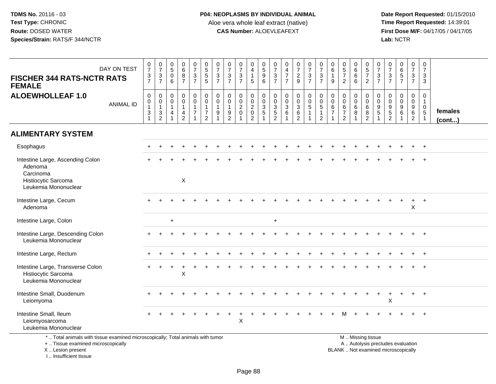**Date Report Requested:** 01/15/2010 **First Dose M/F:** 04/17/05 / 04/17/05<br>Lab: NCTR **Lab:** NCTR

| <b>FISCHER 344 RATS-NCTR RATS</b><br><b>FEMALE</b>                                                                                         | DAY ON TEST      | $\begin{array}{c} 0 \\ 7 \end{array}$<br>$\frac{3}{7}$                 | $\frac{0}{7}$<br>$\frac{3}{7}$                                                 | $\begin{smallmatrix}0\0\5\end{smallmatrix}$<br>$\pmb{0}$<br>6      | $\begin{array}{c} 0 \\ 6 \\ 8 \end{array}$<br>$\overline{7}$      | $\frac{0}{7}$<br>$\frac{3}{7}$                               | $\begin{array}{c} 0 \\ 5 \\ 5 \end{array}$<br>$\overline{5}$                                   | $\pmb{0}$<br>$\overline{7}$<br>$\mathbf{3}$<br>$\overline{7}$     | $\begin{array}{c} 0 \\ 7 \end{array}$<br>$\mathbf{3}$<br>$\overline{7}$          | $\frac{0}{7}$<br>$\frac{3}{7}$                    | $_4^{\rm 0}$<br>$\mathbf{1}$<br>5                                  | $\begin{array}{c} 0 \\ 5 \\ 9 \end{array}$<br>$\overline{6}$ | $\frac{0}{7}$<br>$\frac{3}{7}$                                 | $\begin{array}{c} 0 \\ 4 \\ 7 \end{array}$<br>$\overline{7}$            | $\frac{0}{7}$<br>$\frac{2}{9}$                                            | $\begin{smallmatrix} 0\\7 \end{smallmatrix}$<br>$\frac{3}{7}$                 | $\frac{0}{7}$<br>$\mathbf{3}$<br>$\overline{7}$                              | $\pmb{0}$<br>$\,6\,$<br>9                       | $\begin{array}{c} 0 \\ 5 \\ 7 \end{array}$<br>2                                | $\begin{array}{c} 0 \\ 6 \end{array}$<br>$\,6\,$<br>$\overline{6}$ | $\begin{array}{c} 0 \\ 5 \\ 7 \end{array}$<br>$\overline{2}$      | 0<br>$\overline{7}$<br>$\mathbf{3}$<br>$\overline{7}$   | $\begin{array}{c} 0 \\ 7 \end{array}$<br>$\frac{3}{7}$                   | 0657                                                                     | $\begin{array}{c} 0 \\ 7 \end{array}$<br>$\frac{3}{7}$        | $\pmb{0}$<br>$\overline{7}$<br>$\mathbf{3}$<br>3                           |                   |
|--------------------------------------------------------------------------------------------------------------------------------------------|------------------|------------------------------------------------------------------------|--------------------------------------------------------------------------------|--------------------------------------------------------------------|-------------------------------------------------------------------|--------------------------------------------------------------|------------------------------------------------------------------------------------------------|-------------------------------------------------------------------|----------------------------------------------------------------------------------|---------------------------------------------------|--------------------------------------------------------------------|--------------------------------------------------------------|----------------------------------------------------------------|-------------------------------------------------------------------------|---------------------------------------------------------------------------|-------------------------------------------------------------------------------|------------------------------------------------------------------------------|-------------------------------------------------|--------------------------------------------------------------------------------|--------------------------------------------------------------------|-------------------------------------------------------------------|---------------------------------------------------------|--------------------------------------------------------------------------|--------------------------------------------------------------------------|---------------------------------------------------------------|----------------------------------------------------------------------------|-------------------|
| <b>ALOEWHOLLEAF 1.0</b>                                                                                                                    | <b>ANIMAL ID</b> | $\pmb{0}$<br>$\mathbf 0$<br>$\mathbf{1}$<br>$\sqrt{3}$<br>$\mathbf{1}$ | $\mathbf 0$<br>$\mathbf 0$<br>1<br>$\ensuremath{\mathsf{3}}$<br>$\overline{2}$ | $\mathbf 0$<br>0<br>$\mathbf{1}$<br>$\overline{4}$<br>$\mathbf{1}$ | $\mathsf 0$<br>$\mathbf 0$<br>$\mathbf{1}$<br>4<br>$\overline{2}$ | $\mathbf 0$<br>$\mathbf 0$<br>$\mathbf{1}$<br>$\overline{7}$ | $\mathsf{O}\xspace$<br>$\mathsf{O}\xspace$<br>$\mathbf{1}$<br>$\overline{7}$<br>$\overline{2}$ | $\mathbf 0$<br>$\mathbf 0$<br>$\mathbf{1}$<br>9<br>$\overline{1}$ | $\mathbf 0$<br>$\mathbf 0$<br>$\mathbf{1}$<br>$\boldsymbol{9}$<br>$\overline{2}$ | 0<br>$\mathbf 0$<br>$\overline{2}$<br>$\mathbf 0$ | $\boldsymbol{0}$<br>$\frac{0}{2}$<br>$\mathbf 0$<br>$\overline{2}$ | 0<br>$\frac{0}{3}$                                           | $\mathbf 0$<br>$\begin{array}{c} 0 \\ 3 \\ 5 \\ 2 \end{array}$ | $\pmb{0}$<br>$\mathbf 0$<br>$\overline{3}$<br>$\,6\,$<br>$\overline{ }$ | $\mathbf 0$<br>$\mathbf 0$<br>$\overline{3}$<br>$\,6\,$<br>$\overline{2}$ | $\begin{smallmatrix}0\0\0\5\end{smallmatrix}$<br>$\mathbf{1}$<br>$\mathbf{1}$ | $\pmb{0}$<br>$\mathbf 0$<br>$\overline{5}$<br>$\mathbf{1}$<br>$\overline{2}$ | $\mathsf{O}\xspace$<br>0<br>6<br>$\overline{7}$ | $\mathbf 0$<br>$\pmb{0}$<br>$6\phantom{a}$<br>$\overline{7}$<br>$\overline{2}$ | 0<br>$\mathbf 0$<br>$\,6\,$<br>8                                   | $\boldsymbol{0}$<br>$\mathbf 0$<br>6<br>$\bf 8$<br>$\overline{2}$ | $\mathbf 0$<br>$\mathbf 0$<br>$\boldsymbol{9}$<br>$5\,$ | $\mathbf 0$<br>0<br>$\boldsymbol{9}$<br>$\overline{5}$<br>$\overline{2}$ | $\pmb{0}$<br>$\pmb{0}$<br>$\overline{9}$<br>$6\phantom{a}$               | $\mathbf 0$<br>$\mathbf 0$<br>$\frac{9}{6}$<br>$\overline{2}$ | $\mathbf 0$<br>$\mathbf{1}$<br>$\mathbf 0$<br>$\sqrt{5}$<br>$\overline{1}$ | females<br>(cont) |
| <b>ALIMENTARY SYSTEM</b>                                                                                                                   |                  |                                                                        |                                                                                |                                                                    |                                                                   |                                                              |                                                                                                |                                                                   |                                                                                  |                                                   |                                                                    |                                                              |                                                                |                                                                         |                                                                           |                                                                               |                                                                              |                                                 |                                                                                |                                                                    |                                                                   |                                                         |                                                                          |                                                                          |                                                               |                                                                            |                   |
| Esophagus                                                                                                                                  |                  |                                                                        |                                                                                |                                                                    |                                                                   |                                                              |                                                                                                |                                                                   |                                                                                  |                                                   |                                                                    |                                                              |                                                                |                                                                         |                                                                           |                                                                               |                                                                              |                                                 |                                                                                |                                                                    |                                                                   |                                                         |                                                                          |                                                                          |                                                               | $+$                                                                        |                   |
| Intestine Large, Ascending Colon<br>Adenoma<br>Carcinoma<br>Histiocytic Sarcoma<br>Leukemia Mononuclear                                    |                  |                                                                        |                                                                                |                                                                    | X                                                                 |                                                              |                                                                                                |                                                                   |                                                                                  |                                                   |                                                                    |                                                              |                                                                |                                                                         |                                                                           |                                                                               |                                                                              |                                                 |                                                                                |                                                                    |                                                                   |                                                         |                                                                          |                                                                          |                                                               |                                                                            |                   |
| Intestine Large, Cecum<br>Adenoma                                                                                                          |                  |                                                                        |                                                                                |                                                                    |                                                                   |                                                              |                                                                                                |                                                                   |                                                                                  |                                                   |                                                                    |                                                              |                                                                |                                                                         |                                                                           |                                                                               |                                                                              |                                                 |                                                                                |                                                                    |                                                                   |                                                         |                                                                          |                                                                          | $\ddot{}$<br>X                                                | $+$                                                                        |                   |
| Intestine Large, Colon                                                                                                                     |                  |                                                                        |                                                                                | $\ddot{}$                                                          |                                                                   |                                                              |                                                                                                |                                                                   |                                                                                  |                                                   |                                                                    |                                                              | $\ddot{}$                                                      |                                                                         |                                                                           |                                                                               |                                                                              |                                                 |                                                                                |                                                                    |                                                                   |                                                         |                                                                          |                                                                          |                                                               |                                                                            |                   |
| Intestine Large, Descending Colon<br>Leukemia Mononuclear                                                                                  |                  |                                                                        |                                                                                |                                                                    |                                                                   |                                                              |                                                                                                |                                                                   |                                                                                  |                                                   |                                                                    |                                                              |                                                                |                                                                         |                                                                           |                                                                               |                                                                              |                                                 |                                                                                |                                                                    |                                                                   |                                                         |                                                                          |                                                                          |                                                               | $+$                                                                        |                   |
| Intestine Large, Rectum                                                                                                                    |                  |                                                                        |                                                                                |                                                                    |                                                                   |                                                              |                                                                                                |                                                                   |                                                                                  |                                                   |                                                                    |                                                              |                                                                |                                                                         |                                                                           |                                                                               |                                                                              |                                                 |                                                                                |                                                                    |                                                                   |                                                         |                                                                          |                                                                          | $\ddot{}$                                                     | $+$                                                                        |                   |
| Intestine Large, Transverse Colon<br>Histiocytic Sarcoma<br>Leukemia Mononuclear                                                           |                  |                                                                        |                                                                                |                                                                    | X                                                                 |                                                              |                                                                                                |                                                                   |                                                                                  |                                                   |                                                                    |                                                              |                                                                |                                                                         |                                                                           |                                                                               |                                                                              |                                                 |                                                                                |                                                                    |                                                                   |                                                         |                                                                          |                                                                          |                                                               |                                                                            |                   |
| Intestine Small, Duodenum<br>Leiomyoma                                                                                                     |                  |                                                                        |                                                                                |                                                                    |                                                                   |                                                              |                                                                                                |                                                                   |                                                                                  |                                                   |                                                                    |                                                              |                                                                |                                                                         |                                                                           |                                                                               |                                                                              |                                                 |                                                                                |                                                                    |                                                                   |                                                         | X                                                                        |                                                                          | $\ddot{}$                                                     | $+$                                                                        |                   |
| Intestine Small, Ileum<br>Leiomyosarcoma<br>Leukemia Mononuclear                                                                           |                  |                                                                        |                                                                                |                                                                    |                                                                   |                                                              |                                                                                                |                                                                   |                                                                                  | X                                                 |                                                                    |                                                              |                                                                |                                                                         |                                                                           |                                                                               |                                                                              |                                                 |                                                                                |                                                                    |                                                                   |                                                         |                                                                          |                                                                          |                                                               | $^{+}$                                                                     |                   |
| *  Total animals with tissue examined microscopically; Total animals with tumor<br>+  Tissue examined microscopically<br>X  Lesion present |                  |                                                                        |                                                                                |                                                                    |                                                                   |                                                              |                                                                                                |                                                                   |                                                                                  |                                                   |                                                                    |                                                              |                                                                |                                                                         |                                                                           |                                                                               |                                                                              |                                                 |                                                                                |                                                                    | M  Missing tissue                                                 |                                                         |                                                                          | A  Autolysis precludes evaluation<br>BLANK  Not examined microscopically |                                                               |                                                                            |                   |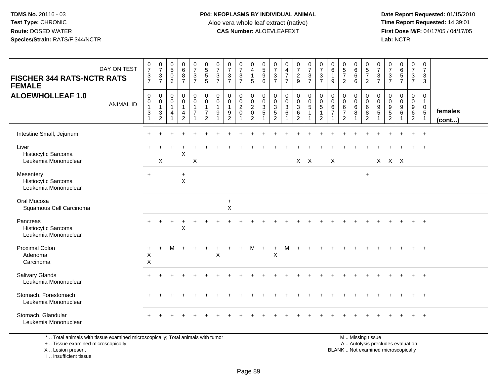## **P04: NEOPLASMS BY INDIVIDUAL ANIMAL**Aloe vera whole leaf extract (native)<br>**CAS Number:** ALOEVLEAFEXT

 **Date Report Requested:** 01/15/2010 **First Dose M/F:** 04/17/05 / 04/17/05 Lab: NCTR **Lab:** NCTR

| DAY ON TEST<br><b>FISCHER 344 RATS-NCTR RATS</b><br><b>FEMALE</b> | $\begin{array}{c} 0 \\ 7 \end{array}$<br>$\frac{3}{7}$                        | $\frac{0}{7}$<br>$\mathbf{3}$<br>$\overline{7}$ | $\begin{array}{c} 0 \\ 5 \end{array}$<br>$\,0\,$<br>6   | $\begin{array}{c} 0 \\ 6 \end{array}$<br>8<br>$\overline{7}$                      | $\frac{0}{7}$<br>$\frac{3}{7}$          | 0<br>5<br>5<br>5                                                                         | $\frac{0}{7}$<br>$\mathbf 3$<br>$\overline{7}$ | $\frac{0}{7}$<br>$\mathbf{3}$<br>$\overline{7}$                                  | $\frac{0}{7}$<br>$\mathbf{3}$<br>$\overline{7}$ | $\begin{smallmatrix}0\\4\end{smallmatrix}$<br>$\mathbf{1}$<br>$5\phantom{.0}$ | $\begin{array}{c} 0 \\ 5 \\ 9 \end{array}$<br>$\,6$          | $\frac{0}{7}$<br>$\ensuremath{\mathsf{3}}$<br>$\overline{7}$ | $\begin{array}{c} 0 \\ 4 \\ 7 \end{array}$<br>$\overline{7}$          | $\begin{smallmatrix}0\\7\end{smallmatrix}$<br>$\overline{2}$<br>9  | $\frac{0}{7}$<br>$\mathbf{3}$<br>$\overline{7}$               | $\frac{0}{7}$<br>$\mathbf{3}$<br>$\overline{7}$                          | 0<br>$\,6\,$<br>$\mathbf{1}$<br>9                         | $\begin{array}{c} 0 \\ 5 \\ 7 \end{array}$<br>$\overline{2}$ | $\begin{matrix} 0 \\ 6 \\ 6 \end{matrix}$<br>6             | $\begin{array}{c} 0 \\ 5 \\ 7 \end{array}$<br>$\overline{2}$ | $\pmb{0}$<br>$\overline{7}$<br>$\mathbf{3}$<br>$\overline{7}$ | $\frac{0}{7}$<br>$\ensuremath{\mathsf{3}}$<br>$\overline{7}$    | 0657                       | $\frac{0}{7}$<br>$\frac{3}{7}$                                 | $\mathbf 0$<br>$\boldsymbol{7}$<br>$\mathbf{3}$<br>$\mathbf{3}$            |                   |
|-------------------------------------------------------------------|-------------------------------------------------------------------------------|-------------------------------------------------|---------------------------------------------------------|-----------------------------------------------------------------------------------|-----------------------------------------|------------------------------------------------------------------------------------------|------------------------------------------------|----------------------------------------------------------------------------------|-------------------------------------------------|-------------------------------------------------------------------------------|--------------------------------------------------------------|--------------------------------------------------------------|-----------------------------------------------------------------------|--------------------------------------------------------------------|---------------------------------------------------------------|--------------------------------------------------------------------------|-----------------------------------------------------------|--------------------------------------------------------------|------------------------------------------------------------|--------------------------------------------------------------|---------------------------------------------------------------|-----------------------------------------------------------------|----------------------------|----------------------------------------------------------------|----------------------------------------------------------------------------|-------------------|
| <b>ALOEWHOLLEAF 1.0</b><br><b>ANIMAL ID</b>                       | $\boldsymbol{0}$<br>$\pmb{0}$<br>$\mathbf{1}$<br>$\sqrt{3}$<br>$\overline{1}$ | 0<br>0<br>$\mathbf{1}$<br>3<br>$\overline{c}$   | 0<br>$\mathbf 0$<br>$\mathbf{1}$<br>$\overline{4}$<br>1 | $\mathbf 0$<br>$\overline{0}$<br>$\mathbf{1}$<br>$\overline{4}$<br>$\overline{2}$ | 0<br>$\mathbf 0$<br>1<br>$\overline{7}$ | $\mathbf 0$<br>$\mathsf{O}\xspace$<br>$\mathbf{1}$<br>$\boldsymbol{7}$<br>$\overline{2}$ | 0<br>$\mathbf 0$<br>$\overline{1}$<br>9        | $\mathbf 0$<br>$\mathbf 0$<br>$\mathbf{1}$<br>$\boldsymbol{9}$<br>$\overline{2}$ | 0<br>$\mathbf 0$<br>$\overline{c}$<br>$\pmb{0}$ | $\pmb{0}$<br>$\frac{0}{2}$<br>$\mathbf 0$<br>$\overline{2}$                   | $\pmb{0}$<br>$_{3}^{\rm 0}$<br>$\,$ 5 $\,$<br>$\overline{1}$ | 0<br>$\mathbf 0$<br>3<br>$\sqrt{5}$<br>2                     | $\mathbf 0$<br>$\overline{0}$<br>$\ensuremath{\mathsf{3}}$<br>$\,6\,$ | $\pmb{0}$<br>$\mathsf{O}\xspace$<br>3<br>$\,6\,$<br>$\overline{2}$ | $\mathbf 0$<br>$\mathbf 0$<br>$\sqrt{5}$<br>$\mathbf{1}$<br>1 | $\mathbf 0$<br>$\pmb{0}$<br>$\sqrt{5}$<br>$\mathbf{1}$<br>$\overline{2}$ | 0<br>$\mathbf 0$<br>6<br>$\overline{7}$<br>$\overline{1}$ | 0<br>0<br>6<br>$\overline{7}$<br>$\overline{2}$              | 0<br>$\mathbf 0$<br>6<br>$\bf8$<br>$\overline{\mathbf{1}}$ | $\mathbf 0$<br>$\mathbf 0$<br>6<br>$\,8\,$<br>$\overline{2}$ | $\mathbf 0$<br>0<br>9<br>$\sqrt{5}$<br>1                      | $\mathbf 0$<br>$\mathbf 0$<br>9<br>$\sqrt{5}$<br>$\overline{c}$ | 0<br>$\mathbf 0$<br>9<br>6 | $\mathbf 0$<br>$\mathsf{O}\xspace$<br>$^9$ 6<br>$\overline{2}$ | 0<br>$\mathbf{1}$<br>$\begin{array}{c} 0 \\ 5 \end{array}$<br>$\mathbf{1}$ | females<br>(cont) |
| Intestine Small, Jejunum                                          |                                                                               |                                                 |                                                         |                                                                                   |                                         |                                                                                          |                                                |                                                                                  |                                                 |                                                                               |                                                              |                                                              |                                                                       |                                                                    |                                                               |                                                                          |                                                           |                                                              |                                                            |                                                              |                                                               |                                                                 |                            | $+$                                                            | $+$                                                                        |                   |
| Liver<br>Histiocytic Sarcoma<br>Leukemia Mononuclear              |                                                                               | X                                               |                                                         | X                                                                                 | $\pmb{\times}$                          |                                                                                          |                                                |                                                                                  |                                                 |                                                                               |                                                              |                                                              |                                                                       |                                                                    | $X$ $X$                                                       |                                                                          | $\boldsymbol{\mathsf{X}}$                                 |                                                              |                                                            |                                                              |                                                               | $X$ $X$ $X$                                                     |                            |                                                                |                                                                            |                   |
| Mesentery<br>Histiocytic Sarcoma<br>Leukemia Mononuclear          | $+$                                                                           |                                                 |                                                         | $+$<br>$\mathsf X$                                                                |                                         |                                                                                          |                                                |                                                                                  |                                                 |                                                                               |                                                              |                                                              |                                                                       |                                                                    |                                                               |                                                                          |                                                           |                                                              |                                                            | $+$                                                          |                                                               |                                                                 |                            |                                                                |                                                                            |                   |
| Oral Mucosa<br>Squamous Cell Carcinoma                            |                                                                               |                                                 |                                                         |                                                                                   |                                         |                                                                                          |                                                | $\ddot{}$<br>$\pmb{\times}$                                                      |                                                 |                                                                               |                                                              |                                                              |                                                                       |                                                                    |                                                               |                                                                          |                                                           |                                                              |                                                            |                                                              |                                                               |                                                                 |                            |                                                                |                                                                            |                   |
| Pancreas<br>Histiocytic Sarcoma<br>Leukemia Mononuclear           |                                                                               |                                                 |                                                         | $\pmb{\times}$                                                                    |                                         |                                                                                          |                                                |                                                                                  |                                                 |                                                                               |                                                              |                                                              |                                                                       |                                                                    |                                                               |                                                                          |                                                           |                                                              |                                                            |                                                              |                                                               |                                                                 |                            |                                                                | $\overline{1}$                                                             |                   |
| <b>Proximal Colon</b><br>Adenoma<br>Carcinoma                     | $\ddot{}$<br>X<br>$\sf X$                                                     | $\ddot{}$                                       | M                                                       | $\ddot{}$                                                                         | $\ddot{}$                               |                                                                                          | $\ddot{}$<br>X                                 |                                                                                  | $\ddot{}$                                       | M                                                                             | $+$                                                          | $\ddot{}$<br>X                                               | м                                                                     | $\ddot{}$                                                          |                                                               |                                                                          |                                                           |                                                              |                                                            |                                                              |                                                               |                                                                 |                            |                                                                | $+$                                                                        |                   |
| <b>Salivary Glands</b><br>Leukemia Mononuclear                    |                                                                               |                                                 |                                                         |                                                                                   |                                         |                                                                                          |                                                |                                                                                  |                                                 |                                                                               |                                                              |                                                              |                                                                       |                                                                    |                                                               |                                                                          |                                                           |                                                              |                                                            |                                                              |                                                               |                                                                 |                            |                                                                | $+$                                                                        |                   |
| Stomach, Forestomach<br>Leukemia Mononuclear                      |                                                                               |                                                 |                                                         |                                                                                   |                                         |                                                                                          |                                                |                                                                                  |                                                 |                                                                               |                                                              |                                                              |                                                                       |                                                                    |                                                               |                                                                          |                                                           |                                                              |                                                            |                                                              |                                                               |                                                                 |                            |                                                                |                                                                            |                   |
| Stomach, Glandular<br>Leukemia Mononuclear                        |                                                                               |                                                 |                                                         |                                                                                   |                                         |                                                                                          |                                                |                                                                                  |                                                 |                                                                               |                                                              |                                                              |                                                                       |                                                                    |                                                               |                                                                          |                                                           |                                                              |                                                            |                                                              |                                                               |                                                                 |                            |                                                                | $\overline{1}$                                                             |                   |

\* .. Total animals with tissue examined microscopically; Total animals with tumor

+ .. Tissue examined microscopically

X .. Lesion present

I .. Insufficient tissue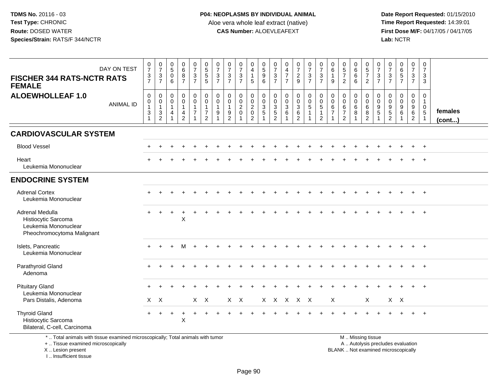**Date Report Requested:** 01/15/2010 **First Dose M/F:** 04/17/05 / 04/17/05 Lab: NCTR **Lab:** NCTR

| DAY ON TEST<br><b>FISCHER 344 RATS-NCTR RATS</b><br><b>FEMALE</b>                            | $\frac{0}{7}$<br>$\frac{3}{7}$                                      | $\frac{0}{7}$<br>$\frac{3}{7}$                            | $\begin{array}{c} 0 \\ 5 \end{array}$<br>$\mathbf 0$<br>6                      | $\begin{array}{c} 0 \\ 6 \end{array}$<br>$\bf{8}$<br>$\overline{7}$            | $\begin{smallmatrix}0\\7\end{smallmatrix}$<br>$\frac{3}{7}$                                      | 0<br>5<br>5<br>5                                                                       | $\frac{0}{7}$<br>$\mathbf{3}$<br>$\overline{7}$   | $\frac{0}{7}$<br>$\mathbf 3$<br>$\overline{7}$              | $\frac{0}{7}$<br>$\mathbf{3}$<br>$\overline{7}$        | 0<br>$\overline{4}$<br>$\mathbf{1}$<br>5                                 | $\begin{array}{c} 0 \\ 5 \\ 9 \end{array}$<br>$\overline{6}$ | $\frac{0}{7}$<br>$\mathbf{3}$<br>$\overline{7}$                          | $\begin{array}{c} 0 \\ 4 \\ 7 \end{array}$<br>$\overline{7}$ | $\begin{smallmatrix}0\\7\end{smallmatrix}$<br>$\frac{2}{9}$ | $\frac{0}{7}$<br>$\frac{3}{7}$                                                  | $\frac{0}{7}$<br>$\mathfrak{S}$<br>$\overline{7}$                                  | $_{6}^{\rm 0}$<br>$\mathbf{1}$<br>9                     | $\begin{array}{c} 0 \\ 5 \\ 7 \end{array}$<br>$\overline{2}$            | 0<br>$\overline{6}$<br>$6$<br>6         | $\begin{array}{c} 0 \\ 5 \\ 7 \end{array}$<br>$\overline{2}$ | $\frac{0}{7}$<br>$\mathbf{3}$<br>$\overline{7}$ | $\frac{0}{7}$<br>$\frac{3}{7}$                                  | 0657                                                      | $\begin{smallmatrix}0\\7\end{smallmatrix}$<br>$\frac{3}{7}$ | $\frac{0}{7}$<br>$\mathbf{3}$<br>$\overline{3}$                            |                   |
|----------------------------------------------------------------------------------------------|---------------------------------------------------------------------|-----------------------------------------------------------|--------------------------------------------------------------------------------|--------------------------------------------------------------------------------|--------------------------------------------------------------------------------------------------|----------------------------------------------------------------------------------------|---------------------------------------------------|-------------------------------------------------------------|--------------------------------------------------------|--------------------------------------------------------------------------|--------------------------------------------------------------|--------------------------------------------------------------------------|--------------------------------------------------------------|-------------------------------------------------------------|---------------------------------------------------------------------------------|------------------------------------------------------------------------------------|---------------------------------------------------------|-------------------------------------------------------------------------|-----------------------------------------|--------------------------------------------------------------|-------------------------------------------------|-----------------------------------------------------------------|-----------------------------------------------------------|-------------------------------------------------------------|----------------------------------------------------------------------------|-------------------|
| <b>ALOEWHOLLEAF 1.0</b><br><b>ANIMAL ID</b>                                                  | $\mathbf 0$<br>$\,0\,$<br>$\mathbf{1}$<br>$\ensuremath{\mathsf{3}}$ | $\mathbf 0$<br>$\pmb{0}$<br>$\mathbf{1}$<br>$\frac{3}{2}$ | $\mathbf 0$<br>$\mathsf 0$<br>$\mathbf{1}$<br>$\overline{4}$<br>$\overline{1}$ | $\mathbf 0$<br>$\mathbf 0$<br>$\mathbf{1}$<br>$\overline{4}$<br>$\overline{2}$ | $\begin{smallmatrix} 0\\0 \end{smallmatrix}$<br>$\mathbf{1}$<br>$\overline{7}$<br>$\overline{1}$ | $\mathbf 0$<br>$\mathsf{O}\xspace$<br>$\mathbf{1}$<br>$\overline{7}$<br>$\overline{2}$ | $\mathbf 0$<br>$\mathbf 0$<br>$\overline{1}$<br>9 | $\mathbf 0$<br>$\mathbf 0$<br>$\mathbf{1}$<br>$\frac{9}{2}$ | 0<br>$\mathbf 0$<br>$\overline{2}$<br>$\mathbf 0$<br>1 | $\begin{matrix} 0 \\ 0 \\ 2 \end{matrix}$<br>$\pmb{0}$<br>$\overline{2}$ | 0<br>$\mathbf 0$<br>3<br>5<br>1                              | $\mathbf 0$<br>$\mathbf 0$<br>$\ensuremath{\mathsf{3}}$<br>$\frac{5}{2}$ | $\begin{matrix}0\\0\\3\\6\end{matrix}$                       | $_0^0$<br>$\mathbf{3}$<br>$\,6\,$<br>$\overline{2}$         | $\begin{smallmatrix} 0\\0 \end{smallmatrix}$<br>$\sqrt{5}$<br>$\mathbf{1}$<br>1 | $\mathbf 0$<br>$\mathsf{O}\xspace$<br>$\sqrt{5}$<br>$\mathbf{1}$<br>$\overline{2}$ | $\mathbf 0$<br>$\mathbf 0$<br>$\,6\,$<br>$\overline{7}$ | $\mathbf 0$<br>$\pmb{0}$<br>$\,6\,$<br>$\overline{7}$<br>$\overline{2}$ | 0<br>$\mathbf{0}$<br>$\,6\,$<br>$\,8\,$ | $\mathbf 0$<br>$\mathbf 0$<br>6<br>$\, 8$<br>$\overline{2}$  | $\Omega$<br>$\mathbf 0$<br>9<br>$\,$ 5 $\,$     | $\mathbf 0$<br>$\mathbf 0$<br>$\boldsymbol{9}$<br>$\frac{5}{2}$ | $\mathbf 0$<br>$\mathbf 0$<br>$\boldsymbol{9}$<br>$\,6\,$ | $\mathbf 0$<br>$\mathbf 0$<br>$^9$ 6<br>$\overline{2}$      | $\mathbf 0$<br>$\mathbf{1}$<br>$\mathbf 0$<br>$\sqrt{5}$<br>$\overline{1}$ | females<br>(cont) |
| <b>CARDIOVASCULAR SYSTEM</b>                                                                 |                                                                     |                                                           |                                                                                |                                                                                |                                                                                                  |                                                                                        |                                                   |                                                             |                                                        |                                                                          |                                                              |                                                                          |                                                              |                                                             |                                                                                 |                                                                                    |                                                         |                                                                         |                                         |                                                              |                                                 |                                                                 |                                                           |                                                             |                                                                            |                   |
| <b>Blood Vessel</b>                                                                          |                                                                     |                                                           |                                                                                |                                                                                |                                                                                                  |                                                                                        |                                                   |                                                             |                                                        |                                                                          |                                                              |                                                                          |                                                              |                                                             |                                                                                 |                                                                                    |                                                         |                                                                         |                                         |                                                              |                                                 |                                                                 |                                                           |                                                             | $+$                                                                        |                   |
| Heart<br>Leukemia Mononuclear                                                                |                                                                     |                                                           |                                                                                |                                                                                |                                                                                                  |                                                                                        |                                                   |                                                             |                                                        |                                                                          |                                                              |                                                                          |                                                              |                                                             |                                                                                 |                                                                                    |                                                         |                                                                         |                                         |                                                              |                                                 |                                                                 |                                                           |                                                             | $+$                                                                        |                   |
| <b>ENDOCRINE SYSTEM</b>                                                                      |                                                                     |                                                           |                                                                                |                                                                                |                                                                                                  |                                                                                        |                                                   |                                                             |                                                        |                                                                          |                                                              |                                                                          |                                                              |                                                             |                                                                                 |                                                                                    |                                                         |                                                                         |                                         |                                                              |                                                 |                                                                 |                                                           |                                                             |                                                                            |                   |
| <b>Adrenal Cortex</b><br>Leukemia Mononuclear                                                | $\ddot{}$                                                           |                                                           |                                                                                |                                                                                |                                                                                                  |                                                                                        |                                                   |                                                             |                                                        |                                                                          |                                                              |                                                                          |                                                              |                                                             |                                                                                 |                                                                                    |                                                         |                                                                         |                                         |                                                              |                                                 |                                                                 |                                                           |                                                             | $+$                                                                        |                   |
| Adrenal Medulla<br>Histiocytic Sarcoma<br>Leukemia Mononuclear<br>Pheochromocytoma Malignant |                                                                     |                                                           |                                                                                | $\sf X$                                                                        |                                                                                                  |                                                                                        |                                                   |                                                             |                                                        |                                                                          |                                                              |                                                                          |                                                              |                                                             |                                                                                 |                                                                                    |                                                         |                                                                         |                                         |                                                              |                                                 |                                                                 |                                                           |                                                             | $\div$                                                                     |                   |
| Islets, Pancreatic<br>Leukemia Mononuclear                                                   |                                                                     |                                                           |                                                                                | м                                                                              |                                                                                                  |                                                                                        |                                                   |                                                             |                                                        |                                                                          |                                                              |                                                                          |                                                              |                                                             |                                                                                 |                                                                                    |                                                         |                                                                         |                                         |                                                              |                                                 |                                                                 |                                                           |                                                             | $+$                                                                        |                   |
| Parathyroid Gland<br>Adenoma                                                                 |                                                                     |                                                           |                                                                                |                                                                                |                                                                                                  |                                                                                        |                                                   |                                                             |                                                        |                                                                          |                                                              |                                                                          |                                                              |                                                             |                                                                                 |                                                                                    |                                                         |                                                                         |                                         |                                                              |                                                 |                                                                 |                                                           |                                                             |                                                                            |                   |
| <b>Pituitary Gland</b><br>Leukemia Mononuclear<br>Pars Distalis, Adenoma                     | $\mathsf{X}$                                                        | $\mathsf{X}$                                              |                                                                                |                                                                                | $X$ $X$                                                                                          |                                                                                        |                                                   | $X$ $X$                                                     |                                                        |                                                                          |                                                              |                                                                          | x x x x x                                                    |                                                             |                                                                                 |                                                                                    | X                                                       |                                                                         |                                         | $\mathsf{X}$                                                 |                                                 | $X$ $X$                                                         |                                                           |                                                             | $\overline{+}$                                                             |                   |
| <b>Thyroid Gland</b><br>Histiocytic Sarcoma<br>Bilateral, C-cell, Carcinoma                  | $+$                                                                 | $\ddot{}$                                                 | $\ddot{}$                                                                      | $\ddot{}$<br>$\times$                                                          |                                                                                                  |                                                                                        |                                                   |                                                             |                                                        |                                                                          |                                                              |                                                                          |                                                              |                                                             |                                                                                 |                                                                                    |                                                         |                                                                         |                                         |                                                              |                                                 |                                                                 |                                                           | $\ddot{}$                                                   | $+$                                                                        |                   |

\* .. Total animals with tissue examined microscopically; Total animals with tumor

+ .. Tissue examined microscopically

 Lesion present BLANK .. Not examined microscopicallyX .. Lesion present

I .. Insufficient tissue

 M .. Missing tissuey the contract of the contract of the contract of the contract of the contract of the contract of the contract of  $A$ . Autolysis precludes evaluation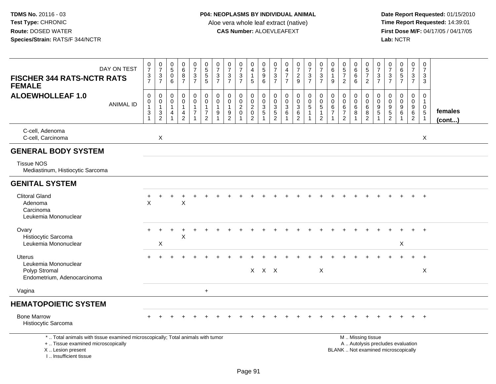| DAY ON TEST<br><b>FISCHER 344 RATS-NCTR RATS</b><br><b>FEMALE</b>                                                                                                   | $\boldsymbol{0}$<br>$\overline{7}$<br>$\frac{3}{7}$      | $\frac{0}{7}$<br>$\frac{3}{7}$                                      | $\pmb{0}$<br>$\sqrt{5}$<br>$\mathbf 0$<br>6                     | 0<br>$6\phantom{1}6$<br>8<br>$\overline{7}$                       | $\frac{0}{7}$<br>$\frac{3}{7}$                  | $\begin{array}{c} 0 \\ 5 \end{array}$<br>$\frac{5}{5}$                         | $\frac{0}{7}$<br>$\frac{3}{7}$                                                         | 0<br>$\overline{7}$<br>$\frac{3}{7}$                  | $\begin{array}{c} 0 \\ 7 \end{array}$<br>$\sqrt{3}$<br>$\overline{7}$                   | 0<br>$\overline{\mathbf{4}}$<br>$\mathbf{1}$<br>5                     | $\begin{array}{c} 0 \\ 5 \end{array}$<br>$\boldsymbol{9}$<br>6               | 0<br>$\overline{7}$<br>$\ensuremath{\mathsf{3}}$<br>$\overline{7}$             | $\mathbf 0$<br>$\overline{4}$<br>$\overline{7}$<br>$\overline{7}$ | $\frac{0}{7}$<br>$\overline{c}$<br>9         | 0<br>$\overline{7}$<br>$\frac{3}{7}$                           | $\frac{0}{7}$<br>$\frac{3}{7}$                                     | 0<br>$\,6\,$<br>$\overline{1}$<br>9                                 | $\pmb{0}$<br>$\overline{5}$<br>$\boldsymbol{7}$<br>$\overline{2}$        | $_6^0$<br>$\,6$<br>6       | $\begin{array}{c} 0 \\ 5 \\ 7 \end{array}$<br>$\overline{2}$                    | $\frac{0}{7}$<br>$\ensuremath{\mathsf{3}}$<br>$\overline{7}$                             | 0<br>$\overline{7}$<br>$\frac{3}{7}$   | $065$<br>7                                                | $\mathbf 0$<br>$\overline{7}$<br>$\mathbf{3}$<br>$\overline{7}$ | $\pmb{0}$<br>$\overline{7}$<br>$\ensuremath{\mathsf{3}}$<br>3              |                   |
|---------------------------------------------------------------------------------------------------------------------------------------------------------------------|----------------------------------------------------------|---------------------------------------------------------------------|-----------------------------------------------------------------|-------------------------------------------------------------------|-------------------------------------------------|--------------------------------------------------------------------------------|----------------------------------------------------------------------------------------|-------------------------------------------------------|-----------------------------------------------------------------------------------------|-----------------------------------------------------------------------|------------------------------------------------------------------------------|--------------------------------------------------------------------------------|-------------------------------------------------------------------|----------------------------------------------|----------------------------------------------------------------|--------------------------------------------------------------------|---------------------------------------------------------------------|--------------------------------------------------------------------------|----------------------------|---------------------------------------------------------------------------------|------------------------------------------------------------------------------------------|----------------------------------------|-----------------------------------------------------------|-----------------------------------------------------------------|----------------------------------------------------------------------------|-------------------|
| <b>ALOEWHOLLEAF 1.0</b><br><b>ANIMAL ID</b>                                                                                                                         | $\mathbf 0$<br>$\mathbf 0$<br>$\mathbf{1}$<br>$\sqrt{3}$ | $\mathsf{O}\xspace$<br>$\pmb{0}$<br>$\overline{1}$<br>$\frac{3}{2}$ | $\mathbf 0$<br>$\mathbf 0$<br>$\mathbf{1}$<br>4<br>$\mathbf{1}$ | $\mathbf 0$<br>$\mathbf 0$<br>$\mathbf{1}$<br>4<br>$\overline{2}$ | $\pmb{0}$<br>$\mathbf 0$<br>1<br>$\overline{7}$ | $\pmb{0}$<br>$\mathbf 0$<br>$\mathbf{1}$<br>$\boldsymbol{7}$<br>$\overline{2}$ | $\mathsf{O}\xspace$<br>$\pmb{0}$<br>$\mathbf{1}$<br>$\boldsymbol{9}$<br>$\overline{1}$ | $\mathbf 0$<br>$\mathbf 0$<br>$9\,$<br>$\overline{2}$ | $\boldsymbol{0}$<br>$\mathbf 0$<br>$\sqrt{2}$<br>$\mathbf 0$<br>$\overline{\mathbf{1}}$ | 0<br>$\mathbf 0$<br>$\boldsymbol{2}$<br>$\mathbf 0$<br>$\overline{2}$ | $\mathbf 0$<br>$\mathbf 0$<br>$\overline{3}$<br>$\sqrt{5}$<br>$\overline{1}$ | 0<br>$\mathbf 0$<br>$\ensuremath{\mathsf{3}}$<br>$\mathbf 5$<br>$\overline{2}$ | $\pmb{0}$<br>$\pmb{0}$<br>$\sqrt{3}$<br>$\,6$<br>$\overline{1}$   | $\pmb{0}$<br>$_{3}^{\rm 0}$<br>$\frac{6}{2}$ | $\mathbf 0$<br>$\mathbf 0$<br>$\overline{5}$<br>$\overline{1}$ | $_{\rm 0}^{\rm 0}$<br>$\sqrt{5}$<br>$\mathbf{1}$<br>$\overline{2}$ | $\mathbf 0$<br>$\mathbf 0$<br>6<br>$\overline{7}$<br>$\overline{1}$ | $\boldsymbol{0}$<br>$\mathbf 0$<br>6<br>$\overline{7}$<br>$\overline{2}$ | 0<br>$\mathbf 0$<br>6<br>8 | $\pmb{0}$<br>$\mathsf{O}\xspace$<br>$\overline{6}$<br>$\bf 8$<br>$\overline{2}$ | $\mathsf{O}\xspace$<br>$\mathsf 0$<br>$\boldsymbol{9}$<br>$\overline{5}$<br>$\mathbf{1}$ | 0<br>$\mathbf 0$<br>9<br>$\frac{5}{2}$ | $\mathbf 0$<br>$\mathbf 0$<br>$\boldsymbol{9}$<br>$\,6\,$ | 0<br>$\mathbf 0$<br>9<br>$\,6\,$<br>$\overline{2}$              | $\pmb{0}$<br>$\overline{1}$<br>$\mathbf 0$<br>$\sqrt{5}$<br>$\overline{1}$ | females<br>(cont) |
| C-cell, Adenoma<br>C-cell, Carcinoma                                                                                                                                |                                                          | X                                                                   |                                                                 |                                                                   |                                                 |                                                                                |                                                                                        |                                                       |                                                                                         |                                                                       |                                                                              |                                                                                |                                                                   |                                              |                                                                |                                                                    |                                                                     |                                                                          |                            |                                                                                 |                                                                                          |                                        |                                                           |                                                                 | $\boldsymbol{\mathsf{X}}$                                                  |                   |
| <b>GENERAL BODY SYSTEM</b>                                                                                                                                          |                                                          |                                                                     |                                                                 |                                                                   |                                                 |                                                                                |                                                                                        |                                                       |                                                                                         |                                                                       |                                                                              |                                                                                |                                                                   |                                              |                                                                |                                                                    |                                                                     |                                                                          |                            |                                                                                 |                                                                                          |                                        |                                                           |                                                                 |                                                                            |                   |
| <b>Tissue NOS</b><br>Mediastinum, Histiocytic Sarcoma                                                                                                               |                                                          |                                                                     |                                                                 |                                                                   |                                                 |                                                                                |                                                                                        |                                                       |                                                                                         |                                                                       |                                                                              |                                                                                |                                                                   |                                              |                                                                |                                                                    |                                                                     |                                                                          |                            |                                                                                 |                                                                                          |                                        |                                                           |                                                                 |                                                                            |                   |
| <b>GENITAL SYSTEM</b>                                                                                                                                               |                                                          |                                                                     |                                                                 |                                                                   |                                                 |                                                                                |                                                                                        |                                                       |                                                                                         |                                                                       |                                                                              |                                                                                |                                                                   |                                              |                                                                |                                                                    |                                                                     |                                                                          |                            |                                                                                 |                                                                                          |                                        |                                                           |                                                                 |                                                                            |                   |
| <b>Clitoral Gland</b><br>Adenoma<br>Carcinoma<br>Leukemia Mononuclear                                                                                               | X                                                        |                                                                     |                                                                 | $\boldsymbol{\mathsf{X}}$                                         |                                                 |                                                                                |                                                                                        |                                                       |                                                                                         |                                                                       |                                                                              |                                                                                |                                                                   |                                              |                                                                |                                                                    |                                                                     |                                                                          |                            |                                                                                 |                                                                                          |                                        |                                                           |                                                                 | $+$                                                                        |                   |
| Ovary<br>Histiocytic Sarcoma<br>Leukemia Mononuclear                                                                                                                |                                                          | X                                                                   |                                                                 | X                                                                 |                                                 |                                                                                |                                                                                        |                                                       |                                                                                         |                                                                       |                                                                              |                                                                                |                                                                   |                                              |                                                                |                                                                    |                                                                     |                                                                          |                            |                                                                                 |                                                                                          |                                        | X                                                         | $\div$                                                          | $+$                                                                        |                   |
| Uterus<br>Leukemia Mononuclear<br>Polyp Stromal<br>Endometrium, Adenocarcinoma                                                                                      |                                                          |                                                                     |                                                                 |                                                                   |                                                 |                                                                                |                                                                                        |                                                       |                                                                                         |                                                                       | $X$ $X$ $X$                                                                  |                                                                                |                                                                   |                                              |                                                                | $\boldsymbol{\mathsf{X}}$                                          |                                                                     |                                                                          |                            |                                                                                 |                                                                                          |                                        |                                                           |                                                                 | $\overline{+}$<br>X                                                        |                   |
| Vagina                                                                                                                                                              |                                                          |                                                                     |                                                                 |                                                                   |                                                 | $+$                                                                            |                                                                                        |                                                       |                                                                                         |                                                                       |                                                                              |                                                                                |                                                                   |                                              |                                                                |                                                                    |                                                                     |                                                                          |                            |                                                                                 |                                                                                          |                                        |                                                           |                                                                 |                                                                            |                   |
| <b>HEMATOPOIETIC SYSTEM</b>                                                                                                                                         |                                                          |                                                                     |                                                                 |                                                                   |                                                 |                                                                                |                                                                                        |                                                       |                                                                                         |                                                                       |                                                                              |                                                                                |                                                                   |                                              |                                                                |                                                                    |                                                                     |                                                                          |                            |                                                                                 |                                                                                          |                                        |                                                           |                                                                 |                                                                            |                   |
| <b>Bone Marrow</b><br>Histiocytic Sarcoma                                                                                                                           |                                                          |                                                                     |                                                                 |                                                                   |                                                 |                                                                                |                                                                                        |                                                       |                                                                                         |                                                                       |                                                                              |                                                                                |                                                                   |                                              |                                                                |                                                                    |                                                                     |                                                                          |                            |                                                                                 |                                                                                          |                                        |                                                           |                                                                 | $\overline{+}$                                                             |                   |
| *  Total animals with tissue examined microscopically; Total animals with tumor<br>+  Tissue examined microscopically<br>X  Lesion present<br>I Insufficient tissue |                                                          |                                                                     |                                                                 |                                                                   |                                                 |                                                                                |                                                                                        |                                                       |                                                                                         |                                                                       |                                                                              |                                                                                |                                                                   |                                              |                                                                |                                                                    |                                                                     | BLANK  Not examined microscopically                                      |                            | M  Missing tissue                                                               | A  Autolysis precludes evaluation                                                        |                                        |                                                           |                                                                 |                                                                            |                   |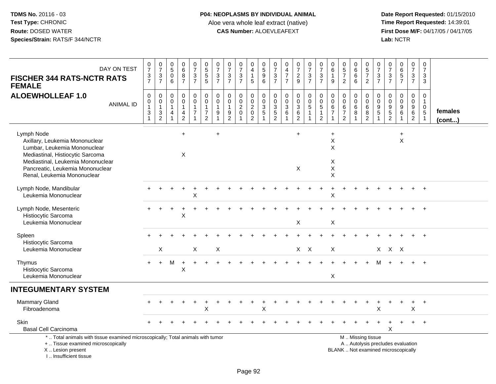## **P04: NEOPLASMS BY INDIVIDUAL ANIMAL**Aloe vera whole leaf extract (native)<br>**CAS Number:** ALOEVLEAFEXT

| DAY ON TEST<br><b>FISCHER 344 RATS-NCTR RATS</b><br><b>FEMALE</b>                                                                                                                                                        | $\frac{0}{7}$<br>$\frac{3}{7}$                                            | $\frac{0}{7}$<br>$\frac{3}{7}$                  | $\begin{array}{c} 0 \\ 5 \end{array}$<br>$\pmb{0}$<br>6 | $\begin{array}{c} 0 \\ 6 \end{array}$<br>$\frac{8}{7}$ | $\begin{smallmatrix}0\\7\end{smallmatrix}$<br>$\frac{3}{7}$ | $\begin{array}{c} 0 \\ 5 \end{array}$<br>5<br>$\overline{5}$                              | 0<br>$\overline{7}$<br>$\mathbf{3}$<br>$\overline{7}$           | $\frac{0}{7}$<br>$\ensuremath{\mathsf{3}}$<br>$\overline{7}$ | $\frac{0}{7}$<br>$\frac{3}{7}$               | $\begin{smallmatrix}0\0\4\end{smallmatrix}$<br>$\mathbf{1}$<br>$\overline{5}$ | 0<br>5<br>6<br>6                  | $\frac{0}{7}$<br>$\frac{3}{7}$  | $\pmb{0}$<br>$\frac{4}{7}$<br>$\overline{7}$                                 | $\frac{0}{7}$<br>$\frac{2}{9}$                               | $\frac{0}{7}$<br>$\frac{3}{7}$                                                   | $\frac{0}{7}$<br>$\frac{3}{7}$                                       | $\mathbf 0$<br>$\overline{6}$<br>$\mathbf{1}$<br>9      | $\begin{array}{c} 0 \\ 5 \\ 7 \end{array}$<br>$\overline{2}$            | $\begin{array}{c} 0 \\ 6 \end{array}$<br>$\,6$<br>$\overline{6}$ | $\begin{array}{c} 0 \\ 5 \end{array}$<br>$\overline{7}$<br>$\overline{2}$         | 0<br>$\overline{7}$<br>3<br>$\overline{7}$                  | $\begin{array}{c} 0 \\ 7 \end{array}$<br>$\frac{3}{7}$                   | 0<br>6<br>5<br>7                                           | $\begin{array}{c} 0 \\ 7 \end{array}$<br>$\frac{3}{7}$                         | $\begin{smallmatrix}0\\7\end{smallmatrix}$<br>3<br>$\sqrt{3}$ |                         |
|--------------------------------------------------------------------------------------------------------------------------------------------------------------------------------------------------------------------------|---------------------------------------------------------------------------|-------------------------------------------------|---------------------------------------------------------|--------------------------------------------------------|-------------------------------------------------------------|-------------------------------------------------------------------------------------------|-----------------------------------------------------------------|--------------------------------------------------------------|----------------------------------------------|-------------------------------------------------------------------------------|-----------------------------------|---------------------------------|------------------------------------------------------------------------------|--------------------------------------------------------------|----------------------------------------------------------------------------------|----------------------------------------------------------------------|---------------------------------------------------------|-------------------------------------------------------------------------|------------------------------------------------------------------|-----------------------------------------------------------------------------------|-------------------------------------------------------------|--------------------------------------------------------------------------|------------------------------------------------------------|--------------------------------------------------------------------------------|---------------------------------------------------------------|-------------------------|
| <b>ALOEWHOLLEAF 1.0</b><br><b>ANIMAL ID</b>                                                                                                                                                                              | $\pmb{0}$<br>$\mathbf 0$<br>$\mathbf{1}$<br>$\mathsf 3$<br>$\overline{1}$ | 0<br>$\pmb{0}$<br>$\mathbf{1}$<br>$\frac{3}{2}$ | 0<br>$\mathbf 0$<br>$\mathbf{1}$<br>4                   | 0<br>$\pmb{0}$<br>$\mathbf{1}$<br>$\frac{4}{2}$        | 0<br>$\mathbf 0$<br>$\overline{1}$<br>$\overline{7}$<br>-1  | $\mathbf 0$<br>$\mathbf 0$<br>$\overline{1}$<br>$\overline{\mathbf{7}}$<br>$\overline{2}$ | $\pmb{0}$<br>$\mathbf 0$<br>$\overline{1}$<br>9<br>$\mathbf{1}$ | $\pmb{0}$<br>$\mathbf 0$<br>$\mathbf{1}$<br>$\frac{9}{2}$    | 0<br>$\mathbf 0$<br>$^2_{0}$<br>$\mathbf{1}$ | 0<br>$\mathbf 0$<br>$\frac{2}{0}$                                             | 0<br>$\mathbf 0$<br>$\frac{3}{5}$ | 0<br>$\pmb{0}$<br>$\frac{3}{5}$ | $\pmb{0}$<br>$\mathbf 0$<br>$\mathbf{3}$<br>$\,6$<br>$\overline{\mathbf{1}}$ | 0<br>$\pmb{0}$<br>$\begin{array}{c} 3 \\ 6 \\ 2 \end{array}$ | $\mathsf 0$<br>$\mathsf{O}\xspace$<br>$\sqrt{5}$<br>$\mathbf{1}$<br>$\mathbf{1}$ | $\boldsymbol{0}$<br>$\pmb{0}$<br>5<br>$\mathbf{1}$<br>$\overline{c}$ | 0<br>$\mathbf 0$<br>6<br>$\overline{7}$<br>$\mathbf{1}$ | $\pmb{0}$<br>$\mathbf 0$<br>$\,6$<br>$\boldsymbol{7}$<br>$\overline{2}$ | $\mathbf 0$<br>$\pmb{0}$<br>6<br>$\bf 8$<br>-1                   | $\mathbf 0$<br>$\mathbf 0$<br>6<br>$\begin{smallmatrix} 8 \\ 2 \end{smallmatrix}$ | 0<br>$\mathbf 0$<br>$9\,$<br>$\overline{5}$<br>$\mathbf{1}$ | 0<br>$\mathbf 0$<br>$\frac{9}{2}$                                        | 0<br>$\overline{0}$<br>9<br>$\overline{6}$<br>$\mathbf{1}$ | $\pmb{0}$<br>$\mathsf{O}\xspace$<br>$\begin{array}{c} 9 \\ 6 \\ 2 \end{array}$ | 0<br>$\mathbf{1}$<br>0<br>$\overline{5}$<br>$\mathbf{1}$      | females<br>$($ cont $)$ |
| Lymph Node<br>Axillary, Leukemia Mononuclear<br>Lumbar, Leukemia Mononuclear<br>Mediastinal, Histiocytic Sarcoma<br>Mediastinal, Leukemia Mononuclear<br>Pancreatic, Leukemia Mononuclear<br>Renal, Leukemia Mononuclear |                                                                           |                                                 |                                                         | $+$<br>X                                               |                                                             |                                                                                           | $\ddot{}$                                                       |                                                              |                                              |                                                                               |                                   |                                 |                                                                              | $+$<br>$\boldsymbol{\mathsf{X}}$                             |                                                                                  |                                                                      | $\ddot{}$<br>X<br>X<br>X<br>X<br>X                      |                                                                         |                                                                  |                                                                                   |                                                             |                                                                          | $\ddot{}$<br>$\sf X$                                       |                                                                                |                                                               |                         |
| Lymph Node, Mandibular<br>Leukemia Mononuclear                                                                                                                                                                           |                                                                           |                                                 |                                                         |                                                        | X                                                           |                                                                                           |                                                                 |                                                              |                                              |                                                                               |                                   |                                 |                                                                              |                                                              |                                                                                  |                                                                      | X                                                       |                                                                         |                                                                  |                                                                                   |                                                             |                                                                          |                                                            |                                                                                |                                                               |                         |
| Lymph Node, Mesenteric<br>Histiocytic Sarcoma<br>Leukemia Mononuclear                                                                                                                                                    |                                                                           |                                                 |                                                         | X                                                      |                                                             |                                                                                           |                                                                 |                                                              |                                              |                                                                               |                                   |                                 |                                                                              | X                                                            |                                                                                  |                                                                      | $\mathsf X$                                             |                                                                         |                                                                  |                                                                                   |                                                             |                                                                          |                                                            |                                                                                |                                                               |                         |
| Spleen<br>Histiocytic Sarcoma<br>Leukemia Mononuclear                                                                                                                                                                    |                                                                           | X                                               |                                                         |                                                        | X                                                           |                                                                                           | $\mathsf X$                                                     |                                                              |                                              |                                                                               |                                   |                                 |                                                                              |                                                              | $X$ $X$                                                                          |                                                                      | X                                                       |                                                                         |                                                                  |                                                                                   |                                                             | $X$ $X$ $X$                                                              |                                                            |                                                                                |                                                               |                         |
| Thymus<br>Histiocytic Sarcoma<br>Leukemia Mononuclear                                                                                                                                                                    | $+$                                                                       | $+$                                             | М                                                       | $\overline{+}$<br>X                                    |                                                             |                                                                                           |                                                                 |                                                              |                                              |                                                                               |                                   |                                 |                                                                              |                                                              |                                                                                  |                                                                      | X                                                       |                                                                         |                                                                  |                                                                                   | м                                                           |                                                                          |                                                            |                                                                                | $\overline{1}$                                                |                         |
| <b>INTEGUMENTARY SYSTEM</b>                                                                                                                                                                                              |                                                                           |                                                 |                                                         |                                                        |                                                             |                                                                                           |                                                                 |                                                              |                                              |                                                                               |                                   |                                 |                                                                              |                                                              |                                                                                  |                                                                      |                                                         |                                                                         |                                                                  |                                                                                   |                                                             |                                                                          |                                                            |                                                                                |                                                               |                         |
| <b>Mammary Gland</b><br>Fibroadenoma                                                                                                                                                                                     |                                                                           |                                                 |                                                         |                                                        |                                                             | $\times$                                                                                  |                                                                 |                                                              |                                              |                                                                               | X                                 |                                 |                                                                              |                                                              |                                                                                  |                                                                      |                                                         |                                                                         |                                                                  |                                                                                   | X                                                           |                                                                          |                                                            | $\ddot{}$<br>X                                                                 | $+$                                                           |                         |
| Skin<br><b>Basal Cell Carcinoma</b>                                                                                                                                                                                      |                                                                           |                                                 |                                                         |                                                        |                                                             |                                                                                           |                                                                 |                                                              |                                              |                                                                               |                                   |                                 |                                                                              |                                                              |                                                                                  |                                                                      |                                                         |                                                                         |                                                                  |                                                                                   |                                                             | X                                                                        |                                                            | $+$                                                                            | $+$                                                           |                         |
| *  Total animals with tissue examined microscopically; Total animals with tumor<br>+  Tissue examined microscopically<br>X  Lesion present<br>I Insufficient tissue                                                      |                                                                           |                                                 |                                                         |                                                        |                                                             |                                                                                           |                                                                 |                                                              |                                              |                                                                               |                                   |                                 |                                                                              |                                                              |                                                                                  |                                                                      |                                                         |                                                                         |                                                                  | M. Missing tissue                                                                 |                                                             | A  Autolysis precludes evaluation<br>BLANK  Not examined microscopically |                                                            |                                                                                |                                                               |                         |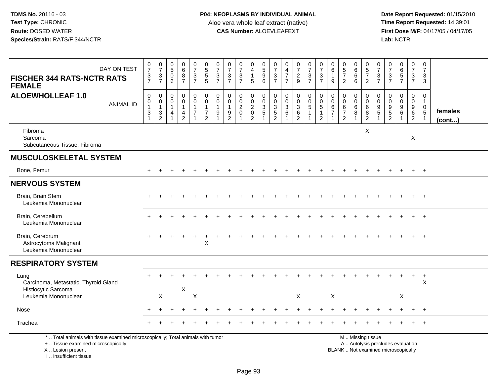**Date Report Requested:** 01/15/2010 **First Dose M/F:** 04/17/05 / 04/17/05<br>Lab: NCTR **Lab:** NCTR

| DAY ON TEST<br><b>FISCHER 344 RATS-NCTR RATS</b><br><b>FEMALE</b>                                                                          | $\begin{smallmatrix}0\\7\end{smallmatrix}$<br>$\frac{3}{7}$                               | $\frac{0}{7}$<br>$\frac{3}{7}$                                                                    | $\mathbf 0$<br>$\overline{5}$<br>$\mathbf 0$<br>6                            | 0<br>6<br>8<br>$\overline{7}$                                                  | $\frac{0}{7}$<br>$\frac{3}{7}$          | $\begin{array}{c} 0 \\ 5 \end{array}$<br>$\frac{5}{5}$               | $\frac{0}{7}$<br>$\frac{3}{7}$                                    | $\frac{0}{7}$<br>$\sqrt{3}$<br>$\overline{7}$           | $\frac{0}{7}$<br>$\frac{3}{7}$                                | 0<br>$\overline{4}$<br>$\overline{1}$<br>5           | $\begin{array}{c} 0 \\ 5 \end{array}$<br>$\boldsymbol{9}$<br>6   | 0<br>$\overline{7}$<br>$\ensuremath{\mathsf{3}}$<br>$\overline{7}$            | $\begin{smallmatrix}0\0\4\end{smallmatrix}$<br>$\overline{7}$<br>$\overline{7}$ | $\frac{0}{7}$<br>$\frac{2}{9}$                                  | $\frac{0}{7}$<br>$\frac{3}{7}$                     | $\frac{0}{7}$<br>$\ensuremath{\mathsf{3}}$<br>$\overline{7}$           | $\begin{array}{c} 0 \\ 6 \end{array}$<br>$\mathbf{1}$<br>9                     | 0<br>$\frac{5}{7}$<br>$\overline{2}$                                      | $\begin{array}{c} 0 \\ 6 \end{array}$<br>$\,6\,$<br>6                        | 0<br>$\overline{5}$<br>$\overline{7}$<br>$\overline{2}$ | 0<br>$\overline{7}$<br>$\ensuremath{\mathsf{3}}$<br>$\overline{7}$ | 0<br>$\overline{7}$<br>$\frac{3}{7}$                          | 0<br>6<br>5<br>7                                                         | 0<br>$\overline{7}$<br>$\mathbf{3}$<br>$\overline{7}$ | 0<br>$\overline{7}$<br>$\ensuremath{\mathsf{3}}$<br>3                            |                   |
|--------------------------------------------------------------------------------------------------------------------------------------------|-------------------------------------------------------------------------------------------|---------------------------------------------------------------------------------------------------|------------------------------------------------------------------------------|--------------------------------------------------------------------------------|-----------------------------------------|----------------------------------------------------------------------|-------------------------------------------------------------------|---------------------------------------------------------|---------------------------------------------------------------|------------------------------------------------------|------------------------------------------------------------------|-------------------------------------------------------------------------------|---------------------------------------------------------------------------------|-----------------------------------------------------------------|----------------------------------------------------|------------------------------------------------------------------------|--------------------------------------------------------------------------------|---------------------------------------------------------------------------|------------------------------------------------------------------------------|---------------------------------------------------------|--------------------------------------------------------------------|---------------------------------------------------------------|--------------------------------------------------------------------------|-------------------------------------------------------|----------------------------------------------------------------------------------|-------------------|
| <b>ALOEWHOLLEAF 1.0</b><br><b>ANIMAL ID</b>                                                                                                | $\mathbf 0$<br>$\mathbf 0$<br>$\mathbf{1}$<br>$\ensuremath{\mathsf{3}}$<br>$\overline{1}$ | $\mathbf 0$<br>$\mathsf{O}\xspace$<br>$\mathbf{1}$<br>$\ensuremath{\mathsf{3}}$<br>$\overline{2}$ | $\mathbf 0$<br>$\mathbf 0$<br>$\mathbf{1}$<br>$\overline{4}$<br>$\mathbf{1}$ | $\mathbf 0$<br>$\mathbf 0$<br>$\mathbf{1}$<br>$\overline{4}$<br>$\overline{2}$ | 0<br>$\mathbf 0$<br>1<br>$\overline{7}$ | 0<br>$\mathbf 0$<br>$\mathbf{1}$<br>$\overline{7}$<br>$\overline{2}$ | $\mathbf 0$<br>$\mathbf 0$<br>$\mathbf{1}$<br>9<br>$\overline{1}$ | 0<br>$\mathbf 0$<br>$\mathbf{1}$<br>9<br>$\overline{2}$ | $\begin{smallmatrix} 0\\0 \end{smallmatrix}$<br>$\frac{2}{0}$ | 0<br>$\mathbf 0$<br>$\overline{2}$<br>$\pmb{0}$<br>2 | $\boldsymbol{0}$<br>$\mathbf 0$<br>$\frac{3}{5}$<br>$\mathbf{1}$ | 0<br>$\mathbf 0$<br>$\ensuremath{\mathsf{3}}$<br>$\sqrt{5}$<br>$\overline{2}$ | $\mathbf 0$<br>$\boldsymbol{0}$<br>$\frac{3}{6}$<br>$\mathbf{1}$                | 0<br>$\mathbf 0$<br>$\overline{3}$<br>$\,6\,$<br>$\overline{2}$ | $\pmb{0}$<br>$\frac{0}{5}$<br>$\overline{1}$<br>-1 | $_{\rm 0}^{\rm 0}$<br>$\overline{5}$<br>$\mathbf{1}$<br>$\overline{2}$ | $\pmb{0}$<br>$\pmb{0}$<br>$\,6\,$<br>$\overline{7}$<br>$\overline{\mathbf{1}}$ | $\mathbf 0$<br>$\mathbf 0$<br>$\,6\,$<br>$\overline{7}$<br>$\overline{2}$ | $\boldsymbol{0}$<br>$\mathbf 0$<br>$6\phantom{1}6$<br>$\, 8$<br>$\mathbf{1}$ | 0<br>$\mathbf 0$<br>$\,6$<br>$\, 8$<br>$\overline{c}$   | $\mathbf 0$<br>$\mathbf 0$<br>$\boldsymbol{9}$<br>$5\,$            | $\mathbf 0$<br>$\mathbf 0$<br>$\frac{9}{5}$<br>$\overline{2}$ | $\boldsymbol{0}$<br>$\mathbf 0$<br>$\frac{9}{6}$                         | 0<br>$\mathbf 0$<br>$\frac{9}{6}$<br>$\overline{2}$   | $\mathbf 0$<br>$\overline{1}$<br>$\mathbf 0$<br>$\overline{5}$<br>$\overline{1}$ | females<br>(cont) |
| Fibroma<br>Sarcoma<br>Subcutaneous Tissue, Fibroma                                                                                         |                                                                                           |                                                                                                   |                                                                              |                                                                                |                                         |                                                                      |                                                                   |                                                         |                                                               |                                                      |                                                                  |                                                                               |                                                                                 |                                                                 |                                                    |                                                                        |                                                                                |                                                                           |                                                                              | X                                                       |                                                                    |                                                               |                                                                          | $\boldsymbol{\mathsf{X}}$                             |                                                                                  |                   |
| <b>MUSCULOSKELETAL SYSTEM</b>                                                                                                              |                                                                                           |                                                                                                   |                                                                              |                                                                                |                                         |                                                                      |                                                                   |                                                         |                                                               |                                                      |                                                                  |                                                                               |                                                                                 |                                                                 |                                                    |                                                                        |                                                                                |                                                                           |                                                                              |                                                         |                                                                    |                                                               |                                                                          |                                                       |                                                                                  |                   |
| Bone, Femur                                                                                                                                | $+$                                                                                       |                                                                                                   |                                                                              |                                                                                |                                         |                                                                      |                                                                   |                                                         |                                                               |                                                      |                                                                  |                                                                               |                                                                                 |                                                                 |                                                    |                                                                        |                                                                                |                                                                           |                                                                              |                                                         |                                                                    |                                                               |                                                                          | $+$                                                   | $+$                                                                              |                   |
| <b>NERVOUS SYSTEM</b>                                                                                                                      |                                                                                           |                                                                                                   |                                                                              |                                                                                |                                         |                                                                      |                                                                   |                                                         |                                                               |                                                      |                                                                  |                                                                               |                                                                                 |                                                                 |                                                    |                                                                        |                                                                                |                                                                           |                                                                              |                                                         |                                                                    |                                                               |                                                                          |                                                       |                                                                                  |                   |
| Brain, Brain Stem<br>Leukemia Mononuclear                                                                                                  |                                                                                           |                                                                                                   |                                                                              |                                                                                |                                         |                                                                      |                                                                   |                                                         |                                                               |                                                      |                                                                  |                                                                               |                                                                                 |                                                                 |                                                    |                                                                        |                                                                                |                                                                           |                                                                              |                                                         |                                                                    |                                                               |                                                                          |                                                       | $\overline{+}$                                                                   |                   |
| Brain, Cerebellum<br>Leukemia Mononuclear                                                                                                  |                                                                                           |                                                                                                   |                                                                              |                                                                                |                                         |                                                                      |                                                                   |                                                         |                                                               |                                                      |                                                                  |                                                                               |                                                                                 |                                                                 |                                                    |                                                                        |                                                                                |                                                                           |                                                                              |                                                         |                                                                    |                                                               |                                                                          |                                                       |                                                                                  |                   |
| Brain, Cerebrum<br>Astrocytoma Malignant<br>Leukemia Mononuclear                                                                           |                                                                                           |                                                                                                   |                                                                              |                                                                                |                                         | $\mathsf X$                                                          |                                                                   |                                                         |                                                               |                                                      |                                                                  |                                                                               |                                                                                 |                                                                 |                                                    |                                                                        |                                                                                |                                                                           |                                                                              |                                                         |                                                                    |                                                               |                                                                          |                                                       |                                                                                  |                   |
| <b>RESPIRATORY SYSTEM</b>                                                                                                                  |                                                                                           |                                                                                                   |                                                                              |                                                                                |                                         |                                                                      |                                                                   |                                                         |                                                               |                                                      |                                                                  |                                                                               |                                                                                 |                                                                 |                                                    |                                                                        |                                                                                |                                                                           |                                                                              |                                                         |                                                                    |                                                               |                                                                          |                                                       |                                                                                  |                   |
| Lung<br>Carcinoma, Metastatic, Thyroid Gland                                                                                               |                                                                                           |                                                                                                   |                                                                              |                                                                                |                                         |                                                                      |                                                                   |                                                         |                                                               |                                                      |                                                                  |                                                                               |                                                                                 |                                                                 |                                                    |                                                                        |                                                                                |                                                                           |                                                                              |                                                         |                                                                    |                                                               |                                                                          | $\ddot{}$                                             | $\ddot{}$<br>X                                                                   |                   |
| Histiocytic Sarcoma<br>Leukemia Mononuclear                                                                                                |                                                                                           | X                                                                                                 |                                                                              | X                                                                              | X                                       |                                                                      |                                                                   |                                                         |                                                               |                                                      |                                                                  |                                                                               |                                                                                 | X                                                               |                                                    |                                                                        | $\boldsymbol{\mathsf{X}}$                                                      |                                                                           |                                                                              |                                                         |                                                                    |                                                               | X                                                                        |                                                       |                                                                                  |                   |
| Nose                                                                                                                                       |                                                                                           |                                                                                                   |                                                                              |                                                                                |                                         |                                                                      |                                                                   |                                                         |                                                               |                                                      |                                                                  |                                                                               |                                                                                 |                                                                 |                                                    |                                                                        |                                                                                |                                                                           |                                                                              |                                                         |                                                                    |                                                               |                                                                          |                                                       | $\overline{+}$                                                                   |                   |
| Trachea                                                                                                                                    |                                                                                           |                                                                                                   |                                                                              |                                                                                |                                         |                                                                      |                                                                   |                                                         |                                                               |                                                      |                                                                  |                                                                               |                                                                                 |                                                                 |                                                    |                                                                        |                                                                                |                                                                           |                                                                              |                                                         |                                                                    |                                                               |                                                                          |                                                       | $\overline{+}$                                                                   |                   |
| *  Total animals with tissue examined microscopically; Total animals with tumor<br>+  Tissue examined microscopically<br>X  Lesion present |                                                                                           |                                                                                                   |                                                                              |                                                                                |                                         |                                                                      |                                                                   |                                                         |                                                               |                                                      |                                                                  |                                                                               |                                                                                 |                                                                 |                                                    |                                                                        |                                                                                |                                                                           |                                                                              | M  Missing tissue                                       |                                                                    |                                                               | A  Autolysis precludes evaluation<br>BLANK  Not examined microscopically |                                                       |                                                                                  |                   |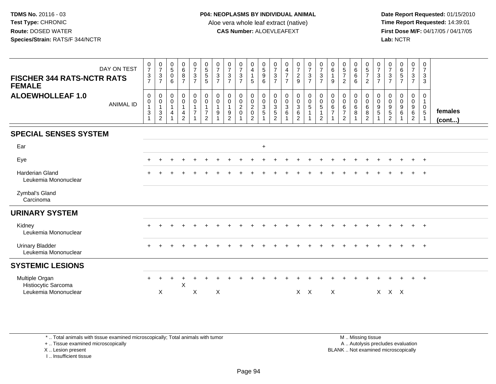**Date Report Requested:** 01/15/2010 **First Dose M/F:** 04/17/05 / 04/17/05 Lab: NCTR **Lab:** NCTR

| DAY ON TEST<br><b>FISCHER 344 RATS-NCTR RATS</b><br><b>FEMALE</b> | $\frac{0}{7}$<br>$\frac{3}{7}$                                | $\frac{0}{7}$<br>$\mathbf{3}$<br>$\overline{7}$                                 | $\begin{matrix} 0 \\ 5 \end{matrix}$<br>$\mathbf 0$<br>6                   | $_6^0$<br>8<br>$\overline{7}$                                                         | $\frac{0}{7}$<br>$\mathbf{3}$<br>$\overline{7}$ | $\begin{array}{c} 0 \\ 5 \\ 5 \end{array}$<br>5                                        | $\frac{0}{7}$<br>3<br>$\overline{7}$ | $\frac{0}{7}$<br>$\mathbf{3}$<br>$\overline{7}$                                  | $\frac{0}{7}$<br>3<br>$\overline{7}$              | 0<br>$\overline{4}$<br>$\mathbf{1}$<br>5                            | $\begin{array}{c} 0 \\ 5 \\ 9 \end{array}$<br>6 | $\frac{0}{7}$<br>$\mathsf 3$<br>$\overline{7}$      | $\boldsymbol{0}$<br>$\frac{4}{7}$<br>$\overline{7}$     | $\frac{0}{7}$<br>$\overline{2}$<br>9                                  | $\begin{array}{c} 0 \\ 7 \\ 3 \end{array}$<br>$\overline{7}$                        | $\frac{0}{7}$<br>$\sqrt{3}$<br>$\overline{7}$                     | 0<br>6<br>9                                             | $\begin{array}{c} 0 \\ 5 \\ 7 \end{array}$<br>2                   | $\begin{matrix} 0 \\ 6 \\ 6 \end{matrix}$<br>6         | 0<br>$\frac{5}{7}$<br>$\overline{2}$                             | $\frac{0}{7}$<br>3<br>$\overline{7}$ | $\frac{0}{7}$<br>$\mathfrak{Z}$<br>$\overline{7}$                   | $\begin{array}{c} 0 \\ 6 \\ 5 \end{array}$<br>$\overline{7}$ | $\frac{0}{7}$<br>$\mathbf{3}$<br>$\overline{7}$ | 0<br>$\overline{7}$<br>3<br>3                        |                         |
|-------------------------------------------------------------------|---------------------------------------------------------------|---------------------------------------------------------------------------------|----------------------------------------------------------------------------|---------------------------------------------------------------------------------------|-------------------------------------------------|----------------------------------------------------------------------------------------|--------------------------------------|----------------------------------------------------------------------------------|---------------------------------------------------|---------------------------------------------------------------------|-------------------------------------------------|-----------------------------------------------------|---------------------------------------------------------|-----------------------------------------------------------------------|-------------------------------------------------------------------------------------|-------------------------------------------------------------------|---------------------------------------------------------|-------------------------------------------------------------------|--------------------------------------------------------|------------------------------------------------------------------|--------------------------------------|---------------------------------------------------------------------|--------------------------------------------------------------|-------------------------------------------------|------------------------------------------------------|-------------------------|
| <b>ALOEWHOLLEAF 1.0</b><br><b>ANIMAL ID</b>                       | $\mathbf 0$<br>$\pmb{0}$<br>$\overline{1}$<br>$\sqrt{3}$<br>1 | $\mathbf 0$<br>$\boldsymbol{0}$<br>$\mathbf{1}$<br>$\sqrt{3}$<br>$\overline{c}$ | $\mathbf 0$<br>$\pmb{0}$<br>$\mathbf{1}$<br>$\overline{4}$<br>$\mathbf{1}$ | 0<br>$\mathsf{O}\xspace$<br>$\mathbf{1}$<br>$\overline{\mathbf{4}}$<br>$\overline{2}$ | $\mathbf 0$<br>$\mathbf 0$<br>$\overline{7}$    | $\mathbf 0$<br>$\mathsf{O}\xspace$<br>$\mathbf{1}$<br>$\overline{7}$<br>$\overline{2}$ | $\mathbf 0$<br>0<br>$\boldsymbol{9}$ | $\mathbf 0$<br>$\mathbf 0$<br>$\mathbf{1}$<br>$\boldsymbol{9}$<br>$\overline{c}$ | 0<br>$\mathbf 0$<br>$\overline{c}$<br>$\mathbf 0$ | 0<br>$\mathbf 0$<br>$\overline{2}$<br>$\mathsf 0$<br>$\overline{2}$ | $\pmb{0}$<br>$\frac{0}{3}$<br>$\overline{5}$    | $\boldsymbol{0}$<br>$\frac{0}{3}$<br>$\overline{2}$ | $\mathbf 0$<br>$\frac{0}{3}$<br>$\,6\,$<br>$\mathbf{1}$ | $\mathbf 0$<br>$\mathbf 0$<br>$\sqrt{3}$<br>$\,6\,$<br>$\overline{2}$ | $\begin{smallmatrix} 0\\0 \end{smallmatrix}$<br>$\overline{5}$<br>$\mathbf{1}$<br>1 | $\pmb{0}$<br>$\overline{0}$<br>5<br>$\mathbf 1$<br>$\overline{c}$ | $\mathbf 0$<br>$\mathbf 0$<br>$\,6\,$<br>$\overline{7}$ | $\boldsymbol{0}$<br>$\mathbf 0$<br>$\,6$<br>$\boldsymbol{7}$<br>2 | 0<br>$\mathbf 0$<br>$\,6\,$<br>$\bf 8$<br>$\mathbf{1}$ | $\pmb{0}$<br>$\mathbf 0$<br>$\,6\,$<br>$\,8\,$<br>$\overline{2}$ | 0<br>0<br>9<br>5                     | 0<br>0<br>$\begin{array}{c} 9 \\ 5 \end{array}$<br>$\boldsymbol{2}$ | 0<br>$\pmb{0}$<br>$\overline{9}$<br>$\,6\,$                  | 0<br>$\mathbf 0$<br>$^9$ 6<br>$\overline{2}$    | 0<br>$\mathbf{1}$<br>$\mathbf 0$<br>$\sqrt{5}$<br>-1 | females<br>$($ cont $)$ |
| <b>SPECIAL SENSES SYSTEM</b>                                      |                                                               |                                                                                 |                                                                            |                                                                                       |                                                 |                                                                                        |                                      |                                                                                  |                                                   |                                                                     |                                                 |                                                     |                                                         |                                                                       |                                                                                     |                                                                   |                                                         |                                                                   |                                                        |                                                                  |                                      |                                                                     |                                                              |                                                 |                                                      |                         |
| Ear                                                               |                                                               |                                                                                 |                                                                            |                                                                                       |                                                 |                                                                                        |                                      |                                                                                  |                                                   |                                                                     | $+$                                             |                                                     |                                                         |                                                                       |                                                                                     |                                                                   |                                                         |                                                                   |                                                        |                                                                  |                                      |                                                                     |                                                              |                                                 |                                                      |                         |
| Eye                                                               |                                                               |                                                                                 |                                                                            |                                                                                       |                                                 |                                                                                        |                                      |                                                                                  |                                                   |                                                                     |                                                 |                                                     |                                                         |                                                                       |                                                                                     |                                                                   |                                                         |                                                                   |                                                        |                                                                  |                                      |                                                                     |                                                              | $\pm$                                           | $^{+}$                                               |                         |
| Harderian Gland<br>Leukemia Mononuclear                           |                                                               |                                                                                 |                                                                            |                                                                                       |                                                 |                                                                                        |                                      |                                                                                  |                                                   |                                                                     |                                                 |                                                     |                                                         |                                                                       |                                                                                     |                                                                   |                                                         |                                                                   |                                                        |                                                                  |                                      |                                                                     |                                                              |                                                 | $\ddot{}$                                            |                         |
| Zymbal's Gland<br>Carcinoma                                       |                                                               |                                                                                 |                                                                            |                                                                                       |                                                 |                                                                                        |                                      |                                                                                  |                                                   |                                                                     |                                                 |                                                     |                                                         |                                                                       |                                                                                     |                                                                   |                                                         |                                                                   |                                                        |                                                                  |                                      |                                                                     |                                                              |                                                 |                                                      |                         |
| <b>URINARY SYSTEM</b>                                             |                                                               |                                                                                 |                                                                            |                                                                                       |                                                 |                                                                                        |                                      |                                                                                  |                                                   |                                                                     |                                                 |                                                     |                                                         |                                                                       |                                                                                     |                                                                   |                                                         |                                                                   |                                                        |                                                                  |                                      |                                                                     |                                                              |                                                 |                                                      |                         |
| Kidney<br>Leukemia Mononuclear                                    |                                                               |                                                                                 |                                                                            |                                                                                       |                                                 |                                                                                        |                                      |                                                                                  |                                                   |                                                                     |                                                 |                                                     |                                                         |                                                                       |                                                                                     |                                                                   |                                                         |                                                                   |                                                        |                                                                  |                                      |                                                                     |                                                              | $\ddot{}$                                       | $+$                                                  |                         |
| <b>Urinary Bladder</b><br>Leukemia Mononuclear                    | $+$                                                           |                                                                                 |                                                                            |                                                                                       |                                                 |                                                                                        |                                      |                                                                                  |                                                   |                                                                     |                                                 |                                                     |                                                         |                                                                       |                                                                                     |                                                                   |                                                         |                                                                   |                                                        |                                                                  |                                      |                                                                     |                                                              | $+$                                             | $+$                                                  |                         |
| <b>SYSTEMIC LESIONS</b>                                           |                                                               |                                                                                 |                                                                            |                                                                                       |                                                 |                                                                                        |                                      |                                                                                  |                                                   |                                                                     |                                                 |                                                     |                                                         |                                                                       |                                                                                     |                                                                   |                                                         |                                                                   |                                                        |                                                                  |                                      |                                                                     |                                                              |                                                 |                                                      |                         |
| Multiple Organ<br>Histiocytic Sarcoma<br>Leukemia Mononuclear     | $+$                                                           | X                                                                               |                                                                            | $\div$<br>X                                                                           | X                                               |                                                                                        | X                                    |                                                                                  |                                                   |                                                                     |                                                 |                                                     |                                                         | $X$ $X$                                                               |                                                                                     |                                                                   | X                                                       |                                                                   |                                                        |                                                                  |                                      | $X$ $X$ $X$                                                         |                                                              | $\ddot{}$                                       | $^{+}$                                               |                         |

\* .. Total animals with tissue examined microscopically; Total animals with tumor

+ .. Tissue examined microscopically

X .. Lesion present

I .. Insufficient tissue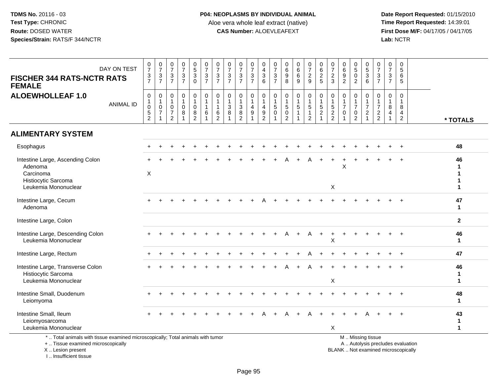**Date Report Requested:** 01/15/2010 **First Dose M/F:** 04/17/05 / 04/17/05<br>Lab: NCTR **Lab:** NCTR

| <b>FISCHER 344 RATS-NCTR RATS</b><br><b>FEMALE</b>                                                                                         | DAY ON TEST      | $\frac{0}{7}$<br>$\frac{3}{7}$                                               | $\frac{0}{7}$<br>$\ensuremath{\mathsf{3}}$<br>$\overline{7}$                      | $\begin{array}{c} 0 \\ 7 \end{array}$<br>$\sqrt{3}$<br>$\overline{7}$ | $\frac{0}{7}$<br>$\mathbf 3$<br>$\overline{7}$  | $\begin{array}{c} 0 \\ 5 \end{array}$<br>$\ensuremath{\mathsf{3}}$<br>$\mathbf 0$ | $\frac{0}{7}$<br>$\mathbf{3}$<br>$\overline{7}$                        | $\frac{0}{7}$<br>3<br>$\overline{7}$                               | $\pmb{0}$<br>$\overline{7}$<br>$\mathbf{3}$<br>$\overline{7}$ | $\frac{0}{7}$<br>$\frac{3}{7}$                          | 0<br>$\overline{7}$<br>$\ensuremath{\mathsf{3}}$<br>$\overline{7}$ | 0<br>$\overline{4}$<br>$\sqrt{3}$<br>6                                            | 0<br>$\overline{7}$<br>$\ensuremath{\mathsf{3}}$<br>$\overline{7}$ | 0<br>$\,6\,$<br>$\boldsymbol{9}$<br>8                                         | $\begin{array}{c} 0 \\ 6 \end{array}$<br>$\,6\,$<br>9 | $\begin{smallmatrix}0\\7\end{smallmatrix}$<br>$\frac{2}{9}$                 | 0<br>$6\phantom{a}$<br>$\overline{2}$<br>5                                        | $\pmb{0}$<br>$\overline{7}$<br>$\overline{2}$<br>3                            | $\begin{array}{c} 0 \\ 6 \end{array}$<br>$\frac{9}{2}$        | $\begin{array}{c} 0 \\ 5 \end{array}$<br>$\mathbf 0$<br>$\overline{2}$       | $\begin{array}{c} 0 \\ 5 \end{array}$<br>$\mathbf{3}$<br>6                   | 0<br>$\overline{7}$<br>$\frac{3}{7}$                                                | 0<br>$\overline{7}$<br>3<br>$\overline{7}$ | 0<br>5<br>6<br>5                                                    |                                   |                                    |
|--------------------------------------------------------------------------------------------------------------------------------------------|------------------|------------------------------------------------------------------------------|-----------------------------------------------------------------------------------|-----------------------------------------------------------------------|-------------------------------------------------|-----------------------------------------------------------------------------------|------------------------------------------------------------------------|--------------------------------------------------------------------|---------------------------------------------------------------|---------------------------------------------------------|--------------------------------------------------------------------|-----------------------------------------------------------------------------------|--------------------------------------------------------------------|-------------------------------------------------------------------------------|-------------------------------------------------------|-----------------------------------------------------------------------------|-----------------------------------------------------------------------------------|-------------------------------------------------------------------------------|---------------------------------------------------------------|------------------------------------------------------------------------------|------------------------------------------------------------------------------|-------------------------------------------------------------------------------------|--------------------------------------------|---------------------------------------------------------------------|-----------------------------------|------------------------------------|
| <b>ALOEWHOLLEAF 1.0</b>                                                                                                                    | <b>ANIMAL ID</b> | $\mathbf 0$<br>$\mathbf{1}$<br>$\pmb{0}$<br>$\overline{5}$<br>$\overline{2}$ | $\pmb{0}$<br>$\mathbf{1}$<br>$\mathsf{O}\xspace$<br>$\overline{7}$<br>$\mathbf 1$ | $\mathbf 0$<br>$\mathbf{1}$<br>$\mathbf 0$<br>$\overline{7}$<br>2     | $\mathbf 0$<br>$\mathbf{1}$<br>$\mathbf 0$<br>8 | $\mathbf 0$<br>$\mathbf{1}$<br>$\mathsf{O}\xspace$<br>8<br>$\overline{2}$         | $\mathbf 0$<br>$\mathbf{1}$<br>$\mathbf{1}$<br>$\,6\,$<br>$\mathbf{1}$ | $\mathbf 0$<br>$\mathbf{1}$<br>$\mathbf{1}$<br>6<br>$\overline{2}$ | $\mathbf 0$<br>$\mathbf{1}$<br>$\mathbf{3}$<br>8              | $\mathbf 0$<br>$\mathbf{1}$<br>$_8^3$<br>$\overline{2}$ | 0<br>$\overline{1}$<br>$\overline{4}$<br>$9\,$                     | $\pmb{0}$<br>$\overline{1}$<br>$\overline{4}$<br>$\overline{9}$<br>$\overline{2}$ | 0<br>$\mathbf{1}$<br>$5\phantom{.0}$<br>$\mathbf{0}$<br>1          | $\mathbf 0$<br>$\mathbf{1}$<br>$\sqrt{5}$<br>$\overline{0}$<br>$\overline{2}$ | $\pmb{0}$<br>$\mathbf{1}$<br>$\sqrt{5}$               | $\mathbf 0$<br>$\mathbf{1}$<br>$\sqrt{5}$<br>$\mathbf{1}$<br>$\overline{2}$ | $\pmb{0}$<br>$\overline{1}$<br>$\overline{5}$<br>$\overline{2}$<br>$\overline{1}$ | $\mathbf 0$<br>$\mathbf{1}$<br>$\sqrt{5}$<br>$\overline{2}$<br>$\overline{2}$ | $\mathsf 0$<br>$\frac{1}{7}$<br>$\mathbf 0$<br>$\overline{1}$ | $\mathbf 0$<br>$\mathbf{1}$<br>$\overline{7}$<br>$\pmb{0}$<br>$\overline{2}$ | $\mathbf 0$<br>1<br>$\overline{7}$<br>$\overline{c}$<br>$\blacktriangleleft$ | $\mathbf 0$<br>$\overline{1}$<br>$\overline{7}$<br>$\overline{c}$<br>$\overline{2}$ | 0<br>$\mathbf{1}$<br>8<br>4                | $\Omega$<br>$\overline{1}$<br>8<br>$\overline{4}$<br>$\overline{c}$ |                                   | * TOTALS                           |
| <b>ALIMENTARY SYSTEM</b>                                                                                                                   |                  |                                                                              |                                                                                   |                                                                       |                                                 |                                                                                   |                                                                        |                                                                    |                                                               |                                                         |                                                                    |                                                                                   |                                                                    |                                                                               |                                                       |                                                                             |                                                                                   |                                                                               |                                                               |                                                                              |                                                                              |                                                                                     |                                            |                                                                     |                                   |                                    |
| Esophagus                                                                                                                                  |                  |                                                                              |                                                                                   |                                                                       |                                                 |                                                                                   |                                                                        |                                                                    |                                                               |                                                         |                                                                    |                                                                                   |                                                                    |                                                                               |                                                       |                                                                             |                                                                                   |                                                                               |                                                               |                                                                              |                                                                              |                                                                                     |                                            | $\ddot{}$                                                           |                                   | 48                                 |
| Intestine Large, Ascending Colon<br>Adenoma<br>Carcinoma<br>Histiocytic Sarcoma<br>Leukemia Mononuclear                                    |                  | X                                                                            |                                                                                   |                                                                       |                                                 |                                                                                   |                                                                        |                                                                    |                                                               |                                                         |                                                                    |                                                                                   |                                                                    |                                                                               |                                                       |                                                                             |                                                                                   | X                                                                             | X                                                             |                                                                              |                                                                              |                                                                                     |                                            |                                                                     |                                   | 46<br>1<br>1<br>$\mathbf{1}$       |
| Intestine Large, Cecum<br>Adenoma                                                                                                          |                  |                                                                              |                                                                                   |                                                                       |                                                 |                                                                                   |                                                                        |                                                                    |                                                               |                                                         |                                                                    |                                                                                   |                                                                    |                                                                               |                                                       |                                                                             |                                                                                   |                                                                               |                                                               |                                                                              |                                                                              |                                                                                     |                                            |                                                                     |                                   | 47<br>$\mathbf{1}$                 |
| Intestine Large, Colon                                                                                                                     |                  |                                                                              |                                                                                   |                                                                       |                                                 |                                                                                   |                                                                        |                                                                    |                                                               |                                                         |                                                                    |                                                                                   |                                                                    |                                                                               |                                                       |                                                                             |                                                                                   |                                                                               |                                                               |                                                                              |                                                                              |                                                                                     |                                            |                                                                     |                                   | $\mathbf{2}$                       |
| Intestine Large, Descending Colon<br>Leukemia Mononuclear                                                                                  |                  |                                                                              |                                                                                   |                                                                       |                                                 |                                                                                   |                                                                        |                                                                    |                                                               |                                                         |                                                                    |                                                                                   |                                                                    |                                                                               |                                                       | A                                                                           | $+$                                                                               | $\ddot{}$<br>X                                                                |                                                               |                                                                              |                                                                              |                                                                                     |                                            |                                                                     |                                   | 46<br>$\mathbf{1}$                 |
| Intestine Large, Rectum                                                                                                                    |                  |                                                                              |                                                                                   |                                                                       |                                                 |                                                                                   |                                                                        |                                                                    |                                                               |                                                         |                                                                    |                                                                                   |                                                                    |                                                                               |                                                       |                                                                             |                                                                                   |                                                                               |                                                               |                                                                              |                                                                              |                                                                                     |                                            |                                                                     |                                   | 47                                 |
| Intestine Large, Transverse Colon<br>Histiocytic Sarcoma<br>Leukemia Mononuclear                                                           |                  |                                                                              |                                                                                   |                                                                       |                                                 |                                                                                   |                                                                        |                                                                    |                                                               |                                                         |                                                                    |                                                                                   |                                                                    |                                                                               |                                                       |                                                                             |                                                                                   | X                                                                             |                                                               |                                                                              |                                                                              |                                                                                     |                                            |                                                                     |                                   | 46<br>$\mathbf{1}$<br>$\mathbf{1}$ |
| Intestine Small, Duodenum<br>Leiomyoma                                                                                                     |                  |                                                                              |                                                                                   |                                                                       |                                                 |                                                                                   |                                                                        |                                                                    |                                                               |                                                         |                                                                    |                                                                                   |                                                                    |                                                                               |                                                       |                                                                             |                                                                                   |                                                                               |                                                               |                                                                              |                                                                              |                                                                                     |                                            |                                                                     |                                   | 48<br>$\mathbf{1}$                 |
| Intestine Small, Ileum<br>Leiomyosarcoma<br>Leukemia Mononuclear                                                                           |                  |                                                                              |                                                                                   |                                                                       |                                                 |                                                                                   |                                                                        |                                                                    |                                                               |                                                         |                                                                    |                                                                                   |                                                                    |                                                                               |                                                       |                                                                             |                                                                                   | $\sf X$                                                                       |                                                               |                                                                              |                                                                              |                                                                                     |                                            |                                                                     |                                   | 43<br>$\mathbf{1}$<br>$\mathbf{1}$ |
| *  Total animals with tissue examined microscopically; Total animals with tumor<br>+  Tissue examined microscopically<br>X  Lesion present |                  |                                                                              |                                                                                   |                                                                       |                                                 |                                                                                   |                                                                        |                                                                    |                                                               |                                                         |                                                                    |                                                                                   |                                                                    |                                                                               |                                                       |                                                                             |                                                                                   |                                                                               |                                                               |                                                                              | M  Missing tissue<br>BLANK  Not examined microscopically                     |                                                                                     |                                            |                                                                     | A  Autolysis precludes evaluation |                                    |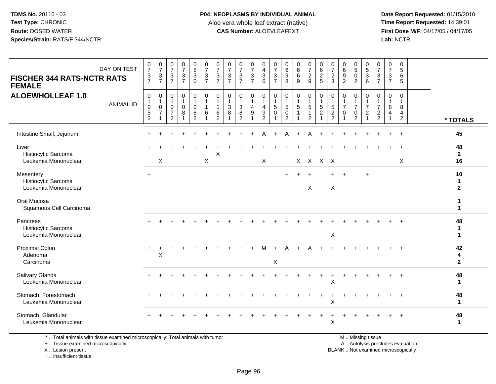**Date Report Requested:** 01/15/2010 **First Dose M/F:** 04/17/05 / 04/17/05 Lab: NCTR **Lab:** NCTR

| <b>FISCHER 344 RATS-NCTR RATS</b><br><b>FEMALE</b>       | DAY ON TEST      | $\frac{0}{7}$<br>$\frac{3}{7}$                                | $\frac{0}{7}$<br>$\frac{3}{7}$                             | $\frac{0}{7}$<br>$\mathsf 3$<br>$\overline{7}$                       | $\frac{0}{7}$<br>$rac{3}{7}$                  | $\begin{array}{c} 0 \\ 5 \\ 3 \end{array}$<br>$\mathbf 0$ | $\frac{0}{7}$<br>$\frac{3}{7}$                                 | 0<br>$\overline{7}$<br>$\mathbf{3}$<br>$\overline{7}$ | $\frac{0}{7}$<br>$\sqrt{3}$<br>$\overline{7}$                     | $\frac{0}{7}$<br>$\frac{3}{7}$  | 0<br>$\boldsymbol{7}$<br>$\sqrt{3}$<br>$\overline{7}$   | 0<br>$\overline{4}$<br>$\mathbf{3}$<br>6                                    | 0<br>$\overline{7}$<br>$\mathbf{3}$<br>$\overline{7}$ | 0<br>0<br>0<br>0<br>0                                             | $\begin{array}{c} 0 \\ 6 \\ 6 \end{array}$<br>$\overline{9}$ | $\frac{0}{7}$<br>$\frac{2}{9}$                               | 0625                                                         | 0<br>$\overline{7}$<br>$\frac{2}{3}$                                      | 0<br>$\,6\,$<br>$\overline{9}$<br>$\overline{2}$             | $\begin{array}{c} 0 \\ 5 \end{array}$<br>$\overline{0}$<br>$\overline{2}$ | $\begin{array}{c} 0 \\ 5 \\ 3 \end{array}$<br>$\overline{6}$                  | $\frac{0}{7}$<br>$\sqrt{3}$<br>$\overline{7}$                  | 0<br>$\overline{7}$<br>3<br>$\overline{7}$      | $\pmb{0}$<br>$\sqrt{5}$<br>6<br>5                                      |                                    |
|----------------------------------------------------------|------------------|---------------------------------------------------------------|------------------------------------------------------------|----------------------------------------------------------------------|-----------------------------------------------|-----------------------------------------------------------|----------------------------------------------------------------|-------------------------------------------------------|-------------------------------------------------------------------|---------------------------------|---------------------------------------------------------|-----------------------------------------------------------------------------|-------------------------------------------------------|-------------------------------------------------------------------|--------------------------------------------------------------|--------------------------------------------------------------|--------------------------------------------------------------|---------------------------------------------------------------------------|--------------------------------------------------------------|---------------------------------------------------------------------------|-------------------------------------------------------------------------------|----------------------------------------------------------------|-------------------------------------------------|------------------------------------------------------------------------|------------------------------------|
| <b>ALOEWHOLLEAF 1.0</b>                                  | <b>ANIMAL ID</b> | $\pmb{0}$<br>$\mathbf{1}$<br>$\pmb{0}$<br>5<br>$\overline{2}$ | 0<br>$\mathbf{1}$<br>$\mathsf{O}\xspace$<br>$\overline{7}$ | $\pmb{0}$<br>$\overline{1}$<br>0<br>$\overline{7}$<br>$\overline{2}$ | $\pmb{0}$<br>$\mathbf{1}$<br>$\mathbf 0$<br>8 | 0<br>$\overline{1}$<br>$\mathbf 0$<br>$\frac{8}{2}$       | $\pmb{0}$<br>$\mathbf{1}$<br>$\mathbf{1}$<br>6<br>$\mathbf{1}$ | 0<br>$\mathbf{1}$<br>$\mathbf{1}$<br>6<br>2           | $\pmb{0}$<br>$\mathbf{1}$<br>$\ensuremath{\mathsf{3}}$<br>$\,8\,$ | 0<br>$\sqrt{3}$<br>$\bf 8$<br>2 | 0<br>$\mathbf{1}$<br>$\overline{4}$<br>$\boldsymbol{9}$ | 0<br>$\overline{1}$<br>$\overline{4}$<br>$\boldsymbol{9}$<br>$\overline{2}$ | 0<br>$\mathbf{1}$<br>5<br>$\mathbf 0$                 | $\mathbf 0$<br>$\mathbf{1}$<br>5<br>$\mathbf 0$<br>$\overline{2}$ | $\mathbf 0$<br>$\mathbf{1}$<br>5<br>$\mathbf{1}$             | 0<br>$\mathbf{1}$<br>$5\,$<br>$\mathbf{1}$<br>$\overline{2}$ | $\pmb{0}$<br>$\mathbf{1}$<br>$\frac{5}{2}$<br>$\overline{1}$ | 0<br>$\overline{1}$<br>$\overline{5}$<br>$\overline{2}$<br>$\overline{2}$ | $\mathbf 0$<br>$\mathbf{1}$<br>$\overline{7}$<br>$\mathbf 0$ | 0<br>$\mathbf{1}$<br>$\overline{7}$<br>0<br>$\overline{2}$                | $\pmb{0}$<br>$\mathbf{1}$<br>$\overline{7}$<br>$\overline{c}$<br>$\mathbf{1}$ | $\mathbf 0$<br>$\mathbf{1}$<br>$\overline{7}$<br>$\frac{2}{2}$ | 0<br>$\overline{1}$<br>8<br>4<br>$\overline{1}$ | $\mathbf 0$<br>$\overline{1}$<br>8<br>$\overline{4}$<br>$\overline{2}$ | * TOTALS                           |
| Intestine Small, Jejunum                                 |                  |                                                               |                                                            |                                                                      |                                               |                                                           |                                                                |                                                       |                                                                   |                                 |                                                         | Α                                                                           | ÷                                                     | А                                                                 | $\ddot{}$                                                    | A                                                            |                                                              |                                                                           |                                                              |                                                                           |                                                                               |                                                                |                                                 |                                                                        | 45                                 |
| Liver<br>Histiocytic Sarcoma<br>Leukemia Mononuclear     |                  |                                                               | $\times$                                                   |                                                                      |                                               |                                                           | X                                                              | Χ                                                     |                                                                   |                                 |                                                         | X                                                                           |                                                       |                                                                   |                                                              | X X X X                                                      |                                                              |                                                                           |                                                              |                                                                           |                                                                               |                                                                |                                                 | $\mathsf{X}$                                                           | 48<br>$\mathbf{2}$<br>16           |
| Mesentery<br>Histiocytic Sarcoma<br>Leukemia Mononuclear |                  | $\ddot{}$                                                     |                                                            |                                                                      |                                               |                                                           |                                                                |                                                       |                                                                   |                                 |                                                         |                                                                             |                                                       |                                                                   |                                                              | X                                                            |                                                              | X                                                                         |                                                              |                                                                           | $+$                                                                           |                                                                |                                                 |                                                                        | 10<br>$\mathbf{1}$<br>$\mathbf{2}$ |
| Oral Mucosa<br>Squamous Cell Carcinoma                   |                  |                                                               |                                                            |                                                                      |                                               |                                                           |                                                                |                                                       |                                                                   |                                 |                                                         |                                                                             |                                                       |                                                                   |                                                              |                                                              |                                                              |                                                                           |                                                              |                                                                           |                                                                               |                                                                |                                                 |                                                                        |                                    |
| Pancreas<br>Histiocytic Sarcoma<br>Leukemia Mononuclear  |                  |                                                               |                                                            |                                                                      |                                               |                                                           |                                                                |                                                       |                                                                   |                                 |                                                         |                                                                             |                                                       |                                                                   |                                                              |                                                              |                                                              | $\pmb{\times}$                                                            |                                                              |                                                                           |                                                                               |                                                                |                                                 | $\ddot{}$                                                              | 48<br>-1<br>$\mathbf{1}$           |
| <b>Proximal Colon</b><br>Adenoma<br>Carcinoma            |                  |                                                               | X                                                          |                                                                      |                                               |                                                           |                                                                |                                                       |                                                                   |                                 |                                                         |                                                                             | $\mathsf X$                                           |                                                                   |                                                              |                                                              |                                                              |                                                                           |                                                              |                                                                           |                                                                               |                                                                |                                                 |                                                                        | 42<br>4<br>$\overline{2}$          |
| Salivary Glands<br>Leukemia Mononuclear                  |                  |                                                               |                                                            |                                                                      |                                               |                                                           |                                                                |                                                       |                                                                   |                                 |                                                         |                                                                             |                                                       |                                                                   |                                                              |                                                              |                                                              | X                                                                         |                                                              |                                                                           |                                                                               |                                                                |                                                 |                                                                        | 48<br>$\mathbf 1$                  |
| Stomach, Forestomach<br>Leukemia Mononuclear             |                  |                                                               |                                                            |                                                                      |                                               |                                                           |                                                                |                                                       |                                                                   |                                 |                                                         |                                                                             |                                                       |                                                                   |                                                              |                                                              |                                                              | Х                                                                         |                                                              |                                                                           |                                                                               |                                                                |                                                 |                                                                        | 48<br>-1                           |
| Stomach, Glandular<br>Leukemia Mononuclear               |                  |                                                               |                                                            |                                                                      |                                               |                                                           |                                                                |                                                       |                                                                   |                                 |                                                         |                                                                             |                                                       |                                                                   |                                                              |                                                              |                                                              | $\pmb{\times}$                                                            |                                                              |                                                                           |                                                                               |                                                                |                                                 |                                                                        | 48<br>-1                           |

\* .. Total animals with tissue examined microscopically; Total animals with tumor

+ .. Tissue examined microscopically

X .. Lesion present

I .. Insufficient tissue

M .. Missing tissue

y the contract of the contract of the contract of the contract of the contract of the contract of the contract of  $A$ . Autolysis precludes evaluation

Lesion present BLANK .. Not examined microscopically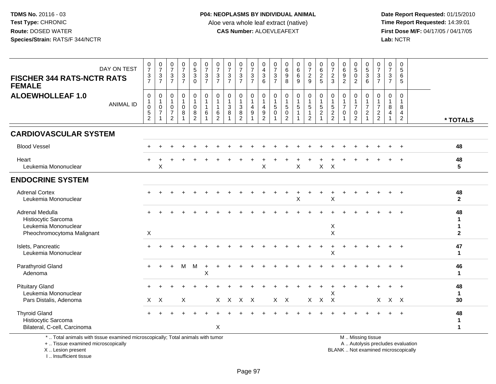**Date Report Requested:** 01/15/2010 **First Dose M/F:** 04/17/05 / 04/17/05 Lab: NCTR **Lab:** NCTR

|                                                             | $\frac{0}{7}$<br>$\frac{3}{7}$                                 | $\frac{0}{7}$<br>$\frac{3}{7}$                                 | $\begin{array}{c} 0 \\ 7 \\ 3 \\ 7 \end{array}$ | $\begin{matrix} 0 \\ 5 \end{matrix}$<br>$\overline{3}$ 0        | $\frac{0}{7}$<br>3<br>$\overline{7}$         | 0<br>$\overline{7}$<br>$\ensuremath{\mathsf{3}}$<br>$\overline{7}$ | $\frac{0}{7}$<br>$\frac{3}{7}$         | $\frac{0}{7}$<br>$\frac{3}{7}$                                             | 0<br>$\overline{7}$<br>$\ensuremath{\mathsf{3}}$<br>$\overline{7}$ | 0<br>$\overline{4}$<br>$\mathbf{3}$<br>6                                   | $\frac{0}{7}$<br>3<br>$\overline{7}$            | $\begin{array}{c} 0 \\ 6 \\ 9 \end{array}$<br>8          | $\begin{matrix}0\0\0\0\end{matrix}$<br>9          | 0<br>$\overline{7}$<br>$\overline{2}$<br>$\overline{9}$ | 0<br>$\frac{6}{2}$                                            | 0<br>$\overline{7}$<br>$\frac{2}{3}$                                      | $\begin{matrix} 0 \\ 6 \\ 9 \end{matrix}$<br>$\overline{2}$     | 0<br>$\overline{5}$<br>$\mathbf 0$<br>$\overline{2}$                 | 0<br>$\,$ 5 $\,$<br>3<br>6                                     | 0<br>$\overline{7}$<br>3<br>$\overline{7}$                     | $\frac{0}{7}$<br>$\ensuremath{\mathsf{3}}$<br>$\overline{7}$ | $\mathbf 0$<br>$\sqrt{5}$<br>$6\phantom{1}6$<br>5      |                                      |
|-------------------------------------------------------------|----------------------------------------------------------------|----------------------------------------------------------------|-------------------------------------------------|-----------------------------------------------------------------|----------------------------------------------|--------------------------------------------------------------------|----------------------------------------|----------------------------------------------------------------------------|--------------------------------------------------------------------|----------------------------------------------------------------------------|-------------------------------------------------|----------------------------------------------------------|---------------------------------------------------|---------------------------------------------------------|---------------------------------------------------------------|---------------------------------------------------------------------------|-----------------------------------------------------------------|----------------------------------------------------------------------|----------------------------------------------------------------|----------------------------------------------------------------|--------------------------------------------------------------|--------------------------------------------------------|--------------------------------------|
| $\mathbf{1}$<br>$\mathbf 0$<br>$\sqrt{5}$<br>$\overline{2}$ | $\mathbf 0$<br>$\overline{1}$<br>$\mathbf 0$<br>$\overline{7}$ | $\mathbf 0$<br>$\mathbf{1}$<br>$\Omega$<br>$\overline{7}$<br>2 | 0<br>$\mathbf{1}$<br>$\mathbf 0$<br>8<br>1      | $\pmb{0}$<br>$\mathbf{1}$<br>$\mathbf 0$<br>8<br>$\overline{2}$ | $\Omega$<br>$\mathbf 1$<br>$\mathbf{1}$<br>6 | $\Omega$<br>$\mathbf{1}$<br>6<br>$\overline{2}$                    | $\mathbf{0}$<br>$\mathbf{3}$<br>$\bf8$ | $\mathbf 0$<br>$\overline{1}$<br>$\mathbf{3}$<br>$\bf 8$<br>$\overline{2}$ | $\mathbf 0$<br>$\overline{1}$<br>$\overline{4}$<br>9               | $\mathbf 0$<br>$\overline{1}$<br>$\overline{4}$<br>$9\,$<br>$\overline{2}$ | $\mathbf 0$<br>$\mathbf{1}$<br>5<br>$\mathbf 0$ | 0<br>$\mathbf{1}$<br>5<br>$\mathsf{O}$<br>$\overline{2}$ | 0<br>$\mathbf{1}$<br>$\sqrt{5}$<br>$\overline{1}$ | $\mathbf 0$<br>1<br>$\sqrt{5}$<br>$\overline{2}$        | $\mathbf 0$<br>$\overline{1}$<br>$\sqrt{5}$<br>$\overline{2}$ | $\mathbf 0$<br>$\mathbf{1}$<br>$\sqrt{5}$<br>$\sqrt{2}$<br>$\overline{2}$ | 0<br>$\mathbf{1}$<br>$\overline{7}$<br>$\mathsf{O}\xspace$<br>1 | 0<br>$\mathbf{1}$<br>$\overline{7}$<br>$\mathbf 0$<br>$\overline{2}$ | $\Omega$<br>1<br>$\overline{7}$<br>$\mathbf{2}$<br>$\mathbf 1$ | $\Omega$<br>$\overline{7}$<br>$\overline{c}$<br>$\overline{2}$ | $\Omega$<br>8<br>4                                           | $\Omega$<br>$\overline{1}$<br>8<br>4<br>$\overline{2}$ | * TOTALS                             |
|                                                             |                                                                |                                                                |                                                 |                                                                 |                                              |                                                                    |                                        |                                                                            |                                                                    |                                                                            |                                                 |                                                          |                                                   |                                                         |                                                               |                                                                           |                                                                 |                                                                      |                                                                |                                                                |                                                              |                                                        |                                      |
|                                                             |                                                                |                                                                |                                                 |                                                                 |                                              |                                                                    |                                        |                                                                            |                                                                    |                                                                            |                                                 |                                                          |                                                   |                                                         |                                                               |                                                                           |                                                                 |                                                                      |                                                                |                                                                |                                                              |                                                        | 48                                   |
|                                                             | Х                                                              |                                                                |                                                 |                                                                 |                                              |                                                                    |                                        |                                                                            |                                                                    | X                                                                          |                                                 |                                                          | $\mathsf{X}$                                      |                                                         |                                                               |                                                                           |                                                                 |                                                                      |                                                                |                                                                |                                                              |                                                        | 48<br>5                              |
|                                                             |                                                                |                                                                |                                                 |                                                                 |                                              |                                                                    |                                        |                                                                            |                                                                    |                                                                            |                                                 |                                                          |                                                   |                                                         |                                                               |                                                                           |                                                                 |                                                                      |                                                                |                                                                |                                                              |                                                        |                                      |
|                                                             |                                                                |                                                                |                                                 |                                                                 |                                              |                                                                    |                                        |                                                                            |                                                                    |                                                                            |                                                 |                                                          | X                                                 |                                                         |                                                               | X                                                                         |                                                                 |                                                                      |                                                                |                                                                |                                                              |                                                        | 48<br>$\mathbf{2}$                   |
|                                                             |                                                                |                                                                |                                                 |                                                                 |                                              |                                                                    |                                        |                                                                            |                                                                    |                                                                            |                                                 |                                                          |                                                   |                                                         |                                                               | $\boldsymbol{\mathsf{X}}$<br>$\sf X$                                      |                                                                 |                                                                      |                                                                |                                                                |                                                              |                                                        | 48<br>$\mathbf{1}$<br>$\overline{2}$ |
|                                                             |                                                                |                                                                |                                                 |                                                                 |                                              |                                                                    |                                        |                                                                            |                                                                    |                                                                            |                                                 |                                                          |                                                   |                                                         |                                                               | X                                                                         |                                                                 |                                                                      |                                                                |                                                                |                                                              | $\overline{ }$                                         | 47<br>$\mathbf 1$                    |
|                                                             |                                                                |                                                                | м                                               | M                                                               | $\sf X$                                      |                                                                    |                                        |                                                                            |                                                                    |                                                                            |                                                 |                                                          |                                                   |                                                         |                                                               |                                                                           |                                                                 |                                                                      |                                                                |                                                                |                                                              |                                                        | 46<br>$\mathbf 1$                    |
|                                                             | $\boldsymbol{\mathsf{X}}$                                      |                                                                | Χ                                               |                                                                 |                                              |                                                                    |                                        |                                                                            |                                                                    |                                                                            |                                                 |                                                          |                                                   |                                                         |                                                               | х                                                                         |                                                                 |                                                                      |                                                                |                                                                |                                                              |                                                        | 48<br>$\mathbf 1$<br>30              |
|                                                             |                                                                |                                                                |                                                 |                                                                 |                                              | X                                                                  |                                        |                                                                            |                                                                    |                                                                            |                                                 |                                                          |                                                   |                                                         |                                                               |                                                                           |                                                                 |                                                                      |                                                                |                                                                |                                                              | $+$                                                    | 48<br>1<br>1                         |
|                                                             | DAY ON TEST<br><b>ANIMAL ID</b>                                | $\frac{0}{7}$<br>$\frac{3}{7}$<br>$\Omega$<br>X<br>X           |                                                 |                                                                 |                                              |                                                                    |                                        |                                                                            |                                                                    | X X X X                                                                    |                                                 |                                                          | X X                                               |                                                         |                                                               |                                                                           | $X$ $X$<br>$X$ $X$ $X$                                          |                                                                      |                                                                |                                                                |                                                              |                                                        | X X X                                |

\* .. Total animals with tissue examined microscopically; Total animals with tumor

+ .. Tissue examined microscopically

X .. Lesion present

I .. Insufficient tissue

M .. Missing tissue

y the contract of the contract of the contract of the contract of the contract of the contract of the contract of  $A$ . Autolysis precludes evaluation

Lesion present BLANK .. Not examined microscopically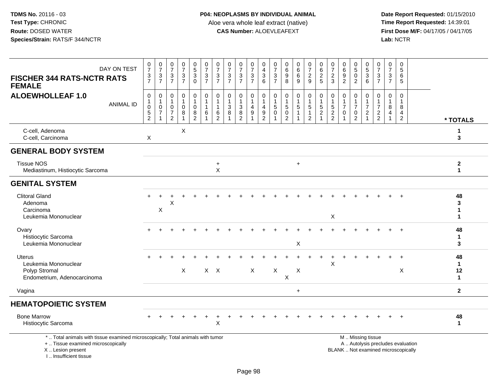**Date Report Requested:** 01/15/2010 **First Dose M/F:** 04/17/05 / 04/17/05<br>Lab: NCTR **Lab:** NCTR

| DAY ON TEST<br><b>FISCHER 344 RATS-NCTR RATS</b><br><b>FEMALE</b>                                                                          | $\frac{0}{7}$<br>$\frac{3}{7}$                                            | $\frac{0}{7}$<br>$\frac{3}{7}$                    | $\begin{array}{c} 0 \\ 7 \end{array}$<br>$\mathbf{3}$<br>$\overline{7}$ | $\frac{0}{7}$<br>$\frac{3}{7}$           | $\begin{matrix} 0 \\ 5 \end{matrix}$<br>$\mathbf{3}$<br>$\Omega$ | $\frac{0}{7}$<br>$\frac{3}{7}$                                             | 0<br>$\overline{7}$<br>3<br>$\overline{7}$ | $\frac{0}{7}$<br>$\mathbf{3}$<br>$\overline{7}$                    | $\frac{0}{7}$<br>$\mathbf{3}$<br>$\overline{7}$       | $\frac{0}{7}$<br>$\sqrt{3}$<br>$\overline{7}$                   | 0<br>$\overline{4}$<br>$\ensuremath{\mathsf{3}}$<br>6 | $\frac{0}{7}$<br>$\sqrt{3}$<br>$\overline{7}$  | $\begin{matrix} 0 \\ 6 \\ 9 \end{matrix}$<br>$\overline{8}$    | 0<br>$6\phantom{a}$<br>6<br>9 | $\frac{0}{7}$<br>$\frac{2}{9}$                                            | 0<br>$\,6\,$<br>$rac{2}{5}$   | $\frac{0}{7}$<br>$\frac{2}{3}$                                 | 0<br>6<br>$\boldsymbol{9}$<br>$\overline{2}$ | $\begin{array}{c} 0 \\ 5 \end{array}$<br>$\mathbf 0$<br>$\overline{2}$ | 0<br>$\,$ 5 $\,$<br>$\mathbf{3}$<br>6      | $\frac{0}{7}$<br>3<br>$\overline{7}$                              | $\frac{0}{7}$<br>$\mathbf{3}$<br>$\overline{7}$ | 0<br>5<br>6<br>5                                                         |                                          |
|--------------------------------------------------------------------------------------------------------------------------------------------|---------------------------------------------------------------------------|---------------------------------------------------|-------------------------------------------------------------------------|------------------------------------------|------------------------------------------------------------------|----------------------------------------------------------------------------|--------------------------------------------|--------------------------------------------------------------------|-------------------------------------------------------|-----------------------------------------------------------------|-------------------------------------------------------|------------------------------------------------|----------------------------------------------------------------|-------------------------------|---------------------------------------------------------------------------|-------------------------------|----------------------------------------------------------------|----------------------------------------------|------------------------------------------------------------------------|--------------------------------------------|-------------------------------------------------------------------|-------------------------------------------------|--------------------------------------------------------------------------|------------------------------------------|
| <b>ALOEWHOLLEAF 1.0</b><br><b>ANIMAL ID</b>                                                                                                | $\pmb{0}$<br>$\mathbf{1}$<br>$\mathbf 0$<br>$\,$ 5 $\,$<br>$\overline{2}$ | $\mathbf 0$<br>1<br>$\mathbf 0$<br>$\overline{7}$ | 0<br>$\mathbf{1}$<br>$\mathbf 0$<br>$\overline{7}$<br>2                 | $\mathbf 0$<br>1<br>$\pmb{0}$<br>$\bf 8$ | 0<br>0<br>8<br>$\overline{2}$                                    | $\pmb{0}$<br>$\overline{1}$<br>$\overline{1}$<br>$\,6\,$<br>$\overline{1}$ | $\mathbf 0$<br>-1<br>6<br>2                | $\mathbf 0$<br>$\mathbf{1}$<br>$\mathbf{3}$<br>8<br>$\overline{1}$ | 0<br>$\ensuremath{\mathsf{3}}$<br>8<br>$\overline{2}$ | $\pmb{0}$<br>$\mathbf{1}$<br>$\overline{4}$<br>$\boldsymbol{9}$ | 0<br>$\mathbf{1}$<br>4<br>9<br>$\overline{2}$         | 0<br>$\mathbf{1}$<br>$\sqrt{5}$<br>$\mathbf 0$ | $\mathbf 0$<br>$\mathbf{1}$<br>$\mathbf 5$<br>$\mathsf 0$<br>2 | 0<br>$\sqrt{5}$               | $\pmb{0}$<br>$\mathbf{1}$<br>$\sqrt{5}$<br>$\mathbf{1}$<br>$\overline{2}$ | 0<br>$\sqrt{5}$<br>$\sqrt{2}$ | $\mathbf 0$<br>$\mathbf{1}$<br>$\overline{5}$<br>$\frac{2}{2}$ | 0<br>$\overline{7}$<br>$\mathbf 0$<br>1      | 0<br>$\mathbf{1}$<br>$\overline{7}$<br>$\mathbf 0$<br>$\overline{2}$   | 0<br>1<br>$\overline{7}$<br>$\overline{2}$ | $\mathbf 0$<br>$\overline{7}$<br>$\overline{c}$<br>$\overline{2}$ | 0<br>$\bf 8$<br>$\overline{4}$                  | $\mathbf 0$<br>8<br>$\overline{4}$<br>$\overline{2}$                     | * TOTALS                                 |
| C-cell, Adenoma<br>C-cell, Carcinoma                                                                                                       | Χ                                                                         |                                                   |                                                                         | X                                        |                                                                  |                                                                            |                                            |                                                                    |                                                       |                                                                 |                                                       |                                                |                                                                |                               |                                                                           |                               |                                                                |                                              |                                                                        |                                            |                                                                   |                                                 |                                                                          | 1<br>3                                   |
| <b>GENERAL BODY SYSTEM</b>                                                                                                                 |                                                                           |                                                   |                                                                         |                                          |                                                                  |                                                                            |                                            |                                                                    |                                                       |                                                                 |                                                       |                                                |                                                                |                               |                                                                           |                               |                                                                |                                              |                                                                        |                                            |                                                                   |                                                 |                                                                          |                                          |
| <b>Tissue NOS</b><br>Mediastinum, Histiocytic Sarcoma                                                                                      |                                                                           |                                                   |                                                                         |                                          |                                                                  |                                                                            | $\ddot{}$<br>$\pmb{\times}$                |                                                                    |                                                       |                                                                 |                                                       |                                                |                                                                | $+$                           |                                                                           |                               |                                                                |                                              |                                                                        |                                            |                                                                   |                                                 |                                                                          | $\mathbf{2}$<br>$\mathbf 1$              |
| <b>GENITAL SYSTEM</b>                                                                                                                      |                                                                           |                                                   |                                                                         |                                          |                                                                  |                                                                            |                                            |                                                                    |                                                       |                                                                 |                                                       |                                                |                                                                |                               |                                                                           |                               |                                                                |                                              |                                                                        |                                            |                                                                   |                                                 |                                                                          |                                          |
| <b>Clitoral Gland</b><br>Adenoma<br>Carcinoma<br>Leukemia Mononuclear                                                                      |                                                                           | X                                                 | X                                                                       |                                          |                                                                  |                                                                            |                                            |                                                                    |                                                       |                                                                 |                                                       |                                                |                                                                |                               |                                                                           |                               | $\pmb{\times}$                                                 |                                              |                                                                        |                                            |                                                                   |                                                 |                                                                          | 48<br>3<br>1<br>1                        |
| Ovary<br>Histiocytic Sarcoma<br>Leukemia Mononuclear                                                                                       |                                                                           |                                                   |                                                                         |                                          |                                                                  |                                                                            |                                            |                                                                    |                                                       |                                                                 |                                                       |                                                |                                                                | X                             |                                                                           |                               |                                                                |                                              |                                                                        |                                            |                                                                   |                                                 |                                                                          | 48<br>1<br>3                             |
| <b>Uterus</b><br>Leukemia Mononuclear<br>Polyp Stromal<br>Endometrium, Adenocarcinoma                                                      |                                                                           |                                                   |                                                                         | X                                        |                                                                  |                                                                            | $X$ $X$                                    |                                                                    |                                                       | $\mathsf{X}$                                                    |                                                       | $\mathsf X$                                    | X                                                              | X                             |                                                                           |                               | Χ                                                              |                                              |                                                                        |                                            |                                                                   |                                                 | $\ddot{}$<br>X                                                           | 48<br>$\mathbf{1}$<br>12<br>$\mathbf{1}$ |
| Vagina                                                                                                                                     |                                                                           |                                                   |                                                                         |                                          |                                                                  |                                                                            |                                            |                                                                    |                                                       |                                                                 |                                                       |                                                |                                                                | $\ddot{}$                     |                                                                           |                               |                                                                |                                              |                                                                        |                                            |                                                                   |                                                 |                                                                          | $\mathbf{2}$                             |
| <b>HEMATOPOIETIC SYSTEM</b>                                                                                                                |                                                                           |                                                   |                                                                         |                                          |                                                                  |                                                                            |                                            |                                                                    |                                                       |                                                                 |                                                       |                                                |                                                                |                               |                                                                           |                               |                                                                |                                              |                                                                        |                                            |                                                                   |                                                 |                                                                          |                                          |
| <b>Bone Marrow</b><br>Histiocytic Sarcoma                                                                                                  |                                                                           |                                                   |                                                                         |                                          |                                                                  |                                                                            | Χ                                          |                                                                    |                                                       |                                                                 |                                                       |                                                |                                                                |                               |                                                                           |                               |                                                                |                                              |                                                                        |                                            |                                                                   |                                                 |                                                                          | 48<br>$\mathbf{1}$                       |
| *  Total animals with tissue examined microscopically; Total animals with tumor<br>+  Tissue examined microscopically<br>X  Lesion present |                                                                           |                                                   |                                                                         |                                          |                                                                  |                                                                            |                                            |                                                                    |                                                       |                                                                 |                                                       |                                                |                                                                |                               |                                                                           |                               |                                                                |                                              |                                                                        | M  Missing tissue                          |                                                                   |                                                 | A  Autolysis precludes evaluation<br>BLANK  Not examined microscopically |                                          |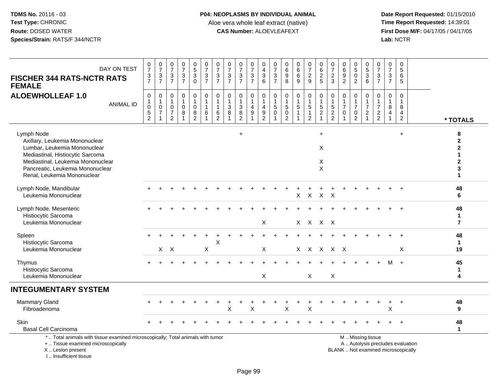I .. Insufficient tissue

| DAY ON TEST<br><b>FISCHER 344 RATS-NCTR RATS</b><br><b>FEMALE</b>                                                                                                                                                        | $\begin{smallmatrix}0\\7\end{smallmatrix}$<br>$\frac{3}{7}$      | $\begin{smallmatrix}0\\7\end{smallmatrix}$<br>$\frac{3}{7}$       | $\frac{0}{7}$<br>3<br>$\overline{7}$                                 | $\frac{0}{7}$<br>$\frac{3}{7}$                       | $\begin{array}{c} 0 \\ 5 \\ 3 \end{array}$<br>$\mathbf 0$     | $\frac{0}{7}$<br>$\frac{3}{7}$         | $\frac{0}{7}$<br>$\frac{3}{7}$                                   | $\frac{0}{7}$<br>$\ensuremath{\mathsf{3}}$<br>$\overline{7}$ | $\frac{0}{7}$<br>$\sqrt{3}$<br>$\overline{7}$                      | $\frac{0}{7}$<br>3<br>$\overline{7}$ | $_4^{\rm O}$<br>$\ensuremath{\mathsf{3}}$<br>6                            | $\frac{0}{7}$<br>$\ensuremath{\mathsf{3}}$<br>$\overline{7}$ | 0<br>$\,6\,$<br>9<br>8                        | $\begin{array}{c} 0 \\ 6 \end{array}$<br>$\,6\,$<br>$\overline{9}$ | $\begin{array}{c} 0 \\ 7 \end{array}$<br>$\frac{2}{9}$            | 0<br>$\overline{6}$<br>$\overline{c}$<br>$5\phantom{1}$               | $\frac{0}{7}$<br>$\frac{2}{3}$       | $\pmb{0}$<br>$\overline{6}$<br>$\boldsymbol{9}$<br>$\overline{2}$ | $\begin{array}{c} 0 \\ 5 \end{array}$<br>$\mathbf 0$<br>$\overline{2}$ | $\begin{array}{c} 0 \\ 5 \end{array}$<br>$\ensuremath{\mathsf{3}}$<br>6         | 0<br>$\overline{7}$<br>$\sqrt{3}$<br>$\overline{7}$    | $\mathbf 0$<br>$\overline{7}$<br>3<br>$\overline{7}$                      | $\mathbf 0$<br>5<br>6<br>5                              |                                   |                                                       |
|--------------------------------------------------------------------------------------------------------------------------------------------------------------------------------------------------------------------------|------------------------------------------------------------------|-------------------------------------------------------------------|----------------------------------------------------------------------|------------------------------------------------------|---------------------------------------------------------------|----------------------------------------|------------------------------------------------------------------|--------------------------------------------------------------|--------------------------------------------------------------------|--------------------------------------|---------------------------------------------------------------------------|--------------------------------------------------------------|-----------------------------------------------|--------------------------------------------------------------------|-------------------------------------------------------------------|-----------------------------------------------------------------------|--------------------------------------|-------------------------------------------------------------------|------------------------------------------------------------------------|---------------------------------------------------------------------------------|--------------------------------------------------------|---------------------------------------------------------------------------|---------------------------------------------------------|-----------------------------------|-------------------------------------------------------|
| <b>ALOEWHOLLEAF 1.0</b><br><b>ANIMAL ID</b>                                                                                                                                                                              | $\boldsymbol{0}$<br>$\overline{1}$<br>$\pmb{0}$<br>$\frac{5}{2}$ | 0<br>$\mathbf{1}$<br>$\mathbf 0$<br>$\overline{7}$<br>$\mathbf 1$ | 0<br>$\mathbf{1}$<br>$\mathbf 0$<br>$\overline{7}$<br>$\overline{2}$ | $\mathbf 0$<br>$\mathbf{1}$<br>$\mathbf 0$<br>8<br>1 | $\pmb{0}$<br>$\mathbf{1}$<br>$\pmb{0}$<br>8<br>$\overline{2}$ | 0<br>$\mathbf{1}$<br>$\mathbf{1}$<br>6 | $\pmb{0}$<br>$\mathbf{1}$<br>$\mathbf{1}$<br>6<br>$\overline{2}$ | 0<br>$\overline{1}$<br>$\mathbf{3}$<br>8                     | $\mathbf 0$<br>$\mathbf{1}$<br>$\mathbf{3}$<br>8<br>$\overline{2}$ | 0<br>$\overline{4}$<br>9             | 0<br>$\mathbf{1}$<br>$\overline{4}$<br>$\boldsymbol{9}$<br>$\overline{2}$ | 0<br>$\mathbf{1}$<br>5<br>$\mathbf 0$<br>1                   | 0<br>$\mathbf{1}$<br>5<br>0<br>$\overline{2}$ | $\pmb{0}$<br>$\mathbf{1}$<br>$\sqrt{5}$<br>$\overline{1}$          | 0<br>$\mathbf{1}$<br>$\sqrt{5}$<br>$\mathbf{1}$<br>$\overline{c}$ | 0<br>$\mathbf{1}$<br>$\overline{5}$<br>$\overline{2}$<br>$\mathbf{1}$ | $\pmb{0}$<br>$\frac{1}{5}$<br>2<br>2 | $\pmb{0}$<br>$\mathbf{1}$<br>$\overline{7}$<br>0<br>-1            | 0<br>$\mathbf{1}$<br>$\overline{7}$<br>0<br>$\overline{2}$             | $\mathbf 0$<br>$\mathbf{1}$<br>$\overline{7}$<br>$\overline{c}$<br>$\mathbf{1}$ | 0<br>$\overline{1}$<br>$\overline{7}$<br>$\frac{2}{2}$ | $\mathbf 0$<br>$\mathbf 1$<br>8<br>$\overline{4}$<br>$\blacktriangleleft$ | $\pmb{0}$<br>$\overline{1}$<br>8<br>4<br>$\overline{2}$ |                                   | * TOTALS                                              |
| Lymph Node<br>Axillary, Leukemia Mononuclear<br>Lumbar, Leukemia Mononuclear<br>Mediastinal, Histiocytic Sarcoma<br>Mediastinal, Leukemia Mononuclear<br>Pancreatic, Leukemia Mononuclear<br>Renal, Leukemia Mononuclear |                                                                  |                                                                   |                                                                      |                                                      |                                                               |                                        |                                                                  |                                                              | $\ddot{}$                                                          |                                      |                                                                           |                                                              |                                               |                                                                    |                                                                   | $\ddot{}$<br>X<br>$\times$<br>X                                       |                                      |                                                                   |                                                                        |                                                                                 |                                                        |                                                                           | $\ddot{}$                                               |                                   | 8<br>$\mathbf{2}$<br>$\mathbf 2$<br>$\mathbf{2}$<br>3 |
| Lymph Node, Mandibular<br>Leukemia Mononuclear                                                                                                                                                                           |                                                                  |                                                                   |                                                                      |                                                      |                                                               |                                        |                                                                  |                                                              |                                                                    |                                      |                                                                           |                                                              |                                               | X                                                                  | $\boldsymbol{\mathsf{X}}$                                         | $\mathsf{X}$                                                          | $\times$                             |                                                                   |                                                                        |                                                                                 |                                                        |                                                                           |                                                         |                                   | 48<br>6                                               |
| Lymph Node, Mesenteric<br>Histiocytic Sarcoma<br>Leukemia Mononuclear                                                                                                                                                    |                                                                  |                                                                   |                                                                      |                                                      |                                                               |                                        |                                                                  |                                                              |                                                                    |                                      | X                                                                         |                                                              |                                               |                                                                    | X X X X                                                           |                                                                       |                                      |                                                                   |                                                                        |                                                                                 |                                                        |                                                                           |                                                         |                                   | 48<br>$\mathbf{1}$<br>$\overline{7}$                  |
| Spleen<br>Histiocytic Sarcoma<br>Leukemia Mononuclear                                                                                                                                                                    |                                                                  |                                                                   | $X$ $X$                                                              |                                                      |                                                               | X                                      | X                                                                |                                                              |                                                                    |                                      | X                                                                         |                                                              |                                               |                                                                    | X X X X X                                                         |                                                                       |                                      |                                                                   |                                                                        |                                                                                 |                                                        |                                                                           | X                                                       |                                   | 48<br>$\mathbf{1}$<br>19                              |
| Thymus<br>Histiocytic Sarcoma<br>Leukemia Mononuclear                                                                                                                                                                    |                                                                  |                                                                   |                                                                      |                                                      |                                                               |                                        |                                                                  |                                                              |                                                                    |                                      | X                                                                         |                                                              |                                               |                                                                    | $\sf X$                                                           |                                                                       | $\sf X$                              |                                                                   |                                                                        |                                                                                 |                                                        | M                                                                         | $+$                                                     |                                   | 45<br>$\mathbf 1$<br>4                                |
| <b>INTEGUMENTARY SYSTEM</b>                                                                                                                                                                                              |                                                                  |                                                                   |                                                                      |                                                      |                                                               |                                        |                                                                  |                                                              |                                                                    |                                      |                                                                           |                                                              |                                               |                                                                    |                                                                   |                                                                       |                                      |                                                                   |                                                                        |                                                                                 |                                                        |                                                                           |                                                         |                                   |                                                       |
| <b>Mammary Gland</b><br>Fibroadenoma                                                                                                                                                                                     |                                                                  |                                                                   |                                                                      |                                                      |                                                               |                                        |                                                                  | X                                                            |                                                                    | Χ                                    |                                                                           |                                                              | Х                                             |                                                                    | X                                                                 |                                                                       |                                      |                                                                   |                                                                        |                                                                                 |                                                        | $\ddot{}$<br>Χ                                                            | $\ddot{}$                                               |                                   | 48<br>9                                               |
| Skin<br><b>Basal Cell Carcinoma</b>                                                                                                                                                                                      |                                                                  |                                                                   |                                                                      |                                                      |                                                               |                                        |                                                                  |                                                              |                                                                    |                                      |                                                                           |                                                              |                                               |                                                                    |                                                                   |                                                                       |                                      |                                                                   |                                                                        |                                                                                 |                                                        |                                                                           |                                                         |                                   | 48<br>$\mathbf{1}$                                    |
| *  Total animals with tissue examined microscopically; Total animals with tumor<br>+  Tissue examined microscopically<br>X  Lesion present                                                                               |                                                                  |                                                                   |                                                                      |                                                      |                                                               |                                        |                                                                  |                                                              |                                                                    |                                      |                                                                           |                                                              |                                               |                                                                    |                                                                   |                                                                       |                                      | BLANK  Not examined microscopically                               |                                                                        | M  Missing tissue                                                               |                                                        |                                                                           |                                                         | A  Autolysis precludes evaluation |                                                       |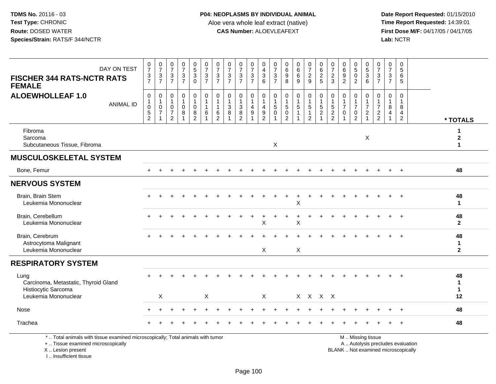I .. Insufficient tissue

| DAY ON TEST<br><b>FISCHER 344 RATS-NCTR RATS</b><br><b>FEMALE</b>                                                                          | $\frac{0}{7}$<br>$\frac{3}{7}$ | $\frac{0}{7}$<br>$\frac{3}{7}$                                               | $\begin{array}{c} 0 \\ 7 \end{array}$<br>$\ensuremath{\mathsf{3}}$<br>$\overline{7}$ | 0<br>$\overline{7}$<br>3<br>$\overline{7}$ | $\begin{array}{c} 0 \\ 5 \end{array}$<br>$\sqrt{3}$<br>$\Omega$             | $\begin{smallmatrix}0\\7\end{smallmatrix}$<br>$\mathbf{3}$<br>$\overline{7}$ | $\frac{0}{7}$<br>$\ensuremath{\mathsf{3}}$<br>$\overline{7}$                     | $\frac{0}{7}$<br>3<br>$\overline{7}$   | 0<br>$\overline{7}$<br>$\sqrt{3}$<br>$\overline{7}$                  | $\begin{array}{c} 0 \\ 7 \end{array}$<br>$\ensuremath{\mathsf{3}}$<br>$\overline{7}$ | 0<br>4<br>$\ensuremath{\mathsf{3}}$<br>6  | 0<br>$\overline{7}$<br>$\frac{3}{7}$             | 0<br>$\,6\,$<br>$9\,$<br>8                                          | 0<br>$\,6\,$<br>6<br>9               | $\frac{0}{7}$<br>$\frac{2}{9}$                           | $\begin{array}{c} 0 \\ 6 \end{array}$<br>$\overline{2}$<br>5 | $\frac{0}{7}$<br>$\sqrt{2}$<br>3                             | $\begin{array}{c} 0 \\ 6 \end{array}$<br>$\frac{9}{2}$                         | 0<br>$\overline{5}$<br>$\pmb{0}$<br>$\overline{2}$                             | $\begin{array}{c} 0 \\ 5 \end{array}$<br>$\ensuremath{\mathsf{3}}$<br>6 | 0<br>$\overline{7}$<br>$\mathbf{3}$<br>$\overline{7}$ | 0<br>$\overline{7}$<br>3<br>$\overline{7}$              | 0<br>5<br>6<br>5                           |                                                                          |                                            |
|--------------------------------------------------------------------------------------------------------------------------------------------|--------------------------------|------------------------------------------------------------------------------|--------------------------------------------------------------------------------------|--------------------------------------------|-----------------------------------------------------------------------------|------------------------------------------------------------------------------|----------------------------------------------------------------------------------|----------------------------------------|----------------------------------------------------------------------|--------------------------------------------------------------------------------------|-------------------------------------------|--------------------------------------------------|---------------------------------------------------------------------|--------------------------------------|----------------------------------------------------------|--------------------------------------------------------------|--------------------------------------------------------------|--------------------------------------------------------------------------------|--------------------------------------------------------------------------------|-------------------------------------------------------------------------|-------------------------------------------------------|---------------------------------------------------------|--------------------------------------------|--------------------------------------------------------------------------|--------------------------------------------|
| <b>ALOEWHOLLEAF 1.0</b><br><b>ANIMAL ID</b>                                                                                                | 0<br>0<br>5<br>$\overline{2}$  | 0<br>$\mathbf{1}$<br>$\begin{array}{c} 0 \\ 7 \end{array}$<br>$\overline{1}$ | 0<br>$\mathbf{1}$<br>$\mathbf 0$<br>$\overline{7}$<br>$\overline{2}$                 | 0<br>$\mathbf 0$<br>8                      | $\mathbf 0$<br>$\overline{1}$<br>$\mathsf{O}\xspace$<br>8<br>$\overline{2}$ | 0<br>$\mathbf{1}$<br>$\mathbf{1}$<br>6                                       | $\pmb{0}$<br>$\overline{1}$<br>$\mathbf{1}$<br>$6\phantom{1}6$<br>$\overline{2}$ | 0<br>$\mathbf{1}$<br>$\mathbf{3}$<br>8 | $\mathbf 0$<br>$\overline{1}$<br>$\mathbf{3}$<br>8<br>$\overline{2}$ | $\mathbf 0$<br>$\mathbf{1}$<br>$\overline{4}$<br>9                                   | $\mathbf 0$<br>4<br>$\boldsymbol{9}$<br>2 | 0<br>$\overline{1}$<br>$\sqrt{5}$<br>$\mathbf 0$ | $\mathbf 0$<br>$\overline{1}$<br>5<br>$\mathbf 0$<br>$\overline{2}$ | $\mathbf 0$<br>1<br>$\sqrt{5}$<br>-1 | 0<br>$\mathbf{1}$<br>5<br>$\mathbf{1}$<br>$\overline{2}$ | $\pmb{0}$<br>$\frac{1}{5}$<br>$\overline{1}$                 | $\pmb{0}$<br>$\mathbf{1}$<br>$\frac{5}{2}$<br>$\overline{2}$ | $\mathbf 0$<br>$\mathbf{1}$<br>$\overline{7}$<br>$\mathbf 0$<br>$\overline{ }$ | $\mathbf 0$<br>$\mathbf{1}$<br>$\overline{7}$<br>$\mathbf 0$<br>$\overline{2}$ | 0<br>$\mathbf{1}$<br>$\overline{7}$<br>$\overline{c}$<br>$\mathbf{1}$   | 0<br>$\mathbf{1}$<br>$\overline{7}$<br>$\frac{2}{2}$  | $\mathbf 0$<br>$\mathbf{1}$<br>8<br>$\overline{4}$<br>1 | $\Omega$<br>-1<br>8<br>4<br>$\overline{2}$ |                                                                          | * TOTALS                                   |
| Fibroma<br>Sarcoma<br>Subcutaneous Tissue, Fibroma                                                                                         |                                |                                                                              |                                                                                      |                                            |                                                                             |                                                                              |                                                                                  |                                        |                                                                      |                                                                                      |                                           | $\boldsymbol{\mathsf{X}}$                        |                                                                     |                                      |                                                          |                                                              |                                                              |                                                                                |                                                                                | X                                                                       |                                                       |                                                         |                                            |                                                                          | 1<br>$\mathbf{2}$<br>$\mathbf{1}$          |
| <b>MUSCULOSKELETAL SYSTEM</b>                                                                                                              |                                |                                                                              |                                                                                      |                                            |                                                                             |                                                                              |                                                                                  |                                        |                                                                      |                                                                                      |                                           |                                                  |                                                                     |                                      |                                                          |                                                              |                                                              |                                                                                |                                                                                |                                                                         |                                                       |                                                         |                                            |                                                                          |                                            |
| Bone, Femur                                                                                                                                |                                |                                                                              |                                                                                      |                                            |                                                                             |                                                                              |                                                                                  |                                        |                                                                      |                                                                                      |                                           |                                                  |                                                                     |                                      |                                                          |                                                              |                                                              |                                                                                |                                                                                |                                                                         |                                                       | $+$                                                     | $+$                                        |                                                                          | 48                                         |
| <b>NERVOUS SYSTEM</b>                                                                                                                      |                                |                                                                              |                                                                                      |                                            |                                                                             |                                                                              |                                                                                  |                                        |                                                                      |                                                                                      |                                           |                                                  |                                                                     |                                      |                                                          |                                                              |                                                              |                                                                                |                                                                                |                                                                         |                                                       |                                                         |                                            |                                                                          |                                            |
| Brain, Brain Stem<br>Leukemia Mononuclear                                                                                                  |                                |                                                                              |                                                                                      |                                            |                                                                             |                                                                              |                                                                                  |                                        |                                                                      |                                                                                      |                                           |                                                  |                                                                     | Χ                                    | $\overline{1}$                                           |                                                              |                                                              |                                                                                |                                                                                |                                                                         |                                                       |                                                         |                                            |                                                                          | 48<br>$\mathbf{1}$                         |
| Brain, Cerebellum<br>Leukemia Mononuclear                                                                                                  |                                |                                                                              |                                                                                      |                                            |                                                                             |                                                                              |                                                                                  |                                        |                                                                      |                                                                                      | X                                         |                                                  |                                                                     | X                                    |                                                          |                                                              |                                                              |                                                                                |                                                                                |                                                                         |                                                       |                                                         |                                            |                                                                          | 48<br>$\overline{2}$                       |
| Brain, Cerebrum<br>Astrocytoma Malignant<br>Leukemia Mononuclear                                                                           |                                |                                                                              |                                                                                      |                                            |                                                                             |                                                                              |                                                                                  |                                        |                                                                      |                                                                                      | X                                         |                                                  |                                                                     | $\sf X$                              |                                                          |                                                              |                                                              |                                                                                |                                                                                |                                                                         |                                                       |                                                         |                                            |                                                                          | 48<br>$\mathbf{1}$<br>$\overline{2}$       |
| <b>RESPIRATORY SYSTEM</b>                                                                                                                  |                                |                                                                              |                                                                                      |                                            |                                                                             |                                                                              |                                                                                  |                                        |                                                                      |                                                                                      |                                           |                                                  |                                                                     |                                      |                                                          |                                                              |                                                              |                                                                                |                                                                                |                                                                         |                                                       |                                                         |                                            |                                                                          |                                            |
| Lung<br>Carcinoma, Metastatic, Thyroid Gland<br>Histiocytic Sarcoma                                                                        |                                |                                                                              |                                                                                      |                                            |                                                                             |                                                                              |                                                                                  |                                        |                                                                      |                                                                                      |                                           |                                                  |                                                                     |                                      |                                                          |                                                              |                                                              |                                                                                |                                                                                |                                                                         |                                                       |                                                         |                                            |                                                                          | 48<br>$\blacktriangleleft$<br>$\mathbf{1}$ |
| Leukemia Mononuclear                                                                                                                       |                                | X                                                                            |                                                                                      |                                            |                                                                             | X                                                                            |                                                                                  |                                        |                                                                      |                                                                                      | X                                         |                                                  |                                                                     |                                      | X X X X                                                  |                                                              |                                                              |                                                                                |                                                                                |                                                                         |                                                       |                                                         |                                            |                                                                          | 12                                         |
| Nose                                                                                                                                       |                                |                                                                              |                                                                                      |                                            |                                                                             |                                                                              |                                                                                  |                                        |                                                                      |                                                                                      |                                           |                                                  |                                                                     |                                      |                                                          |                                                              |                                                              |                                                                                |                                                                                |                                                                         |                                                       |                                                         |                                            |                                                                          | 48                                         |
| Trachea                                                                                                                                    |                                |                                                                              |                                                                                      |                                            |                                                                             |                                                                              |                                                                                  |                                        |                                                                      |                                                                                      |                                           |                                                  |                                                                     |                                      |                                                          |                                                              |                                                              |                                                                                |                                                                                |                                                                         |                                                       |                                                         |                                            |                                                                          | 48                                         |
| *  Total animals with tissue examined microscopically; Total animals with tumor<br>+  Tissue examined microscopically<br>X  Lesion present |                                |                                                                              |                                                                                      |                                            |                                                                             |                                                                              |                                                                                  |                                        |                                                                      |                                                                                      |                                           |                                                  |                                                                     |                                      |                                                          |                                                              |                                                              |                                                                                |                                                                                | M  Missing tissue                                                       |                                                       |                                                         |                                            | A  Autolysis precludes evaluation<br>BLANK  Not examined microscopically |                                            |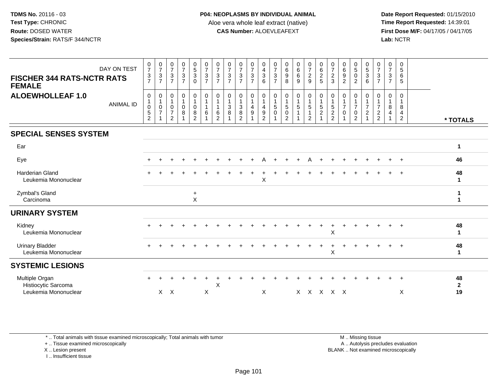**Date Report Requested:** 01/15/2010 **First Dose M/F:** 04/17/05 / 04/17/05 Lab: NCTR **Lab:** NCTR

| DAY ON TEST<br><b>FISCHER 344 RATS-NCTR RATS</b><br><b>FEMALE</b> | $\frac{0}{7}$<br>3<br>$\overline{7}$    | $\frac{0}{7}$<br>$\frac{3}{7}$                           | $\frac{0}{7}$<br>$\frac{3}{7}$                                     | $\frac{0}{7}$<br>$\mathbf{3}$<br>$\overline{7}$ | $\begin{array}{c} 0 \\ 5 \\ 3 \end{array}$<br>$\mathbf 0$                      | $\frac{0}{7}$<br>$\sqrt{3}$<br>$\overline{7}$ | $\frac{0}{7}$<br>$\sqrt{3}$<br>$\overline{7}$     | $\frac{0}{7}$<br>3<br>$\overline{7}$ | $\frac{0}{7}$<br>$\ensuremath{\mathsf{3}}$<br>$\overline{7}$    | $\frac{0}{7}$<br>$\mathbf{3}$<br>$\overline{7}$         | 0<br>$\overline{4}$<br>$\mathbf{3}$<br>6 | $\frac{0}{7}$<br>$\sqrt{3}$<br>$\overline{7}$        | $\begin{matrix} 0 \\ 6 \end{matrix}$<br>$\boldsymbol{9}$<br>8     | $\begin{array}{c} 0 \\ 6 \end{array}$<br>$\,6\,$<br>$9\,$                                | $\frac{0}{7}$<br>$\overline{c}$<br>9 | $\begin{matrix} 0 \\ 6 \end{matrix}$<br>$\overline{c}$<br>5 | $\frac{0}{7}$<br>$\frac{2}{3}$     | $\begin{matrix} 0 \\ 6 \end{matrix}$<br>$\boldsymbol{9}$<br>$\overline{2}$ | $\begin{array}{c} 0 \\ 5 \\ 0 \end{array}$<br>$\overline{2}$                          | $\frac{0}{5}$<br>$\sqrt{3}$<br>6                    | $\frac{0}{7}$<br>$\sqrt{3}$<br>$\overline{7}$          | $\frac{0}{7}$<br>$\mathbf{3}$<br>$\overline{7}$          | $\begin{array}{c} 0 \\ 5 \end{array}$<br>6<br>$5\phantom{.0}$ |                          |
|-------------------------------------------------------------------|-----------------------------------------|----------------------------------------------------------|--------------------------------------------------------------------|-------------------------------------------------|--------------------------------------------------------------------------------|-----------------------------------------------|---------------------------------------------------|--------------------------------------|-----------------------------------------------------------------|---------------------------------------------------------|------------------------------------------|------------------------------------------------------|-------------------------------------------------------------------|------------------------------------------------------------------------------------------|--------------------------------------|-------------------------------------------------------------|------------------------------------|----------------------------------------------------------------------------|---------------------------------------------------------------------------------------|-----------------------------------------------------|--------------------------------------------------------|----------------------------------------------------------|---------------------------------------------------------------|--------------------------|
| <b>ALOEWHOLLEAF 1.0</b><br><b>ANIMAL ID</b>                       | $\mathbf 0$<br>0<br>5<br>$\overline{2}$ | $\pmb{0}$<br>$\mathbf{1}$<br>$\pmb{0}$<br>$\overline{7}$ | 0<br>$\mathbf{1}$<br>$\pmb{0}$<br>$\overline{7}$<br>$\overline{2}$ | 0<br>0<br>$\bf 8$                               | $\boldsymbol{0}$<br>$\mathbf{1}$<br>$\begin{array}{c} 0 \\ 8 \\ 2 \end{array}$ | 0<br>$\mathbf{1}$<br>$\mathbf{1}$<br>6        | 0<br>$\mathbf{1}$<br>$\mathbf{1}$<br>$\,6\,$<br>2 | 0<br>$\ensuremath{\mathsf{3}}$<br>8  | 0<br>$\mathbf{1}$<br>$\begin{array}{c} 3 \\ 8 \\ 2 \end{array}$ | $\pmb{0}$<br>$\mathbf{1}$<br>4<br>$\boldsymbol{9}$<br>1 | 0<br>$\overline{4}$<br>$\frac{9}{2}$     | 0<br>$\begin{array}{c} 1 \\ 5 \\ 0 \end{array}$<br>1 | 0<br>$\overline{1}$<br>$\,$ 5 $\,$<br>$\pmb{0}$<br>$\overline{2}$ | $\begin{smallmatrix}0\\1\end{smallmatrix}$<br>$\sqrt{5}$<br>$\mathbf{1}$<br>$\mathbf{1}$ | 0<br>5<br>2                          | 0<br>$\mathbf{1}$<br>$\frac{5}{2}$<br>$\overline{1}$        | 0<br>$\mathbf{1}$<br>$\frac{5}{2}$ | 0<br>$\overline{7}$<br>$\mathbf 0$                                         | 0<br>$\overline{1}$<br>$\overline{7}$<br>$\begin{smallmatrix} 0\\2 \end{smallmatrix}$ | 0<br>$\overline{7}$<br>$\sqrt{2}$<br>$\overline{1}$ | 0<br>$\overline{1}$<br>$\overline{7}$<br>$\frac{2}{2}$ | 0<br>$\mathbf{1}$<br>8<br>$\overline{4}$<br>$\mathbf{1}$ | 0<br>$\mathbf{1}$<br>8<br>$\overline{4}$<br>$\overline{2}$    | * TOTALS                 |
| <b>SPECIAL SENSES SYSTEM</b>                                      |                                         |                                                          |                                                                    |                                                 |                                                                                |                                               |                                                   |                                      |                                                                 |                                                         |                                          |                                                      |                                                                   |                                                                                          |                                      |                                                             |                                    |                                                                            |                                                                                       |                                                     |                                                        |                                                          |                                                               |                          |
| Ear                                                               |                                         |                                                          |                                                                    |                                                 |                                                                                |                                               |                                                   |                                      |                                                                 |                                                         |                                          |                                                      |                                                                   |                                                                                          |                                      |                                                             |                                    |                                                                            |                                                                                       |                                                     |                                                        |                                                          |                                                               | $\mathbf 1$              |
| Eye                                                               |                                         |                                                          |                                                                    |                                                 |                                                                                |                                               |                                                   |                                      |                                                                 |                                                         |                                          |                                                      |                                                                   |                                                                                          |                                      |                                                             |                                    |                                                                            |                                                                                       |                                                     |                                                        |                                                          |                                                               | 46                       |
| Harderian Gland<br>Leukemia Mononuclear                           |                                         |                                                          |                                                                    |                                                 |                                                                                |                                               |                                                   |                                      |                                                                 |                                                         | X                                        |                                                      |                                                                   |                                                                                          |                                      |                                                             |                                    |                                                                            |                                                                                       |                                                     |                                                        |                                                          |                                                               | 48<br>1                  |
| Zymbal's Gland<br>Carcinoma                                       |                                         |                                                          |                                                                    |                                                 | $\ddot{}$<br>X                                                                 |                                               |                                                   |                                      |                                                                 |                                                         |                                          |                                                      |                                                                   |                                                                                          |                                      |                                                             |                                    |                                                                            |                                                                                       |                                                     |                                                        |                                                          |                                                               | 1                        |
| <b>URINARY SYSTEM</b>                                             |                                         |                                                          |                                                                    |                                                 |                                                                                |                                               |                                                   |                                      |                                                                 |                                                         |                                          |                                                      |                                                                   |                                                                                          |                                      |                                                             |                                    |                                                                            |                                                                                       |                                                     |                                                        |                                                          |                                                               |                          |
| Kidney<br>Leukemia Mononuclear                                    |                                         |                                                          |                                                                    |                                                 |                                                                                |                                               |                                                   |                                      |                                                                 |                                                         |                                          |                                                      |                                                                   |                                                                                          |                                      |                                                             | X                                  |                                                                            |                                                                                       |                                                     |                                                        | $\ddot{}$                                                | $+$                                                           | 48<br>1                  |
| <b>Urinary Bladder</b><br>Leukemia Mononuclear                    | $\div$                                  |                                                          |                                                                    |                                                 |                                                                                |                                               |                                                   |                                      |                                                                 |                                                         |                                          |                                                      |                                                                   |                                                                                          |                                      |                                                             | $\pmb{\times}$                     |                                                                            |                                                                                       |                                                     |                                                        | $+$                                                      | $+$                                                           | 48<br>1                  |
| <b>SYSTEMIC LESIONS</b>                                           |                                         |                                                          |                                                                    |                                                 |                                                                                |                                               |                                                   |                                      |                                                                 |                                                         |                                          |                                                      |                                                                   |                                                                                          |                                      |                                                             |                                    |                                                                            |                                                                                       |                                                     |                                                        |                                                          |                                                               |                          |
| Multiple Organ<br>Histiocytic Sarcoma<br>Leukemia Mononuclear     |                                         |                                                          | $X$ $X$                                                            |                                                 |                                                                                | X                                             | X                                                 |                                      |                                                                 |                                                         | X                                        |                                                      |                                                                   |                                                                                          | x x x x x                            |                                                             |                                    |                                                                            |                                                                                       |                                                     |                                                        | ÷                                                        | $+$<br>X                                                      | 48<br>$\mathbf{2}$<br>19 |
|                                                                   |                                         |                                                          |                                                                    |                                                 |                                                                                |                                               |                                                   |                                      |                                                                 |                                                         |                                          |                                                      |                                                                   |                                                                                          |                                      |                                                             |                                    |                                                                            |                                                                                       |                                                     |                                                        |                                                          |                                                               |                          |

\* .. Total animals with tissue examined microscopically; Total animals with tumor

+ .. Tissue examined microscopically

X .. Lesion present

I .. Insufficient tissue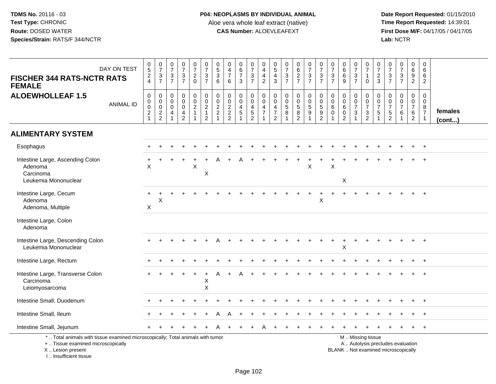| DAY ON TEST<br><b>FISCHER 344 RATS-NCTR RATS</b><br><b>FEMALE</b>                                                                                                     | $\begin{array}{c} 0 \\ 5 \end{array}$<br>$\frac{2}{4}$          | $\begin{smallmatrix}0\\7\end{smallmatrix}$<br>$\frac{3}{7}$ | $\frac{0}{7}$<br>$\frac{3}{7}$                                                        | $\frac{0}{7}$<br>$\frac{3}{7}$                                                     | $\begin{array}{c} 0 \\ 7 \\ 2 \\ 0 \end{array}$                              | $\frac{0}{7}$<br>$\frac{3}{7}$                    | $\begin{array}{c} 0 \\ 5 \end{array}$<br>$\sqrt{3}$<br>6    | $\pmb{0}$<br>$\frac{4}{7}$<br>6             | $_{6}^{\rm 0}$<br>$\overline{7}$<br>3                                | $\frac{0}{7}$<br>$\frac{3}{7}$              | $\begin{smallmatrix}0\0\4\end{smallmatrix}$<br>$\overline{4}$<br>$\overline{2}$               | $\begin{array}{c} 0 \\ 5 \\ 4 \end{array}$<br>$\overline{3}$           | $\frac{0}{7}$<br>$\frac{3}{7}$                                                      | $062$<br>$7$                    | $\begin{array}{c} 0 \\ 7 \end{array}$<br>$\frac{3}{7}$                           | $\frac{0}{7}$<br>$\frac{3}{7}$                                    | $\begin{smallmatrix}0\\7\end{smallmatrix}$<br>$\frac{3}{7}$                 | $_{6}^{\rm 0}$<br>$\,6\,$<br>$\overline{9}$                                | $\frac{0}{7}$<br>$\frac{3}{7}$                                                            | $\frac{0}{7}$<br>$\mathbf{1}$<br>$\mathbf 0$      | 0<br>$\overline{7}$<br>$\frac{2}{3}$                                             | $\frac{0}{7}$<br>$\frac{3}{7}$                                           | $\frac{0}{7}$<br>$\frac{3}{7}$                                          | $\begin{array}{c} 0 \\ 6 \end{array}$<br>$\frac{9}{2}$        | $\mathbf 0$<br>$\,6\,$<br>$\,6\,$<br>$\boldsymbol{2}$             |                   |
|-----------------------------------------------------------------------------------------------------------------------------------------------------------------------|-----------------------------------------------------------------|-------------------------------------------------------------|---------------------------------------------------------------------------------------|------------------------------------------------------------------------------------|------------------------------------------------------------------------------|---------------------------------------------------|-------------------------------------------------------------|---------------------------------------------|----------------------------------------------------------------------|---------------------------------------------|-----------------------------------------------------------------------------------------------|------------------------------------------------------------------------|-------------------------------------------------------------------------------------|---------------------------------|----------------------------------------------------------------------------------|-------------------------------------------------------------------|-----------------------------------------------------------------------------|----------------------------------------------------------------------------|-------------------------------------------------------------------------------------------|---------------------------------------------------|----------------------------------------------------------------------------------|--------------------------------------------------------------------------|-------------------------------------------------------------------------|---------------------------------------------------------------|-------------------------------------------------------------------|-------------------|
| <b>ALOEWHOLLEAF 1.5</b><br><b>ANIMAL ID</b>                                                                                                                           | $\boldsymbol{0}$<br>$\mathbf 0$<br>$\mathbf 0$<br>$\frac{2}{1}$ | $\mathbf 0$<br>$\mathbf 0$<br>$\mathbf 0$<br>$\frac{2}{2}$  | $\mathsf{O}\xspace$<br>$\mathbf 0$<br>$\mathbf 0$<br>$\overline{4}$<br>$\overline{1}$ | $\mathsf{O}$<br>$\overline{0}$<br>$\mathsf{O}$<br>$\overline{4}$<br>$\overline{2}$ | $\mathsf{O}\xspace$<br>$\ddot{\mathbf{0}}$<br>$\overline{2}$<br>$\mathbf{1}$ | $\pmb{0}$<br>$\frac{0}{2}$<br>1<br>$\overline{2}$ | $\mathbf 0$<br>$\pmb{0}$<br>$\frac{2}{2}$<br>$\overline{1}$ | $\mathbf 0$<br>$\mathbf 0$<br>$\frac{2}{2}$ | 0<br>$\mathbf 0$<br>$\overline{4}$<br>$\overline{5}$<br>$\mathbf{1}$ | $\mathsf 0$<br>$\mathbf 0$<br>$\frac{4}{5}$ | $\pmb{0}$<br>$\ddot{\mathbf{0}}$<br>$\overline{\mathbf{4}}$<br>$\overline{7}$<br>$\mathbf{1}$ | $\mathsf{O}\xspace$<br>$\mathsf{O}\xspace$<br>4<br>$\overline{7}$<br>2 | $\pmb{0}$<br>$\overline{0}$<br>$\overline{5}$<br>$\,8\,$<br>$\overline{\mathbf{1}}$ | 0<br>$\pmb{0}$<br>$\frac{5}{2}$ | $\pmb{0}$<br>$\mathbf 0$<br>$\overline{5}$<br>$\boldsymbol{9}$<br>$\overline{1}$ | $\mathsf{O}\xspace$<br>$\begin{array}{c} 0 \\ 5 \\ 2 \end{array}$ | $\mathbf 0$<br>$\mathbf 0$<br>$6\phantom{1}$<br>$\mathbf 0$<br>$\mathbf{1}$ | $\mathsf{O}\xspace$<br>$\pmb{0}$<br>$\,6\,$<br>$\pmb{0}$<br>$\overline{2}$ | 0<br>$\mathsf{O}\xspace$<br>$\overline{7}$<br>$\ensuremath{\mathsf{3}}$<br>$\overline{1}$ | 0<br>$\pmb{0}$<br>$\overline{7}$<br>$\frac{3}{2}$ | $\boldsymbol{0}$<br>$\mathbf 0$<br>$\overline{7}$<br>$\mathbf 5$<br>$\mathbf{1}$ | $\pmb{0}$<br>$\mathbf 0$<br>$\overline{7}$<br>$\frac{5}{2}$              | $\mathbf 0$<br>$\mathbf 0$<br>$\overline{7}$<br>$\,6\,$<br>$\mathbf{1}$ | $\mathsf 0$<br>$\mathbf 0$<br>$\overline{7}$<br>$\frac{6}{2}$ | $\mathbf 0$<br>$\mathbf 0$<br>8<br>$\overline{7}$<br>$\mathbf{1}$ | females<br>(cont) |
| <b>ALIMENTARY SYSTEM</b>                                                                                                                                              |                                                                 |                                                             |                                                                                       |                                                                                    |                                                                              |                                                   |                                                             |                                             |                                                                      |                                             |                                                                                               |                                                                        |                                                                                     |                                 |                                                                                  |                                                                   |                                                                             |                                                                            |                                                                                           |                                                   |                                                                                  |                                                                          |                                                                         |                                                               |                                                                   |                   |
| Esophagus                                                                                                                                                             |                                                                 |                                                             |                                                                                       |                                                                                    |                                                                              |                                                   |                                                             |                                             |                                                                      |                                             |                                                                                               |                                                                        |                                                                                     |                                 |                                                                                  |                                                                   |                                                                             |                                                                            |                                                                                           |                                                   |                                                                                  |                                                                          |                                                                         |                                                               |                                                                   |                   |
| Intestine Large, Ascending Colon<br>Adenoma<br>Carcinoma                                                                                                              | $\times$                                                        |                                                             |                                                                                       |                                                                                    | X                                                                            | X                                                 |                                                             |                                             |                                                                      |                                             |                                                                                               |                                                                        |                                                                                     |                                 | $\times$                                                                         |                                                                   | $\times$                                                                    |                                                                            |                                                                                           |                                                   |                                                                                  |                                                                          |                                                                         |                                                               |                                                                   |                   |
| Leukemia Mononuclear                                                                                                                                                  |                                                                 |                                                             |                                                                                       |                                                                                    |                                                                              |                                                   |                                                             |                                             |                                                                      |                                             |                                                                                               |                                                                        |                                                                                     |                                 |                                                                                  |                                                                   |                                                                             | X                                                                          |                                                                                           |                                                   |                                                                                  |                                                                          |                                                                         |                                                               |                                                                   |                   |
| Intestine Large, Cecum<br>Adenoma<br>Adenoma, Multiple                                                                                                                | ÷<br>X                                                          | Χ                                                           |                                                                                       |                                                                                    |                                                                              |                                                   |                                                             |                                             |                                                                      |                                             |                                                                                               |                                                                        |                                                                                     |                                 |                                                                                  | $\overline{1}$<br>Χ                                               |                                                                             |                                                                            |                                                                                           |                                                   |                                                                                  |                                                                          |                                                                         |                                                               |                                                                   |                   |
| Intestine Large, Colon<br>Adenoma                                                                                                                                     |                                                                 |                                                             |                                                                                       |                                                                                    |                                                                              |                                                   |                                                             |                                             |                                                                      |                                             |                                                                                               |                                                                        |                                                                                     |                                 |                                                                                  |                                                                   |                                                                             |                                                                            |                                                                                           |                                                   |                                                                                  |                                                                          |                                                                         |                                                               |                                                                   |                   |
| Intestine Large, Descending Colon<br>Leukemia Mononuclear                                                                                                             |                                                                 |                                                             |                                                                                       |                                                                                    |                                                                              |                                                   |                                                             |                                             |                                                                      |                                             |                                                                                               |                                                                        |                                                                                     |                                 |                                                                                  |                                                                   |                                                                             | $\ddot{}$<br>X                                                             |                                                                                           |                                                   |                                                                                  |                                                                          |                                                                         |                                                               | $+$                                                               |                   |
| Intestine Large, Rectum                                                                                                                                               |                                                                 |                                                             |                                                                                       |                                                                                    |                                                                              |                                                   |                                                             |                                             |                                                                      |                                             |                                                                                               |                                                                        |                                                                                     |                                 |                                                                                  |                                                                   |                                                                             |                                                                            |                                                                                           |                                                   |                                                                                  |                                                                          |                                                                         |                                                               | $+$                                                               |                   |
| Intestine Large, Transverse Colon<br>Carcinoma<br>Leiomyosarcoma                                                                                                      |                                                                 |                                                             |                                                                                       |                                                                                    |                                                                              | Χ<br>X                                            |                                                             |                                             |                                                                      |                                             |                                                                                               |                                                                        |                                                                                     |                                 |                                                                                  |                                                                   |                                                                             |                                                                            |                                                                                           |                                                   |                                                                                  |                                                                          |                                                                         |                                                               |                                                                   |                   |
| Intestine Small, Duodenum                                                                                                                                             |                                                                 |                                                             |                                                                                       |                                                                                    |                                                                              |                                                   |                                                             |                                             |                                                                      |                                             |                                                                                               |                                                                        |                                                                                     |                                 |                                                                                  |                                                                   |                                                                             |                                                                            |                                                                                           |                                                   |                                                                                  |                                                                          |                                                                         |                                                               | $+$                                                               |                   |
| Intestine Small, Ileum                                                                                                                                                |                                                                 |                                                             |                                                                                       |                                                                                    |                                                                              |                                                   |                                                             |                                             |                                                                      |                                             |                                                                                               |                                                                        |                                                                                     |                                 |                                                                                  |                                                                   |                                                                             |                                                                            |                                                                                           |                                                   |                                                                                  |                                                                          |                                                                         |                                                               | $\overline{ }$                                                    |                   |
| Intestine Small, Jejunum                                                                                                                                              |                                                                 |                                                             |                                                                                       |                                                                                    |                                                                              |                                                   |                                                             |                                             |                                                                      |                                             |                                                                                               |                                                                        |                                                                                     |                                 |                                                                                  |                                                                   |                                                                             |                                                                            |                                                                                           |                                                   |                                                                                  |                                                                          |                                                                         |                                                               | $+$                                                               |                   |
| *  Total animals with tissue examined microscopically; Total animals with tumor<br>+  Tissue examined microscopically<br>X  Lesion present<br>I., Insufficient tissue |                                                                 |                                                             |                                                                                       |                                                                                    |                                                                              |                                                   |                                                             |                                             |                                                                      |                                             |                                                                                               |                                                                        |                                                                                     |                                 |                                                                                  |                                                                   |                                                                             |                                                                            |                                                                                           | M. Missing tissue                                 |                                                                                  | A  Autolysis precludes evaluation<br>BLANK  Not examined microscopically |                                                                         |                                                               |                                                                   |                   |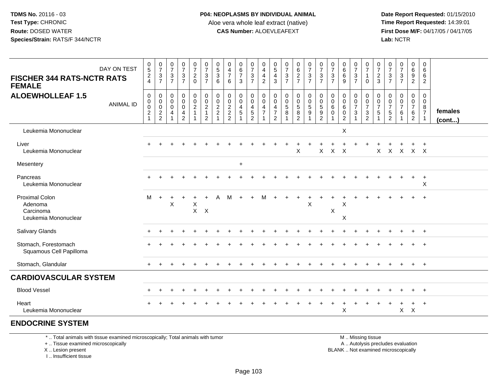**Date Report Requested:** 01/15/2010 **First Dose M/F:** 04/17/05 / 04/17/05 Lab: NCTR **Lab:** NCTR

| <b>FISCHER 344 RATS-NCTR RATS</b><br><b>FEMALE</b><br><b>ALOEWHOLLEAF 1.5</b> | DAY ON TEST<br><b>ANIMAL ID</b> | $\frac{0}{5}$<br>$\frac{2}{4}$<br>$\mathbf 0$<br>$\mathbf 0$<br>$\frac{0}{2}$<br>$\mathbf{1}$ | $\frac{0}{7}$<br>$\frac{3}{7}$<br>$\mathbf 0$<br>$\boldsymbol{0}$<br>$\overline{0}$<br>$\frac{2}{2}$ | $\pmb{0}$<br>$\overline{7}$<br>$\sqrt{3}$<br>$\overline{7}$<br>$\overline{0}$<br>$\mathbf 0$<br>$\mathbf 0$<br>$\overline{4}$<br>$\mathbf{1}$ | 0<br>$\overline{7}$<br>$\ensuremath{\mathsf{3}}$<br>$\overline{7}$<br>$\mathbf 0$<br>$\mathbf 0$<br>$\pmb{0}$<br>$\overline{\mathbf{4}}$<br>$\overline{2}$ | $\frac{0}{7}$<br>$\overline{a}$<br>$\mathbf 0$<br>$\mathbf 0$<br>$\mathbf 0$<br>$\overline{2}$<br>$\mathbf{1}$ | $\begin{smallmatrix}0\\7\end{smallmatrix}$<br>$\frac{3}{7}$<br>$\mathbf 0$<br>$\frac{0}{2}$<br>$\overline{2}$ | $\begin{array}{c} 0 \\ 5 \\ 3 \end{array}$<br>6<br>$\pmb{0}$<br>$\frac{0}{2}$ | $\mathbf 0$<br>$\overline{4}$<br>$\overline{7}$<br>6<br>$\boldsymbol{0}$<br>$\frac{0}{2}$<br>2<br>2 | $\begin{array}{c} 0 \\ 6 \end{array}$<br>$\overline{7}$<br>3<br>$\mathbf 0$<br>$\mathbf 0$<br>$\frac{4}{5}$ | $\frac{0}{7}$<br>$\frac{3}{7}$<br>0<br>$\mathbf 0$<br>$\begin{array}{c} 4 \\ 5 \end{array}$<br>$\overline{c}$ | $\pmb{0}$<br>$\overline{4}$<br>$\frac{4}{2}$<br>$\,0\,$<br>$\mathbf 0$<br>$\frac{4}{7}$<br>1 | $\begin{array}{c} 0 \\ 5 \end{array}$<br>4<br>3<br>0<br>$\mathbf 0$<br>4<br>$\overline{7}$<br>$\overline{2}$ | 0<br>$\boldsymbol{7}$<br>$\frac{3}{7}$<br>0<br>$\pmb{0}$<br>$\overline{5}$<br>$\bf 8$ | 0627<br>$\mathsf 0$<br>$\frac{0}{5}$<br>$\overline{2}$ | $\frac{0}{7}$<br>$\frac{3}{7}$<br>0<br>$\mathbf 0$<br>$\frac{5}{9}$ | $\frac{0}{7}$<br>$\frac{3}{7}$<br>$\mathbf 0$<br>$\begin{array}{c} 0 \\ 5 \\ 9 \end{array}$<br>$\overline{2}$ | $\frac{0}{7}$<br>$\ensuremath{\mathsf{3}}$<br>$\overline{7}$<br>$\mathbf 0$<br>$\mathbf 0$<br>$\,6\,$<br>$\mathbf 0$ | $\begin{matrix} 0 \\ 6 \end{matrix}$<br>$6\phantom{a}$<br>9<br>$\pmb{0}$<br>$\mathsf{O}\xspace$<br>$6\phantom{a}$<br>$\pmb{0}$<br>$\overline{2}$ | $\frac{0}{7}$<br>$\ensuremath{\mathsf{3}}$<br>$\overline{7}$<br>0<br>$\pmb{0}$<br>$\overline{7}$<br>$\mathbf{3}$ | 0<br>$\overline{7}$<br>$\mathbf 0$<br>0<br>$\mathbf 0$<br>$\overline{7}$<br>$\sqrt{3}$<br>$\overline{2}$ | $\frac{0}{7}$<br>$\frac{2}{3}$<br>$\mathbf 0$<br>$\mathbf 0$<br>$\overline{7}$<br>$\sqrt{5}$ | $\frac{0}{7}$<br>$\sqrt{3}$<br>$\overline{7}$<br>0<br>$\mathbf 0$<br>$\overline{7}$<br>$\sqrt{5}$<br>2 | $\frac{0}{7}$<br>$\sqrt{3}$<br>$\overline{7}$<br>$\mathbf 0$<br>$\mathbf 0$<br>$\overline{7}$<br>6 | 0<br>6<br>9<br>$\overline{2}$<br>$\mathbf{0}$<br>$\mathbf 0$<br>$\overline{7}$<br>6<br>$\overline{2}$ | 0<br>6<br>6<br>$\overline{2}$<br>$\mathbf 0$<br>$\mathbf 0$<br>$\begin{array}{c} 8 \\ 7 \end{array}$ | females<br>$($ cont $)$ |
|-------------------------------------------------------------------------------|---------------------------------|-----------------------------------------------------------------------------------------------|------------------------------------------------------------------------------------------------------|-----------------------------------------------------------------------------------------------------------------------------------------------|------------------------------------------------------------------------------------------------------------------------------------------------------------|----------------------------------------------------------------------------------------------------------------|---------------------------------------------------------------------------------------------------------------|-------------------------------------------------------------------------------|-----------------------------------------------------------------------------------------------------|-------------------------------------------------------------------------------------------------------------|---------------------------------------------------------------------------------------------------------------|----------------------------------------------------------------------------------------------|--------------------------------------------------------------------------------------------------------------|---------------------------------------------------------------------------------------|--------------------------------------------------------|---------------------------------------------------------------------|---------------------------------------------------------------------------------------------------------------|----------------------------------------------------------------------------------------------------------------------|--------------------------------------------------------------------------------------------------------------------------------------------------|------------------------------------------------------------------------------------------------------------------|----------------------------------------------------------------------------------------------------------|----------------------------------------------------------------------------------------------|--------------------------------------------------------------------------------------------------------|----------------------------------------------------------------------------------------------------|-------------------------------------------------------------------------------------------------------|------------------------------------------------------------------------------------------------------|-------------------------|
| Leukemia Mononuclear                                                          |                                 |                                                                                               |                                                                                                      |                                                                                                                                               |                                                                                                                                                            |                                                                                                                |                                                                                                               |                                                                               |                                                                                                     |                                                                                                             |                                                                                                               |                                                                                              |                                                                                                              |                                                                                       |                                                        |                                                                     |                                                                                                               |                                                                                                                      | X                                                                                                                                                |                                                                                                                  |                                                                                                          |                                                                                              |                                                                                                        |                                                                                                    |                                                                                                       |                                                                                                      |                         |
| Liver<br>Leukemia Mononuclear                                                 |                                 |                                                                                               |                                                                                                      |                                                                                                                                               |                                                                                                                                                            |                                                                                                                |                                                                                                               |                                                                               |                                                                                                     |                                                                                                             |                                                                                                               |                                                                                              |                                                                                                              |                                                                                       | $\pmb{\times}$                                         |                                                                     | $\mathsf{X}$                                                                                                  | $\mathsf{X}$                                                                                                         | $\mathsf{X}$                                                                                                                                     |                                                                                                                  |                                                                                                          | $\mathsf{X}$                                                                                 |                                                                                                        |                                                                                                    | X X X X                                                                                               |                                                                                                      |                         |
| Mesentery                                                                     |                                 |                                                                                               |                                                                                                      |                                                                                                                                               |                                                                                                                                                            |                                                                                                                |                                                                                                               |                                                                               |                                                                                                     | $+$                                                                                                         |                                                                                                               |                                                                                              |                                                                                                              |                                                                                       |                                                        |                                                                     |                                                                                                               |                                                                                                                      |                                                                                                                                                  |                                                                                                                  |                                                                                                          |                                                                                              |                                                                                                        |                                                                                                    |                                                                                                       |                                                                                                      |                         |
| Pancreas<br>Leukemia Mononuclear                                              |                                 | $+$                                                                                           |                                                                                                      |                                                                                                                                               |                                                                                                                                                            |                                                                                                                |                                                                                                               |                                                                               |                                                                                                     |                                                                                                             |                                                                                                               |                                                                                              |                                                                                                              |                                                                                       |                                                        |                                                                     |                                                                                                               |                                                                                                                      |                                                                                                                                                  |                                                                                                                  |                                                                                                          |                                                                                              |                                                                                                        |                                                                                                    | $\ddot{}$                                                                                             | $\ddot{}$<br>X                                                                                       |                         |
| <b>Proximal Colon</b><br>Adenoma<br>Carcinoma<br>Leukemia Mononuclear         |                                 | м                                                                                             | $\div$                                                                                               | X                                                                                                                                             |                                                                                                                                                            | X<br>$\mathsf{X}$                                                                                              | X                                                                                                             |                                                                               |                                                                                                     |                                                                                                             |                                                                                                               |                                                                                              |                                                                                                              |                                                                                       |                                                        | $\times$                                                            |                                                                                                               | X                                                                                                                    | X<br>X                                                                                                                                           |                                                                                                                  |                                                                                                          |                                                                                              |                                                                                                        |                                                                                                    |                                                                                                       |                                                                                                      |                         |
| Salivary Glands                                                               |                                 |                                                                                               |                                                                                                      |                                                                                                                                               |                                                                                                                                                            |                                                                                                                |                                                                                                               |                                                                               |                                                                                                     |                                                                                                             |                                                                                                               |                                                                                              |                                                                                                              |                                                                                       |                                                        |                                                                     |                                                                                                               |                                                                                                                      |                                                                                                                                                  |                                                                                                                  |                                                                                                          |                                                                                              |                                                                                                        |                                                                                                    |                                                                                                       | $+$                                                                                                  |                         |
| Stomach, Forestomach<br>Squamous Cell Papilloma                               |                                 |                                                                                               |                                                                                                      |                                                                                                                                               |                                                                                                                                                            |                                                                                                                |                                                                                                               |                                                                               |                                                                                                     |                                                                                                             |                                                                                                               |                                                                                              |                                                                                                              |                                                                                       |                                                        |                                                                     |                                                                                                               |                                                                                                                      |                                                                                                                                                  |                                                                                                                  |                                                                                                          |                                                                                              |                                                                                                        |                                                                                                    |                                                                                                       |                                                                                                      |                         |
| Stomach, Glandular                                                            |                                 | $+$                                                                                           |                                                                                                      |                                                                                                                                               |                                                                                                                                                            |                                                                                                                |                                                                                                               |                                                                               |                                                                                                     |                                                                                                             |                                                                                                               |                                                                                              |                                                                                                              |                                                                                       |                                                        |                                                                     |                                                                                                               |                                                                                                                      |                                                                                                                                                  |                                                                                                                  |                                                                                                          |                                                                                              |                                                                                                        |                                                                                                    | $+$                                                                                                   | $+$                                                                                                  |                         |
| <b>CARDIOVASCULAR SYSTEM</b>                                                  |                                 |                                                                                               |                                                                                                      |                                                                                                                                               |                                                                                                                                                            |                                                                                                                |                                                                                                               |                                                                               |                                                                                                     |                                                                                                             |                                                                                                               |                                                                                              |                                                                                                              |                                                                                       |                                                        |                                                                     |                                                                                                               |                                                                                                                      |                                                                                                                                                  |                                                                                                                  |                                                                                                          |                                                                                              |                                                                                                        |                                                                                                    |                                                                                                       |                                                                                                      |                         |
| <b>Blood Vessel</b>                                                           |                                 |                                                                                               |                                                                                                      |                                                                                                                                               |                                                                                                                                                            |                                                                                                                |                                                                                                               |                                                                               |                                                                                                     |                                                                                                             |                                                                                                               |                                                                                              |                                                                                                              |                                                                                       |                                                        |                                                                     |                                                                                                               |                                                                                                                      |                                                                                                                                                  |                                                                                                                  |                                                                                                          |                                                                                              |                                                                                                        |                                                                                                    |                                                                                                       | $+$                                                                                                  |                         |
| Heart<br>Leukemia Mononuclear                                                 |                                 |                                                                                               |                                                                                                      |                                                                                                                                               |                                                                                                                                                            |                                                                                                                |                                                                                                               |                                                                               |                                                                                                     |                                                                                                             |                                                                                                               |                                                                                              |                                                                                                              |                                                                                       |                                                        |                                                                     |                                                                                                               |                                                                                                                      | X                                                                                                                                                |                                                                                                                  |                                                                                                          |                                                                                              |                                                                                                        | $\mathsf{X}$                                                                                       | $\ddot{}$<br>$\mathsf{X}$                                                                             | $\ddot{}$                                                                                            |                         |

## **ENDOCRINE SYSTEM**

\* .. Total animals with tissue examined microscopically; Total animals with tumor

+ .. Tissue examined microscopically

X .. Lesion present

I .. Insufficient tissue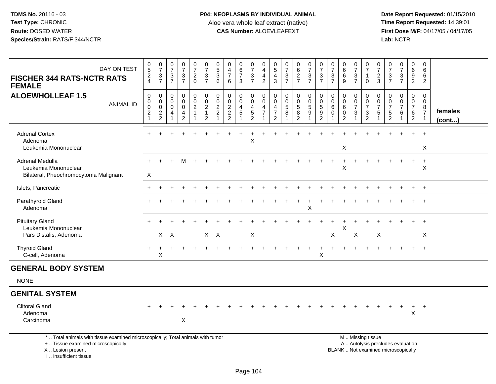I .. Insufficient tissue

| DAY ON TEST<br><b>FISCHER 344 RATS-NCTR RATS</b><br><b>FEMALE</b>                                                                          | $\begin{matrix} 0 \\ 5 \end{matrix}$<br>$\frac{2}{4}$                   | $\begin{array}{c} 0 \\ 7 \end{array}$<br>$\frac{3}{7}$                              | $\begin{array}{c} 0 \\ 7 \end{array}$<br>3<br>$\overline{7}$ | $\begin{smallmatrix}0\\7\end{smallmatrix}$<br>$\frac{3}{7}$                                   | $\frac{0}{7}$<br>$\overline{c}$<br>$\mathbf 0$               | $\frac{0}{7}$<br>3<br>$\overline{7}$                                              | $\begin{array}{c} 0 \\ 5 \\ 3 \end{array}$<br>6   | 0<br>$\frac{4}{7}$<br>6           | $\pmb{0}$<br>$\frac{6}{7}$<br>3         | $\frac{0}{7}$<br>$\ensuremath{\mathsf{3}}$<br>$\overline{7}$ | 0<br>$\overline{4}$<br>$\overline{4}$<br>$\overline{2}$                | 0<br>$\overline{5}$<br>$\overline{4}$<br>3                          | $\frac{0}{7}$<br>$\frac{3}{7}$               | 0627                                           | $07/3$<br>7                                                       | $\frac{0}{7}$<br>$\mathsf 3$<br>$\overline{7}$                                        | 0<br>$\overline{7}$<br>3<br>$\overline{7}$ | 0<br>$\,6\,$<br>6<br>9                                            | $\frac{0}{7}$<br>3<br>$\overline{7}$              | $\frac{0}{7}$<br>$\mathbf{1}$<br>$\Omega$                                                     | $\frac{0}{7}$<br>$\frac{2}{3}$                 | 0<br>$\overline{7}$<br>3<br>$\overline{7}$                                      | $\begin{smallmatrix}0\\7\end{smallmatrix}$<br>$\mathbf{3}$<br>$\overline{7}$ | 0<br>$\frac{6}{9}$<br>$\overline{2}$                                              | 0<br>6<br>6<br>$\overline{2}$                                     |                         |
|--------------------------------------------------------------------------------------------------------------------------------------------|-------------------------------------------------------------------------|-------------------------------------------------------------------------------------|--------------------------------------------------------------|-----------------------------------------------------------------------------------------------|--------------------------------------------------------------|-----------------------------------------------------------------------------------|---------------------------------------------------|-----------------------------------|-----------------------------------------|--------------------------------------------------------------|------------------------------------------------------------------------|---------------------------------------------------------------------|----------------------------------------------|------------------------------------------------|-------------------------------------------------------------------|---------------------------------------------------------------------------------------|--------------------------------------------|-------------------------------------------------------------------|---------------------------------------------------|-----------------------------------------------------------------------------------------------|------------------------------------------------|---------------------------------------------------------------------------------|------------------------------------------------------------------------------|-----------------------------------------------------------------------------------|-------------------------------------------------------------------|-------------------------|
| <b>ALOEWHOLLEAF 1.5</b><br><b>ANIMAL ID</b>                                                                                                | $\pmb{0}$<br>$\pmb{0}$<br>$\mathbf 0$<br>$\overline{c}$<br>$\mathbf{1}$ | $\mathbf 0$<br>$\pmb{0}$<br>$\mathsf{O}\xspace$<br>$\overline{c}$<br>$\overline{2}$ | $\mathbf 0$<br>$\mathbf 0$<br>$\mathbf 0$<br>$\overline{4}$  | $\mathbf 0$<br>$\ddot{\mathbf{0}}$<br>$\mathsf{O}\xspace$<br>$\overline{4}$<br>$\overline{2}$ | $\mathsf 0$<br>$\mathsf 0$<br>$\overline{c}$<br>$\mathbf{1}$ | $\mathbf 0$<br>$\overline{0}$<br>$\overline{c}$<br>$\mathbf{1}$<br>$\overline{2}$ | $\pmb{0}$<br>$\ddot{\mathbf{0}}$<br>$\frac{2}{2}$ | $\mathbf 0$<br>0<br>$\frac{2}{2}$ | $\mathbf 0$<br>0<br>$\overline{4}$<br>5 | $\mathbf 0$<br>$\mathbf 0$<br>$\frac{4}{5}$<br>2             | $\mathbf 0$<br>0<br>$\overline{4}$<br>$\overline{7}$<br>$\overline{ }$ | $\mathbf 0$<br>$\mathbf 0$<br>$\overline{4}$<br>$\overline{7}$<br>2 | $\mathbf 0$<br>$\pmb{0}$<br>$\,$ 5 $\,$<br>8 | $\mathbf 0$<br>$\frac{0}{5}$<br>$\overline{2}$ | $\pmb{0}$<br>$\overline{0}$<br>$\overline{5}$<br>$\boldsymbol{9}$ | $\begin{smallmatrix} 0\\0 \end{smallmatrix}$<br>$\overline{5}$<br>9<br>$\overline{2}$ | 0<br>$\mathbf 0$<br>$\,6\,$<br>$\Omega$    | $\mathbf 0$<br>$\mathbf 0$<br>$6\phantom{1}6$<br>$\mathbf 0$<br>2 | $\mathbf 0$<br>$\mathbf 0$<br>$\overline{7}$<br>3 | $\mathsf 0$<br>$\frac{0}{7}$<br>$\frac{3}{2}$                                                 | $\mathbf 0$<br>$\frac{0}{7}$<br>$\overline{5}$ | $\mathbf 0$<br>$\mathbf 0$<br>$\boldsymbol{7}$<br>$\,$ 5 $\,$<br>$\overline{2}$ | $\mathbf 0$<br>$\mathbf 0$<br>$\overline{7}$<br>6                            | $\mathbf 0$<br>$\mathbf 0$<br>$\overline{7}$<br>$6\phantom{1}6$<br>$\overline{2}$ | $\mathbf 0$<br>$\mathbf 0$<br>8<br>$\overline{7}$<br>$\mathbf{1}$ | females<br>$($ cont $)$ |
| <b>Adrenal Cortex</b><br>Adenoma<br>Leukemia Mononuclear                                                                                   |                                                                         |                                                                                     |                                                              |                                                                                               |                                                              |                                                                                   |                                                   |                                   |                                         | X                                                            |                                                                        |                                                                     |                                              |                                                |                                                                   |                                                                                       |                                            | $\mathsf X$                                                       |                                                   |                                                                                               |                                                |                                                                                 |                                                                              |                                                                                   | X                                                                 |                         |
| Adrenal Medulla<br>Leukemia Mononuclear<br>Bilateral, Pheochromocytoma Malignant                                                           | $\boldsymbol{\mathsf{X}}$                                               |                                                                                     |                                                              | M                                                                                             |                                                              |                                                                                   |                                                   |                                   |                                         |                                                              |                                                                        |                                                                     |                                              |                                                |                                                                   |                                                                                       |                                            | X                                                                 |                                                   |                                                                                               |                                                |                                                                                 |                                                                              |                                                                                   | $\ddot{}$<br>X                                                    |                         |
| Islets, Pancreatic                                                                                                                         |                                                                         |                                                                                     |                                                              |                                                                                               |                                                              |                                                                                   |                                                   |                                   |                                         |                                                              |                                                                        |                                                                     |                                              |                                                |                                                                   |                                                                                       |                                            |                                                                   |                                                   |                                                                                               |                                                |                                                                                 |                                                                              |                                                                                   |                                                                   |                         |
| Parathyroid Gland<br>Adenoma                                                                                                               |                                                                         |                                                                                     |                                                              |                                                                                               |                                                              |                                                                                   |                                                   |                                   |                                         |                                                              |                                                                        |                                                                     |                                              |                                                | $\mathsf X$                                                       |                                                                                       |                                            |                                                                   |                                                   |                                                                                               |                                                |                                                                                 |                                                                              |                                                                                   |                                                                   |                         |
| <b>Pituitary Gland</b><br>Leukemia Mononuclear<br>Pars Distalis, Adenoma                                                                   |                                                                         |                                                                                     | $X$ $X$                                                      |                                                                                               |                                                              | $X$ $X$                                                                           |                                                   |                                   |                                         | X                                                            |                                                                        |                                                                     |                                              |                                                |                                                                   |                                                                                       | X                                          | X                                                                 | X                                                 |                                                                                               | X                                              |                                                                                 |                                                                              |                                                                                   | X                                                                 |                         |
| <b>Thyroid Gland</b><br>C-cell, Adenoma                                                                                                    |                                                                         | X                                                                                   |                                                              |                                                                                               |                                                              |                                                                                   |                                                   |                                   |                                         |                                                              |                                                                        |                                                                     |                                              |                                                |                                                                   | $\mathsf X$                                                                           |                                            |                                                                   |                                                   |                                                                                               |                                                |                                                                                 |                                                                              |                                                                                   |                                                                   |                         |
| <b>GENERAL BODY SYSTEM</b>                                                                                                                 |                                                                         |                                                                                     |                                                              |                                                                                               |                                                              |                                                                                   |                                                   |                                   |                                         |                                                              |                                                                        |                                                                     |                                              |                                                |                                                                   |                                                                                       |                                            |                                                                   |                                                   |                                                                                               |                                                |                                                                                 |                                                                              |                                                                                   |                                                                   |                         |
| <b>NONE</b>                                                                                                                                |                                                                         |                                                                                     |                                                              |                                                                                               |                                                              |                                                                                   |                                                   |                                   |                                         |                                                              |                                                                        |                                                                     |                                              |                                                |                                                                   |                                                                                       |                                            |                                                                   |                                                   |                                                                                               |                                                |                                                                                 |                                                                              |                                                                                   |                                                                   |                         |
| <b>GENITAL SYSTEM</b>                                                                                                                      |                                                                         |                                                                                     |                                                              |                                                                                               |                                                              |                                                                                   |                                                   |                                   |                                         |                                                              |                                                                        |                                                                     |                                              |                                                |                                                                   |                                                                                       |                                            |                                                                   |                                                   |                                                                                               |                                                |                                                                                 |                                                                              |                                                                                   |                                                                   |                         |
| <b>Clitoral Gland</b><br>Adenoma<br>Carcinoma                                                                                              |                                                                         |                                                                                     |                                                              | $\boldsymbol{\mathsf{X}}$                                                                     |                                                              |                                                                                   |                                                   |                                   |                                         |                                                              |                                                                        |                                                                     |                                              |                                                |                                                                   |                                                                                       |                                            |                                                                   |                                                   |                                                                                               |                                                |                                                                                 |                                                                              | $\ddot{}$<br>X                                                                    | $\overline{+}$                                                    |                         |
| *  Total animals with tissue examined microscopically; Total animals with tumor<br>+  Tissue examined microscopically<br>X  Lesion present |                                                                         |                                                                                     |                                                              |                                                                                               |                                                              |                                                                                   |                                                   |                                   |                                         |                                                              |                                                                        |                                                                     |                                              |                                                |                                                                   |                                                                                       |                                            |                                                                   |                                                   | M  Missing tissue<br>A  Autolysis precludes evaluation<br>BLANK  Not examined microscopically |                                                |                                                                                 |                                                                              |                                                                                   |                                                                   |                         |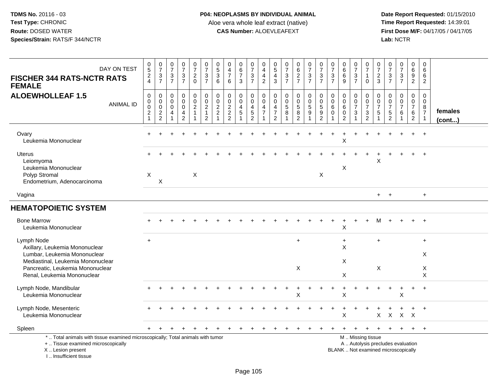| DAY ON TEST<br><b>FISCHER 344 RATS-NCTR RATS</b><br><b>FEMALE</b>                                                                                                                    | $\begin{array}{c} 0 \\ 5 \end{array}$<br>$\boldsymbol{2}$<br>$\overline{4}$ | $\begin{array}{c} 0 \\ 7 \end{array}$<br>$\sqrt{3}$<br>$\overline{7}$ | $\begin{array}{c} 0 \\ 7 \end{array}$<br>$\frac{3}{7}$              | $\frac{0}{7}$<br>$\ensuremath{\mathsf{3}}$<br>$\overline{7}$ | $\frac{0}{7}$<br>$\overline{c}$<br>$\mathbf 0$                                    | $\frac{0}{7}$<br>$\sqrt{3}$<br>$\overline{7}$                                          | $\begin{array}{c} 0 \\ 5 \end{array}$<br>$\overline{3}$<br>6             | $\pmb{0}$<br>$\overline{4}$<br>$\overline{7}$<br>6 | $\begin{array}{c} 0 \\ 6 \end{array}$<br>$\overline{7}$<br>3       | $\begin{array}{c} 0 \\ 7 \end{array}$<br>$\sqrt{3}$<br>$\overline{7}$                | 0<br>$\overline{a}$<br>$\overline{4}$<br>$\overline{2}$                        | $^{\rm 0}_{\rm 5}$<br>4<br>$\mathbf{3}$                   | $\frac{0}{7}$<br>$\frac{3}{7}$                                | $\begin{array}{c} 0 \\ 6 \end{array}$<br>$\overline{2}$<br>$\overline{7}$ | $\frac{0}{7}$<br>$\ensuremath{\mathsf{3}}$<br>$\overline{7}$     | $\begin{array}{c} 0 \\ 7 \end{array}$<br>$\frac{3}{7}$        | $\frac{0}{7}$<br>$\ensuremath{\mathsf{3}}$<br>$\overline{7}$     | $_{6}^{\rm 0}$<br>6<br>9                               | $\frac{0}{7}$<br>$\frac{3}{7}$                             | $\frac{0}{7}$<br>$\mathbf{1}$<br>$\Omega$                                                     | $\frac{0}{7}$<br>$\overline{c}$<br>3             | $\begin{array}{c} 0 \\ 7 \end{array}$<br>$\frac{3}{7}$                | $\frac{0}{7}$<br>$\mathbf{3}$<br>$\overline{7}$                    | $\mathbf 0$<br>6<br>9<br>2                                          | 0<br>6<br>6<br>$\overline{2}$                           |                   |
|--------------------------------------------------------------------------------------------------------------------------------------------------------------------------------------|-----------------------------------------------------------------------------|-----------------------------------------------------------------------|---------------------------------------------------------------------|--------------------------------------------------------------|-----------------------------------------------------------------------------------|----------------------------------------------------------------------------------------|--------------------------------------------------------------------------|----------------------------------------------------|--------------------------------------------------------------------|--------------------------------------------------------------------------------------|--------------------------------------------------------------------------------|-----------------------------------------------------------|---------------------------------------------------------------|---------------------------------------------------------------------------|------------------------------------------------------------------|---------------------------------------------------------------|------------------------------------------------------------------|--------------------------------------------------------|------------------------------------------------------------|-----------------------------------------------------------------------------------------------|--------------------------------------------------|-----------------------------------------------------------------------|--------------------------------------------------------------------|---------------------------------------------------------------------|---------------------------------------------------------|-------------------|
| <b>ALOEWHOLLEAF 1.5</b><br><b>ANIMAL ID</b>                                                                                                                                          | 0<br>$\pmb{0}$<br>$\pmb{0}$<br>$\mathbf{2}$<br>$\mathbf{1}$                 | 0<br>0<br>$\mathsf 0$<br>$\frac{2}{2}$                                | $\mathbf 0$<br>$\mathsf{O}\xspace$<br>$\mathbf 0$<br>$\overline{4}$ | 0<br>$\mathbf 0$<br>$\mathbf 0$<br>4<br>$\overline{c}$       | $\pmb{0}$<br>$\overline{0}$<br>$\overline{c}$<br>$\overline{1}$<br>$\overline{1}$ | $\pmb{0}$<br>$\ddot{\mathbf{0}}$<br>$\boldsymbol{2}$<br>$\mathbf{1}$<br>$\overline{c}$ | 0<br>$\mathbf 0$<br>$\boldsymbol{2}$<br>$\overline{2}$<br>$\overline{1}$ | 0<br>$\pmb{0}$<br>$\frac{2}{2}$<br>$\overline{2}$  | 0<br>$\mathbf 0$<br>$\overline{4}$<br>$\sqrt{5}$<br>$\overline{1}$ | $\mathbf 0$<br>$\mathsf{O}\xspace$<br>$\overline{4}$<br>$\sqrt{5}$<br>$\overline{2}$ | $\mathbf 0$<br>$\mathbf 0$<br>$\overline{4}$<br>$\overline{7}$<br>$\mathbf{1}$ | 0<br>$\mathbf 0$<br>4<br>$\overline{7}$<br>$\overline{2}$ | 0<br>$\ddot{\mathbf{0}}$<br>$\sqrt{5}$<br>8<br>$\overline{1}$ | 0<br>$\frac{0}{5}$<br>$\bf 8$<br>$\overline{2}$                           | $\mathbf 0$<br>$\overline{0}$<br>$\sqrt{5}$<br>9<br>$\mathbf{1}$ | $\mathbf 0$<br>$\pmb{0}$<br>$\sqrt{5}$<br>9<br>$\overline{2}$ | $\mathbf 0$<br>$\mathbf 0$<br>6<br>$\mathbf 0$<br>$\overline{1}$ | 0<br>$\mathbf 0$<br>6<br>$\mathbf 0$<br>$\overline{c}$ | $\pmb{0}$<br>$\frac{0}{7}$<br>$\mathbf{3}$<br>$\mathbf{1}$ | 0<br>$\mathbf 0$<br>$\overline{7}$<br>3<br>$\overline{2}$                                     | $\mathbf 0$<br>0<br>$\overline{7}$<br>$\sqrt{5}$ | $\mathbf 0$<br>$\ddot{\mathbf{0}}$<br>$\overline{7}$<br>$\frac{5}{2}$ | 0<br>$\mathbf 0$<br>$\overline{7}$<br>6<br>$\overline{\mathbf{1}}$ | $\mathbf 0$<br>$\mathbf 0$<br>$\overline{7}$<br>6<br>$\overline{2}$ | 0<br>$\mathbf 0$<br>8<br>$\overline{7}$<br>$\mathbf{1}$ | females<br>(cont) |
| Ovary<br>Leukemia Mononuclear                                                                                                                                                        |                                                                             |                                                                       |                                                                     |                                                              |                                                                                   |                                                                                        |                                                                          |                                                    |                                                                    |                                                                                      |                                                                                |                                                           |                                                               |                                                                           |                                                                  |                                                               |                                                                  | X                                                      |                                                            |                                                                                               |                                                  |                                                                       |                                                                    |                                                                     | $\ddot{}$                                               |                   |
| Uterus<br>Leiomyoma<br>Leukemia Mononuclear<br>Polyp Stromal<br>Endometrium, Adenocarcinoma                                                                                          | $\boldsymbol{\mathsf{X}}$                                                   | X                                                                     |                                                                     |                                                              | $\mathsf{X}$                                                                      |                                                                                        |                                                                          |                                                    |                                                                    |                                                                                      |                                                                                |                                                           |                                                               |                                                                           |                                                                  | X                                                             |                                                                  | Χ                                                      |                                                            |                                                                                               | X                                                |                                                                       |                                                                    |                                                                     |                                                         |                   |
| Vagina                                                                                                                                                                               |                                                                             |                                                                       |                                                                     |                                                              |                                                                                   |                                                                                        |                                                                          |                                                    |                                                                    |                                                                                      |                                                                                |                                                           |                                                               |                                                                           |                                                                  |                                                               |                                                                  |                                                        |                                                            |                                                                                               | $+$                                              | $+$                                                                   |                                                                    |                                                                     | $\ddot{}$                                               |                   |
| <b>HEMATOPOIETIC SYSTEM</b>                                                                                                                                                          |                                                                             |                                                                       |                                                                     |                                                              |                                                                                   |                                                                                        |                                                                          |                                                    |                                                                    |                                                                                      |                                                                                |                                                           |                                                               |                                                                           |                                                                  |                                                               |                                                                  |                                                        |                                                            |                                                                                               |                                                  |                                                                       |                                                                    |                                                                     |                                                         |                   |
| <b>Bone Marrow</b><br>Leukemia Mononuclear                                                                                                                                           |                                                                             |                                                                       |                                                                     |                                                              |                                                                                   |                                                                                        |                                                                          |                                                    |                                                                    |                                                                                      |                                                                                |                                                           |                                                               |                                                                           |                                                                  |                                                               |                                                                  | X                                                      |                                                            | $+$                                                                                           | м                                                |                                                                       |                                                                    |                                                                     | $\overline{+}$                                          |                   |
| Lymph Node<br>Axillary, Leukemia Mononuclear<br>Lumbar, Leukemia Mononuclear<br>Mediastinal, Leukemia Mononuclear<br>Pancreatic, Leukemia Mononuclear<br>Renal, Leukemia Mononuclear | $+$                                                                         |                                                                       |                                                                     |                                                              |                                                                                   |                                                                                        |                                                                          |                                                    |                                                                    |                                                                                      |                                                                                |                                                           |                                                               | $+$<br>X                                                                  |                                                                  |                                                               |                                                                  | $\ddot{}$<br>X<br>X<br>X                               |                                                            |                                                                                               | $+$<br>X                                         |                                                                       |                                                                    |                                                                     | $\ddot{}$<br>X<br>X<br>X                                |                   |
| Lymph Node, Mandibular<br>Leukemia Mononuclear                                                                                                                                       |                                                                             |                                                                       |                                                                     |                                                              |                                                                                   |                                                                                        |                                                                          |                                                    |                                                                    |                                                                                      |                                                                                |                                                           |                                                               | X                                                                         |                                                                  |                                                               |                                                                  | $\ddot{}$<br>Χ                                         |                                                            |                                                                                               |                                                  |                                                                       | +<br>X                                                             |                                                                     | $\overline{+}$                                          |                   |
| Lymph Node, Mesenteric<br>Leukemia Mononuclear                                                                                                                                       |                                                                             |                                                                       |                                                                     |                                                              |                                                                                   |                                                                                        |                                                                          |                                                    |                                                                    |                                                                                      |                                                                                |                                                           |                                                               |                                                                           |                                                                  |                                                               |                                                                  | Χ                                                      |                                                            |                                                                                               | X                                                | $\mathsf{X}$                                                          | $\mathsf{X}$                                                       | $\mathsf{X}$                                                        |                                                         |                   |
| Spleen                                                                                                                                                                               | $\ddot{}$                                                                   |                                                                       |                                                                     |                                                              |                                                                                   |                                                                                        |                                                                          |                                                    |                                                                    |                                                                                      |                                                                                |                                                           |                                                               |                                                                           |                                                                  |                                                               |                                                                  |                                                        |                                                            |                                                                                               |                                                  |                                                                       | $\ddot{}$                                                          | $+$                                                                 | $\ddot{}$                                               |                   |
| *  Total animals with tissue examined microscopically; Total animals with tumor<br>+  Tissue examined microscopically<br>X  Lesion present<br>I., Insufficient tissue                |                                                                             |                                                                       |                                                                     |                                                              |                                                                                   |                                                                                        |                                                                          |                                                    |                                                                    |                                                                                      |                                                                                |                                                           |                                                               |                                                                           |                                                                  |                                                               |                                                                  |                                                        |                                                            | M  Missing tissue<br>A  Autolysis precludes evaluation<br>BLANK  Not examined microscopically |                                                  |                                                                       |                                                                    |                                                                     |                                                         |                   |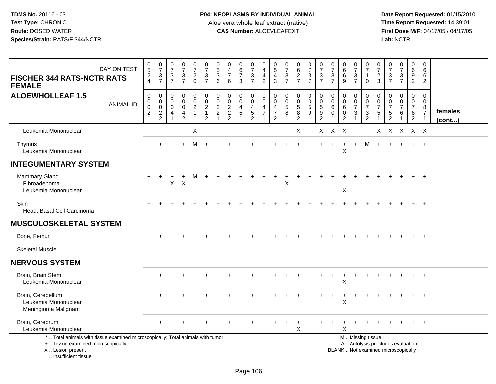| DAY ON TEST<br><b>FISCHER 344 RATS-NCTR RATS</b><br><b>FEMALE</b>                                                                                                     | $\begin{array}{c} 0 \\ 5 \end{array}$<br>$\overline{c}$<br>$\overline{4}$               | $\begin{array}{c} 0 \\ 7 \end{array}$<br>3<br>$\overline{7}$        | $\frac{0}{7}$<br>$\mathbf{3}$<br>$\overline{7}$         | $\frac{0}{7}$<br>$\mathfrak{S}$<br>$\overline{7}$                           | $\frac{0}{7}$<br>$\overline{a}$<br>$\mathbf 0$             | $\frac{0}{7}$<br>$\sqrt{3}$<br>$\overline{7}$                     | $\begin{array}{c} 0 \\ 5 \end{array}$<br>$\mathbf 3$<br>6                    | 0<br>$\overline{4}$<br>$\overline{7}$<br>6                         | $\begin{array}{c} 0 \\ 6 \end{array}$<br>$\overline{7}$<br>3 | $\frac{0}{7}$<br>$\ensuremath{\mathsf{3}}$<br>$\overline{7}$          | $\pmb{0}$<br>$\overline{4}$<br>$\overline{\mathbf{4}}$<br>$\overline{2}$             | $\begin{array}{c} 0 \\ 5 \end{array}$<br>$\overline{4}$<br>3                     | $\frac{0}{7}$<br>$\frac{3}{7}$                          | $\begin{array}{c} 0 \\ 6 \end{array}$<br>$\sqrt{2}$<br>$\overline{7}$ | $\frac{0}{7}$<br>$\ensuremath{\mathsf{3}}$<br>$\overline{7}$ | $\frac{0}{7}$<br>$\ensuremath{\mathsf{3}}$<br>$\overline{7}$       | $\frac{0}{7}$<br>$\sqrt{3}$<br>$\overline{7}$        | 0<br>$\overline{6}$<br>$\,6$<br>9                                      | $\begin{array}{c} 0 \\ 7 \end{array}$<br>$\ensuremath{\mathsf{3}}$<br>$\overline{7}$ | $\pmb{0}$<br>$\overline{7}$<br>$\mathbf{1}$<br>$\Omega$   | $\frac{0}{7}$<br>$\overline{2}$<br>3                                      | $\frac{0}{7}$<br>$\ensuremath{\mathsf{3}}$<br>$\overline{7}$             | $\frac{0}{7}$<br>$\frac{3}{7}$                       | $\pmb{0}$<br>$\overline{6}$<br>$9\,$<br>$\overline{2}$                  | $\mathbf 0$<br>6<br>6<br>$\overline{2}$                                   |                   |
|-----------------------------------------------------------------------------------------------------------------------------------------------------------------------|-----------------------------------------------------------------------------------------|---------------------------------------------------------------------|---------------------------------------------------------|-----------------------------------------------------------------------------|------------------------------------------------------------|-------------------------------------------------------------------|------------------------------------------------------------------------------|--------------------------------------------------------------------|--------------------------------------------------------------|-----------------------------------------------------------------------|--------------------------------------------------------------------------------------|----------------------------------------------------------------------------------|---------------------------------------------------------|-----------------------------------------------------------------------|--------------------------------------------------------------|--------------------------------------------------------------------|------------------------------------------------------|------------------------------------------------------------------------|--------------------------------------------------------------------------------------|-----------------------------------------------------------|---------------------------------------------------------------------------|--------------------------------------------------------------------------|------------------------------------------------------|-------------------------------------------------------------------------|---------------------------------------------------------------------------|-------------------|
| <b>ALOEWHOLLEAF 1.5</b><br><b>ANIMAL ID</b>                                                                                                                           | $\boldsymbol{0}$<br>$\boldsymbol{0}$<br>$\mathbf 0$<br>$\boldsymbol{2}$<br>$\mathbf{1}$ | 0<br>$\mathbf 0$<br>$\mathbf 0$<br>$\overline{2}$<br>$\overline{2}$ | 0<br>0<br>$\mathbf 0$<br>$\overline{4}$<br>$\mathbf{1}$ | 0<br>$\ddot{\mathbf{0}}$<br>$\mathbf 0$<br>$\overline{4}$<br>$\overline{a}$ | 0<br>$\mathsf{O}\xspace$<br>$\overline{a}$<br>$\mathbf{1}$ | $\begin{array}{c} 0 \\ 0 \\ 2 \\ 1 \end{array}$<br>$\overline{2}$ | $\mathbf 0$<br>$\mathbf 0$<br>$\sqrt{2}$<br>$\overline{2}$<br>$\overline{A}$ | $\boldsymbol{0}$<br>$\mathbf 0$<br>$\frac{2}{2}$<br>$\overline{2}$ | 0<br>$\mathbf 0$<br>$\overline{4}$<br>5                      | $\mathbf 0$<br>$\ddot{\mathbf{0}}$<br>$\frac{4}{5}$<br>$\overline{2}$ | $\mathbf 0$<br>$\ddot{\mathbf{0}}$<br>$\overline{\mathbf{r}}$<br>$\overline{7}$<br>1 | $\mathbf 0$<br>$\mathbf 0$<br>$\overline{4}$<br>$\overline{7}$<br>$\overline{c}$ | $\mathbf 0$<br>$\overline{0}$<br>$\,$ 5 $\,$<br>8<br>-1 | 0<br>$\mathbf 0$<br>$\sqrt{5}$<br>8<br>$\sqrt{2}$                     | $\mathbf 0$<br>$\ddot{\mathbf{0}}$<br>$\sqrt{5}$<br>9<br>1   | $\mathbf 0$<br>$\overline{0}$<br>$\sqrt{5}$<br>9<br>$\overline{c}$ | $\mathbf 0$<br>$\mathbf 0$<br>6<br>$\mathbf 0$<br>-1 | $\mathbf 0$<br>$\mathbf 0$<br>$\,6\,$<br>$\mathbf 0$<br>$\overline{2}$ | 0<br>$\mathbf 0$<br>$\overline{7}$<br>$\mathbf{3}$<br>-1                             | 0<br>$\mathsf 0$<br>$\overline{7}$<br>3<br>$\overline{2}$ | $\mathbf 0$<br>$\mathbf 0$<br>$\overline{7}$<br>5<br>$\blacktriangleleft$ | $\mathbf 0$<br>$\mathbf 0$<br>$\overline{7}$<br>5<br>2                   | 0<br>$\ddot{\mathbf{0}}$<br>$\overline{7}$<br>6<br>1 | $\pmb{0}$<br>$\mathbf 0$<br>$\overline{7}$<br>$\,6\,$<br>$\overline{2}$ | 0<br>$\mathbf 0$<br>$\begin{array}{c} 8 \\ 7 \end{array}$<br>$\mathbf{1}$ | females<br>(cont) |
| Leukemia Mononuclear                                                                                                                                                  |                                                                                         |                                                                     |                                                         |                                                                             | X                                                          |                                                                   |                                                                              |                                                                    |                                                              |                                                                       |                                                                                      |                                                                                  |                                                         | X                                                                     |                                                              | $X -$                                                              | $X$ $X$                                              |                                                                        |                                                                                      |                                                           | X                                                                         | $\boldsymbol{\mathsf{X}}$                                                | X X X                                                |                                                                         |                                                                           |                   |
| <b>Thymus</b><br>Leukemia Mononuclear                                                                                                                                 |                                                                                         |                                                                     |                                                         |                                                                             | м                                                          |                                                                   |                                                                              |                                                                    |                                                              |                                                                       |                                                                                      |                                                                                  |                                                         |                                                                       |                                                              | $+$                                                                | $\ddot{}$                                            | $\ddot{}$<br>X                                                         | $+$                                                                                  | м                                                         | $+$                                                                       |                                                                          | $+$                                                  | $+$                                                                     | $+$                                                                       |                   |
| <b>INTEGUMENTARY SYSTEM</b>                                                                                                                                           |                                                                                         |                                                                     |                                                         |                                                                             |                                                            |                                                                   |                                                                              |                                                                    |                                                              |                                                                       |                                                                                      |                                                                                  |                                                         |                                                                       |                                                              |                                                                    |                                                      |                                                                        |                                                                                      |                                                           |                                                                           |                                                                          |                                                      |                                                                         |                                                                           |                   |
| Mammary Gland<br>Fibroadenoma<br>Leukemia Mononuclear                                                                                                                 |                                                                                         | $\ddot{}$                                                           | X                                                       | $\ddot{}$<br>$\times$                                                       | м                                                          |                                                                   |                                                                              |                                                                    |                                                              |                                                                       |                                                                                      |                                                                                  | X                                                       |                                                                       |                                                              |                                                                    |                                                      | X                                                                      |                                                                                      |                                                           |                                                                           |                                                                          |                                                      |                                                                         |                                                                           |                   |
| Skin<br>Head, Basal Cell Carcinoma                                                                                                                                    |                                                                                         |                                                                     |                                                         |                                                                             |                                                            |                                                                   |                                                                              |                                                                    |                                                              |                                                                       |                                                                                      |                                                                                  |                                                         |                                                                       |                                                              |                                                                    |                                                      |                                                                        |                                                                                      |                                                           |                                                                           |                                                                          |                                                      |                                                                         | $\overline{+}$                                                            |                   |
| <b>MUSCULOSKELETAL SYSTEM</b>                                                                                                                                         |                                                                                         |                                                                     |                                                         |                                                                             |                                                            |                                                                   |                                                                              |                                                                    |                                                              |                                                                       |                                                                                      |                                                                                  |                                                         |                                                                       |                                                              |                                                                    |                                                      |                                                                        |                                                                                      |                                                           |                                                                           |                                                                          |                                                      |                                                                         |                                                                           |                   |
| Bone, Femur                                                                                                                                                           |                                                                                         |                                                                     |                                                         |                                                                             |                                                            |                                                                   |                                                                              |                                                                    |                                                              |                                                                       |                                                                                      |                                                                                  |                                                         |                                                                       |                                                              |                                                                    |                                                      |                                                                        |                                                                                      |                                                           |                                                                           |                                                                          |                                                      | $+$                                                                     | $+$                                                                       |                   |
| <b>Skeletal Muscle</b>                                                                                                                                                |                                                                                         |                                                                     |                                                         |                                                                             |                                                            |                                                                   |                                                                              |                                                                    |                                                              |                                                                       |                                                                                      |                                                                                  |                                                         |                                                                       |                                                              |                                                                    |                                                      |                                                                        |                                                                                      |                                                           |                                                                           |                                                                          |                                                      |                                                                         |                                                                           |                   |
| <b>NERVOUS SYSTEM</b>                                                                                                                                                 |                                                                                         |                                                                     |                                                         |                                                                             |                                                            |                                                                   |                                                                              |                                                                    |                                                              |                                                                       |                                                                                      |                                                                                  |                                                         |                                                                       |                                                              |                                                                    |                                                      |                                                                        |                                                                                      |                                                           |                                                                           |                                                                          |                                                      |                                                                         |                                                                           |                   |
| Brain, Brain Stem<br>Leukemia Mononuclear                                                                                                                             |                                                                                         |                                                                     |                                                         |                                                                             |                                                            |                                                                   |                                                                              |                                                                    |                                                              |                                                                       |                                                                                      |                                                                                  |                                                         |                                                                       |                                                              |                                                                    |                                                      | X                                                                      |                                                                                      |                                                           |                                                                           |                                                                          |                                                      |                                                                         |                                                                           |                   |
| Brain, Cerebellum<br>Leukemia Mononuclear<br>Meningioma Malignant                                                                                                     |                                                                                         |                                                                     |                                                         |                                                                             |                                                            |                                                                   |                                                                              |                                                                    |                                                              |                                                                       |                                                                                      |                                                                                  |                                                         |                                                                       |                                                              |                                                                    |                                                      | $\pmb{\times}$                                                         |                                                                                      |                                                           |                                                                           |                                                                          |                                                      |                                                                         | $\overline{1}$                                                            |                   |
| Brain, Cerebrum<br>Leukemia Mononuclear                                                                                                                               |                                                                                         |                                                                     |                                                         |                                                                             |                                                            |                                                                   |                                                                              |                                                                    |                                                              |                                                                       |                                                                                      |                                                                                  |                                                         | $\ddot{}$<br>$\pmb{\times}$                                           |                                                              |                                                                    |                                                      | $\ddot{}$<br>X                                                         |                                                                                      |                                                           |                                                                           |                                                                          |                                                      | $+$                                                                     | $^{+}$                                                                    |                   |
| *  Total animals with tissue examined microscopically; Total animals with tumor<br>+  Tissue examined microscopically<br>X  Lesion present<br>I., Insufficient tissue |                                                                                         |                                                                     |                                                         |                                                                             |                                                            |                                                                   |                                                                              |                                                                    |                                                              |                                                                       |                                                                                      |                                                                                  |                                                         |                                                                       |                                                              |                                                                    |                                                      |                                                                        |                                                                                      | M  Missing tissue                                         |                                                                           | A  Autolysis precludes evaluation<br>BLANK  Not examined microscopically |                                                      |                                                                         |                                                                           |                   |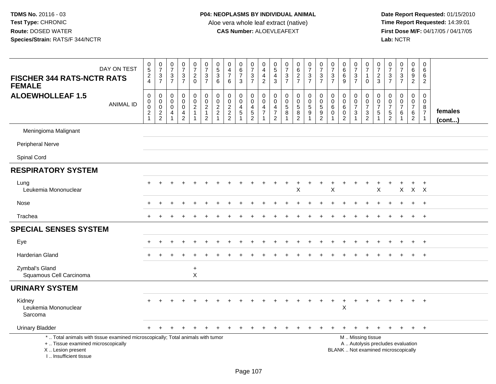| DAY ON TEST<br><b>FISCHER 344 RATS-NCTR RATS</b><br><b>FEMALE</b>                                                                                                   | $\begin{array}{c} 0 \\ 5 \end{array}$<br>$\frac{2}{4}$ | $\frac{0}{7}$<br>$\frac{3}{7}$                                 | $\begin{array}{c} 0 \\ 7 \end{array}$<br>$\frac{3}{7}$                        | $\frac{0}{7}$<br>$\frac{3}{7}$                       | $\begin{smallmatrix} 0\\7 \end{smallmatrix}$<br>$_{0}^{2}$           | $\begin{array}{c} 0 \\ 7 \end{array}$<br>$\frac{3}{7}$    | $\pmb{0}$<br>$\overline{5}$<br>$\mathbf{3}$<br>6          | $\begin{smallmatrix}0\0\4\end{smallmatrix}$<br>$\overline{7}$<br>6 | $_{6}^{\rm 0}$<br>$\overline{7}$<br>3             | $\begin{smallmatrix}0\\7\end{smallmatrix}$<br>$\frac{3}{7}$    | $\pmb{0}$<br>$\overline{\mathbf{4}}$<br>$\overline{4}$<br>$\overline{2}$     | $\begin{array}{c} 0 \\ 5 \end{array}$<br>$\overline{4}$<br>$\overline{3}$ | $\begin{array}{c} 0 \\ 7 \end{array}$<br>$\frac{3}{7}$                    | $062$<br>$77$                                                | $\begin{array}{c} 0 \\ 7 \end{array}$<br>$\frac{3}{7}$                       | $\begin{smallmatrix}0\\7\end{smallmatrix}$<br>$\frac{3}{7}$ | $\begin{array}{c} 0 \\ 7 \end{array}$<br>$\ensuremath{\mathsf{3}}$<br>$\overline{7}$ | $_{6}^{\rm 0}$<br>$\,6\,$<br>$\overline{9}$                      | $\begin{array}{c} 0 \\ 7 \end{array}$<br>$\frac{3}{7}$                            | $\begin{array}{c} 0 \\ 7 \end{array}$<br>$\overline{1}$<br>$\mathbf 0$ | 0<br>$\overline{7}$<br>$\frac{2}{3}$                                        | $\frac{0}{7}$<br>$\ensuremath{\mathsf{3}}$<br>$\overline{7}$ | $\frac{0}{7}$<br>$\frac{3}{7}$                          | $\pmb{0}$<br>$6\phantom{a}$<br>$9\,$<br>$\overline{2}$                    | $\pmb{0}$<br>$\,6\,$<br>$\,6\,$<br>$\boldsymbol{2}$       |                   |
|---------------------------------------------------------------------------------------------------------------------------------------------------------------------|--------------------------------------------------------|----------------------------------------------------------------|-------------------------------------------------------------------------------|------------------------------------------------------|----------------------------------------------------------------------|-----------------------------------------------------------|-----------------------------------------------------------|--------------------------------------------------------------------|---------------------------------------------------|----------------------------------------------------------------|------------------------------------------------------------------------------|---------------------------------------------------------------------------|---------------------------------------------------------------------------|--------------------------------------------------------------|------------------------------------------------------------------------------|-------------------------------------------------------------|--------------------------------------------------------------------------------------|------------------------------------------------------------------|-----------------------------------------------------------------------------------|------------------------------------------------------------------------|-----------------------------------------------------------------------------|--------------------------------------------------------------|---------------------------------------------------------|---------------------------------------------------------------------------|-----------------------------------------------------------|-------------------|
| <b>ALOEWHOLLEAF 1.5</b><br><b>ANIMAL ID</b>                                                                                                                         | $\boldsymbol{0}$<br>0<br>0<br>$\frac{2}{1}$            | $\mathsf{O}\xspace$<br>$\pmb{0}$<br>$\pmb{0}$<br>$\frac{2}{2}$ | $\mathbf 0$<br>$\mathbf 0$<br>$\mathbf 0$<br>$\overline{4}$<br>$\overline{1}$ | $\pmb{0}$<br>$\pmb{0}$<br>$\pmb{0}$<br>$\frac{4}{2}$ | 0<br>$\mathbf 0$<br>$\overline{c}$<br>$\mathbf{1}$<br>$\overline{1}$ | $\pmb{0}$<br>$\pmb{0}$<br>$\frac{2}{1}$<br>$\overline{c}$ | $\pmb{0}$<br>$\mathbf 0$<br>$\frac{2}{2}$<br>$\mathbf{1}$ | $\pmb{0}$<br>$\mathbf 0$<br>$\frac{2}{2}$                          | 0<br>$\mathbf 0$<br>$\frac{4}{5}$<br>$\mathbf{1}$ | 0<br>$\mathbf 0$<br>$\begin{array}{c} 4 \\ 5 \\ 2 \end{array}$ | 0<br>$\mathbf 0$<br>$\overline{\mathbf{4}}$<br>$\overline{7}$<br>$\mathbf 1$ | 0<br>$\mathbf 0$<br>$\overline{a}$<br>$\boldsymbol{7}$<br>$\overline{2}$  | $\mathbf 0$<br>$\mathbf 0$<br>$\,$ 5 $\,$<br>8<br>$\overline{\mathbf{1}}$ | 0<br>$\pmb{0}$<br>$\begin{array}{c} 5 \\ 8 \\ 2 \end{array}$ | $\mathsf 0$<br>$\mathbf 0$<br>$\sqrt{5}$<br>$\boldsymbol{9}$<br>$\mathbf{1}$ | $\mathsf{O}\xspace$<br>$\pmb{0}$<br>$\frac{5}{2}$           | $\mathbf 0$<br>$\mathbf 0$<br>$\,6\,$<br>$\mathbf 0$<br>$\overline{1}$               | 0<br>$\mathsf{O}\xspace$<br>$\,6$<br>$\pmb{0}$<br>$\overline{2}$ | 0<br>$\mathbf 0$<br>$\overline{7}$<br>$\ensuremath{\mathsf{3}}$<br>$\overline{1}$ | $\mathbf 0$<br>$\pmb{0}$<br>$\overline{7}$<br>$\frac{3}{2}$            | $\mathbf 0$<br>$\mathbf 0$<br>$\overline{7}$<br>$\mathbf 5$<br>$\mathbf{1}$ | 0<br>$\mathbf 0$<br>$\overline{7}$<br>$\frac{5}{2}$          | 0<br>$\mathbf 0$<br>$\overline{7}$<br>6<br>$\mathbf{1}$ | $\mathbf 0$<br>$\mathbf 0$<br>$\overline{7}$<br>$\,6\,$<br>$\overline{2}$ | 0<br>$\mathbf 0$<br>8<br>$\overline{7}$<br>$\overline{1}$ | females<br>(cont) |
| Meningioma Malignant                                                                                                                                                |                                                        |                                                                |                                                                               |                                                      |                                                                      |                                                           |                                                           |                                                                    |                                                   |                                                                |                                                                              |                                                                           |                                                                           |                                                              |                                                                              |                                                             |                                                                                      |                                                                  |                                                                                   |                                                                        |                                                                             |                                                              |                                                         |                                                                           |                                                           |                   |
| <b>Peripheral Nerve</b>                                                                                                                                             |                                                        |                                                                |                                                                               |                                                      |                                                                      |                                                           |                                                           |                                                                    |                                                   |                                                                |                                                                              |                                                                           |                                                                           |                                                              |                                                                              |                                                             |                                                                                      |                                                                  |                                                                                   |                                                                        |                                                                             |                                                              |                                                         |                                                                           |                                                           |                   |
| Spinal Cord                                                                                                                                                         |                                                        |                                                                |                                                                               |                                                      |                                                                      |                                                           |                                                           |                                                                    |                                                   |                                                                |                                                                              |                                                                           |                                                                           |                                                              |                                                                              |                                                             |                                                                                      |                                                                  |                                                                                   |                                                                        |                                                                             |                                                              |                                                         |                                                                           |                                                           |                   |
| <b>RESPIRATORY SYSTEM</b>                                                                                                                                           |                                                        |                                                                |                                                                               |                                                      |                                                                      |                                                           |                                                           |                                                                    |                                                   |                                                                |                                                                              |                                                                           |                                                                           |                                                              |                                                                              |                                                             |                                                                                      |                                                                  |                                                                                   |                                                                        |                                                                             |                                                              |                                                         |                                                                           |                                                           |                   |
| Lung<br>Leukemia Mononuclear                                                                                                                                        |                                                        |                                                                |                                                                               |                                                      |                                                                      |                                                           |                                                           |                                                                    |                                                   |                                                                |                                                                              |                                                                           |                                                                           | $\ddot{}$<br>X                                               |                                                                              |                                                             | X                                                                                    |                                                                  |                                                                                   |                                                                        | X                                                                           |                                                              | X                                                       | $+$<br>$X$ $X$                                                            | $+$                                                       |                   |
| Nose                                                                                                                                                                |                                                        |                                                                |                                                                               |                                                      |                                                                      |                                                           |                                                           |                                                                    |                                                   |                                                                |                                                                              |                                                                           |                                                                           |                                                              |                                                                              |                                                             |                                                                                      |                                                                  |                                                                                   |                                                                        |                                                                             |                                                              |                                                         |                                                                           | $\overline{ }$                                            |                   |
| Trachea                                                                                                                                                             |                                                        |                                                                |                                                                               |                                                      |                                                                      |                                                           |                                                           |                                                                    |                                                   |                                                                |                                                                              |                                                                           |                                                                           |                                                              |                                                                              |                                                             |                                                                                      |                                                                  |                                                                                   |                                                                        |                                                                             |                                                              |                                                         | $+$                                                                       | $+$                                                       |                   |
| <b>SPECIAL SENSES SYSTEM</b>                                                                                                                                        |                                                        |                                                                |                                                                               |                                                      |                                                                      |                                                           |                                                           |                                                                    |                                                   |                                                                |                                                                              |                                                                           |                                                                           |                                                              |                                                                              |                                                             |                                                                                      |                                                                  |                                                                                   |                                                                        |                                                                             |                                                              |                                                         |                                                                           |                                                           |                   |
| Eye                                                                                                                                                                 |                                                        |                                                                |                                                                               |                                                      |                                                                      |                                                           |                                                           |                                                                    |                                                   |                                                                |                                                                              |                                                                           |                                                                           |                                                              |                                                                              |                                                             |                                                                                      |                                                                  |                                                                                   |                                                                        |                                                                             |                                                              |                                                         | $+$                                                                       | $+$                                                       |                   |
| Harderian Gland                                                                                                                                                     |                                                        |                                                                |                                                                               |                                                      |                                                                      |                                                           |                                                           |                                                                    |                                                   |                                                                |                                                                              |                                                                           |                                                                           |                                                              |                                                                              |                                                             |                                                                                      |                                                                  |                                                                                   |                                                                        |                                                                             |                                                              |                                                         |                                                                           | $\ddot{}$                                                 |                   |
| Zymbal's Gland<br>Squamous Cell Carcinoma                                                                                                                           |                                                        |                                                                |                                                                               |                                                      | $\ddot{}$<br>$\mathsf X$                                             |                                                           |                                                           |                                                                    |                                                   |                                                                |                                                                              |                                                                           |                                                                           |                                                              |                                                                              |                                                             |                                                                                      |                                                                  |                                                                                   |                                                                        |                                                                             |                                                              |                                                         |                                                                           |                                                           |                   |
| <b>URINARY SYSTEM</b>                                                                                                                                               |                                                        |                                                                |                                                                               |                                                      |                                                                      |                                                           |                                                           |                                                                    |                                                   |                                                                |                                                                              |                                                                           |                                                                           |                                                              |                                                                              |                                                             |                                                                                      |                                                                  |                                                                                   |                                                                        |                                                                             |                                                              |                                                         |                                                                           |                                                           |                   |
| Kidney<br>Leukemia Mononuclear<br>Sarcoma                                                                                                                           |                                                        |                                                                |                                                                               |                                                      |                                                                      |                                                           |                                                           |                                                                    |                                                   |                                                                |                                                                              |                                                                           |                                                                           |                                                              |                                                                              |                                                             |                                                                                      | $\pmb{\times}$                                                   |                                                                                   |                                                                        |                                                                             |                                                              |                                                         | $+$                                                                       | $+$                                                       |                   |
| <b>Urinary Bladder</b>                                                                                                                                              |                                                        |                                                                |                                                                               |                                                      |                                                                      |                                                           |                                                           |                                                                    |                                                   |                                                                |                                                                              |                                                                           |                                                                           |                                                              |                                                                              |                                                             |                                                                                      |                                                                  |                                                                                   |                                                                        |                                                                             |                                                              | $\ddot{}$                                               | $+$                                                                       | $+$                                                       |                   |
| *  Total animals with tissue examined microscopically; Total animals with tumor<br>+  Tissue examined microscopically<br>X  Lesion present<br>I Insufficient tissue |                                                        |                                                                |                                                                               |                                                      |                                                                      |                                                           |                                                           |                                                                    |                                                   |                                                                |                                                                              |                                                                           |                                                                           |                                                              |                                                                              |                                                             |                                                                                      | BLANK  Not examined microscopically                              |                                                                                   | M  Missing tissue                                                      |                                                                             | A  Autolysis precludes evaluation                            |                                                         |                                                                           |                                                           |                   |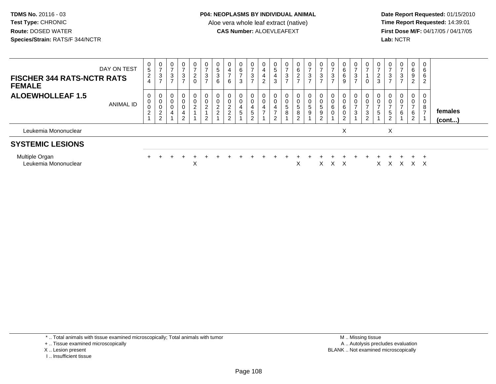**Date Report Requested:** 01/15/2010 **First Dose M/F:** 04/17/05 / 04/17/05 Lab: NCTR **Lab:** NCTR

| <b>FISCHER 344 RATS-NCTR RATS</b><br><b>FEMALE</b> | DAY ON TEST | $\frac{0}{5}$<br>$\overline{2}$<br>$\overline{4}$ | $\frac{0}{7}$<br>$\sqrt{3}$<br>$\rightarrow$ | $\frac{0}{7}$<br>3<br>$\overline{ }$ | $\frac{0}{7}$<br>$\mathbf{3}$<br>$\overline{ }$                           | 0<br>$\overline{ }$<br>$\frac{2}{0}$ | 0<br>$\overline{ }$<br>3<br>$\overline{ }$           | 0<br>$\overline{5}$<br>3<br>6                | $\rightarrow$<br>6                                                | 0<br>6<br>$\rightarrow$<br>3 | $\rightarrow$<br>3<br>$\overline{ }$ | $\overline{0}$<br>$\overline{4}$<br>$\overline{4}$<br>$\overline{2}$ | $\begin{array}{c} 0 \\ 5 \end{array}$<br>$\overline{4}$<br>3 | $\frac{0}{7}$<br>$\frac{3}{7}$                              | $\mathbf 0$<br>6<br>$\frac{2}{7}$  | 0<br>$\overline{ }$<br>3<br>$\overline{ }$ | $\frac{0}{7}$<br>$\frac{3}{7}$     | $\frac{0}{7}$<br>3<br>$\overline{z}$ | 0<br>6<br>6<br>9 | $\rightarrow$<br>3<br>$\overline{ }$ | $\frac{0}{7}$<br>0                                               | $\frac{0}{7}$<br>$\frac{2}{3}$                      | $\frac{0}{7}$<br>3<br>$\overline{z}$                             | 0<br>$\overline{ }$<br>3<br>$\overline{ }$ | 0<br>6<br>9<br>$\overline{2}$                              | 0<br>6<br>6<br>2    |                         |  |
|----------------------------------------------------|-------------|---------------------------------------------------|----------------------------------------------|--------------------------------------|---------------------------------------------------------------------------|--------------------------------------|------------------------------------------------------|----------------------------------------------|-------------------------------------------------------------------|------------------------------|--------------------------------------|----------------------------------------------------------------------|--------------------------------------------------------------|-------------------------------------------------------------|------------------------------------|--------------------------------------------|------------------------------------|--------------------------------------|------------------|--------------------------------------|------------------------------------------------------------------|-----------------------------------------------------|------------------------------------------------------------------|--------------------------------------------|------------------------------------------------------------|---------------------|-------------------------|--|
| <b>ALOEWHOLLEAF 1.5</b>                            | ANIMAL ID   | 0<br>0<br>0<br>$\overline{c}$                     | 0<br>$\pmb{0}$<br>$\pmb{0}$<br>$\frac{2}{2}$ | 0<br>$\pmb{0}$<br>$\mathbf 0$<br>4   | $\mathbf 0$<br>$\pmb{0}$<br>$\pmb{0}$<br>$\overline{4}$<br>$\overline{2}$ | 0<br>0<br>$\overline{2}$             | 0<br>$\mathbf 0$<br>$\overline{2}$<br>$\overline{2}$ | 0<br>0<br>$\overline{a}$<br>$\boldsymbol{2}$ | $\pmb{0}$<br>$\overline{c}$<br>$\boldsymbol{2}$<br>$\overline{c}$ | 0<br>4<br>5                  | 0<br>0<br>4<br>$5\phantom{.0}$<br>⌒  | 0<br>$\pmb{0}$<br>$\overline{\mathbf{4}}$<br>$\rightarrow$           | 0<br>$\pmb{0}$<br>4<br>$\overline{ }$<br>2                   | $\boldsymbol{0}$<br>$\pmb{0}$<br>$5\phantom{.0}$<br>$\bf 8$ | 0<br>0<br>$\overline{5}$<br>8<br>2 | $\mathbf 0$<br>$\overline{5}$<br>9         | 0<br>$\overline{5}$<br>9<br>⌒<br>∠ | $\pmb{0}$<br>$\,6$                   | 0<br>6<br>0<br>2 | 0<br>0<br>$\overline{ }$<br>3        | 0<br>$\pmb{0}$<br>$\overline{ }$<br>$\sqrt{3}$<br>$\overline{2}$ | 0<br>$\pmb{0}$<br>$\overline{ }$<br>$5\phantom{.0}$ | 0<br>$\pmb{0}$<br>$\overline{ }$<br>$\sqrt{5}$<br>$\overline{c}$ | 0<br>0<br>$\overline{\phantom{0}}$<br>6    | $\mathbf 0$<br>$\mathbf 0$<br>$\overline{ }$<br>$\,6$<br>2 | 8<br>$\overline{ }$ | females<br>$($ cont $)$ |  |
| Leukemia Mononuclear                               |             |                                                   |                                              |                                      |                                                                           |                                      |                                                      |                                              |                                                                   |                              |                                      |                                                                      |                                                              |                                                             |                                    |                                            |                                    |                                      | X                |                                      |                                                                  |                                                     | X                                                                |                                            |                                                            |                     |                         |  |
| <b>SYSTEMIC LESIONS</b>                            |             |                                                   |                                              |                                      |                                                                           |                                      |                                                      |                                              |                                                                   |                              |                                      |                                                                      |                                                              |                                                             |                                    |                                            |                                    |                                      |                  |                                      |                                                                  |                                                     |                                                                  |                                            |                                                            |                     |                         |  |
| Multiple Organ<br>Leukemia Mononuclear             |             |                                                   |                                              |                                      |                                                                           | X                                    |                                                      |                                              |                                                                   |                              |                                      |                                                                      |                                                              |                                                             | X                                  |                                            | х                                  | x                                    | X                |                                      |                                                                  | X                                                   |                                                                  | X                                          | X                                                          | X                   |                         |  |

\* .. Total animals with tissue examined microscopically; Total animals with tumor

+ .. Tissue examined microscopically

- X .. Lesion present
- I .. Insufficient tissue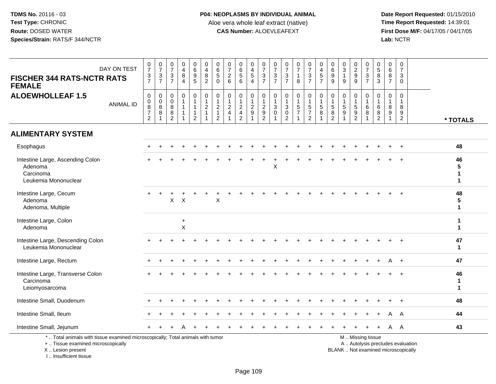**Date Report Requested:** 01/15/2010 **First Dose M/F:** 04/17/05 / 04/17/05<br>Lab: NCTR **Lab:** NCTR

| <b>FISCHER 344 RATS-NCTR RATS</b><br><b>FEMALE</b>                                                                                         | DAY ON TEST      | $\frac{0}{7}$<br>$\frac{3}{7}$                                         | $\frac{0}{7}$<br>$rac{3}{7}$                 | $\frac{0}{7}$<br>$\sqrt{3}$<br>$\overline{7}$               | 0<br>$\overline{4}$<br>8<br>4                               | 0<br>0<br>0<br>5                                                              | $\pmb{0}$<br>$\frac{4}{8}$                              | $\begin{array}{c} 0 \\ 6 \end{array}$<br>$\sqrt{5}$<br>$\mathbf 0$            | $\frac{0}{7}$<br>$\begin{array}{c} 2 \\ 6 \end{array}$  | $\pmb{0}$<br>$\,6$<br>$\sqrt{5}$<br>6                                             | $\begin{smallmatrix}0\0\4\end{smallmatrix}$<br>5<br>$\overline{4}$ | $\begin{matrix}0\\7\end{matrix}$<br>$\frac{3}{7}$ | $\frac{0}{7}$<br>$\frac{3}{7}$                                | 0<br>$\overline{7}$<br>$\mathbf{3}$<br>$\overline{7}$                         | $\frac{0}{7}$<br>$\mathbf{1}$<br>8                             | $\frac{0}{7}$<br>$\frac{3}{7}$                               | $0$<br>4<br>5<br>7                                                                   | $_{6}^{\rm 0}$<br>$\boldsymbol{9}$<br>$\overline{9}$    | 0<br>$\sqrt{3}$<br>$\mathbf{1}$<br>9           | $0$<br>9<br>9                                                  | $\frac{0}{7}$<br>$\frac{3}{7}$          | $\begin{array}{c} 0 \\ 5 \end{array}$<br>$\frac{8}{3}$               | 0<br>6<br>8<br>$\overline{7}$        | $\mathbf 0$<br>$\overline{7}$<br>$\mathbf{3}$<br>$\Omega$          |                                   |                         |
|--------------------------------------------------------------------------------------------------------------------------------------------|------------------|------------------------------------------------------------------------|----------------------------------------------|-------------------------------------------------------------|-------------------------------------------------------------|-------------------------------------------------------------------------------|---------------------------------------------------------|-------------------------------------------------------------------------------|---------------------------------------------------------|-----------------------------------------------------------------------------------|--------------------------------------------------------------------|---------------------------------------------------|---------------------------------------------------------------|-------------------------------------------------------------------------------|----------------------------------------------------------------|--------------------------------------------------------------|--------------------------------------------------------------------------------------|---------------------------------------------------------|------------------------------------------------|----------------------------------------------------------------|-----------------------------------------|----------------------------------------------------------------------|--------------------------------------|--------------------------------------------------------------------|-----------------------------------|-------------------------|
| <b>ALOEWHOLLEAF 1.5</b>                                                                                                                    | <b>ANIMAL ID</b> | 0<br>$\mathbf 0$<br>$\overline{8}$<br>$\overline{7}$<br>$\overline{2}$ | $\mathbf 0$<br>$\frac{0}{8}$<br>$\mathbf{1}$ | $\mathbf 0$<br>$\mathbf 0$<br>$\, 8$<br>8<br>$\overline{2}$ | $\pmb{0}$<br>$\overline{1}$<br>$\mathbf{1}$<br>$\mathbf{1}$ | $\mathbf 0$<br>$\mathbf{1}$<br>$\mathbf{1}$<br>$\mathbf{1}$<br>$\overline{2}$ | $\pmb{0}$<br>$\mathbf{1}$<br>$\sqrt{2}$<br>$\mathbf{1}$ | $\mathbf 0$<br>$\overline{1}$<br>$\sqrt{2}$<br>$\mathbf{1}$<br>$\overline{2}$ | 0<br>$\overline{1}$<br>$\overline{c}$<br>$\overline{4}$ | $\mathbf 0$<br>$\mathbf{1}$<br>$\overline{c}$<br>$\overline{4}$<br>$\overline{2}$ | 0<br>$\overline{a}$<br>$9\,$                                       | $\mathbf 0$<br>$\overline{1}$<br>$\frac{2}{9}$    | $\pmb{0}$<br>$\mathbf{1}$<br>$\mathbf{3}$<br>$\mathbf 0$<br>1 | 0<br>$\mathbf{1}$<br>$\ensuremath{\mathsf{3}}$<br>$\pmb{0}$<br>$\overline{2}$ | $\mathbf 0$<br>$\mathbf{1}$<br>$\frac{5}{7}$<br>$\overline{1}$ | $\pmb{0}$<br>$\mathbf{1}$<br>$\frac{5}{7}$<br>$\overline{2}$ | $\pmb{0}$<br>$\begin{array}{c} 1 \\ 5 \end{array}$<br>$\overline{8}$<br>$\mathbf{1}$ | $\mathbf 0$<br>$\mathbf{1}$<br>5<br>8<br>$\overline{2}$ | 0<br>$\mathbf{1}$<br>$\sqrt{5}$<br>$\mathsf g$ | $\mathbf 0$<br>$\mathbf{1}$<br>$\frac{5}{9}$<br>$\overline{2}$ | 0<br>$\overline{1}$<br>$\,6$<br>$\,8\,$ | $\boldsymbol{0}$<br>$\overline{1}$<br>$\,6\,$<br>8<br>$\overline{2}$ | 0<br>$\mathbf{1}$<br>8<br>$9\,$<br>1 | $\mathbf 0$<br>$\overline{\mathbf{1}}$<br>8<br>9<br>$\overline{2}$ |                                   | * TOTALS                |
| <b>ALIMENTARY SYSTEM</b>                                                                                                                   |                  |                                                                        |                                              |                                                             |                                                             |                                                                               |                                                         |                                                                               |                                                         |                                                                                   |                                                                    |                                                   |                                                               |                                                                               |                                                                |                                                              |                                                                                      |                                                         |                                                |                                                                |                                         |                                                                      |                                      |                                                                    |                                   |                         |
| Esophagus                                                                                                                                  |                  |                                                                        |                                              |                                                             |                                                             |                                                                               |                                                         |                                                                               |                                                         |                                                                                   |                                                                    |                                                   |                                                               |                                                                               |                                                                |                                                              |                                                                                      |                                                         |                                                |                                                                |                                         |                                                                      |                                      | $\ddot{}$                                                          |                                   | 48                      |
| Intestine Large, Ascending Colon<br>Adenoma<br>Carcinoma<br>Leukemia Mononuclear                                                           |                  |                                                                        |                                              |                                                             |                                                             |                                                                               |                                                         |                                                                               |                                                         |                                                                                   |                                                                    |                                                   | X                                                             |                                                                               |                                                                |                                                              |                                                                                      |                                                         |                                                |                                                                |                                         |                                                                      |                                      |                                                                    |                                   | 46<br>5<br>1            |
| Intestine Large, Cecum<br>Adenoma<br>Adenoma, Multiple                                                                                     |                  |                                                                        |                                              | X                                                           | $\boldsymbol{\mathsf{X}}$                                   |                                                                               |                                                         | X                                                                             |                                                         |                                                                                   |                                                                    |                                                   |                                                               |                                                                               |                                                                |                                                              |                                                                                      |                                                         |                                                |                                                                |                                         |                                                                      |                                      |                                                                    |                                   | 48<br>5<br>$\mathbf{1}$ |
| Intestine Large, Colon<br>Adenoma                                                                                                          |                  |                                                                        |                                              |                                                             | $\ddot{}$<br>X                                              |                                                                               |                                                         |                                                                               |                                                         |                                                                                   |                                                                    |                                                   |                                                               |                                                                               |                                                                |                                                              |                                                                                      |                                                         |                                                |                                                                |                                         |                                                                      |                                      |                                                                    |                                   | $\mathbf{1}$<br>1       |
| Intestine Large, Descending Colon<br>Leukemia Mononuclear                                                                                  |                  |                                                                        |                                              |                                                             |                                                             |                                                                               |                                                         |                                                                               |                                                         |                                                                                   |                                                                    |                                                   |                                                               |                                                                               |                                                                |                                                              |                                                                                      |                                                         |                                                |                                                                |                                         |                                                                      |                                      |                                                                    |                                   | 47<br>$\mathbf{1}$      |
| Intestine Large, Rectum                                                                                                                    |                  |                                                                        |                                              |                                                             |                                                             |                                                                               |                                                         |                                                                               |                                                         |                                                                                   |                                                                    |                                                   |                                                               |                                                                               |                                                                |                                                              |                                                                                      |                                                         |                                                |                                                                |                                         |                                                                      |                                      |                                                                    |                                   | 47                      |
| Intestine Large, Transverse Colon<br>Carcinoma<br>Leiomyosarcoma                                                                           |                  |                                                                        |                                              |                                                             |                                                             |                                                                               |                                                         |                                                                               |                                                         |                                                                                   |                                                                    |                                                   |                                                               |                                                                               |                                                                |                                                              |                                                                                      |                                                         |                                                |                                                                |                                         |                                                                      |                                      |                                                                    |                                   | 46<br>1<br>$\mathbf{1}$ |
| Intestine Small, Duodenum                                                                                                                  |                  |                                                                        |                                              |                                                             |                                                             |                                                                               |                                                         |                                                                               |                                                         |                                                                                   |                                                                    |                                                   |                                                               |                                                                               |                                                                |                                                              |                                                                                      |                                                         |                                                |                                                                |                                         |                                                                      |                                      |                                                                    |                                   | 48                      |
| Intestine Small, Ileum                                                                                                                     |                  |                                                                        |                                              |                                                             |                                                             |                                                                               |                                                         |                                                                               |                                                         |                                                                                   |                                                                    |                                                   |                                                               |                                                                               |                                                                |                                                              |                                                                                      |                                                         |                                                |                                                                |                                         |                                                                      |                                      | A                                                                  |                                   | 44                      |
| Intestine Small, Jejunum                                                                                                                   |                  |                                                                        |                                              |                                                             |                                                             |                                                                               |                                                         |                                                                               |                                                         |                                                                                   |                                                                    |                                                   |                                                               |                                                                               |                                                                |                                                              |                                                                                      |                                                         |                                                |                                                                |                                         |                                                                      | A                                    | - A                                                                |                                   | 43                      |
| *  Total animals with tissue examined microscopically; Total animals with tumor<br>+  Tissue examined microscopically<br>X  Lesion present |                  |                                                                        |                                              |                                                             |                                                             |                                                                               |                                                         |                                                                               |                                                         |                                                                                   |                                                                    |                                                   |                                                               |                                                                               |                                                                |                                                              |                                                                                      |                                                         | BLANK  Not examined microscopically            |                                                                | M  Missing tissue                       |                                                                      |                                      |                                                                    | A  Autolysis precludes evaluation |                         |

I .. Insufficient tissue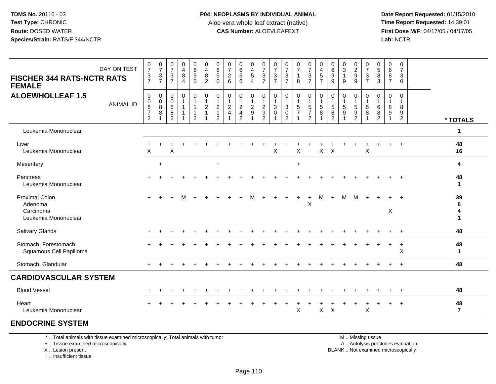**Date Report Requested:** 01/15/2010 **First Dose M/F:** 04/17/05 / 04/17/05<br>Lab: NCTR **Lab:** NCTR

| DAY ON TEST<br><b>FISCHER 344 RATS-NCTR RATS</b><br><b>FEMALE</b>     | $\frac{0}{7}$<br>$\frac{3}{7}$            | $\frac{0}{7}$<br>$\frac{3}{7}$                       | $\frac{0}{7}$<br>$\mathbf{3}$<br>$\overline{7}$ | $\boldsymbol{0}$<br>$\overline{4}$<br>8<br>$\overline{4}$ | $\begin{matrix} 0 \\ 6 \end{matrix}$<br>$\frac{9}{5}$ | 0<br>$\overline{4}$<br>8<br>$\overline{2}$                | $\begin{array}{c} 0 \\ 6 \end{array}$<br>$\overline{5}$<br>$\mathbf 0$ | $\frac{0}{7}$<br>$\overline{2}$<br>6                                 | 0<br>6<br>5<br>6                                                                           | 0<br>4<br>5<br>4                                        | $\frac{0}{7}$<br>$\frac{3}{7}$                                          | $\frac{0}{7}$<br>$\frac{3}{7}$      | $\frac{0}{7}$<br>$\frac{3}{7}$                                                    | $\frac{0}{7}$<br>$\mathbf{1}$<br>8                           | $\frac{0}{7}$<br>$\frac{3}{7}$       | $\frac{0}{4}$<br>$\frac{5}{7}$          | $\begin{array}{c} 0 \\ 6 \end{array}$<br>$\boldsymbol{9}$<br>9 | $\frac{0}{3}$<br>9   | $\begin{array}{c} 0 \\ 2 \\ 9 \end{array}$                              | 0<br>$\overline{7}$<br>$\frac{3}{7}$ | $\begin{array}{c} 0 \\ 5 \end{array}$<br>$\,8\,$<br>$\mathbf{3}$ | 0<br>6<br>8<br>$\overline{7}$ | 0<br>$\overline{7}$<br>3<br>$\Omega$                    |                            |
|-----------------------------------------------------------------------|-------------------------------------------|------------------------------------------------------|-------------------------------------------------|-----------------------------------------------------------|-------------------------------------------------------|-----------------------------------------------------------|------------------------------------------------------------------------|----------------------------------------------------------------------|--------------------------------------------------------------------------------------------|---------------------------------------------------------|-------------------------------------------------------------------------|-------------------------------------|-----------------------------------------------------------------------------------|--------------------------------------------------------------|--------------------------------------|-----------------------------------------|----------------------------------------------------------------|----------------------|-------------------------------------------------------------------------|--------------------------------------|------------------------------------------------------------------|-------------------------------|---------------------------------------------------------|----------------------------|
| <b>ALOEWHOLLEAF 1.5</b><br><b>ANIMAL ID</b>                           | 0<br>0<br>$\frac{8}{7}$<br>$\overline{2}$ | $\pmb{0}$<br>$_{\rm 8}^{\rm 0}$<br>8<br>$\mathbf{1}$ | 0<br>0<br>8<br>8<br>2                           | 0<br>1                                                    | 0<br>1<br>$\mathbf{1}$<br>$\mathbf{1}$<br>2           | $\mathbf 0$<br>$\mathbf{1}$<br>$\sqrt{2}$<br>$\mathbf{1}$ | $\mathbf 0$<br>$\mathbf{1}$<br>$\frac{2}{1}$<br>$\overline{2}$         | $\mathbf 0$<br>$\mathbf{1}$<br>$\overline{2}$<br>$\overline{4}$<br>1 | $\mathbf 0$<br>$\mathbf{1}$<br>$\overline{c}$<br>$\overline{\mathbf{4}}$<br>$\overline{2}$ | 0<br>$\mathbf{1}$<br>$\overline{2}$<br>$\boldsymbol{9}$ | $\pmb{0}$<br>$\mathbf{1}$<br>$\begin{array}{c} 2 \\ 9 \\ 2 \end{array}$ | 0<br>1<br>$\sqrt{3}$<br>$\mathbf 0$ | 0<br>$\overline{1}$<br>$\ensuremath{\mathsf{3}}$<br>$\mathbf 0$<br>$\overline{2}$ | $\pmb{0}$<br>$\mathbf{1}$<br>$\frac{5}{7}$<br>$\overline{ }$ | 0<br>$\frac{5}{7}$<br>$\overline{2}$ | $\pmb{0}$<br>$\mathbf{1}$<br>$5\,$<br>8 | 0<br>$\mathbf{1}$<br>$\sqrt{5}$<br>$\bf 8$<br>$\overline{2}$   | 0<br>$\sqrt{5}$<br>9 | 0<br>$\overline{1}$<br>$\sqrt{5}$<br>$\boldsymbol{9}$<br>$\overline{2}$ | 0<br>$\mathbf{1}$<br>6<br>8          | $\mathbf 0$<br>$\mathbf{1}$<br>$\,6\,$<br>8<br>$\overline{2}$    | 0<br>$\mathbf{1}$<br>8<br>9   | $\mathbf 0$<br>$\mathbf{1}$<br>8<br>9<br>$\overline{2}$ | * TOTALS                   |
| Leukemia Mononuclear                                                  |                                           |                                                      |                                                 |                                                           |                                                       |                                                           |                                                                        |                                                                      |                                                                                            |                                                         |                                                                         |                                     |                                                                                   |                                                              |                                      |                                         |                                                                |                      |                                                                         |                                      |                                                                  |                               |                                                         | $\mathbf{1}$               |
| Liver<br>Leukemia Mononuclear                                         | $\mathsf{X}$                              |                                                      | X                                               |                                                           |                                                       |                                                           |                                                                        |                                                                      |                                                                                            |                                                         |                                                                         | $\mathsf{x}$                        |                                                                                   | X                                                            |                                      | $\mathsf{X}$                            | $\mathsf{X}$                                                   |                      |                                                                         | $\mathsf{X}$                         |                                                                  |                               |                                                         | 48<br>16                   |
| Mesentery                                                             |                                           | $+$                                                  |                                                 |                                                           |                                                       |                                                           | $+$                                                                    |                                                                      |                                                                                            |                                                         |                                                                         |                                     |                                                                                   | $+$                                                          |                                      |                                         |                                                                |                      |                                                                         |                                      |                                                                  |                               |                                                         | 4                          |
| Pancreas<br>Leukemia Mononuclear                                      |                                           |                                                      |                                                 |                                                           |                                                       |                                                           |                                                                        |                                                                      |                                                                                            |                                                         |                                                                         |                                     |                                                                                   |                                                              |                                      |                                         |                                                                |                      |                                                                         |                                      |                                                                  |                               |                                                         | 48<br>$\blacktriangleleft$ |
| <b>Proximal Colon</b><br>Adenoma<br>Carcinoma<br>Leukemia Mononuclear | $+$                                       |                                                      |                                                 |                                                           |                                                       |                                                           |                                                                        |                                                                      |                                                                                            |                                                         |                                                                         |                                     |                                                                                   |                                                              | X                                    | м                                       | $\ddot{}$                                                      | м                    | M                                                                       | $\ddot{}$                            |                                                                  | X                             | $\ddot{}$                                               | 39<br>5<br>4<br>1          |
| <b>Salivary Glands</b>                                                |                                           |                                                      |                                                 |                                                           |                                                       |                                                           |                                                                        |                                                                      |                                                                                            |                                                         |                                                                         |                                     |                                                                                   |                                                              |                                      |                                         |                                                                |                      |                                                                         |                                      |                                                                  |                               | $\ddot{}$                                               | 48                         |
| Stomach, Forestomach<br>Squamous Cell Papilloma                       |                                           |                                                      |                                                 |                                                           |                                                       |                                                           |                                                                        |                                                                      |                                                                                            |                                                         |                                                                         |                                     |                                                                                   |                                                              |                                      |                                         |                                                                |                      |                                                                         |                                      |                                                                  |                               | $\ddot{}$<br>X                                          | 48<br>$\mathbf{1}$         |
| Stomach, Glandular                                                    |                                           |                                                      |                                                 |                                                           |                                                       |                                                           |                                                                        |                                                                      |                                                                                            |                                                         |                                                                         |                                     |                                                                                   |                                                              |                                      |                                         |                                                                |                      |                                                                         |                                      |                                                                  |                               | $\ddot{}$                                               | 48                         |
| <b>CARDIOVASCULAR SYSTEM</b>                                          |                                           |                                                      |                                                 |                                                           |                                                       |                                                           |                                                                        |                                                                      |                                                                                            |                                                         |                                                                         |                                     |                                                                                   |                                                              |                                      |                                         |                                                                |                      |                                                                         |                                      |                                                                  |                               |                                                         |                            |
| <b>Blood Vessel</b>                                                   |                                           |                                                      |                                                 |                                                           |                                                       |                                                           |                                                                        |                                                                      |                                                                                            |                                                         |                                                                         |                                     |                                                                                   |                                                              |                                      |                                         |                                                                |                      |                                                                         |                                      |                                                                  |                               | $\ddot{}$                                               | 48                         |
| Heart<br>Leukemia Mononuclear                                         |                                           |                                                      |                                                 |                                                           |                                                       |                                                           |                                                                        |                                                                      |                                                                                            |                                                         |                                                                         |                                     |                                                                                   | X                                                            |                                      | $\mathsf{X}$                            | $\times$                                                       |                      |                                                                         | $\times$                             |                                                                  |                               | $\ddot{}$                                               | 48<br>$\overline{7}$       |

## **ENDOCRINE SYSTEM**

\* .. Total animals with tissue examined microscopically; Total animals with tumor

+ .. Tissue examined microscopically

 Lesion present BLANK .. Not examined microscopicallyX .. Lesion present

I .. Insufficient tissue

M .. Missing tissue

y the contract of the contract of the contract of the contract of the contract of the contract of the contract of  $A$ . Autolysis precludes evaluation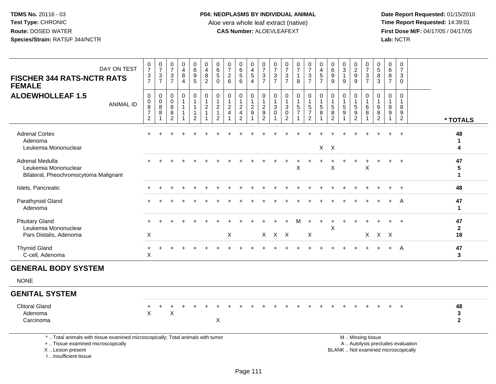**Date Report Requested:** 01/15/2010 **First Dose M/F:** 04/17/05 / 04/17/05<br>Lab: NCTR **Lab:** NCTR

| DAY ON TEST<br><b>FISCHER 344 RATS-NCTR RATS</b><br><b>FEMALE</b>                | $\frac{0}{7}$<br>$\frac{3}{7}$                                       | $\frac{0}{7}$<br>$\frac{3}{7}$     | $\frac{0}{7}$<br>$\frac{3}{7}$                              | $\begin{array}{c} 0 \\ 4 \\ 8 \end{array}$<br>$\overline{4}$                | 0<br>9<br>5<br>5                    | $\begin{array}{c} 0 \\ 4 \\ 8 \\ 2 \end{array}$                                   | $\begin{array}{c} 0 \\ 6 \\ 5 \end{array}$<br>$\mathbf 0$                     | 0<br>$\boldsymbol{7}$<br>$\overline{c}$<br>6      | 0656                                                                    | 0<br>$\frac{4}{5}$<br>$\overline{4}$                     | $07/3$<br>7                                                           | $\frac{0}{7}$<br>$\frac{3}{7}$                     | $\frac{0}{7}$<br>$\frac{3}{7}$                                     | $\frac{0}{7}$<br>$\mathbf{1}$<br>8                | $\frac{0}{7}$<br>$\frac{3}{7}$                       | $\begin{array}{c} 0 \\ 4 \\ 5 \\ 7 \end{array}$                             | $_{6}^{\rm 0}$<br>9<br>9           | $_{3}^{\rm 0}$<br>$\mathbf{1}$<br>9                     | 0<br>9<br>9                             | $\frac{0}{7}$<br>$\frac{3}{7}$           | $\mathbf 0$<br>$\begin{array}{c} 5 \\ 8 \\ 3 \end{array}$ | 0<br>6<br>8<br>$\overline{7}$              | $\mathbf 0$<br>$\overline{7}$<br>3<br>$\Omega$       |                                     |
|----------------------------------------------------------------------------------|----------------------------------------------------------------------|------------------------------------|-------------------------------------------------------------|-----------------------------------------------------------------------------|-------------------------------------|-----------------------------------------------------------------------------------|-------------------------------------------------------------------------------|---------------------------------------------------|-------------------------------------------------------------------------|----------------------------------------------------------|-----------------------------------------------------------------------|----------------------------------------------------|--------------------------------------------------------------------|---------------------------------------------------|------------------------------------------------------|-----------------------------------------------------------------------------|------------------------------------|---------------------------------------------------------|-----------------------------------------|------------------------------------------|-----------------------------------------------------------|--------------------------------------------|------------------------------------------------------|-------------------------------------|
| <b>ALOEWHOLLEAF 1.5</b><br><b>ANIMAL ID</b>                                      | 0<br>$\pmb{0}$<br>$\overline{8}$<br>$\overline{7}$<br>$\overline{2}$ | 0<br>$_{\rm 8}^{\rm 0}$<br>$\bf 8$ | $\mathbf 0$<br>$\mathbf 0$<br>$\bf8$<br>8<br>$\overline{2}$ | $\mathbf 0$<br>$\mathbf{1}$<br>$\mathbf{1}$<br>$\mathbf{1}$<br>$\mathbf{1}$ | 0<br>$\mathbf{1}$<br>$\overline{2}$ | $\mathbf 0$<br>$\overline{1}$<br>$\overline{2}$<br>$\mathbf{1}$<br>$\overline{1}$ | $\pmb{0}$<br>$\mathbf{1}$<br>$\overline{c}$<br>$\mathbf{1}$<br>$\overline{2}$ | 0<br>$\mathbf{1}$<br>$\sqrt{2}$<br>$\overline{4}$ | 0<br>$\mathbf{1}$<br>$\overline{2}$<br>$\overline{4}$<br>$\overline{2}$ | 0<br>$\mathbf{1}$<br>$\sqrt{2}$<br>$\boldsymbol{9}$<br>1 | 0<br>$\mathbf{1}$<br>$\sqrt{2}$<br>$\boldsymbol{9}$<br>$\overline{2}$ | 0<br>$\mathbf{1}$<br>$\mathfrak{S}$<br>$\mathbf 0$ | 0<br>$\mathbf{1}$<br>$\mathbf{3}$<br>$\mathbf 0$<br>$\overline{c}$ | 0<br>$\mathbf{1}$<br>$\sqrt{5}$<br>$\overline{7}$ | 0<br>$\mathbf{1}$<br>$\frac{5}{7}$<br>$\overline{2}$ | $\mathbf 0$<br>$\overline{1}$<br>$\overline{5}$<br>$\bf8$<br>$\overline{1}$ | 0<br>1<br>5<br>8<br>$\overline{2}$ | $\mathbf 0$<br>$\mathbf{1}$<br>5<br>9<br>$\overline{1}$ | 0<br>$\mathbf{1}$<br>5<br>$\frac{9}{2}$ | $\Omega$<br>$\mathbf{1}$<br>6<br>$\,8\,$ | $\mathbf 0$<br>$\mathbf{1}$<br>6<br>8<br>$\overline{2}$   | $\mathbf 0$<br>$\mathbf{1}$<br>8<br>9<br>1 | $\Omega$<br>$\mathbf{1}$<br>8<br>9<br>$\overline{c}$ | * TOTALS                            |
| <b>Adrenal Cortex</b><br>Adenoma<br>Leukemia Mononuclear                         | $+$                                                                  |                                    |                                                             |                                                                             |                                     |                                                                                   |                                                                               |                                                   |                                                                         |                                                          |                                                                       |                                                    |                                                                    |                                                   |                                                      |                                                                             | $X$ $X$                            |                                                         |                                         |                                          |                                                           |                                            | $+$                                                  | 48<br>$\mathbf{1}$<br>4             |
| Adrenal Medulla<br>Leukemia Mononuclear<br>Bilateral, Pheochromocytoma Malignant |                                                                      |                                    |                                                             |                                                                             |                                     |                                                                                   |                                                                               |                                                   |                                                                         |                                                          |                                                                       |                                                    |                                                                    | X                                                 |                                                      |                                                                             | $\ddot{}$<br>X                     |                                                         |                                         | $\ddot{}$<br>X                           |                                                           |                                            | $\ddot{}$                                            | 47<br>5<br>$\mathbf{1}$             |
| Islets, Pancreatic                                                               |                                                                      |                                    |                                                             |                                                                             |                                     |                                                                                   |                                                                               |                                                   |                                                                         |                                                          |                                                                       |                                                    |                                                                    |                                                   |                                                      |                                                                             |                                    |                                                         |                                         |                                          |                                                           |                                            | $+$                                                  | 48                                  |
| Parathyroid Gland<br>Adenoma                                                     |                                                                      |                                    |                                                             |                                                                             |                                     |                                                                                   |                                                                               |                                                   |                                                                         |                                                          |                                                                       |                                                    |                                                                    |                                                   |                                                      |                                                                             |                                    |                                                         |                                         |                                          |                                                           |                                            | A                                                    | 47<br>$\mathbf{1}$                  |
| <b>Pituitary Gland</b><br>Leukemia Mononuclear<br>Pars Distalis, Adenoma         | $\mathsf X$                                                          |                                    |                                                             |                                                                             |                                     |                                                                                   |                                                                               | $\boldsymbol{\mathsf{X}}$                         |                                                                         |                                                          |                                                                       | X X X                                              |                                                                    | м                                                 | $+$<br>$\mathsf X$                                   | $\ddot{}$                                                                   | $\ddot{}$<br>X                     |                                                         |                                         |                                          | $X$ $X$ $X$                                               |                                            |                                                      | 47<br>$\mathbf{2}$<br>18            |
| <b>Thyroid Gland</b><br>C-cell, Adenoma                                          | $^{+}$<br>$\mathsf X$                                                |                                    |                                                             |                                                                             |                                     |                                                                                   |                                                                               |                                                   |                                                                         |                                                          |                                                                       |                                                    |                                                                    |                                                   |                                                      |                                                                             |                                    |                                                         |                                         |                                          |                                                           |                                            | A                                                    | 47<br>3                             |
| <b>GENERAL BODY SYSTEM</b>                                                       |                                                                      |                                    |                                                             |                                                                             |                                     |                                                                                   |                                                                               |                                                   |                                                                         |                                                          |                                                                       |                                                    |                                                                    |                                                   |                                                      |                                                                             |                                    |                                                         |                                         |                                          |                                                           |                                            |                                                      |                                     |
| <b>NONE</b>                                                                      |                                                                      |                                    |                                                             |                                                                             |                                     |                                                                                   |                                                                               |                                                   |                                                                         |                                                          |                                                                       |                                                    |                                                                    |                                                   |                                                      |                                                                             |                                    |                                                         |                                         |                                          |                                                           |                                            |                                                      |                                     |
| <b>GENITAL SYSTEM</b>                                                            |                                                                      |                                    |                                                             |                                                                             |                                     |                                                                                   |                                                                               |                                                   |                                                                         |                                                          |                                                                       |                                                    |                                                                    |                                                   |                                                      |                                                                             |                                    |                                                         |                                         |                                          |                                                           |                                            |                                                      |                                     |
| <b>Clitoral Gland</b><br>Adenoma<br>Carcinoma                                    | $\ddot{}$<br>$\mathsf X$                                             | $\ddot{}$                          | $\mathsf X$                                                 |                                                                             |                                     |                                                                                   | X                                                                             |                                                   |                                                                         |                                                          |                                                                       |                                                    |                                                                    |                                                   |                                                      |                                                                             |                                    |                                                         |                                         |                                          |                                                           |                                            |                                                      | 48<br>$\mathbf 3$<br>$\overline{2}$ |
| *  Total animals with tissue examined microscopically; Total animals with tumor  |                                                                      |                                    |                                                             |                                                                             |                                     |                                                                                   |                                                                               |                                                   |                                                                         |                                                          |                                                                       |                                                    |                                                                    |                                                   |                                                      |                                                                             |                                    |                                                         |                                         | M  Missing tissue                        |                                                           |                                            |                                                      |                                     |

+ .. Tissue examined microscopically

X .. Lesion present

I .. Insufficient tissue

y the contract of the contract of the contract of the contract of the contract of the contract of the contract of  $A$ . Autolysis precludes evaluation Lesion present BLANK .. Not examined microscopically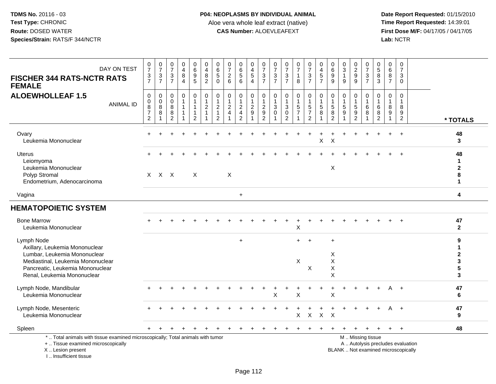**Date Report Requested:** 01/15/2010 **First Dose M/F:** 04/17/05 / 04/17/05<br>Lab: NCTR **Lab:** NCTR

| DAY ON TEST<br><b>FISCHER 344 RATS-NCTR RATS</b><br><b>FEMALE</b>                                                                                                                    | $\frac{0}{7}$<br>$\frac{3}{7}$                            | $\begin{array}{c} 0 \\ 7 \end{array}$<br>$\frac{3}{7}$ | $\frac{0}{7}$<br>$\ensuremath{\mathsf{3}}$<br>$\overline{7}$ | $_4^{\rm 0}$<br>$\bf 8$<br>$\overline{4}$                      | $_{6}^{\rm 0}$<br>$\frac{9}{5}$                                             | $\begin{smallmatrix}0\0\4\end{smallmatrix}$<br>$\bf 8$<br>$\overline{2}$ | $\begin{array}{c} 0 \\ 6 \\ 5 \end{array}$<br>$\Omega$                | $\frac{0}{7}$<br>$\frac{2}{6}$               | $_{6}^{\rm 0}$<br>$\overline{5}$<br>6                | 0<br>$\overline{4}$<br>$\sqrt{5}$<br>$\overline{4}$              | $\frac{0}{7}$<br>$\ensuremath{\mathsf{3}}$<br>$\overline{7}$ | $\frac{0}{7}$<br>$\ensuremath{\mathsf{3}}$<br>$\overline{7}$ | $\frac{0}{7}$<br>$rac{3}{7}$                                | $\begin{smallmatrix}0\\7\end{smallmatrix}$<br>$\mathbf{1}$<br>8 | $\frac{0}{7}$<br>$\ensuremath{\mathsf{3}}$<br>$\overline{7}$   | $\begin{smallmatrix}0\0\4\end{smallmatrix}$<br>$\,$ 5 $\,$<br>$\overline{7}$ | $\begin{array}{c} 0 \\ 6 \end{array}$<br>$\overline{9}$<br>$9\,$ | $\frac{0}{3}$<br>$\overline{1}$<br>9         | $\begin{smallmatrix} 0\\2\\9 \end{smallmatrix}$<br>9 | $\begin{array}{c} 0 \\ 7 \end{array}$<br>$\frac{3}{7}$                                        | $\begin{array}{c} 0 \\ 5 \end{array}$<br>$\bf 8$<br>3 | 0<br>$\,6\,$<br>8<br>$\overline{7}$               | 0<br>$\overline{7}$<br>$\mathbf{3}$<br>$\mathbf 0$ |                                            |
|--------------------------------------------------------------------------------------------------------------------------------------------------------------------------------------|-----------------------------------------------------------|--------------------------------------------------------|--------------------------------------------------------------|----------------------------------------------------------------|-----------------------------------------------------------------------------|--------------------------------------------------------------------------|-----------------------------------------------------------------------|----------------------------------------------|------------------------------------------------------|------------------------------------------------------------------|--------------------------------------------------------------|--------------------------------------------------------------|-------------------------------------------------------------|-----------------------------------------------------------------|----------------------------------------------------------------|------------------------------------------------------------------------------|------------------------------------------------------------------|----------------------------------------------|------------------------------------------------------|-----------------------------------------------------------------------------------------------|-------------------------------------------------------|---------------------------------------------------|----------------------------------------------------|--------------------------------------------|
| <b>ALOEWHOLLEAF 1.5</b><br><b>ANIMAL ID</b>                                                                                                                                          | $\pmb{0}$<br>$\pmb{0}$<br>$\frac{8}{7}$<br>$\overline{c}$ | $\boldsymbol{0}$<br>$\frac{0}{8}$                      | $\mathsf 0$<br>$\mathbf 0$<br>8<br>8<br>$\overline{2}$       | $\pmb{0}$<br>$\mathbf{1}$<br>$\mathbf{1}$<br>$\mathbf{1}$<br>1 | $\pmb{0}$<br>$\mathbf{1}$<br>$\mathbf{1}$<br>$\mathbf{1}$<br>$\overline{c}$ | $\pmb{0}$<br>$\mathbf{1}$<br>$\overline{c}$<br>$\mathbf{1}$              | 0<br>$\mathbf{1}$<br>$\overline{c}$<br>$\mathbf{1}$<br>$\overline{2}$ | $\pmb{0}$<br>$\frac{1}{2}$<br>$\overline{4}$ | 0<br>$\mathbf{1}$<br>$\frac{2}{4}$<br>$\overline{2}$ | $\mathbf 0$<br>$\overline{1}$<br>$\frac{2}{9}$<br>$\overline{1}$ | 0<br>$\mathbf{1}$<br>$\frac{2}{9}$<br>$\overline{c}$         | 0<br>$\mathbf{1}$<br>$\sqrt{3}$<br>$\mathbf 0$               | $\pmb{0}$<br>$\mathbf{1}$<br>$_{\rm 0}^3$<br>$\overline{2}$ | $\mathbf 0$<br>$\frac{1}{5}$                                    | $\pmb{0}$<br>$\overline{1}$<br>$\frac{5}{7}$<br>$\overline{2}$ | 0<br>$\mathbf{1}$<br>$\sqrt{5}$<br>8                                         | $\pmb{0}$<br>$\frac{1}{5}$<br>$\overline{2}$                     | $\mathbf 0$<br>$\mathbf{1}$<br>$\frac{5}{9}$ | 0<br>$\begin{array}{c} 1 \\ 5 \\ 9 \\ 2 \end{array}$ | 0<br>$\mathbf{1}$<br>6<br>$\,8\,$                                                             | 0<br>$\overline{1}$<br>6<br>8<br>$\overline{2}$       | $\mathbf 0$<br>$\overline{1}$<br>8<br>$9\,$<br>-1 | $\mathbf 0$<br>1<br>8<br>9<br>$\overline{2}$       | * TOTALS                                   |
| Ovary<br>Leukemia Mononuclear                                                                                                                                                        |                                                           |                                                        |                                                              |                                                                |                                                                             |                                                                          |                                                                       |                                              |                                                      |                                                                  |                                                              |                                                              |                                                             |                                                                 |                                                                | X                                                                            | $\mathsf X$                                                      |                                              |                                                      |                                                                                               |                                                       |                                                   |                                                    | 48<br>3                                    |
| <b>Uterus</b><br>Leiomyoma<br>Leukemia Mononuclear<br>Polyp Stromal<br>Endometrium, Adenocarcinoma                                                                                   |                                                           | $X$ $X$ $X$                                            |                                                              |                                                                | $\mathsf{X}$                                                                |                                                                          |                                                                       | X                                            |                                                      |                                                                  |                                                              |                                                              |                                                             |                                                                 |                                                                |                                                                              | $\boldsymbol{\mathsf{X}}$                                        |                                              |                                                      |                                                                                               |                                                       |                                                   | $\overline{ }$                                     | 48<br>1<br>$\mathbf 2$<br>8<br>$\mathbf 1$ |
| Vagina                                                                                                                                                                               |                                                           |                                                        |                                                              |                                                                |                                                                             |                                                                          |                                                                       |                                              | $\ddot{}$                                            |                                                                  |                                                              |                                                              |                                                             |                                                                 |                                                                |                                                                              |                                                                  |                                              |                                                      |                                                                                               |                                                       |                                                   |                                                    | 4                                          |
| <b>HEMATOPOIETIC SYSTEM</b>                                                                                                                                                          |                                                           |                                                        |                                                              |                                                                |                                                                             |                                                                          |                                                                       |                                              |                                                      |                                                                  |                                                              |                                                              |                                                             |                                                                 |                                                                |                                                                              |                                                                  |                                              |                                                      |                                                                                               |                                                       |                                                   |                                                    |                                            |
| <b>Bone Marrow</b><br>Leukemia Mononuclear                                                                                                                                           |                                                           |                                                        |                                                              |                                                                |                                                                             |                                                                          |                                                                       |                                              |                                                      |                                                                  |                                                              |                                                              |                                                             | X                                                               |                                                                |                                                                              |                                                                  |                                              |                                                      |                                                                                               |                                                       |                                                   |                                                    | 47<br>$\mathbf{2}$                         |
| Lymph Node<br>Axillary, Leukemia Mononuclear<br>Lumbar, Leukemia Mononuclear<br>Mediastinal, Leukemia Mononuclear<br>Pancreatic, Leukemia Mononuclear<br>Renal, Leukemia Mononuclear |                                                           |                                                        |                                                              |                                                                |                                                                             |                                                                          |                                                                       |                                              | $\ddot{}$                                            |                                                                  |                                                              |                                                              |                                                             | $+$<br>X                                                        | $+$<br>$\boldsymbol{\mathsf{X}}$                               |                                                                              | $\ddot{}$<br>X<br>X<br>$\boldsymbol{\mathsf{X}}$<br>X            |                                              |                                                      |                                                                                               |                                                       |                                                   |                                                    | 9<br>1<br>$\mathbf 2$<br>3<br>5<br>3       |
| Lymph Node, Mandibular<br>Leukemia Mononuclear                                                                                                                                       |                                                           |                                                        |                                                              |                                                                |                                                                             |                                                                          |                                                                       |                                              |                                                      |                                                                  |                                                              | X                                                            |                                                             | $\pmb{\times}$                                                  |                                                                |                                                                              | $\pmb{\times}$                                                   |                                              |                                                      |                                                                                               |                                                       |                                                   | $\overline{+}$                                     | 47<br>6                                    |
| Lymph Node, Mesenteric<br>Leukemia Mononuclear                                                                                                                                       |                                                           |                                                        |                                                              |                                                                |                                                                             |                                                                          |                                                                       |                                              |                                                      |                                                                  |                                                              |                                                              |                                                             | X                                                               | $\mathsf X$                                                    | $\mathsf{X}$                                                                 | $\times$                                                         |                                              |                                                      |                                                                                               |                                                       | A                                                 | $+$                                                | 47<br>9                                    |
| Spleen                                                                                                                                                                               |                                                           |                                                        |                                                              |                                                                |                                                                             |                                                                          |                                                                       |                                              |                                                      |                                                                  |                                                              |                                                              |                                                             |                                                                 |                                                                |                                                                              |                                                                  |                                              |                                                      |                                                                                               |                                                       |                                                   | $+$                                                | 48                                         |
| *  Total animals with tissue examined microscopically; Total animals with tumor<br>+  Tissue examined microscopically<br>X  Lesion present                                           |                                                           |                                                        |                                                              |                                                                |                                                                             |                                                                          |                                                                       |                                              |                                                      |                                                                  |                                                              |                                                              |                                                             |                                                                 |                                                                |                                                                              |                                                                  |                                              |                                                      | M  Missing tissue<br>A  Autolysis precludes evaluation<br>BLANK  Not examined microscopically |                                                       |                                                   |                                                    |                                            |

I .. Insufficient tissue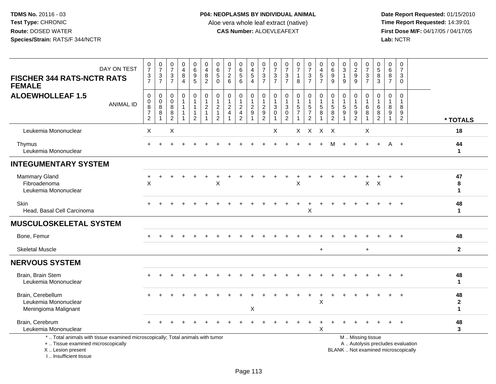**Date Report Requested:** 01/15/2010 **First Dose M/F:** 04/17/05 / 04/17/05<br>Lab: NCTR **Lab:** NCTR

| DAY ON TEST<br><b>FISCHER 344 RATS-NCTR RATS</b><br><b>FEMALE</b>                                                                                                   | $\frac{0}{7}$<br>$\frac{3}{7}$                                            | $\begin{array}{c} 0 \\ 7 \end{array}$<br>$\frac{3}{7}$         | $\begin{array}{c} 0 \\ 7 \end{array}$<br>3<br>$\overline{7}$ | $\pmb{0}$<br>$\overline{4}$<br>$\, 8$<br>$\overline{4}$                             | 0<br>$\,6\,$<br>$\overline{9}$<br>5                                           | 0<br>$\overline{4}$<br>$\bf8$<br>$\overline{2}$                           | 0<br>$\,6\,$<br>$\overline{5}$<br>$\Omega$                                      | $\frac{0}{7}$<br>$\overline{c}$<br>$6\phantom{1}$               | $\begin{array}{c} 0 \\ 6 \end{array}$<br>$\sqrt{5}$<br>$6\phantom{1}6$        | 0<br>$\overline{4}$<br>$\overline{5}$<br>$\overline{4}$ | $\frac{0}{7}$<br>$\sqrt{3}$<br>$\overline{7}$                | 0<br>$\overline{7}$<br>$\mathbf{3}$<br>$\overline{7}$                        | $\frac{0}{7}$<br>$\sqrt{3}$<br>$\overline{7}$                                   | $\frac{0}{7}$<br>$\mathbf{1}$<br>8                           | $\frac{0}{7}$<br>3<br>$\overline{7}$                                            | 0<br>$\overline{4}$<br>5<br>$\overline{7}$                             | 0<br>6<br>$\boldsymbol{9}$<br>9                        | 0<br>$\sqrt{3}$<br>$\mathbf{1}$<br>9 | $\begin{array}{c} 0 \\ 2 \\ 9 \end{array}$<br>9      | $\frac{0}{7}$<br>$\mathsf 3$<br>$\overline{7}$                | 0<br>$\sqrt{5}$<br>8<br>3                               | $\mathbf 0$<br>$\,6\,$<br>8<br>$\overline{7}$ | $\begin{array}{c} 0 \\ 7 \end{array}$<br>3<br>$\mathbf 0$ |                                   |                                            |
|---------------------------------------------------------------------------------------------------------------------------------------------------------------------|---------------------------------------------------------------------------|----------------------------------------------------------------|--------------------------------------------------------------|-------------------------------------------------------------------------------------|-------------------------------------------------------------------------------|---------------------------------------------------------------------------|---------------------------------------------------------------------------------|-----------------------------------------------------------------|-------------------------------------------------------------------------------|---------------------------------------------------------|--------------------------------------------------------------|------------------------------------------------------------------------------|---------------------------------------------------------------------------------|--------------------------------------------------------------|---------------------------------------------------------------------------------|------------------------------------------------------------------------|--------------------------------------------------------|--------------------------------------|------------------------------------------------------|---------------------------------------------------------------|---------------------------------------------------------|-----------------------------------------------|-----------------------------------------------------------|-----------------------------------|--------------------------------------------|
| <b>ALOEWHOLLEAF 1.5</b><br><b>ANIMAL ID</b>                                                                                                                         | $\pmb{0}$<br>$\begin{array}{c} 0 \\ 8 \\ 7 \end{array}$<br>$\overline{2}$ | $\mathbf 0$<br>$\mathsf{O}\xspace$<br>$\overline{8}$<br>8<br>1 | $\mathbf 0$<br>$\mathbf 0$<br>8<br>8<br>2                    | $\mathbf 0$<br>$\overline{1}$<br>$\overline{1}$<br>$\overline{1}$<br>$\overline{1}$ | $\mathbf 0$<br>$\mathbf{1}$<br>$\mathbf{1}$<br>$\mathbf{1}$<br>$\overline{2}$ | $\mathbf 0$<br>$\mathbf{1}$<br>$\sqrt{2}$<br>$\mathbf{1}$<br>$\mathbf{1}$ | $\mathbf 0$<br>$\mathbf{1}$<br>$\overline{c}$<br>$\mathbf{1}$<br>$\overline{2}$ | $\mathbf 0$<br>$\mathbf{1}$<br>$\overline{c}$<br>$\overline{4}$ | $\mathbf 0$<br>$\mathbf{1}$<br>$\sqrt{2}$<br>$\overline{4}$<br>$\overline{2}$ | 0<br>$\mathbf{1}$<br>$\sqrt{2}$<br>9                    | 0<br>$\mathbf{1}$<br>$\boldsymbol{2}$<br>9<br>$\overline{2}$ | $\mathbf 0$<br>$\mathbf{1}$<br>$\ensuremath{\mathsf{3}}$<br>$\mathbf 0$<br>1 | 0<br>$\mathbf{1}$<br>$\ensuremath{\mathsf{3}}$<br>$\mathbf 0$<br>$\overline{2}$ | $\mathbf 0$<br>$\mathbf{1}$<br>$\,$ 5 $\,$<br>$\overline{7}$ | $\mathbf 0$<br>$\overline{1}$<br>$\sqrt{5}$<br>$\overline{7}$<br>$\overline{2}$ | $\pmb{0}$<br>$\mathbf{1}$<br>$\overline{5}$<br>$\,8\,$<br>$\mathbf{1}$ | 0<br>$\mathbf{1}$<br>$\sqrt{5}$<br>8<br>$\overline{2}$ | $\mathbf 0$<br>-1<br>$\sqrt{5}$<br>9 | $\mathbf 0$<br>$\sqrt{5}$<br>$9\,$<br>$\overline{2}$ | $\mathbf 0$<br>$\mathbf{1}$<br>$\,6\,$<br>8<br>$\overline{1}$ | $\mathbf 0$<br>$\mathbf{1}$<br>6<br>8<br>$\overline{2}$ | $\mathbf 0$<br>8<br>9                         | $\mathbf 0$<br>-1<br>8<br>9<br>$\overline{2}$             |                                   | * TOTALS                                   |
| Leukemia Mononuclear                                                                                                                                                | X                                                                         |                                                                | $\mathsf X$                                                  |                                                                                     |                                                                               |                                                                           |                                                                                 |                                                                 |                                                                               |                                                         |                                                              | X                                                                            |                                                                                 |                                                              | X X X X                                                                         |                                                                        |                                                        |                                      |                                                      | X                                                             |                                                         |                                               |                                                           |                                   | 18                                         |
| Thymus<br>Leukemia Mononuclear                                                                                                                                      |                                                                           |                                                                |                                                              |                                                                                     |                                                                               |                                                                           |                                                                                 |                                                                 |                                                                               |                                                         |                                                              |                                                                              |                                                                                 |                                                              |                                                                                 |                                                                        | м                                                      |                                      |                                                      |                                                               |                                                         | A                                             |                                                           |                                   | 44<br>$\mathbf{1}$                         |
| <b>INTEGUMENTARY SYSTEM</b>                                                                                                                                         |                                                                           |                                                                |                                                              |                                                                                     |                                                                               |                                                                           |                                                                                 |                                                                 |                                                                               |                                                         |                                                              |                                                                              |                                                                                 |                                                              |                                                                                 |                                                                        |                                                        |                                      |                                                      |                                                               |                                                         |                                               |                                                           |                                   |                                            |
| Mammary Gland<br>Fibroadenoma<br>Leukemia Mononuclear                                                                                                               | X                                                                         |                                                                |                                                              |                                                                                     |                                                                               |                                                                           | X                                                                               |                                                                 |                                                                               |                                                         |                                                              |                                                                              |                                                                                 | X                                                            |                                                                                 |                                                                        |                                                        |                                      |                                                      | $\mathsf{X}$                                                  | $\times$                                                |                                               |                                                           |                                   | 47<br>8<br>1                               |
| Skin<br>Head, Basal Cell Carcinoma                                                                                                                                  |                                                                           |                                                                |                                                              |                                                                                     |                                                                               |                                                                           |                                                                                 |                                                                 |                                                                               |                                                         |                                                              |                                                                              |                                                                                 |                                                              | $\boldsymbol{\mathsf{X}}$                                                       |                                                                        |                                                        |                                      |                                                      |                                                               |                                                         |                                               |                                                           |                                   | 48<br>1                                    |
| <b>MUSCULOSKELETAL SYSTEM</b>                                                                                                                                       |                                                                           |                                                                |                                                              |                                                                                     |                                                                               |                                                                           |                                                                                 |                                                                 |                                                                               |                                                         |                                                              |                                                                              |                                                                                 |                                                              |                                                                                 |                                                                        |                                                        |                                      |                                                      |                                                               |                                                         |                                               |                                                           |                                   |                                            |
| Bone, Femur                                                                                                                                                         |                                                                           |                                                                |                                                              |                                                                                     |                                                                               |                                                                           |                                                                                 |                                                                 |                                                                               |                                                         |                                                              |                                                                              |                                                                                 |                                                              |                                                                                 |                                                                        |                                                        |                                      |                                                      |                                                               |                                                         |                                               |                                                           |                                   | 48                                         |
| <b>Skeletal Muscle</b>                                                                                                                                              |                                                                           |                                                                |                                                              |                                                                                     |                                                                               |                                                                           |                                                                                 |                                                                 |                                                                               |                                                         |                                                              |                                                                              |                                                                                 |                                                              |                                                                                 | $\ddot{}$                                                              |                                                        |                                      |                                                      | $\ddot{}$                                                     |                                                         |                                               |                                                           |                                   | $\mathbf{2}$                               |
| <b>NERVOUS SYSTEM</b>                                                                                                                                               |                                                                           |                                                                |                                                              |                                                                                     |                                                                               |                                                                           |                                                                                 |                                                                 |                                                                               |                                                         |                                                              |                                                                              |                                                                                 |                                                              |                                                                                 |                                                                        |                                                        |                                      |                                                      |                                                               |                                                         |                                               |                                                           |                                   |                                            |
| Brain, Brain Stem<br>Leukemia Mononuclear                                                                                                                           |                                                                           |                                                                |                                                              |                                                                                     |                                                                               |                                                                           |                                                                                 |                                                                 |                                                                               |                                                         |                                                              |                                                                              |                                                                                 |                                                              |                                                                                 |                                                                        |                                                        |                                      |                                                      |                                                               |                                                         |                                               |                                                           |                                   | 48<br>$\mathbf 1$                          |
| Brain, Cerebellum<br>Leukemia Mononuclear<br>Meningioma Malignant                                                                                                   |                                                                           |                                                                |                                                              |                                                                                     |                                                                               |                                                                           |                                                                                 |                                                                 |                                                                               | X                                                       |                                                              |                                                                              |                                                                                 |                                                              |                                                                                 | X                                                                      |                                                        |                                      |                                                      |                                                               |                                                         |                                               |                                                           |                                   | 48<br>$\mathbf{2}$<br>$\blacktriangleleft$ |
| Brain, Cerebrum<br>Leukemia Mononuclear                                                                                                                             |                                                                           |                                                                |                                                              |                                                                                     |                                                                               |                                                                           |                                                                                 |                                                                 |                                                                               |                                                         |                                                              |                                                                              |                                                                                 |                                                              |                                                                                 | Χ                                                                      |                                                        |                                      |                                                      |                                                               |                                                         |                                               |                                                           |                                   | 48<br>3                                    |
| *  Total animals with tissue examined microscopically; Total animals with tumor<br>+  Tissue examined microscopically<br>X  Lesion present<br>I Insufficient tissue |                                                                           |                                                                |                                                              |                                                                                     |                                                                               |                                                                           |                                                                                 |                                                                 |                                                                               |                                                         |                                                              |                                                                              |                                                                                 |                                                              |                                                                                 |                                                                        |                                                        |                                      |                                                      | M  Missing tissue                                             | BLANK  Not examined microscopically                     |                                               |                                                           | A  Autolysis precludes evaluation |                                            |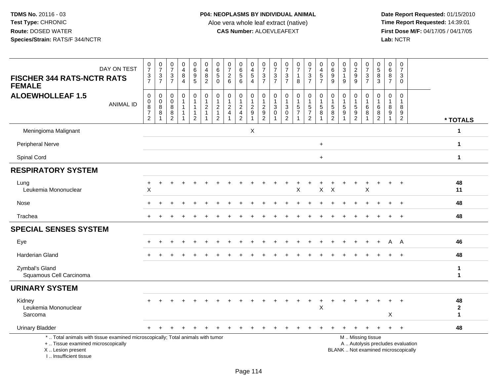**Date Report Requested:** 01/15/2010 **First Dose M/F:** 04/17/05 / 04/17/05<br>Lab: NCTR **Lab:** NCTR

| DAY ON TEST<br><b>FISCHER 344 RATS-NCTR RATS</b><br><b>FEMALE</b>                                                                                                   | $\frac{0}{7}$<br>$\frac{3}{7}$                 | $\frac{0}{7}$<br>$\mathbf{3}$<br>$\overline{7}$ | $\frac{0}{7}$<br>3<br>$\overline{7}$                | 0<br>$\overline{4}$<br>8<br>4 | 0<br>6<br>5<br>5                                                              | 0<br>$\overline{4}$<br>$\frac{8}{2}$                        | $\begin{array}{c} 0 \\ 6 \\ 5 \end{array}$<br>$\Omega$                               | $\frac{0}{7}$<br>$\frac{2}{6}$             | 0656                                         | 0<br>$\overline{4}$<br>$\sqrt{5}$<br>$\overline{4}$            | 0<br>$\overline{7}$<br>3<br>$\overline{7}$                   | $\frac{0}{7}$<br>3<br>$\overline{7}$              | 0<br>$\overline{7}$<br>$\mathbf{3}$<br>$\overline{7}$ | $\frac{0}{7}$<br>$\mathbf{1}$<br>8 | $\frac{0}{7}$<br>$\frac{3}{7}$                               | 0<br>$\overline{\mathbf{4}}$<br>$\frac{5}{7}$ | 0<br>$\overline{6}$<br>9<br>9                                                          | $\begin{array}{c} 0 \\ 3 \\ 1 \end{array}$<br>9 | 0<br>$\overline{2}$<br>$\boldsymbol{9}$<br>9                          | 0<br>$\overline{7}$<br>3<br>$\overline{7}$ | $\begin{array}{c} 0 \\ 5 \end{array}$<br>8<br>3           | 0<br>$6\phantom{a}$<br>8<br>$\overline{7}$      | $\frac{0}{7}$<br>3<br>$\overline{0}$                                     |                              |
|---------------------------------------------------------------------------------------------------------------------------------------------------------------------|------------------------------------------------|-------------------------------------------------|-----------------------------------------------------|-------------------------------|-------------------------------------------------------------------------------|-------------------------------------------------------------|--------------------------------------------------------------------------------------|--------------------------------------------|----------------------------------------------|----------------------------------------------------------------|--------------------------------------------------------------|---------------------------------------------------|-------------------------------------------------------|------------------------------------|--------------------------------------------------------------|-----------------------------------------------|----------------------------------------------------------------------------------------|-------------------------------------------------|-----------------------------------------------------------------------|--------------------------------------------|-----------------------------------------------------------|-------------------------------------------------|--------------------------------------------------------------------------|------------------------------|
| <b>ALOEWHOLLEAF 1.5</b><br><b>ANIMAL ID</b>                                                                                                                         | $\pmb{0}$<br>$\mathbf 0$<br>$\frac{8}{7}$<br>2 | $\pmb{0}$<br>$\mathbf 0$<br>8<br>$\bf 8$        | $\Omega$<br>$\mathbf 0$<br>8<br>8<br>$\overline{2}$ | 0<br>1<br>1                   | $\mathbf 0$<br>$\mathbf{1}$<br>$\mathbf{1}$<br>$\mathbf{1}$<br>$\overline{2}$ | $\pmb{0}$<br>$\mathbf{1}$<br>$\overline{2}$<br>$\mathbf{1}$ | $\pmb{0}$<br>$\mathbf{1}$<br>$\begin{array}{c} 2 \\ 1 \end{array}$<br>$\overline{2}$ | $\pmb{0}$<br>$\mathbf{1}$<br>$\frac{2}{4}$ | $\pmb{0}$<br>$\frac{1}{2}$<br>$\overline{2}$ | $\pmb{0}$<br>$\overline{1}$<br>$\frac{2}{9}$<br>$\overline{1}$ | 0<br>$\mathbf{1}$<br>$\overline{c}$<br>$\boldsymbol{9}$<br>2 | $\mathbf 0$<br>$\overline{1}$<br>3<br>$\mathbf 0$ | 0<br>3<br>$\pmb{0}$<br>$\overline{2}$                 | $\pmb{0}$<br>$\frac{1}{5}$         | $\pmb{0}$<br>$\mathbf{1}$<br>$\frac{5}{7}$<br>$\overline{2}$ | 0<br>$\mathbf{1}$<br>$\sqrt{5}$<br>8          | $\mathbf 0$<br>$\mathbf{1}$<br>$\begin{array}{c} 5 \\ 8 \end{array}$<br>$\overline{2}$ | $\mathbf 0$<br>$\mathbf{1}$<br>$\frac{5}{9}$    | 0<br>$\overline{1}$<br>$\sqrt{5}$<br>$\overline{9}$<br>$\overline{2}$ | 0<br>1<br>6<br>8<br>1                      | $\Omega$<br>$\mathbf{1}$<br>6<br>$\, 8$<br>$\overline{2}$ | 0<br>$\mathbf{1}$<br>8<br>$\boldsymbol{9}$<br>1 | $\mathbf 0$<br>$\mathbf{1}$<br>8<br>$\boldsymbol{9}$<br>$\overline{2}$   | * TOTALS                     |
| Meningioma Malignant                                                                                                                                                |                                                |                                                 |                                                     |                               |                                                                               |                                                             |                                                                                      |                                            |                                              | X                                                              |                                                              |                                                   |                                                       |                                    |                                                              |                                               |                                                                                        |                                                 |                                                                       |                                            |                                                           |                                                 |                                                                          | 1                            |
| <b>Peripheral Nerve</b>                                                                                                                                             |                                                |                                                 |                                                     |                               |                                                                               |                                                             |                                                                                      |                                            |                                              |                                                                |                                                              |                                                   |                                                       |                                    |                                                              | $+$                                           |                                                                                        |                                                 |                                                                       |                                            |                                                           |                                                 |                                                                          | $\mathbf{1}$                 |
| Spinal Cord                                                                                                                                                         |                                                |                                                 |                                                     |                               |                                                                               |                                                             |                                                                                      |                                            |                                              |                                                                |                                                              |                                                   |                                                       |                                    |                                                              | $+$                                           |                                                                                        |                                                 |                                                                       |                                            |                                                           |                                                 |                                                                          | $\mathbf{1}$                 |
| <b>RESPIRATORY SYSTEM</b>                                                                                                                                           |                                                |                                                 |                                                     |                               |                                                                               |                                                             |                                                                                      |                                            |                                              |                                                                |                                                              |                                                   |                                                       |                                    |                                                              |                                               |                                                                                        |                                                 |                                                                       |                                            |                                                           |                                                 |                                                                          |                              |
| Lung<br>Leukemia Mononuclear                                                                                                                                        | $\ddot{}$<br>$\sf X$                           | $\ddot{}$                                       |                                                     |                               |                                                                               |                                                             |                                                                                      |                                            |                                              |                                                                |                                                              |                                                   |                                                       | X                                  | $\div$                                                       | +<br>$\pmb{\times}$                           | $\pmb{\times}$                                                                         |                                                 | ÷                                                                     | +<br>X                                     |                                                           | $\ddot{}$                                       | $+$                                                                      | 48<br>11                     |
| Nose                                                                                                                                                                |                                                |                                                 |                                                     |                               |                                                                               |                                                             |                                                                                      |                                            |                                              |                                                                |                                                              |                                                   |                                                       |                                    |                                                              |                                               |                                                                                        |                                                 |                                                                       |                                            |                                                           |                                                 | $\overline{+}$                                                           | 48                           |
| Trachea                                                                                                                                                             |                                                |                                                 |                                                     |                               |                                                                               |                                                             |                                                                                      |                                            |                                              |                                                                |                                                              |                                                   |                                                       |                                    |                                                              |                                               |                                                                                        |                                                 |                                                                       |                                            |                                                           | $\ddot{}$                                       | $+$                                                                      | 48                           |
| <b>SPECIAL SENSES SYSTEM</b>                                                                                                                                        |                                                |                                                 |                                                     |                               |                                                                               |                                                             |                                                                                      |                                            |                                              |                                                                |                                                              |                                                   |                                                       |                                    |                                                              |                                               |                                                                                        |                                                 |                                                                       |                                            |                                                           |                                                 |                                                                          |                              |
| Eye                                                                                                                                                                 |                                                |                                                 |                                                     |                               |                                                                               |                                                             |                                                                                      |                                            |                                              |                                                                |                                                              |                                                   |                                                       |                                    |                                                              |                                               |                                                                                        |                                                 |                                                                       |                                            |                                                           | A                                               | A                                                                        | 46                           |
| <b>Harderian Gland</b>                                                                                                                                              |                                                |                                                 |                                                     |                               |                                                                               |                                                             |                                                                                      |                                            |                                              |                                                                |                                                              |                                                   |                                                       |                                    |                                                              |                                               |                                                                                        |                                                 |                                                                       |                                            |                                                           |                                                 | $\ddot{}$                                                                | 48                           |
| Zymbal's Gland<br>Squamous Cell Carcinoma                                                                                                                           |                                                |                                                 |                                                     |                               |                                                                               |                                                             |                                                                                      |                                            |                                              |                                                                |                                                              |                                                   |                                                       |                                    |                                                              |                                               |                                                                                        |                                                 |                                                                       |                                            |                                                           |                                                 |                                                                          | $\mathbf{1}$<br>$\mathbf{1}$ |
| <b>URINARY SYSTEM</b>                                                                                                                                               |                                                |                                                 |                                                     |                               |                                                                               |                                                             |                                                                                      |                                            |                                              |                                                                |                                                              |                                                   |                                                       |                                    |                                                              |                                               |                                                                                        |                                                 |                                                                       |                                            |                                                           |                                                 |                                                                          |                              |
| Kidney<br>Leukemia Mononuclear<br>Sarcoma                                                                                                                           |                                                |                                                 |                                                     |                               |                                                                               |                                                             |                                                                                      |                                            |                                              |                                                                |                                                              |                                                   |                                                       |                                    |                                                              | X                                             |                                                                                        |                                                 |                                                                       |                                            |                                                           | Χ                                               |                                                                          | 48<br>$\mathbf{2}$<br>1      |
| <b>Urinary Bladder</b>                                                                                                                                              | $+$                                            |                                                 |                                                     |                               |                                                                               |                                                             |                                                                                      |                                            |                                              |                                                                |                                                              |                                                   |                                                       |                                    |                                                              |                                               |                                                                                        |                                                 |                                                                       |                                            |                                                           | $\ddot{}$                                       | $+$                                                                      | 48                           |
| *  Total animals with tissue examined microscopically; Total animals with tumor<br>+  Tissue examined microscopically<br>X  Lesion present<br>I Insufficient tissue |                                                |                                                 |                                                     |                               |                                                                               |                                                             |                                                                                      |                                            |                                              |                                                                |                                                              |                                                   |                                                       |                                    |                                                              |                                               |                                                                                        |                                                 | M  Missing tissue                                                     |                                            |                                                           |                                                 | A  Autolysis precludes evaluation<br>BLANK  Not examined microscopically |                              |